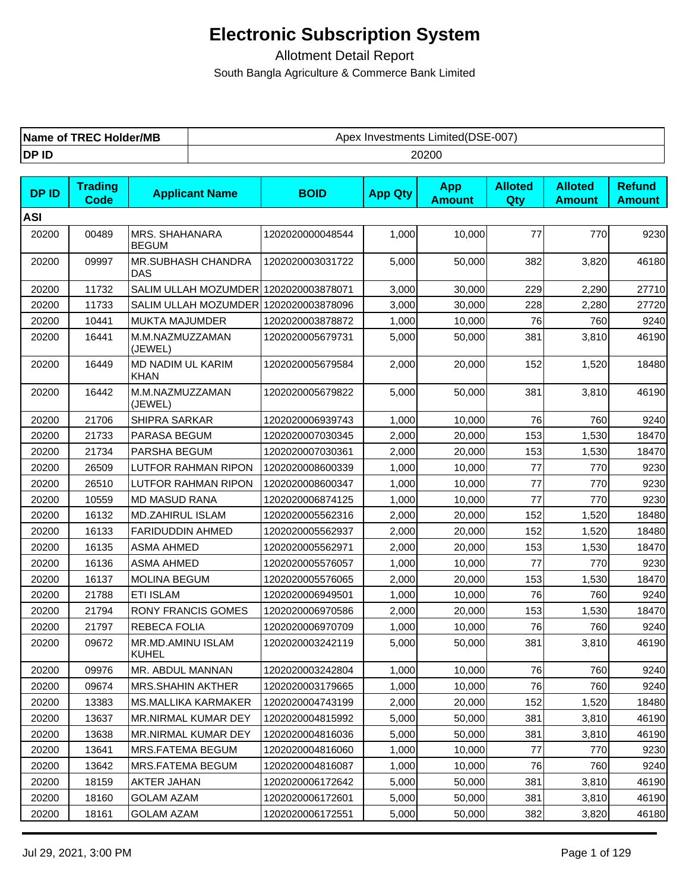| <b>Name of TREC Holder/MB</b> | Investments Limited(DSE-007)<br>Apex |
|-------------------------------|--------------------------------------|
| DP ID                         | 20200                                |

| <b>DPID</b> | <b>Trading</b><br><b>Code</b> | <b>Applicant Name</b>                 | <b>BOID</b>      | <b>App Qty</b> | <b>App</b><br><b>Amount</b> | <b>Alloted</b><br>Qty | <b>Alloted</b><br><b>Amount</b> | <b>Refund</b><br><b>Amount</b> |
|-------------|-------------------------------|---------------------------------------|------------------|----------------|-----------------------------|-----------------------|---------------------------------|--------------------------------|
| <b>ASI</b>  |                               |                                       |                  |                |                             |                       |                                 |                                |
| 20200       | 00489                         | MRS. SHAHANARA<br><b>BEGUM</b>        | 1202020000048544 | 1,000          | 10,000                      | 77                    | 770                             | 9230                           |
| 20200       | 09997                         | MR.SUBHASH CHANDRA<br>DAS             | 1202020003031722 | 5,000          | 50,000                      | 382                   | 3,820                           | 46180                          |
| 20200       | 11732                         | SALIM ULLAH MOZUMDER 1202020003878071 |                  | 3,000          | 30,000                      | 229                   | 2,290                           | 27710                          |
| 20200       | 11733                         | SALIM ULLAH MOZUMDER 1202020003878096 |                  | 3,000          | 30,000                      | 228                   | 2,280                           | 27720                          |
| 20200       | 10441                         | MUKTA MAJUMDER                        | 1202020003878872 | 1,000          | 10,000                      | 76                    | 760                             | 9240                           |
| 20200       | 16441                         | M.M.NAZMUZZAMAN<br>(JEWEL)            | 1202020005679731 | 5,000          | 50,000                      | 381                   | 3,810                           | 46190                          |
| 20200       | 16449                         | MD NADIM UL KARIM<br><b>KHAN</b>      | 1202020005679584 | 2,000          | 20,000                      | 152                   | 1,520                           | 18480                          |
| 20200       | 16442                         | M.M.NAZMUZZAMAN<br>(JEWEL)            | 1202020005679822 | 5,000          | 50,000                      | 381                   | 3,810                           | 46190                          |
| 20200       | 21706                         | SHIPRA SARKAR                         | 1202020006939743 | 1,000          | 10,000                      | 76                    | 760                             | 9240                           |
| 20200       | 21733                         | PARASA BEGUM                          | 1202020007030345 | 2,000          | 20,000                      | 153                   | 1,530                           | 18470                          |
| 20200       | 21734                         | PARSHA BEGUM                          | 1202020007030361 | 2,000          | 20,000                      | 153                   | 1,530                           | 18470                          |
| 20200       | 26509                         | <b>LUTFOR RAHMAN RIPON</b>            | 1202020008600339 | 1,000          | 10,000                      | 77                    | 770                             | 9230                           |
| 20200       | 26510                         | LUTFOR RAHMAN RIPON                   | 1202020008600347 | 1,000          | 10.000                      | 77                    | 770                             | 9230                           |
| 20200       | 10559                         | <b>MD MASUD RANA</b>                  | 1202020006874125 | 1,000          | 10,000                      | 77                    | 770                             | 9230                           |
| 20200       | 16132                         | <b>MD.ZAHIRUL ISLAM</b>               | 1202020005562316 | 2,000          | 20,000                      | 152                   | 1,520                           | 18480                          |
| 20200       | 16133                         | FARIDUDDIN AHMED                      | 1202020005562937 | 2,000          | 20,000                      | 152                   | 1,520                           | 18480                          |
| 20200       | 16135                         | <b>ASMA AHMED</b>                     | 1202020005562971 | 2,000          | 20,000                      | 153                   | 1,530                           | 18470                          |
| 20200       | 16136                         | <b>ASMA AHMED</b>                     | 1202020005576057 | 1,000          | 10,000                      | 77                    | 770                             | 9230                           |
| 20200       | 16137                         | <b>MOLINA BEGUM</b>                   | 1202020005576065 | 2,000          | 20,000                      | 153                   | 1,530                           | 18470                          |
| 20200       | 21788                         | <b>ETI ISLAM</b>                      | 1202020006949501 | 1,000          | 10,000                      | 76                    | 760                             | 9240                           |
| 20200       | 21794                         | <b>RONY FRANCIS GOMES</b>             | 1202020006970586 | 2,000          | 20,000                      | 153                   | 1,530                           | 18470                          |
| 20200       | 21797                         | REBECA FOLIA                          | 1202020006970709 | 1,000          | 10,000                      | 76                    | 760                             | 9240                           |
| 20200       | 09672                         | MR.MD.AMINU ISLAM<br><b>KUHEL</b>     | 1202020003242119 | 5,000          | 50,000                      | 381                   | 3,810                           | 46190                          |
| 20200       | 09976                         | MR. ABDUL MANNAN                      | 1202020003242804 | 1,000          | 10,000                      | 76                    | 760                             | 9240                           |
| 20200       | 09674                         | <b>MRS.SHAHIN AKTHER</b>              | 1202020003179665 | 1,000          | 10,000                      | 76                    | 760                             | 9240                           |
| 20200       | 13383                         | <b>MS.MALLIKA KARMAKER</b>            | 1202020004743199 | 2,000          | 20,000                      | 152                   | 1,520                           | 18480                          |
| 20200       | 13637                         | MR.NIRMAL KUMAR DEY                   | 1202020004815992 | 5,000          | 50,000                      | 381                   | 3,810                           | 46190                          |
| 20200       | 13638                         | MR.NIRMAL KUMAR DEY                   | 1202020004816036 | 5,000          | 50,000                      | 381                   | 3,810                           | 46190                          |
| 20200       | 13641                         | MRS.FATEMA BEGUM                      | 1202020004816060 | 1,000          | 10,000                      | 77                    | 770                             | 9230                           |
| 20200       | 13642                         | <b>MRS.FATEMA BEGUM</b>               | 1202020004816087 | 1,000          | 10,000                      | 76                    | 760                             | 9240                           |
| 20200       | 18159                         | AKTER JAHAN                           | 1202020006172642 | 5,000          | 50,000                      | 381                   | 3,810                           | 46190                          |
| 20200       | 18160                         | <b>GOLAM AZAM</b>                     | 1202020006172601 | 5,000          | 50,000                      | 381                   | 3,810                           | 46190                          |
| 20200       | 18161                         | <b>GOLAM AZAM</b>                     | 1202020006172551 | 5,000          | 50,000                      | 382                   | 3,820                           | 46180                          |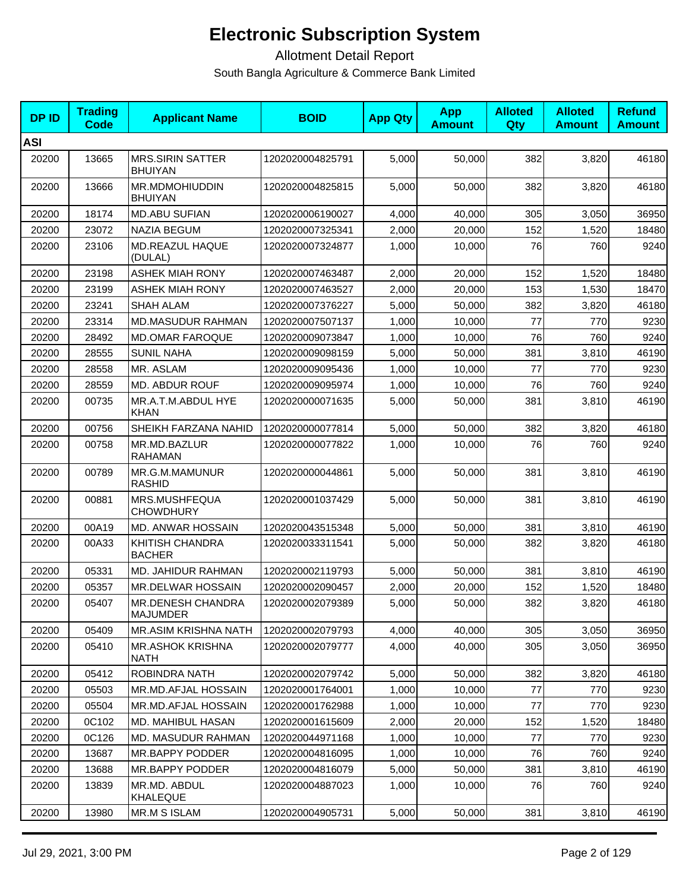| <b>DPID</b> | <b>Trading</b><br>Code | <b>Applicant Name</b>                       | <b>BOID</b>      | <b>App Qty</b> | <b>App</b><br><b>Amount</b> | <b>Alloted</b><br><b>Qty</b> | <b>Alloted</b><br><b>Amount</b> | <b>Refund</b><br><b>Amount</b> |
|-------------|------------------------|---------------------------------------------|------------------|----------------|-----------------------------|------------------------------|---------------------------------|--------------------------------|
| <b>ASI</b>  |                        |                                             |                  |                |                             |                              |                                 |                                |
| 20200       | 13665                  | <b>MRS.SIRIN SATTER</b><br><b>BHUIYAN</b>   | 1202020004825791 | 5,000          | 50,000                      | 382                          | 3,820                           | 46180                          |
| 20200       | 13666                  | <b>MR.MDMOHIUDDIN</b><br><b>BHUIYAN</b>     | 1202020004825815 | 5,000          | 50,000                      | 382                          | 3,820                           | 46180                          |
| 20200       | 18174                  | <b>MD.ABU SUFIAN</b>                        | 1202020006190027 | 4,000          | 40,000                      | 305                          | 3,050                           | 36950                          |
| 20200       | 23072                  | <b>NAZIA BEGUM</b>                          | 1202020007325341 | 2,000          | 20,000                      | 152                          | 1,520                           | 18480                          |
| 20200       | 23106                  | MD.REAZUL HAQUE<br>(DULAL)                  | 1202020007324877 | 1,000          | 10,000                      | 76                           | 760                             | 9240                           |
| 20200       | 23198                  | <b>ASHEK MIAH RONY</b>                      | 1202020007463487 | 2,000          | 20,000                      | 152                          | 1,520                           | 18480                          |
| 20200       | 23199                  | <b>ASHEK MIAH RONY</b>                      | 1202020007463527 | 2,000          | 20,000                      | 153                          | 1,530                           | 18470                          |
| 20200       | 23241                  | <b>SHAH ALAM</b>                            | 1202020007376227 | 5,000          | 50,000                      | 382                          | 3,820                           | 46180                          |
| 20200       | 23314                  | <b>MD.MASUDUR RAHMAN</b>                    | 1202020007507137 | 1,000          | 10,000                      | 77                           | 770                             | 9230                           |
| 20200       | 28492                  | <b>MD.OMAR FAROQUE</b>                      | 1202020009073847 | 1,000          | 10,000                      | 76                           | 760                             | 9240                           |
| 20200       | 28555                  | <b>SUNIL NAHA</b>                           | 1202020009098159 | 5,000          | 50,000                      | 381                          | 3,810                           | 46190                          |
| 20200       | 28558                  | MR. ASLAM                                   | 1202020009095436 | 1,000          | 10,000                      | 77                           | 770                             | 9230                           |
| 20200       | 28559                  | <b>MD. ABDUR ROUF</b>                       | 1202020009095974 | 1,000          | 10,000                      | 76                           | 760                             | 9240                           |
| 20200       | 00735                  | MR.A.T.M.ABDUL HYE<br><b>KHAN</b>           | 1202020000071635 | 5,000          | 50,000                      | 381                          | 3,810                           | 46190                          |
| 20200       | 00756                  | SHEIKH FARZANA NAHID                        | 1202020000077814 | 5,000          | 50,000                      | 382                          | 3,820                           | 46180                          |
| 20200       | 00758                  | MR.MD.BAZLUR<br><b>RAHAMAN</b>              | 1202020000077822 | 1,000          | 10,000                      | 76                           | 760                             | 9240                           |
| 20200       | 00789                  | MR.G.M.MAMUNUR<br><b>RASHID</b>             | 1202020000044861 | 5,000          | 50,000                      | 381                          | 3,810                           | 46190                          |
| 20200       | 00881                  | MRS.MUSHFEQUA<br><b>CHOWDHURY</b>           | 1202020001037429 | 5,000          | 50,000                      | 381                          | 3,810                           | 46190                          |
| 20200       | 00A19                  | MD. ANWAR HOSSAIN                           | 1202020043515348 | 5,000          | 50,000                      | 381                          | 3,810                           | 46190                          |
| 20200       | 00A33                  | KHITISH CHANDRA<br><b>BACHER</b>            | 1202020033311541 | 5,000          | 50,000                      | 382                          | 3,820                           | 46180                          |
| 20200       | 05331                  | MD. JAHIDUR RAHMAN                          | 1202020002119793 | 5,000          | 50,000                      | 381                          | 3,810                           | 46190                          |
| 20200       | 05357                  | MR.DELWAR HOSSAIN                           | 1202020002090457 | 2,000          | 20,000                      | 152                          | 1,520                           | 18480                          |
| 20200       | 05407                  | <b>MR.DENESH CHANDRA</b><br><b>MAJUMDER</b> | 1202020002079389 | 5,000          | 50,000                      | 382                          | 3,820                           | 46180                          |
| 20200       | 05409                  | MR.ASIM KRISHNA NATH                        | 1202020002079793 | 4,000          | 40,000                      | 305                          | 3,050                           | 36950                          |
| 20200       | 05410                  | <b>MR.ASHOK KRISHNA</b><br>NATH             | 1202020002079777 | 4,000          | 40,000                      | 305                          | 3,050                           | 36950                          |
| 20200       | 05412                  | ROBINDRA NATH                               | 1202020002079742 | 5,000          | 50,000                      | 382                          | 3,820                           | 46180                          |
| 20200       | 05503                  | MR.MD.AFJAL HOSSAIN                         | 1202020001764001 | 1,000          | 10,000                      | $77$                         | 770                             | 9230                           |
| 20200       | 05504                  | MR.MD.AFJAL HOSSAIN                         | 1202020001762988 | 1,000          | 10,000                      | 77                           | 770                             | 9230                           |
| 20200       | 0C102                  | <b>MD. MAHIBUL HASAN</b>                    | 1202020001615609 | 2,000          | 20,000                      | 152                          | 1,520                           | 18480                          |
| 20200       | 0C126                  | <b>MD. MASUDUR RAHMAN</b>                   | 1202020044971168 | 1,000          | 10,000                      | 77                           | 770                             | 9230                           |
| 20200       | 13687                  | MR.BAPPY PODDER                             | 1202020004816095 | 1,000          | 10,000                      | 76                           | 760                             | 9240                           |
| 20200       | 13688                  | MR.BAPPY PODDER                             | 1202020004816079 | 5,000          | 50,000                      | 381                          | 3,810                           | 46190                          |
| 20200       | 13839                  | MR.MD. ABDUL<br>KHALEQUE                    | 1202020004887023 | 1,000          | 10,000                      | 76                           | 760                             | 9240                           |
| 20200       | 13980                  | <b>MR.M S ISLAM</b>                         | 1202020004905731 | 5,000          | 50,000                      | 381                          | 3,810                           | 46190                          |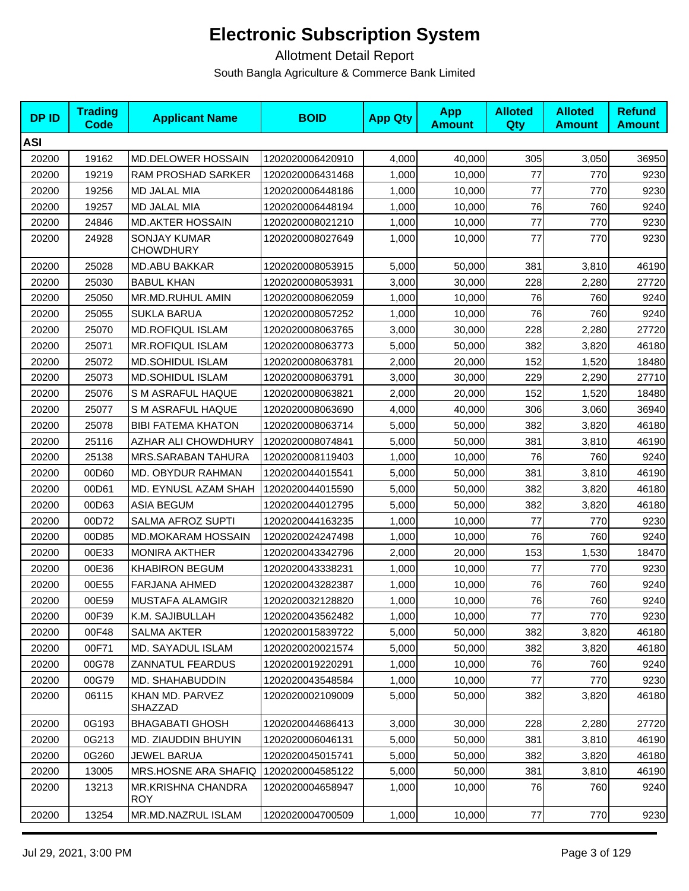| <b>DPID</b> | <b>Trading</b><br>Code | <b>Applicant Name</b>                   | <b>BOID</b>      | <b>App Qty</b> | <b>App</b><br><b>Amount</b> | <b>Alloted</b><br>Qty | <b>Alloted</b><br><b>Amount</b> | <b>Refund</b><br><b>Amount</b> |
|-------------|------------------------|-----------------------------------------|------------------|----------------|-----------------------------|-----------------------|---------------------------------|--------------------------------|
| <b>ASI</b>  |                        |                                         |                  |                |                             |                       |                                 |                                |
| 20200       | 19162                  | <b>MD.DELOWER HOSSAIN</b>               | 1202020006420910 | 4,000          | 40,000                      | 305                   | 3,050                           | 36950                          |
| 20200       | 19219                  | RAM PROSHAD SARKER                      | 1202020006431468 | 1,000          | 10,000                      | 77                    | 770                             | 9230                           |
| 20200       | 19256                  | MD JALAL MIA                            | 1202020006448186 | 1,000          | 10,000                      | 77                    | 770                             | 9230                           |
| 20200       | 19257                  | MD JALAL MIA                            | 1202020006448194 | 1,000          | 10,000                      | 76                    | 760                             | 9240                           |
| 20200       | 24846                  | <b>MD.AKTER HOSSAIN</b>                 | 1202020008021210 | 1,000          | 10,000                      | 77                    | 770                             | 9230                           |
| 20200       | 24928                  | <b>SONJAY KUMAR</b><br><b>CHOWDHURY</b> | 1202020008027649 | 1,000          | 10,000                      | 77                    | 770                             | 9230                           |
| 20200       | 25028                  | <b>MD.ABU BAKKAR</b>                    | 1202020008053915 | 5,000          | 50,000                      | 381                   | 3,810                           | 46190                          |
| 20200       | 25030                  | <b>BABUL KHAN</b>                       | 1202020008053931 | 3,000          | 30,000                      | 228                   | 2,280                           | 27720                          |
| 20200       | 25050                  | MR.MD.RUHUL AMIN                        | 1202020008062059 | 1,000          | 10,000                      | 76                    | 760                             | 9240                           |
| 20200       | 25055                  | <b>SUKLA BARUA</b>                      | 1202020008057252 | 1,000          | 10,000                      | 76                    | 760                             | 9240                           |
| 20200       | 25070                  | <b>MD.ROFIQUL ISLAM</b>                 | 1202020008063765 | 3,000          | 30,000                      | 228                   | 2,280                           | 27720                          |
| 20200       | 25071                  | <b>MR.ROFIQUL ISLAM</b>                 | 1202020008063773 | 5,000          | 50,000                      | 382                   | 3,820                           | 46180                          |
| 20200       | 25072                  | <b>MD.SOHIDUL ISLAM</b>                 | 1202020008063781 | 2,000          | 20,000                      | 152                   | 1,520                           | 18480                          |
| 20200       | 25073                  | MD.SOHIDUL ISLAM                        | 1202020008063791 | 3,000          | 30,000                      | 229                   | 2,290                           | 27710                          |
| 20200       | 25076                  | S M ASRAFUL HAQUE                       | 1202020008063821 | 2,000          | 20,000                      | 152                   | 1,520                           | 18480                          |
| 20200       | 25077                  | S M ASRAFUL HAQUE                       | 1202020008063690 | 4,000          | 40,000                      | 306                   | 3,060                           | 36940                          |
| 20200       | 25078                  | <b>BIBI FATEMA KHATON</b>               | 1202020008063714 | 5,000          | 50,000                      | 382                   | 3,820                           | 46180                          |
| 20200       | 25116                  | AZHAR ALI CHOWDHURY                     | 1202020008074841 | 5,000          | 50,000                      | 381                   | 3,810                           | 46190                          |
| 20200       | 25138                  | MRS.SARABAN TAHURA                      | 1202020008119403 | 1,000          | 10,000                      | 76                    | 760                             | 9240                           |
| 20200       | 00D60                  | MD. OBYDUR RAHMAN                       | 1202020044015541 | 5,000          | 50,000                      | 381                   | 3,810                           | 46190                          |
| 20200       | 00D61                  | MD. EYNUSL AZAM SHAH                    | 1202020044015590 | 5,000          | 50,000                      | 382                   | 3,820                           | 46180                          |
| 20200       | 00D63                  | <b>ASIA BEGUM</b>                       | 1202020044012795 | 5,000          | 50,000                      | 382                   | 3,820                           | 46180                          |
| 20200       | 00D72                  | SALMA AFROZ SUPTI                       | 1202020044163235 | 1,000          | 10,000                      | 77                    | 770                             | 9230                           |
| 20200       | 00D85                  | <b>MD.MOKARAM HOSSAIN</b>               | 1202020024247498 | 1,000          | 10,000                      | 76                    | 760                             | 9240                           |
| 20200       | 00E33                  | <b>MONIRA AKTHER</b>                    | 1202020043342796 | 2,000          | 20,000                      | 153                   | 1,530                           | 18470                          |
| 20200       | 00E36                  | <b>KHABIRON BEGUM</b>                   | 1202020043338231 | 1,000          | 10,000                      | 77                    | 770                             | 9230                           |
| 20200       | 00E55                  | <b>FARJANA AHMED</b>                    | 1202020043282387 | 1,000          | 10,000                      | 76                    | 760                             | 9240                           |
| 20200       | 00E59                  | <b>MUSTAFA ALAMGIR</b>                  | 1202020032128820 | 1,000          | 10,000                      | 76                    | 760                             | 9240                           |
| 20200       | 00F39                  | K.M. SAJIBULLAH                         | 1202020043562482 | 1,000          | 10,000                      | $77$                  | 770                             | 9230                           |
| 20200       | 00F48                  | <b>SALMA AKTER</b>                      | 1202020015839722 | 5,000          | 50,000                      | 382                   | 3,820                           | 46180                          |
| 20200       | 00F71                  | MD. SAYADUL ISLAM                       | 1202020020021574 | 5,000          | 50,000                      | 382                   | 3,820                           | 46180                          |
| 20200       | 00G78                  | ZANNATUL FEARDUS                        | 1202020019220291 | 1,000          | 10,000                      | 76                    | 760                             | 9240                           |
| 20200       | 00G79                  | MD. SHAHABUDDIN                         | 1202020043548584 | 1,000          | 10,000                      | 77                    | 770                             | 9230                           |
| 20200       | 06115                  | KHAN MD. PARVEZ<br>SHAZZAD              | 1202020002109009 | 5,000          | 50,000                      | 382                   | 3,820                           | 46180                          |
| 20200       | 0G193                  | <b>BHAGABATI GHOSH</b>                  | 1202020044686413 | 3,000          | 30,000                      | 228                   | 2,280                           | 27720                          |
| 20200       | 0G213                  | MD. ZIAUDDIN BHUYIN                     | 1202020006046131 | 5,000          | 50,000                      | 381                   | 3,810                           | 46190                          |
| 20200       | 0G260                  | JEWEL BARUA                             | 1202020045015741 | 5,000          | 50,000                      | 382                   | 3,820                           | 46180                          |
| 20200       | 13005                  | <b>MRS.HOSNE ARA SHAFIQ</b>             | 1202020004585122 | 5,000          | 50,000                      | 381                   | 3,810                           | 46190                          |
| 20200       | 13213                  | <b>MR.KRISHNA CHANDRA</b><br><b>ROY</b> | 1202020004658947 | 1,000          | 10,000                      | 76                    | 760                             | 9240                           |
| 20200       | 13254                  | MR.MD.NAZRUL ISLAM                      | 1202020004700509 | 1,000          | 10,000                      | 77                    | 770                             | 9230                           |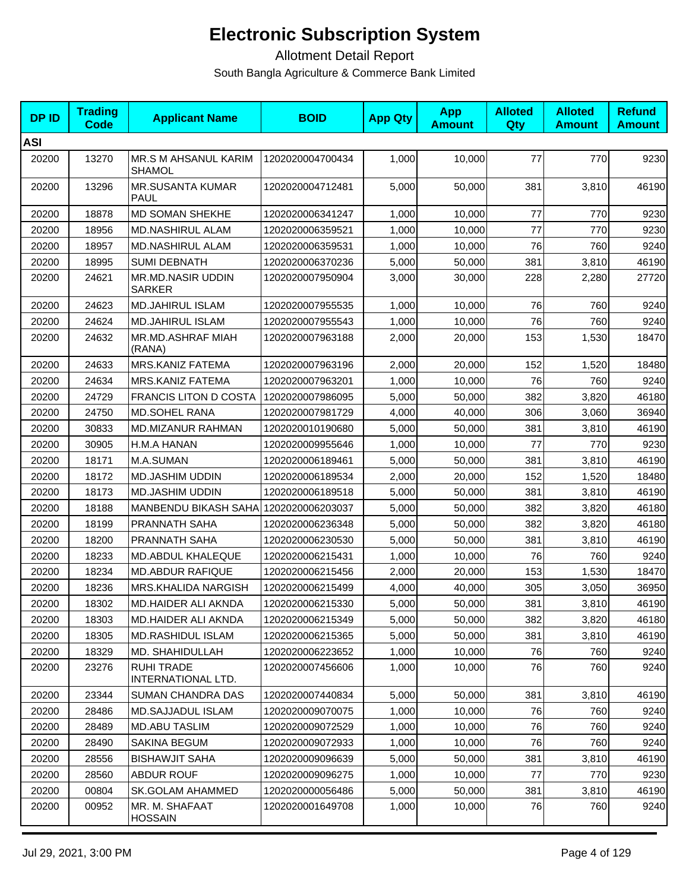| <b>DPID</b> | <b>Trading</b><br><b>Code</b> | <b>Applicant Name</b>                   | <b>BOID</b>      | <b>App Qty</b> | <b>App</b><br><b>Amount</b> | <b>Alloted</b><br><b>Qty</b> | <b>Alloted</b><br><b>Amount</b> | <b>Refund</b><br><b>Amount</b> |
|-------------|-------------------------------|-----------------------------------------|------------------|----------------|-----------------------------|------------------------------|---------------------------------|--------------------------------|
| <b>ASI</b>  |                               |                                         |                  |                |                             |                              |                                 |                                |
| 20200       | 13270                         | MR.S M AHSANUL KARIM<br><b>SHAMOL</b>   | 1202020004700434 | 1,000          | 10,000                      | 77                           | 770                             | 9230                           |
| 20200       | 13296                         | <b>MR.SUSANTA KUMAR</b><br><b>PAUL</b>  | 1202020004712481 | 5,000          | 50,000                      | 381                          | 3,810                           | 46190                          |
| 20200       | 18878                         | MD SOMAN SHEKHE                         | 1202020006341247 | 1,000          | 10,000                      | 77                           | 770                             | 9230                           |
| 20200       | 18956                         | <b>MD.NASHIRUL ALAM</b>                 | 1202020006359521 | 1,000          | 10.000                      | 77                           | 770                             | 9230                           |
| 20200       | 18957                         | <b>MD.NASHIRUL ALAM</b>                 | 1202020006359531 | 1,000          | 10,000                      | 76                           | 760                             | 9240                           |
| 20200       | 18995                         | <b>SUMI DEBNATH</b>                     | 1202020006370236 | 5,000          | 50,000                      | 381                          | 3,810                           | 46190                          |
| 20200       | 24621                         | <b>MR.MD.NASIR UDDIN</b><br>SARKER      | 1202020007950904 | 3,000          | 30,000                      | 228                          | 2,280                           | 27720                          |
| 20200       | 24623                         | <b>MD.JAHIRUL ISLAM</b>                 | 1202020007955535 | 1,000          | 10,000                      | 76                           | 760                             | 9240                           |
| 20200       | 24624                         | <b>MD.JAHIRUL ISLAM</b>                 | 1202020007955543 | 1,000          | 10,000                      | 76                           | 760                             | 9240                           |
| 20200       | 24632                         | MR.MD.ASHRAF MIAH<br>(RANA)             | 1202020007963188 | 2,000          | 20,000                      | 153                          | 1,530                           | 18470                          |
| 20200       | 24633                         | MRS.KANIZ FATEMA                        | 1202020007963196 | 2,000          | 20,000                      | 152                          | 1,520                           | 18480                          |
| 20200       | 24634                         | MRS.KANIZ FATEMA                        | 1202020007963201 | 1,000          | 10,000                      | 76                           | 760                             | 9240                           |
| 20200       | 24729                         | <b>FRANCIS LITON D COSTA</b>            | 1202020007986095 | 5,000          | 50,000                      | 382                          | 3,820                           | 46180                          |
| 20200       | 24750                         | MD.SOHEL RANA                           | 1202020007981729 | 4,000          | 40,000                      | 306                          | 3,060                           | 36940                          |
| 20200       | 30833                         | MD.MIZANUR RAHMAN                       | 1202020010190680 | 5,000          | 50,000                      | 381                          | 3,810                           | 46190                          |
| 20200       | 30905                         | H.M.A HANAN                             | 1202020009955646 | 1,000          | 10,000                      | 77                           | 770                             | 9230                           |
| 20200       | 18171                         | M.A.SUMAN                               | 1202020006189461 | 5,000          | 50,000                      | 381                          | 3,810                           | 46190                          |
| 20200       | 18172                         | MD.JASHIM UDDIN                         | 1202020006189534 | 2,000          | 20,000                      | 152                          | 1,520                           | 18480                          |
| 20200       | 18173                         | <b>MD.JASHIM UDDIN</b>                  | 1202020006189518 | 5,000          | 50,000                      | 381                          | 3,810                           | 46190                          |
| 20200       | 18188                         | MANBENDU BIKASH SAHA                    | 1202020006203037 | 5,000          | 50,000                      | 382                          | 3,820                           | 46180                          |
| 20200       | 18199                         | PRANNATH SAHA                           | 1202020006236348 | 5,000          | 50,000                      | 382                          | 3,820                           | 46180                          |
| 20200       | 18200                         | <b>PRANNATH SAHA</b>                    | 1202020006230530 | 5,000          | 50,000                      | 381                          | 3,810                           | 46190                          |
| 20200       | 18233                         | MD.ABDUL KHALEQUE                       | 1202020006215431 | 1,000          | 10,000                      | 76                           | 760                             | 9240                           |
| 20200       | 18234                         | <b>MD.ABDUR RAFIQUE</b>                 | 1202020006215456 | 2,000          | 20,000                      | 153                          | 1,530                           | 18470                          |
| 20200       | 18236                         | MRS.KHALIDA NARGISH                     | 1202020006215499 | 4,000          | 40,000                      | 305                          | 3,050                           | 36950                          |
| 20200       | 18302                         | MD.HAIDER ALI AKNDA                     | 1202020006215330 | 5,000          | 50,000                      | 381                          | 3,810                           | 46190                          |
| 20200       | 18303                         | MD.HAIDER ALI AKNDA                     | 1202020006215349 | 5,000          | 50,000                      | 382                          | 3,820                           | 46180                          |
| 20200       | 18305                         | <b>MD.RASHIDUL ISLAM</b>                | 1202020006215365 | 5,000          | 50,000                      | 381                          | 3,810                           | 46190                          |
| 20200       | 18329                         | MD. SHAHIDULLAH                         | 1202020006223652 | 1,000          | 10,000                      | 76                           | 760                             | 9240                           |
| 20200       | 23276                         | <b>RUHI TRADE</b><br>INTERNATIONAL LTD. | 1202020007456606 | 1,000          | 10,000                      | 76                           | 760                             | 9240                           |
| 20200       | 23344                         | <b>SUMAN CHANDRA DAS</b>                | 1202020007440834 | 5,000          | 50,000                      | 381                          | 3,810                           | 46190                          |
| 20200       | 28486                         | <b>MD.SAJJADUL ISLAM</b>                | 1202020009070075 | 1,000          | 10,000                      | 76                           | 760                             | 9240                           |
| 20200       | 28489                         | <b>MD.ABU TASLIM</b>                    | 1202020009072529 | 1,000          | 10,000                      | 76                           | 760                             | 9240                           |
| 20200       | 28490                         | SAKINA BEGUM                            | 1202020009072933 | 1,000          | 10,000                      | 76                           | 760                             | 9240                           |
| 20200       | 28556                         | <b>BISHAWJIT SAHA</b>                   | 1202020009096639 | 5,000          | 50,000                      | 381                          | 3,810                           | 46190                          |
| 20200       | 28560                         | <b>ABDUR ROUF</b>                       | 1202020009096275 | 1,000          | 10,000                      | 77                           | 770                             | 9230                           |
| 20200       | 00804                         | SK.GOLAM AHAMMED                        | 1202020000056486 | 5,000          | 50,000                      | 381                          | 3,810                           | 46190                          |
| 20200       | 00952                         | MR. M. SHAFAAT<br><b>HOSSAIN</b>        | 1202020001649708 | 1,000          | 10,000                      | 76                           | 760                             | 9240                           |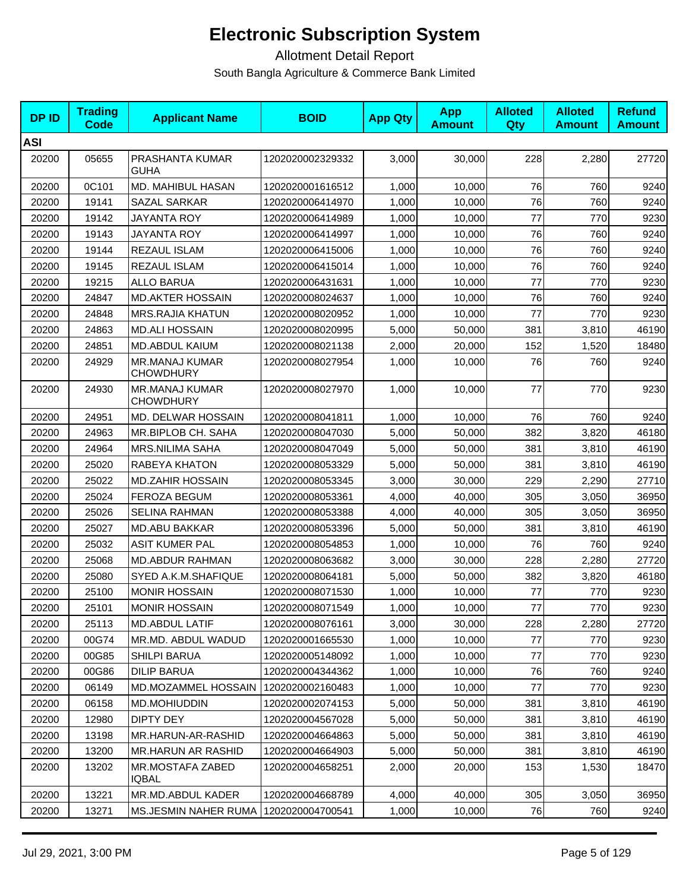| <b>DPID</b> | <b>Trading</b><br>Code | <b>Applicant Name</b>                     | <b>BOID</b>      | <b>App Qty</b> | <b>App</b><br><b>Amount</b> | <b>Alloted</b><br>Qty | <b>Alloted</b><br><b>Amount</b> | <b>Refund</b><br><b>Amount</b> |
|-------------|------------------------|-------------------------------------------|------------------|----------------|-----------------------------|-----------------------|---------------------------------|--------------------------------|
| <b>ASI</b>  |                        |                                           |                  |                |                             |                       |                                 |                                |
| 20200       | 05655                  | PRASHANTA KUMAR<br>GUHA                   | 1202020002329332 | 3,000          | 30,000                      | 228                   | 2,280                           | 27720                          |
| 20200       | 0C101                  | <b>MD. MAHIBUL HASAN</b>                  | 1202020001616512 | 1,000          | 10,000                      | 76                    | 760                             | 9240                           |
| 20200       | 19141                  | SAZAL SARKAR                              | 1202020006414970 | 1,000          | 10,000                      | 76                    | 760                             | 9240                           |
| 20200       | 19142                  | JAYANTA ROY                               | 1202020006414989 | 1,000          | 10,000                      | 77                    | 770                             | 9230                           |
| 20200       | 19143                  | <b>JAYANTA ROY</b>                        | 1202020006414997 | 1,000          | 10,000                      | 76                    | 760                             | 9240                           |
| 20200       | 19144                  | REZAUL ISLAM                              | 1202020006415006 | 1,000          | 10,000                      | 76                    | 760                             | 9240                           |
| 20200       | 19145                  | REZAUL ISLAM                              | 1202020006415014 | 1,000          | 10,000                      | 76                    | 760                             | 9240                           |
| 20200       | 19215                  | <b>ALLO BARUA</b>                         | 1202020006431631 | 1,000          | 10,000                      | 77                    | 770                             | 9230                           |
| 20200       | 24847                  | <b>MD.AKTER HOSSAIN</b>                   | 1202020008024637 | 1,000          | 10,000                      | 76                    | 760                             | 9240                           |
| 20200       | 24848                  | <b>MRS.RAJIA KHATUN</b>                   | 1202020008020952 | 1,000          | 10,000                      | 77                    | 770                             | 9230                           |
| 20200       | 24863                  | <b>MD.ALI HOSSAIN</b>                     | 1202020008020995 | 5,000          | 50,000                      | 381                   | 3,810                           | 46190                          |
| 20200       | 24851                  | <b>MD.ABDUL KAIUM</b>                     | 1202020008021138 | 2,000          | 20,000                      | 152                   | 1,520                           | 18480                          |
| 20200       | 24929                  | <b>MR.MANAJ KUMAR</b><br><b>CHOWDHURY</b> | 1202020008027954 | 1,000          | 10,000                      | 76                    | 760                             | 9240                           |
| 20200       | 24930                  | <b>MR.MANAJ KUMAR</b><br><b>CHOWDHURY</b> | 1202020008027970 | 1,000          | 10,000                      | 77                    | 770                             | 9230                           |
| 20200       | 24951                  | MD. DELWAR HOSSAIN                        | 1202020008041811 | 1,000          | 10,000                      | 76                    | 760                             | 9240                           |
| 20200       | 24963                  | MR.BIPLOB CH. SAHA                        | 1202020008047030 | 5,000          | 50,000                      | 382                   | 3,820                           | 46180                          |
| 20200       | 24964                  | <b>MRS.NILIMA SAHA</b>                    | 1202020008047049 | 5,000          | 50,000                      | 381                   | 3,810                           | 46190                          |
| 20200       | 25020                  | RABEYA KHATON                             | 1202020008053329 | 5,000          | 50,000                      | 381                   | 3,810                           | 46190                          |
| 20200       | 25022                  | <b>MD.ZAHIR HOSSAIN</b>                   | 1202020008053345 | 3,000          | 30,000                      | 229                   | 2,290                           | 27710                          |
| 20200       | 25024                  | <b>FEROZA BEGUM</b>                       | 1202020008053361 | 4,000          | 40,000                      | 305                   | 3,050                           | 36950                          |
| 20200       | 25026                  | <b>SELINA RAHMAN</b>                      | 1202020008053388 | 4,000          | 40,000                      | 305                   | 3,050                           | 36950                          |
| 20200       | 25027                  | <b>MD.ABU BAKKAR</b>                      | 1202020008053396 | 5,000          | 50,000                      | 381                   | 3,810                           | 46190                          |
| 20200       | 25032                  | <b>ASIT KUMER PAL</b>                     | 1202020008054853 | 1,000          | 10,000                      | 76                    | 760                             | 9240                           |
| 20200       | 25068                  | <b>MD.ABDUR RAHMAN</b>                    | 1202020008063682 | 3,000          | 30,000                      | 228                   | 2,280                           | 27720                          |
| 20200       | 25080                  | SYED A.K.M.SHAFIQUE                       | 1202020008064181 | 5,000          | 50,000                      | 382                   | 3,820                           | 46180                          |
| 20200       | 25100                  | <b>MONIR HOSSAIN</b>                      | 1202020008071530 | 1,000          | 10,000                      | 77                    | 770                             | 9230                           |
| 20200       | 25101                  | <b>MONIR HOSSAIN</b>                      | 1202020008071549 | 1,000          | 10,000                      | $77\,$                | 770                             | 9230                           |
| 20200       | 25113                  | MD.ABDUL LATIF                            | 1202020008076161 | 3,000          | 30,000                      | 228                   | 2,280                           | 27720                          |
| 20200       | 00G74                  | MR.MD. ABDUL WADUD                        | 1202020001665530 | 1,000          | 10,000                      | 77                    | 770                             | 9230                           |
| 20200       | 00G85                  | <b>SHILPI BARUA</b>                       | 1202020005148092 | 1,000          | 10,000                      | 77                    | 770                             | 9230                           |
| 20200       | 00G86                  | <b>DILIP BARUA</b>                        | 1202020004344362 | 1,000          | 10,000                      | 76                    | 760                             | 9240                           |
| 20200       | 06149                  | MD.MOZAMMEL HOSSAIN                       | 1202020002160483 | 1,000          | 10,000                      | 77                    | 770                             | 9230                           |
| 20200       | 06158                  | MD.MOHIUDDIN                              | 1202020002074153 | 5,000          | 50,000                      | 381                   | 3,810                           | 46190                          |
| 20200       | 12980                  | DIPTY DEY                                 | 1202020004567028 | 5,000          | 50,000                      | 381                   | 3,810                           | 46190                          |
| 20200       | 13198                  | MR.HARUN-AR-RASHID                        | 1202020004664863 | 5,000          | 50,000                      | 381                   | 3,810                           | 46190                          |
| 20200       | 13200                  | <b>MR.HARUN AR RASHID</b>                 | 1202020004664903 | 5,000          | 50,000                      | 381                   | 3,810                           | 46190                          |
| 20200       | 13202                  | <b>MR.MOSTAFA ZABED</b><br>IQBAL          | 1202020004658251 | 2,000          | 20,000                      | 153                   | 1,530                           | 18470                          |
| 20200       | 13221                  | MR.MD.ABDUL KADER                         | 1202020004668789 | 4,000          | 40,000                      | 305                   | 3,050                           | 36950                          |
| 20200       | 13271                  | MS.JESMIN NAHER RUMA                      | 1202020004700541 | 1,000          | 10,000                      | 76                    | 760                             | 9240                           |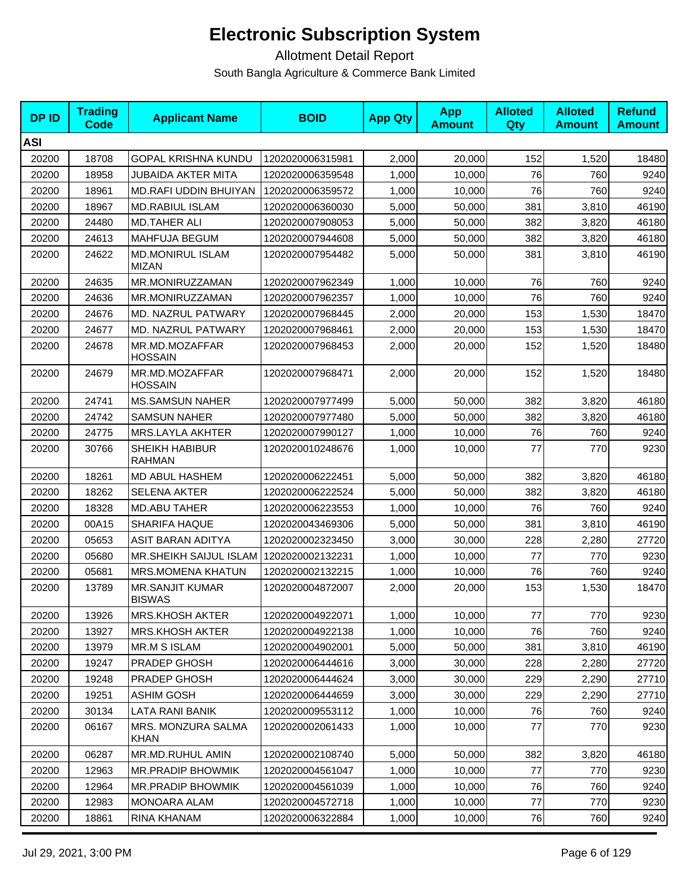| <b>DPID</b> | <b>Trading</b><br><b>Code</b> | <b>Applicant Name</b>                   | <b>BOID</b>      | <b>App Qty</b> | <b>App</b><br><b>Amount</b> | <b>Alloted</b><br>Qty | <b>Alloted</b><br><b>Amount</b> | <b>Refund</b><br><b>Amount</b> |
|-------------|-------------------------------|-----------------------------------------|------------------|----------------|-----------------------------|-----------------------|---------------------------------|--------------------------------|
| <b>ASI</b>  |                               |                                         |                  |                |                             |                       |                                 |                                |
| 20200       | 18708                         | <b>GOPAL KRISHNA KUNDU</b>              | 1202020006315981 | 2,000          | 20,000                      | 152                   | 1,520                           | 18480                          |
| 20200       | 18958                         | <b>JUBAIDA AKTER MITA</b>               | 1202020006359548 | 1,000          | 10,000                      | 76                    | 760                             | 9240                           |
| 20200       | 18961                         | MD.RAFI UDDIN BHUIYAN                   | 1202020006359572 | 1,000          | 10,000                      | 76                    | 760                             | 9240                           |
| 20200       | 18967                         | <b>MD.RABIUL ISLAM</b>                  | 1202020006360030 | 5,000          | 50,000                      | 381                   | 3,810                           | 46190                          |
| 20200       | 24480                         | <b>MD.TAHER ALI</b>                     | 1202020007908053 | 5,000          | 50,000                      | 382                   | 3,820                           | 46180                          |
| 20200       | 24613                         | MAHFUJA BEGUM                           | 1202020007944608 | 5,000          | 50,000                      | 382                   | 3,820                           | 46180                          |
| 20200       | 24622                         | <b>MD.MONIRUL ISLAM</b><br><b>MIZAN</b> | 1202020007954482 | 5,000          | 50,000                      | 381                   | 3,810                           | 46190                          |
| 20200       | 24635                         | MR.MONIRUZZAMAN                         | 1202020007962349 | 1,000          | 10,000                      | 76                    | 760                             | 9240                           |
| 20200       | 24636                         | MR.MONIRUZZAMAN                         | 1202020007962357 | 1,000          | 10,000                      | 76                    | 760                             | 9240                           |
| 20200       | 24676                         | MD. NAZRUL PATWARY                      | 1202020007968445 | 2,000          | 20,000                      | 153                   | 1,530                           | 18470                          |
| 20200       | 24677                         | MD. NAZRUL PATWARY                      | 1202020007968461 | 2,000          | 20,000                      | 153                   | 1,530                           | 18470                          |
| 20200       | 24678                         | MR.MD.MOZAFFAR<br><b>HOSSAIN</b>        | 1202020007968453 | 2,000          | 20,000                      | 152                   | 1,520                           | 18480                          |
| 20200       | 24679                         | MR.MD.MOZAFFAR<br><b>HOSSAIN</b>        | 1202020007968471 | 2,000          | 20,000                      | 152                   | 1,520                           | 18480                          |
| 20200       | 24741                         | <b>MS.SAMSUN NAHER</b>                  | 1202020007977499 | 5,000          | 50.000                      | 382                   | 3,820                           | 46180                          |
| 20200       | 24742                         | <b>SAMSUN NAHER</b>                     | 1202020007977480 | 5,000          | 50,000                      | 382                   | 3,820                           | 46180                          |
| 20200       | 24775                         | <b>MRS.LAYLA AKHTER</b>                 | 1202020007990127 | 1,000          | 10,000                      | 76                    | 760                             | 9240                           |
| 20200       | 30766                         | SHEIKH HABIBUR<br><b>RAHMAN</b>         | 1202020010248676 | 1,000          | 10,000                      | 77                    | 770                             | 9230                           |
| 20200       | 18261                         | MD ABUL HASHEM                          | 1202020006222451 | 5,000          | 50,000                      | 382                   | 3,820                           | 46180                          |
| 20200       | 18262                         | <b>SELENA AKTER</b>                     | 1202020006222524 | 5,000          | 50,000                      | 382                   | 3,820                           | 46180                          |
| 20200       | 18328                         | <b>MD.ABU TAHER</b>                     | 1202020006223553 | 1,000          | 10,000                      | 76                    | 760                             | 9240                           |
| 20200       | 00A15                         | <b>SHARIFA HAQUE</b>                    | 1202020043469306 | 5,000          | 50,000                      | 381                   | 3,810                           | 46190                          |
| 20200       | 05653                         | ASIT BARAN ADITYA                       | 1202020002323450 | 3,000          | 30,000                      | 228                   | 2,280                           | 27720                          |
| 20200       | 05680                         | <b>MR.SHEIKH SAIJUL ISLAM</b>           | 1202020002132231 | 1,000          | 10,000                      | 77                    | 770                             | 9230                           |
| 20200       | 05681                         | MRS.MOMENA KHATUN                       | 1202020002132215 | 1,000          | 10,000                      | 76                    | 760                             | 9240                           |
| 20200       | 13789                         | <b>MR.SANJIT KUMAR</b><br><b>BISWAS</b> | 1202020004872007 | 2,000          | 20,000                      | 153                   | 1,530                           | 18470                          |
| 20200       | 13926                         | MRS.KHOSH AKTER                         | 1202020004922071 | 1,000          | 10,000                      | 77                    | 770                             | 9230                           |
| 20200       | 13927                         | <b>MRS.KHOSH AKTER</b>                  | 1202020004922138 | 1,000          | 10,000                      | 76                    | 760                             | 9240                           |
| 20200       | 13979                         | <b>MR.M S ISLAM</b>                     | 1202020004902001 | 5,000          | 50,000                      | 381                   | 3,810                           | 46190                          |
| 20200       | 19247                         | PRADEP GHOSH                            | 1202020006444616 | 3,000          | 30,000                      | 228                   | 2,280                           | 27720                          |
| 20200       | 19248                         | PRADEP GHOSH                            | 1202020006444624 | 3,000          | 30,000                      | 229                   | 2,290                           | 27710                          |
| 20200       | 19251                         | <b>ASHIM GOSH</b>                       | 1202020006444659 | 3,000          | 30,000                      | 229                   | 2,290                           | 27710                          |
| 20200       | 30134                         | LATA RANI BANIK                         | 1202020009553112 | 1,000          | 10,000                      | 76                    | 760                             | 9240                           |
| 20200       | 06167                         | MRS. MONZURA SALMA<br><b>KHAN</b>       | 1202020002061433 | 1,000          | 10,000                      | 77                    | 770                             | 9230                           |
| 20200       | 06287                         | MR.MD.RUHUL AMIN                        | 1202020002108740 | 5,000          | 50,000                      | 382                   | 3,820                           | 46180                          |
| 20200       | 12963                         | MR.PRADIP BHOWMIK                       | 1202020004561047 | 1,000          | 10,000                      | 77                    | 770                             | 9230                           |
| 20200       | 12964                         | <b>MR.PRADIP BHOWMIK</b>                | 1202020004561039 | 1,000          | 10,000                      | 76                    | 760                             | 9240                           |
| 20200       | 12983                         | MONOARA ALAM                            | 1202020004572718 | 1,000          | 10,000                      | 77                    | 770                             | 9230                           |
| 20200       | 18861                         | RINA KHANAM                             | 1202020006322884 | 1,000          | 10,000                      | 76                    | 760                             | 9240                           |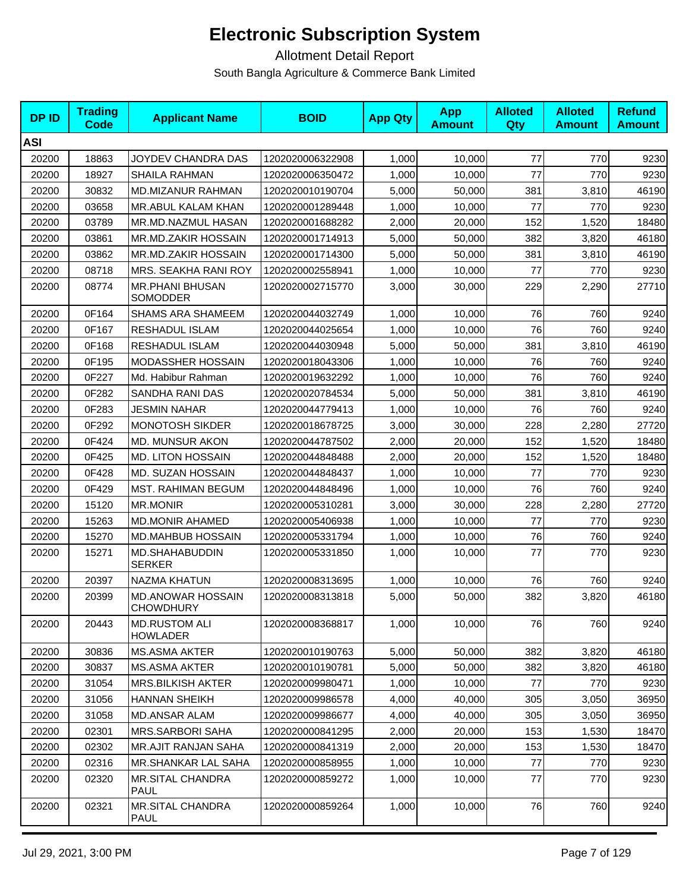| <b>DPID</b> | <b>Trading</b><br><b>Code</b> | <b>Applicant Name</b>                        | <b>BOID</b>      | <b>App Qty</b> | <b>App</b><br><b>Amount</b> | <b>Alloted</b><br>Qty | <b>Alloted</b><br><b>Amount</b> | <b>Refund</b><br><b>Amount</b> |
|-------------|-------------------------------|----------------------------------------------|------------------|----------------|-----------------------------|-----------------------|---------------------------------|--------------------------------|
| <b>ASI</b>  |                               |                                              |                  |                |                             |                       |                                 |                                |
| 20200       | 18863                         | JOYDEV CHANDRA DAS                           | 1202020006322908 | 1,000          | 10,000                      | 77                    | 770                             | 9230                           |
| 20200       | 18927                         | <b>SHAILA RAHMAN</b>                         | 1202020006350472 | 1,000          | 10,000                      | 77                    | 770                             | 9230                           |
| 20200       | 30832                         | MD.MIZANUR RAHMAN                            | 1202020010190704 | 5,000          | 50,000                      | 381                   | 3,810                           | 46190                          |
| 20200       | 03658                         | MR.ABUL KALAM KHAN                           | 1202020001289448 | 1,000          | 10,000                      | 77                    | 770                             | 9230                           |
| 20200       | 03789                         | MR.MD.NAZMUL HASAN                           | 1202020001688282 | 2,000          | 20,000                      | 152                   | 1,520                           | 18480                          |
| 20200       | 03861                         | MR.MD.ZAKIR HOSSAIN                          | 1202020001714913 | 5.000          | 50.000                      | 382                   | 3,820                           | 46180                          |
| 20200       | 03862                         | MR.MD.ZAKIR HOSSAIN                          | 1202020001714300 | 5,000          | 50,000                      | 381                   | 3,810                           | 46190                          |
| 20200       | 08718                         | MRS. SEAKHA RANI ROY                         | 1202020002558941 | 1,000          | 10,000                      | 77                    | 770                             | 9230                           |
| 20200       | 08774                         | <b>MR.PHANI BHUSAN</b><br>SOMODDER           | 1202020002715770 | 3,000          | 30,000                      | 229                   | 2,290                           | 27710                          |
| 20200       | 0F164                         | <b>SHAMS ARA SHAMEEM</b>                     | 1202020044032749 | 1,000          | 10,000                      | 76                    | 760                             | 9240                           |
| 20200       | 0F167                         | RESHADUL ISLAM                               | 1202020044025654 | 1,000          | 10,000                      | 76                    | 760                             | 9240                           |
| 20200       | 0F168                         | RESHADUL ISLAM                               | 1202020044030948 | 5,000          | 50,000                      | 381                   | 3,810                           | 46190                          |
| 20200       | 0F195                         | <b>MODASSHER HOSSAIN</b>                     | 1202020018043306 | 1,000          | 10.000                      | 76                    | 760                             | 9240                           |
| 20200       | 0F227                         | Md. Habibur Rahman                           | 1202020019632292 | 1,000          | 10,000                      | 76                    | 760                             | 9240                           |
| 20200       | 0F282                         | SANDHA RANI DAS                              | 1202020020784534 | 5,000          | 50,000                      | 381                   | 3,810                           | 46190                          |
| 20200       | 0F283                         | <b>JESMIN NAHAR</b>                          | 1202020044779413 | 1,000          | 10,000                      | 76                    | 760                             | 9240                           |
| 20200       | 0F292                         | <b>MONOTOSH SIKDER</b>                       | 1202020018678725 | 3,000          | 30,000                      | 228                   | 2,280                           | 27720                          |
| 20200       | 0F424                         | MD. MUNSUR AKON                              | 1202020044787502 | 2,000          | 20,000                      | 152                   | 1,520                           | 18480                          |
| 20200       | 0F425                         | <b>MD. LITON HOSSAIN</b>                     | 1202020044848488 | 2,000          | 20,000                      | 152                   | 1,520                           | 18480                          |
| 20200       | 0F428                         | <b>MD. SUZAN HOSSAIN</b>                     | 1202020044848437 | 1,000          | 10,000                      | 77                    | 770                             | 9230                           |
| 20200       | 0F429                         | <b>MST. RAHIMAN BEGUM</b>                    | 1202020044848496 | 1,000          | 10,000                      | 76                    | 760                             | 9240                           |
| 20200       | 15120                         | <b>MR.MONIR</b>                              | 1202020005310281 | 3,000          | 30,000                      | 228                   | 2,280                           | 27720                          |
| 20200       | 15263                         | <b>MD.MONIR AHAMED</b>                       | 1202020005406938 | 1,000          | 10,000                      | 77                    | 770                             | 9230                           |
| 20200       | 15270                         | <b>MD.MAHBUB HOSSAIN</b>                     | 1202020005331794 | 1,000          | 10,000                      | 76                    | 760                             | 9240                           |
| 20200       | 15271                         | MD.SHAHABUDDIN<br><b>SERKER</b>              | 1202020005331850 | 1,000          | 10,000                      | 77                    | 770                             | 9230                           |
| 20200       | 20397                         | <b>NAZMA KHATUN</b>                          | 1202020008313695 | 1,000          | 10,000                      | 76                    | 760                             | 9240                           |
| 20200       | 20399                         | <b>MD.ANOWAR HOSSAIN</b><br><b>CHOWDHURY</b> | 1202020008313818 | 5,000          | 50,000                      | 382                   | 3,820                           | 46180                          |
| 20200       | 20443                         | <b>MD.RUSTOM ALI</b><br><b>HOWLADER</b>      | 1202020008368817 | 1,000          | 10,000                      | 76                    | 760                             | 9240                           |
| 20200       | 30836                         | <b>MS.ASMA AKTER</b>                         | 1202020010190763 | 5,000          | 50,000                      | 382                   | 3,820                           | 46180                          |
| 20200       | 30837                         | <b>MS.ASMA AKTER</b>                         | 1202020010190781 | 5,000          | 50.000                      | 382                   | 3,820                           | 46180                          |
| 20200       | 31054                         | <b>MRS.BILKISH AKTER</b>                     | 1202020009980471 | 1,000          | 10,000                      | 77                    | 770                             | 9230                           |
| 20200       | 31056                         | <b>HANNAN SHEIKH</b>                         | 1202020009986578 | 4,000          | 40,000                      | 305                   | 3,050                           | 36950                          |
| 20200       | 31058                         | MD.ANSAR ALAM                                | 1202020009986677 | 4,000          | 40.000                      | 305                   | 3,050                           | 36950                          |
| 20200       | 02301                         | <b>MRS.SARBORI SAHA</b>                      | 1202020000841295 | 2,000          | 20,000                      | 153                   | 1,530                           | 18470                          |
| 20200       | 02302                         | <b>MR.AJIT RANJAN SAHA</b>                   | 1202020000841319 | 2,000          | 20,000                      | 153                   | 1,530                           | 18470                          |
| 20200       | 02316                         | MR.SHANKAR LAL SAHA                          | 1202020000858955 | 1,000          | 10,000                      | 77                    | 770                             | 9230                           |
| 20200       | 02320                         | <b>MR.SITAL CHANDRA</b><br><b>PAUL</b>       | 1202020000859272 | 1,000          | 10,000                      | 77                    | 770                             | 9230                           |
| 20200       | 02321                         | <b>MR.SITAL CHANDRA</b><br>PAUL              | 1202020000859264 | 1,000          | 10,000                      | 76                    | 760                             | 9240                           |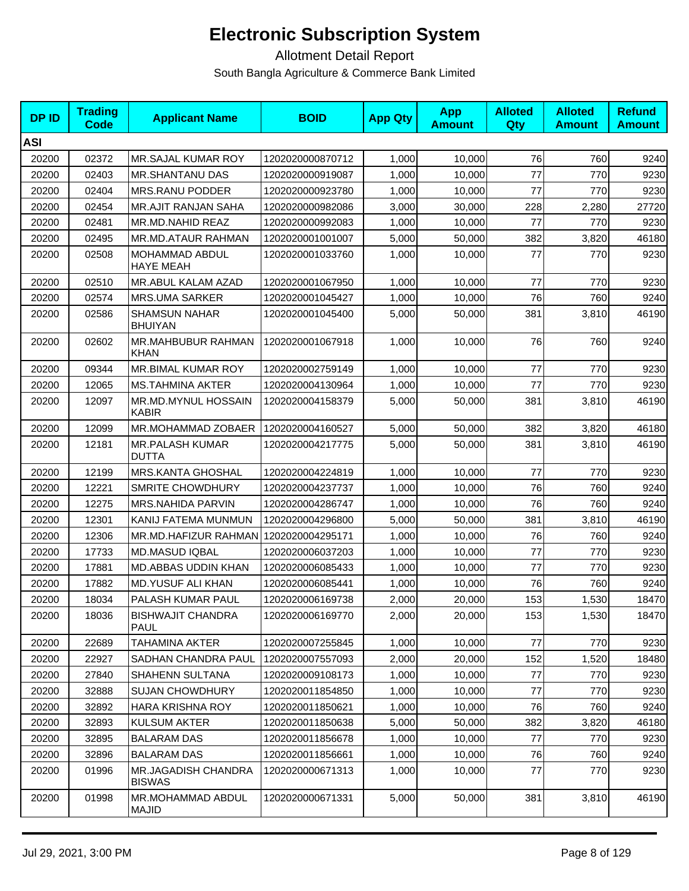| <b>DPID</b> | <b>Trading</b><br>Code | <b>Applicant Name</b>                  | <b>BOID</b>      | <b>App Qty</b> | <b>App</b><br><b>Amount</b> | <b>Alloted</b><br>Qty | <b>Alloted</b><br><b>Amount</b> | <b>Refund</b><br><b>Amount</b> |
|-------------|------------------------|----------------------------------------|------------------|----------------|-----------------------------|-----------------------|---------------------------------|--------------------------------|
| <b>ASI</b>  |                        |                                        |                  |                |                             |                       |                                 |                                |
| 20200       | 02372                  | MR.SAJAL KUMAR ROY                     | 1202020000870712 | 1,000          | 10,000                      | 76                    | 760                             | 9240                           |
| 20200       | 02403                  | <b>MR.SHANTANU DAS</b>                 | 1202020000919087 | 1,000          | 10,000                      | 77                    | 770                             | 9230                           |
| 20200       | 02404                  | <b>MRS.RANU PODDER</b>                 | 1202020000923780 | 1,000          | 10,000                      | 77                    | 770                             | 9230                           |
| 20200       | 02454                  | <b>MR.AJIT RANJAN SAHA</b>             | 1202020000982086 | 3,000          | 30,000                      | 228                   | 2,280                           | 27720                          |
| 20200       | 02481                  | MR.MD.NAHID REAZ                       | 1202020000992083 | 1,000          | 10,000                      | 77                    | 770                             | 9230                           |
| 20200       | 02495                  | MR.MD.ATAUR RAHMAN                     | 1202020001001007 | 5,000          | 50,000                      | 382                   | 3,820                           | 46180                          |
| 20200       | 02508                  | MOHAMMAD ABDUL<br>HAYE MEAH            | 1202020001033760 | 1,000          | 10,000                      | 77                    | 770                             | 9230                           |
| 20200       | 02510                  | MR.ABUL KALAM AZAD                     | 1202020001067950 | 1,000          | 10,000                      | 77                    | 770                             | 9230                           |
| 20200       | 02574                  | <b>MRS.UMA SARKER</b>                  | 1202020001045427 | 1,000          | 10,000                      | 76                    | 760                             | 9240                           |
| 20200       | 02586                  | <b>SHAMSUN NAHAR</b><br><b>BHUIYAN</b> | 1202020001045400 | 5,000          | 50,000                      | 381                   | 3,810                           | 46190                          |
| 20200       | 02602                  | MR.MAHBUBUR RAHMAN<br><b>KHAN</b>      | 1202020001067918 | 1,000          | 10,000                      | 76                    | 760                             | 9240                           |
| 20200       | 09344                  | MR.BIMAL KUMAR ROY                     | 1202020002759149 | 1,000          | 10,000                      | 77                    | 770                             | 9230                           |
| 20200       | 12065                  | <b>MS.TAHMINA AKTER</b>                | 1202020004130964 | 1,000          | 10,000                      | 77                    | 770                             | 9230                           |
| 20200       | 12097                  | MR.MD.MYNUL HOSSAIN<br>KABIR           | 1202020004158379 | 5,000          | 50,000                      | 381                   | 3,810                           | 46190                          |
| 20200       | 12099                  | <b>MR.MOHAMMAD ZOBAER</b>              | 1202020004160527 | 5,000          | 50,000                      | 382                   | 3,820                           | 46180                          |
| 20200       | 12181                  | <b>MR.PALASH KUMAR</b><br><b>DUTTA</b> | 1202020004217775 | 5,000          | 50,000                      | 381                   | 3,810                           | 46190                          |
| 20200       | 12199                  | <b>MRS.KANTA GHOSHAL</b>               | 1202020004224819 | 1,000          | 10,000                      | 77                    | 770                             | 9230                           |
| 20200       | 12221                  | <b>SMRITE CHOWDHURY</b>                | 1202020004237737 | 1,000          | 10,000                      | 76                    | 760                             | 9240                           |
| 20200       | 12275                  | MRS.NAHIDA PARVIN                      | 1202020004286747 | 1,000          | 10,000                      | 76                    | 760                             | 9240                           |
| 20200       | 12301                  | KANIJ FATEMA MUNMUN                    | 1202020004296800 | 5,000          | 50,000                      | 381                   | 3,810                           | 46190                          |
| 20200       | 12306                  | MR.MD.HAFIZUR RAHMAN                   | 1202020004295171 | 1,000          | 10,000                      | 76                    | 760                             | 9240                           |
| 20200       | 17733                  | <b>MD.MASUD IQBAL</b>                  | 1202020006037203 | 1,000          | 10,000                      | 77                    | 770                             | 9230                           |
| 20200       | 17881                  | <b>MD.ABBAS UDDIN KHAN</b>             | 1202020006085433 | 1,000          | 10,000                      | 77                    | 770                             | 9230                           |
| 20200       | 17882                  | <b>MD.YUSUF ALI KHAN</b>               | 1202020006085441 | 1,000          | 10,000                      | 76                    | 760                             | 9240                           |
| 20200       | 18034                  | PALASH KUMAR PAUL                      | 1202020006169738 | 2,000          | 20,000                      | 153                   | 1,530                           | 18470                          |
| 20200       | 18036                  | <b>BISHWAJIT CHANDRA</b><br>PAUL       | 1202020006169770 | 2,000          | 20,000                      | 153                   | 1,530                           | 18470                          |
| 20200       | 22689                  | TAHAMINA AKTER                         | 1202020007255845 | 1,000          | 10,000                      | 77                    | 770                             | 9230                           |
| 20200       | 22927                  | SADHAN CHANDRA PAUL                    | 1202020007557093 | 2,000          | 20,000                      | 152                   | 1,520                           | 18480                          |
| 20200       | 27840                  | SHAHENN SULTANA                        | 1202020009108173 | 1,000          | 10,000                      | 77                    | 770                             | 9230                           |
| 20200       | 32888                  | <b>SUJAN CHOWDHURY</b>                 | 1202020011854850 | 1,000          | 10,000                      | 77                    | 770                             | 9230                           |
| 20200       | 32892                  | <b>HARA KRISHNA ROY</b>                | 1202020011850621 | 1,000          | 10,000                      | 76                    | 760                             | 9240                           |
| 20200       | 32893                  | <b>KULSUM AKTER</b>                    | 1202020011850638 | 5,000          | 50,000                      | 382                   | 3,820                           | 46180                          |
| 20200       | 32895                  | <b>BALARAM DAS</b>                     | 1202020011856678 | 1,000          | 10,000                      | 77                    | 770                             | 9230                           |
| 20200       | 32896                  | <b>BALARAM DAS</b>                     | 1202020011856661 | 1,000          | 10,000                      | 76                    | 760                             | 9240                           |
| 20200       | 01996                  | MR.JAGADISH CHANDRA<br><b>BISWAS</b>   | 1202020000671313 | 1,000          | 10,000                      | 77                    | 770                             | 9230                           |
| 20200       | 01998                  | MR.MOHAMMAD ABDUL<br><b>MAJID</b>      | 1202020000671331 | 5,000          | 50,000                      | 381                   | 3,810                           | 46190                          |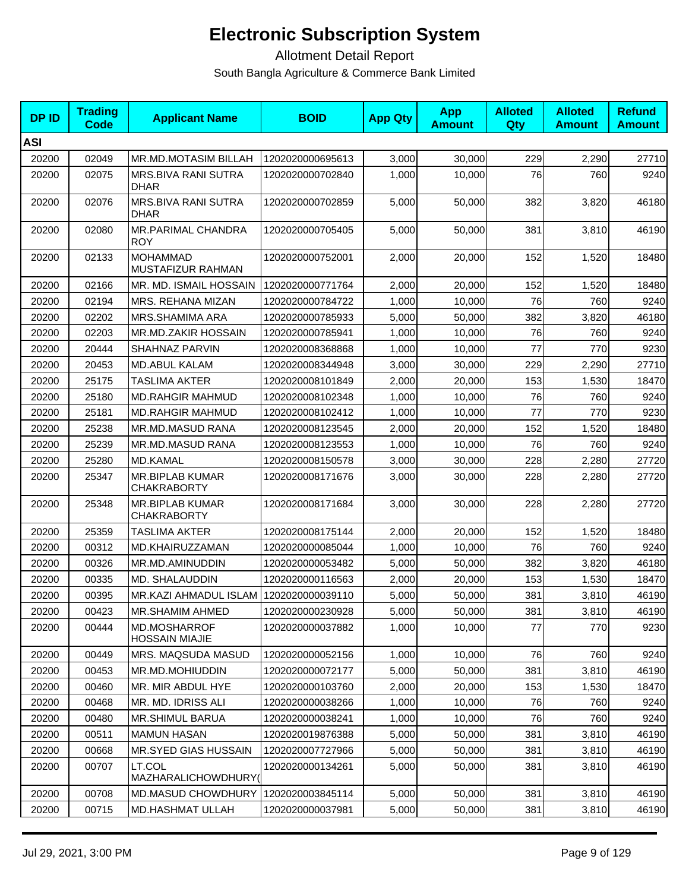| <b>DP ID</b> | <b>Trading</b><br>Code | <b>Applicant Name</b>                        | <b>BOID</b>      | <b>App Qty</b> | <b>App</b><br><b>Amount</b> | <b>Alloted</b><br>Qty | <b>Alloted</b><br><b>Amount</b> | <b>Refund</b><br><b>Amount</b> |
|--------------|------------------------|----------------------------------------------|------------------|----------------|-----------------------------|-----------------------|---------------------------------|--------------------------------|
| <b>ASI</b>   |                        |                                              |                  |                |                             |                       |                                 |                                |
| 20200        | 02049                  | <b>MR.MD.MOTASIM BILLAH</b>                  | 1202020000695613 | 3,000          | 30,000                      | 229                   | 2,290                           | 27710                          |
| 20200        | 02075                  | MRS.BIVA RANI SUTRA<br><b>DHAR</b>           | 1202020000702840 | 1,000          | 10,000                      | 76                    | 760                             | 9240                           |
| 20200        | 02076                  | MRS.BIVA RANI SUTRA<br><b>DHAR</b>           | 1202020000702859 | 5,000          | 50,000                      | 382                   | 3,820                           | 46180                          |
| 20200        | 02080                  | MR.PARIMAL CHANDRA<br><b>ROY</b>             | 1202020000705405 | 5,000          | 50,000                      | 381                   | 3,810                           | 46190                          |
| 20200        | 02133                  | <b>MOHAMMAD</b><br>MUSTAFIZUR RAHMAN         | 1202020000752001 | 2,000          | 20,000                      | 152                   | 1,520                           | 18480                          |
| 20200        | 02166                  | MR. MD. ISMAIL HOSSAIN                       | 1202020000771764 | 2,000          | 20,000                      | 152                   | 1,520                           | 18480                          |
| 20200        | 02194                  | MRS. REHANA MIZAN                            | 1202020000784722 | 1,000          | 10,000                      | 76                    | 760                             | 9240                           |
| 20200        | 02202                  | MRS.SHAMIMA ARA                              | 1202020000785933 | 5,000          | 50,000                      | 382                   | 3,820                           | 46180                          |
| 20200        | 02203                  | <b>MR.MD.ZAKIR HOSSAIN</b>                   | 1202020000785941 | 1,000          | 10,000                      | 76                    | 760                             | 9240                           |
| 20200        | 20444                  | SHAHNAZ PARVIN                               | 1202020008368868 | 1,000          | 10,000                      | 77                    | 770                             | 9230                           |
| 20200        | 20453                  | <b>MD.ABUL KALAM</b>                         | 1202020008344948 | 3,000          | 30,000                      | 229                   | 2,290                           | 27710                          |
| 20200        | 25175                  | <b>TASLIMA AKTER</b>                         | 1202020008101849 | 2,000          | 20,000                      | 153                   | 1,530                           | 18470                          |
| 20200        | 25180                  | <b>MD.RAHGIR MAHMUD</b>                      | 1202020008102348 | 1,000          | 10,000                      | 76                    | 760                             | 9240                           |
| 20200        | 25181                  | <b>MD.RAHGIR MAHMUD</b>                      | 1202020008102412 | 1,000          | 10,000                      | 77                    | 770                             | 9230                           |
| 20200        | 25238                  | MR.MD.MASUD RANA                             | 1202020008123545 | 2,000          | 20,000                      | 152                   | 1,520                           | 18480                          |
| 20200        | 25239                  | MR.MD.MASUD RANA                             | 1202020008123553 | 1,000          | 10,000                      | 76                    | 760                             | 9240                           |
| 20200        | 25280                  | MD.KAMAL                                     | 1202020008150578 | 3,000          | 30,000                      | 228                   | 2,280                           | 27720                          |
| 20200        | 25347                  | MR.BIPLAB KUMAR<br><b>CHAKRABORTY</b>        | 1202020008171676 | 3,000          | 30,000                      | 228                   | 2,280                           | 27720                          |
| 20200        | 25348                  | <b>MR.BIPLAB KUMAR</b><br><b>CHAKRABORTY</b> | 1202020008171684 | 3,000          | 30,000                      | 228                   | 2,280                           | 27720                          |
| 20200        | 25359                  | <b>TASLIMA AKTER</b>                         | 1202020008175144 | 2,000          | 20,000                      | 152                   | 1,520                           | 18480                          |
| 20200        | 00312                  | MD.KHAIRUZZAMAN                              | 1202020000085044 | 1,000          | 10,000                      | 76                    | 760                             | 9240                           |
| 20200        | 00326                  | MR.MD.AMINUDDIN                              | 1202020000053482 | 5.000          | 50,000                      | 382                   | 3,820                           | 46180                          |
| 20200        | 00335                  | <b>MD. SHALAUDDIN</b>                        | 1202020000116563 | 2,000          | 20,000                      | 153                   | 1,530                           | 18470                          |
| 20200        | 00395                  | MR.KAZI AHMADUL ISLAM                        | 1202020000039110 | 5,000          | 50,000                      | 381                   | 3,810                           | 46190                          |
| 20200        | 00423                  | <b>MR.SHAMIM AHMED</b>                       | 1202020000230928 | 5,000          | 50,000                      | 381                   | 3,810                           | 46190                          |
| 20200        | 00444                  | MD.MOSHARROF<br><b>HOSSAIN MIAJIE</b>        | 1202020000037882 | 1,000          | 10,000                      | 77                    | 770                             | 9230                           |
| 20200        | 00449                  | MRS. MAQSUDA MASUD                           | 1202020000052156 | 1,000          | 10,000                      | 76                    | 760                             | 9240                           |
| 20200        | 00453                  | MR.MD.MOHIUDDIN                              | 1202020000072177 | 5,000          | 50,000                      | 381                   | 3,810                           | 46190                          |
| 20200        | 00460                  | MR. MIR ABDUL HYE                            | 1202020000103760 | 2,000          | 20,000                      | 153                   | 1,530                           | 18470                          |
| 20200        | 00468                  | MR. MD. IDRISS ALI                           | 1202020000038266 | 1,000          | 10,000                      | 76                    | 760                             | 9240                           |
| 20200        | 00480                  | <b>MR.SHIMUL BARUA</b>                       | 1202020000038241 | 1,000          | 10,000                      | 76                    | 760                             | 9240                           |
| 20200        | 00511                  | <b>MAMUN HASAN</b>                           | 1202020019876388 | 5,000          | 50,000                      | 381                   | 3,810                           | 46190                          |
| 20200        | 00668                  | MR.SYED GIAS HUSSAIN                         | 1202020007727966 | 5,000          | 50,000                      | 381                   | 3,810                           | 46190                          |
| 20200        | 00707                  | LT.COL<br>MAZHARALICHOWDHURY(                | 1202020000134261 | 5,000          | 50,000                      | 381                   | 3,810                           | 46190                          |
| 20200        | 00708                  | <b>MD.MASUD CHOWDHURY</b>                    | 1202020003845114 | 5,000          | 50,000                      | 381                   | 3,810                           | 46190                          |
| 20200        | 00715                  | MD.HASHMAT ULLAH                             | 1202020000037981 | 5,000          | 50,000                      | 381                   | 3,810                           | 46190                          |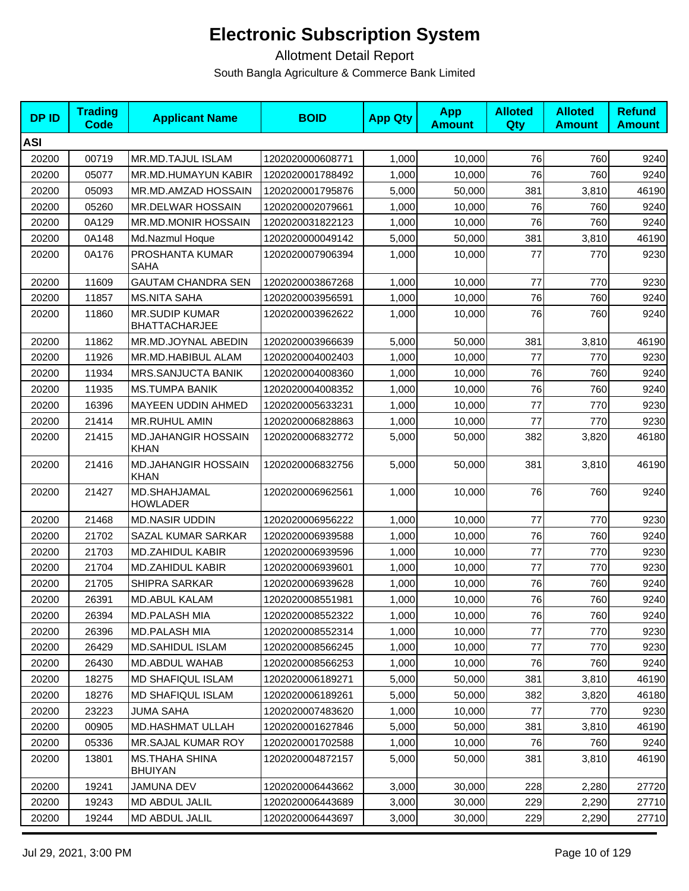| <b>DPID</b> | <b>Trading</b><br>Code | <b>Applicant Name</b>                         | <b>BOID</b>      | <b>App Qty</b> | <b>App</b><br><b>Amount</b> | <b>Alloted</b><br>Qty | <b>Alloted</b><br><b>Amount</b> | <b>Refund</b><br><b>Amount</b> |
|-------------|------------------------|-----------------------------------------------|------------------|----------------|-----------------------------|-----------------------|---------------------------------|--------------------------------|
| <b>ASI</b>  |                        |                                               |                  |                |                             |                       |                                 |                                |
| 20200       | 00719                  | MR.MD.TAJUL ISLAM                             | 1202020000608771 | 1,000          | 10,000                      | 76                    | 760                             | 9240                           |
| 20200       | 05077                  | MR.MD.HUMAYUN KABIR                           | 1202020001788492 | 1,000          | 10,000                      | 76                    | 760                             | 9240                           |
| 20200       | 05093                  | MR.MD.AMZAD HOSSAIN                           | 1202020001795876 | 5,000          | 50,000                      | 381                   | 3,810                           | 46190                          |
| 20200       | 05260                  | MR.DELWAR HOSSAIN                             | 1202020002079661 | 1,000          | 10,000                      | 76                    | 760                             | 9240                           |
| 20200       | 0A129                  | MR.MD.MONIR HOSSAIN                           | 1202020031822123 | 1,000          | 10,000                      | 76                    | 760                             | 9240                           |
| 20200       | 0A148                  | Md.Nazmul Hoque                               | 1202020000049142 | 5,000          | 50,000                      | 381                   | 3,810                           | 46190                          |
| 20200       | 0A176                  | PROSHANTA KUMAR<br>SAHA                       | 1202020007906394 | 1,000          | 10,000                      | 77                    | 770                             | 9230                           |
| 20200       | 11609                  | <b>GAUTAM CHANDRA SEN</b>                     | 1202020003867268 | 1,000          | 10,000                      | 77                    | 770                             | 9230                           |
| 20200       | 11857                  | <b>MS.NITA SAHA</b>                           | 1202020003956591 | 1,000          | 10,000                      | 76                    | 760                             | 9240                           |
| 20200       | 11860                  | <b>MR.SUDIP KUMAR</b><br><b>BHATTACHARJEE</b> | 1202020003962622 | 1,000          | 10,000                      | 76                    | 760                             | 9240                           |
| 20200       | 11862                  | MR.MD.JOYNAL ABEDIN                           | 1202020003966639 | 5,000          | 50,000                      | 381                   | 3,810                           | 46190                          |
| 20200       | 11926                  | MR.MD.HABIBUL ALAM                            | 1202020004002403 | 1,000          | 10,000                      | 77                    | 770                             | 9230                           |
| 20200       | 11934                  | <b>MRS.SANJUCTA BANIK</b>                     | 1202020004008360 | 1,000          | 10,000                      | 76                    | 760                             | 9240                           |
| 20200       | 11935                  | <b>MS.TUMPA BANIK</b>                         | 1202020004008352 | 1,000          | 10,000                      | 76                    | 760                             | 9240                           |
| 20200       | 16396                  | MAYEEN UDDIN AHMED                            | 1202020005633231 | 1,000          | 10,000                      | 77                    | 770                             | 9230                           |
| 20200       | 21414                  | <b>MR.RUHUL AMIN</b>                          | 1202020006828863 | 1,000          | 10,000                      | 77                    | 770                             | 9230                           |
| 20200       | 21415                  | <b>MD.JAHANGIR HOSSAIN</b><br>KHAN            | 1202020006832772 | 5,000          | 50,000                      | 382                   | 3,820                           | 46180                          |
| 20200       | 21416                  | <b>MD.JAHANGIR HOSSAIN</b><br><b>KHAN</b>     | 1202020006832756 | 5,000          | 50,000                      | 381                   | 3,810                           | 46190                          |
| 20200       | 21427                  | MD.SHAHJAMAL<br><b>HOWLADER</b>               | 1202020006962561 | 1,000          | 10,000                      | 76                    | 760                             | 9240                           |
| 20200       | 21468                  | <b>MD.NASIR UDDIN</b>                         | 1202020006956222 | 1,000          | 10,000                      | 77                    | 770                             | 9230                           |
| 20200       | 21702                  | SAZAL KUMAR SARKAR                            | 1202020006939588 | 1,000          | 10,000                      | 76                    | 760                             | 9240                           |
| 20200       | 21703                  | MD.ZAHIDUL KABIR                              | 1202020006939596 | 1,000          | 10,000                      | 77                    | 770                             | 9230                           |
| 20200       | 21704                  | <b>MD.ZAHIDUL KABIR</b>                       | 1202020006939601 | 1,000          | 10,000                      | 77                    | 770                             | 9230                           |
| 20200       | 21705                  | SHIPRA SARKAR                                 | 1202020006939628 | 1,000          | 10,000                      | 76                    | 760                             | 9240                           |
| 20200       | 26391                  | <b>MD.ABUL KALAM</b>                          | 1202020008551981 | 1,000          | 10,000                      | 76                    | 760                             | 9240                           |
| 20200       | 26394                  | <b>MD.PALASH MIA</b>                          | 1202020008552322 | 1,000          | 10,000                      | 76                    | 760                             | 9240                           |
| 20200       | 26396                  | <b>MD.PALASH MIA</b>                          | 1202020008552314 | 1,000          | 10,000                      | 77                    | 770                             | 9230                           |
| 20200       | 26429                  | MD.SAHIDUL ISLAM                              | 1202020008566245 | 1,000          | 10,000                      | 77                    | 770                             | 9230                           |
| 20200       | 26430                  | MD.ABDUL WAHAB                                | 1202020008566253 | 1,000          | 10,000                      | 76                    | 760                             | 9240                           |
| 20200       | 18275                  | <b>MD SHAFIQUL ISLAM</b>                      | 1202020006189271 | 5,000          | 50,000                      | 381                   | 3,810                           | 46190                          |
| 20200       | 18276                  | <b>MD SHAFIQUL ISLAM</b>                      | 1202020006189261 | 5,000          | 50,000                      | 382                   | 3,820                           | 46180                          |
| 20200       | 23223                  | JUMA SAHA                                     | 1202020007483620 | 1,000          | 10,000                      | 77                    | 770                             | 9230                           |
| 20200       | 00905                  | <b>MD.HASHMAT ULLAH</b>                       | 1202020001627846 | 5,000          | 50,000                      | 381                   | 3,810                           | 46190                          |
| 20200       | 05336                  | MR.SAJAL KUMAR ROY                            | 1202020001702588 | 1,000          | 10,000                      | 76                    | 760                             | 9240                           |
| 20200       | 13801                  | <b>MS.THAHA SHINA</b><br><b>BHUIYAN</b>       | 1202020004872157 | 5,000          | 50,000                      | 381                   | 3,810                           | 46190                          |
| 20200       | 19241                  | JAMUNA DEV                                    | 1202020006443662 | 3,000          | 30,000                      | 228                   | 2,280                           | 27720                          |
| 20200       | 19243                  | <b>MD ABDUL JALIL</b>                         | 1202020006443689 | 3,000          | 30,000                      | 229                   | 2,290                           | 27710                          |
| 20200       | 19244                  | MD ABDUL JALIL                                | 1202020006443697 | 3,000          | 30,000                      | 229                   | 2,290                           | 27710                          |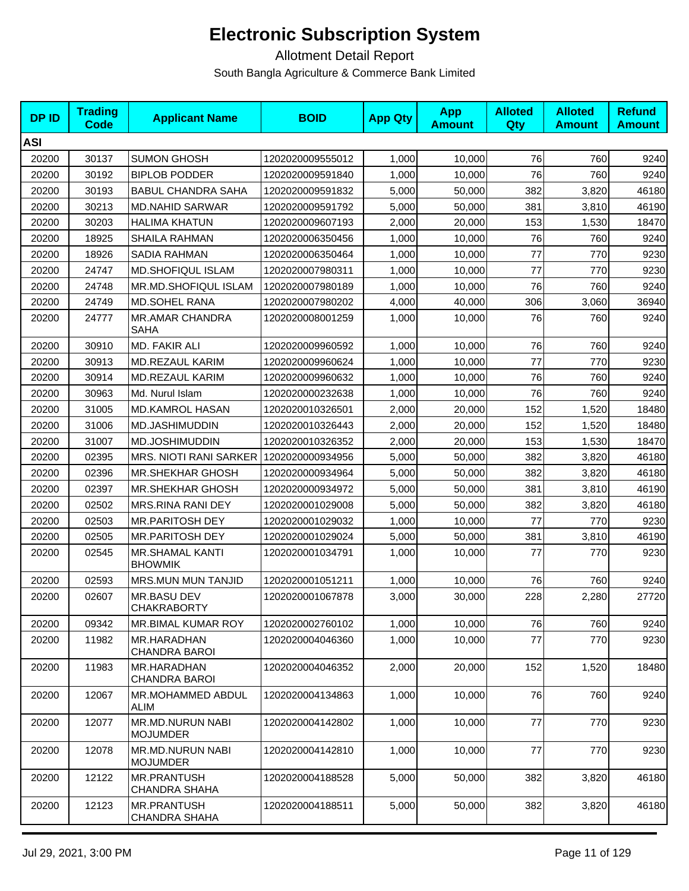| <b>DPID</b> | <b>Trading</b><br>Code | <b>Applicant Name</b>                      | <b>BOID</b>      | <b>App Qty</b> | <b>App</b><br><b>Amount</b> | <b>Alloted</b><br>Qty | <b>Alloted</b><br><b>Amount</b> | <b>Refund</b><br><b>Amount</b> |
|-------------|------------------------|--------------------------------------------|------------------|----------------|-----------------------------|-----------------------|---------------------------------|--------------------------------|
| <b>ASI</b>  |                        |                                            |                  |                |                             |                       |                                 |                                |
| 20200       | 30137                  | <b>SUMON GHOSH</b>                         | 1202020009555012 | 1,000          | 10,000                      | 76                    | 760                             | 9240                           |
| 20200       | 30192                  | <b>BIPLOB PODDER</b>                       | 1202020009591840 | 1,000          | 10,000                      | 76                    | 760                             | 9240                           |
| 20200       | 30193                  | <b>BABUL CHANDRA SAHA</b>                  | 1202020009591832 | 5,000          | 50,000                      | 382                   | 3,820                           | 46180                          |
| 20200       | 30213                  | <b>MD.NAHID SARWAR</b>                     | 1202020009591792 | 5,000          | 50,000                      | 381                   | 3,810                           | 46190                          |
| 20200       | 30203                  | <b>HALIMA KHATUN</b>                       | 1202020009607193 | 2,000          | 20,000                      | 153                   | 1,530                           | 18470                          |
| 20200       | 18925                  | SHAILA RAHMAN                              | 1202020006350456 | 1,000          | 10,000                      | 76                    | 760                             | 9240                           |
| 20200       | 18926                  | SADIA RAHMAN                               | 1202020006350464 | 1,000          | 10.000                      | 77                    | 770                             | 9230                           |
| 20200       | 24747                  | <b>MD.SHOFIQUL ISLAM</b>                   | 1202020007980311 | 1,000          | 10,000                      | 77                    | 770                             | 9230                           |
| 20200       | 24748                  | <b>MR.MD.SHOFIQUL ISLAM</b>                | 1202020007980189 | 1,000          | 10,000                      | 76                    | 760                             | 9240                           |
| 20200       | 24749                  | <b>MD.SOHEL RANA</b>                       | 1202020007980202 | 4,000          | 40,000                      | 306                   | 3,060                           | 36940                          |
| 20200       | 24777                  | <b>MR.AMAR CHANDRA</b><br>SAHA             | 1202020008001259 | 1,000          | 10,000                      | 76                    | 760                             | 9240                           |
| 20200       | 30910                  | MD. FAKIR ALI                              | 1202020009960592 | 1,000          | 10,000                      | 76                    | 760                             | 9240                           |
| 20200       | 30913                  | <b>MD.REZAUL KARIM</b>                     | 1202020009960624 | 1,000          | 10,000                      | 77                    | 770                             | 9230                           |
| 20200       | 30914                  | <b>MD.REZAUL KARIM</b>                     | 1202020009960632 | 1,000          | 10,000                      | 76                    | 760                             | 9240                           |
| 20200       | 30963                  | Md. Nurul Islam                            | 1202020000232638 | 1,000          | 10,000                      | 76                    | 760                             | 9240                           |
| 20200       | 31005                  | MD.KAMROL HASAN                            | 1202020010326501 | 2,000          | 20,000                      | 152                   | 1,520                           | 18480                          |
| 20200       | 31006                  | MD.JASHIMUDDIN                             | 1202020010326443 | 2,000          | 20,000                      | 152                   | 1,520                           | 18480                          |
| 20200       | 31007                  | MD.JOSHIMUDDIN                             | 1202020010326352 | 2,000          | 20,000                      | 153                   | 1,530                           | 18470                          |
| 20200       | 02395                  | MRS. NIOTI RANI SARKER                     | 1202020000934956 | 5,000          | 50,000                      | 382                   | 3,820                           | 46180                          |
| 20200       | 02396                  | <b>MR.SHEKHAR GHOSH</b>                    | 1202020000934964 | 5,000          | 50,000                      | 382                   | 3,820                           | 46180                          |
| 20200       | 02397                  | <b>MR.SHEKHAR GHOSH</b>                    | 1202020000934972 | 5,000          | 50,000                      | 381                   | 3,810                           | 46190                          |
| 20200       | 02502                  | MRS.RINA RANI DEY                          | 1202020001029008 | 5,000          | 50,000                      | 382                   | 3,820                           | 46180                          |
| 20200       | 02503                  | MR.PARITOSH DEY                            | 1202020001029032 | 1,000          | 10,000                      | 77                    | 770                             | 9230                           |
| 20200       | 02505                  | <b>MR.PARITOSH DEY</b>                     | 1202020001029024 | 5,000          | 50,000                      | 381                   | 3,810                           | 46190                          |
| 20200       | 02545                  | <b>MR.SHAMAL KANTI</b><br><b>BHOWMIK</b>   | 1202020001034791 | 1,000          | 10,000                      | 77                    | 770                             | 9230                           |
| 20200       | 02593                  | <b>MRS.MUN MUN TANJID</b>                  | 1202020001051211 | 1,000          | 10,000                      | 76                    | 760                             | 9240                           |
| 20200       | 02607                  | MR.BASU DEV<br><b>CHAKRABORTY</b>          | 1202020001067878 | 3,000          | 30,000                      | 228                   | 2,280                           | 27720                          |
| 20200       | 09342                  | <b>MR.BIMAL KUMAR ROY</b>                  | 1202020002760102 | 1,000          | 10,000                      | 76                    | 760                             | 9240                           |
| 20200       | 11982                  | MR.HARADHAN<br>CHANDRA BAROI               | 1202020004046360 | 1,000          | 10,000                      | 77                    | 770                             | 9230                           |
| 20200       | 11983                  | MR.HARADHAN<br>CHANDRA BAROI               | 1202020004046352 | 2,000          | 20,000                      | 152                   | 1,520                           | 18480                          |
| 20200       | 12067                  | MR.MOHAMMED ABDUL<br><b>ALIM</b>           | 1202020004134863 | 1,000          | 10,000                      | 76                    | 760                             | 9240                           |
| 20200       | 12077                  | MR.MD.NURUN NABI<br><b>MOJUMDER</b>        | 1202020004142802 | 1,000          | 10,000                      | 77                    | 770                             | 9230                           |
| 20200       | 12078                  | MR.MD.NURUN NABI<br><b>MOJUMDER</b>        | 1202020004142810 | 1,000          | 10,000                      | 77                    | 770                             | 9230                           |
| 20200       | 12122                  | <b>MR.PRANTUSH</b><br><b>CHANDRA SHAHA</b> | 1202020004188528 | 5,000          | 50,000                      | 382                   | 3,820                           | 46180                          |
| 20200       | 12123                  | <b>MR.PRANTUSH</b><br>CHANDRA SHAHA        | 1202020004188511 | 5,000          | 50,000                      | 382                   | 3,820                           | 46180                          |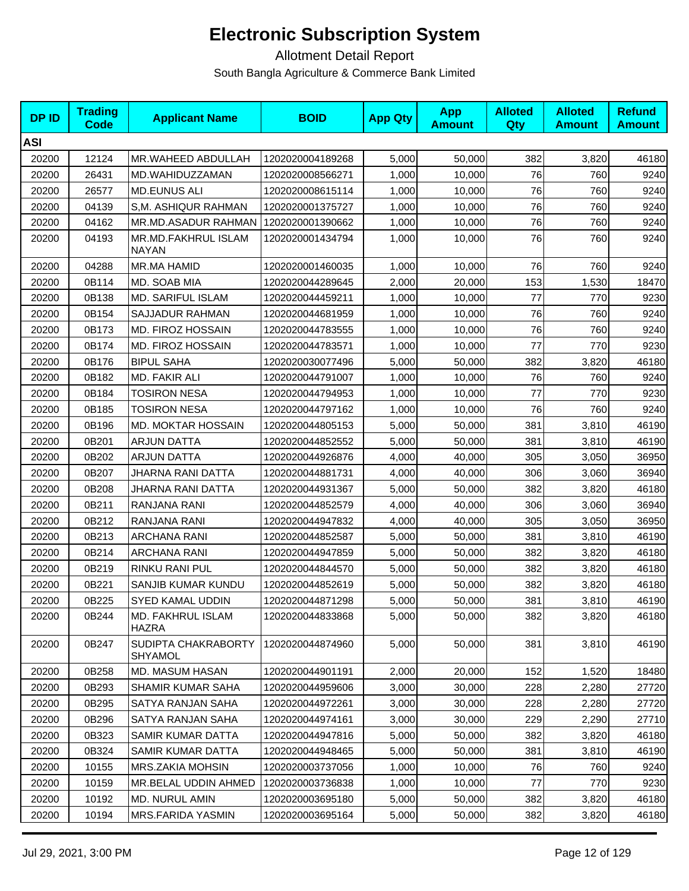| <b>DPID</b> | <b>Trading</b><br><b>Code</b> | <b>Applicant Name</b>               | <b>BOID</b>      | <b>App Qty</b> | <b>App</b><br><b>Amount</b> | <b>Alloted</b><br>Qty | <b>Alloted</b><br><b>Amount</b> | <b>Refund</b><br><b>Amount</b> |
|-------------|-------------------------------|-------------------------------------|------------------|----------------|-----------------------------|-----------------------|---------------------------------|--------------------------------|
| <b>ASI</b>  |                               |                                     |                  |                |                             |                       |                                 |                                |
| 20200       | 12124                         | MR.WAHEED ABDULLAH                  | 1202020004189268 | 5,000          | 50,000                      | 382                   | 3,820                           | 46180                          |
| 20200       | 26431                         | MD.WAHIDUZZAMAN                     | 1202020008566271 | 1,000          | 10,000                      | 76                    | 760                             | 9240                           |
| 20200       | 26577                         | <b>MD.EUNUS ALI</b>                 | 1202020008615114 | 1,000          | 10,000                      | 76                    | 760                             | 9240                           |
| 20200       | 04139                         | S,M. ASHIQUR RAHMAN                 | 1202020001375727 | 1,000          | 10,000                      | 76                    | 760                             | 9240                           |
| 20200       | 04162                         | MR.MD.ASADUR RAHMAN                 | 1202020001390662 | 1,000          | 10,000                      | 76                    | 760                             | 9240                           |
| 20200       | 04193                         | MR.MD.FAKHRUL ISLAM<br><b>NAYAN</b> | 1202020001434794 | 1,000          | 10,000                      | 76                    | 760                             | 9240                           |
| 20200       | 04288                         | MR.MA HAMID                         | 1202020001460035 | 1,000          | 10,000                      | 76                    | 760                             | 9240                           |
| 20200       | 0B114                         | MD. SOAB MIA                        | 1202020044289645 | 2,000          | 20,000                      | 153                   | 1,530                           | 18470                          |
| 20200       | 0B138                         | <b>MD. SARIFUL ISLAM</b>            | 1202020044459211 | 1,000          | 10,000                      | 77                    | 770                             | 9230                           |
| 20200       | 0B154                         | SAJJADUR RAHMAN                     | 1202020044681959 | 1,000          | 10,000                      | 76                    | 760                             | 9240                           |
| 20200       | 0B173                         | MD. FIROZ HOSSAIN                   | 1202020044783555 | 1,000          | 10,000                      | 76                    | 760                             | 9240                           |
| 20200       | 0B174                         | MD. FIROZ HOSSAIN                   | 1202020044783571 | 1,000          | 10,000                      | 77                    | 770                             | 9230                           |
| 20200       | 0B176                         | <b>BIPUL SAHA</b>                   | 1202020030077496 | 5,000          | 50,000                      | 382                   | 3,820                           | 46180                          |
| 20200       | 0B182                         | MD. FAKIR ALI                       | 1202020044791007 | 1,000          | 10,000                      | 76                    | 760                             | 9240                           |
| 20200       | 0B184                         | <b>TOSIRON NESA</b>                 | 1202020044794953 | 1,000          | 10,000                      | 77                    | 770                             | 9230                           |
| 20200       | 0B185                         | <b>TOSIRON NESA</b>                 | 1202020044797162 | 1,000          | 10,000                      | 76                    | 760                             | 9240                           |
| 20200       | 0B196                         | <b>MD. MOKTAR HOSSAIN</b>           | 1202020044805153 | 5,000          | 50,000                      | 381                   | 3,810                           | 46190                          |
| 20200       | 0B201                         | <b>ARJUN DATTA</b>                  | 1202020044852552 | 5,000          | 50,000                      | 381                   | 3,810                           | 46190                          |
| 20200       | 0B202                         | <b>ARJUN DATTA</b>                  | 1202020044926876 | 4,000          | 40,000                      | 305                   | 3,050                           | 36950                          |
| 20200       | 0B207                         | JHARNA RANI DATTA                   | 1202020044881731 | 4,000          | 40,000                      | 306                   | 3,060                           | 36940                          |
| 20200       | 0B208                         | JHARNA RANI DATTA                   | 1202020044931367 | 5,000          | 50,000                      | 382                   | 3,820                           | 46180                          |
| 20200       | 0B211                         | RANJANA RANI                        | 1202020044852579 | 4,000          | 40,000                      | 306                   | 3,060                           | 36940                          |
| 20200       | 0B212                         | RANJANA RANI                        | 1202020044947832 | 4,000          | 40,000                      | 305                   | 3,050                           | 36950                          |
| 20200       | 0B213                         | <b>ARCHANA RANI</b>                 | 1202020044852587 | 5,000          | 50,000                      | 381                   | 3,810                           | 46190                          |
| 20200       | 0B214                         | ARCHANA RANI                        | 1202020044947859 | 5,000          | 50,000                      | 382                   | 3,820                           | 46180                          |
| 20200       | 0B219                         | RINKU RANI PUL                      | 1202020044844570 | 5,000          | 50,000                      | 382                   | 3,820                           | 46180                          |
| 20200       | 0B221                         | SANJIB KUMAR KUNDU                  | 1202020044852619 | 5,000          | 50,000                      | 382                   | 3,820                           | 46180                          |
| 20200       | 0B225                         | SYED KAMAL UDDIN                    | 1202020044871298 | 5,000          | 50,000                      | 381                   | 3,810                           | 46190                          |
| 20200       | 0B244                         | <b>MD. FAKHRUL ISLAM</b><br>HAZRA   | 1202020044833868 | 5,000          | 50,000                      | 382                   | 3,820                           | 46180                          |
| 20200       | 0B247                         | SUDIPTA CHAKRABORTY<br>SHYAMOL      | 1202020044874960 | 5,000          | 50,000                      | 381                   | 3,810                           | 46190                          |
| 20200       | 0B258                         | MD. MASUM HASAN                     | 1202020044901191 | 2,000          | 20,000                      | 152                   | 1,520                           | 18480                          |
| 20200       | 0B293                         | SHAMIR KUMAR SAHA                   | 1202020044959606 | 3,000          | 30,000                      | 228                   | 2,280                           | 27720                          |
| 20200       | 0B295                         | SATYA RANJAN SAHA                   | 1202020044972261 | 3,000          | 30,000                      | 228                   | 2,280                           | 27720                          |
| 20200       | 0B296                         | SATYA RANJAN SAHA                   | 1202020044974161 | 3,000          | 30,000                      | 229                   | 2,290                           | 27710                          |
| 20200       | 0B323                         | SAMIR KUMAR DATTA                   | 1202020044947816 | 5,000          | 50,000                      | 382                   | 3,820                           | 46180                          |
| 20200       | 0B324                         | SAMIR KUMAR DATTA                   | 1202020044948465 | 5,000          | 50,000                      | 381                   | 3,810                           | 46190                          |
| 20200       | 10155                         | MRS.ZAKIA MOHSIN                    | 1202020003737056 | 1,000          | 10,000                      | 76                    | 760                             | 9240                           |
| 20200       | 10159                         | MR.BELAL UDDIN AHMED                | 1202020003736838 | 1,000          | 10,000                      | 77                    | 770                             | 9230                           |
| 20200       | 10192                         | <b>MD. NURUL AMIN</b>               | 1202020003695180 | 5,000          | 50,000                      | 382                   | 3,820                           | 46180                          |
| 20200       | 10194                         | MRS.FARIDA YASMIN                   | 1202020003695164 | 5,000          | 50,000                      | 382                   | 3,820                           | 46180                          |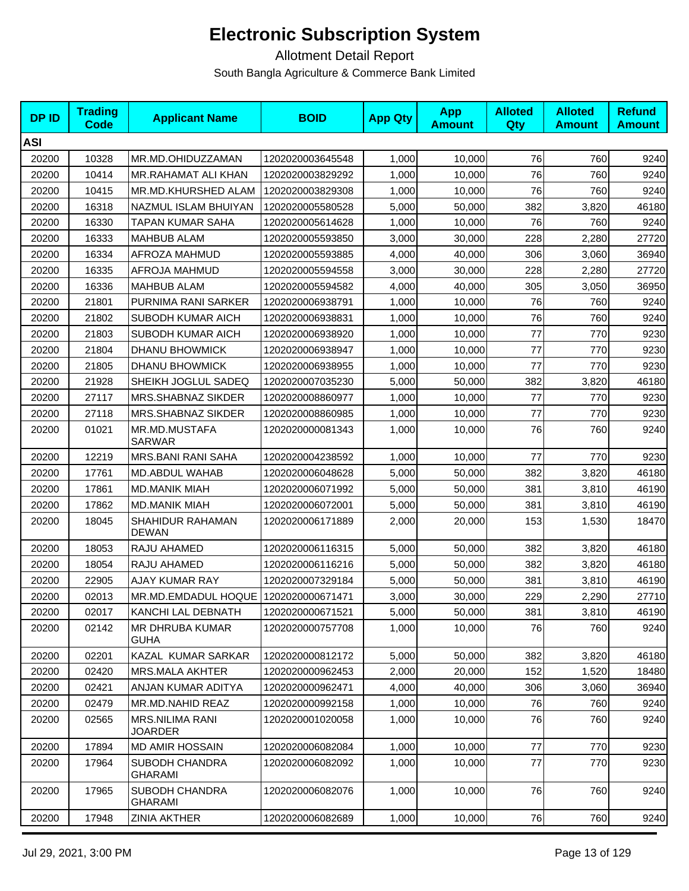| <b>DPID</b> | <b>Trading</b><br>Code | <b>Applicant Name</b>                    | <b>BOID</b>      | <b>App Qty</b> | <b>App</b><br><b>Amount</b> | <b>Alloted</b><br><b>Qty</b> | <b>Alloted</b><br><b>Amount</b> | <b>Refund</b><br><b>Amount</b> |
|-------------|------------------------|------------------------------------------|------------------|----------------|-----------------------------|------------------------------|---------------------------------|--------------------------------|
| <b>ASI</b>  |                        |                                          |                  |                |                             |                              |                                 |                                |
| 20200       | 10328                  | MR.MD.OHIDUZZAMAN                        | 1202020003645548 | 1,000          | 10,000                      | 76                           | 760                             | 9240                           |
| 20200       | 10414                  | MR.RAHAMAT ALI KHAN                      | 1202020003829292 | 1,000          | 10,000                      | 76                           | 760                             | 9240                           |
| 20200       | 10415                  | MR.MD.KHURSHED ALAM                      | 1202020003829308 | 1,000          | 10,000                      | 76                           | 760                             | 9240                           |
| 20200       | 16318                  | NAZMUL ISLAM BHUIYAN                     | 1202020005580528 | 5,000          | 50,000                      | 382                          | 3,820                           | 46180                          |
| 20200       | 16330                  | TAPAN KUMAR SAHA                         | 1202020005614628 | 1,000          | 10,000                      | 76                           | 760                             | 9240                           |
| 20200       | 16333                  | <b>MAHBUB ALAM</b>                       | 1202020005593850 | 3,000          | 30,000                      | 228                          | 2,280                           | 27720                          |
| 20200       | 16334                  | AFROZA MAHMUD                            | 1202020005593885 | 4,000          | 40,000                      | 306                          | 3,060                           | 36940                          |
| 20200       | 16335                  | AFROJA MAHMUD                            | 1202020005594558 | 3,000          | 30,000                      | 228                          | 2,280                           | 27720                          |
| 20200       | 16336                  | <b>MAHBUB ALAM</b>                       | 1202020005594582 | 4,000          | 40,000                      | 305                          | 3,050                           | 36950                          |
| 20200       | 21801                  | PURNIMA RANI SARKER                      | 1202020006938791 | 1,000          | 10,000                      | 76                           | 760                             | 9240                           |
| 20200       | 21802                  | SUBODH KUMAR AICH                        | 1202020006938831 | 1,000          | 10,000                      | 76                           | 760                             | 9240                           |
| 20200       | 21803                  | SUBODH KUMAR AICH                        | 1202020006938920 | 1,000          | 10,000                      | 77                           | 770                             | 9230                           |
| 20200       | 21804                  | <b>DHANU BHOWMICK</b>                    | 1202020006938947 | 1,000          | 10,000                      | 77                           | 770                             | 9230                           |
| 20200       | 21805                  | <b>DHANU BHOWMICK</b>                    | 1202020006938955 | 1,000          | 10,000                      | 77                           | 770                             | 9230                           |
| 20200       | 21928                  | SHEIKH JOGLUL SADEQ                      | 1202020007035230 | 5,000          | 50,000                      | 382                          | 3,820                           | 46180                          |
| 20200       | 27117                  | MRS.SHABNAZ SIKDER                       | 1202020008860977 | 1,000          | 10,000                      | 77                           | 770                             | 9230                           |
| 20200       | 27118                  | MRS.SHABNAZ SIKDER                       | 1202020008860985 | 1,000          | 10,000                      | 77                           | 770                             | 9230                           |
| 20200       | 01021                  | MR.MD.MUSTAFA<br><b>SARWAR</b>           | 1202020000081343 | 1,000          | 10,000                      | 76                           | 760                             | 9240                           |
| 20200       | 12219                  | <b>MRS.BANI RANI SAHA</b>                | 1202020004238592 | 1,000          | 10,000                      | 77                           | 770                             | 9230                           |
| 20200       | 17761                  | <b>MD.ABDUL WAHAB</b>                    | 1202020006048628 | 5,000          | 50,000                      | 382                          | 3,820                           | 46180                          |
| 20200       | 17861                  | <b>MD.MANIK MIAH</b>                     | 1202020006071992 | 5,000          | 50,000                      | 381                          | 3,810                           | 46190                          |
| 20200       | 17862                  | <b>MD.MANIK MIAH</b>                     | 1202020006072001 | 5,000          | 50,000                      | 381                          | 3,810                           | 46190                          |
| 20200       | 18045                  | SHAHIDUR RAHAMAN<br><b>DEWAN</b>         | 1202020006171889 | 2,000          | 20,000                      | 153                          | 1,530                           | 18470                          |
| 20200       | 18053                  | RAJU AHAMED                              | 1202020006116315 | 5,000          | 50,000                      | 382                          | 3,820                           | 46180                          |
| 20200       | 18054                  | RAJU AHAMED                              | 1202020006116216 | 5,000          | 50,000                      | 382                          | 3,820                           | 46180                          |
| 20200       | 22905                  | <b>AJAY KUMAR RAY</b>                    | 1202020007329184 | 5,000          | 50,000                      | 381                          | 3,810                           | 46190                          |
| 20200       | 02013                  | MR.MD.EMDADUL HOQUE                      | 1202020000671471 | 3,000          | 30,000                      | 229                          | 2,290                           | 27710                          |
| 20200       | 02017                  | KANCHI LAL DEBNATH                       | 1202020000671521 | 5,000          | 50,000                      | 381                          | 3,810                           | 46190                          |
| 20200       | 02142                  | MR DHRUBA KUMAR<br><b>GUHA</b>           | 1202020000757708 | 1,000          | 10,000                      | 76                           | 760                             | 9240                           |
| 20200       | 02201                  | KAZAL KUMAR SARKAR                       | 1202020000812172 | 5,000          | 50,000                      | 382                          | 3,820                           | 46180                          |
| 20200       | 02420                  | MRS.MALA AKHTER                          | 1202020000962453 | 2,000          | 20,000                      | 152                          | 1,520                           | 18480                          |
| 20200       | 02421                  | ANJAN KUMAR ADITYA                       | 1202020000962471 | 4,000          | 40,000                      | 306                          | 3,060                           | 36940                          |
| 20200       | 02479                  | MR.MD.NAHID REAZ                         | 1202020000992158 | 1,000          | 10,000                      | 76                           | 760                             | 9240                           |
| 20200       | 02565                  | <b>MRS.NILIMA RANI</b><br><b>JOARDER</b> | 1202020001020058 | 1,000          | 10,000                      | 76                           | 760                             | 9240                           |
| 20200       | 17894                  | <b>MD AMIR HOSSAIN</b>                   | 1202020006082084 | 1,000          | 10,000                      | 77                           | 770                             | 9230                           |
| 20200       | 17964                  | SUBODH CHANDRA<br><b>GHARAMI</b>         | 1202020006082092 | 1,000          | 10,000                      | 77                           | 770                             | 9230                           |
| 20200       | 17965                  | SUBODH CHANDRA<br><b>GHARAMI</b>         | 1202020006082076 | 1,000          | 10,000                      | 76                           | 760                             | 9240                           |
| 20200       | 17948                  | ZINIA AKTHER                             | 1202020006082689 | 1,000          | 10,000                      | 76                           | 760                             | 9240                           |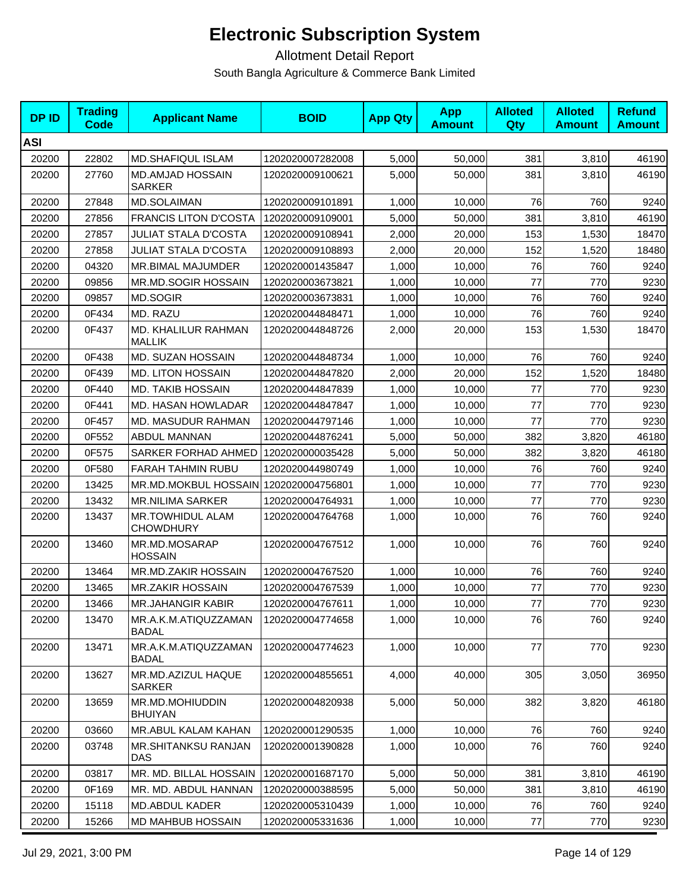| <b>DPID</b> | <b>Trading</b><br><b>Code</b> | <b>Applicant Name</b>                 | <b>BOID</b>      | <b>App Qty</b> | <b>App</b><br><b>Amount</b> | <b>Alloted</b><br>Qty | <b>Alloted</b><br><b>Amount</b> | <b>Refund</b><br><b>Amount</b> |
|-------------|-------------------------------|---------------------------------------|------------------|----------------|-----------------------------|-----------------------|---------------------------------|--------------------------------|
| <b>ASI</b>  |                               |                                       |                  |                |                             |                       |                                 |                                |
| 20200       | 22802                         | <b>MD.SHAFIQUL ISLAM</b>              | 1202020007282008 | 5,000          | 50,000                      | 381                   | 3,810                           | 46190                          |
| 20200       | 27760                         | MD.AMJAD HOSSAIN<br><b>SARKER</b>     | 1202020009100621 | 5,000          | 50,000                      | 381                   | 3,810                           | 46190                          |
| 20200       | 27848                         | MD.SOLAIMAN                           | 1202020009101891 | 1,000          | 10,000                      | 76                    | 760                             | 9240                           |
| 20200       | 27856                         | <b>FRANCIS LITON D'COSTA</b>          | 1202020009109001 | 5,000          | 50.000                      | 381                   | 3,810                           | 46190                          |
| 20200       | 27857                         | <b>JULIAT STALA D'COSTA</b>           | 1202020009108941 | 2,000          | 20,000                      | 153                   | 1,530                           | 18470                          |
| 20200       | 27858                         | <b>JULIAT STALA D'COSTA</b>           | 1202020009108893 | 2,000          | 20,000                      | 152                   | 1,520                           | 18480                          |
| 20200       | 04320                         | MR.BIMAL MAJUMDER                     | 1202020001435847 | 1,000          | 10.000                      | 76                    | 760                             | 9240                           |
| 20200       | 09856                         | MR.MD.SOGIR HOSSAIN                   | 1202020003673821 | 1,000          | 10,000                      | 77                    | 770                             | 9230                           |
| 20200       | 09857                         | <b>MD.SOGIR</b>                       | 1202020003673831 | 1,000          | 10,000                      | 76                    | 760                             | 9240                           |
| 20200       | 0F434                         | MD. RAZU                              | 1202020044848471 | 1,000          | 10,000                      | 76                    | 760                             | 9240                           |
| 20200       | 0F437                         | MD. KHALILUR RAHMAN<br><b>MALLIK</b>  | 1202020044848726 | 2,000          | 20,000                      | 153                   | 1,530                           | 18470                          |
| 20200       | 0F438                         | MD. SUZAN HOSSAIN                     | 1202020044848734 | 1,000          | 10,000                      | 76                    | 760                             | 9240                           |
| 20200       | 0F439                         | <b>MD. LITON HOSSAIN</b>              | 1202020044847820 | 2,000          | 20,000                      | 152                   | 1,520                           | 18480                          |
| 20200       | 0F440                         | <b>MD. TAKIB HOSSAIN</b>              | 1202020044847839 | 1,000          | 10,000                      | 77                    | 770                             | 9230                           |
| 20200       | 0F441                         | <b>MD. HASAN HOWLADAR</b>             | 1202020044847847 | 1,000          | 10.000                      | 77                    | 770                             | 9230                           |
| 20200       | 0F457                         | MD. MASUDUR RAHMAN                    | 1202020044797146 | 1,000          | 10.000                      | 77                    | 770                             | 9230                           |
| 20200       | 0F552                         | <b>ABDUL MANNAN</b>                   | 1202020044876241 | 5,000          | 50,000                      | 382                   | 3,820                           | 46180                          |
| 20200       | 0F575                         | SARKER FORHAD AHMED                   | 1202020000035428 | 5,000          | 50,000                      | 382                   | 3,820                           | 46180                          |
| 20200       | 0F580                         | <b>FARAH TAHMIN RUBU</b>              | 1202020044980749 | 1,000          | 10,000                      | 76                    | 760                             | 9240                           |
| 20200       | 13425                         | MR.MD.MOKBUL HOSSAIN 1202020004756801 |                  | 1,000          | 10,000                      | 77                    | 770                             | 9230                           |
| 20200       | 13432                         | <b>MR.NILIMA SARKER</b>               | 1202020004764931 | 1,000          | 10,000                      | 77                    | 770                             | 9230                           |
| 20200       | 13437                         | MR.TOWHIDUL ALAM<br><b>CHOWDHURY</b>  | 1202020004764768 | 1,000          | 10,000                      | 76                    | 760                             | 9240                           |
| 20200       | 13460                         | MR.MD.MOSARAP<br><b>HOSSAIN</b>       | 1202020004767512 | 1,000          | 10,000                      | 76                    | 760                             | 9240                           |
| 20200       | 13464                         | MR.MD.ZAKIR HOSSAIN                   | 1202020004767520 | 1,000          | 10,000                      | 76                    | 760                             | 9240                           |
| 20200       | 13465                         | <b>MR.ZAKIR HOSSAIN</b>               | 1202020004767539 | 1,000          | 10,000                      | 77                    | 770                             | 9230                           |
| 20200       | 13466                         | MR.JAHANGIR KABIR                     | 1202020004767611 | 1,000          | 10,000                      | 77                    | 770                             | 9230                           |
| 20200       | 13470                         | MR.A.K.M.ATIQUZZAMAN<br><b>BADAL</b>  | 1202020004774658 | 1,000          | 10,000                      | 76                    | 760                             | 9240                           |
| 20200       | 13471                         | MR.A.K.M.ATIQUZZAMAN<br><b>BADAL</b>  | 1202020004774623 | 1,000          | 10,000                      | 77                    | 770                             | 9230                           |
| 20200       | 13627                         | MR.MD.AZIZUL HAQUE<br><b>SARKER</b>   | 1202020004855651 | 4,000          | 40,000                      | 305                   | 3,050                           | 36950                          |
| 20200       | 13659                         | MR.MD.MOHIUDDIN<br><b>BHUIYAN</b>     | 1202020004820938 | 5,000          | 50,000                      | 382                   | 3,820                           | 46180                          |
| 20200       | 03660                         | MR.ABUL KALAM KAHAN                   | 1202020001290535 | 1,000          | 10,000                      | 76                    | 760                             | 9240                           |
| 20200       | 03748                         | MR.SHITANKSU RANJAN<br>DAS            | 1202020001390828 | 1,000          | 10.000                      | 76                    | 760                             | 9240                           |
| 20200       | 03817                         | MR. MD. BILLAL HOSSAIN                | 1202020001687170 | 5,000          | 50,000                      | 381                   | 3,810                           | 46190                          |
| 20200       | 0F169                         | MR. MD. ABDUL HANNAN                  | 1202020000388595 | 5,000          | 50,000                      | 381                   | 3,810                           | 46190                          |
| 20200       | 15118                         | <b>MD.ABDUL KADER</b>                 | 1202020005310439 | 1,000          | 10,000                      | 76                    | 760                             | 9240                           |
| 20200       | 15266                         | MD MAHBUB HOSSAIN                     | 1202020005331636 | 1,000          | 10,000                      | 77                    | 770                             | 9230                           |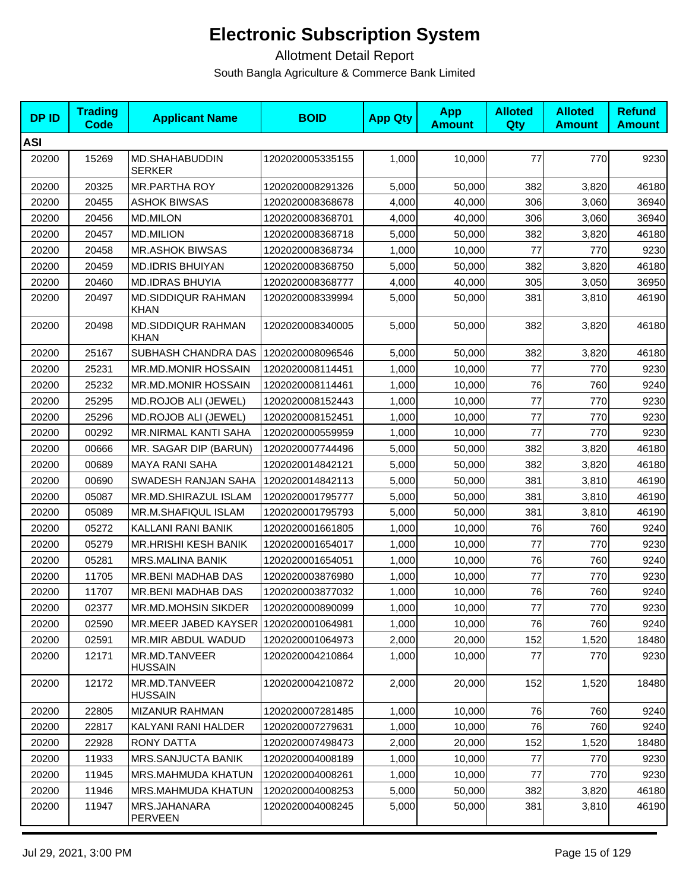| <b>DPID</b> | <b>Trading</b><br><b>Code</b> | <b>Applicant Name</b>                    | <b>BOID</b>      | <b>App Qty</b> | <b>App</b><br><b>Amount</b> | <b>Alloted</b><br>Qty | <b>Alloted</b><br><b>Amount</b> | <b>Refund</b><br><b>Amount</b> |
|-------------|-------------------------------|------------------------------------------|------------------|----------------|-----------------------------|-----------------------|---------------------------------|--------------------------------|
| <b>ASI</b>  |                               |                                          |                  |                |                             |                       |                                 |                                |
| 20200       | 15269                         | MD.SHAHABUDDIN<br><b>SERKER</b>          | 1202020005335155 | 1,000          | 10,000                      | 77                    | 770                             | 9230                           |
| 20200       | 20325                         | <b>MR.PARTHA ROY</b>                     | 1202020008291326 | 5,000          | 50,000                      | 382                   | 3,820                           | 46180                          |
| 20200       | 20455                         | ASHOK BIWSAS                             | 1202020008368678 | 4,000          | 40,000                      | 306                   | 3,060                           | 36940                          |
| 20200       | 20456                         | <b>MD.MILON</b>                          | 1202020008368701 | 4,000          | 40,000                      | 306                   | 3,060                           | 36940                          |
| 20200       | 20457                         | <b>MD.MILION</b>                         | 1202020008368718 | 5,000          | 50,000                      | 382                   | 3,820                           | 46180                          |
| 20200       | 20458                         | <b>MR.ASHOK BIWSAS</b>                   | 1202020008368734 | 1,000          | 10,000                      | 77                    | 770                             | 9230                           |
| 20200       | 20459                         | <b>MD.IDRIS BHUIYAN</b>                  | 1202020008368750 | 5,000          | 50,000                      | 382                   | 3,820                           | 46180                          |
| 20200       | 20460                         | <b>MD.IDRAS BHUYIA</b>                   | 1202020008368777 | 4,000          | 40,000                      | 305                   | 3,050                           | 36950                          |
| 20200       | 20497                         | <b>MD.SIDDIQUR RAHMAN</b><br>KHAN        | 1202020008339994 | 5,000          | 50,000                      | 381                   | 3,810                           | 46190                          |
| 20200       | 20498                         | <b>MD.SIDDIQUR RAHMAN</b><br><b>KHAN</b> | 1202020008340005 | 5,000          | 50,000                      | 382                   | 3,820                           | 46180                          |
| 20200       | 25167                         | SUBHASH CHANDRA DAS                      | 1202020008096546 | 5,000          | 50,000                      | 382                   | 3,820                           | 46180                          |
| 20200       | 25231                         | MR.MD.MONIR HOSSAIN                      | 1202020008114451 | 1,000          | 10,000                      | 77                    | 770                             | 9230                           |
| 20200       | 25232                         | <b>MR.MD.MONIR HOSSAIN</b>               | 1202020008114461 | 1,000          | 10,000                      | 76                    | 760                             | 9240                           |
| 20200       | 25295                         | <b>MD.ROJOB ALI (JEWEL)</b>              | 1202020008152443 | 1,000          | 10,000                      | 77                    | 770                             | 9230                           |
| 20200       | 25296                         | MD.ROJOB ALI (JEWEL)                     | 1202020008152451 | 1,000          | 10,000                      | 77                    | 770                             | 9230                           |
| 20200       | 00292                         | MR.NIRMAL KANTI SAHA                     | 1202020000559959 | 1,000          | 10,000                      | 77                    | 770                             | 9230                           |
| 20200       | 00666                         | MR. SAGAR DIP (BARUN)                    | 1202020007744496 | 5,000          | 50,000                      | 382                   | 3,820                           | 46180                          |
| 20200       | 00689                         | <b>MAYA RANI SAHA</b>                    | 1202020014842121 | 5,000          | 50,000                      | 382                   | 3,820                           | 46180                          |
| 20200       | 00690                         | SWADESH RANJAN SAHA                      | 1202020014842113 | 5,000          | 50,000                      | 381                   | 3,810                           | 46190                          |
| 20200       | 05087                         | MR.MD.SHIRAZUL ISLAM                     | 1202020001795777 | 5,000          | 50,000                      | 381                   | 3,810                           | 46190                          |
| 20200       | 05089                         | MR.M.SHAFIQUL ISLAM                      | 1202020001795793 | 5,000          | 50,000                      | 381                   | 3,810                           | 46190                          |
| 20200       | 05272                         | KALLANI RANI BANIK                       | 1202020001661805 | 1,000          | 10,000                      | 76                    | 760                             | 9240                           |
| 20200       | 05279                         | <b>MR.HRISHI KESH BANIK</b>              | 1202020001654017 | 1,000          | 10,000                      | 77                    | 770                             | 9230                           |
| 20200       | 05281                         | <b>MRS.MALINA BANIK</b>                  | 1202020001654051 | 1,000          | 10,000                      | 76                    | 760                             | 9240                           |
| 20200       | 11705                         | MR.BENI MADHAB DAS                       | 1202020003876980 | 1,000          | 10,000                      | 77                    | 770                             | 9230                           |
| 20200       | 11707                         | MR.BENI MADHAB DAS                       | 1202020003877032 | 1,000          | 10,000                      | 76                    | 760                             | 9240                           |
| 20200       | 02377                         | MR.MD.MOHSIN SIKDER                      | 1202020000890099 | 1,000          | 10,000                      | 77                    | 770                             | 9230                           |
| 20200       | 02590                         | MR.MEER JABED KAYSER                     | 1202020001064981 | 1,000          | 10,000                      | 76                    | 760                             | 9240                           |
| 20200       | 02591                         | MR.MIR ABDUL WADUD                       | 1202020001064973 | 2,000          | 20,000                      | 152                   | 1,520                           | 18480                          |
| 20200       | 12171                         | MR.MD.TANVEER<br><b>HUSSAIN</b>          | 1202020004210864 | 1,000          | 10,000                      | 77                    | 770                             | 9230                           |
| 20200       | 12172                         | MR.MD.TANVEER<br><b>HUSSAIN</b>          | 1202020004210872 | 2,000          | 20,000                      | 152                   | 1,520                           | 18480                          |
| 20200       | 22805                         | <b>MIZANUR RAHMAN</b>                    | 1202020007281485 | 1,000          | 10,000                      | 76                    | 760                             | 9240                           |
| 20200       | 22817                         | KALYANI RANI HALDER                      | 1202020007279631 | 1,000          | 10,000                      | 76                    | 760                             | 9240                           |
| 20200       | 22928                         | <b>RONY DATTA</b>                        | 1202020007498473 | 2,000          | 20,000                      | 152                   | 1,520                           | 18480                          |
| 20200       | 11933                         | MRS.SANJUCTA BANIK                       | 1202020004008189 | 1,000          | 10,000                      | 77                    | 770                             | 9230                           |
| 20200       | 11945                         | MRS.MAHMUDA KHATUN                       | 1202020004008261 | 1,000          | 10,000                      | 77                    | 770                             | 9230                           |
| 20200       | 11946                         | MRS.MAHMUDA KHATUN                       | 1202020004008253 | 5,000          | 50,000                      | 382                   | 3,820                           | 46180                          |
| 20200       | 11947                         | MRS.JAHANARA<br>PERVEEN                  | 1202020004008245 | 5,000          | 50,000                      | 381                   | 3,810                           | 46190                          |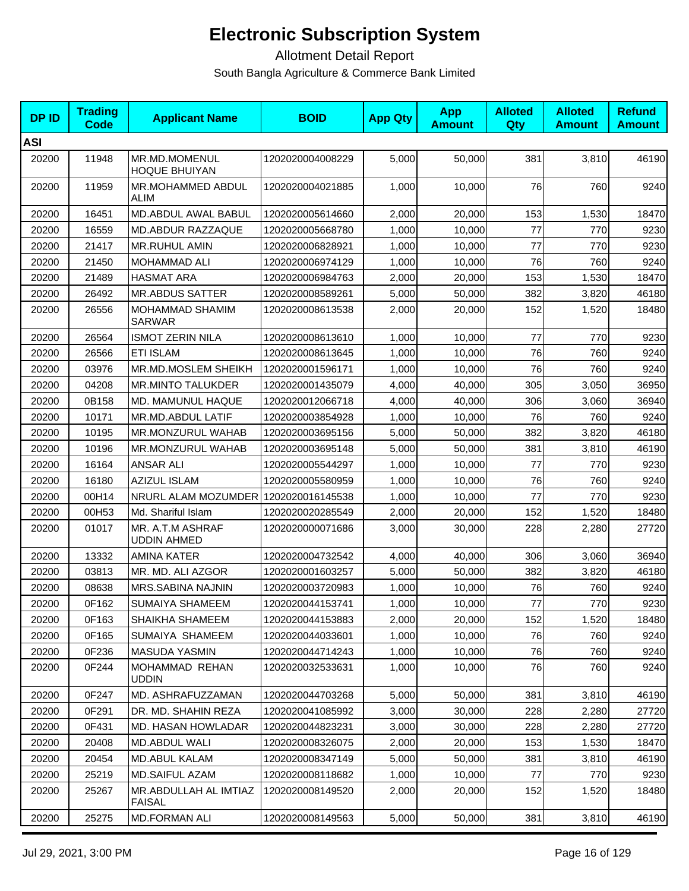| <b>DPID</b> | <b>Trading</b><br><b>Code</b> | <b>Applicant Name</b>                   | <b>BOID</b>      | <b>App Qty</b> | <b>App</b><br><b>Amount</b> | <b>Alloted</b><br>Qty | <b>Alloted</b><br><b>Amount</b> | <b>Refund</b><br><b>Amount</b> |
|-------------|-------------------------------|-----------------------------------------|------------------|----------------|-----------------------------|-----------------------|---------------------------------|--------------------------------|
| <b>ASI</b>  |                               |                                         |                  |                |                             |                       |                                 |                                |
| 20200       | 11948                         | MR.MD.MOMENUL<br><b>HOQUE BHUIYAN</b>   | 1202020004008229 | 5,000          | 50,000                      | 381                   | 3,810                           | 46190                          |
| 20200       | 11959                         | <b>MR.MOHAMMED ABDUL</b><br><b>ALIM</b> | 1202020004021885 | 1,000          | 10,000                      | 76                    | 760                             | 9240                           |
| 20200       | 16451                         | MD.ABDUL AWAL BABUL                     | 1202020005614660 | 2,000          | 20,000                      | 153                   | 1,530                           | 18470                          |
| 20200       | 16559                         | MD.ABDUR RAZZAQUE                       | 1202020005668780 | 1,000          | 10,000                      | 77                    | 770                             | 9230                           |
| 20200       | 21417                         | MR.RUHUL AMIN                           | 1202020006828921 | 1,000          | 10.000                      | 77                    | 770                             | 9230                           |
| 20200       | 21450                         | MOHAMMAD ALI                            | 1202020006974129 | 1,000          | 10,000                      | 76                    | 760                             | 9240                           |
| 20200       | 21489                         | <b>HASMAT ARA</b>                       | 1202020006984763 | 2,000          | 20,000                      | 153                   | 1,530                           | 18470                          |
| 20200       | 26492                         | <b>MR.ABDUS SATTER</b>                  | 1202020008589261 | 5,000          | 50,000                      | 382                   | 3,820                           | 46180                          |
| 20200       | 26556                         | MOHAMMAD SHAMIM<br><b>SARWAR</b>        | 1202020008613538 | 2,000          | 20,000                      | 152                   | 1,520                           | 18480                          |
| 20200       | 26564                         | <b>ISMOT ZERIN NILA</b>                 | 1202020008613610 | 1,000          | 10,000                      | 77                    | 770                             | 9230                           |
| 20200       | 26566                         | <b>ETI ISLAM</b>                        | 1202020008613645 | 1,000          | 10,000                      | 76                    | 760                             | 9240                           |
| 20200       | 03976                         | MR.MD.MOSLEM SHEIKH                     | 1202020001596171 | 1,000          | 10,000                      | 76                    | 760                             | 9240                           |
| 20200       | 04208                         | <b>MR.MINTO TALUKDER</b>                | 1202020001435079 | 4,000          | 40,000                      | 305                   | 3,050                           | 36950                          |
| 20200       | 0B158                         | MD. MAMUNUL HAQUE                       | 1202020012066718 | 4,000          | 40,000                      | 306                   | 3,060                           | 36940                          |
| 20200       | 10171                         | MR.MD.ABDUL LATIF                       | 1202020003854928 | 1,000          | 10,000                      | 76                    | 760                             | 9240                           |
| 20200       | 10195                         | MR.MONZURUL WAHAB                       | 1202020003695156 | 5,000          | 50,000                      | 382                   | 3,820                           | 46180                          |
| 20200       | 10196                         | MR.MONZURUL WAHAB                       | 1202020003695148 | 5,000          | 50,000                      | 381                   | 3,810                           | 46190                          |
| 20200       | 16164                         | <b>ANSAR ALI</b>                        | 1202020005544297 | 1,000          | 10,000                      | 77                    | 770                             | 9230                           |
| 20200       | 16180                         | <b>AZIZUL ISLAM</b>                     | 1202020005580959 | 1,000          | 10,000                      | 76                    | 760                             | 9240                           |
| 20200       | 00H14                         | NRURL ALAM MOZUMDER                     | 1202020016145538 | 1,000          | 10,000                      | 77                    | 770                             | 9230                           |
| 20200       | 00H53                         | Md. Shariful Islam                      | 1202020020285549 | 2,000          | 20,000                      | 152                   | 1,520                           | 18480                          |
| 20200       | 01017                         | MR. A.T.M ASHRAF<br><b>UDDIN AHMED</b>  | 1202020000071686 | 3,000          | 30,000                      | 228                   | 2,280                           | 27720                          |
| 20200       | 13332                         | <b>AMINA KATER</b>                      | 1202020004732542 | 4,000          | 40,000                      | 306                   | 3,060                           | 36940                          |
| 20200       | 03813                         | MR. MD. ALI AZGOR                       | 1202020001603257 | 5,000          | 50,000                      | 382                   | 3,820                           | 46180                          |
| 20200       | 08638                         | MRS.SABINA NAJNIN                       | 1202020003720983 | 1,000          | 10,000                      | 76                    | 760                             | 9240                           |
| 20200       | 0F162                         | SUMAIYA SHAMEEM                         | 1202020044153741 | 1,000          | 10,000                      | 77                    | 770                             | 9230                           |
| 20200       | 0F163                         | SHAIKHA SHAMEEM                         | 1202020044153883 | 2,000          | 20,000                      | 152                   | 1,520                           | 18480                          |
| 20200       | 0F165                         | SUMAIYA SHAMEEM                         | 1202020044033601 | 1,000          | 10,000                      | 76                    | 760                             | 9240                           |
| 20200       | 0F236                         | <b>MASUDA YASMIN</b>                    | 1202020044714243 | 1,000          | 10,000                      | 76                    | 760                             | 9240                           |
| 20200       | 0F244                         | MOHAMMAD REHAN<br><b>UDDIN</b>          | 1202020032533631 | 1,000          | 10,000                      | 76                    | 760                             | 9240                           |
| 20200       | 0F247                         | MD. ASHRAFUZZAMAN                       | 1202020044703268 | 5,000          | 50,000                      | 381                   | 3,810                           | 46190                          |
| 20200       | 0F291                         | DR. MD. SHAHIN REZA                     | 1202020041085992 | 3,000          | 30,000                      | 228                   | 2,280                           | 27720                          |
| 20200       | 0F431                         | MD. HASAN HOWLADAR                      | 1202020044823231 | 3,000          | 30,000                      | 228                   | 2,280                           | 27720                          |
| 20200       | 20408                         | MD.ABDUL WALI                           | 1202020008326075 | 2,000          | 20,000                      | 153                   | 1,530                           | 18470                          |
| 20200       | 20454                         | MD.ABUL KALAM                           | 1202020008347149 | 5,000          | 50,000                      | 381                   | 3,810                           | 46190                          |
| 20200       | 25219                         | <b>MD.SAIFUL AZAM</b>                   | 1202020008118682 | 1,000          | 10,000                      | 77                    | 770                             | 9230                           |
| 20200       | 25267                         | MR.ABDULLAH AL IMTIAZ<br><b>FAISAL</b>  | 1202020008149520 | 2,000          | 20,000                      | 152                   | 1,520                           | 18480                          |
| 20200       | 25275                         | MD.FORMAN ALI                           | 1202020008149563 | 5,000          | 50,000                      | 381                   | 3,810                           | 46190                          |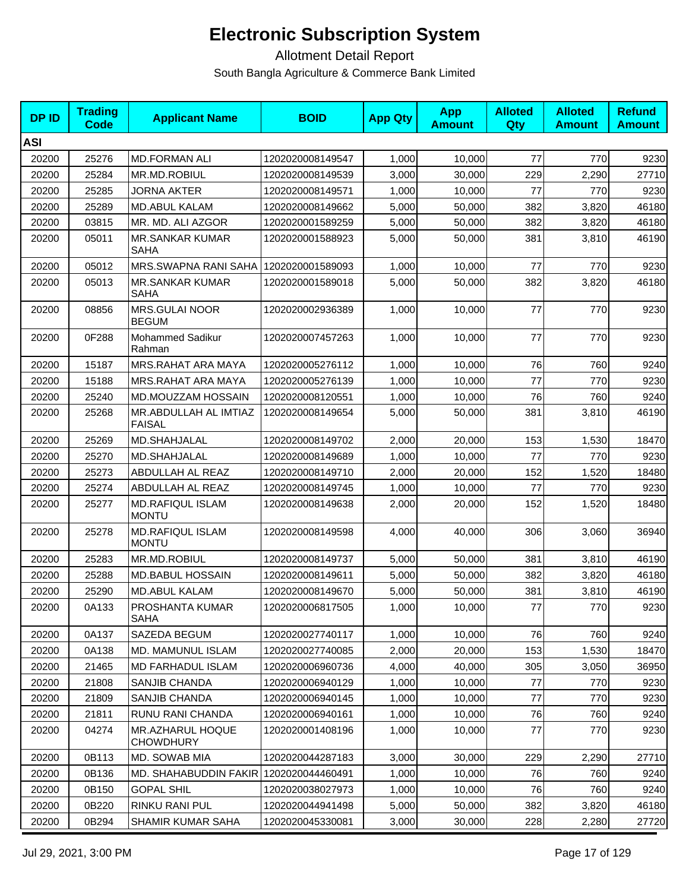| <b>DPID</b> | <b>Trading</b><br>Code | <b>Applicant Name</b>                   | <b>BOID</b>      | <b>App Qty</b> | <b>App</b><br><b>Amount</b> | <b>Alloted</b><br>Qty | <b>Alloted</b><br><b>Amount</b> | <b>Refund</b><br><b>Amount</b> |
|-------------|------------------------|-----------------------------------------|------------------|----------------|-----------------------------|-----------------------|---------------------------------|--------------------------------|
| <b>ASI</b>  |                        |                                         |                  |                |                             |                       |                                 |                                |
| 20200       | 25276                  | <b>MD.FORMAN ALI</b>                    | 1202020008149547 | 1,000          | 10,000                      | 77                    | 770                             | 9230                           |
| 20200       | 25284                  | MR.MD.ROBIUL                            | 1202020008149539 | 3,000          | 30,000                      | 229                   | 2,290                           | 27710                          |
| 20200       | 25285                  | JORNA AKTER                             | 1202020008149571 | 1,000          | 10,000                      | 77                    | 770                             | 9230                           |
| 20200       | 25289                  | <b>MD.ABUL KALAM</b>                    | 1202020008149662 | 5,000          | 50,000                      | 382                   | 3,820                           | 46180                          |
| 20200       | 03815                  | MR. MD. ALI AZGOR                       | 1202020001589259 | 5,000          | 50,000                      | 382                   | 3,820                           | 46180                          |
| 20200       | 05011                  | <b>MR.SANKAR KUMAR</b><br>SAHA          | 1202020001588923 | 5,000          | 50,000                      | 381                   | 3,810                           | 46190                          |
| 20200       | 05012                  | MRS.SWAPNA RANI SAHA                    | 1202020001589093 | 1,000          | 10,000                      | 77                    | 770                             | 9230                           |
| 20200       | 05013                  | <b>MR.SANKAR KUMAR</b><br>SAHA          | 1202020001589018 | 5,000          | 50,000                      | 382                   | 3,820                           | 46180                          |
| 20200       | 08856                  | MRS.GULAI NOOR<br><b>BEGUM</b>          | 1202020002936389 | 1,000          | 10,000                      | 77                    | 770                             | 9230                           |
| 20200       | 0F288                  | Mohammed Sadikur<br>Rahman              | 1202020007457263 | 1,000          | 10,000                      | 77                    | 770                             | 9230                           |
| 20200       | 15187                  | MRS.RAHAT ARA MAYA                      | 1202020005276112 | 1,000          | 10,000                      | 76                    | 760                             | 9240                           |
| 20200       | 15188                  | MRS.RAHAT ARA MAYA                      | 1202020005276139 | 1,000          | 10,000                      | 77                    | 770                             | 9230                           |
| 20200       | 25240                  | MD.MOUZZAM HOSSAIN                      | 1202020008120551 | 1,000          | 10,000                      | 76                    | 760                             | 9240                           |
| 20200       | 25268                  | MR.ABDULLAH AL IMTIAZ<br><b>FAISAL</b>  | 1202020008149654 | 5,000          | 50,000                      | 381                   | 3,810                           | 46190                          |
| 20200       | 25269                  | MD.SHAHJALAL                            | 1202020008149702 | 2,000          | 20,000                      | 153                   | 1,530                           | 18470                          |
| 20200       | 25270                  | MD.SHAHJALAL                            | 1202020008149689 | 1,000          | 10,000                      | 77                    | 770                             | 9230                           |
| 20200       | 25273                  | ABDULLAH AL REAZ                        | 1202020008149710 | 2,000          | 20,000                      | 152                   | 1,520                           | 18480                          |
| 20200       | 25274                  | ABDULLAH AL REAZ                        | 1202020008149745 | 1,000          | 10,000                      | 77                    | 770                             | 9230                           |
| 20200       | 25277                  | <b>MD.RAFIQUL ISLAM</b><br><b>MONTU</b> | 1202020008149638 | 2,000          | 20,000                      | 152                   | 1,520                           | 18480                          |
| 20200       | 25278                  | <b>MD.RAFIQUL ISLAM</b><br><b>MONTU</b> | 1202020008149598 | 4,000          | 40,000                      | 306                   | 3,060                           | 36940                          |
| 20200       | 25283                  | MR.MD.ROBIUL                            | 1202020008149737 | 5,000          | 50,000                      | 381                   | 3,810                           | 46190                          |
| 20200       | 25288                  | <b>MD.BABUL HOSSAIN</b>                 | 1202020008149611 | 5,000          | 50,000                      | 382                   | 3,820                           | 46180                          |
| 20200       | 25290                  | <b>MD.ABUL KALAM</b>                    | 1202020008149670 | 5,000          | 50,000                      | 381                   | 3,810                           | 46190                          |
| 20200       | 0A133                  | PROSHANTA KUMAR<br><b>SAHA</b>          | 1202020006817505 | 1,000          | 10,000                      | 77                    | 770                             | 9230                           |
| 20200       | 0A137                  | SAZEDA BEGUM                            | 1202020027740117 | 1,000          | 10,000                      | 76                    | 760                             | 9240                           |
| 20200       | 0A138                  | <b>MD. MAMUNUL ISLAM</b>                | 1202020027740085 | 2,000          | 20,000                      | 153                   | 1,530                           | 18470                          |
| 20200       | 21465                  | <b>MD FARHADUL ISLAM</b>                | 1202020006960736 | 4,000          | 40,000                      | 305                   | 3,050                           | 36950                          |
| 20200       | 21808                  | SANJIB CHANDA                           | 1202020006940129 | 1,000          | 10,000                      | 77                    | 770                             | 9230                           |
| 20200       | 21809                  | SANJIB CHANDA                           | 1202020006940145 | 1,000          | 10.000                      | 77                    | 770                             | 9230                           |
| 20200       | 21811                  | RUNU RANI CHANDA                        | 1202020006940161 | 1,000          | 10,000                      | 76                    | 760                             | 9240                           |
| 20200       | 04274                  | MR.AZHARUL HOQUE<br><b>CHOWDHURY</b>    | 1202020001408196 | 1.000          | 10,000                      | 77                    | 770                             | 9230                           |
| 20200       | 0B113                  | MD. SOWAB MIA                           | 1202020044287183 | 3,000          | 30,000                      | 229                   | 2,290                           | 27710                          |
| 20200       | 0B136                  | MD. SHAHABUDDIN FAKIR                   | 1202020044460491 | 1,000          | 10,000                      | 76                    | 760                             | 9240                           |
| 20200       | 0B150                  | <b>GOPAL SHIL</b>                       | 1202020038027973 | 1,000          | 10,000                      | 76                    | 760                             | 9240                           |
| 20200       | 0B220                  | RINKU RANI PUL                          | 1202020044941498 | 5,000          | 50,000                      | 382                   | 3,820                           | 46180                          |
| 20200       | 0B294                  | SHAMIR KUMAR SAHA                       | 1202020045330081 | 3,000          | 30,000                      | 228                   | 2,280                           | 27720                          |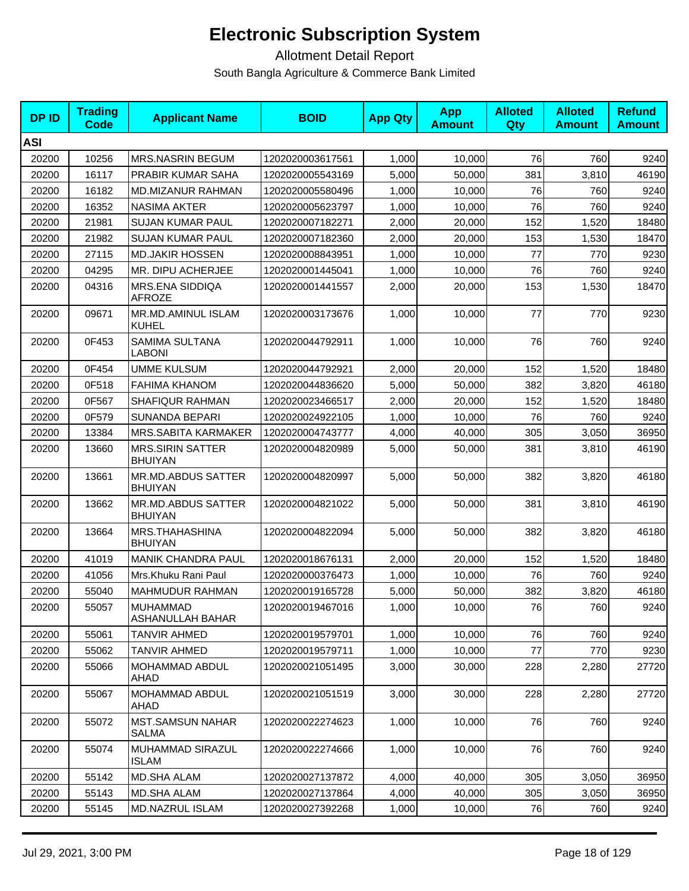| <b>DPID</b> | <b>Trading</b><br><b>Code</b> | <b>Applicant Name</b>                     | <b>BOID</b>      | <b>App Qty</b> | <b>App</b><br><b>Amount</b> | <b>Alloted</b><br><b>Qty</b> | <b>Alloted</b><br><b>Amount</b> | <b>Refund</b><br><b>Amount</b> |
|-------------|-------------------------------|-------------------------------------------|------------------|----------------|-----------------------------|------------------------------|---------------------------------|--------------------------------|
| <b>ASI</b>  |                               |                                           |                  |                |                             |                              |                                 |                                |
| 20200       | 10256                         | <b>MRS.NASRIN BEGUM</b>                   | 1202020003617561 | 1,000          | 10,000                      | 76                           | 760                             | 9240                           |
| 20200       | 16117                         | <b>PRABIR KUMAR SAHA</b>                  | 1202020005543169 | 5,000          | 50,000                      | 381                          | 3,810                           | 46190                          |
| 20200       | 16182                         | <b>MD.MIZANUR RAHMAN</b>                  | 1202020005580496 | 1,000          | 10,000                      | 76                           | 760                             | 9240                           |
| 20200       | 16352                         | <b>NASIMA AKTER</b>                       | 1202020005623797 | 1,000          | 10,000                      | 76                           | 760                             | 9240                           |
| 20200       | 21981                         | <b>SUJAN KUMAR PAUL</b>                   | 1202020007182271 | 2,000          | 20,000                      | 152                          | 1,520                           | 18480                          |
| 20200       | 21982                         | <b>SUJAN KUMAR PAUL</b>                   | 1202020007182360 | 2,000          | 20,000                      | 153                          | 1,530                           | 18470                          |
| 20200       | 27115                         | <b>MD.JAKIR HOSSEN</b>                    | 1202020008843951 | 1,000          | 10,000                      | 77                           | 770                             | 9230                           |
| 20200       | 04295                         | MR. DIPU ACHERJEE                         | 1202020001445041 | 1,000          | 10,000                      | 76                           | 760                             | 9240                           |
| 20200       | 04316                         | MRS.ENA SIDDIQA<br><b>AFROZE</b>          | 1202020001441557 | 2,000          | 20,000                      | 153                          | 1,530                           | 18470                          |
| 20200       | 09671                         | MR.MD.AMINUL ISLAM<br>KUHEL               | 1202020003173676 | 1,000          | 10,000                      | 77                           | 770                             | 9230                           |
| 20200       | 0F453                         | SAMIMA SULTANA<br>LABONI                  | 1202020044792911 | 1,000          | 10,000                      | 76                           | 760                             | 9240                           |
| 20200       | 0F454                         | <b>UMME KULSUM</b>                        | 1202020044792921 | 2,000          | 20,000                      | 152                          | 1,520                           | 18480                          |
| 20200       | 0F518                         | <b>FAHIMA KHANOM</b>                      | 1202020044836620 | 5,000          | 50,000                      | 382                          | 3,820                           | 46180                          |
| 20200       | 0F567                         | SHAFIQUR RAHMAN                           | 1202020023466517 | 2,000          | 20,000                      | 152                          | 1,520                           | 18480                          |
| 20200       | 0F579                         | <b>SUNANDA BEPARI</b>                     | 1202020024922105 | 1,000          | 10,000                      | 76                           | 760                             | 9240                           |
| 20200       | 13384                         | MRS.SABITA KARMAKER                       | 1202020004743777 | 4,000          | 40,000                      | 305                          | 3,050                           | 36950                          |
| 20200       | 13660                         | <b>MRS.SIRIN SATTER</b><br><b>BHUIYAN</b> | 1202020004820989 | 5,000          | 50,000                      | 381                          | 3,810                           | 46190                          |
| 20200       | 13661                         | MR.MD.ABDUS SATTER<br><b>BHUIYAN</b>      | 1202020004820997 | 5,000          | 50,000                      | 382                          | 3,820                           | 46180                          |
| 20200       | 13662                         | MR.MD.ABDUS SATTER<br><b>BHUIYAN</b>      | 1202020004821022 | 5,000          | 50,000                      | 381                          | 3,810                           | 46190                          |
| 20200       | 13664                         | MRS.THAHASHINA<br><b>BHUIYAN</b>          | 1202020004822094 | 5,000          | 50,000                      | 382                          | 3,820                           | 46180                          |
| 20200       | 41019                         | MANIK CHANDRA PAUL                        | 1202020018676131 | 2,000          | 20,000                      | 152                          | 1,520                           | 18480                          |
| 20200       | 41056                         | Mrs. Khuku Rani Paul                      | 1202020000376473 | 1,000          | 10,000                      | 76                           | 760                             | 9240                           |
| 20200       | 55040                         | MAHMUDUR RAHMAN                           | 1202020019165728 | 5,000          | 50,000                      | 382                          | 3,820                           | 46180                          |
| 20200       | 55057                         | MUHAMMAD<br>ASHANULLAH BAHAR              | 1202020019467016 | 1,000          | 10,000                      | 76                           | 760                             | 9240                           |
| 20200       | 55061                         | TANVIR AHMED                              | 1202020019579701 | 1,000          | 10,000                      | 76                           | 760                             | 9240                           |
| 20200       | 55062                         | TANVIR AHMED                              | 1202020019579711 | 1,000          | 10,000                      | 77                           | 770                             | 9230                           |
| 20200       | 55066                         | MOHAMMAD ABDUL<br>AHAD                    | 1202020021051495 | 3,000          | 30,000                      | 228                          | 2,280                           | 27720                          |
| 20200       | 55067                         | MOHAMMAD ABDUL<br>AHAD                    | 1202020021051519 | 3,000          | 30,000                      | 228                          | 2,280                           | 27720                          |
| 20200       | 55072                         | <b>MST.SAMSUN NAHAR</b><br>SALMA          | 1202020022274623 | 1,000          | 10,000                      | 76                           | 760                             | 9240                           |
| 20200       | 55074                         | MUHAMMAD SIRAZUL<br><b>ISLAM</b>          | 1202020022274666 | 1,000          | 10,000                      | 76                           | 760                             | 9240                           |
| 20200       | 55142                         | <b>MD.SHA ALAM</b>                        | 1202020027137872 | 4,000          | 40,000                      | 305                          | 3,050                           | 36950                          |
| 20200       | 55143                         | <b>MD.SHA ALAM</b>                        | 1202020027137864 | 4,000          | 40,000                      | 305                          | 3,050                           | 36950                          |
| 20200       | 55145                         | MD.NAZRUL ISLAM                           | 1202020027392268 | 1,000          | 10,000                      | 76                           | 760                             | 9240                           |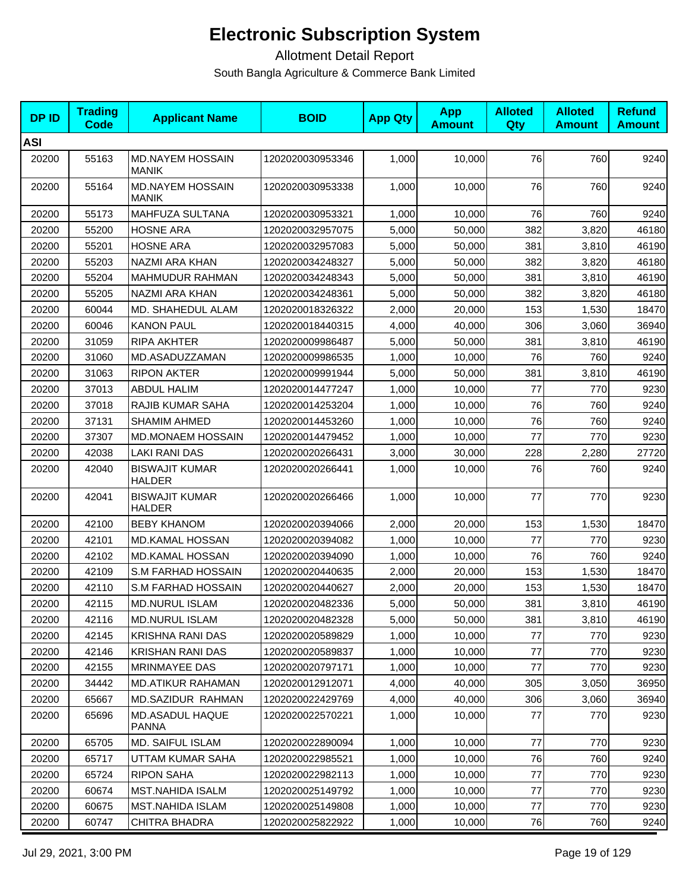| <b>DPID</b> | <b>Trading</b><br><b>Code</b> | <b>Applicant Name</b>                   | <b>BOID</b>      | <b>App Qty</b> | <b>App</b><br><b>Amount</b> | <b>Alloted</b><br>Qty | <b>Alloted</b><br><b>Amount</b> | <b>Refund</b><br><b>Amount</b> |
|-------------|-------------------------------|-----------------------------------------|------------------|----------------|-----------------------------|-----------------------|---------------------------------|--------------------------------|
| <b>ASI</b>  |                               |                                         |                  |                |                             |                       |                                 |                                |
| 20200       | 55163                         | MD.NAYEM HOSSAIN<br><b>MANIK</b>        | 1202020030953346 | 1,000          | 10,000                      | 76                    | 760                             | 9240                           |
| 20200       | 55164                         | <b>MD.NAYEM HOSSAIN</b><br><b>MANIK</b> | 1202020030953338 | 1,000          | 10,000                      | 76                    | 760                             | 9240                           |
| 20200       | 55173                         | MAHFUZA SULTANA                         | 1202020030953321 | 1,000          | 10,000                      | 76                    | 760                             | 9240                           |
| 20200       | 55200                         | <b>HOSNE ARA</b>                        | 1202020032957075 | 5,000          | 50,000                      | 382                   | 3,820                           | 46180                          |
| 20200       | 55201                         | <b>HOSNE ARA</b>                        | 1202020032957083 | 5,000          | 50,000                      | 381                   | 3,810                           | 46190                          |
| 20200       | 55203                         | NAZMI ARA KHAN                          | 1202020034248327 | 5,000          | 50,000                      | 382                   | 3,820                           | 46180                          |
| 20200       | 55204                         | MAHMUDUR RAHMAN                         | 1202020034248343 | 5,000          | 50,000                      | 381                   | 3,810                           | 46190                          |
| 20200       | 55205                         | NAZMI ARA KHAN                          | 1202020034248361 | 5,000          | 50,000                      | 382                   | 3,820                           | 46180                          |
| 20200       | 60044                         | MD. SHAHEDUL ALAM                       | 1202020018326322 | 2,000          | 20,000                      | 153                   | 1,530                           | 18470                          |
| 20200       | 60046                         | <b>KANON PAUL</b>                       | 1202020018440315 | 4,000          | 40,000                      | 306                   | 3,060                           | 36940                          |
| 20200       | 31059                         | <b>RIPA AKHTER</b>                      | 1202020009986487 | 5,000          | 50,000                      | 381                   | 3,810                           | 46190                          |
| 20200       | 31060                         | MD.ASADUZZAMAN                          | 1202020009986535 | 1,000          | 10,000                      | 76                    | 760                             | 9240                           |
| 20200       | 31063                         | <b>RIPON AKTER</b>                      | 1202020009991944 | 5,000          | 50,000                      | 381                   | 3,810                           | 46190                          |
| 20200       | 37013                         | <b>ABDUL HALIM</b>                      | 1202020014477247 | 1,000          | 10,000                      | 77                    | 770                             | 9230                           |
| 20200       | 37018                         | RAJIB KUMAR SAHA                        | 1202020014253204 | 1,000          | 10,000                      | 76                    | 760                             | 9240                           |
| 20200       | 37131                         | <b>SHAMIM AHMED</b>                     | 1202020014453260 | 1,000          | 10,000                      | 76                    | 760                             | 9240                           |
| 20200       | 37307                         | MD.MONAEM HOSSAIN                       | 1202020014479452 | 1,000          | 10,000                      | 77                    | 770                             | 9230                           |
| 20200       | 42038                         | <b>LAKI RANI DAS</b>                    | 1202020020266431 | 3,000          | 30,000                      | 228                   | 2,280                           | 27720                          |
| 20200       | 42040                         | <b>BISWAJIT KUMAR</b><br><b>HALDER</b>  | 1202020020266441 | 1,000          | 10,000                      | 76                    | 760                             | 9240                           |
| 20200       | 42041                         | <b>BISWAJIT KUMAR</b><br><b>HALDER</b>  | 1202020020266466 | 1,000          | 10,000                      | 77                    | 770                             | 9230                           |
| 20200       | 42100                         | <b>BEBY KHANOM</b>                      | 1202020020394066 | 2,000          | 20,000                      | 153                   | 1,530                           | 18470                          |
| 20200       | 42101                         | <b>MD.KAMAL HOSSAN</b>                  | 1202020020394082 | 1,000          | 10,000                      | 77                    | 770                             | 9230                           |
| 20200       | 42102                         | <b>MD.KAMAL HOSSAN</b>                  | 1202020020394090 | 1,000          | 10,000                      | 76                    | 760                             | 9240                           |
| 20200       | 42109                         | S.M FARHAD HOSSAIN                      | 1202020020440635 | 2,000          | 20,000                      | 153                   | 1,530                           | 18470                          |
| 20200       | 42110                         | S.M FARHAD HOSSAIN                      | 1202020020440627 | 2,000          | 20,000                      | 153                   | 1,530                           | 18470                          |
| 20200       | 42115                         | <b>MD.NURUL ISLAM</b>                   | 1202020020482336 | 5,000          | 50,000                      | 381                   | 3,810                           | 46190                          |
| 20200       | 42116                         | <b>MD.NURUL ISLAM</b>                   | 1202020020482328 | 5,000          | 50,000                      | 381                   | 3,810                           | 46190                          |
| 20200       | 42145                         | <b>KRISHNA RANI DAS</b>                 | 1202020020589829 | 1,000          | 10,000                      | 77                    | 770                             | 9230                           |
| 20200       | 42146                         | <b>KRISHAN RANI DAS</b>                 | 1202020020589837 | 1,000          | 10.000                      | 77                    | 770                             | 9230                           |
| 20200       | 42155                         | MRINMAYEE DAS                           | 1202020020797171 | 1,000          | 10,000                      | 77                    | 770                             | 9230                           |
| 20200       | 34442                         | <b>MD.ATIKUR RAHAMAN</b>                | 1202020012912071 | 4,000          | 40,000                      | 305                   | 3,050                           | 36950                          |
| 20200       | 65667                         | MD.SAZIDUR RAHMAN                       | 1202020022429769 | 4,000          | 40,000                      | 306                   | 3,060                           | 36940                          |
| 20200       | 65696                         | MD.ASADUL HAQUE<br><b>PANNA</b>         | 1202020022570221 | 1,000          | 10,000                      | 77                    | 770                             | 9230                           |
| 20200       | 65705                         | MD. SAIFUL ISLAM                        | 1202020022890094 | 1,000          | 10,000                      | 77                    | 770                             | 9230                           |
| 20200       | 65717                         | UTTAM KUMAR SAHA                        | 1202020022985521 | 1,000          | 10,000                      | 76                    | 760                             | 9240                           |
| 20200       | 65724                         | <b>RIPON SAHA</b>                       | 1202020022982113 | 1,000          | 10,000                      | 77                    | 770                             | 9230                           |
| 20200       | 60674                         | <b>MST.NAHIDA ISALM</b>                 | 1202020025149792 | 1,000          | 10,000                      | $77$                  | 770                             | 9230                           |
| 20200       | 60675                         | <b>MST.NAHIDA ISLAM</b>                 | 1202020025149808 | 1,000          | 10,000                      | 77                    | 770                             | 9230                           |
| 20200       | 60747                         | <b>CHITRA BHADRA</b>                    | 1202020025822922 | 1,000          | 10,000                      | 76                    | 760                             | 9240                           |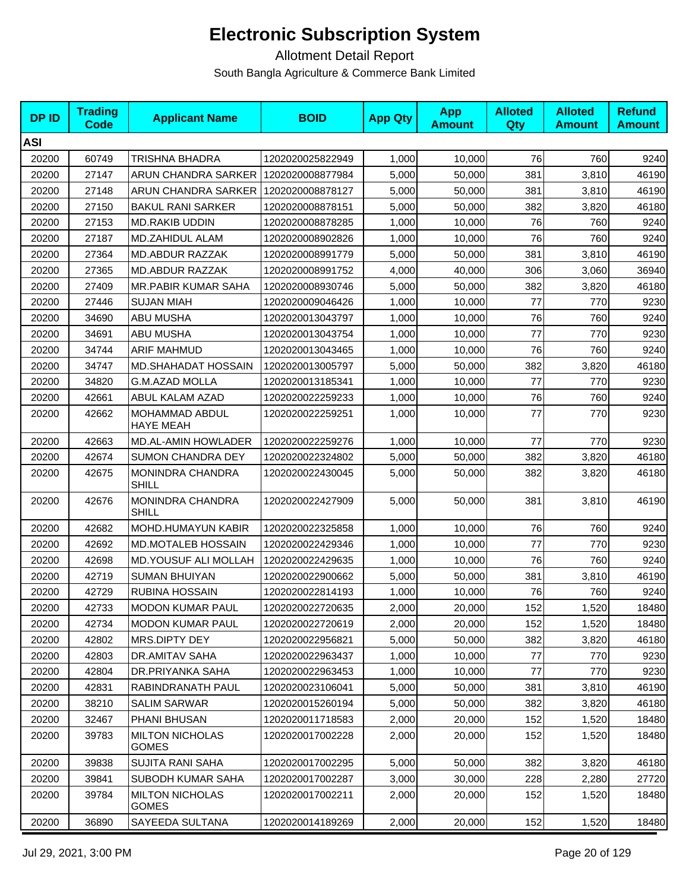| <b>DPID</b> | <b>Trading</b><br>Code | <b>Applicant Name</b>                  | <b>BOID</b>      | <b>App Qty</b> | <b>App</b><br><b>Amount</b> | <b>Alloted</b><br>Qty | <b>Alloted</b><br><b>Amount</b> | <b>Refund</b><br><b>Amount</b> |
|-------------|------------------------|----------------------------------------|------------------|----------------|-----------------------------|-----------------------|---------------------------------|--------------------------------|
| <b>ASI</b>  |                        |                                        |                  |                |                             |                       |                                 |                                |
| 20200       | 60749                  | TRISHNA BHADRA                         | 1202020025822949 | 1,000          | 10,000                      | 76                    | 760                             | 9240                           |
| 20200       | 27147                  | ARUN CHANDRA SARKER                    | 1202020008877984 | 5,000          | 50,000                      | 381                   | 3,810                           | 46190                          |
| 20200       | 27148                  | ARUN CHANDRA SARKER                    | 1202020008878127 | 5,000          | 50,000                      | 381                   | 3,810                           | 46190                          |
| 20200       | 27150                  | <b>BAKUL RANI SARKER</b>               | 1202020008878151 | 5,000          | 50,000                      | 382                   | 3,820                           | 46180                          |
| 20200       | 27153                  | <b>MD.RAKIB UDDIN</b>                  | 1202020008878285 | 1,000          | 10,000                      | 76                    | 760                             | 9240                           |
| 20200       | 27187                  | MD.ZAHIDUL ALAM                        | 1202020008902826 | 1,000          | 10.000                      | 76                    | 760                             | 9240                           |
| 20200       | 27364                  | <b>MD.ABDUR RAZZAK</b>                 | 1202020008991779 | 5,000          | 50,000                      | 381                   | 3,810                           | 46190                          |
| 20200       | 27365                  | <b>MD.ABDUR RAZZAK</b>                 | 1202020008991752 | 4,000          | 40,000                      | 306                   | 3,060                           | 36940                          |
| 20200       | 27409                  | MR.PABIR KUMAR SAHA                    | 1202020008930746 | 5,000          | 50,000                      | 382                   | 3,820                           | 46180                          |
| 20200       | 27446                  | <b>SUJAN MIAH</b>                      | 1202020009046426 | 1,000          | 10,000                      | 77                    | 770                             | 9230                           |
| 20200       | 34690                  | <b>ABU MUSHA</b>                       | 1202020013043797 | 1,000          | 10,000                      | 76                    | 760                             | 9240                           |
| 20200       | 34691                  | <b>ABU MUSHA</b>                       | 1202020013043754 | 1,000          | 10,000                      | 77                    | 770                             | 9230                           |
| 20200       | 34744                  | <b>ARIF MAHMUD</b>                     | 1202020013043465 | 1,000          | 10,000                      | 76                    | 760                             | 9240                           |
| 20200       | 34747                  | <b>MD.SHAHADAT HOSSAIN</b>             | 1202020013005797 | 5,000          | 50,000                      | 382                   | 3,820                           | 46180                          |
| 20200       | 34820                  | <b>G.M.AZAD MOLLA</b>                  | 1202020013185341 | 1,000          | 10,000                      | 77                    | 770                             | 9230                           |
| 20200       | 42661                  | ABUL KALAM AZAD                        | 1202020022259233 | 1,000          | 10,000                      | 76                    | 760                             | 9240                           |
| 20200       | 42662                  | MOHAMMAD ABDUL<br><b>HAYE MEAH</b>     | 1202020022259251 | 1,000          | 10,000                      | 77                    | 770                             | 9230                           |
| 20200       | 42663                  | MD.AL-AMIN HOWLADER                    | 1202020022259276 | 1,000          | 10,000                      | 77                    | 770                             | 9230                           |
| 20200       | 42674                  | <b>SUMON CHANDRA DEY</b>               | 1202020022324802 | 5,000          | 50,000                      | 382                   | 3,820                           | 46180                          |
| 20200       | 42675                  | MONINDRA CHANDRA<br><b>SHILL</b>       | 1202020022430045 | 5,000          | 50,000                      | 382                   | 3,820                           | 46180                          |
| 20200       | 42676                  | MONINDRA CHANDRA<br><b>SHILL</b>       | 1202020022427909 | 5,000          | 50,000                      | 381                   | 3,810                           | 46190                          |
| 20200       | 42682                  | MOHD.HUMAYUN KABIR                     | 1202020022325858 | 1,000          | 10,000                      | 76                    | 760                             | 9240                           |
| 20200       | 42692                  | MD.MOTALEB HOSSAIN                     | 1202020022429346 | 1,000          | 10,000                      | 77                    | 770                             | 9230                           |
| 20200       | 42698                  | MD.YOUSUF ALI MOLLAH                   | 1202020022429635 | 1,000          | 10,000                      | 76                    | 760                             | 9240                           |
| 20200       | 42719                  | <b>SUMAN BHUIYAN</b>                   | 1202020022900662 | 5,000          | 50,000                      | 381                   | 3,810                           | 46190                          |
| 20200       | 42729                  | <b>RUBINA HOSSAIN</b>                  | 1202020022814193 | 1,000          | 10,000                      | 76                    | 760                             | 9240                           |
| 20200       | 42733                  | <b>MODON KUMAR PAUL</b>                | 1202020022720635 | 2,000          | 20,000                      | 152                   | 1,520                           | 18480                          |
| 20200       | 42734                  | <b>MODON KUMAR PAUL</b>                | 1202020022720619 | 2,000          | 20,000                      | 152                   | 1,520                           | 18480                          |
| 20200       | 42802                  | MRS.DIPTY DEY                          | 1202020022956821 | 5,000          | 50,000                      | 382                   | 3,820                           | 46180                          |
| 20200       | 42803                  | DR.AMITAV SAHA                         | 1202020022963437 | 1,000          | 10,000                      | 77                    | 770                             | 9230                           |
| 20200       | 42804                  | DR.PRIYANKA SAHA                       | 1202020022963453 | 1,000          | 10,000                      | 77                    | 770                             | 9230                           |
| 20200       | 42831                  | RABINDRANATH PAUL                      | 1202020023106041 | 5,000          | 50,000                      | 381                   | 3,810                           | 46190                          |
| 20200       | 38210                  | <b>SALIM SARWAR</b>                    | 1202020015260194 | 5,000          | 50,000                      | 382                   | 3,820                           | 46180                          |
| 20200       | 32467                  | PHANI BHUSAN                           | 1202020011718583 | 2,000          | 20,000                      | 152                   | 1,520                           | 18480                          |
| 20200       | 39783                  | <b>MILTON NICHOLAS</b><br><b>GOMES</b> | 1202020017002228 | 2,000          | 20,000                      | 152                   | 1,520                           | 18480                          |
| 20200       | 39838                  | <b>SUJITA RANI SAHA</b>                | 1202020017002295 | 5,000          | 50,000                      | 382                   | 3,820                           | 46180                          |
| 20200       | 39841                  | SUBODH KUMAR SAHA                      | 1202020017002287 | 3,000          | 30,000                      | 228                   | 2,280                           | 27720                          |
| 20200       | 39784                  | <b>MILTON NICHOLAS</b><br><b>GOMES</b> | 1202020017002211 | 2,000          | 20,000                      | 152                   | 1,520                           | 18480                          |
| 20200       | 36890                  | SAYEEDA SULTANA                        | 1202020014189269 | 2,000          | 20,000                      | 152                   | 1,520                           | 18480                          |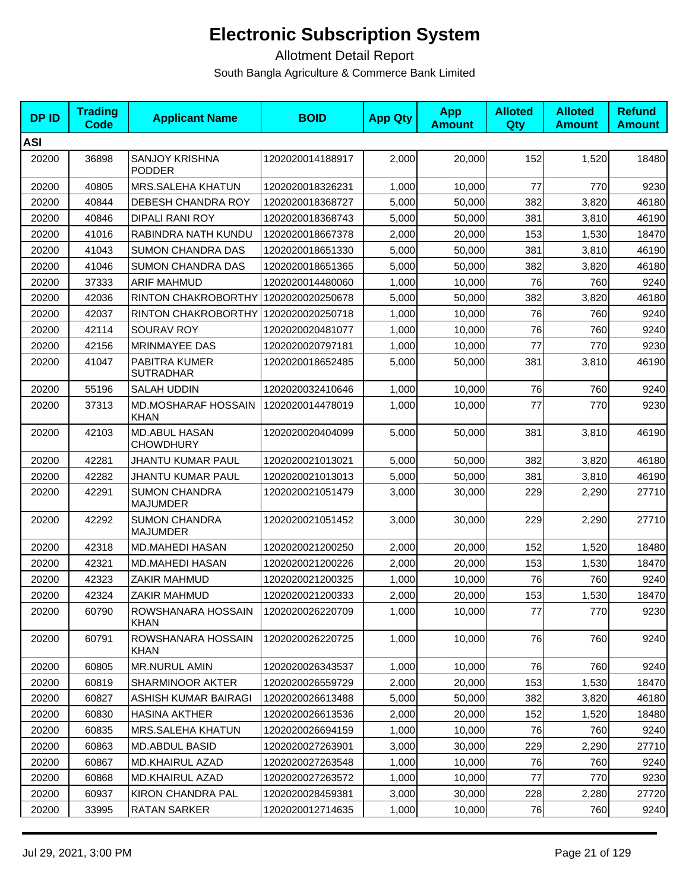| <b>DPID</b> | <b>Trading</b><br><b>Code</b> | <b>Applicant Name</b>                     | <b>BOID</b>      | <b>App Qty</b> | <b>App</b><br><b>Amount</b> | <b>Alloted</b><br><b>Qty</b> | <b>Alloted</b><br><b>Amount</b> | <b>Refund</b><br><b>Amount</b> |
|-------------|-------------------------------|-------------------------------------------|------------------|----------------|-----------------------------|------------------------------|---------------------------------|--------------------------------|
| <b>ASI</b>  |                               |                                           |                  |                |                             |                              |                                 |                                |
| 20200       | 36898                         | <b>SANJOY KRISHNA</b><br><b>PODDER</b>    | 1202020014188917 | 2,000          | 20,000                      | 152                          | 1,520                           | 18480                          |
| 20200       | 40805                         | <b>MRS.SALEHA KHATUN</b>                  | 1202020018326231 | 1,000          | 10,000                      | 77                           | 770                             | 9230                           |
| 20200       | 40844                         | DEBESH CHANDRA ROY                        | 1202020018368727 | 5,000          | 50,000                      | 382                          | 3,820                           | 46180                          |
| 20200       | 40846                         | <b>DIPALI RANI ROY</b>                    | 1202020018368743 | 5,000          | 50,000                      | 381                          | 3,810                           | 46190                          |
| 20200       | 41016                         | RABINDRA NATH KUNDU                       | 1202020018667378 | 2,000          | 20,000                      | 153                          | 1,530                           | 18470                          |
| 20200       | 41043                         | <b>SUMON CHANDRA DAS</b>                  | 1202020018651330 | 5.000          | 50,000                      | 381                          | 3,810                           | 46190                          |
| 20200       | 41046                         | <b>SUMON CHANDRA DAS</b>                  | 1202020018651365 | 5,000          | 50,000                      | 382                          | 3,820                           | 46180                          |
| 20200       | 37333                         | <b>ARIF MAHMUD</b>                        | 1202020014480060 | 1,000          | 10,000                      | 76                           | 760                             | 9240                           |
| 20200       | 42036                         | RINTON CHAKROBORTHY 1202020020250678      |                  | 5,000          | 50,000                      | 382                          | 3,820                           | 46180                          |
| 20200       | 42037                         | RINTON CHAKROBORTHY                       | 1202020020250718 | 1,000          | 10,000                      | 76                           | 760                             | 9240                           |
| 20200       | 42114                         | SOURAV ROY                                | 1202020020481077 | 1,000          | 10,000                      | 76                           | 760                             | 9240                           |
| 20200       | 42156                         | MRINMAYEE DAS                             | 1202020020797181 | 1,000          | 10,000                      | 77                           | 770                             | 9230                           |
| 20200       | 41047                         | PABITRA KUMER<br><b>SUTRADHAR</b>         | 1202020018652485 | 5,000          | 50,000                      | 381                          | 3,810                           | 46190                          |
| 20200       | 55196                         | <b>SALAH UDDIN</b>                        | 1202020032410646 | 1,000          | 10,000                      | 76                           | 760                             | 9240                           |
| 20200       | 37313                         | <b>MD.MOSHARAF HOSSAIN</b><br><b>KHAN</b> | 1202020014478019 | 1,000          | 10,000                      | 77                           | 770                             | 9230                           |
| 20200       | 42103                         | <b>MD.ABUL HASAN</b><br><b>CHOWDHURY</b>  | 1202020020404099 | 5,000          | 50,000                      | 381                          | 3,810                           | 46190                          |
| 20200       | 42281                         | JHANTU KUMAR PAUL                         | 1202020021013021 | 5,000          | 50,000                      | 382                          | 3,820                           | 46180                          |
| 20200       | 42282                         | <b>JHANTU KUMAR PAUL</b>                  | 1202020021013013 | 5,000          | 50,000                      | 381                          | 3,810                           | 46190                          |
| 20200       | 42291                         | <b>SUMON CHANDRA</b><br><b>MAJUMDER</b>   | 1202020021051479 | 3,000          | 30,000                      | 229                          | 2,290                           | 27710                          |
| 20200       | 42292                         | <b>SUMON CHANDRA</b><br><b>MAJUMDER</b>   | 1202020021051452 | 3,000          | 30,000                      | 229                          | 2,290                           | 27710                          |
| 20200       | 42318                         | <b>MD.MAHEDI HASAN</b>                    | 1202020021200250 | 2,000          | 20,000                      | 152                          | 1,520                           | 18480                          |
| 20200       | 42321                         | <b>MD.MAHEDI HASAN</b>                    | 1202020021200226 | 2,000          | 20,000                      | 153                          | 1,530                           | 18470                          |
| 20200       | 42323                         | ZAKIR MAHMUD                              | 1202020021200325 | 1,000          | 10,000                      | 76                           | 760                             | 9240                           |
| 20200       | 42324                         | ZAKIR MAHMUD                              | 1202020021200333 | 2,000          | 20,000                      | 153                          | 1,530                           | 18470                          |
| 20200       | 60790                         | ROWSHANARA HOSSAIN<br><b>KHAN</b>         | 1202020026220709 | 1,000          | 10,000                      | 77                           | 770                             | 9230                           |
| 20200       | 60791                         | ROWSHANARA HOSSAIN<br><b>KHAN</b>         | 1202020026220725 | 1,000          | 10,000                      | 76                           | 760                             | 9240                           |
| 20200       | 60805                         | MR.NURUL AMIN                             | 1202020026343537 | 1,000          | 10,000                      | 76                           | 760                             | 9240                           |
| 20200       | 60819                         | <b>SHARMINOOR AKTER</b>                   | 1202020026559729 | 2,000          | 20,000                      | 153                          | 1,530                           | 18470                          |
| 20200       | 60827                         | ASHISH KUMAR BAIRAGI                      | 1202020026613488 | 5,000          | 50,000                      | 382                          | 3,820                           | 46180                          |
| 20200       | 60830                         | <b>HASINA AKTHER</b>                      | 1202020026613536 | 2,000          | 20,000                      | 152                          | 1,520                           | 18480                          |
| 20200       | 60835                         | <b>MRS.SALEHA KHATUN</b>                  | 1202020026694159 | 1,000          | 10,000                      | 76                           | 760                             | 9240                           |
| 20200       | 60863                         | <b>MD.ABDUL BASID</b>                     | 1202020027263901 | 3,000          | 30,000                      | 229                          | 2,290                           | 27710                          |
| 20200       | 60867                         | <b>MD.KHAIRUL AZAD</b>                    | 1202020027263548 | 1,000          | 10,000                      | 76                           | 760                             | 9240                           |
| 20200       | 60868                         | <b>MD.KHAIRUL AZAD</b>                    | 1202020027263572 | 1,000          | 10,000                      | 77                           | 770                             | 9230                           |
| 20200       | 60937                         | <b>KIRON CHANDRA PAL</b>                  | 1202020028459381 | 3,000          | 30,000                      | 228                          | 2,280                           | 27720                          |
| 20200       | 33995                         | RATAN SARKER                              | 1202020012714635 | 1,000          | 10,000                      | 76                           | 760                             | 9240                           |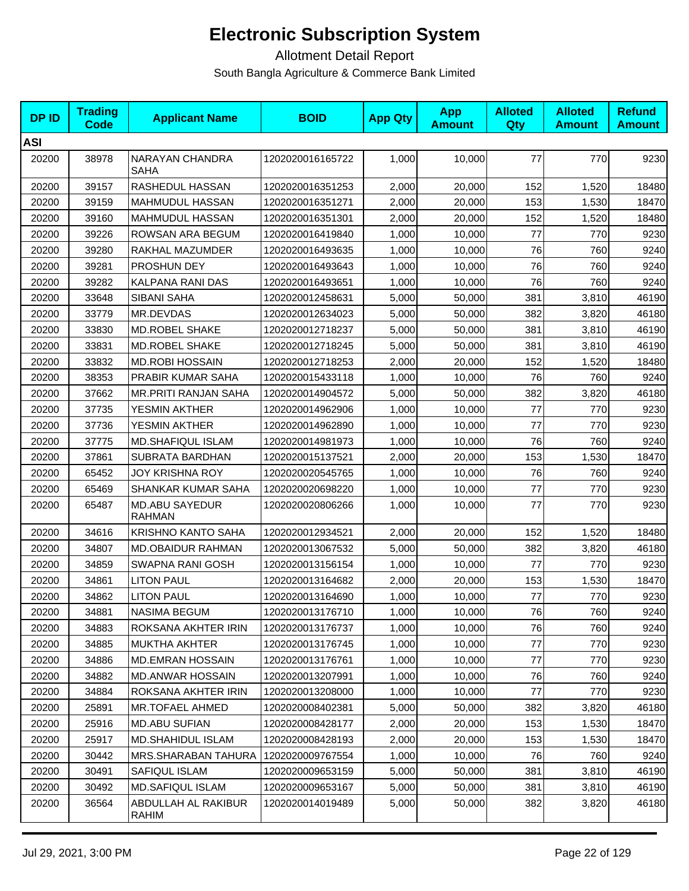| <b>DPID</b> | <b>Trading</b><br><b>Code</b> | <b>Applicant Name</b>                  | <b>BOID</b>      | <b>App Qty</b> | <b>App</b><br><b>Amount</b> | <b>Alloted</b><br>Qty | <b>Alloted</b><br><b>Amount</b> | <b>Refund</b><br><b>Amount</b> |
|-------------|-------------------------------|----------------------------------------|------------------|----------------|-----------------------------|-----------------------|---------------------------------|--------------------------------|
| <b>ASI</b>  |                               |                                        |                  |                |                             |                       |                                 |                                |
| 20200       | 38978                         | NARAYAN CHANDRA<br>SAHA                | 1202020016165722 | 1,000          | 10,000                      | 77                    | 770                             | 9230                           |
| 20200       | 39157                         | RASHEDUL HASSAN                        | 1202020016351253 | 2,000          | 20,000                      | 152                   | 1,520                           | 18480                          |
| 20200       | 39159                         | MAHMUDUL HASSAN                        | 1202020016351271 | 2,000          | 20,000                      | 153                   | 1,530                           | 18470                          |
| 20200       | 39160                         | MAHMUDUL HASSAN                        | 1202020016351301 | 2,000          | 20,000                      | 152                   | 1,520                           | 18480                          |
| 20200       | 39226                         | ROWSAN ARA BEGUM                       | 1202020016419840 | 1,000          | 10,000                      | 77                    | 770                             | 9230                           |
| 20200       | 39280                         | RAKHAL MAZUMDER                        | 1202020016493635 | 1,000          | 10,000                      | 76                    | 760                             | 9240                           |
| 20200       | 39281                         | PROSHUN DEY                            | 1202020016493643 | 1,000          | 10,000                      | 76                    | 760                             | 9240                           |
| 20200       | 39282                         | KALPANA RANI DAS                       | 1202020016493651 | 1,000          | 10,000                      | 76                    | 760                             | 9240                           |
| 20200       | 33648                         | SIBANI SAHA                            | 1202020012458631 | 5,000          | 50,000                      | 381                   | 3,810                           | 46190                          |
| 20200       | 33779                         | MR.DEVDAS                              | 1202020012634023 | 5,000          | 50,000                      | 382                   | 3,820                           | 46180                          |
| 20200       | 33830                         | MD.ROBEL SHAKE                         | 1202020012718237 | 5,000          | 50,000                      | 381                   | 3,810                           | 46190                          |
| 20200       | 33831                         | MD.ROBEL SHAKE                         | 1202020012718245 | 5,000          | 50,000                      | 381                   | 3,810                           | 46190                          |
| 20200       | 33832                         | <b>MD.ROBI HOSSAIN</b>                 | 1202020012718253 | 2,000          | 20,000                      | 152                   | 1,520                           | 18480                          |
| 20200       | 38353                         | PRABIR KUMAR SAHA                      | 1202020015433118 | 1,000          | 10,000                      | 76                    | 760                             | 9240                           |
| 20200       | 37662                         | <b>MR.PRITI RANJAN SAHA</b>            | 1202020014904572 | 5,000          | 50,000                      | 382                   | 3,820                           | 46180                          |
| 20200       | 37735                         | YESMIN AKTHER                          | 1202020014962906 | 1,000          | 10,000                      | 77                    | 770                             | 9230                           |
| 20200       | 37736                         | YESMIN AKTHER                          | 1202020014962890 | 1,000          | 10,000                      | 77                    | 770                             | 9230                           |
| 20200       | 37775                         | MD.SHAFIQUL ISLAM                      | 1202020014981973 | 1,000          | 10,000                      | 76                    | 760                             | 9240                           |
| 20200       | 37861                         | SUBRATA BARDHAN                        | 1202020015137521 | 2,000          | 20,000                      | 153                   | 1,530                           | 18470                          |
| 20200       | 65452                         | <b>JOY KRISHNA ROY</b>                 | 1202020020545765 | 1,000          | 10,000                      | 76                    | 760                             | 9240                           |
| 20200       | 65469                         | SHANKAR KUMAR SAHA                     | 1202020020698220 | 1,000          | 10,000                      | 77                    | 770                             | 9230                           |
| 20200       | 65487                         | <b>MD.ABU SAYEDUR</b><br><b>RAHMAN</b> | 1202020020806266 | 1,000          | 10,000                      | 77                    | 770                             | 9230                           |
| 20200       | 34616                         | <b>KRISHNO KANTO SAHA</b>              | 1202020012934521 | 2,000          | 20,000                      | 152                   | 1,520                           | 18480                          |
| 20200       | 34807                         | MD.OBAIDUR RAHMAN                      | 1202020013067532 | 5,000          | 50,000                      | 382                   | 3,820                           | 46180                          |
| 20200       | 34859                         | SWAPNA RANI GOSH                       | 1202020013156154 | 1,000          | 10,000                      | 77                    | 770                             | 9230                           |
| 20200       | 34861                         | <b>LITON PAUL</b>                      | 1202020013164682 | 2,000          | 20,000                      | 153                   | 1,530                           | 18470                          |
| 20200       | 34862                         | <b>LITON PAUL</b>                      | 1202020013164690 | 1,000          | 10,000                      | 77                    | 770                             | 9230                           |
| 20200       | 34881                         | <b>NASIMA BEGUM</b>                    | 1202020013176710 | 1,000          | 10,000                      | 76                    | 760                             | 9240                           |
| 20200       | 34883                         | ROKSANA AKHTER IRIN                    | 1202020013176737 | 1,000          | 10,000                      | 76                    | 760                             | 9240                           |
| 20200       | 34885                         | <b>MUKTHA AKHTER</b>                   | 1202020013176745 | 1,000          | 10,000                      | $77$                  | 770                             | 9230                           |
| 20200       | 34886                         | <b>MD.EMRAN HOSSAIN</b>                | 1202020013176761 | 1,000          | 10,000                      | 77                    | 770                             | 9230                           |
| 20200       | 34882                         | <b>MD.ANWAR HOSSAIN</b>                | 1202020013207991 | 1,000          | 10,000                      | 76                    | 760                             | 9240                           |
| 20200       | 34884                         | ROKSANA AKHTER IRIN                    | 1202020013208000 | 1,000          | 10,000                      | 77                    | 770                             | 9230                           |
| 20200       | 25891                         | <b>MR.TOFAEL AHMED</b>                 | 1202020008402381 | 5,000          | 50,000                      | 382                   | 3,820                           | 46180                          |
| 20200       | 25916                         | <b>MD.ABU SUFIAN</b>                   | 1202020008428177 | 2,000          | 20,000                      | 153                   | 1,530                           | 18470                          |
| 20200       | 25917                         | <b>MD.SHAHIDUL ISLAM</b>               | 1202020008428193 | 2,000          | 20,000                      | 153                   | 1,530                           | 18470                          |
| 20200       | 30442                         | MRS.SHARABAN TAHURA                    | 1202020009767554 | 1,000          | 10,000                      | 76                    | 760                             | 9240                           |
| 20200       | 30491                         | SAFIQUL ISLAM                          | 1202020009653159 | 5,000          | 50,000                      | 381                   | 3,810                           | 46190                          |
| 20200       | 30492                         | <b>MD.SAFIQUL ISLAM</b>                | 1202020009653167 | 5,000          | 50,000                      | 381                   | 3,810                           | 46190                          |
| 20200       | 36564                         | ABDULLAH AL RAKIBUR<br>RAHIM           | 1202020014019489 | 5,000          | 50,000                      | 382                   | 3,820                           | 46180                          |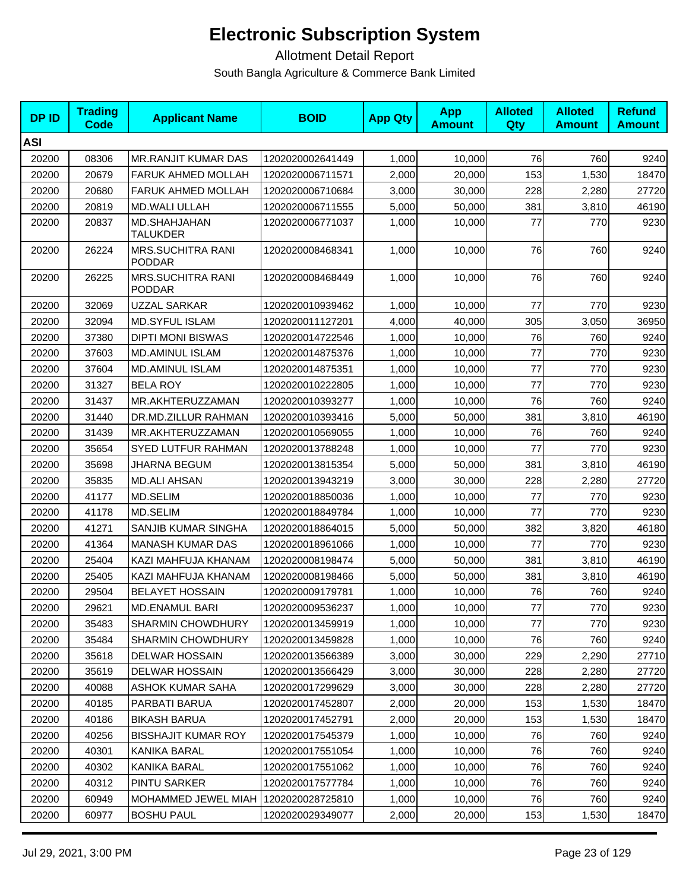| <b>DPID</b> | <b>Trading</b><br>Code | <b>Applicant Name</b>                     | <b>BOID</b>      | <b>App Qty</b> | <b>App</b><br><b>Amount</b> | <b>Alloted</b><br>Qty | <b>Alloted</b><br><b>Amount</b> | <b>Refund</b><br><b>Amount</b> |
|-------------|------------------------|-------------------------------------------|------------------|----------------|-----------------------------|-----------------------|---------------------------------|--------------------------------|
| <b>ASI</b>  |                        |                                           |                  |                |                             |                       |                                 |                                |
| 20200       | 08306                  | <b>MR.RANJIT KUMAR DAS</b>                | 1202020002641449 | 1,000          | 10,000                      | 76                    | 760                             | 9240                           |
| 20200       | 20679                  | FARUK AHMED MOLLAH                        | 1202020006711571 | 2,000          | 20,000                      | 153                   | 1,530                           | 18470                          |
| 20200       | 20680                  | FARUK AHMED MOLLAH                        | 1202020006710684 | 3,000          | 30,000                      | 228                   | 2,280                           | 27720                          |
| 20200       | 20819                  | <b>MD.WALI ULLAH</b>                      | 1202020006711555 | 5,000          | 50,000                      | 381                   | 3,810                           | 46190                          |
| 20200       | 20837                  | MD.SHAHJAHAN<br><b>TALUKDER</b>           | 1202020006771037 | 1.000          | 10.000                      | 77                    | 770                             | 9230                           |
| 20200       | 26224                  | <b>MRS.SUCHITRA RANI</b><br><b>PODDAR</b> | 1202020008468341 | 1,000          | 10,000                      | 76                    | 760                             | 9240                           |
| 20200       | 26225                  | <b>MRS.SUCHITRA RANI</b><br><b>PODDAR</b> | 1202020008468449 | 1,000          | 10,000                      | 76                    | 760                             | 9240                           |
| 20200       | 32069                  | UZZAL SARKAR                              | 1202020010939462 | 1,000          | 10,000                      | 77                    | 770                             | 9230                           |
| 20200       | 32094                  | <b>MD.SYFUL ISLAM</b>                     | 1202020011127201 | 4,000          | 40,000                      | 305                   | 3,050                           | 36950                          |
| 20200       | 37380                  | <b>DIPTI MONI BISWAS</b>                  | 1202020014722546 | 1,000          | 10,000                      | 76                    | 760                             | 9240                           |
| 20200       | 37603                  | <b>MD.AMINUL ISLAM</b>                    | 1202020014875376 | 1,000          | 10,000                      | 77                    | 770                             | 9230                           |
| 20200       | 37604                  | <b>MD.AMINUL ISLAM</b>                    | 1202020014875351 | 1,000          | 10,000                      | 77                    | 770                             | 9230                           |
| 20200       | 31327                  | <b>BELA ROY</b>                           | 1202020010222805 | 1,000          | 10,000                      | 77                    | 770                             | 9230                           |
| 20200       | 31437                  | MR.AKHTERUZZAMAN                          | 1202020010393277 | 1,000          | 10.000                      | 76                    | 760                             | 9240                           |
| 20200       | 31440                  | DR.MD.ZILLUR RAHMAN                       | 1202020010393416 | 5,000          | 50,000                      | 381                   | 3,810                           | 46190                          |
| 20200       | 31439                  | MR.AKHTERUZZAMAN                          | 1202020010569055 | 1,000          | 10,000                      | 76                    | 760                             | 9240                           |
| 20200       | 35654                  | <b>SYED LUTFUR RAHMAN</b>                 | 1202020013788248 | 1,000          | 10,000                      | 77                    | 770                             | 9230                           |
| 20200       | 35698                  | JHARNA BEGUM                              | 1202020013815354 | 5,000          | 50,000                      | 381                   | 3,810                           | 46190                          |
| 20200       | 35835                  | <b>MD.ALI AHSAN</b>                       | 1202020013943219 | 3,000          | 30,000                      | 228                   | 2,280                           | 27720                          |
| 20200       | 41177                  | MD.SELIM                                  | 1202020018850036 | 1,000          | 10,000                      | 77                    | 770                             | 9230                           |
| 20200       | 41178                  | MD.SELIM                                  | 1202020018849784 | 1,000          | 10,000                      | 77                    | 770                             | 9230                           |
| 20200       | 41271                  | SANJIB KUMAR SINGHA                       | 1202020018864015 | 5,000          | 50,000                      | 382                   | 3,820                           | 46180                          |
| 20200       | 41364                  | <b>MANASH KUMAR DAS</b>                   | 1202020018961066 | 1,000          | 10,000                      | 77                    | 770                             | 9230                           |
| 20200       | 25404                  | KAZI MAHFUJA KHANAM                       | 1202020008198474 | 5,000          | 50,000                      | 381                   | 3,810                           | 46190                          |
| 20200       | 25405                  | KAZI MAHFUJA KHANAM                       | 1202020008198466 | 5,000          | 50,000                      | 381                   | 3,810                           | 46190                          |
| 20200       | 29504                  | <b>BELAYET HOSSAIN</b>                    | 1202020009179781 | 1,000          | 10,000                      | 76                    | 760                             | 9240                           |
| 20200       | 29621                  | MD.ENAMUL BARI                            | 1202020009536237 | 1,000          | 10,000                      | 77                    | 770                             | 9230                           |
| 20200       | 35483                  | <b>SHARMIN CHOWDHURY</b>                  | 1202020013459919 | 1,000          | 10,000                      | 77                    | 770                             | 9230                           |
| 20200       | 35484                  | <b>SHARMIN CHOWDHURY</b>                  | 1202020013459828 | 1,000          | 10,000                      | 76                    | 760                             | 9240                           |
| 20200       | 35618                  | <b>DELWAR HOSSAIN</b>                     | 1202020013566389 | 3,000          | 30,000                      | 229                   | 2,290                           | 27710                          |
| 20200       | 35619                  | <b>DELWAR HOSSAIN</b>                     | 1202020013566429 | 3,000          | 30,000                      | 228                   | 2,280                           | 27720                          |
| 20200       | 40088                  | ASHOK KUMAR SAHA                          | 1202020017299629 | 3,000          | 30,000                      | 228                   | 2,280                           | 27720                          |
| 20200       | 40185                  | PARBATI BARUA                             | 1202020017452807 | 2,000          | 20,000                      | 153                   | 1,530                           | 18470                          |
| 20200       | 40186                  | <b>BIKASH BARUA</b>                       | 1202020017452791 | 2,000          | 20,000                      | 153                   | 1,530                           | 18470                          |
| 20200       | 40256                  | <b>BISSHAJIT KUMAR ROY</b>                | 1202020017545379 | 1,000          | 10,000                      | 76                    | 760                             | 9240                           |
| 20200       | 40301                  | KANIKA BARAL                              | 1202020017551054 | 1,000          | 10,000                      | 76                    | 760                             | 9240                           |
| 20200       | 40302                  | KANIKA BARAL                              | 1202020017551062 | 1,000          | 10,000                      | 76                    | 760                             | 9240                           |
| 20200       | 40312                  | PINTU SARKER                              | 1202020017577784 | 1,000          | 10,000                      | 76                    | 760                             | 9240                           |
| 20200       | 60949                  | MOHAMMED JEWEL MIAH                       | 1202020028725810 | 1,000          | 10,000                      | 76                    | 760                             | 9240                           |
| 20200       | 60977                  | <b>BOSHU PAUL</b>                         | 1202020029349077 | 2,000          | 20,000                      | 153                   | 1,530                           | 18470                          |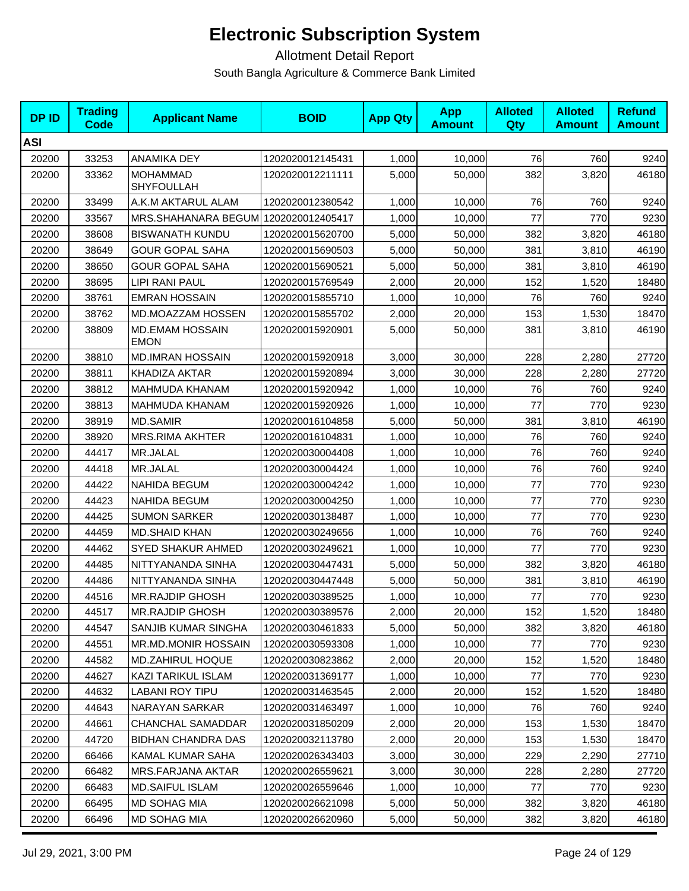| <b>DPID</b> | <b>Trading</b><br><b>Code</b> | <b>Applicant Name</b>                 | <b>BOID</b>      | <b>App Qty</b> | <b>App</b><br><b>Amount</b> | <b>Alloted</b><br>Qty | <b>Alloted</b><br><b>Amount</b> | <b>Refund</b><br><b>Amount</b> |
|-------------|-------------------------------|---------------------------------------|------------------|----------------|-----------------------------|-----------------------|---------------------------------|--------------------------------|
| <b>ASI</b>  |                               |                                       |                  |                |                             |                       |                                 |                                |
| 20200       | 33253                         | ANAMIKA DEY                           | 1202020012145431 | 1,000          | 10,000                      | 76                    | 760                             | 9240                           |
| 20200       | 33362                         | <b>MOHAMMAD</b><br><b>SHYFOULLAH</b>  | 1202020012211111 | 5,000          | 50,000                      | 382                   | 3,820                           | 46180                          |
| 20200       | 33499                         | A.K.M AKTARUL ALAM                    | 1202020012380542 | 1,000          | 10,000                      | 76                    | 760                             | 9240                           |
| 20200       | 33567                         | MRS.SHAHANARA BEGUM 1202020012405417  |                  | 1,000          | 10,000                      | 77                    | 770                             | 9230                           |
| 20200       | 38608                         | <b>BISWANATH KUNDU</b>                | 1202020015620700 | 5,000          | 50,000                      | 382                   | 3,820                           | 46180                          |
| 20200       | 38649                         | <b>GOUR GOPAL SAHA</b>                | 1202020015690503 | 5,000          | 50,000                      | 381                   | 3,810                           | 46190                          |
| 20200       | 38650                         | <b>GOUR GOPAL SAHA</b>                | 1202020015690521 | 5,000          | 50,000                      | 381                   | 3,810                           | 46190                          |
| 20200       | 38695                         | <b>LIPI RANI PAUL</b>                 | 1202020015769549 | 2,000          | 20,000                      | 152                   | 1,520                           | 18480                          |
| 20200       | 38761                         | <b>EMRAN HOSSAIN</b>                  | 1202020015855710 | 1,000          | 10,000                      | 76                    | 760                             | 9240                           |
| 20200       | 38762                         | MD.MOAZZAM HOSSEN                     | 1202020015855702 | 2,000          | 20,000                      | 153                   | 1,530                           | 18470                          |
| 20200       | 38809                         | <b>MD.EMAM HOSSAIN</b><br><b>EMON</b> | 1202020015920901 | 5,000          | 50,000                      | 381                   | 3,810                           | 46190                          |
| 20200       | 38810                         | <b>MD.IMRAN HOSSAIN</b>               | 1202020015920918 | 3,000          | 30,000                      | 228                   | 2,280                           | 27720                          |
| 20200       | 38811                         | KHADIZA AKTAR                         | 1202020015920894 | 3,000          | 30,000                      | 228                   | 2,280                           | 27720                          |
| 20200       | 38812                         | MAHMUDA KHANAM                        | 1202020015920942 | 1,000          | 10,000                      | 76                    | 760                             | 9240                           |
| 20200       | 38813                         | MAHMUDA KHANAM                        | 1202020015920926 | 1,000          | 10,000                      | 77                    | 770                             | 9230                           |
| 20200       | 38919                         | <b>MD.SAMIR</b>                       | 1202020016104858 | 5,000          | 50,000                      | 381                   | 3,810                           | 46190                          |
| 20200       | 38920                         | MRS.RIMA AKHTER                       | 1202020016104831 | 1,000          | 10,000                      | 76                    | 760                             | 9240                           |
| 20200       | 44417                         | MR.JALAL                              | 1202020030004408 | 1,000          | 10,000                      | 76                    | 760                             | 9240                           |
| 20200       | 44418                         | MR.JALAL                              | 1202020030004424 | 1,000          | 10,000                      | 76                    | 760                             | 9240                           |
| 20200       | 44422                         | <b>NAHIDA BEGUM</b>                   | 1202020030004242 | 1,000          | 10,000                      | 77                    | 770                             | 9230                           |
| 20200       | 44423                         | <b>NAHIDA BEGUM</b>                   | 1202020030004250 | 1,000          | 10,000                      | 77                    | 770                             | 9230                           |
| 20200       | 44425                         | <b>SUMON SARKER</b>                   | 1202020030138487 | 1,000          | 10,000                      | 77                    | 770                             | 9230                           |
| 20200       | 44459                         | <b>MD.SHAID KHAN</b>                  | 1202020030249656 | 1,000          | 10,000                      | 76                    | 760                             | 9240                           |
| 20200       | 44462                         | <b>SYED SHAKUR AHMED</b>              | 1202020030249621 | 1,000          | 10,000                      | 77                    | 770                             | 9230                           |
| 20200       | 44485                         | NITTYANANDA SINHA                     | 1202020030447431 | 5,000          | 50,000                      | 382                   | 3,820                           | 46180                          |
| 20200       | 44486                         | NITTYANANDA SINHA                     | 1202020030447448 | 5,000          | 50,000                      | 381                   | 3,810                           | 46190                          |
| 20200       | 44516                         | <b>MR.RAJDIP GHOSH</b>                | 1202020030389525 | 1,000          | 10,000                      | 77                    | 770                             | 9230                           |
| 20200       | 44517                         | <b>MR.RAJDIP GHOSH</b>                | 1202020030389576 | 2,000          | 20,000                      | 152                   | 1,520                           | 18480                          |
| 20200       | 44547                         | SANJIB KUMAR SINGHA                   | 1202020030461833 | 5,000          | 50.000                      | 382                   | 3,820                           | 46180                          |
| 20200       | 44551                         | <b>MR.MD.MONIR HOSSAIN</b>            | 1202020030593308 | 1,000          | 10,000                      | 77                    | 770                             | 9230                           |
| 20200       | 44582                         | <b>MD.ZAHIRUL HOQUE</b>               | 1202020030823862 | 2,000          | 20,000                      | 152                   | 1,520                           | 18480                          |
| 20200       | 44627                         | KAZI TARIKUL ISLAM                    | 1202020031369177 | 1,000          | 10,000                      | 77                    | 770                             | 9230                           |
| 20200       | 44632                         | LABANI ROY TIPU                       | 1202020031463545 | 2,000          | 20,000                      | 152                   | 1,520                           | 18480                          |
| 20200       | 44643                         | <b>NARAYAN SARKAR</b>                 | 1202020031463497 | 1,000          | 10.000                      | 76                    | 760                             | 9240                           |
| 20200       | 44661                         | CHANCHAL SAMADDAR                     | 1202020031850209 | 2,000          | 20,000                      | 153                   | 1,530                           | 18470                          |
| 20200       | 44720                         | <b>BIDHAN CHANDRA DAS</b>             | 1202020032113780 | 2,000          | 20,000                      | 153                   | 1,530                           | 18470                          |
| 20200       | 66466                         | KAMAL KUMAR SAHA                      | 1202020026343403 | 3,000          | 30,000                      | 229                   | 2,290                           | 27710                          |
| 20200       | 66482                         | MRS.FARJANA AKTAR                     | 1202020026559621 | 3,000          | 30,000                      | 228                   | 2,280                           | 27720                          |
| 20200       | 66483                         | <b>MD.SAIFUL ISLAM</b>                | 1202020026559646 | 1,000          | 10,000                      | 77                    | 770                             | 9230                           |
| 20200       | 66495                         | <b>MD SOHAG MIA</b>                   | 1202020026621098 | 5,000          | 50,000                      | 382                   | 3,820                           | 46180                          |
| 20200       | 66496                         | MD SOHAG MIA                          | 1202020026620960 | 5,000          | 50,000                      | 382                   | 3,820                           | 46180                          |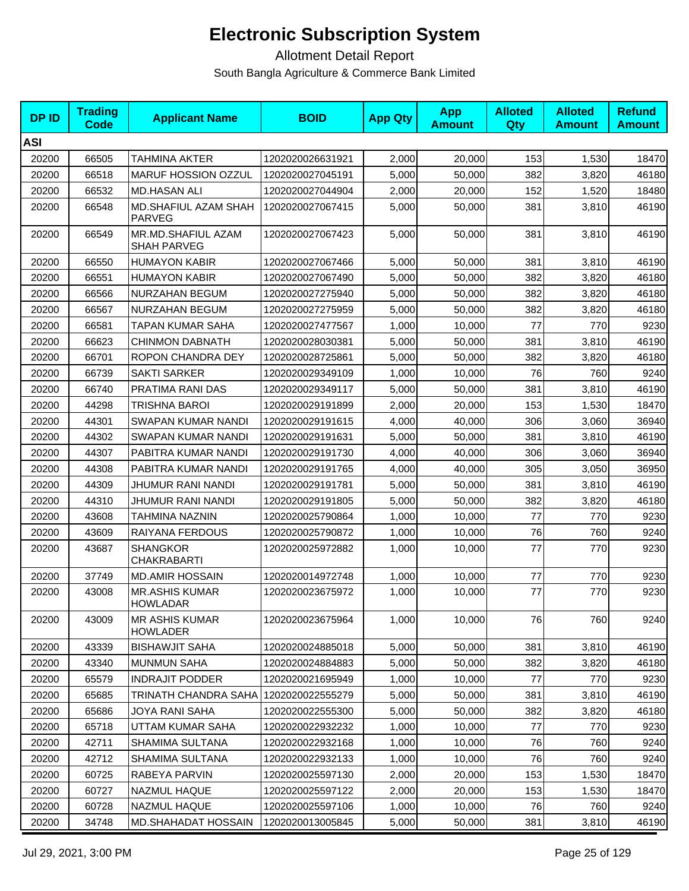| <b>DPID</b> | <b>Trading</b><br><b>Code</b> | <b>Applicant Name</b>                    | <b>BOID</b>      | <b>App Qty</b> | <b>App</b><br><b>Amount</b> | <b>Alloted</b><br><b>Qty</b> | <b>Alloted</b><br><b>Amount</b> | <b>Refund</b><br><b>Amount</b> |
|-------------|-------------------------------|------------------------------------------|------------------|----------------|-----------------------------|------------------------------|---------------------------------|--------------------------------|
| <b>ASI</b>  |                               |                                          |                  |                |                             |                              |                                 |                                |
| 20200       | 66505                         | <b>TAHMINA AKTER</b>                     | 1202020026631921 | 2,000          | 20,000                      | 153                          | 1,530                           | 18470                          |
| 20200       | 66518                         | MARUF HOSSION OZZUL                      | 1202020027045191 | 5,000          | 50,000                      | 382                          | 3,820                           | 46180                          |
| 20200       | 66532                         | <b>MD.HASAN ALI</b>                      | 1202020027044904 | 2,000          | 20,000                      | 152                          | 1,520                           | 18480                          |
| 20200       | 66548                         | <b>MD.SHAFIUL AZAM SHAH</b><br>PARVEG    | 1202020027067415 | 5,000          | 50,000                      | 381                          | 3,810                           | 46190                          |
| 20200       | 66549                         | MR.MD.SHAFIUL AZAM<br><b>SHAH PARVEG</b> | 1202020027067423 | 5,000          | 50,000                      | 381                          | 3,810                           | 46190                          |
| 20200       | 66550                         | <b>HUMAYON KABIR</b>                     | 1202020027067466 | 5,000          | 50,000                      | 381                          | 3,810                           | 46190                          |
| 20200       | 66551                         | <b>HUMAYON KABIR</b>                     | 1202020027067490 | 5,000          | 50,000                      | 382                          | 3,820                           | 46180                          |
| 20200       | 66566                         | NURZAHAN BEGUM                           | 1202020027275940 | 5,000          | 50,000                      | 382                          | 3,820                           | 46180                          |
| 20200       | 66567                         | NURZAHAN BEGUM                           | 1202020027275959 | 5,000          | 50,000                      | 382                          | 3,820                           | 46180                          |
| 20200       | 66581                         | TAPAN KUMAR SAHA                         | 1202020027477567 | 1,000          | 10,000                      | 77                           | 770                             | 9230                           |
| 20200       | 66623                         | <b>CHINMON DABNATH</b>                   | 1202020028030381 | 5,000          | 50,000                      | 381                          | 3,810                           | 46190                          |
| 20200       | 66701                         | ROPON CHANDRA DEY                        | 1202020028725861 | 5,000          | 50,000                      | 382                          | 3,820                           | 46180                          |
| 20200       | 66739                         | <b>SAKTI SARKER</b>                      | 1202020029349109 | 1,000          | 10,000                      | 76                           | 760                             | 9240                           |
| 20200       | 66740                         | PRATIMA RANI DAS                         | 1202020029349117 | 5,000          | 50,000                      | 381                          | 3,810                           | 46190                          |
| 20200       | 44298                         | <b>TRISHNA BAROI</b>                     | 1202020029191899 | 2,000          | 20,000                      | 153                          | 1,530                           | 18470                          |
| 20200       | 44301                         | SWAPAN KUMAR NANDI                       | 1202020029191615 | 4,000          | 40,000                      | 306                          | 3,060                           | 36940                          |
| 20200       | 44302                         | SWAPAN KUMAR NANDI                       | 1202020029191631 | 5,000          | 50,000                      | 381                          | 3,810                           | 46190                          |
| 20200       | 44307                         | PABITRA KUMAR NANDI                      | 1202020029191730 | 4,000          | 40,000                      | 306                          | 3,060                           | 36940                          |
| 20200       | 44308                         | PABITRA KUMAR NANDI                      | 1202020029191765 | 4,000          | 40,000                      | 305                          | 3,050                           | 36950                          |
| 20200       | 44309                         | JHUMUR RANI NANDI                        | 1202020029191781 | 5,000          | 50,000                      | 381                          | 3,810                           | 46190                          |
| 20200       | 44310                         | JHUMUR RANI NANDI                        | 1202020029191805 | 5,000          | 50,000                      | 382                          | 3,820                           | 46180                          |
| 20200       | 43608                         | TAHMINA NAZNIN                           | 1202020025790864 | 1,000          | 10,000                      | 77                           | 770                             | 9230                           |
| 20200       | 43609                         | RAIYANA FERDOUS                          | 1202020025790872 | 1,000          | 10,000                      | 76                           | 760                             | 9240                           |
| 20200       | 43687                         | <b>SHANGKOR</b><br><b>CHAKRABARTI</b>    | 1202020025972882 | 1,000          | 10,000                      | 77                           | 770                             | 9230                           |
| 20200       | 37749                         | <b>MD.AMIR HOSSAIN</b>                   | 1202020014972748 | 1,000          | 10,000                      | 77                           | 770                             | 9230                           |
| 20200       | 43008                         | <b>MR.ASHIS KUMAR</b><br><b>HOWLADAR</b> | 1202020023675972 | 1,000          | 10,000                      | 77                           | 770                             | 9230                           |
| 20200       | 43009                         | <b>MR ASHIS KUMAR</b><br><b>HOWLADER</b> | 1202020023675964 | 1,000          | 10,000                      | 76                           | 760                             | 9240                           |
| 20200       | 43339                         | <b>BISHAWJIT SAHA</b>                    | 1202020024885018 | 5,000          | 50,000                      | 381                          | 3,810                           | 46190                          |
| 20200       | 43340                         | <b>MUNMUN SAHA</b>                       | 1202020024884883 | 5,000          | 50,000                      | 382                          | 3,820                           | 46180                          |
| 20200       | 65579                         | <b>INDRAJIT PODDER</b>                   | 1202020021695949 | 1,000          | 10,000                      | 77                           | 770                             | 9230                           |
| 20200       | 65685                         | TRINATH CHANDRA SAHA   1202020022555279  |                  | 5,000          | 50,000                      | 381                          | 3,810                           | 46190                          |
| 20200       | 65686                         | JOYA RANI SAHA                           | 1202020022555300 | 5,000          | 50,000                      | 382                          | 3,820                           | 46180                          |
| 20200       | 65718                         | UTTAM KUMAR SAHA                         | 1202020022932232 | 1,000          | 10,000                      | 77                           | 770                             | 9230                           |
| 20200       | 42711                         | SHAMIMA SULTANA                          | 1202020022932168 | 1,000          | 10,000                      | 76                           | 760                             | 9240                           |
| 20200       | 42712                         | SHAMIMA SULTANA                          | 1202020022932133 | 1,000          | 10,000                      | 76                           | 760                             | 9240                           |
| 20200       | 60725                         | RABEYA PARVIN                            | 1202020025597130 | 2,000          | 20,000                      | 153                          | 1,530                           | 18470                          |
| 20200       | 60727                         | NAZMUL HAQUE                             | 1202020025597122 | 2,000          | 20,000                      | 153                          | 1,530                           | 18470                          |
| 20200       | 60728                         | NAZMUL HAQUE                             | 1202020025597106 | 1,000          | 10,000                      | 76                           | 760                             | 9240                           |
| 20200       | 34748                         | MD.SHAHADAT HOSSAIN                      | 1202020013005845 | 5,000          | 50,000                      | 381                          | 3,810                           | 46190                          |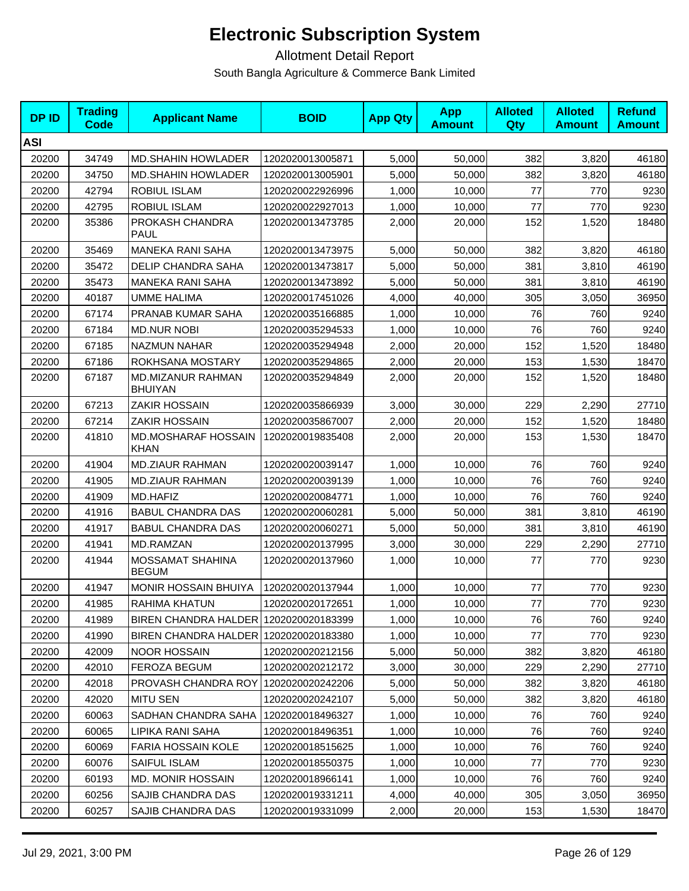| <b>DPID</b> | <b>Trading</b><br>Code | <b>Applicant Name</b>                   | <b>BOID</b>      | <b>App Qty</b> | <b>App</b><br><b>Amount</b> | <b>Alloted</b><br><b>Qty</b> | <b>Alloted</b><br><b>Amount</b> | <b>Refund</b><br><b>Amount</b> |
|-------------|------------------------|-----------------------------------------|------------------|----------------|-----------------------------|------------------------------|---------------------------------|--------------------------------|
| <b>ASI</b>  |                        |                                         |                  |                |                             |                              |                                 |                                |
| 20200       | 34749                  | <b>MD.SHAHIN HOWLADER</b>               | 1202020013005871 | 5,000          | 50,000                      | 382                          | 3,820                           | 46180                          |
| 20200       | 34750                  | <b>MD.SHAHIN HOWLADER</b>               | 1202020013005901 | 5,000          | 50,000                      | 382                          | 3,820                           | 46180                          |
| 20200       | 42794                  | ROBIUL ISLAM                            | 1202020022926996 | 1,000          | 10,000                      | 77                           | 770                             | 9230                           |
| 20200       | 42795                  | ROBIUL ISLAM                            | 1202020022927013 | 1,000          | 10,000                      | 77                           | 770                             | 9230                           |
| 20200       | 35386                  | PROKASH CHANDRA<br><b>PAUL</b>          | 1202020013473785 | 2,000          | 20,000                      | 152                          | 1,520                           | 18480                          |
| 20200       | 35469                  | <b>MANEKA RANI SAHA</b>                 | 1202020013473975 | 5,000          | 50,000                      | 382                          | 3,820                           | 46180                          |
| 20200       | 35472                  | DELIP CHANDRA SAHA                      | 1202020013473817 | 5,000          | 50,000                      | 381                          | 3,810                           | 46190                          |
| 20200       | 35473                  | <b>MANEKA RANI SAHA</b>                 | 1202020013473892 | 5,000          | 50,000                      | 381                          | 3,810                           | 46190                          |
| 20200       | 40187                  | <b>UMME HALIMA</b>                      | 1202020017451026 | 4,000          | 40,000                      | 305                          | 3,050                           | 36950                          |
| 20200       | 67174                  | PRANAB KUMAR SAHA                       | 1202020035166885 | 1,000          | 10,000                      | 76                           | 760                             | 9240                           |
| 20200       | 67184                  | <b>MD.NUR NOBI</b>                      | 1202020035294533 | 1,000          | 10,000                      | 76                           | 760                             | 9240                           |
| 20200       | 67185                  | <b>NAZMUN NAHAR</b>                     | 1202020035294948 | 2,000          | 20,000                      | 152                          | 1,520                           | 18480                          |
| 20200       | 67186                  | ROKHSANA MOSTARY                        | 1202020035294865 | 2,000          | 20,000                      | 153                          | 1,530                           | 18470                          |
| 20200       | 67187                  | MD.MIZANUR RAHMAN<br><b>BHUIYAN</b>     | 1202020035294849 | 2,000          | 20,000                      | 152                          | 1,520                           | 18480                          |
| 20200       | 67213                  | <b>ZAKIR HOSSAIN</b>                    | 1202020035866939 | 3,000          | 30,000                      | 229                          | 2,290                           | 27710                          |
| 20200       | 67214                  | ZAKIR HOSSAIN                           | 1202020035867007 | 2,000          | 20,000                      | 152                          | 1,520                           | 18480                          |
| 20200       | 41810                  | MD.MOSHARAF HOSSAIN<br>KHAN             | 1202020019835408 | 2,000          | 20,000                      | 153                          | 1,530                           | 18470                          |
| 20200       | 41904                  | <b>MD.ZIAUR RAHMAN</b>                  | 1202020020039147 | 1,000          | 10,000                      | 76                           | 760                             | 9240                           |
| 20200       | 41905                  | <b>MD.ZIAUR RAHMAN</b>                  | 1202020020039139 | 1,000          | 10,000                      | 76                           | 760                             | 9240                           |
| 20200       | 41909                  | MD.HAFIZ                                | 1202020020084771 | 1,000          | 10,000                      | 76                           | 760                             | 9240                           |
| 20200       | 41916                  | <b>BABUL CHANDRA DAS</b>                | 1202020020060281 | 5,000          | 50,000                      | 381                          | 3,810                           | 46190                          |
| 20200       | 41917                  | <b>BABUL CHANDRA DAS</b>                | 1202020020060271 | 5,000          | 50,000                      | 381                          | 3,810                           | 46190                          |
| 20200       | 41941                  | MD.RAMZAN                               | 1202020020137995 | 3,000          | 30,000                      | 229                          | 2,290                           | 27710                          |
| 20200       | 41944                  | <b>MOSSAMAT SHAHINA</b><br><b>BEGUM</b> | 1202020020137960 | 1,000          | 10,000                      | 77                           | 770                             | 9230                           |
| 20200       | 41947                  | <b>MONIR HOSSAIN BHUIYA</b>             | 1202020020137944 | 1,000          | 10,000                      | 77                           | 770                             | 9230                           |
| 20200       | 41985                  | RAHIMA KHATUN                           | 1202020020172651 | 1,000          | 10,000                      | 77                           | 770                             | 9230                           |
| 20200       | 41989                  | BIREN CHANDRA HALDER 1202020020183399   |                  | 1,000          | 10,000                      | 76                           | 760                             | 9240                           |
| 20200       | 41990                  | BIREN CHANDRA HALDER 1202020020183380   |                  | 1,000          | 10,000                      | 77                           | 770                             | 9230                           |
| 20200       | 42009                  | <b>NOOR HOSSAIN</b>                     | 1202020020212156 | 5,000          | 50,000                      | 382                          | 3,820                           | 46180                          |
| 20200       | 42010                  | FEROZA BEGUM                            | 1202020020212172 | 3,000          | 30,000                      | 229                          | 2,290                           | 27710                          |
| 20200       | 42018                  | PROVASH CHANDRA ROY                     | 1202020020242206 | 5,000          | 50,000                      | 382                          | 3,820                           | 46180                          |
| 20200       | 42020                  | <b>MITU SEN</b>                         | 1202020020242107 | 5,000          | 50,000                      | 382                          | 3,820                           | 46180                          |
| 20200       | 60063                  | SADHAN CHANDRA SAHA                     | 1202020018496327 | 1,000          | 10,000                      | 76                           | 760                             | 9240                           |
| 20200       | 60065                  | LIPIKA RANI SAHA                        | 1202020018496351 | 1,000          | 10,000                      | 76                           | 760                             | 9240                           |
| 20200       | 60069                  | <b>FARIA HOSSAIN KOLE</b>               | 1202020018515625 | 1,000          | 10,000                      | 76                           | 760                             | 9240                           |
| 20200       | 60076                  | SAIFUL ISLAM                            | 1202020018550375 | 1,000          | 10,000                      | 77                           | 770                             | 9230                           |
| 20200       | 60193                  | MD. MONIR HOSSAIN                       | 1202020018966141 | 1,000          | 10,000                      | 76                           | 760                             | 9240                           |
| 20200       | 60256                  | SAJIB CHANDRA DAS                       | 1202020019331211 | 4,000          | 40,000                      | 305                          | 3,050                           | 36950                          |
| 20200       | 60257                  | SAJIB CHANDRA DAS                       | 1202020019331099 | 2,000          | 20,000                      | 153                          | 1,530                           | 18470                          |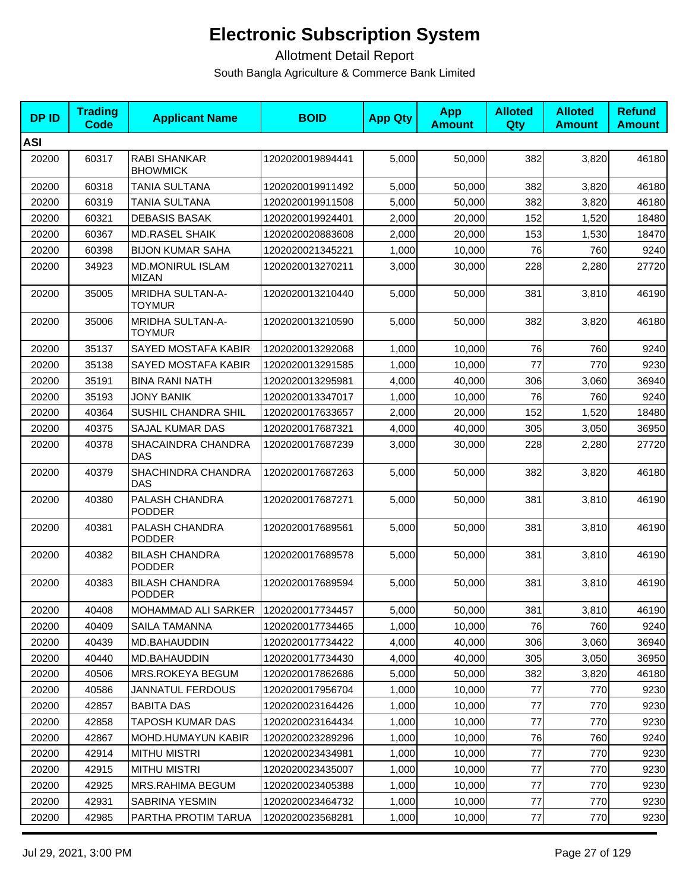| <b>DPID</b> | <b>Trading</b><br><b>Code</b> | <b>Applicant Name</b>                    | <b>BOID</b>      | <b>App Qty</b> | <b>App</b><br><b>Amount</b> | <b>Alloted</b><br>Qty | <b>Alloted</b><br><b>Amount</b> | <b>Refund</b><br><b>Amount</b> |
|-------------|-------------------------------|------------------------------------------|------------------|----------------|-----------------------------|-----------------------|---------------------------------|--------------------------------|
| <b>ASI</b>  |                               |                                          |                  |                |                             |                       |                                 |                                |
| 20200       | 60317                         | RABI SHANKAR<br><b>BHOWMICK</b>          | 1202020019894441 | 5,000          | 50,000                      | 382                   | 3,820                           | 46180                          |
| 20200       | 60318                         | TANIA SULTANA                            | 1202020019911492 | 5,000          | 50.000                      | 382                   | 3,820                           | 46180                          |
| 20200       | 60319                         | TANIA SULTANA                            | 1202020019911508 | 5,000          | 50,000                      | 382                   | 3,820                           | 46180                          |
| 20200       | 60321                         | <b>DEBASIS BASAK</b>                     | 1202020019924401 | 2,000          | 20,000                      | 152                   | 1,520                           | 18480                          |
| 20200       | 60367                         | <b>MD.RASEL SHAIK</b>                    | 1202020020883608 | 2,000          | 20,000                      | 153                   | 1,530                           | 18470                          |
| 20200       | 60398                         | <b>BIJON KUMAR SAHA</b>                  | 1202020021345221 | 1,000          | 10,000                      | 76                    | 760                             | 9240                           |
| 20200       | 34923                         | <b>MD.MONIRUL ISLAM</b><br><b>MIZAN</b>  | 1202020013270211 | 3,000          | 30,000                      | 228                   | 2,280                           | 27720                          |
| 20200       | 35005                         | <b>MRIDHA SULTAN-A-</b><br><b>TOYMUR</b> | 1202020013210440 | 5,000          | 50,000                      | 381                   | 3,810                           | 46190                          |
| 20200       | 35006                         | MRIDHA SULTAN-A-<br><b>TOYMUR</b>        | 1202020013210590 | 5,000          | 50,000                      | 382                   | 3,820                           | 46180                          |
| 20200       | 35137                         | SAYED MOSTAFA KABIR                      | 1202020013292068 | 1,000          | 10,000                      | 76                    | 760                             | 9240                           |
| 20200       | 35138                         | SAYED MOSTAFA KABIR                      | 1202020013291585 | 1,000          | 10,000                      | 77                    | 770                             | 9230                           |
| 20200       | 35191                         | <b>BINA RANI NATH</b>                    | 1202020013295981 | 4,000          | 40,000                      | 306                   | 3,060                           | 36940                          |
| 20200       | 35193                         | <b>JONY BANIK</b>                        | 1202020013347017 | 1,000          | 10,000                      | 76                    | 760                             | 9240                           |
| 20200       | 40364                         | SUSHIL CHANDRA SHIL                      | 1202020017633657 | 2,000          | 20,000                      | 152                   | 1,520                           | 18480                          |
| 20200       | 40375                         | <b>SAJAL KUMAR DAS</b>                   | 1202020017687321 | 4,000          | 40,000                      | 305                   | 3,050                           | 36950                          |
| 20200       | 40378                         | SHACAINDRA CHANDRA<br><b>DAS</b>         | 1202020017687239 | 3,000          | 30,000                      | 228                   | 2,280                           | 27720                          |
| 20200       | 40379                         | SHACHINDRA CHANDRA<br><b>DAS</b>         | 1202020017687263 | 5,000          | 50,000                      | 382                   | 3,820                           | 46180                          |
| 20200       | 40380                         | PALASH CHANDRA<br><b>PODDER</b>          | 1202020017687271 | 5,000          | 50,000                      | 381                   | 3,810                           | 46190                          |
| 20200       | 40381                         | PALASH CHANDRA<br><b>PODDER</b>          | 1202020017689561 | 5,000          | 50,000                      | 381                   | 3,810                           | 46190                          |
| 20200       | 40382                         | <b>BILASH CHANDRA</b><br><b>PODDER</b>   | 1202020017689578 | 5,000          | 50,000                      | 381                   | 3,810                           | 46190                          |
| 20200       | 40383                         | <b>BILASH CHANDRA</b><br><b>PODDER</b>   | 1202020017689594 | 5,000          | 50,000                      | 381                   | 3,810                           | 46190                          |
| 20200       | 40408                         | MOHAMMAD ALI SARKER 1202020017734457     |                  | 5,000          | 50,000                      | 381                   | 3,810                           | 46190                          |
| 20200       | 40409                         | SAILA TAMANNA                            | 1202020017734465 | 1,000          | 10.000                      | 76                    | 760                             | 9240                           |
| 20200       | 40439                         | MD.BAHAUDDIN                             | 1202020017734422 | 4,000          | 40,000                      | 306                   | 3,060                           | 36940                          |
| 20200       | 40440                         | MD.BAHAUDDIN                             | 1202020017734430 | 4,000          | 40,000                      | 305                   | 3,050                           | 36950                          |
| 20200       | 40506                         | MRS.ROKEYA BEGUM                         | 1202020017862686 | 5,000          | 50,000                      | 382                   | 3,820                           | 46180                          |
| 20200       | 40586                         | <b>JANNATUL FERDOUS</b>                  | 1202020017956704 | 1,000          | 10,000                      | 77                    | 770                             | 9230                           |
| 20200       | 42857                         | <b>BABITA DAS</b>                        | 1202020023164426 | 1,000          | 10,000                      | 77                    | 770                             | 9230                           |
| 20200       | 42858                         | TAPOSH KUMAR DAS                         | 1202020023164434 | 1,000          | 10,000                      | 77                    | 770                             | 9230                           |
| 20200       | 42867                         | <b>MOHD.HUMAYUN KABIR</b>                | 1202020023289296 | 1,000          | 10,000                      | 76                    | 760                             | 9240                           |
| 20200       | 42914                         | <b>MITHU MISTRI</b>                      | 1202020023434981 | 1,000          | 10,000                      | 77                    | 770                             | 9230                           |
| 20200       | 42915                         | <b>MITHU MISTRI</b>                      | 1202020023435007 | 1,000          | 10,000                      | 77                    | 770                             | 9230                           |
| 20200       | 42925                         | <b>MRS.RAHIMA BEGUM</b>                  | 1202020023405388 | 1,000          | 10,000                      | $77$                  | 770                             | 9230                           |
| 20200       | 42931                         | SABRINA YESMIN                           | 1202020023464732 | 1,000          | 10,000                      | 77                    | 770                             | 9230                           |
| 20200       | 42985                         | PARTHA PROTIM TARUA                      | 1202020023568281 | 1,000          | 10,000                      | 77                    | 770                             | 9230                           |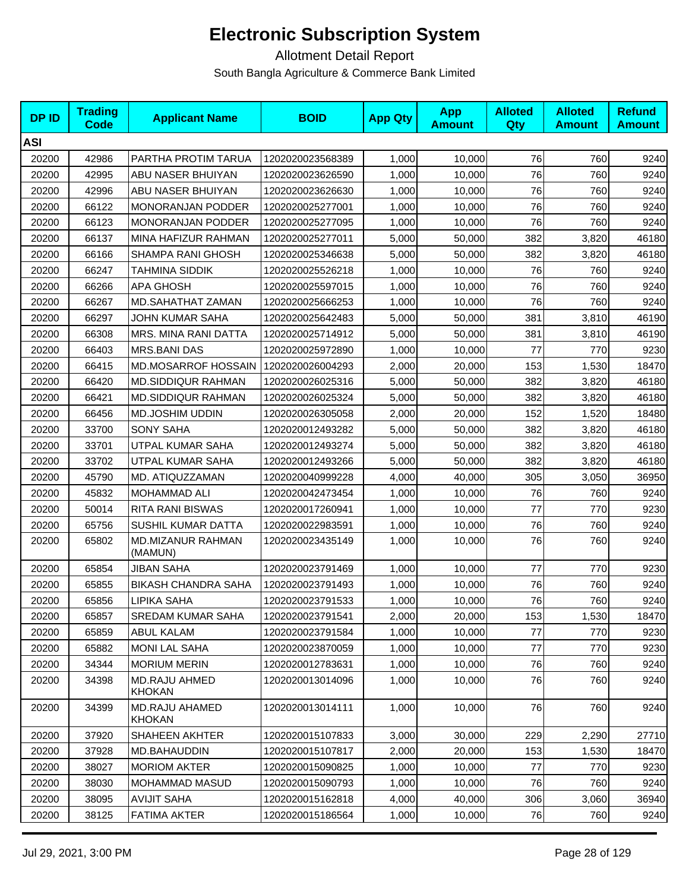| <b>DPID</b> | <b>Trading</b><br><b>Code</b> | <b>Applicant Name</b>                  | <b>BOID</b>      | <b>App Qty</b> | <b>App</b><br><b>Amount</b> | <b>Alloted</b><br><b>Qty</b> | <b>Alloted</b><br><b>Amount</b> | <b>Refund</b><br><b>Amount</b> |
|-------------|-------------------------------|----------------------------------------|------------------|----------------|-----------------------------|------------------------------|---------------------------------|--------------------------------|
| <b>ASI</b>  |                               |                                        |                  |                |                             |                              |                                 |                                |
| 20200       | 42986                         | PARTHA PROTIM TARUA                    | 1202020023568389 | 1,000          | 10,000                      | 76                           | 760                             | 9240                           |
| 20200       | 42995                         | ABU NASER BHUIYAN                      | 1202020023626590 | 1,000          | 10,000                      | 76                           | 760                             | 9240                           |
| 20200       | 42996                         | ABU NASER BHUIYAN                      | 1202020023626630 | 1,000          | 10,000                      | 76                           | 760                             | 9240                           |
| 20200       | 66122                         | <b>MONORANJAN PODDER</b>               | 1202020025277001 | 1,000          | 10,000                      | 76                           | 760                             | 9240                           |
| 20200       | 66123                         | MONORANJAN PODDER                      | 1202020025277095 | 1,000          | 10,000                      | 76                           | 760                             | 9240                           |
| 20200       | 66137                         | MINA HAFIZUR RAHMAN                    | 1202020025277011 | 5,000          | 50,000                      | 382                          | 3,820                           | 46180                          |
| 20200       | 66166                         | SHAMPA RANI GHOSH                      | 1202020025346638 | 5,000          | 50,000                      | 382                          | 3,820                           | 46180                          |
| 20200       | 66247                         | TAHMINA SIDDIK                         | 1202020025526218 | 1,000          | 10,000                      | 76                           | 760                             | 9240                           |
| 20200       | 66266                         | <b>APA GHOSH</b>                       | 1202020025597015 | 1,000          | 10,000                      | 76                           | 760                             | 9240                           |
| 20200       | 66267                         | MD.SAHATHAT ZAMAN                      | 1202020025666253 | 1,000          | 10,000                      | 76                           | 760                             | 9240                           |
| 20200       | 66297                         | JOHN KUMAR SAHA                        | 1202020025642483 | 5,000          | 50,000                      | 381                          | 3,810                           | 46190                          |
| 20200       | 66308                         | MRS. MINA RANI DATTA                   | 1202020025714912 | 5,000          | 50,000                      | 381                          | 3,810                           | 46190                          |
| 20200       | 66403                         | <b>MRS.BANI DAS</b>                    | 1202020025972890 | 1,000          | 10,000                      | 77                           | 770                             | 9230                           |
| 20200       | 66415                         | <b>MD.MOSARROF HOSSAIN</b>             | 1202020026004293 | 2,000          | 20,000                      | 153                          | 1,530                           | 18470                          |
| 20200       | 66420                         | <b>MD.SIDDIQUR RAHMAN</b>              | 1202020026025316 | 5,000          | 50,000                      | 382                          | 3,820                           | 46180                          |
| 20200       | 66421                         | <b>MD.SIDDIQUR RAHMAN</b>              | 1202020026025324 | 5,000          | 50,000                      | 382                          | 3,820                           | 46180                          |
| 20200       | 66456                         | MD.JOSHIM UDDIN                        | 1202020026305058 | 2,000          | 20,000                      | 152                          | 1,520                           | 18480                          |
| 20200       | 33700                         | <b>SONY SAHA</b>                       | 1202020012493282 | 5,000          | 50.000                      | 382                          | 3,820                           | 46180                          |
| 20200       | 33701                         | UTPAL KUMAR SAHA                       | 1202020012493274 | 5,000          | 50,000                      | 382                          | 3,820                           | 46180                          |
| 20200       | 33702                         | UTPAL KUMAR SAHA                       | 1202020012493266 | 5,000          | 50,000                      | 382                          | 3,820                           | 46180                          |
| 20200       | 45790                         | MD. ATIQUZZAMAN                        | 1202020040999228 | 4,000          | 40,000                      | 305                          | 3,050                           | 36950                          |
| 20200       | 45832                         | <b>MOHAMMAD ALI</b>                    | 1202020042473454 | 1,000          | 10,000                      | 76                           | 760                             | 9240                           |
| 20200       | 50014                         | <b>RITA RANI BISWAS</b>                | 1202020017260941 | 1,000          | 10,000                      | 77                           | 770                             | 9230                           |
| 20200       | 65756                         | SUSHIL KUMAR DATTA                     | 1202020022983591 | 1,000          | 10,000                      | 76                           | 760                             | 9240                           |
| 20200       | 65802                         | MD.MIZANUR RAHMAN<br>(MAMUN)           | 1202020023435149 | 1,000          | 10,000                      | 76                           | 760                             | 9240                           |
| 20200       | 65854                         | <b>JIBAN SAHA</b>                      | 1202020023791469 | 1,000          | 10,000                      | 77                           | 770                             | 9230                           |
| 20200       | 65855                         | <b>BIKASH CHANDRA SAHA</b>             | 1202020023791493 | 1,000          | 10,000                      | 76                           | 760                             | 9240                           |
| 20200       | 65856                         | <b>LIPIKA SAHA</b>                     | 1202020023791533 | 1,000          | 10,000                      | 76                           | 760                             | 9240                           |
| 20200       | 65857                         | <b>SREDAM KUMAR SAHA</b>               | 1202020023791541 | 2,000          | 20,000                      | 153                          | 1,530                           | 18470                          |
| 20200       | 65859                         | ABUL KALAM                             | 1202020023791584 | 1,000          | 10,000                      | 77                           | 770                             | 9230                           |
| 20200       | 65882                         | <b>MONI LAL SAHA</b>                   | 1202020023870059 | 1,000          | 10,000                      | 77                           | 770                             | 9230                           |
| 20200       | 34344                         | <b>MORIUM MERIN</b>                    | 1202020012783631 | 1,000          | 10,000                      | 76                           | 760                             | 9240                           |
| 20200       | 34398                         | <b>MD.RAJU AHMED</b><br><b>KHOKAN</b>  | 1202020013014096 | 1,000          | 10,000                      | 76                           | 760                             | 9240                           |
| 20200       | 34399                         | <b>MD.RAJU AHAMED</b><br><b>KHOKAN</b> | 1202020013014111 | 1,000          | 10,000                      | 76                           | 760                             | 9240                           |
| 20200       | 37920                         | SHAHEEN AKHTER                         | 1202020015107833 | 3,000          | 30,000                      | 229                          | 2,290                           | 27710                          |
| 20200       | 37928                         | <b>MD.BAHAUDDIN</b>                    | 1202020015107817 | 2,000          | 20,000                      | 153                          | 1,530                           | 18470                          |
| 20200       | 38027                         | <b>MORIOM AKTER</b>                    | 1202020015090825 | 1,000          | 10,000                      | 77                           | 770                             | 9230                           |
| 20200       | 38030                         | MOHAMMAD MASUD                         | 1202020015090793 | 1,000          | 10,000                      | 76                           | 760                             | 9240                           |
| 20200       | 38095                         | <b>AVIJIT SAHA</b>                     | 1202020015162818 | 4,000          | 40,000                      | 306                          | 3,060                           | 36940                          |
| 20200       | 38125                         | <b>FATIMA AKTER</b>                    | 1202020015186564 | 1,000          | 10,000                      | 76                           | 760                             | 9240                           |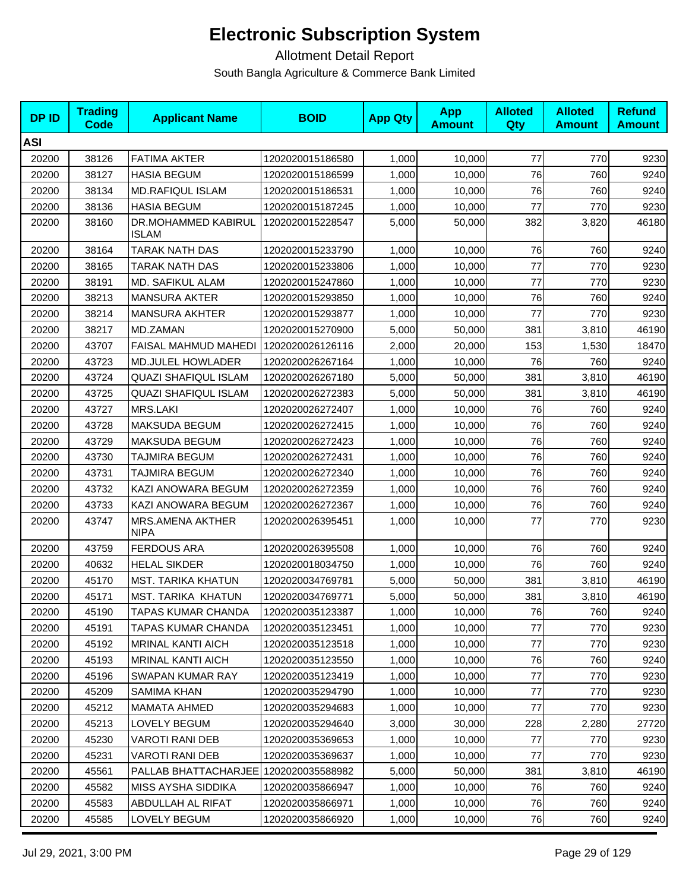| <b>DPID</b> | <b>Trading</b><br><b>Code</b> | <b>Applicant Name</b>                  | <b>BOID</b>      | <b>App Qty</b> | <b>App</b><br><b>Amount</b> | <b>Alloted</b><br><b>Qty</b> | <b>Alloted</b><br><b>Amount</b> | <b>Refund</b><br><b>Amount</b> |
|-------------|-------------------------------|----------------------------------------|------------------|----------------|-----------------------------|------------------------------|---------------------------------|--------------------------------|
| <b>ASI</b>  |                               |                                        |                  |                |                             |                              |                                 |                                |
| 20200       | 38126                         | <b>FATIMA AKTER</b>                    | 1202020015186580 | 1,000          | 10,000                      | 77                           | 770                             | 9230                           |
| 20200       | 38127                         | <b>HASIA BEGUM</b>                     | 1202020015186599 | 1,000          | 10,000                      | 76                           | 760                             | 9240                           |
| 20200       | 38134                         | MD.RAFIQUL ISLAM                       | 1202020015186531 | 1,000          | 10,000                      | 76                           | 760                             | 9240                           |
| 20200       | 38136                         | <b>HASIA BEGUM</b>                     | 1202020015187245 | 1,000          | 10,000                      | 77                           | 770                             | 9230                           |
| 20200       | 38160                         | DR.MOHAMMED KABIRUL<br><b>ISLAM</b>    | 1202020015228547 | 5,000          | 50,000                      | 382                          | 3,820                           | 46180                          |
| 20200       | 38164                         | TARAK NATH DAS                         | 1202020015233790 | 1,000          | 10,000                      | 76                           | 760                             | 9240                           |
| 20200       | 38165                         | TARAK NATH DAS                         | 1202020015233806 | 1,000          | 10,000                      | $77$                         | 770                             | 9230                           |
| 20200       | 38191                         | MD. SAFIKUL ALAM                       | 1202020015247860 | 1,000          | 10,000                      | 77                           | 770                             | 9230                           |
| 20200       | 38213                         | <b>MANSURA AKTER</b>                   | 1202020015293850 | 1,000          | 10,000                      | 76                           | 760                             | 9240                           |
| 20200       | 38214                         | <b>MANSURA AKHTER</b>                  | 1202020015293877 | 1,000          | 10,000                      | 77                           | 770                             | 9230                           |
| 20200       | 38217                         | MD.ZAMAN                               | 1202020015270900 | 5,000          | 50,000                      | 381                          | 3,810                           | 46190                          |
| 20200       | 43707                         | <b>FAISAL MAHMUD MAHEDI</b>            | 1202020026126116 | 2,000          | 20,000                      | 153                          | 1,530                           | 18470                          |
| 20200       | 43723                         | <b>MD.JULEL HOWLADER</b>               | 1202020026267164 | 1,000          | 10,000                      | 76                           | 760                             | 9240                           |
| 20200       | 43724                         | <b>QUAZI SHAFIQUL ISLAM</b>            | 1202020026267180 | 5,000          | 50,000                      | 381                          | 3,810                           | 46190                          |
| 20200       | 43725                         | <b>QUAZI SHAFIQUL ISLAM</b>            | 1202020026272383 | 5,000          | 50,000                      | 381                          | 3,810                           | 46190                          |
| 20200       | 43727                         | MRS.LAKI                               | 1202020026272407 | 1,000          | 10,000                      | 76                           | 760                             | 9240                           |
| 20200       | 43728                         | MAKSUDA BEGUM                          | 1202020026272415 | 1,000          | 10,000                      | 76                           | 760                             | 9240                           |
| 20200       | 43729                         | MAKSUDA BEGUM                          | 1202020026272423 | 1,000          | 10,000                      | 76                           | 760                             | 9240                           |
| 20200       | 43730                         | TAJMIRA BEGUM                          | 1202020026272431 | 1,000          | 10,000                      | 76                           | 760                             | 9240                           |
| 20200       | 43731                         | TAJMIRA BEGUM                          | 1202020026272340 | 1,000          | 10,000                      | 76                           | 760                             | 9240                           |
| 20200       | 43732                         | KAZI ANOWARA BEGUM                     | 1202020026272359 | 1,000          | 10,000                      | 76                           | 760                             | 9240                           |
| 20200       | 43733                         | KAZI ANOWARA BEGUM                     | 1202020026272367 | 1,000          | 10,000                      | 76                           | 760                             | 9240                           |
| 20200       | 43747                         | <b>MRS.AMENA AKTHER</b><br><b>NIPA</b> | 1202020026395451 | 1,000          | 10,000                      | 77                           | 770                             | 9230                           |
| 20200       | 43759                         | <b>FERDOUS ARA</b>                     | 1202020026395508 | 1,000          | 10,000                      | 76                           | 760                             | 9240                           |
| 20200       | 40632                         | <b>HELAL SIKDER</b>                    | 1202020018034750 | 1,000          | 10,000                      | 76                           | 760                             | 9240                           |
| 20200       | 45170                         | <b>MST. TARIKA KHATUN</b>              | 1202020034769781 | 5,000          | 50,000                      | 381                          | 3,810                           | 46190                          |
| 20200       | 45171                         | <b>MST. TARIKA KHATUN</b>              | 1202020034769771 | 5,000          | 50,000                      | 381                          | 3,810                           | 46190                          |
| 20200       | 45190                         | TAPAS KUMAR CHANDA                     | 1202020035123387 | 1,000          | 10,000                      | 76                           | 760                             | 9240                           |
| 20200       | 45191                         | TAPAS KUMAR CHANDA                     | 1202020035123451 | 1,000          | 10,000                      | 77                           | 770                             | 9230                           |
| 20200       | 45192                         | <b>MRINAL KANTI AICH</b>               | 1202020035123518 | 1,000          | 10,000                      | 77                           | 770                             | 9230                           |
| 20200       | 45193                         | MRINAL KANTI AICH                      | 1202020035123550 | 1,000          | 10,000                      | 76                           | 760                             | 9240                           |
| 20200       | 45196                         | SWAPAN KUMAR RAY                       | 1202020035123419 | 1,000          | 10,000                      | 77                           | 770                             | 9230                           |
| 20200       | 45209                         | <b>SAMIMA KHAN</b>                     | 1202020035294790 | 1,000          | 10.000                      | 77                           | 770                             | 9230                           |
| 20200       | 45212                         | <b>MAMATA AHMED</b>                    | 1202020035294683 | 1,000          | 10,000                      | 77                           | 770                             | 9230                           |
| 20200       | 45213                         | LOVELY BEGUM                           | 1202020035294640 | 3,000          | 30,000                      | 228                          | 2,280                           | 27720                          |
| 20200       | 45230                         | <b>VAROTI RANI DEB</b>                 | 1202020035369653 | 1,000          | 10,000                      | 77                           | 770                             | 9230                           |
| 20200       | 45231                         | <b>VAROTI RANI DEB</b>                 | 1202020035369637 | 1,000          | 10,000                      | 77                           | 770                             | 9230                           |
| 20200       | 45561                         | PALLAB BHATTACHARJEE                   | 1202020035588982 | 5,000          | 50,000                      | 381                          | 3,810                           | 46190                          |
| 20200       | 45582                         | MISS AYSHA SIDDIKA                     | 1202020035866947 | 1,000          | 10,000                      | 76                           | 760                             | 9240                           |
| 20200       | 45583                         | ABDULLAH AL RIFAT                      | 1202020035866971 | 1,000          | 10,000                      | 76                           | 760                             | 9240                           |
| 20200       | 45585                         | LOVELY BEGUM                           | 1202020035866920 | 1,000          | 10,000                      | 76                           | 760                             | 9240                           |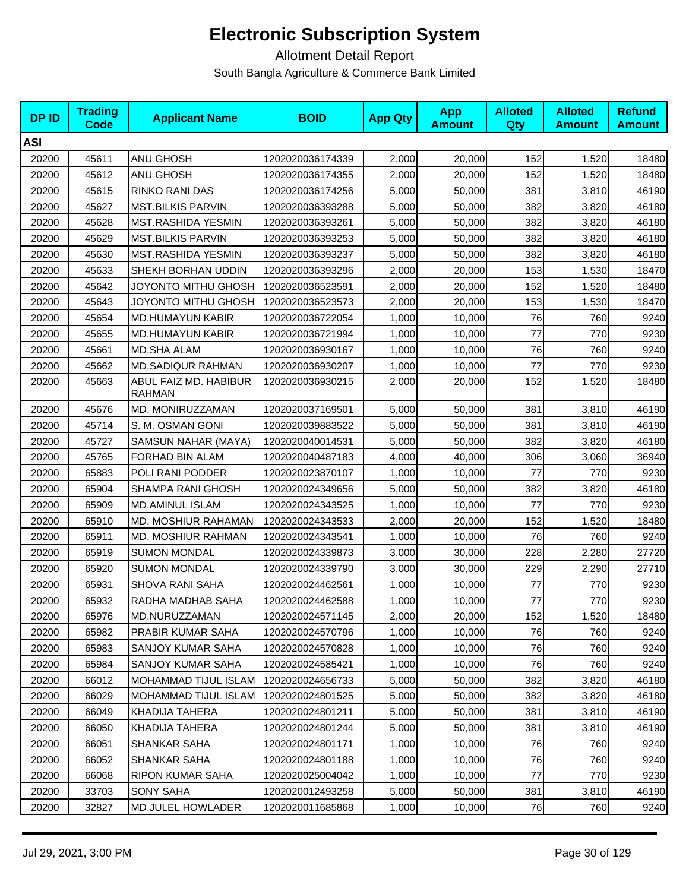| <b>DPID</b> | <b>Trading</b><br><b>Code</b> | <b>Applicant Name</b>                  | <b>BOID</b>      | <b>App Qty</b> | <b>App</b><br><b>Amount</b> | <b>Alloted</b><br>Qty | <b>Alloted</b><br><b>Amount</b> | <b>Refund</b><br><b>Amount</b> |
|-------------|-------------------------------|----------------------------------------|------------------|----------------|-----------------------------|-----------------------|---------------------------------|--------------------------------|
| <b>ASI</b>  |                               |                                        |                  |                |                             |                       |                                 |                                |
| 20200       | 45611                         | ANU GHOSH                              | 1202020036174339 | 2,000          | 20,000                      | 152                   | 1,520                           | 18480                          |
| 20200       | 45612                         | ANU GHOSH                              | 1202020036174355 | 2,000          | 20,000                      | 152                   | 1,520                           | 18480                          |
| 20200       | 45615                         | RINKO RANI DAS                         | 1202020036174256 | 5,000          | 50,000                      | 381                   | 3,810                           | 46190                          |
| 20200       | 45627                         | <b>MST.BILKIS PARVIN</b>               | 1202020036393288 | 5,000          | 50,000                      | 382                   | 3,820                           | 46180                          |
| 20200       | 45628                         | MST.RASHIDA YESMIN                     | 1202020036393261 | 5,000          | 50,000                      | 382                   | 3,820                           | 46180                          |
| 20200       | 45629                         | <b>MST.BILKIS PARVIN</b>               | 1202020036393253 | 5,000          | 50,000                      | 382                   | 3,820                           | 46180                          |
| 20200       | 45630                         | MST.RASHIDA YESMIN                     | 1202020036393237 | 5,000          | 50,000                      | 382                   | 3,820                           | 46180                          |
| 20200       | 45633                         | SHEKH BORHAN UDDIN                     | 1202020036393296 | 2,000          | 20,000                      | 153                   | 1,530                           | 18470                          |
| 20200       | 45642                         | JOYONTO MITHU GHOSH                    | 1202020036523591 | 2,000          | 20,000                      | 152                   | 1,520                           | 18480                          |
| 20200       | 45643                         | JOYONTO MITHU GHOSH                    | 1202020036523573 | 2,000          | 20,000                      | 153                   | 1,530                           | 18470                          |
| 20200       | 45654                         | <b>MD.HUMAYUN KABIR</b>                | 1202020036722054 | 1,000          | 10,000                      | 76                    | 760                             | 9240                           |
| 20200       | 45655                         | <b>MD.HUMAYUN KABIR</b>                | 1202020036721994 | 1,000          | 10,000                      | 77                    | 770                             | 9230                           |
| 20200       | 45661                         | <b>MD.SHA ALAM</b>                     | 1202020036930167 | 1,000          | 10,000                      | 76                    | 760                             | 9240                           |
| 20200       | 45662                         | <b>MD.SADIQUR RAHMAN</b>               | 1202020036930207 | 1,000          | 10,000                      | 77                    | 770                             | 9230                           |
| 20200       | 45663                         | ABUL FAIZ MD. HABIBUR<br><b>RAHMAN</b> | 1202020036930215 | 2,000          | 20,000                      | 152                   | 1,520                           | 18480                          |
| 20200       | 45676                         | MD. MONIRUZZAMAN                       | 1202020037169501 | 5,000          | 50,000                      | 381                   | 3,810                           | 46190                          |
| 20200       | 45714                         | S. M. OSMAN GONI                       | 1202020039883522 | 5,000          | 50,000                      | 381                   | 3,810                           | 46190                          |
| 20200       | 45727                         | SAMSUN NAHAR (MAYA)                    | 1202020040014531 | 5,000          | 50,000                      | 382                   | 3,820                           | 46180                          |
| 20200       | 45765                         | FORHAD BIN ALAM                        | 1202020040487183 | 4,000          | 40,000                      | 306                   | 3,060                           | 36940                          |
| 20200       | 65883                         | POLI RANI PODDER                       | 1202020023870107 | 1,000          | 10,000                      | 77                    | 770                             | 9230                           |
| 20200       | 65904                         | SHAMPA RANI GHOSH                      | 1202020024349656 | 5,000          | 50,000                      | 382                   | 3,820                           | 46180                          |
| 20200       | 65909                         | <b>MD.AMINUL ISLAM</b>                 | 1202020024343525 | 1,000          | 10,000                      | 77                    | 770                             | 9230                           |
| 20200       | 65910                         | <b>MD. MOSHIUR RAHAMAN</b>             | 1202020024343533 | 2,000          | 20,000                      | 152                   | 1,520                           | 18480                          |
| 20200       | 65911                         | <b>MD. MOSHIUR RAHMAN</b>              | 1202020024343541 | 1,000          | 10,000                      | 76                    | 760                             | 9240                           |
| 20200       | 65919                         | <b>SUMON MONDAL</b>                    | 1202020024339873 | 3,000          | 30,000                      | 228                   | 2,280                           | 27720                          |
| 20200       | 65920                         | <b>SUMON MONDAL</b>                    | 1202020024339790 | 3,000          | 30,000                      | 229                   | 2,290                           | 27710                          |
| 20200       | 65931                         | <b>SHOVA RANI SAHA</b>                 | 1202020024462561 | 1,000          | 10,000                      | 77                    | 770                             | 9230                           |
| 20200       | 65932                         | RADHA MADHAB SAHA                      | 1202020024462588 | 1,000          | 10,000                      | $77$                  | 770                             | 9230                           |
| 20200       | 65976                         | MD.NURUZZAMAN                          | 1202020024571145 | 2,000          | 20,000                      | 152                   | 1,520                           | 18480                          |
| 20200       | 65982                         | PRABIR KUMAR SAHA                      | 1202020024570796 | 1,000          | 10,000                      | 76                    | 760                             | 9240                           |
| 20200       | 65983                         | SANJOY KUMAR SAHA                      | 1202020024570828 | 1,000          | 10,000                      | 76                    | 760                             | 9240                           |
| 20200       | 65984                         | SANJOY KUMAR SAHA                      | 1202020024585421 | 1,000          | 10,000                      | 76                    | 760                             | 9240                           |
| 20200       | 66012                         | MOHAMMAD TIJUL ISLAM                   | 1202020024656733 | 5,000          | 50,000                      | 382                   | 3,820                           | 46180                          |
| 20200       | 66029                         | MOHAMMAD TIJUL ISLAM                   | 1202020024801525 | 5,000          | 50,000                      | 382                   | 3,820                           | 46180                          |
| 20200       | 66049                         | KHADIJA TAHERA                         | 1202020024801211 | 5,000          | 50,000                      | 381                   | 3,810                           | 46190                          |
| 20200       | 66050                         | KHADIJA TAHERA                         | 1202020024801244 | 5,000          | 50,000                      | 381                   | 3,810                           | 46190                          |
| 20200       | 66051                         | SHANKAR SAHA                           | 1202020024801171 | 1,000          | 10,000                      | 76                    | 760                             | 9240                           |
| 20200       | 66052                         | SHANKAR SAHA                           | 1202020024801188 | 1,000          | 10,000                      | 76                    | 760                             | 9240                           |
| 20200       | 66068                         | RIPON KUMAR SAHA                       | 1202020025004042 | 1,000          | 10,000                      | 77                    | 770                             | 9230                           |
| 20200       | 33703                         | <b>SONY SAHA</b>                       | 1202020012493258 | 5,000          | 50,000                      | 381                   | 3,810                           | 46190                          |
| 20200       | 32827                         | MD.JULEL HOWLADER                      | 1202020011685868 | 1,000          | 10,000                      | 76                    | 760                             | 9240                           |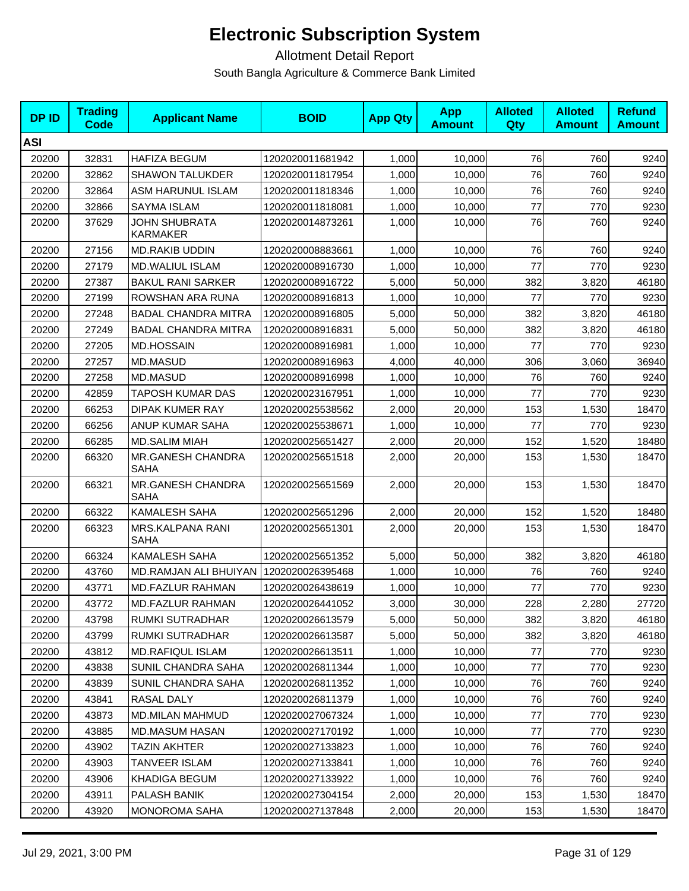| <b>DPID</b> | <b>Trading</b><br><b>Code</b> | <b>Applicant Name</b>                   | <b>BOID</b>      | <b>App Qty</b> | <b>App</b><br><b>Amount</b> | <b>Alloted</b><br><b>Qty</b> | <b>Alloted</b><br><b>Amount</b> | <b>Refund</b><br><b>Amount</b> |
|-------------|-------------------------------|-----------------------------------------|------------------|----------------|-----------------------------|------------------------------|---------------------------------|--------------------------------|
| <b>ASI</b>  |                               |                                         |                  |                |                             |                              |                                 |                                |
| 20200       | 32831                         | <b>HAFIZA BEGUM</b>                     | 1202020011681942 | 1,000          | 10,000                      | 76                           | 760                             | 9240                           |
| 20200       | 32862                         | <b>SHAWON TALUKDER</b>                  | 1202020011817954 | 1,000          | 10,000                      | 76                           | 760                             | 9240                           |
| 20200       | 32864                         | ASM HARUNUL ISLAM                       | 1202020011818346 | 1,000          | 10,000                      | 76                           | 760                             | 9240                           |
| 20200       | 32866                         | SAYMA ISLAM                             | 1202020011818081 | 1,000          | 10,000                      | 77                           | 770                             | 9230                           |
| 20200       | 37629                         | <b>JOHN SHUBRATA</b><br><b>KARMAKER</b> | 1202020014873261 | 1,000          | 10.000                      | 76                           | 760                             | 9240                           |
| 20200       | 27156                         | <b>MD.RAKIB UDDIN</b>                   | 1202020008883661 | 1,000          | 10,000                      | 76                           | 760                             | 9240                           |
| 20200       | 27179                         | <b>MD.WALIUL ISLAM</b>                  | 1202020008916730 | 1,000          | 10,000                      | 77                           | 770                             | 9230                           |
| 20200       | 27387                         | <b>BAKUL RANI SARKER</b>                | 1202020008916722 | 5,000          | 50,000                      | 382                          | 3,820                           | 46180                          |
| 20200       | 27199                         | ROWSHAN ARA RUNA                        | 1202020008916813 | 1,000          | 10,000                      | 77                           | 770                             | 9230                           |
| 20200       | 27248                         | <b>BADAL CHANDRA MITRA</b>              | 1202020008916805 | 5,000          | 50,000                      | 382                          | 3,820                           | 46180                          |
| 20200       | 27249                         | <b>BADAL CHANDRA MITRA</b>              | 1202020008916831 | 5,000          | 50,000                      | 382                          | 3,820                           | 46180                          |
| 20200       | 27205                         | <b>MD.HOSSAIN</b>                       | 1202020008916981 | 1,000          | 10,000                      | 77                           | 770                             | 9230                           |
| 20200       | 27257                         | <b>MD.MASUD</b>                         | 1202020008916963 | 4,000          | 40,000                      | 306                          | 3,060                           | 36940                          |
| 20200       | 27258                         | MD.MASUD                                | 1202020008916998 | 1,000          | 10,000                      | 76                           | 760                             | 9240                           |
| 20200       | 42859                         | TAPOSH KUMAR DAS                        | 1202020023167951 | 1,000          | 10,000                      | 77                           | 770                             | 9230                           |
| 20200       | 66253                         | <b>DIPAK KUMER RAY</b>                  | 1202020025538562 | 2,000          | 20,000                      | 153                          | 1,530                           | 18470                          |
| 20200       | 66256                         | ANUP KUMAR SAHA                         | 1202020025538671 | 1,000          | 10,000                      | 77                           | 770                             | 9230                           |
| 20200       | 66285                         | <b>MD.SALIM MIAH</b>                    | 1202020025651427 | 2,000          | 20,000                      | 152                          | 1,520                           | 18480                          |
| 20200       | 66320                         | MR.GANESH CHANDRA<br>SAHA               | 1202020025651518 | 2,000          | 20,000                      | 153                          | 1,530                           | 18470                          |
| 20200       | 66321                         | MR.GANESH CHANDRA<br><b>SAHA</b>        | 1202020025651569 | 2,000          | 20,000                      | 153                          | 1,530                           | 18470                          |
| 20200       | 66322                         | <b>KAMALESH SAHA</b>                    | 1202020025651296 | 2,000          | 20,000                      | 152                          | 1,520                           | 18480                          |
| 20200       | 66323                         | MRS.KALPANA RANI<br><b>SAHA</b>         | 1202020025651301 | 2,000          | 20,000                      | 153                          | 1,530                           | 18470                          |
| 20200       | 66324                         | <b>KAMALESH SAHA</b>                    | 1202020025651352 | 5,000          | 50,000                      | 382                          | 3,820                           | 46180                          |
| 20200       | 43760                         | MD.RAMJAN ALI BHUIYAN                   | 1202020026395468 | 1,000          | 10,000                      | 76                           | 760                             | 9240                           |
| 20200       | 43771                         | <b>MD.FAZLUR RAHMAN</b>                 | 1202020026438619 | 1,000          | 10,000                      | 77                           | 770                             | 9230                           |
| 20200       | 43772                         | <b>MD.FAZLUR RAHMAN</b>                 | 1202020026441052 | 3,000          | 30,000                      | 228                          | 2,280                           | 27720                          |
| 20200       | 43798                         | RUMKI SUTRADHAR                         | 1202020026613579 | 5,000          | 50,000                      | 382                          | 3,820                           | 46180                          |
| 20200       | 43799                         | RUMKI SUTRADHAR                         | 1202020026613587 | 5,000          | 50,000                      | 382                          | 3,820                           | 46180                          |
| 20200       | 43812                         | <b>MD.RAFIQUL ISLAM</b>                 | 1202020026613511 | 1,000          | 10,000                      | 77                           | 770                             | 9230                           |
| 20200       | 43838                         | SUNIL CHANDRA SAHA                      | 1202020026811344 | 1,000          | 10,000                      | 77                           | 770                             | 9230                           |
| 20200       | 43839                         | SUNIL CHANDRA SAHA                      | 1202020026811352 | 1,000          | 10,000                      | 76                           | 760                             | 9240                           |
| 20200       | 43841                         | RASAL DALY                              | 1202020026811379 | 1,000          | 10,000                      | 76                           | 760                             | 9240                           |
| 20200       | 43873                         | MD.MILAN MAHMUD                         | 1202020027067324 | 1,000          | 10,000                      | 77                           | 770                             | 9230                           |
| 20200       | 43885                         | MD.MASUM HASAN                          | 1202020027170192 | 1,000          | 10,000                      | 77                           | 770                             | 9230                           |
| 20200       | 43902                         | <b>TAZIN AKHTER</b>                     | 1202020027133823 | 1,000          | 10,000                      | 76                           | 760                             | 9240                           |
| 20200       | 43903                         | TANVEER ISLAM                           | 1202020027133841 | 1,000          | 10,000                      | 76                           | 760                             | 9240                           |
| 20200       | 43906                         | KHADIGA BEGUM                           | 1202020027133922 | 1,000          | 10,000                      | 76                           | 760                             | 9240                           |
| 20200       | 43911                         | PALASH BANIK                            | 1202020027304154 | 2,000          | 20,000                      | 153                          | 1,530                           | 18470                          |
| 20200       | 43920                         | <b>MONOROMA SAHA</b>                    | 1202020027137848 | 2,000          | 20,000                      | 153                          | 1,530                           | 18470                          |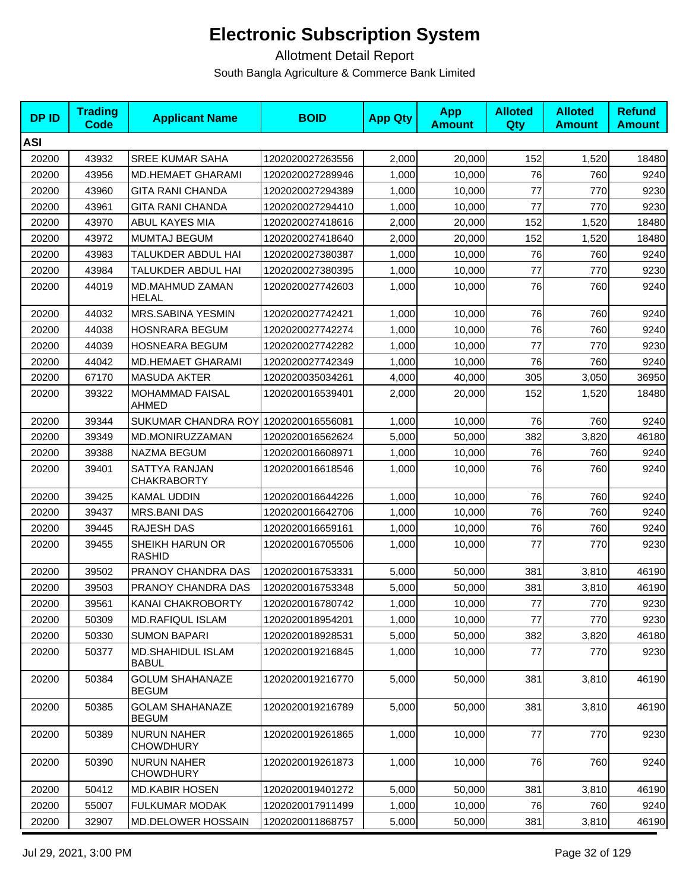| <b>DPID</b> | <b>Trading</b><br><b>Code</b> | <b>Applicant Name</b>                  | <b>BOID</b>      | <b>App Qty</b> | <b>App</b><br><b>Amount</b> | <b>Alloted</b><br><b>Qty</b> | <b>Alloted</b><br><b>Amount</b> | <b>Refund</b><br><b>Amount</b> |
|-------------|-------------------------------|----------------------------------------|------------------|----------------|-----------------------------|------------------------------|---------------------------------|--------------------------------|
| <b>ASI</b>  |                               |                                        |                  |                |                             |                              |                                 |                                |
| 20200       | 43932                         | <b>SREE KUMAR SAHA</b>                 | 1202020027263556 | 2,000          | 20,000                      | 152                          | 1,520                           | 18480                          |
| 20200       | 43956                         | <b>MD.HEMAET GHARAMI</b>               | 1202020027289946 | 1,000          | 10,000                      | 76                           | 760                             | 9240                           |
| 20200       | 43960                         | <b>GITA RANI CHANDA</b>                | 1202020027294389 | 1,000          | 10,000                      | 77                           | 770                             | 9230                           |
| 20200       | 43961                         | <b>GITA RANI CHANDA</b>                | 1202020027294410 | 1,000          | 10,000                      | 77                           | 770                             | 9230                           |
| 20200       | 43970                         | ABUL KAYES MIA                         | 1202020027418616 | 2,000          | 20,000                      | 152                          | 1,520                           | 18480                          |
| 20200       | 43972                         | <b>MUMTAJ BEGUM</b>                    | 1202020027418640 | 2,000          | 20,000                      | 152                          | 1,520                           | 18480                          |
| 20200       | 43983                         | TALUKDER ABDUL HAI                     | 1202020027380387 | 1,000          | 10,000                      | 76                           | 760                             | 9240                           |
| 20200       | 43984                         | TALUKDER ABDUL HAI                     | 1202020027380395 | 1,000          | 10,000                      | 77                           | 770                             | 9230                           |
| 20200       | 44019                         | MD.MAHMUD ZAMAN<br>HELAL               | 1202020027742603 | 1,000          | 10,000                      | 76                           | 760                             | 9240                           |
| 20200       | 44032                         | MRS.SABINA YESMIN                      | 1202020027742421 | 1,000          | 10,000                      | 76                           | 760                             | 9240                           |
| 20200       | 44038                         | <b>HOSNRARA BEGUM</b>                  | 1202020027742274 | 1,000          | 10,000                      | 76                           | 760                             | 9240                           |
| 20200       | 44039                         | <b>HOSNEARA BEGUM</b>                  | 1202020027742282 | 1,000          | 10,000                      | 77                           | 770                             | 9230                           |
| 20200       | 44042                         | <b>MD.HEMAET GHARAMI</b>               | 1202020027742349 | 1,000          | 10,000                      | 76                           | 760                             | 9240                           |
| 20200       | 67170                         | <b>MASUDA AKTER</b>                    | 1202020035034261 | 4,000          | 40,000                      | 305                          | 3,050                           | 36950                          |
| 20200       | 39322                         | <b>MOHAMMAD FAISAL</b><br><b>AHMED</b> | 1202020016539401 | 2,000          | 20,000                      | 152                          | 1,520                           | 18480                          |
| 20200       | 39344                         | SUKUMAR CHANDRA ROY 1202020016556081   |                  | 1,000          | 10,000                      | 76                           | 760                             | 9240                           |
| 20200       | 39349                         | MD.MONIRUZZAMAN                        | 1202020016562624 | 5,000          | 50,000                      | 382                          | 3,820                           | 46180                          |
| 20200       | 39388                         | NAZMA BEGUM                            | 1202020016608971 | 1,000          | 10,000                      | 76                           | 760                             | 9240                           |
| 20200       | 39401                         | SATTYA RANJAN<br><b>CHAKRABORTY</b>    | 1202020016618546 | 1,000          | 10,000                      | 76                           | 760                             | 9240                           |
| 20200       | 39425                         | <b>KAMAL UDDIN</b>                     | 1202020016644226 | 1,000          | 10,000                      | 76                           | 760                             | 9240                           |
| 20200       | 39437                         | <b>MRS.BANI DAS</b>                    | 1202020016642706 | 1,000          | 10,000                      | 76                           | 760                             | 9240                           |
| 20200       | 39445                         | RAJESH DAS                             | 1202020016659161 | 1,000          | 10,000                      | 76                           | 760                             | 9240                           |
| 20200       | 39455                         | SHEIKH HARUN OR<br><b>RASHID</b>       | 1202020016705506 | 1,000          | 10,000                      | 77                           | 770                             | 9230                           |
| 20200       | 39502                         | PRANOY CHANDRA DAS                     | 1202020016753331 | 5,000          | 50,000                      | 381                          | 3,810                           | 46190                          |
| 20200       | 39503                         | PRANOY CHANDRA DAS                     | 1202020016753348 | 5,000          | 50,000                      | 381                          | 3,810                           | 46190                          |
| 20200       | 39561                         | KANAI CHAKROBORTY                      | 1202020016780742 | 1,000          | 10,000                      | 77                           | 770                             | 9230                           |
| 20200       | 50309                         | <b>MD.RAFIQUL ISLAM</b>                | 1202020018954201 | 1,000          | 10,000                      | 77                           | 770                             | 9230                           |
| 20200       | 50330                         | <b>SUMON BAPARI</b>                    | 1202020018928531 | 5,000          | 50,000                      | 382                          | 3,820                           | 46180                          |
| 20200       | 50377                         | MD.SHAHIDUL ISLAM<br><b>BABUL</b>      | 1202020019216845 | 1,000          | 10,000                      | 77                           | 770                             | 9230                           |
| 20200       | 50384                         | <b>GOLUM SHAHANAZE</b><br><b>BEGUM</b> | 1202020019216770 | 5,000          | 50,000                      | 381                          | 3,810                           | 46190                          |
| 20200       | 50385                         | <b>GOLAM SHAHANAZE</b><br><b>BEGUM</b> | 1202020019216789 | 5,000          | 50,000                      | 381                          | 3,810                           | 46190                          |
| 20200       | 50389                         | <b>NURUN NAHER</b><br><b>CHOWDHURY</b> | 1202020019261865 | 1,000          | 10,000                      | 77                           | 770                             | 9230                           |
| 20200       | 50390                         | <b>NURUN NAHER</b><br><b>CHOWDHURY</b> | 1202020019261873 | 1,000          | 10,000                      | 76                           | 760                             | 9240                           |
| 20200       | 50412                         | <b>MD.KABIR HOSEN</b>                  | 1202020019401272 | 5,000          | 50,000                      | 381                          | 3,810                           | 46190                          |
| 20200       | 55007                         | <b>FULKUMAR MODAK</b>                  | 1202020017911499 | 1,000          | 10,000                      | 76                           | 760                             | 9240                           |
| 20200       | 32907                         | MD.DELOWER HOSSAIN                     | 1202020011868757 | 5,000          | 50,000                      | 381                          | 3,810                           | 46190                          |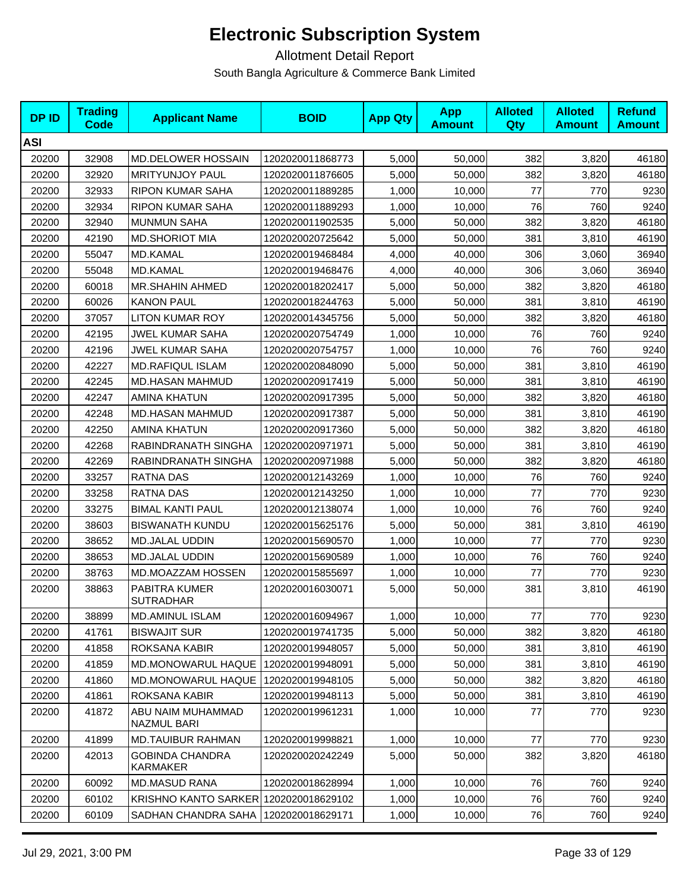| <b>DPID</b> | <b>Trading</b><br>Code | <b>Applicant Name</b>                     | <b>BOID</b>      | <b>App Qty</b> | <b>App</b><br><b>Amount</b> | <b>Alloted</b><br><b>Qty</b> | <b>Alloted</b><br><b>Amount</b> | <b>Refund</b><br><b>Amount</b> |
|-------------|------------------------|-------------------------------------------|------------------|----------------|-----------------------------|------------------------------|---------------------------------|--------------------------------|
| ASI         |                        |                                           |                  |                |                             |                              |                                 |                                |
| 20200       | 32908                  | <b>MD.DELOWER HOSSAIN</b>                 | 1202020011868773 | 5,000          | 50,000                      | 382                          | 3,820                           | 46180                          |
| 20200       | 32920                  | <b>MRITYUNJOY PAUL</b>                    | 1202020011876605 | 5,000          | 50,000                      | 382                          | 3,820                           | 46180                          |
| 20200       | 32933                  | <b>RIPON KUMAR SAHA</b>                   | 1202020011889285 | 1,000          | 10,000                      | 77                           | 770                             | 9230                           |
| 20200       | 32934                  | <b>RIPON KUMAR SAHA</b>                   | 1202020011889293 | 1,000          | 10,000                      | 76                           | 760                             | 9240                           |
| 20200       | 32940                  | <b>MUNMUN SAHA</b>                        | 1202020011902535 | 5,000          | 50,000                      | 382                          | 3,820                           | 46180                          |
| 20200       | 42190                  | <b>MD.SHORIOT MIA</b>                     | 1202020020725642 | 5,000          | 50,000                      | 381                          | 3,810                           | 46190                          |
| 20200       | 55047                  | <b>MD.KAMAL</b>                           | 1202020019468484 | 4,000          | 40,000                      | 306                          | 3,060                           | 36940                          |
| 20200       | 55048                  | <b>MD.KAMAL</b>                           | 1202020019468476 | 4,000          | 40,000                      | 306                          | 3,060                           | 36940                          |
| 20200       | 60018                  | <b>MR.SHAHIN AHMED</b>                    | 1202020018202417 | 5,000          | 50,000                      | 382                          | 3,820                           | 46180                          |
| 20200       | 60026                  | <b>KANON PAUL</b>                         | 1202020018244763 | 5,000          | 50,000                      | 381                          | 3,810                           | 46190                          |
| 20200       | 37057                  | <b>LITON KUMAR ROY</b>                    | 1202020014345756 | 5,000          | 50,000                      | 382                          | 3,820                           | 46180                          |
| 20200       | 42195                  | <b>JWEL KUMAR SAHA</b>                    | 1202020020754749 | 1,000          | 10,000                      | 76                           | 760                             | 9240                           |
| 20200       | 42196                  | JWEL KUMAR SAHA                           | 1202020020754757 | 1,000          | 10,000                      | 76                           | 760                             | 9240                           |
| 20200       | 42227                  | <b>MD.RAFIQUL ISLAM</b>                   | 1202020020848090 | 5,000          | 50.000                      | 381                          | 3,810                           | 46190                          |
| 20200       | 42245                  | MD.HASAN MAHMUD                           | 1202020020917419 | 5,000          | 50,000                      | 381                          | 3,810                           | 46190                          |
| 20200       | 42247                  | AMINA KHATUN                              | 1202020020917395 | 5,000          | 50,000                      | 382                          | 3,820                           | 46180                          |
| 20200       | 42248                  | <b>MD.HASAN MAHMUD</b>                    | 1202020020917387 | 5,000          | 50,000                      | 381                          | 3,810                           | 46190                          |
| 20200       | 42250                  | <b>AMINA KHATUN</b>                       | 1202020020917360 | 5,000          | 50,000                      | 382                          | 3,820                           | 46180                          |
| 20200       | 42268                  | RABINDRANATH SINGHA                       | 1202020020971971 | 5,000          | 50,000                      | 381                          | 3,810                           | 46190                          |
| 20200       | 42269                  | RABINDRANATH SINGHA                       | 1202020020971988 | 5,000          | 50,000                      | 382                          | 3,820                           | 46180                          |
| 20200       | 33257                  | <b>RATNA DAS</b>                          | 1202020012143269 | 1,000          | 10,000                      | 76                           | 760                             | 9240                           |
| 20200       | 33258                  | <b>RATNA DAS</b>                          | 1202020012143250 | 1,000          | 10,000                      | 77                           | 770                             | 9230                           |
| 20200       | 33275                  | <b>BIMAL KANTI PAUL</b>                   | 1202020012138074 | 1,000          | 10,000                      | 76                           | 760                             | 9240                           |
| 20200       | 38603                  | <b>BISWANATH KUNDU</b>                    | 1202020015625176 | 5,000          | 50,000                      | 381                          | 3,810                           | 46190                          |
| 20200       | 38652                  | <b>MD.JALAL UDDIN</b>                     | 1202020015690570 | 1,000          | 10,000                      | 77                           | 770                             | 9230                           |
| 20200       | 38653                  | <b>MD.JALAL UDDIN</b>                     | 1202020015690589 | 1,000          | 10,000                      | 76                           | 760                             | 9240                           |
| 20200       | 38763                  | MD.MOAZZAM HOSSEN                         | 1202020015855697 | 1,000          | 10,000                      | 77                           | 770                             | 9230                           |
| 20200       | 38863                  | PABITRA KUMER<br><b>SUTRADHAR</b>         | 1202020016030071 | 5,000          | 50,000                      | 381                          | 3,810                           | 46190                          |
| 20200       | 38899                  | <b>MD.AMINUL ISLAM</b>                    | 1202020016094967 | 1,000          | 10,000                      | 77                           | 770                             | 9230                           |
| 20200       | 41761                  | <b>BISWAJIT SUR</b>                       | 1202020019741735 | 5,000          | 50,000                      | 382                          | 3,820                           | 46180                          |
| 20200       | 41858                  | ROKSANA KABIR                             | 1202020019948057 | 5,000          | 50,000                      | 381                          | 3,810                           | 46190                          |
| 20200       | 41859                  | MD.MONOWARUL HAQUE                        | 1202020019948091 | 5,000          | 50,000                      | 381                          | 3,810                           | 46190                          |
| 20200       | 41860                  | MD.MONOWARUL HAQUE                        | 1202020019948105 | 5,000          | 50,000                      | 382                          | 3,820                           | 46180                          |
| 20200       | 41861                  | ROKSANA KABIR                             | 1202020019948113 | 5,000          | 50,000                      | 381                          | 3,810                           | 46190                          |
| 20200       | 41872                  | ABU NAIM MUHAMMAD<br>NAZMUL BARI          | 1202020019961231 | 1.000          | 10,000                      | 77                           | 770                             | 9230                           |
| 20200       | 41899                  | <b>MD.TAUIBUR RAHMAN</b>                  | 1202020019998821 | 1,000          | 10,000                      | 77                           | 770                             | 9230                           |
| 20200       | 42013                  | <b>GOBINDA CHANDRA</b><br><b>KARMAKER</b> | 1202020020242249 | 5,000          | 50,000                      | 382                          | 3,820                           | 46180                          |
| 20200       | 60092                  | <b>MD.MASUD RANA</b>                      | 1202020018628994 | 1,000          | 10,000                      | 76                           | 760                             | 9240                           |
| 20200       | 60102                  | <b>KRISHNO KANTO SARKER</b>               | 1202020018629102 | 1,000          | 10,000                      | 76                           | 760                             | 9240                           |
| 20200       | 60109                  | SADHAN CHANDRA SAHA                       | 1202020018629171 | 1,000          | 10,000                      | 76                           | 760                             | 9240                           |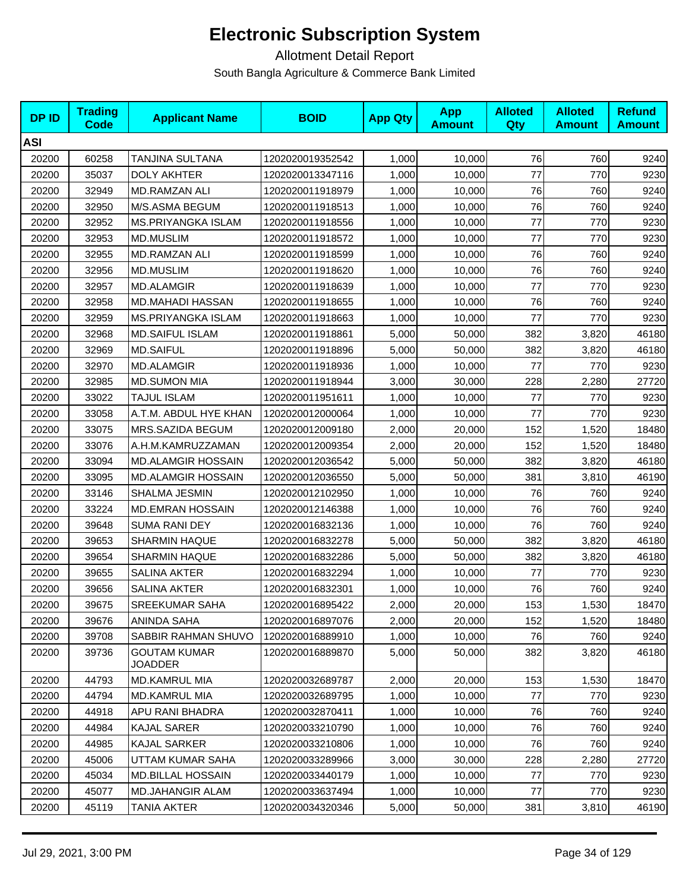| <b>DPID</b> | <b>Trading</b><br><b>Code</b> | <b>Applicant Name</b>          | <b>BOID</b>      | <b>App Qty</b> | <b>App</b><br><b>Amount</b> | <b>Alloted</b><br>Qty | <b>Alloted</b><br><b>Amount</b> | <b>Refund</b><br><b>Amount</b> |
|-------------|-------------------------------|--------------------------------|------------------|----------------|-----------------------------|-----------------------|---------------------------------|--------------------------------|
| <b>ASI</b>  |                               |                                |                  |                |                             |                       |                                 |                                |
| 20200       | 60258                         | TANJINA SULTANA                | 1202020019352542 | 1,000          | 10,000                      | 76                    | 760                             | 9240                           |
| 20200       | 35037                         | <b>DOLY AKHTER</b>             | 1202020013347116 | 1,000          | 10,000                      | 77                    | 770                             | 9230                           |
| 20200       | 32949                         | <b>MD.RAMZAN ALI</b>           | 1202020011918979 | 1,000          | 10,000                      | 76                    | 760                             | 9240                           |
| 20200       | 32950                         | M/S.ASMA BEGUM                 | 1202020011918513 | 1,000          | 10,000                      | 76                    | 760                             | 9240                           |
| 20200       | 32952                         | <b>MS.PRIYANGKA ISLAM</b>      | 1202020011918556 | 1,000          | 10,000                      | 77                    | 770                             | 9230                           |
| 20200       | 32953                         | <b>MD.MUSLIM</b>               | 1202020011918572 | 1,000          | 10,000                      | 77                    | 770                             | 9230                           |
| 20200       | 32955                         | <b>MD.RAMZAN ALI</b>           | 1202020011918599 | 1,000          | 10,000                      | 76                    | 760                             | 9240                           |
| 20200       | 32956                         | <b>MD.MUSLIM</b>               | 1202020011918620 | 1,000          | 10,000                      | 76                    | 760                             | 9240                           |
| 20200       | 32957                         | <b>MD.ALAMGIR</b>              | 1202020011918639 | 1,000          | 10,000                      | 77                    | 770                             | 9230                           |
| 20200       | 32958                         | MD.MAHADI HASSAN               | 1202020011918655 | 1,000          | 10,000                      | 76                    | 760                             | 9240                           |
| 20200       | 32959                         | <b>MS.PRIYANGKA ISLAM</b>      | 1202020011918663 | 1,000          | 10,000                      | 77                    | 770                             | 9230                           |
| 20200       | 32968                         | <b>MD.SAIFUL ISLAM</b>         | 1202020011918861 | 5,000          | 50,000                      | 382                   | 3,820                           | 46180                          |
| 20200       | 32969                         | <b>MD.SAIFUL</b>               | 1202020011918896 | 5,000          | 50,000                      | 382                   | 3,820                           | 46180                          |
| 20200       | 32970                         | <b>MD.ALAMGIR</b>              | 1202020011918936 | 1,000          | 10,000                      | 77                    | 770                             | 9230                           |
| 20200       | 32985                         | <b>MD.SUMON MIA</b>            | 1202020011918944 | 3,000          | 30,000                      | 228                   | 2,280                           | 27720                          |
| 20200       | 33022                         | <b>TAJUL ISLAM</b>             | 1202020011951611 | 1,000          | 10,000                      | 77                    | 770                             | 9230                           |
| 20200       | 33058                         | A.T.M. ABDUL HYE KHAN          | 1202020012000064 | 1,000          | 10,000                      | 77                    | 770                             | 9230                           |
| 20200       | 33075                         | MRS.SAZIDA BEGUM               | 1202020012009180 | 2,000          | 20,000                      | 152                   | 1,520                           | 18480                          |
| 20200       | 33076                         | A.H.M.KAMRUZZAMAN              | 1202020012009354 | 2,000          | 20,000                      | 152                   | 1,520                           | 18480                          |
| 20200       | 33094                         | <b>MD.ALAMGIR HOSSAIN</b>      | 1202020012036542 | 5,000          | 50,000                      | 382                   | 3,820                           | 46180                          |
| 20200       | 33095                         | <b>MD.ALAMGIR HOSSAIN</b>      | 1202020012036550 | 5,000          | 50,000                      | 381                   | 3,810                           | 46190                          |
| 20200       | 33146                         | SHALMA JESMIN                  | 1202020012102950 | 1,000          | 10,000                      | 76                    | 760                             | 9240                           |
| 20200       | 33224                         | <b>MD.EMRAN HOSSAIN</b>        | 1202020012146388 | 1,000          | 10,000                      | 76                    | 760                             | 9240                           |
| 20200       | 39648                         | <b>SUMA RANI DEY</b>           | 1202020016832136 | 1,000          | 10,000                      | 76                    | 760                             | 9240                           |
| 20200       | 39653                         | <b>SHARMIN HAQUE</b>           | 1202020016832278 | 5,000          | 50,000                      | 382                   | 3,820                           | 46180                          |
| 20200       | 39654                         | <b>SHARMIN HAQUE</b>           | 1202020016832286 | 5,000          | 50,000                      | 382                   | 3,820                           | 46180                          |
| 20200       | 39655                         | <b>SALINA AKTER</b>            | 1202020016832294 | 1,000          | 10,000                      | 77                    | 770                             | 9230                           |
| 20200       | 39656                         | SALINA AKTER                   | 1202020016832301 | 1,000          | 10,000                      | 76                    | 760                             | 9240                           |
| 20200       | 39675                         | <b>SREEKUMAR SAHA</b>          | 1202020016895422 | 2,000          | 20,000                      | 153                   | 1,530                           | 18470                          |
| 20200       | 39676                         | <b>ANINDA SAHA</b>             | 1202020016897076 | 2,000          | 20,000                      | 152                   | 1,520                           | 18480                          |
| 20200       | 39708                         | SABBIR RAHMAN SHUVO            | 1202020016889910 | 1,000          | 10,000                      | 76                    | 760                             | 9240                           |
| 20200       | 39736                         | <b>GOUTAM KUMAR</b><br>JOADDER | 1202020016889870 | 5,000          | 50,000                      | 382                   | 3,820                           | 46180                          |
| 20200       | 44793                         | MD.KAMRUL MIA                  | 1202020032689787 | 2,000          | 20,000                      | 153                   | 1,530                           | 18470                          |
| 20200       | 44794                         | <b>MD.KAMRUL MIA</b>           | 1202020032689795 | 1,000          | 10,000                      | 77                    | 770                             | 9230                           |
| 20200       | 44918                         | APU RANI BHADRA                | 1202020032870411 | 1,000          | 10,000                      | 76                    | 760                             | 9240                           |
| 20200       | 44984                         | <b>KAJAL SARER</b>             | 1202020033210790 | 1,000          | 10,000                      | 76                    | 760                             | 9240                           |
| 20200       | 44985                         | KAJAL SARKER                   | 1202020033210806 | 1,000          | 10,000                      | 76                    | 760                             | 9240                           |
| 20200       | 45006                         | UTTAM KUMAR SAHA               | 1202020033289966 | 3,000          | 30,000                      | 228                   | 2,280                           | 27720                          |
| 20200       | 45034                         | <b>MD.BILLAL HOSSAIN</b>       | 1202020033440179 | 1,000          | 10,000                      | 77                    | 770                             | 9230                           |
| 20200       | 45077                         | MD.JAHANGIR ALAM               | 1202020033637494 | 1,000          | 10,000                      | 77                    | 770                             | 9230                           |
| 20200       | 45119                         | TANIA AKTER                    | 1202020034320346 | 5,000          | 50,000                      | 381                   | 3,810                           | 46190                          |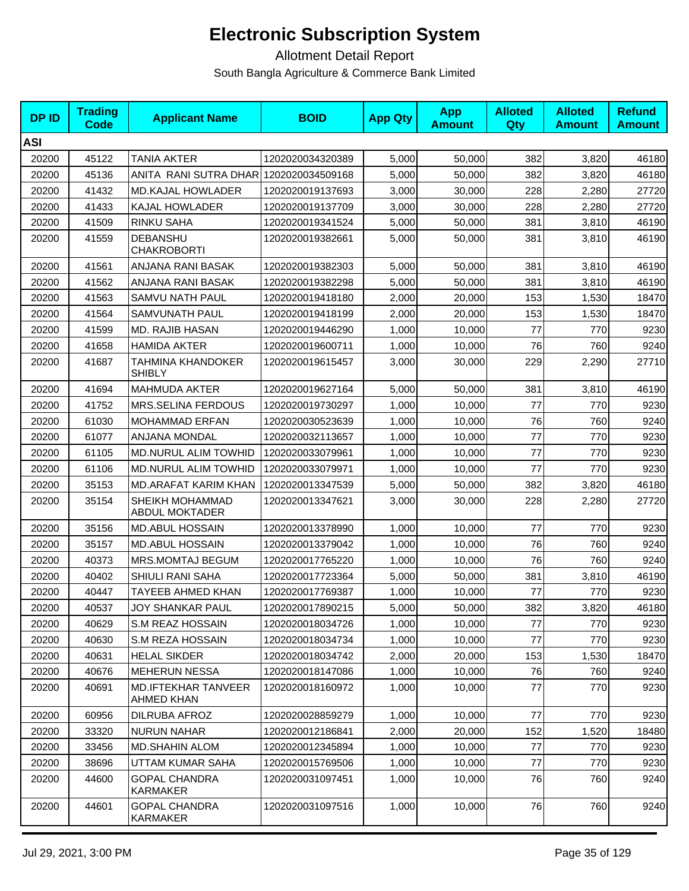| <b>DPID</b> | <b>Trading</b><br>Code | <b>Applicant Name</b>                    | <b>BOID</b>      | <b>App Qty</b> | <b>App</b><br><b>Amount</b> | <b>Alloted</b><br>Qty | <b>Alloted</b><br><b>Amount</b> | <b>Refund</b><br><b>Amount</b> |
|-------------|------------------------|------------------------------------------|------------------|----------------|-----------------------------|-----------------------|---------------------------------|--------------------------------|
| <b>ASI</b>  |                        |                                          |                  |                |                             |                       |                                 |                                |
| 20200       | 45122                  | <b>TANIA AKTER</b>                       | 1202020034320389 | 5,000          | 50,000                      | 382                   | 3,820                           | 46180                          |
| 20200       | 45136                  | ANITA RANI SUTRA DHAR 1202020034509168   |                  | 5,000          | 50,000                      | 382                   | 3,820                           | 46180                          |
| 20200       | 41432                  | <b>MD.KAJAL HOWLADER</b>                 | 1202020019137693 | 3,000          | 30,000                      | 228                   | 2,280                           | 27720                          |
| 20200       | 41433                  | KAJAL HOWLADER                           | 1202020019137709 | 3,000          | 30,000                      | 228                   | 2,280                           | 27720                          |
| 20200       | 41509                  | RINKU SAHA                               | 1202020019341524 | 5,000          | 50,000                      | 381                   | 3,810                           | 46190                          |
| 20200       | 41559                  | DEBANSHU<br><b>CHAKROBORTI</b>           | 1202020019382661 | 5,000          | 50,000                      | 381                   | 3,810                           | 46190                          |
| 20200       | 41561                  | ANJANA RANI BASAK                        | 1202020019382303 | 5,000          | 50,000                      | 381                   | 3,810                           | 46190                          |
| 20200       | 41562                  | ANJANA RANI BASAK                        | 1202020019382298 | 5,000          | 50,000                      | 381                   | 3,810                           | 46190                          |
| 20200       | 41563                  | SAMVU NATH PAUL                          | 1202020019418180 | 2,000          | 20,000                      | 153                   | 1,530                           | 18470                          |
| 20200       | 41564                  | SAMVUNATH PAUL                           | 1202020019418199 | 2,000          | 20,000                      | 153                   | 1,530                           | 18470                          |
| 20200       | 41599                  | MD. RAJIB HASAN                          | 1202020019446290 | 1,000          | 10,000                      | 77                    | 770                             | 9230                           |
| 20200       | 41658                  | <b>HAMIDA AKTER</b>                      | 1202020019600711 | 1,000          | 10,000                      | 76                    | 760                             | 9240                           |
| 20200       | 41687                  | TAHMINA KHANDOKER<br><b>SHIBLY</b>       | 1202020019615457 | 3,000          | 30,000                      | 229                   | 2,290                           | 27710                          |
| 20200       | 41694                  | <b>MAHMUDA AKTER</b>                     | 1202020019627164 | 5,000          | 50,000                      | 381                   | 3,810                           | 46190                          |
| 20200       | 41752                  | MRS.SELINA FERDOUS                       | 1202020019730297 | 1,000          | 10,000                      | 77                    | 770                             | 9230                           |
| 20200       | 61030                  | <b>MOHAMMAD ERFAN</b>                    | 1202020030523639 | 1,000          | 10.000                      | 76                    | 760                             | 9240                           |
| 20200       | 61077                  | ANJANA MONDAL                            | 1202020032113657 | 1,000          | 10,000                      | 77                    | 770                             | 9230                           |
| 20200       | 61105                  | MD.NURUL ALIM TOWHID                     | 1202020033079961 | 1,000          | 10,000                      | 77                    | 770                             | 9230                           |
| 20200       | 61106                  | <b>MD.NURUL ALIM TOWHID</b>              | 1202020033079971 | 1,000          | 10,000                      | 77                    | 770                             | 9230                           |
| 20200       | 35153                  | <b>MD.ARAFAT KARIM KHAN</b>              | 1202020013347539 | 5,000          | 50,000                      | 382                   | 3,820                           | 46180                          |
| 20200       | 35154                  | SHEIKH MOHAMMAD<br><b>ABDUL MOKTADER</b> | 1202020013347621 | 3,000          | 30,000                      | 228                   | 2,280                           | 27720                          |
| 20200       | 35156                  | <b>MD.ABUL HOSSAIN</b>                   | 1202020013378990 | 1,000          | 10,000                      | 77                    | 770                             | 9230                           |
| 20200       | 35157                  | <b>MD.ABUL HOSSAIN</b>                   | 1202020013379042 | 1,000          | 10,000                      | 76                    | 760                             | 9240                           |
| 20200       | 40373                  | MRS.MOMTAJ BEGUM                         | 1202020017765220 | 1,000          | 10,000                      | 76                    | 760                             | 9240                           |
| 20200       | 40402                  | SHIULI RANI SAHA                         | 1202020017723364 | 5,000          | 50,000                      | 381                   | 3,810                           | 46190                          |
| 20200       | 40447                  | TAYEEB AHMED KHAN                        | 1202020017769387 | 1,000          | 10,000                      | 77                    | 770                             | 9230                           |
| 20200       | 40537                  | JOY SHANKAR PAUL                         | 1202020017890215 | 5,000          | 50,000                      | 382                   | 3,820                           | 46180                          |
| 20200       | 40629                  | <b>S.M REAZ HOSSAIN</b>                  | 1202020018034726 | 1,000          | 10,000                      | 77                    | 770                             | 9230                           |
| 20200       | 40630                  | S.M REZA HOSSAIN                         | 1202020018034734 | 1,000          | 10,000                      | 77                    | 770                             | 9230                           |
| 20200       | 40631                  | <b>HELAL SIKDER</b>                      | 1202020018034742 | 2,000          | 20,000                      | 153                   | 1,530                           | 18470                          |
| 20200       | 40676                  | <b>MEHERUN NESSA</b>                     | 1202020018147086 | 1,000          | 10,000                      | 76                    | 760                             | 9240                           |
| 20200       | 40691                  | <b>MD.IFTEKHAR TANVEER</b><br>AHMED KHAN | 1202020018160972 | 1,000          | 10,000                      | 77                    | 770                             | 9230                           |
| 20200       | 60956                  | DILRUBA AFROZ                            | 1202020028859279 | 1,000          | 10,000                      | 77                    | 770                             | 9230                           |
| 20200       | 33320                  | <b>NURUN NAHAR</b>                       | 1202020012186841 | 2,000          | 20,000                      | 152                   | 1,520                           | 18480                          |
| 20200       | 33456                  | <b>MD.SHAHIN ALOM</b>                    | 1202020012345894 | 1,000          | 10,000                      | 77                    | 770                             | 9230                           |
| 20200       | 38696                  | UTTAM KUMAR SAHA                         | 1202020015769506 | 1,000          | 10,000                      | 77                    | 770                             | 9230                           |
| 20200       | 44600                  | <b>GOPAL CHANDRA</b><br>KARMAKER         | 1202020031097451 | 1,000          | 10,000                      | 76                    | 760                             | 9240                           |
| 20200       | 44601                  | <b>GOPAL CHANDRA</b><br>KARMAKER         | 1202020031097516 | 1,000          | 10,000                      | 76                    | 760                             | 9240                           |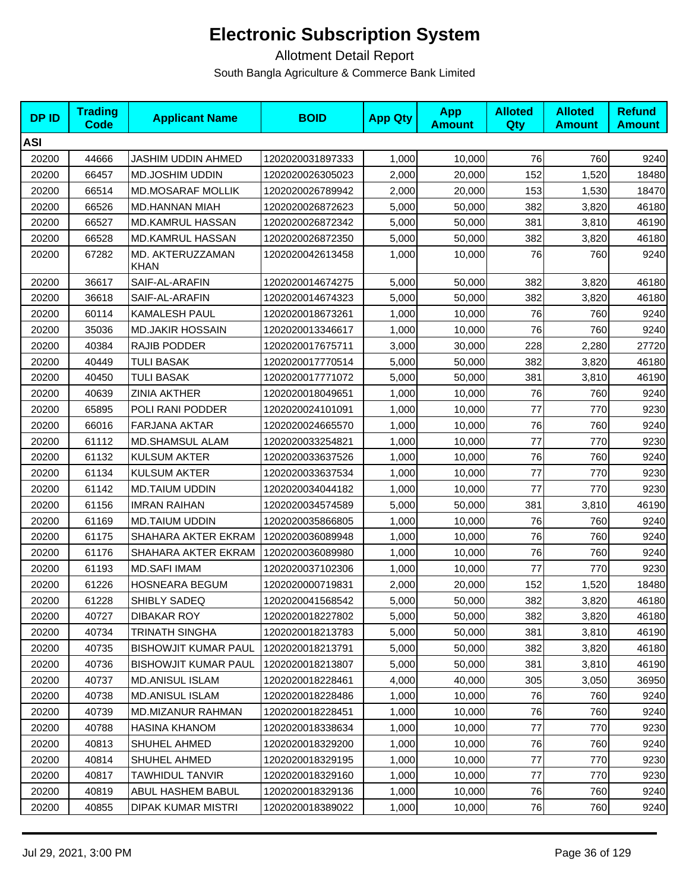| <b>DPID</b> | <b>Trading</b><br><b>Code</b> | <b>Applicant Name</b>           | <b>BOID</b>      | <b>App Qty</b> | <b>App</b><br><b>Amount</b> | <b>Alloted</b><br>Qty | <b>Alloted</b><br><b>Amount</b> | <b>Refund</b><br><b>Amount</b> |
|-------------|-------------------------------|---------------------------------|------------------|----------------|-----------------------------|-----------------------|---------------------------------|--------------------------------|
| ASI         |                               |                                 |                  |                |                             |                       |                                 |                                |
| 20200       | 44666                         | JASHIM UDDIN AHMED              | 1202020031897333 | 1,000          | 10,000                      | 76                    | 760                             | 9240                           |
| 20200       | 66457                         | MD.JOSHIM UDDIN                 | 1202020026305023 | 2,000          | 20,000                      | 152                   | 1,520                           | 18480                          |
| 20200       | 66514                         | <b>MD.MOSARAF MOLLIK</b>        | 1202020026789942 | 2,000          | 20,000                      | 153                   | 1,530                           | 18470                          |
| 20200       | 66526                         | <b>MD.HANNAN MIAH</b>           | 1202020026872623 | 5,000          | 50,000                      | 382                   | 3,820                           | 46180                          |
| 20200       | 66527                         | <b>MD.KAMRUL HASSAN</b>         | 1202020026872342 | 5,000          | 50,000                      | 381                   | 3,810                           | 46190                          |
| 20200       | 66528                         | <b>MD.KAMRUL HASSAN</b>         | 1202020026872350 | 5,000          | 50,000                      | 382                   | 3,820                           | 46180                          |
| 20200       | 67282                         | MD. AKTERUZZAMAN<br><b>KHAN</b> | 1202020042613458 | 1,000          | 10,000                      | 76                    | 760                             | 9240                           |
| 20200       | 36617                         | SAIF-AL-ARAFIN                  | 1202020014674275 | 5,000          | 50,000                      | 382                   | 3,820                           | 46180                          |
| 20200       | 36618                         | SAIF-AL-ARAFIN                  | 1202020014674323 | 5,000          | 50,000                      | 382                   | 3,820                           | 46180                          |
| 20200       | 60114                         | <b>KAMALESH PAUL</b>            | 1202020018673261 | 1,000          | 10,000                      | 76                    | 760                             | 9240                           |
| 20200       | 35036                         | <b>MD.JAKIR HOSSAIN</b>         | 1202020013346617 | 1,000          | 10,000                      | 76                    | 760                             | 9240                           |
| 20200       | 40384                         | RAJIB PODDER                    | 1202020017675711 | 3,000          | 30,000                      | 228                   | 2,280                           | 27720                          |
| 20200       | 40449                         | <b>TULI BASAK</b>               | 1202020017770514 | 5,000          | 50,000                      | 382                   | 3,820                           | 46180                          |
| 20200       | 40450                         | <b>TULI BASAK</b>               | 1202020017771072 | 5,000          | 50,000                      | 381                   | 3,810                           | 46190                          |
| 20200       | 40639                         | <b>ZINIA AKTHER</b>             | 1202020018049651 | 1,000          | 10,000                      | 76                    | 760                             | 9240                           |
| 20200       | 65895                         | POLI RANI PODDER                | 1202020024101091 | 1,000          | 10,000                      | 77                    | 770                             | 9230                           |
| 20200       | 66016                         | <b>FARJANA AKTAR</b>            | 1202020024665570 | 1,000          | 10,000                      | 76                    | 760                             | 9240                           |
| 20200       | 61112                         | <b>MD.SHAMSUL ALAM</b>          | 1202020033254821 | 1,000          | 10,000                      | 77                    | 770                             | 9230                           |
| 20200       | 61132                         | <b>KULSUM AKTER</b>             | 1202020033637526 | 1,000          | 10,000                      | 76                    | 760                             | 9240                           |
| 20200       | 61134                         | <b>KULSUM AKTER</b>             | 1202020033637534 | 1,000          | 10,000                      | 77                    | 770                             | 9230                           |
| 20200       | 61142                         | <b>MD.TAIUM UDDIN</b>           | 1202020034044182 | 1,000          | 10,000                      | 77                    | 770                             | 9230                           |
| 20200       | 61156                         | <b>IMRAN RAIHAN</b>             | 1202020034574589 | 5,000          | 50,000                      | 381                   | 3,810                           | 46190                          |
| 20200       | 61169                         | <b>MD.TAIUM UDDIN</b>           | 1202020035866805 | 1,000          | 10,000                      | 76                    | 760                             | 9240                           |
| 20200       | 61175                         | SHAHARA AKTER EKRAM             | 1202020036089948 | 1,000          | 10,000                      | 76                    | 760                             | 9240                           |
| 20200       | 61176                         | SHAHARA AKTER EKRAM             | 1202020036089980 | 1,000          | 10,000                      | 76                    | 760                             | 9240                           |
| 20200       | 61193                         | <b>MD.SAFI IMAM</b>             | 1202020037102306 | 1,000          | 10,000                      | 77                    | 770                             | 9230                           |
| 20200       | 61226                         | <b>HOSNEARA BEGUM</b>           | 1202020000719831 | 2,000          | 20,000                      | 152                   | 1,520                           | 18480                          |
| 20200       | 61228                         | SHIBLY SADEQ                    | 1202020041568542 | 5,000          | 50,000                      | 382                   | 3,820                           | 46180                          |
| 20200       | 40727                         | DIBAKAR ROY                     | 1202020018227802 | 5,000          | 50.000                      | 382                   | 3,820                           | 46180                          |
| 20200       | 40734                         | TRINATH SINGHA                  | 1202020018213783 | 5,000          | 50,000                      | 381                   | 3,810                           | 46190                          |
| 20200       | 40735                         | <b>BISHOWJIT KUMAR PAUL</b>     | 1202020018213791 | 5,000          | 50,000                      | 382                   | 3,820                           | 46180                          |
| 20200       | 40736                         | <b>BISHOWJIT KUMAR PAUL</b>     | 1202020018213807 | 5,000          | 50,000                      | 381                   | 3,810                           | 46190                          |
| 20200       | 40737                         | <b>MD.ANISUL ISLAM</b>          | 1202020018228461 | 4,000          | 40,000                      | 305                   | 3,050                           | 36950                          |
| 20200       | 40738                         | <b>MD.ANISUL ISLAM</b>          | 1202020018228486 | 1,000          | 10,000                      | 76                    | 760                             | 9240                           |
| 20200       | 40739                         | MD.MIZANUR RAHMAN               | 1202020018228451 | 1,000          | 10,000                      | 76                    | 760                             | 9240                           |
| 20200       | 40788                         | HASINA KHANOM                   | 1202020018338634 | 1,000          | 10,000                      | 77                    | 770                             | 9230                           |
| 20200       | 40813                         | SHUHEL AHMED                    | 1202020018329200 | 1,000          | 10,000                      | 76                    | 760                             | 9240                           |
| 20200       | 40814                         | SHUHEL AHMED                    | 1202020018329195 | 1,000          | 10,000                      | 77                    | 770                             | 9230                           |
| 20200       | 40817                         | TAWHIDUL TANVIR                 | 1202020018329160 | 1,000          | 10,000                      | 77                    | 770                             | 9230                           |
| 20200       | 40819                         | ABUL HASHEM BABUL               | 1202020018329136 | 1,000          | 10,000                      | 76                    | 760                             | 9240                           |
| 20200       | 40855                         | <b>DIPAK KUMAR MISTRI</b>       | 1202020018389022 | 1,000          | 10,000                      | 76                    | 760                             | 9240                           |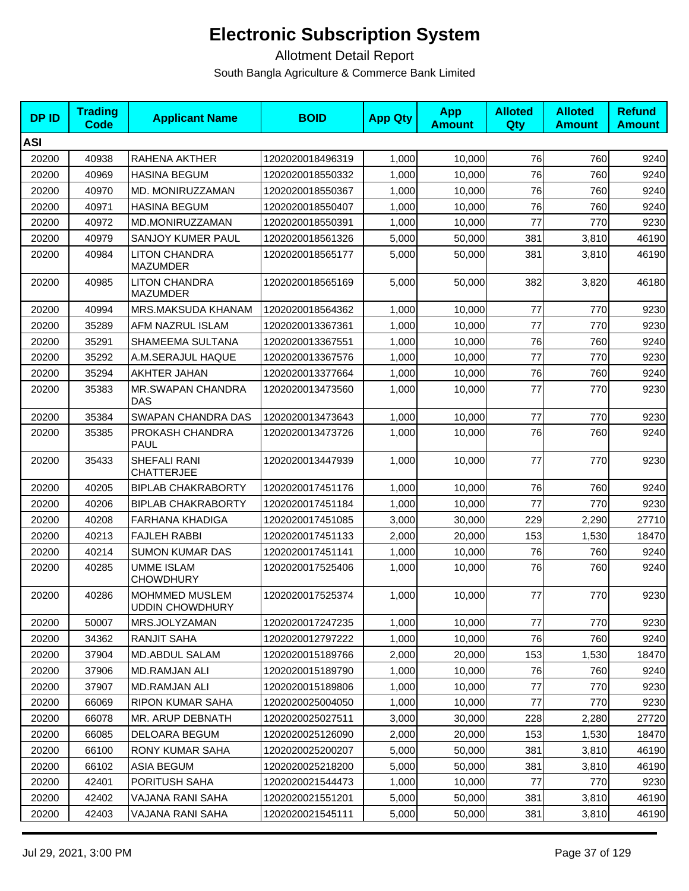| <b>DPID</b> | <b>Trading</b><br>Code | <b>Applicant Name</b>                           | <b>BOID</b>      | <b>App Qty</b> | <b>App</b><br><b>Amount</b> | <b>Alloted</b><br>Qty | <b>Alloted</b><br><b>Amount</b> | <b>Refund</b><br><b>Amount</b> |
|-------------|------------------------|-------------------------------------------------|------------------|----------------|-----------------------------|-----------------------|---------------------------------|--------------------------------|
| <b>ASI</b>  |                        |                                                 |                  |                |                             |                       |                                 |                                |
| 20200       | 40938                  | RAHENA AKTHER                                   | 1202020018496319 | 1,000          | 10,000                      | 76                    | 760                             | 9240                           |
| 20200       | 40969                  | <b>HASINA BEGUM</b>                             | 1202020018550332 | 1,000          | 10,000                      | 76                    | 760                             | 9240                           |
| 20200       | 40970                  | MD. MONIRUZZAMAN                                | 1202020018550367 | 1,000          | 10,000                      | 76                    | 760                             | 9240                           |
| 20200       | 40971                  | <b>HASINA BEGUM</b>                             | 1202020018550407 | 1,000          | 10,000                      | 76                    | 760                             | 9240                           |
| 20200       | 40972                  | MD.MONIRUZZAMAN                                 | 1202020018550391 | 1,000          | 10,000                      | 77                    | 770                             | 9230                           |
| 20200       | 40979                  | SANJOY KUMER PAUL                               | 1202020018561326 | 5,000          | 50,000                      | 381                   | 3,810                           | 46190                          |
| 20200       | 40984                  | <b>LITON CHANDRA</b><br><b>MAZUMDER</b>         | 1202020018565177 | 5,000          | 50,000                      | 381                   | 3,810                           | 46190                          |
| 20200       | 40985                  | <b>LITON CHANDRA</b><br><b>MAZUMDER</b>         | 1202020018565169 | 5,000          | 50,000                      | 382                   | 3,820                           | 46180                          |
| 20200       | 40994                  | MRS.MAKSUDA KHANAM                              | 1202020018564362 | 1,000          | 10,000                      | 77                    | 770                             | 9230                           |
| 20200       | 35289                  | AFM NAZRUL ISLAM                                | 1202020013367361 | 1,000          | 10,000                      | 77                    | 770                             | 9230                           |
| 20200       | 35291                  | SHAMEEMA SULTANA                                | 1202020013367551 | 1,000          | 10,000                      | 76                    | 760                             | 9240                           |
| 20200       | 35292                  | A.M.SERAJUL HAQUE                               | 1202020013367576 | 1,000          | 10,000                      | 77                    | 770                             | 9230                           |
| 20200       | 35294                  | AKHTER JAHAN                                    | 1202020013377664 | 1,000          | 10,000                      | 76                    | 760                             | 9240                           |
| 20200       | 35383                  | <b>MR.SWAPAN CHANDRA</b><br><b>DAS</b>          | 1202020013473560 | 1,000          | 10,000                      | 77                    | 770                             | 9230                           |
| 20200       | 35384                  | SWAPAN CHANDRA DAS                              | 1202020013473643 | 1,000          | 10,000                      | 77                    | 770                             | 9230                           |
| 20200       | 35385                  | PROKASH CHANDRA<br>PAUL                         | 1202020013473726 | 1,000          | 10,000                      | 76                    | 760                             | 9240                           |
| 20200       | 35433                  | SHEFALI RANI<br><b>CHATTERJEE</b>               | 1202020013447939 | 1,000          | 10,000                      | 77                    | 770                             | 9230                           |
| 20200       | 40205                  | <b>BIPLAB CHAKRABORTY</b>                       | 1202020017451176 | 1,000          | 10,000                      | 76                    | 760                             | 9240                           |
| 20200       | 40206                  | <b>BIPLAB CHAKRABORTY</b>                       | 1202020017451184 | 1,000          | 10,000                      | 77                    | 770                             | 9230                           |
| 20200       | 40208                  | <b>FARHANA KHADIGA</b>                          | 1202020017451085 | 3,000          | 30,000                      | 229                   | 2,290                           | 27710                          |
| 20200       | 40213                  | <b>FAJLEH RABBI</b>                             | 1202020017451133 | 2,000          | 20,000                      | 153                   | 1,530                           | 18470                          |
| 20200       | 40214                  | <b>SUMON KUMAR DAS</b>                          | 1202020017451141 | 1,000          | 10,000                      | 76                    | 760                             | 9240                           |
| 20200       | 40285                  | <b>UMME ISLAM</b><br><b>CHOWDHURY</b>           | 1202020017525406 | 1,000          | 10,000                      | 76                    | 760                             | 9240                           |
| 20200       | 40286                  | <b>MOHMMED MUSLEM</b><br><b>UDDIN CHOWDHURY</b> | 1202020017525374 | 1,000          | 10,000                      | 77                    | 770                             | 9230                           |
| 20200       | 50007                  | MRS.JOLYZAMAN                                   | 1202020017247235 | 1,000          | 10,000                      | 77                    | 770                             | 9230                           |
| 20200       | 34362                  | <b>RANJIT SAHA</b>                              | 1202020012797222 | 1,000          | 10,000                      | 76                    | 760                             | 9240                           |
| 20200       | 37904                  | MD.ABDUL SALAM                                  | 1202020015189766 | 2,000          | 20,000                      | 153                   | 1,530                           | 18470                          |
| 20200       | 37906                  | <b>MD.RAMJAN ALI</b>                            | 1202020015189790 | 1,000          | 10,000                      | 76                    | 760                             | 9240                           |
| 20200       | 37907                  | MD.RAMJAN ALI                                   | 1202020015189806 | 1,000          | 10,000                      | 77                    | 770                             | 9230                           |
| 20200       | 66069                  | <b>RIPON KUMAR SAHA</b>                         | 1202020025004050 | 1,000          | 10,000                      | 77                    | 770                             | 9230                           |
| 20200       | 66078                  | MR. ARUP DEBNATH                                | 1202020025027511 | 3,000          | 30,000                      | 228                   | 2,280                           | 27720                          |
| 20200       | 66085                  | DELOARA BEGUM                                   | 1202020025126090 | 2,000          | 20,000                      | 153                   | 1,530                           | 18470                          |
| 20200       | 66100                  | RONY KUMAR SAHA                                 | 1202020025200207 | 5,000          | 50,000                      | 381                   | 3,810                           | 46190                          |
| 20200       | 66102                  | <b>ASIA BEGUM</b>                               | 1202020025218200 | 5,000          | 50,000                      | 381                   | 3,810                           | 46190                          |
| 20200       | 42401                  | PORITUSH SAHA                                   | 1202020021544473 | 1,000          | 10,000                      | 77                    | 770                             | 9230                           |
| 20200       | 42402                  | VAJANA RANI SAHA                                | 1202020021551201 | 5,000          | 50,000                      | 381                   | 3,810                           | 46190                          |
| 20200       | 42403                  | VAJANA RANI SAHA                                | 1202020021545111 | 5,000          | 50,000                      | 381                   | 3,810                           | 46190                          |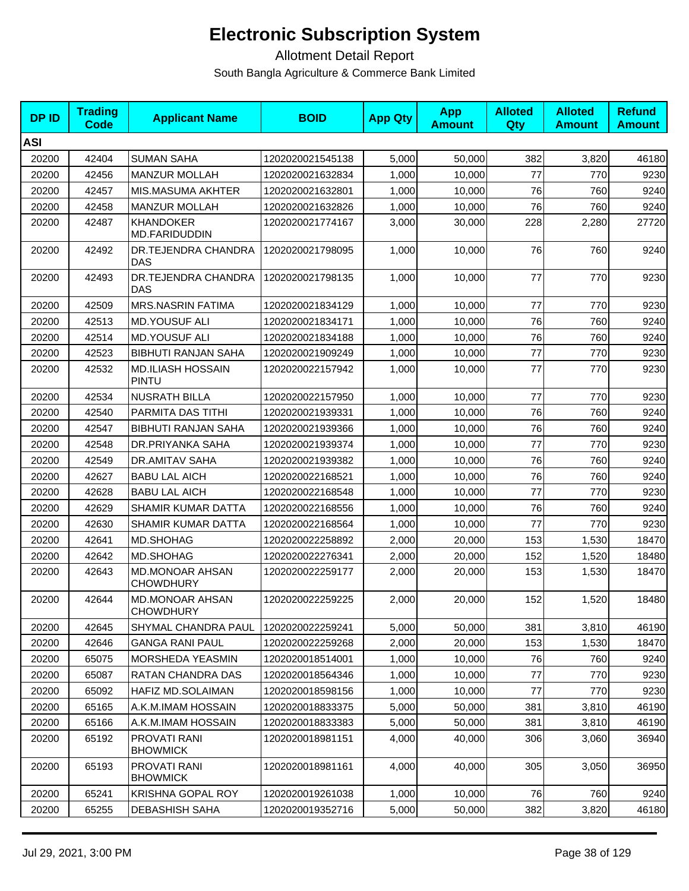| <b>DPID</b> | <b>Trading</b><br><b>Code</b> | <b>Applicant Name</b>                      | <b>BOID</b>      | <b>App Qty</b> | <b>App</b><br><b>Amount</b> | <b>Alloted</b><br><b>Qty</b> | <b>Alloted</b><br><b>Amount</b> | <b>Refund</b><br><b>Amount</b> |
|-------------|-------------------------------|--------------------------------------------|------------------|----------------|-----------------------------|------------------------------|---------------------------------|--------------------------------|
| <b>ASI</b>  |                               |                                            |                  |                |                             |                              |                                 |                                |
| 20200       | 42404                         | <b>SUMAN SAHA</b>                          | 1202020021545138 | 5,000          | 50,000                      | 382                          | 3,820                           | 46180                          |
| 20200       | 42456                         | <b>MANZUR MOLLAH</b>                       | 1202020021632834 | 1,000          | 10,000                      | 77                           | 770                             | 9230                           |
| 20200       | 42457                         | MIS.MASUMA AKHTER                          | 1202020021632801 | 1,000          | 10,000                      | 76                           | 760                             | 9240                           |
| 20200       | 42458                         | <b>MANZUR MOLLAH</b>                       | 1202020021632826 | 1,000          | 10,000                      | 76                           | 760                             | 9240                           |
| 20200       | 42487                         | <b>KHANDOKER</b><br>MD.FARIDUDDIN          | 1202020021774167 | 3,000          | 30,000                      | 228                          | 2,280                           | 27720                          |
| 20200       | 42492                         | DR.TEJENDRA CHANDRA<br>DAS                 | 1202020021798095 | 1,000          | 10,000                      | 76                           | 760                             | 9240                           |
| 20200       | 42493                         | DR.TEJENDRA CHANDRA<br><b>DAS</b>          | 1202020021798135 | 1,000          | 10,000                      | 77                           | 770                             | 9230                           |
| 20200       | 42509                         | <b>MRS.NASRIN FATIMA</b>                   | 1202020021834129 | 1,000          | 10,000                      | 77                           | 770                             | 9230                           |
| 20200       | 42513                         | <b>MD.YOUSUF ALI</b>                       | 1202020021834171 | 1,000          | 10,000                      | 76                           | 760                             | 9240                           |
| 20200       | 42514                         | <b>MD.YOUSUF ALI</b>                       | 1202020021834188 | 1,000          | 10,000                      | 76                           | 760                             | 9240                           |
| 20200       | 42523                         | <b>BIBHUTI RANJAN SAHA</b>                 | 1202020021909249 | 1,000          | 10,000                      | 77                           | 770                             | 9230                           |
| 20200       | 42532                         | <b>MD.ILIASH HOSSAIN</b><br>PINTU          | 1202020022157942 | 1,000          | 10,000                      | 77                           | 770                             | 9230                           |
| 20200       | 42534                         | <b>NUSRATH BILLA</b>                       | 1202020022157950 | 1,000          | 10,000                      | 77                           | 770                             | 9230                           |
| 20200       | 42540                         | PARMITA DAS TITHI                          | 1202020021939331 | 1,000          | 10,000                      | 76                           | 760                             | 9240                           |
| 20200       | 42547                         | <b>BIBHUTI RANJAN SAHA</b>                 | 1202020021939366 | 1,000          | 10,000                      | 76                           | 760                             | 9240                           |
| 20200       | 42548                         | DR.PRIYANKA SAHA                           | 1202020021939374 | 1,000          | 10,000                      | 77                           | 770                             | 9230                           |
| 20200       | 42549                         | DR.AMITAV SAHA                             | 1202020021939382 | 1,000          | 10,000                      | 76                           | 760                             | 9240                           |
| 20200       | 42627                         | <b>BABU LAL AICH</b>                       | 1202020022168521 | 1,000          | 10,000                      | 76                           | 760                             | 9240                           |
| 20200       | 42628                         | <b>BABU LAL AICH</b>                       | 1202020022168548 | 1,000          | 10,000                      | 77                           | 770                             | 9230                           |
| 20200       | 42629                         | SHAMIR KUMAR DATTA                         | 1202020022168556 | 1,000          | 10,000                      | 76                           | 760                             | 9240                           |
| 20200       | 42630                         | SHAMIR KUMAR DATTA                         | 1202020022168564 | 1,000          | 10,000                      | 77                           | 770                             | 9230                           |
| 20200       | 42641                         | MD.SHOHAG                                  | 1202020022258892 | 2,000          | 20,000                      | 153                          | 1,530                           | 18470                          |
| 20200       | 42642                         | MD.SHOHAG                                  | 1202020022276341 | 2,000          | 20,000                      | 152                          | 1,520                           | 18480                          |
| 20200       | 42643                         | <b>MD.MONOAR AHSAN</b><br><b>CHOWDHURY</b> | 1202020022259177 | 2,000          | 20,000                      | 153                          | 1,530                           | 18470                          |
| 20200       | 42644                         | <b>MD.MONOAR AHSAN</b><br><b>CHOWDHURY</b> | 1202020022259225 | 2,000          | 20,000                      | 152                          | 1,520                           | 18480                          |
| 20200       | 42645                         | SHYMAL CHANDRA PAUL                        | 1202020022259241 | 5,000          | 50,000                      | 381                          | 3,810                           | 46190                          |
| 20200       | 42646                         | <b>GANGA RANI PAUL</b>                     | 1202020022259268 | 2,000          | 20,000                      | 153                          | 1,530                           | 18470                          |
| 20200       | 65075                         | MORSHEDA YEASMIN                           | 1202020018514001 | 1,000          | 10,000                      | 76                           | 760                             | 9240                           |
| 20200       | 65087                         | RATAN CHANDRA DAS                          | 1202020018564346 | 1,000          | 10,000                      | 77                           | 770                             | 9230                           |
| 20200       | 65092                         | HAFIZ MD.SOLAIMAN                          | 1202020018598156 | 1,000          | 10,000                      | 77                           | 770                             | 9230                           |
| 20200       | 65165                         | A.K.M.IMAM HOSSAIN                         | 1202020018833375 | 5,000          | 50,000                      | 381                          | 3,810                           | 46190                          |
| 20200       | 65166                         | A.K.M.IMAM HOSSAIN                         | 1202020018833383 | 5,000          | 50,000                      | 381                          | 3,810                           | 46190                          |
| 20200       | 65192                         | PROVATI RANI<br><b>BHOWMICK</b>            | 1202020018981151 | 4,000          | 40,000                      | 306                          | 3,060                           | 36940                          |
| 20200       | 65193                         | PROVATI RANI<br><b>BHOWMICK</b>            | 1202020018981161 | 4,000          | 40,000                      | 305                          | 3,050                           | 36950                          |
| 20200       | 65241                         | KRISHNA GOPAL ROY                          | 1202020019261038 | 1,000          | 10,000                      | 76                           | 760                             | 9240                           |
| 20200       | 65255                         | <b>DEBASHISH SAHA</b>                      | 1202020019352716 | 5,000          | 50,000                      | 382                          | 3,820                           | 46180                          |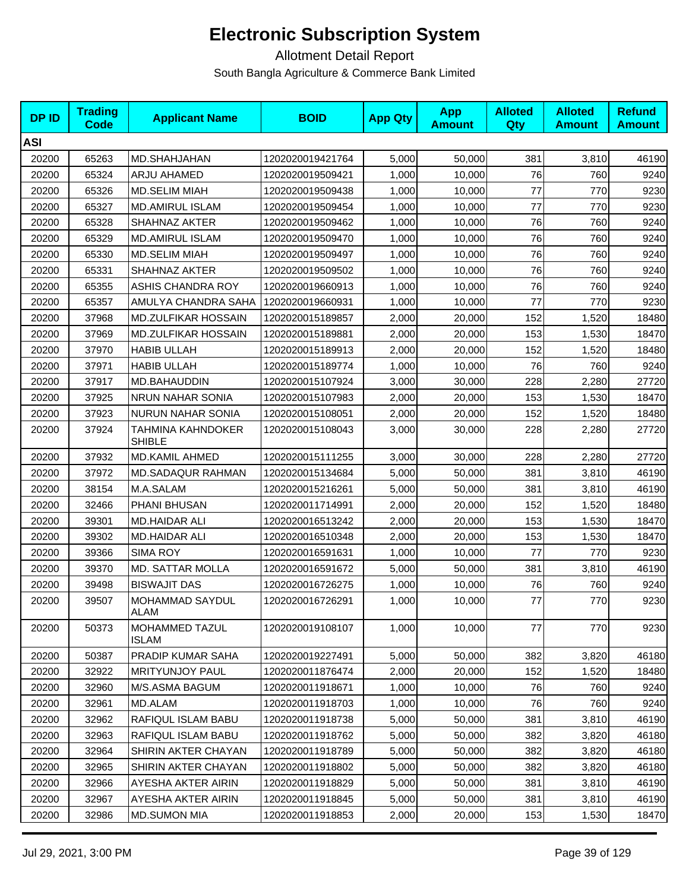| <b>DPID</b> | <b>Trading</b><br><b>Code</b> | <b>Applicant Name</b>              | <b>BOID</b>      | <b>App Qty</b> | <b>App</b><br><b>Amount</b> | <b>Alloted</b><br>Qty | <b>Alloted</b><br><b>Amount</b> | <b>Refund</b><br><b>Amount</b> |
|-------------|-------------------------------|------------------------------------|------------------|----------------|-----------------------------|-----------------------|---------------------------------|--------------------------------|
| <b>ASI</b>  |                               |                                    |                  |                |                             |                       |                                 |                                |
| 20200       | 65263                         | MD.SHAHJAHAN                       | 1202020019421764 | 5,000          | 50,000                      | 381                   | 3,810                           | 46190                          |
| 20200       | 65324                         | ARJU AHAMED                        | 1202020019509421 | 1,000          | 10,000                      | 76                    | 760                             | 9240                           |
| 20200       | 65326                         | <b>MD.SELIM MIAH</b>               | 1202020019509438 | 1,000          | 10,000                      | 77                    | 770                             | 9230                           |
| 20200       | 65327                         | <b>MD.AMIRUL ISLAM</b>             | 1202020019509454 | 1,000          | 10,000                      | 77                    | 770                             | 9230                           |
| 20200       | 65328                         | SHAHNAZ AKTER                      | 1202020019509462 | 1,000          | 10,000                      | 76                    | 760                             | 9240                           |
| 20200       | 65329                         | <b>MD.AMIRUL ISLAM</b>             | 1202020019509470 | 1,000          | 10,000                      | 76                    | 760                             | 9240                           |
| 20200       | 65330                         | <b>MD.SELIM MIAH</b>               | 1202020019509497 | 1,000          | 10,000                      | 76                    | 760                             | 9240                           |
| 20200       | 65331                         | SHAHNAZ AKTER                      | 1202020019509502 | 1,000          | 10,000                      | 76                    | 760                             | 9240                           |
| 20200       | 65355                         | ASHIS CHANDRA ROY                  | 1202020019660913 | 1,000          | 10,000                      | 76                    | 760                             | 9240                           |
| 20200       | 65357                         | AMULYA CHANDRA SAHA                | 1202020019660931 | 1,000          | 10,000                      | 77                    | 770                             | 9230                           |
| 20200       | 37968                         | MD.ZULFIKAR HOSSAIN                | 1202020015189857 | 2,000          | 20,000                      | 152                   | 1,520                           | 18480                          |
| 20200       | 37969                         | <b>MD.ZULFIKAR HOSSAIN</b>         | 1202020015189881 | 2,000          | 20,000                      | 153                   | 1,530                           | 18470                          |
| 20200       | 37970                         | <b>HABIB ULLAH</b>                 | 1202020015189913 | 2,000          | 20,000                      | 152                   | 1,520                           | 18480                          |
| 20200       | 37971                         | <b>HABIB ULLAH</b>                 | 1202020015189774 | 1,000          | 10,000                      | 76                    | 760                             | 9240                           |
| 20200       | 37917                         | MD.BAHAUDDIN                       | 1202020015107924 | 3,000          | 30,000                      | 228                   | 2,280                           | 27720                          |
| 20200       | 37925                         | NRUN NAHAR SONIA                   | 1202020015107983 | 2,000          | 20,000                      | 153                   | 1,530                           | 18470                          |
| 20200       | 37923                         | NURUN NAHAR SONIA                  | 1202020015108051 | 2,000          | 20,000                      | 152                   | 1,520                           | 18480                          |
| 20200       | 37924                         | TAHMINA KAHNDOKER<br><b>SHIBLE</b> | 1202020015108043 | 3,000          | 30,000                      | 228                   | 2,280                           | 27720                          |
| 20200       | 37932                         | MD.KAMIL AHMED                     | 1202020015111255 | 3,000          | 30,000                      | 228                   | 2,280                           | 27720                          |
| 20200       | 37972                         | <b>MD.SADAQUR RAHMAN</b>           | 1202020015134684 | 5,000          | 50,000                      | 381                   | 3,810                           | 46190                          |
| 20200       | 38154                         | M.A.SALAM                          | 1202020015216261 | 5,000          | 50,000                      | 381                   | 3,810                           | 46190                          |
| 20200       | 32466                         | PHANI BHUSAN                       | 1202020011714991 | 2,000          | 20,000                      | 152                   | 1,520                           | 18480                          |
| 20200       | 39301                         | MD.HAIDAR ALI                      | 1202020016513242 | 2,000          | 20,000                      | 153                   | 1,530                           | 18470                          |
| 20200       | 39302                         | MD.HAIDAR ALI                      | 1202020016510348 | 2,000          | 20,000                      | 153                   | 1,530                           | 18470                          |
| 20200       | 39366                         | <b>SIMA ROY</b>                    | 1202020016591631 | 1,000          | 10,000                      | 77                    | 770                             | 9230                           |
| 20200       | 39370                         | MD. SATTAR MOLLA                   | 1202020016591672 | 5,000          | 50,000                      | 381                   | 3,810                           | 46190                          |
| 20200       | 39498                         | <b>BISWAJIT DAS</b>                | 1202020016726275 | 1,000          | 10,000                      | 76                    | 760                             | 9240                           |
| 20200       | 39507                         | MOHAMMAD SAYDUL<br><b>ALAM</b>     | 1202020016726291 | 1,000          | 10,000                      | 77                    | 770                             | 9230                           |
| 20200       | 50373                         | MOHAMMED TAZUL<br><b>ISLAM</b>     | 1202020019108107 | 1,000          | 10,000                      | 77                    | 770                             | 9230                           |
| 20200       | 50387                         | PRADIP KUMAR SAHA                  | 1202020019227491 | 5,000          | 50,000                      | 382                   | 3,820                           | 46180                          |
| 20200       | 32922                         | <b>MRITYUNJOY PAUL</b>             | 1202020011876474 | 2,000          | 20,000                      | 152                   | 1,520                           | 18480                          |
| 20200       | 32960                         | M/S.ASMA BAGUM                     | 1202020011918671 | 1,000          | 10,000                      | 76                    | 760                             | 9240                           |
| 20200       | 32961                         | MD.ALAM                            | 1202020011918703 | 1,000          | 10,000                      | 76                    | 760                             | 9240                           |
| 20200       | 32962                         | RAFIQUL ISLAM BABU                 | 1202020011918738 | 5,000          | 50,000                      | 381                   | 3,810                           | 46190                          |
| 20200       | 32963                         | RAFIQUL ISLAM BABU                 | 1202020011918762 | 5,000          | 50,000                      | 382                   | 3,820                           | 46180                          |
| 20200       | 32964                         | SHIRIN AKTER CHAYAN                | 1202020011918789 | 5,000          | 50,000                      | 382                   | 3,820                           | 46180                          |
| 20200       | 32965                         | SHIRIN AKTER CHAYAN                | 1202020011918802 | 5,000          | 50,000                      | 382                   | 3,820                           | 46180                          |
| 20200       | 32966                         | AYESHA AKTER AIRIN                 | 1202020011918829 | 5,000          | 50,000                      | 381                   | 3,810                           | 46190                          |
| 20200       | 32967                         | AYESHA AKTER AIRIN                 | 1202020011918845 | 5,000          | 50,000                      | 381                   | 3,810                           | 46190                          |
| 20200       | 32986                         | <b>MD.SUMON MIA</b>                | 1202020011918853 | 2,000          | 20,000                      | 153                   | 1,530                           | 18470                          |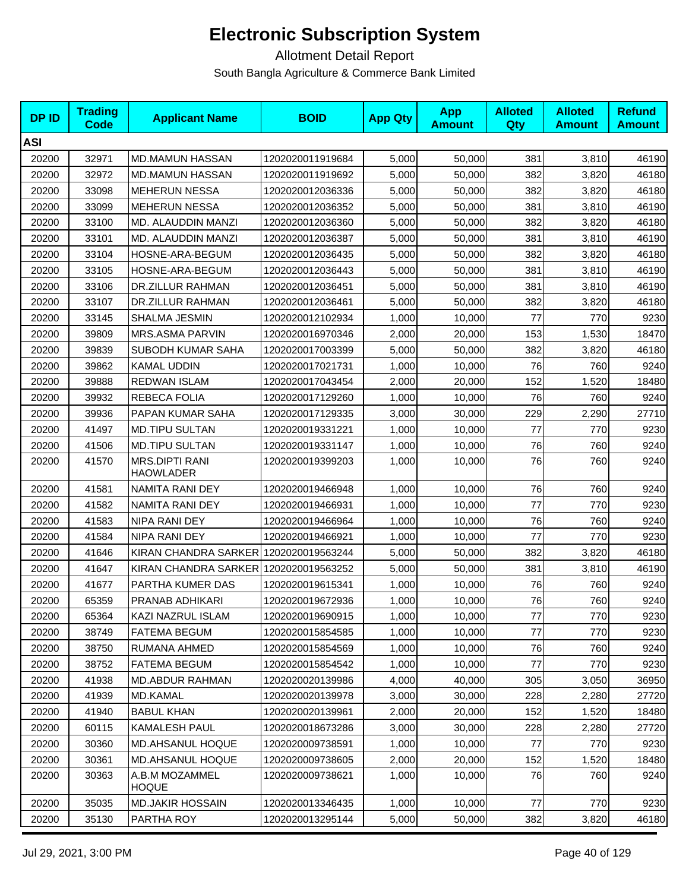| <b>DPID</b> | <b>Trading</b><br>Code | <b>Applicant Name</b>                     | <b>BOID</b>      | <b>App Qty</b> | <b>App</b><br><b>Amount</b> | <b>Alloted</b><br><b>Qty</b> | <b>Alloted</b><br><b>Amount</b> | <b>Refund</b><br><b>Amount</b> |
|-------------|------------------------|-------------------------------------------|------------------|----------------|-----------------------------|------------------------------|---------------------------------|--------------------------------|
| <b>ASI</b>  |                        |                                           |                  |                |                             |                              |                                 |                                |
| 20200       | 32971                  | <b>MD.MAMUN HASSAN</b>                    | 1202020011919684 | 5,000          | 50,000                      | 381                          | 3,810                           | 46190                          |
| 20200       | 32972                  | <b>MD.MAMUN HASSAN</b>                    | 1202020011919692 | 5,000          | 50,000                      | 382                          | 3,820                           | 46180                          |
| 20200       | 33098                  | <b>MEHERUN NESSA</b>                      | 1202020012036336 | 5,000          | 50,000                      | 382                          | 3,820                           | 46180                          |
| 20200       | 33099                  | <b>MEHERUN NESSA</b>                      | 1202020012036352 | 5,000          | 50,000                      | 381                          | 3,810                           | 46190                          |
| 20200       | 33100                  | MD. ALAUDDIN MANZI                        | 1202020012036360 | 5,000          | 50,000                      | 382                          | 3,820                           | 46180                          |
| 20200       | 33101                  | MD. ALAUDDIN MANZI                        | 1202020012036387 | 5,000          | 50,000                      | 381                          | 3,810                           | 46190                          |
| 20200       | 33104                  | HOSNE-ARA-BEGUM                           | 1202020012036435 | 5,000          | 50,000                      | 382                          | 3,820                           | 46180                          |
| 20200       | 33105                  | HOSNE-ARA-BEGUM                           | 1202020012036443 | 5,000          | 50,000                      | 381                          | 3,810                           | 46190                          |
| 20200       | 33106                  | DR.ZILLUR RAHMAN                          | 1202020012036451 | 5,000          | 50,000                      | 381                          | 3,810                           | 46190                          |
| 20200       | 33107                  | DR.ZILLUR RAHMAN                          | 1202020012036461 | 5,000          | 50,000                      | 382                          | 3,820                           | 46180                          |
| 20200       | 33145                  | SHALMA JESMIN                             | 1202020012102934 | 1,000          | 10,000                      | 77                           | 770                             | 9230                           |
| 20200       | 39809                  | MRS.ASMA PARVIN                           | 1202020016970346 | 2,000          | 20,000                      | 153                          | 1,530                           | 18470                          |
| 20200       | 39839                  | SUBODH KUMAR SAHA                         | 1202020017003399 | 5,000          | 50,000                      | 382                          | 3,820                           | 46180                          |
| 20200       | 39862                  | <b>KAMAL UDDIN</b>                        | 1202020017021731 | 1,000          | 10,000                      | 76                           | 760                             | 9240                           |
| 20200       | 39888                  | <b>REDWAN ISLAM</b>                       | 1202020017043454 | 2,000          | 20,000                      | 152                          | 1,520                           | 18480                          |
| 20200       | 39932                  | REBECA FOLIA                              | 1202020017129260 | 1,000          | 10,000                      | 76                           | 760                             | 9240                           |
| 20200       | 39936                  | PAPAN KUMAR SAHA                          | 1202020017129335 | 3,000          | 30,000                      | 229                          | 2,290                           | 27710                          |
| 20200       | 41497                  | <b>MD.TIPU SULTAN</b>                     | 1202020019331221 | 1,000          | 10,000                      | 77                           | 770                             | 9230                           |
| 20200       | 41506                  | <b>MD.TIPU SULTAN</b>                     | 1202020019331147 | 1,000          | 10,000                      | 76                           | 760                             | 9240                           |
| 20200       | 41570                  | <b>MRS.DIPTI RANI</b><br><b>HAOWLADER</b> | 1202020019399203 | 1,000          | 10,000                      | 76                           | 760                             | 9240                           |
| 20200       | 41581                  | NAMITA RANI DEY                           | 1202020019466948 | 1,000          | 10,000                      | 76                           | 760                             | 9240                           |
| 20200       | 41582                  | NAMITA RANI DEY                           | 1202020019466931 | 1,000          | 10,000                      | 77                           | 770                             | 9230                           |
| 20200       | 41583                  | NIPA RANI DEY                             | 1202020019466964 | 1,000          | 10,000                      | 76                           | 760                             | 9240                           |
| 20200       | 41584                  | NIPA RANI DEY                             | 1202020019466921 | 1,000          | 10,000                      | 77                           | 770                             | 9230                           |
| 20200       | 41646                  | KIRAN CHANDRA SARKER 1202020019563244     |                  | 5,000          | 50,000                      | 382                          | 3,820                           | 46180                          |
| 20200       | 41647                  | KIRAN CHANDRA SARKER 1202020019563252     |                  | 5,000          | 50,000                      | 381                          | 3,810                           | 46190                          |
| 20200       | 41677                  | PARTHA KUMER DAS                          | 1202020019615341 | 1,000          | 10,000                      | 76                           | 760                             | 9240                           |
| 20200       | 65359                  | PRANAB ADHIKARI                           | 1202020019672936 | 1,000          | 10,000                      | 76                           | 760                             | 9240                           |
| 20200       | 65364                  | KAZI NAZRUL ISLAM                         | 1202020019690915 | 1,000          | 10,000                      | 77                           | 770                             | 9230                           |
| 20200       | 38749                  | <b>FATEMA BEGUM</b>                       | 1202020015854585 | 1,000          | 10,000                      | 77                           | 770                             | 9230                           |
| 20200       | 38750                  | RUMANA AHMED                              | 1202020015854569 | 1,000          | 10,000                      | 76                           | 760                             | 9240                           |
| 20200       | 38752                  | <b>FATEMA BEGUM</b>                       | 1202020015854542 | 1,000          | 10,000                      | 77                           | 770                             | 9230                           |
| 20200       | 41938                  | <b>MD.ABDUR RAHMAN</b>                    | 1202020020139986 | 4,000          | 40,000                      | 305                          | 3,050                           | 36950                          |
| 20200       | 41939                  | <b>MD.KAMAL</b>                           | 1202020020139978 | 3,000          | 30,000                      | 228                          | 2,280                           | 27720                          |
| 20200       | 41940                  | <b>BABUL KHAN</b>                         | 1202020020139961 | 2,000          | 20,000                      | 152                          | 1,520                           | 18480                          |
| 20200       | 60115                  | KAMALESH PAUL                             | 1202020018673286 | 3,000          | 30,000                      | 228                          | 2,280                           | 27720                          |
| 20200       | 30360                  | <b>MD.AHSANUL HOQUE</b>                   | 1202020009738591 | 1,000          | 10,000                      | 77                           | 770                             | 9230                           |
| 20200       | 30361                  | <b>MD.AHSANUL HOQUE</b>                   | 1202020009738605 | 2,000          | 20,000                      | 152                          | 1,520                           | 18480                          |
| 20200       | 30363                  | A.B.M MOZAMMEL<br><b>HOQUE</b>            | 1202020009738621 | 1,000          | 10,000                      | 76                           | 760                             | 9240                           |
| 20200       | 35035                  | <b>MD.JAKIR HOSSAIN</b>                   | 1202020013346435 | 1,000          | 10,000                      | 77                           | 770                             | 9230                           |
| 20200       | 35130                  | PARTHA ROY                                | 1202020013295144 | 5,000          | 50,000                      | 382                          | 3,820                           | 46180                          |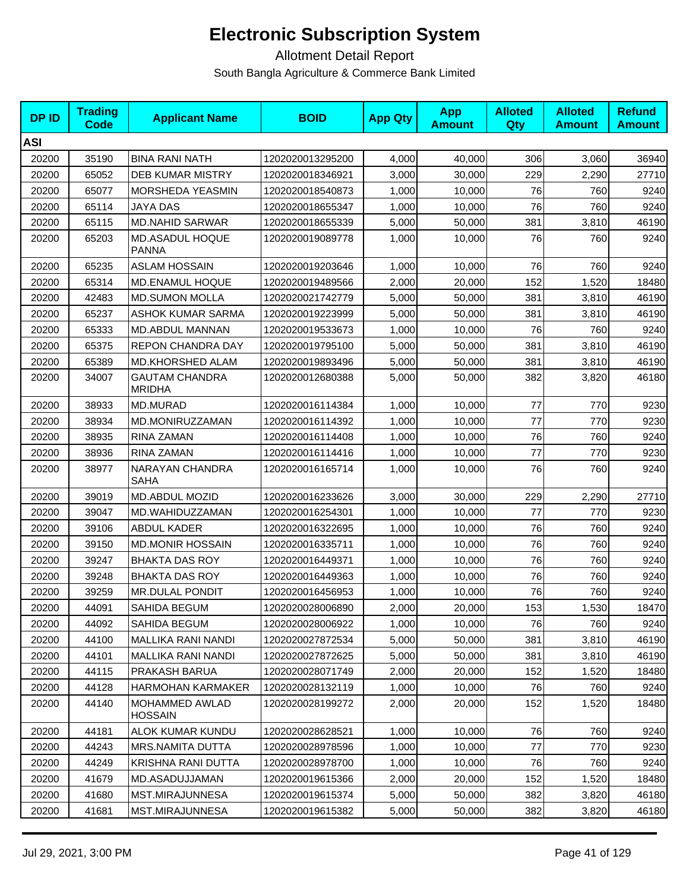| <b>DPID</b> | <b>Trading</b><br><b>Code</b> | <b>Applicant Name</b>                  | <b>BOID</b>      | <b>App Qty</b> | <b>App</b><br><b>Amount</b> | <b>Alloted</b><br><b>Qty</b> | <b>Alloted</b><br><b>Amount</b> | <b>Refund</b><br><b>Amount</b> |
|-------------|-------------------------------|----------------------------------------|------------------|----------------|-----------------------------|------------------------------|---------------------------------|--------------------------------|
| <b>ASI</b>  |                               |                                        |                  |                |                             |                              |                                 |                                |
| 20200       | 35190                         | <b>BINA RANI NATH</b>                  | 1202020013295200 | 4,000          | 40,000                      | 306                          | 3,060                           | 36940                          |
| 20200       | 65052                         | <b>DEB KUMAR MISTRY</b>                | 1202020018346921 | 3,000          | 30,000                      | 229                          | 2,290                           | 27710                          |
| 20200       | 65077                         | MORSHEDA YEASMIN                       | 1202020018540873 | 1,000          | 10,000                      | 76                           | 760                             | 9240                           |
| 20200       | 65114                         | JAYA DAS                               | 1202020018655347 | 1,000          | 10,000                      | 76                           | 760                             | 9240                           |
| 20200       | 65115                         | <b>MD.NAHID SARWAR</b>                 | 1202020018655339 | 5,000          | 50,000                      | 381                          | 3,810                           | 46190                          |
| 20200       | 65203                         | MD.ASADUL HOQUE<br><b>PANNA</b>        | 1202020019089778 | 1,000          | 10,000                      | 76                           | 760                             | 9240                           |
| 20200       | 65235                         | <b>ASLAM HOSSAIN</b>                   | 1202020019203646 | 1,000          | 10,000                      | 76                           | 760                             | 9240                           |
| 20200       | 65314                         | MD.ENAMUL HOQUE                        | 1202020019489566 | 2,000          | 20,000                      | 152                          | 1,520                           | 18480                          |
| 20200       | 42483                         | <b>MD.SUMON MOLLA</b>                  | 1202020021742779 | 5,000          | 50,000                      | 381                          | 3,810                           | 46190                          |
| 20200       | 65237                         | <b>ASHOK KUMAR SARMA</b>               | 1202020019223999 | 5,000          | 50,000                      | 381                          | 3,810                           | 46190                          |
| 20200       | 65333                         | MD.ABDUL MANNAN                        | 1202020019533673 | 1,000          | 10,000                      | 76                           | 760                             | 9240                           |
| 20200       | 65375                         | <b>REPON CHANDRA DAY</b>               | 1202020019795100 | 5,000          | 50,000                      | 381                          | 3,810                           | 46190                          |
| 20200       | 65389                         | MD.KHORSHED ALAM                       | 1202020019893496 | 5,000          | 50,000                      | 381                          | 3,810                           | 46190                          |
| 20200       | 34007                         | <b>GAUTAM CHANDRA</b><br><b>MRIDHA</b> | 1202020012680388 | 5,000          | 50,000                      | 382                          | 3,820                           | 46180                          |
| 20200       | 38933                         | <b>MD.MURAD</b>                        | 1202020016114384 | 1,000          | 10,000                      | 77                           | 770                             | 9230                           |
| 20200       | 38934                         | MD.MONIRUZZAMAN                        | 1202020016114392 | 1,000          | 10,000                      | 77                           | 770                             | 9230                           |
| 20200       | 38935                         | RINA ZAMAN                             | 1202020016114408 | 1,000          | 10,000                      | 76                           | 760                             | 9240                           |
| 20200       | 38936                         | RINA ZAMAN                             | 1202020016114416 | 1,000          | 10,000                      | 77                           | 770                             | 9230                           |
| 20200       | 38977                         | NARAYAN CHANDRA<br>SAHA                | 1202020016165714 | 1,000          | 10,000                      | 76                           | 760                             | 9240                           |
| 20200       | 39019                         | MD.ABDUL MOZID                         | 1202020016233626 | 3,000          | 30,000                      | 229                          | 2,290                           | 27710                          |
| 20200       | 39047                         | MD.WAHIDUZZAMAN                        | 1202020016254301 | 1,000          | 10,000                      | 77                           | 770                             | 9230                           |
| 20200       | 39106                         | <b>ABDUL KADER</b>                     | 1202020016322695 | 1,000          | 10,000                      | 76                           | 760                             | 9240                           |
| 20200       | 39150                         | <b>MD.MONIR HOSSAIN</b>                | 1202020016335711 | 1,000          | 10,000                      | 76                           | 760                             | 9240                           |
| 20200       | 39247                         | <b>BHAKTA DAS ROY</b>                  | 1202020016449371 | 1,000          | 10,000                      | 76                           | 760                             | 9240                           |
| 20200       | 39248                         | <b>BHAKTA DAS ROY</b>                  | 1202020016449363 | 1,000          | 10,000                      | 76                           | 760                             | 9240                           |
| 20200       | 39259                         | <b>MR.DULAL PONDIT</b>                 | 1202020016456953 | 1,000          | 10,000                      | 76                           | 760                             | 9240                           |
| 20200       | 44091                         | SAHIDA BEGUM                           | 1202020028006890 | 2,000          | 20,000                      | 153                          | 1,530                           | 18470                          |
| 20200       | 44092                         | SAHIDA BEGUM                           | 1202020028006922 | 1,000          | 10,000                      | 76                           | 760                             | 9240                           |
| 20200       | 44100                         | <b>MALLIKA RANI NANDI</b>              | 1202020027872534 | 5,000          | 50,000                      | 381                          | 3,810                           | 46190                          |
| 20200       | 44101                         | <b>MALLIKA RANI NANDI</b>              | 1202020027872625 | 5,000          | 50,000                      | 381                          | 3,810                           | 46190                          |
| 20200       | 44115                         | PRAKASH BARUA                          | 1202020028071749 | 2,000          | 20,000                      | 152                          | 1,520                           | 18480                          |
| 20200       | 44128                         | <b>HARMOHAN KARMAKER</b>               | 1202020028132119 | 1,000          | 10,000                      | 76                           | 760                             | 9240                           |
| 20200       | 44140                         | MOHAMMED AWLAD<br><b>HOSSAIN</b>       | 1202020028199272 | 2,000          | 20,000                      | 152                          | 1,520                           | 18480                          |
| 20200       | 44181                         | ALOK KUMAR KUNDU                       | 1202020028628521 | 1,000          | 10,000                      | 76                           | 760                             | 9240                           |
| 20200       | 44243                         | MRS.NAMITA DUTTA                       | 1202020028978596 | 1,000          | 10,000                      | 77                           | 770                             | 9230                           |
| 20200       | 44249                         | KRISHNA RANI DUTTA                     | 1202020028978700 | 1,000          | 10,000                      | 76                           | 760                             | 9240                           |
| 20200       | 41679                         | MD.ASADUJJAMAN                         | 1202020019615366 | 2,000          | 20,000                      | 152                          | 1,520                           | 18480                          |
| 20200       | 41680                         | MST.MIRAJUNNESA                        | 1202020019615374 | 5,000          | 50,000                      | 382                          | 3,820                           | 46180                          |
| 20200       | 41681                         | MST.MIRAJUNNESA                        | 1202020019615382 | 5,000          | 50,000                      | 382                          | 3,820                           | 46180                          |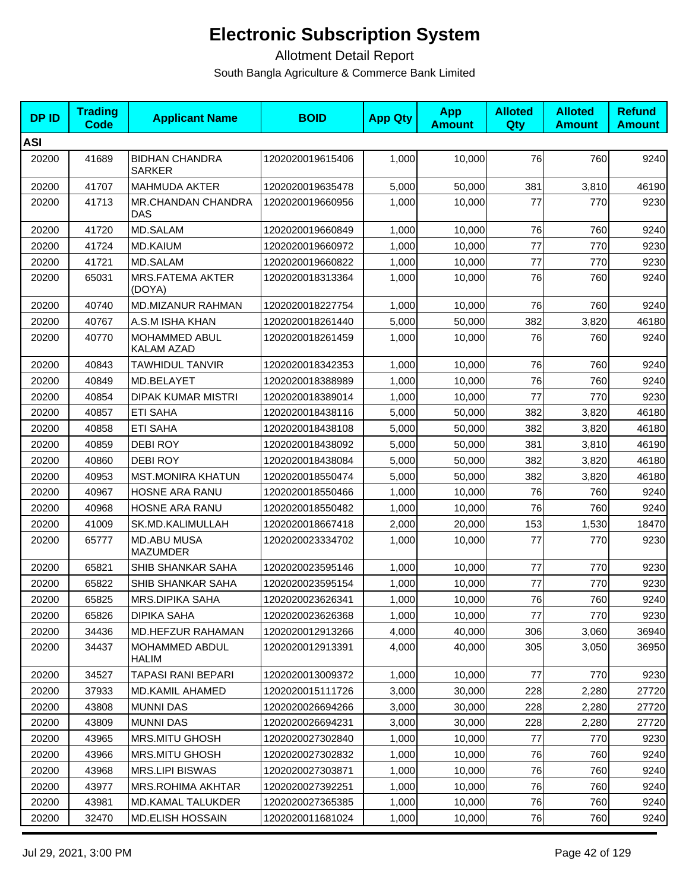| <b>DPID</b> | <b>Trading</b><br>Code | <b>Applicant Name</b>                     | <b>BOID</b>      | <b>App Qty</b> | <b>App</b><br><b>Amount</b> | <b>Alloted</b><br>Qty | <b>Alloted</b><br><b>Amount</b> | <b>Refund</b><br><b>Amount</b> |
|-------------|------------------------|-------------------------------------------|------------------|----------------|-----------------------------|-----------------------|---------------------------------|--------------------------------|
| <b>ASI</b>  |                        |                                           |                  |                |                             |                       |                                 |                                |
| 20200       | 41689                  | <b>BIDHAN CHANDRA</b><br><b>SARKER</b>    | 1202020019615406 | 1,000          | 10,000                      | 76                    | 760                             | 9240                           |
| 20200       | 41707                  | <b>MAHMUDA AKTER</b>                      | 1202020019635478 | 5,000          | 50,000                      | 381                   | 3,810                           | 46190                          |
| 20200       | 41713                  | <b>MR.CHANDAN CHANDRA</b><br><b>DAS</b>   | 1202020019660956 | 1,000          | 10,000                      | 77                    | 770                             | 9230                           |
| 20200       | 41720                  | <b>MD.SALAM</b>                           | 1202020019660849 | 1,000          | 10,000                      | 76                    | 760                             | 9240                           |
| 20200       | 41724                  | <b>MD.KAIUM</b>                           | 1202020019660972 | 1,000          | 10,000                      | 77                    | 770                             | 9230                           |
| 20200       | 41721                  | <b>MD.SALAM</b>                           | 1202020019660822 | 1,000          | 10,000                      | 77                    | 770                             | 9230                           |
| 20200       | 65031                  | MRS.FATEMA AKTER<br>(DOYA)                | 1202020018313364 | 1,000          | 10,000                      | 76                    | 760                             | 9240                           |
| 20200       | 40740                  | <b>MD.MIZANUR RAHMAN</b>                  | 1202020018227754 | 1,000          | 10,000                      | 76                    | 760                             | 9240                           |
| 20200       | 40767                  | A.S.M ISHA KHAN                           | 1202020018261440 | 5,000          | 50,000                      | 382                   | 3,820                           | 46180                          |
| 20200       | 40770                  | <b>MOHAMMED ABUL</b><br><b>KALAM AZAD</b> | 1202020018261459 | 1,000          | 10,000                      | 76                    | 760                             | 9240                           |
| 20200       | 40843                  | <b>TAWHIDUL TANVIR</b>                    | 1202020018342353 | 1,000          | 10,000                      | 76                    | 760                             | 9240                           |
| 20200       | 40849                  | MD.BELAYET                                | 1202020018388989 | 1,000          | 10,000                      | 76                    | 760                             | 9240                           |
| 20200       | 40854                  | <b>DIPAK KUMAR MISTRI</b>                 | 1202020018389014 | 1,000          | 10,000                      | 77                    | 770                             | 9230                           |
| 20200       | 40857                  | <b>ETI SAHA</b>                           | 1202020018438116 | 5,000          | 50,000                      | 382                   | 3,820                           | 46180                          |
| 20200       | 40858                  | <b>ETI SAHA</b>                           | 1202020018438108 | 5,000          | 50,000                      | 382                   | 3,820                           | 46180                          |
| 20200       | 40859                  | <b>DEBIROY</b>                            | 1202020018438092 | 5,000          | 50,000                      | 381                   | 3,810                           | 46190                          |
| 20200       | 40860                  | <b>DEBIROY</b>                            | 1202020018438084 | 5,000          | 50,000                      | 382                   | 3,820                           | 46180                          |
| 20200       | 40953                  | <b>MST.MONIRA KHATUN</b>                  | 1202020018550474 | 5,000          | 50,000                      | 382                   | 3,820                           | 46180                          |
| 20200       | 40967                  | HOSNE ARA RANU                            | 1202020018550466 | 1,000          | 10,000                      | 76                    | 760                             | 9240                           |
| 20200       | 40968                  | HOSNE ARA RANU                            | 1202020018550482 | 1,000          | 10,000                      | 76                    | 760                             | 9240                           |
| 20200       | 41009                  | SK.MD.KALIMULLAH                          | 1202020018667418 | 2,000          | 20,000                      | 153                   | 1,530                           | 18470                          |
| 20200       | 65777                  | <b>MD.ABU MUSA</b><br><b>MAZUMDER</b>     | 1202020023334702 | 1,000          | 10,000                      | 77                    | 770                             | 9230                           |
| 20200       | 65821                  | SHIB SHANKAR SAHA                         | 1202020023595146 | 1,000          | 10,000                      | 77                    | 770                             | 9230                           |
| 20200       | 65822                  | SHIB SHANKAR SAHA                         | 1202020023595154 | 1,000          | 10,000                      | 77                    | 770                             | 9230                           |
| 20200       | 65825                  | <b>MRS.DIPIKA SAHA</b>                    | 1202020023626341 | 1,000          | 10,000                      | 76                    | 760                             | 9240                           |
| 20200       | 65826                  | <b>DIPIKA SAHA</b>                        | 1202020023626368 | 1,000          | 10,000                      | 77                    | 770                             | 9230                           |
| 20200       | 34436                  | <b>MD.HEFZUR RAHAMAN</b>                  | 1202020012913266 | 4,000          | 40,000                      | 306                   | 3,060                           | 36940                          |
| 20200       | 34437                  | MOHAMMED ABDUL<br>HALIM                   | 1202020012913391 | 4,000          | 40,000                      | 305                   | 3,050                           | 36950                          |
| 20200       | 34527                  | TAPASI RANI BEPARI                        | 1202020013009372 | 1,000          | 10,000                      | 77                    | 770                             | 9230                           |
| 20200       | 37933                  | <b>MD.KAMIL AHAMED</b>                    | 1202020015111726 | 3,000          | 30,000                      | 228                   | 2,280                           | 27720                          |
| 20200       | 43808                  | <b>MUNNI DAS</b>                          | 1202020026694266 | 3,000          | 30,000                      | 228                   | 2,280                           | 27720                          |
| 20200       | 43809                  | <b>MUNNI DAS</b>                          | 1202020026694231 | 3,000          | 30,000                      | 228                   | 2,280                           | 27720                          |
| 20200       | 43965                  | <b>MRS.MITU GHOSH</b>                     | 1202020027302840 | 1,000          | 10,000                      | 77                    | 770                             | 9230                           |
| 20200       | 43966                  | MRS.MITU GHOSH                            | 1202020027302832 | 1,000          | 10,000                      | 76                    | 760                             | 9240                           |
| 20200       | 43968                  | MRS.LIPI BISWAS                           | 1202020027303871 | 1,000          | 10,000                      | 76                    | 760                             | 9240                           |
| 20200       | 43977                  | MRS.ROHIMA AKHTAR                         | 1202020027392251 | 1,000          | 10,000                      | 76                    | 760                             | 9240                           |
| 20200       | 43981                  | <b>MD.KAMAL TALUKDER</b>                  | 1202020027365385 | 1,000          | 10,000                      | 76                    | 760                             | 9240                           |
| 20200       | 32470                  | <b>MD.ELISH HOSSAIN</b>                   | 1202020011681024 | 1,000          | 10,000                      | 76                    | 760                             | 9240                           |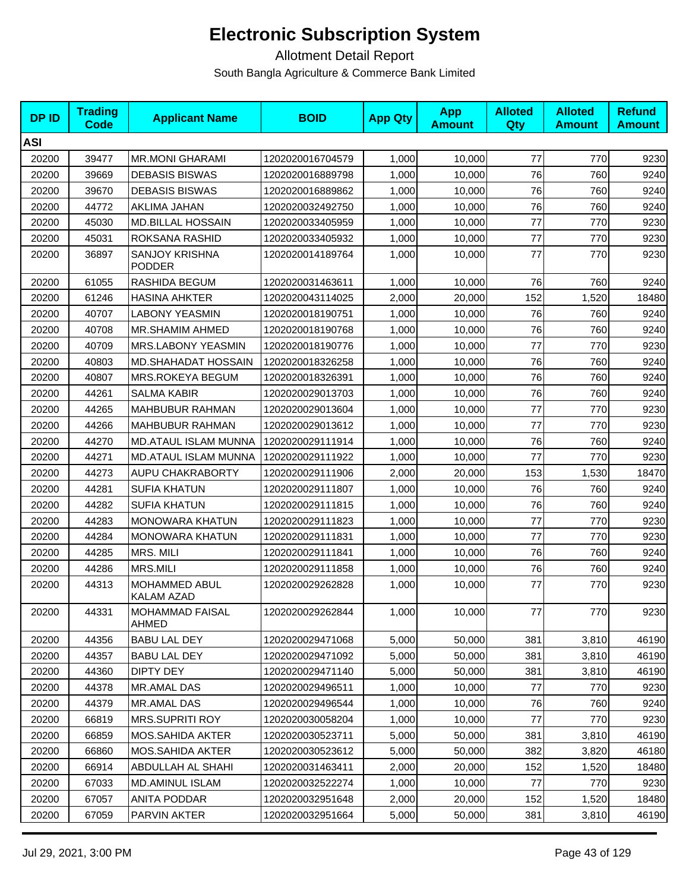| <b>DPID</b> | <b>Trading</b><br><b>Code</b> | <b>Applicant Name</b>                  | <b>BOID</b>      | <b>App Qty</b> | <b>App</b><br><b>Amount</b> | <b>Alloted</b><br>Qty | <b>Alloted</b><br><b>Amount</b> | <b>Refund</b><br><b>Amount</b> |
|-------------|-------------------------------|----------------------------------------|------------------|----------------|-----------------------------|-----------------------|---------------------------------|--------------------------------|
| <b>ASI</b>  |                               |                                        |                  |                |                             |                       |                                 |                                |
| 20200       | 39477                         | <b>MR.MONI GHARAMI</b>                 | 1202020016704579 | 1,000          | 10,000                      | $77$                  | 770                             | 9230                           |
| 20200       | 39669                         | <b>DEBASIS BISWAS</b>                  | 1202020016889798 | 1,000          | 10,000                      | 76                    | 760                             | 9240                           |
| 20200       | 39670                         | <b>DEBASIS BISWAS</b>                  | 1202020016889862 | 1,000          | 10,000                      | 76                    | 760                             | 9240                           |
| 20200       | 44772                         | AKLIMA JAHAN                           | 1202020032492750 | 1,000          | 10,000                      | 76                    | 760                             | 9240                           |
| 20200       | 45030                         | <b>MD.BILLAL HOSSAIN</b>               | 1202020033405959 | 1,000          | 10,000                      | 77                    | 770                             | 9230                           |
| 20200       | 45031                         | ROKSANA RASHID                         | 1202020033405932 | 1,000          | 10,000                      | 77                    | 770                             | 9230                           |
| 20200       | 36897                         | <b>SANJOY KRISHNA</b><br><b>PODDER</b> | 1202020014189764 | 1,000          | 10,000                      | 77                    | 770                             | 9230                           |
| 20200       | 61055                         | RASHIDA BEGUM                          | 1202020031463611 | 1,000          | 10,000                      | 76                    | 760                             | 9240                           |
| 20200       | 61246                         | <b>HASINA AHKTER</b>                   | 1202020043114025 | 2,000          | 20,000                      | 152                   | 1,520                           | 18480                          |
| 20200       | 40707                         | <b>LABONY YEASMIN</b>                  | 1202020018190751 | 1,000          | 10,000                      | 76                    | 760                             | 9240                           |
| 20200       | 40708                         | MR.SHAMIM AHMED                        | 1202020018190768 | 1,000          | 10,000                      | 76                    | 760                             | 9240                           |
| 20200       | 40709                         | MRS.LABONY YEASMIN                     | 1202020018190776 | 1,000          | 10,000                      | 77                    | 770                             | 9230                           |
| 20200       | 40803                         | <b>MD.SHAHADAT HOSSAIN</b>             | 1202020018326258 | 1,000          | 10,000                      | 76                    | 760                             | 9240                           |
| 20200       | 40807                         | MRS.ROKEYA BEGUM                       | 1202020018326391 | 1,000          | 10,000                      | 76                    | 760                             | 9240                           |
| 20200       | 44261                         | <b>SALMA KABIR</b>                     | 1202020029013703 | 1,000          | 10,000                      | 76                    | 760                             | 9240                           |
| 20200       | 44265                         | <b>MAHBUBUR RAHMAN</b>                 | 1202020029013604 | 1,000          | 10,000                      | 77                    | 770                             | 9230                           |
| 20200       | 44266                         | MAHBUBUR RAHMAN                        | 1202020029013612 | 1,000          | 10,000                      | 77                    | 770                             | 9230                           |
| 20200       | 44270                         | MD.ATAUL ISLAM MUNNA                   | 1202020029111914 | 1,000          | 10,000                      | 76                    | 760                             | 9240                           |
| 20200       | 44271                         | MD.ATAUL ISLAM MUNNA                   | 1202020029111922 | 1,000          | 10,000                      | 77                    | 770                             | 9230                           |
| 20200       | 44273                         | AUPU CHAKRABORTY                       | 1202020029111906 | 2,000          | 20,000                      | 153                   | 1,530                           | 18470                          |
| 20200       | 44281                         | <b>SUFIA KHATUN</b>                    | 1202020029111807 | 1,000          | 10,000                      | 76                    | 760                             | 9240                           |
| 20200       | 44282                         | <b>SUFIA KHATUN</b>                    | 1202020029111815 | 1,000          | 10,000                      | 76                    | 760                             | 9240                           |
| 20200       | 44283                         | <b>MONOWARA KHATUN</b>                 | 1202020029111823 | 1,000          | 10,000                      | 77                    | 770                             | 9230                           |
| 20200       | 44284                         | <b>MONOWARA KHATUN</b>                 | 1202020029111831 | 1,000          | 10,000                      | 77                    | 770                             | 9230                           |
| 20200       | 44285                         | MRS. MILI                              | 1202020029111841 | 1,000          | 10,000                      | 76                    | 760                             | 9240                           |
| 20200       | 44286                         | MRS.MILI                               | 1202020029111858 | 1,000          | 10,000                      | 76                    | 760                             | 9240                           |
| 20200       | 44313                         | MOHAMMED ABUL<br>KALAM AZAD            | 1202020029262828 | 1,000          | 10,000                      | 77                    | 770                             | 9230                           |
| 20200       | 44331                         | <b>MOHAMMAD FAISAL</b><br>AHMED        | 1202020029262844 | 1,000          | 10,000                      | 77                    | 770                             | 9230                           |
| 20200       | 44356                         | <b>BABU LAL DEY</b>                    | 1202020029471068 | 5,000          | 50,000                      | 381                   | 3,810                           | 46190                          |
| 20200       | 44357                         | <b>BABU LAL DEY</b>                    | 1202020029471092 | 5,000          | 50,000                      | 381                   | 3,810                           | 46190                          |
| 20200       | 44360                         | <b>DIPTY DEY</b>                       | 1202020029471140 | 5,000          | 50,000                      | 381                   | 3,810                           | 46190                          |
| 20200       | 44378                         | MR.AMAL DAS                            | 1202020029496511 | 1,000          | 10,000                      | 77                    | 770                             | 9230                           |
| 20200       | 44379                         | MR.AMAL DAS                            | 1202020029496544 | 1,000          | 10,000                      | 76                    | 760                             | 9240                           |
| 20200       | 66819                         | <b>MRS.SUPRITI ROY</b>                 | 1202020030058204 | 1,000          | 10,000                      | 77                    | 770                             | 9230                           |
| 20200       | 66859                         | MOS.SAHIDA AKTER                       | 1202020030523711 | 5,000          | 50,000                      | 381                   | 3,810                           | 46190                          |
| 20200       | 66860                         | MOS.SAHIDA AKTER                       | 1202020030523612 | 5,000          | 50,000                      | 382                   | 3,820                           | 46180                          |
| 20200       | 66914                         | ABDULLAH AL SHAHI                      | 1202020031463411 | 2,000          | 20,000                      | 152                   | 1,520                           | 18480                          |
| 20200       | 67033                         | <b>MD.AMINUL ISLAM</b>                 | 1202020032522274 | 1,000          | 10,000                      | 77                    | 770                             | 9230                           |
| 20200       | 67057                         | ANITA PODDAR                           | 1202020032951648 | 2,000          | 20,000                      | 152                   | 1,520                           | 18480                          |
| 20200       | 67059                         | PARVIN AKTER                           | 1202020032951664 | 5,000          | 50,000                      | 381                   | 3,810                           | 46190                          |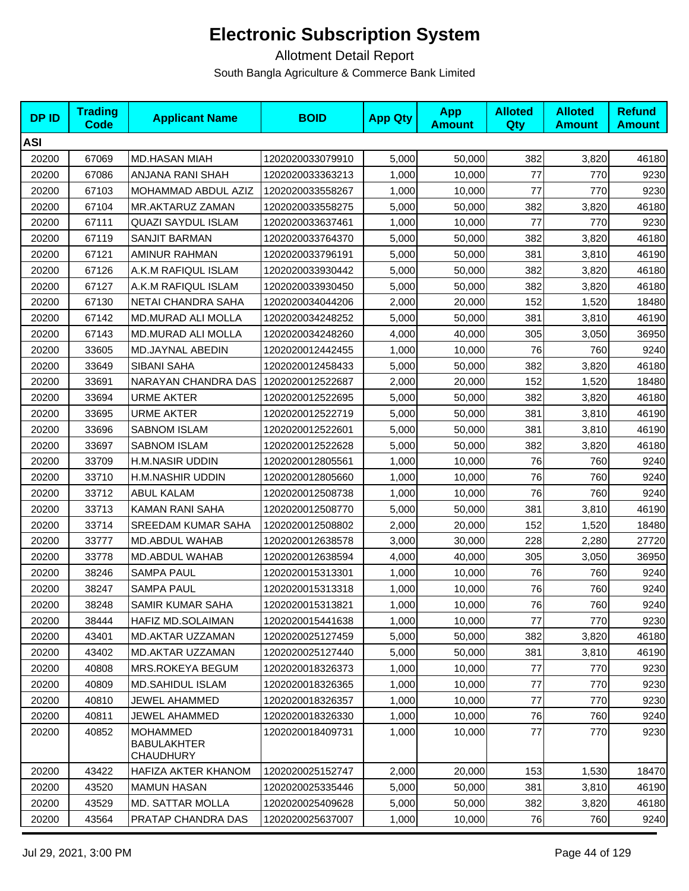| <b>DPID</b> | <b>Trading</b><br><b>Code</b> | <b>Applicant Name</b>                                     | <b>BOID</b>      | <b>App Qty</b> | <b>App</b><br><b>Amount</b> | <b>Alloted</b><br><b>Qty</b> | <b>Alloted</b><br><b>Amount</b> | <b>Refund</b><br><b>Amount</b> |
|-------------|-------------------------------|-----------------------------------------------------------|------------------|----------------|-----------------------------|------------------------------|---------------------------------|--------------------------------|
| <b>ASI</b>  |                               |                                                           |                  |                |                             |                              |                                 |                                |
| 20200       | 67069                         | <b>MD.HASAN MIAH</b>                                      | 1202020033079910 | 5,000          | 50,000                      | 382                          | 3,820                           | 46180                          |
| 20200       | 67086                         | ANJANA RANI SHAH                                          | 1202020033363213 | 1,000          | 10.000                      | 77                           | 770                             | 9230                           |
| 20200       | 67103                         | MOHAMMAD ABDUL AZIZ                                       | 1202020033558267 | 1,000          | 10,000                      | 77                           | 770                             | 9230                           |
| 20200       | 67104                         | MR.AKTARUZ ZAMAN                                          | 1202020033558275 | 5,000          | 50,000                      | 382                          | 3,820                           | 46180                          |
| 20200       | 67111                         | <b>QUAZI SAYDUL ISLAM</b>                                 | 1202020033637461 | 1,000          | 10,000                      | 77                           | 770                             | 9230                           |
| 20200       | 67119                         | SANJIT BARMAN                                             | 1202020033764370 | 5,000          | 50,000                      | 382                          | 3,820                           | 46180                          |
| 20200       | 67121                         | AMINUR RAHMAN                                             | 1202020033796191 | 5,000          | 50,000                      | 381                          | 3,810                           | 46190                          |
| 20200       | 67126                         | A.K.M RAFIQUL ISLAM                                       | 1202020033930442 | 5,000          | 50,000                      | 382                          | 3,820                           | 46180                          |
| 20200       | 67127                         | A.K.M RAFIQUL ISLAM                                       | 1202020033930450 | 5,000          | 50,000                      | 382                          | 3,820                           | 46180                          |
| 20200       | 67130                         | NETAI CHANDRA SAHA                                        | 1202020034044206 | 2,000          | 20,000                      | 152                          | 1,520                           | 18480                          |
| 20200       | 67142                         | <b>MD.MURAD ALI MOLLA</b>                                 | 1202020034248252 | 5,000          | 50,000                      | 381                          | 3,810                           | 46190                          |
| 20200       | 67143                         | <b>MD.MURAD ALI MOLLA</b>                                 | 1202020034248260 | 4,000          | 40,000                      | 305                          | 3,050                           | 36950                          |
| 20200       | 33605                         | MD.JAYNAL ABEDIN                                          | 1202020012442455 | 1,000          | 10,000                      | 76                           | 760                             | 9240                           |
| 20200       | 33649                         | SIBANI SAHA                                               | 1202020012458433 | 5,000          | 50,000                      | 382                          | 3,820                           | 46180                          |
| 20200       | 33691                         | NARAYAN CHANDRA DAS                                       | 1202020012522687 | 2,000          | 20,000                      | 152                          | 1,520                           | 18480                          |
| 20200       | 33694                         | <b>URME AKTER</b>                                         | 1202020012522695 | 5,000          | 50,000                      | 382                          | 3,820                           | 46180                          |
| 20200       | 33695                         | <b>URME AKTER</b>                                         | 1202020012522719 | 5,000          | 50,000                      | 381                          | 3,810                           | 46190                          |
| 20200       | 33696                         | <b>SABNOM ISLAM</b>                                       | 1202020012522601 | 5,000          | 50,000                      | 381                          | 3,810                           | 46190                          |
| 20200       | 33697                         | <b>SABNOM ISLAM</b>                                       | 1202020012522628 | 5,000          | 50,000                      | 382                          | 3,820                           | 46180                          |
| 20200       | 33709                         | H.M.NASIR UDDIN                                           | 1202020012805561 | 1,000          | 10,000                      | 76                           | 760                             | 9240                           |
| 20200       | 33710                         | H.M.NASHIR UDDIN                                          | 1202020012805660 | 1,000          | 10,000                      | 76                           | 760                             | 9240                           |
| 20200       | 33712                         | ABUL KALAM                                                | 1202020012508738 | 1,000          | 10,000                      | 76                           | 760                             | 9240                           |
| 20200       | 33713                         | KAMAN RANI SAHA                                           | 1202020012508770 | 5,000          | 50,000                      | 381                          | 3,810                           | 46190                          |
| 20200       | 33714                         | SREEDAM KUMAR SAHA                                        | 1202020012508802 | 2,000          | 20,000                      | 152                          | 1,520                           | 18480                          |
| 20200       | 33777                         | MD.ABDUL WAHAB                                            | 1202020012638578 | 3,000          | 30,000                      | 228                          | 2,280                           | 27720                          |
| 20200       | 33778                         | MD.ABDUL WAHAB                                            | 1202020012638594 | 4,000          | 40,000                      | 305                          | 3,050                           | 36950                          |
| 20200       | 38246                         | <b>SAMPA PAUL</b>                                         | 1202020015313301 | 1,000          | 10,000                      | 76                           | 760                             | 9240                           |
| 20200       | 38247                         | <b>SAMPA PAUL</b>                                         | 1202020015313318 | 1,000          | 10,000                      | 76                           | 760                             | 9240                           |
| 20200       | 38248                         | SAMIR KUMAR SAHA                                          | 1202020015313821 | 1,000          | 10,000                      | 76                           | 760                             | 9240                           |
| 20200       | 38444                         | HAFIZ MD.SOLAIMAN                                         | 1202020015441638 | 1,000          | 10,000                      | 77                           | 770                             | 9230                           |
| 20200       | 43401                         | <b>MD.AKTAR UZZAMAN</b>                                   | 1202020025127459 | 5,000          | 50,000                      | 382                          | 3,820                           | 46180                          |
| 20200       | 43402                         | <b>MD.AKTAR UZZAMAN</b>                                   | 1202020025127440 | 5,000          | 50.000                      | 381                          | 3,810                           | 46190                          |
| 20200       | 40808                         | <b>MRS.ROKEYA BEGUM</b>                                   | 1202020018326373 | 1,000          | 10,000                      | 77                           | 770                             | 9230                           |
| 20200       | 40809                         | <b>MD.SAHIDUL ISLAM</b>                                   | 1202020018326365 | 1,000          | 10,000                      | 77                           | 770                             | 9230                           |
| 20200       | 40810                         | JEWEL AHAMMED                                             | 1202020018326357 | 1,000          | 10,000                      | 77                           | 770                             | 9230                           |
| 20200       | 40811                         | JEWEL AHAMMED                                             | 1202020018326330 | 1,000          | 10,000                      | 76                           | 760                             | 9240                           |
| 20200       | 40852                         | <b>MOHAMMED</b><br><b>BABULAKHTER</b><br><b>CHAUDHURY</b> | 1202020018409731 | 1,000          | 10,000                      | 77                           | 770                             | 9230                           |
| 20200       | 43422                         | HAFIZA AKTER KHANOM                                       | 1202020025152747 | 2,000          | 20,000                      | 153                          | 1,530                           | 18470                          |
| 20200       | 43520                         | <b>MAMUN HASAN</b>                                        | 1202020025335446 | 5,000          | 50,000                      | 381                          | 3,810                           | 46190                          |
| 20200       | 43529                         | <b>MD. SATTAR MOLLA</b>                                   | 1202020025409628 | 5,000          | 50,000                      | 382                          | 3,820                           | 46180                          |
| 20200       | 43564                         | PRATAP CHANDRA DAS                                        | 1202020025637007 | 1,000          | 10,000                      | 76                           | 760                             | 9240                           |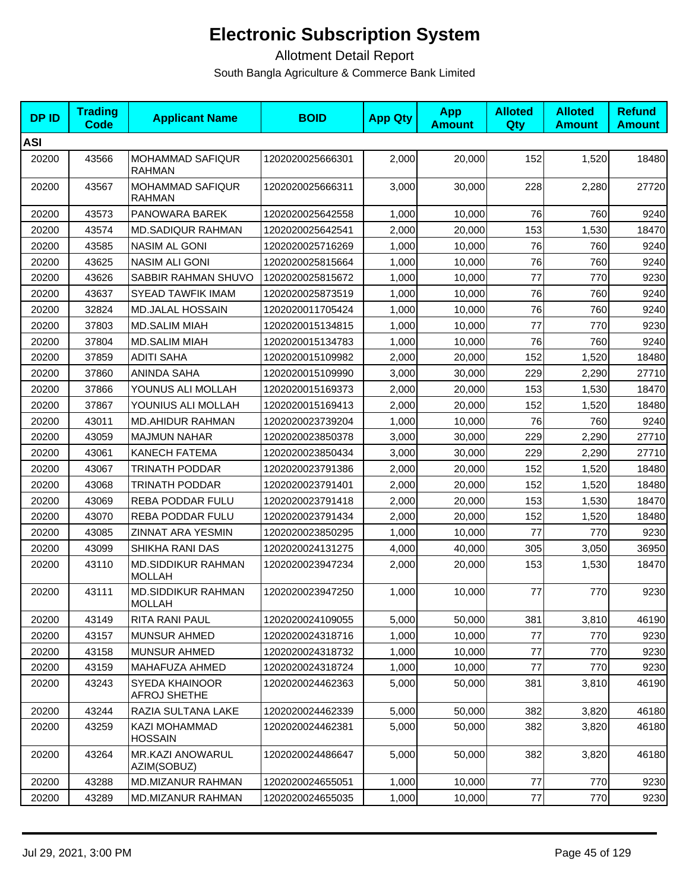| <b>DPID</b> | <b>Trading</b><br><b>Code</b> | <b>Applicant Name</b>                      | <b>BOID</b>      | <b>App Qty</b> | <b>App</b><br><b>Amount</b> | <b>Alloted</b><br>Qty | <b>Alloted</b><br><b>Amount</b> | <b>Refund</b><br><b>Amount</b> |
|-------------|-------------------------------|--------------------------------------------|------------------|----------------|-----------------------------|-----------------------|---------------------------------|--------------------------------|
| <b>ASI</b>  |                               |                                            |                  |                |                             |                       |                                 |                                |
| 20200       | 43566                         | MOHAMMAD SAFIQUR<br><b>RAHMAN</b>          | 1202020025666301 | 2,000          | 20,000                      | 152                   | 1,520                           | 18480                          |
| 20200       | 43567                         | MOHAMMAD SAFIQUR<br><b>RAHMAN</b>          | 1202020025666311 | 3,000          | 30,000                      | 228                   | 2,280                           | 27720                          |
| 20200       | 43573                         | PANOWARA BAREK                             | 1202020025642558 | 1,000          | 10,000                      | 76                    | 760                             | 9240                           |
| 20200       | 43574                         | <b>MD.SADIQUR RAHMAN</b>                   | 1202020025642541 | 2,000          | 20,000                      | 153                   | 1,530                           | 18470                          |
| 20200       | 43585                         | <b>NASIM AL GONI</b>                       | 1202020025716269 | 1,000          | 10,000                      | 76                    | 760                             | 9240                           |
| 20200       | 43625                         | NASIM ALI GONI                             | 1202020025815664 | 1,000          | 10,000                      | 76                    | 760                             | 9240                           |
| 20200       | 43626                         | SABBIR RAHMAN SHUVO                        | 1202020025815672 | 1,000          | 10,000                      | 77                    | 770                             | 9230                           |
| 20200       | 43637                         | <b>SYEAD TAWFIK IMAM</b>                   | 1202020025873519 | 1,000          | 10,000                      | 76                    | 760                             | 9240                           |
| 20200       | 32824                         | <b>MD.JALAL HOSSAIN</b>                    | 1202020011705424 | 1,000          | 10,000                      | 76                    | 760                             | 9240                           |
| 20200       | 37803                         | <b>MD.SALIM MIAH</b>                       | 1202020015134815 | 1,000          | 10.000                      | 77                    | 770                             | 9230                           |
| 20200       | 37804                         | <b>MD.SALIM MIAH</b>                       | 1202020015134783 | 1,000          | 10,000                      | 76                    | 760                             | 9240                           |
| 20200       | 37859                         | <b>ADITI SAHA</b>                          | 1202020015109982 | 2,000          | 20,000                      | 152                   | 1,520                           | 18480                          |
| 20200       | 37860                         | ANINDA SAHA                                | 1202020015109990 | 3,000          | 30,000                      | 229                   | 2,290                           | 27710                          |
| 20200       | 37866                         | YOUNUS ALI MOLLAH                          | 1202020015169373 | 2,000          | 20,000                      | 153                   | 1,530                           | 18470                          |
| 20200       | 37867                         | YOUNIUS ALI MOLLAH                         | 1202020015169413 | 2,000          | 20,000                      | 152                   | 1,520                           | 18480                          |
| 20200       | 43011                         | <b>MD.AHIDUR RAHMAN</b>                    | 1202020023739204 | 1,000          | 10,000                      | 76                    | 760                             | 9240                           |
| 20200       | 43059                         | <b>MAJMUN NAHAR</b>                        | 1202020023850378 | 3,000          | 30,000                      | 229                   | 2,290                           | 27710                          |
| 20200       | 43061                         | <b>KANECH FATEMA</b>                       | 1202020023850434 | 3,000          | 30,000                      | 229                   | 2,290                           | 27710                          |
| 20200       | 43067                         | TRINATH PODDAR                             | 1202020023791386 | 2,000          | 20,000                      | 152                   | 1,520                           | 18480                          |
| 20200       | 43068                         | TRINATH PODDAR                             | 1202020023791401 | 2,000          | 20,000                      | 152                   | 1,520                           | 18480                          |
| 20200       | 43069                         | REBA PODDAR FULU                           | 1202020023791418 | 2,000          | 20,000                      | 153                   | 1,530                           | 18470                          |
| 20200       | 43070                         | REBA PODDAR FULU                           | 1202020023791434 | 2,000          | 20,000                      | 152                   | 1,520                           | 18480                          |
| 20200       | 43085                         | ZINNAT ARA YESMIN                          | 1202020023850295 | 1,000          | 10,000                      | 77                    | 770                             | 9230                           |
| 20200       | 43099                         | SHIKHA RANI DAS                            | 1202020024131275 | 4,000          | 40.000                      | 305                   | 3,050                           | 36950                          |
| 20200       | 43110                         | MD.SIDDIKUR RAHMAN<br><b>MOLLAH</b>        | 1202020023947234 | 2,000          | 20,000                      | 153                   | 1,530                           | 18470                          |
| 20200       | 43111                         | <b>MD.SIDDIKUR RAHMAN</b><br><b>MOLLAH</b> | 1202020023947250 | 1,000          | 10,000                      | 77                    | 770                             | 9230                           |
| 20200       | 43149                         | RITA RANI PAUL                             | 1202020024109055 | 5,000          | 50,000                      | 381                   | 3,810                           | 46190                          |
| 20200       | 43157                         | <b>MUNSUR AHMED</b>                        | 1202020024318716 | 1,000          | 10,000                      | 77                    | 770                             | 9230                           |
| 20200       | 43158                         | <b>MUNSUR AHMED</b>                        | 1202020024318732 | 1,000          | 10,000                      | 77                    | 770                             | 9230                           |
| 20200       | 43159                         | MAHAFUZA AHMED                             | 1202020024318724 | 1,000          | 10,000                      | 77                    | 770                             | 9230                           |
| 20200       | 43243                         | SYEDA KHAINOOR<br>AFROJ SHETHE             | 1202020024462363 | 5,000          | 50,000                      | 381                   | 3,810                           | 46190                          |
| 20200       | 43244                         | RAZIA SULTANA LAKE                         | 1202020024462339 | 5,000          | 50,000                      | 382                   | 3,820                           | 46180                          |
| 20200       | 43259                         | KAZI MOHAMMAD<br><b>HOSSAIN</b>            | 1202020024462381 | 5,000          | 50,000                      | 382                   | 3,820                           | 46180                          |
| 20200       | 43264                         | MR.KAZI ANOWARUL<br>AZIM(SOBUZ)            | 1202020024486647 | 5,000          | 50,000                      | 382                   | 3,820                           | 46180                          |
| 20200       | 43288                         | MD.MIZANUR RAHMAN                          | 1202020024655051 | 1,000          | 10,000                      | 77                    | 770                             | 9230                           |
| 20200       | 43289                         | <b>MD.MIZANUR RAHMAN</b>                   | 1202020024655035 | 1,000          | 10,000                      | 77                    | 770                             | 9230                           |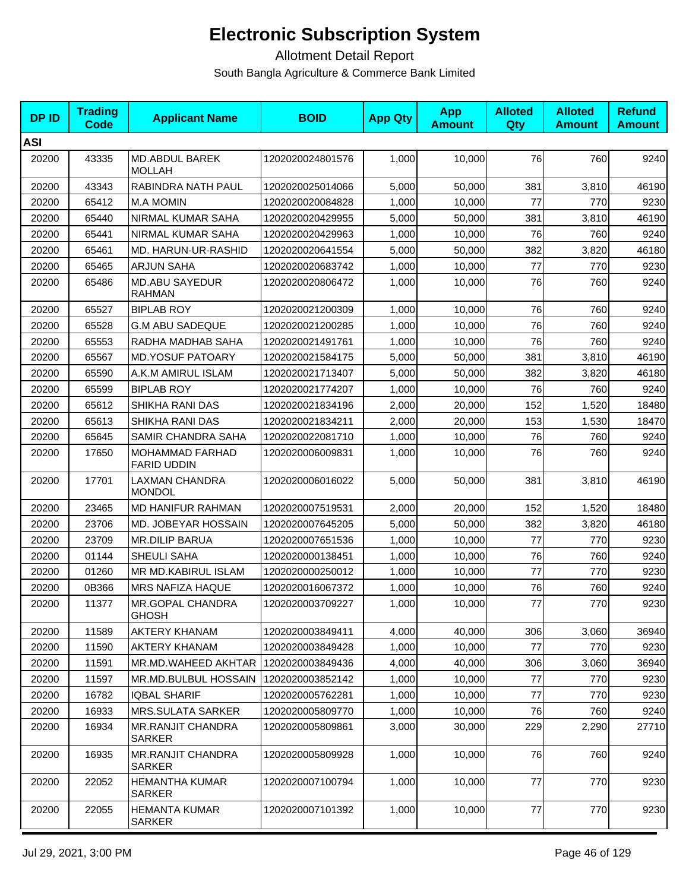| <b>DPID</b> | <b>Trading</b><br><b>Code</b> | <b>Applicant Name</b>                        | <b>BOID</b>      | <b>App Qty</b> | <b>App</b><br><b>Amount</b> | <b>Alloted</b><br>Qty | <b>Alloted</b><br><b>Amount</b> | <b>Refund</b><br><b>Amount</b> |
|-------------|-------------------------------|----------------------------------------------|------------------|----------------|-----------------------------|-----------------------|---------------------------------|--------------------------------|
| <b>ASI</b>  |                               |                                              |                  |                |                             |                       |                                 |                                |
| 20200       | 43335                         | MD.ABDUL BAREK<br><b>MOLLAH</b>              | 1202020024801576 | 1,000          | 10,000                      | 76                    | 760                             | 9240                           |
| 20200       | 43343                         | RABINDRA NATH PAUL                           | 1202020025014066 | 5,000          | 50,000                      | 381                   | 3,810                           | 46190                          |
| 20200       | 65412                         | <b>M.A MOMIN</b>                             | 1202020020084828 | 1,000          | 10,000                      | 77                    | 770                             | 9230                           |
| 20200       | 65440                         | NIRMAL KUMAR SAHA                            | 1202020020429955 | 5,000          | 50,000                      | 381                   | 3,810                           | 46190                          |
| 20200       | 65441                         | NIRMAL KUMAR SAHA                            | 1202020020429963 | 1,000          | 10,000                      | 76                    | 760                             | 9240                           |
| 20200       | 65461                         | MD. HARUN-UR-RASHID                          | 1202020020641554 | 5,000          | 50,000                      | 382                   | 3,820                           | 46180                          |
| 20200       | 65465                         | <b>ARJUN SAHA</b>                            | 1202020020683742 | 1,000          | 10,000                      | 77                    | 770                             | 9230                           |
| 20200       | 65486                         | <b>MD.ABU SAYEDUR</b><br><b>RAHMAN</b>       | 1202020020806472 | 1,000          | 10,000                      | 76                    | 760                             | 9240                           |
| 20200       | 65527                         | <b>BIPLAB ROY</b>                            | 1202020021200309 | 1,000          | 10,000                      | 76                    | 760                             | 9240                           |
| 20200       | 65528                         | <b>G.M ABU SADEQUE</b>                       | 1202020021200285 | 1,000          | 10,000                      | 76                    | 760                             | 9240                           |
| 20200       | 65553                         | RADHA MADHAB SAHA                            | 1202020021491761 | 1.000          | 10,000                      | 76                    | 760                             | 9240                           |
| 20200       | 65567                         | <b>MD.YOSUF PATOARY</b>                      | 1202020021584175 | 5,000          | 50,000                      | 381                   | 3,810                           | 46190                          |
| 20200       | 65590                         | A.K.M AMIRUL ISLAM                           | 1202020021713407 | 5.000          | 50,000                      | 382                   | 3,820                           | 46180                          |
| 20200       | 65599                         | <b>BIPLAB ROY</b>                            | 1202020021774207 | 1,000          | 10,000                      | 76                    | 760                             | 9240                           |
| 20200       | 65612                         | SHIKHA RANI DAS                              | 1202020021834196 | 2,000          | 20,000                      | 152                   | 1,520                           | 18480                          |
| 20200       | 65613                         | SHIKHA RANI DAS                              | 1202020021834211 | 2,000          | 20,000                      | 153                   | 1,530                           | 18470                          |
| 20200       | 65645                         | SAMIR CHANDRA SAHA                           | 1202020022081710 | 1,000          | 10,000                      | 76                    | 760                             | 9240                           |
| 20200       | 17650                         | <b>MOHAMMAD FARHAD</b><br><b>FARID UDDIN</b> | 1202020006009831 | 1,000          | 10,000                      | 76                    | 760                             | 9240                           |
| 20200       | 17701                         | LAXMAN CHANDRA<br><b>MONDOL</b>              | 1202020006016022 | 5,000          | 50,000                      | 381                   | 3,810                           | 46190                          |
| 20200       | 23465                         | MD HANIFUR RAHMAN                            | 1202020007519531 | 2,000          | 20,000                      | 152                   | 1,520                           | 18480                          |
| 20200       | 23706                         | MD. JOBEYAR HOSSAIN                          | 1202020007645205 | 5,000          | 50,000                      | 382                   | 3,820                           | 46180                          |
| 20200       | 23709                         | <b>MR.DILIP BARUA</b>                        | 1202020007651536 | 1,000          | 10,000                      | 77                    | 770                             | 9230                           |
| 20200       | 01144                         | SHEULI SAHA                                  | 1202020000138451 | 1,000          | 10,000                      | 76                    | 760                             | 9240                           |
| 20200       | 01260                         | MR MD.KABIRUL ISLAM                          | 1202020000250012 | 1,000          | 10,000                      | 77                    | 770                             | 9230                           |
| 20200       | 0B366                         | MRS NAFIZA HAQUE                             | 1202020016067372 | 1,000          | 10,000                      | 76                    | 760                             | 9240                           |
| 20200       | 11377                         | MR.GOPAL CHANDRA<br><b>GHOSH</b>             | 1202020003709227 | 1,000          | 10,000                      | 77                    | 770                             | 9230                           |
| 20200       | 11589                         | <b>AKTERY KHANAM</b>                         | 1202020003849411 | 4,000          | 40,000                      | 306                   | 3,060                           | 36940                          |
| 20200       | 11590                         | <b>AKTERY KHANAM</b>                         | 1202020003849428 | 1,000          | 10,000                      | 77                    | 770                             | 9230                           |
| 20200       | 11591                         | MR.MD.WAHEED AKHTAR                          | 1202020003849436 | 4,000          | 40,000                      | 306                   | 3,060                           | 36940                          |
| 20200       | 11597                         | MR.MD.BULBUL HOSSAIN                         | 1202020003852142 | 1,000          | 10,000                      | 77                    | 770                             | 9230                           |
| 20200       | 16782                         | <b>IQBAL SHARIF</b>                          | 1202020005762281 | 1,000          | 10,000                      | 77                    | 770                             | 9230                           |
| 20200       | 16933                         | <b>MRS.SULATA SARKER</b>                     | 1202020005809770 | 1,000          | 10,000                      | 76                    | 760                             | 9240                           |
| 20200       | 16934                         | <b>MR.RANJIT CHANDRA</b><br><b>SARKER</b>    | 1202020005809861 | 3,000          | 30,000                      | 229                   | 2,290                           | 27710                          |
| 20200       | 16935                         | <b>MR.RANJIT CHANDRA</b><br><b>SARKER</b>    | 1202020005809928 | 1,000          | 10,000                      | 76                    | 760                             | 9240                           |
| 20200       | 22052                         | <b>HEMANTHA KUMAR</b><br><b>SARKER</b>       | 1202020007100794 | 1,000          | 10,000                      | 77                    | 770                             | 9230                           |
| 20200       | 22055                         | <b>HEMANTA KUMAR</b><br><b>SARKER</b>        | 1202020007101392 | 1,000          | 10,000                      | 77                    | 770                             | 9230                           |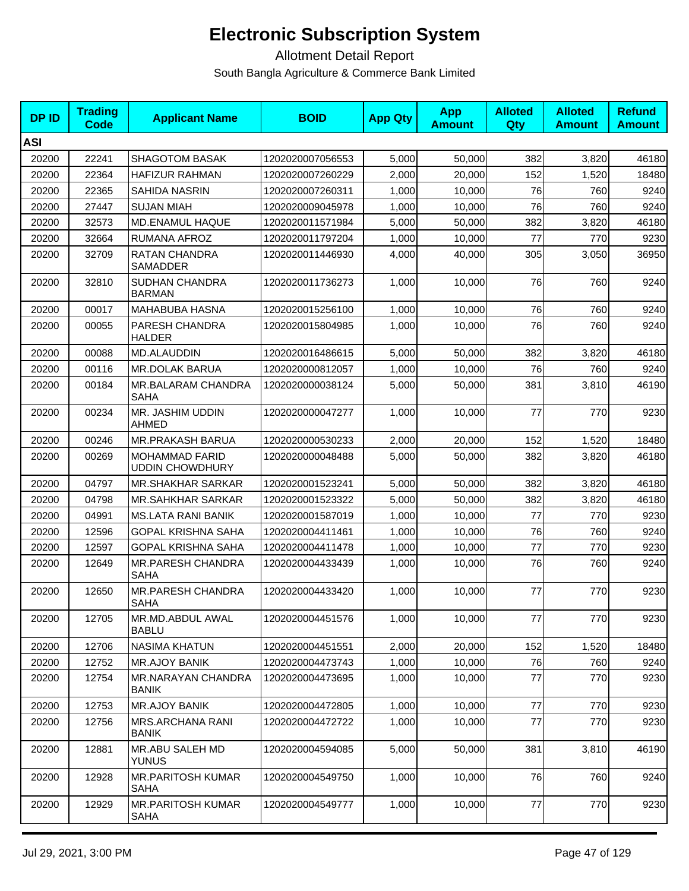| <b>DPID</b> | <b>Trading</b><br><b>Code</b> | <b>Applicant Name</b>                           | <b>BOID</b>      | <b>App Qty</b> | <b>App</b><br><b>Amount</b> | <b>Alloted</b><br>Qty | <b>Alloted</b><br><b>Amount</b> | <b>Refund</b><br><b>Amount</b> |
|-------------|-------------------------------|-------------------------------------------------|------------------|----------------|-----------------------------|-----------------------|---------------------------------|--------------------------------|
| <b>ASI</b>  |                               |                                                 |                  |                |                             |                       |                                 |                                |
| 20200       | 22241                         | <b>SHAGOTOM BASAK</b>                           | 1202020007056553 | 5,000          | 50,000                      | 382                   | 3,820                           | 46180                          |
| 20200       | 22364                         | <b>HAFIZUR RAHMAN</b>                           | 1202020007260229 | 2,000          | 20,000                      | 152                   | 1,520                           | 18480                          |
| 20200       | 22365                         | <b>SAHIDA NASRIN</b>                            | 1202020007260311 | 1,000          | 10,000                      | 76                    | 760                             | 9240                           |
| 20200       | 27447                         | <b>SUJAN MIAH</b>                               | 1202020009045978 | 1,000          | 10,000                      | 76                    | 760                             | 9240                           |
| 20200       | 32573                         | MD.ENAMUL HAQUE                                 | 1202020011571984 | 5,000          | 50,000                      | 382                   | 3,820                           | 46180                          |
| 20200       | 32664                         | RUMANA AFROZ                                    | 1202020011797204 | 1,000          | 10,000                      | 77                    | 770                             | 9230                           |
| 20200       | 32709                         | RATAN CHANDRA<br>SAMADDER                       | 1202020011446930 | 4,000          | 40,000                      | 305                   | 3,050                           | 36950                          |
| 20200       | 32810                         | SUDHAN CHANDRA<br><b>BARMAN</b>                 | 1202020011736273 | 1,000          | 10,000                      | 76                    | 760                             | 9240                           |
| 20200       | 00017                         | <b>MAHABUBA HASNA</b>                           | 1202020015256100 | 1,000          | 10,000                      | 76                    | 760                             | 9240                           |
| 20200       | 00055                         | PARESH CHANDRA<br><b>HALDER</b>                 | 1202020015804985 | 1,000          | 10,000                      | 76                    | 760                             | 9240                           |
| 20200       | 00088                         | MD.ALAUDDIN                                     | 1202020016486615 | 5,000          | 50,000                      | 382                   | 3,820                           | 46180                          |
| 20200       | 00116                         | <b>MR.DOLAK BARUA</b>                           | 1202020000812057 | 1,000          | 10,000                      | 76                    | 760                             | 9240                           |
| 20200       | 00184                         | MR.BALARAM CHANDRA<br><b>SAHA</b>               | 1202020000038124 | 5.000          | 50,000                      | 381                   | 3,810                           | 46190                          |
| 20200       | 00234                         | MR. JASHIM UDDIN<br><b>AHMED</b>                | 1202020000047277 | 1,000          | 10,000                      | 77                    | 770                             | 9230                           |
| 20200       | 00246                         | MR.PRAKASH BARUA                                | 1202020000530233 | 2,000          | 20,000                      | 152                   | 1,520                           | 18480                          |
| 20200       | 00269                         | <b>MOHAMMAD FARID</b><br><b>UDDIN CHOWDHURY</b> | 1202020000048488 | 5,000          | 50,000                      | 382                   | 3,820                           | 46180                          |
| 20200       | 04797                         | <b>MR.SHAKHAR SARKAR</b>                        | 1202020001523241 | 5,000          | 50,000                      | 382                   | 3,820                           | 46180                          |
| 20200       | 04798                         | <b>MR.SAHKHAR SARKAR</b>                        | 1202020001523322 | 5,000          | 50,000                      | 382                   | 3,820                           | 46180                          |
| 20200       | 04991                         | <b>MS.LATA RANI BANIK</b>                       | 1202020001587019 | 1,000          | 10,000                      | 77                    | 770                             | 9230                           |
| 20200       | 12596                         | <b>GOPAL KRISHNA SAHA</b>                       | 1202020004411461 | 1,000          | 10,000                      | 76                    | 760                             | 9240                           |
| 20200       | 12597                         | <b>GOPAL KRISHNA SAHA</b>                       | 1202020004411478 | 1,000          | 10,000                      | 77                    | 770                             | 9230                           |
| 20200       | 12649                         | <b>MR.PARESH CHANDRA</b><br><b>SAHA</b>         | 1202020004433439 | 1,000          | 10,000                      | 76                    | 760                             | 9240                           |
| 20200       | 12650                         | <b>MR.PARESH CHANDRA</b><br><b>SAHA</b>         | 1202020004433420 | 1,000          | 10,000                      | 77                    | 770                             | 9230                           |
| 20200       | 12705                         | MR.MD.ABDUL AWAL<br><b>BABLU</b>                | 1202020004451576 | 1,000          | 10,000                      | 77                    | 770                             | 9230                           |
| 20200       | 12706                         | <b>NASIMA KHATUN</b>                            | 1202020004451551 | 2,000          | 20,000                      | 152                   | 1,520                           | 18480                          |
| 20200       | 12752                         | <b>MR.AJOY BANIK</b>                            | 1202020004473743 | 1,000          | 10,000                      | 76                    | 760                             | 9240                           |
| 20200       | 12754                         | MR.NARAYAN CHANDRA<br><b>BANIK</b>              | 1202020004473695 | 1,000          | 10,000                      | 77                    | 770                             | 9230                           |
| 20200       | 12753                         | <b>MR.AJOY BANIK</b>                            | 1202020004472805 | 1,000          | 10,000                      | $77$                  | 770                             | 9230                           |
| 20200       | 12756                         | MRS.ARCHANA RANI<br><b>BANIK</b>                | 1202020004472722 | 1,000          | 10,000                      | 77                    | 770                             | 9230                           |
| 20200       | 12881                         | MR.ABU SALEH MD<br><b>YUNUS</b>                 | 1202020004594085 | 5,000          | 50,000                      | 381                   | 3,810                           | 46190                          |
| 20200       | 12928                         | MR.PARITOSH KUMAR<br><b>SAHA</b>                | 1202020004549750 | 1,000          | 10,000                      | 76                    | 760                             | 9240                           |
| 20200       | 12929                         | <b>MR.PARITOSH KUMAR</b><br>SAHA                | 1202020004549777 | 1,000          | 10,000                      | 77                    | 770                             | 9230                           |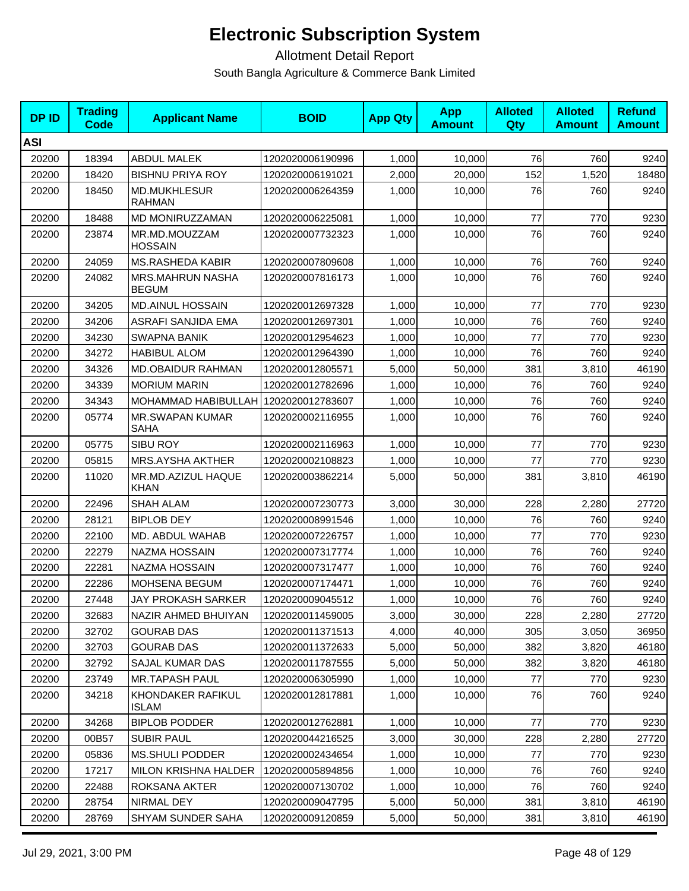| <b>DPID</b> | <b>Trading</b><br>Code | <b>Applicant Name</b>                   | <b>BOID</b>      | <b>App Qty</b> | <b>App</b><br><b>Amount</b> | <b>Alloted</b><br>Qty | <b>Alloted</b><br><b>Amount</b> | <b>Refund</b><br><b>Amount</b> |
|-------------|------------------------|-----------------------------------------|------------------|----------------|-----------------------------|-----------------------|---------------------------------|--------------------------------|
| <b>ASI</b>  |                        |                                         |                  |                |                             |                       |                                 |                                |
| 20200       | 18394                  | <b>ABDUL MALEK</b>                      | 1202020006190996 | 1,000          | 10,000                      | 76                    | 760                             | 9240                           |
| 20200       | 18420                  | <b>BISHNU PRIYA ROY</b>                 | 1202020006191021 | 2,000          | 20,000                      | 152                   | 1,520                           | 18480                          |
| 20200       | 18450                  | <b>MD.MUKHLESUR</b><br><b>RAHMAN</b>    | 1202020006264359 | 1,000          | 10,000                      | 76                    | 760                             | 9240                           |
| 20200       | 18488                  | MD MONIRUZZAMAN                         | 1202020006225081 | 1,000          | 10,000                      | 77                    | 770                             | 9230                           |
| 20200       | 23874                  | MR.MD.MOUZZAM<br><b>HOSSAIN</b>         | 1202020007732323 | 1,000          | 10,000                      | 76                    | 760                             | 9240                           |
| 20200       | 24059                  | <b>MS.RASHEDA KABIR</b>                 | 1202020007809608 | 1,000          | 10,000                      | 76                    | 760                             | 9240                           |
| 20200       | 24082                  | <b>MRS.MAHRUN NASHA</b><br><b>BEGUM</b> | 1202020007816173 | 1,000          | 10,000                      | 76                    | 760                             | 9240                           |
| 20200       | 34205                  | <b>MD.AINUL HOSSAIN</b>                 | 1202020012697328 | 1,000          | 10,000                      | 77                    | 770                             | 9230                           |
| 20200       | 34206                  | ASRAFI SANJIDA EMA                      | 1202020012697301 | 1,000          | 10,000                      | 76                    | 760                             | 9240                           |
| 20200       | 34230                  | <b>SWAPNA BANIK</b>                     | 1202020012954623 | 1,000          | 10,000                      | 77                    | 770                             | 9230                           |
| 20200       | 34272                  | <b>HABIBUL ALOM</b>                     | 1202020012964390 | 1,000          | 10,000                      | 76                    | 760                             | 9240                           |
| 20200       | 34326                  | MD.OBAIDUR RAHMAN                       | 1202020012805571 | 5,000          | 50,000                      | 381                   | 3,810                           | 46190                          |
| 20200       | 34339                  | <b>MORIUM MARIN</b>                     | 1202020012782696 | 1,000          | 10,000                      | 76                    | 760                             | 9240                           |
| 20200       | 34343                  | MOHAMMAD HABIBULLAH                     | 1202020012783607 | 1,000          | 10,000                      | 76                    | 760                             | 9240                           |
| 20200       | 05774                  | <b>MR.SWAPAN KUMAR</b><br><b>SAHA</b>   | 1202020002116955 | 1,000          | 10,000                      | 76                    | 760                             | 9240                           |
| 20200       | 05775                  | <b>SIBU ROY</b>                         | 1202020002116963 | 1,000          | 10,000                      | 77                    | 770                             | 9230                           |
| 20200       | 05815                  | <b>MRS.AYSHA AKTHER</b>                 | 1202020002108823 | 1,000          | 10,000                      | 77                    | 770                             | 9230                           |
| 20200       | 11020                  | MR.MD.AZIZUL HAQUE<br><b>KHAN</b>       | 1202020003862214 | 5,000          | 50,000                      | 381                   | 3,810                           | 46190                          |
| 20200       | 22496                  | <b>SHAH ALAM</b>                        | 1202020007230773 | 3,000          | 30,000                      | 228                   | 2,280                           | 27720                          |
| 20200       | 28121                  | <b>BIPLOB DEY</b>                       | 1202020008991546 | 1,000          | 10,000                      | 76                    | 760                             | 9240                           |
| 20200       | 22100                  | MD. ABDUL WAHAB                         | 1202020007226757 | 1,000          | 10,000                      | 77                    | 770                             | 9230                           |
| 20200       | 22279                  | NAZMA HOSSAIN                           | 1202020007317774 | 1,000          | 10,000                      | 76                    | 760                             | 9240                           |
| 20200       | 22281                  | NAZMA HOSSAIN                           | 1202020007317477 | 1,000          | 10,000                      | 76                    | 760                             | 9240                           |
| 20200       | 22286                  | MOHSENA BEGUM                           | 1202020007174471 | 1,000          | 10,000                      | 76                    | 760                             | 9240                           |
| 20200       | 27448                  | JAY PROKASH SARKER                      | 1202020009045512 | 1,000          | 10,000                      | 76                    | 760                             | 9240                           |
| 20200       | 32683                  | NAZIR AHMED BHUIYAN                     | 1202020011459005 | 3,000          | 30,000                      | 228                   | 2,280                           | 27720                          |
| 20200       | 32702                  | <b>GOURAB DAS</b>                       | 1202020011371513 | 4,000          | 40,000                      | 305                   | 3,050                           | 36950                          |
| 20200       | 32703                  | <b>GOURAB DAS</b>                       | 1202020011372633 | 5,000          | 50,000                      | 382                   | 3,820                           | 46180                          |
| 20200       | 32792                  | SAJAL KUMAR DAS                         | 1202020011787555 | 5,000          | 50,000                      | 382                   | 3,820                           | 46180                          |
| 20200       | 23749                  | <b>MR.TAPASH PAUL</b>                   | 1202020006305990 | 1,000          | 10,000                      | 77                    | 770                             | 9230                           |
| 20200       | 34218                  | KHONDAKER RAFIKUL<br><b>ISLAM</b>       | 1202020012817881 | 1,000          | 10,000                      | 76                    | 760                             | 9240                           |
| 20200       | 34268                  | <b>BIPLOB PODDER</b>                    | 1202020012762881 | 1,000          | 10,000                      | 77                    | 770                             | 9230                           |
| 20200       | 00B57                  | <b>SUBIR PAUL</b>                       | 1202020044216525 | 3,000          | 30,000                      | 228                   | 2,280                           | 27720                          |
| 20200       | 05836                  | MS.SHULI PODDER                         | 1202020002434654 | 1,000          | 10,000                      | 77                    | 770                             | 9230                           |
| 20200       | 17217                  | MILON KRISHNA HALDER                    | 1202020005894856 | 1,000          | 10,000                      | 76                    | 760                             | 9240                           |
| 20200       | 22488                  | ROKSANA AKTER                           | 1202020007130702 | 1,000          | 10,000                      | 76                    | 760                             | 9240                           |
| 20200       | 28754                  | NIRMAL DEY                              | 1202020009047795 | 5,000          | 50,000                      | 381                   | 3,810                           | 46190                          |
| 20200       | 28769                  | SHYAM SUNDER SAHA                       | 1202020009120859 | 5,000          | 50,000                      | 381                   | 3,810                           | 46190                          |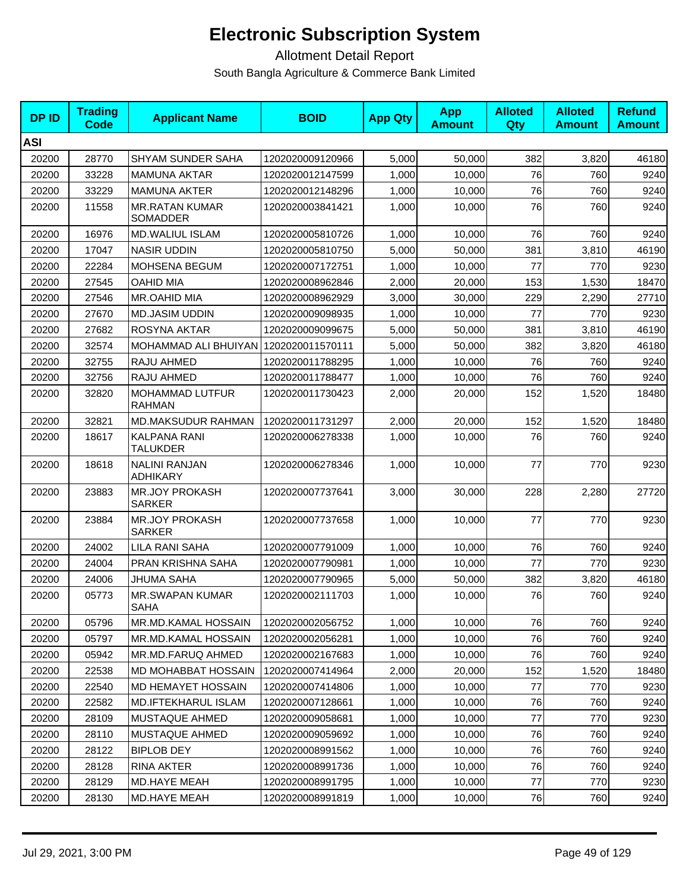| <b>DPID</b> | <b>Trading</b><br>Code | <b>Applicant Name</b>                   | <b>BOID</b>      | <b>App Qty</b> | <b>App</b><br><b>Amount</b> | <b>Alloted</b><br>Qty | <b>Alloted</b><br><b>Amount</b> | <b>Refund</b><br><b>Amount</b> |
|-------------|------------------------|-----------------------------------------|------------------|----------------|-----------------------------|-----------------------|---------------------------------|--------------------------------|
| <b>ASI</b>  |                        |                                         |                  |                |                             |                       |                                 |                                |
| 20200       | 28770                  | SHYAM SUNDER SAHA                       | 1202020009120966 | 5,000          | 50,000                      | 382                   | 3,820                           | 46180                          |
| 20200       | 33228                  | <b>MAMUNA AKTAR</b>                     | 1202020012147599 | 1,000          | 10,000                      | 76                    | 760                             | 9240                           |
| 20200       | 33229                  | <b>MAMUNA AKTER</b>                     | 1202020012148296 | 1,000          | 10,000                      | 76                    | 760                             | 9240                           |
| 20200       | 11558                  | <b>MR.RATAN KUMAR</b><br>SOMADDER       | 1202020003841421 | 1,000          | 10,000                      | 76                    | 760                             | 9240                           |
| 20200       | 16976                  | MD.WALIUL ISLAM                         | 1202020005810726 | 1,000          | 10,000                      | 76                    | 760                             | 9240                           |
| 20200       | 17047                  | <b>NASIR UDDIN</b>                      | 1202020005810750 | 5,000          | 50,000                      | 381                   | 3,810                           | 46190                          |
| 20200       | 22284                  | <b>MOHSENA BEGUM</b>                    | 1202020007172751 | 1,000          | 10,000                      | 77                    | 770                             | 9230                           |
| 20200       | 27545                  | <b>OAHID MIA</b>                        | 1202020008962846 | 2,000          | 20,000                      | 153                   | 1,530                           | 18470                          |
| 20200       | 27546                  | MR.OAHID MIA                            | 1202020008962929 | 3,000          | 30,000                      | 229                   | 2,290                           | 27710                          |
| 20200       | 27670                  | <b>MD.JASIM UDDIN</b>                   | 1202020009098935 | 1,000          | 10,000                      | 77                    | 770                             | 9230                           |
| 20200       | 27682                  | ROSYNA AKTAR                            | 1202020009099675 | 5.000          | 50,000                      | 381                   | 3,810                           | 46190                          |
| 20200       | 32574                  | MOHAMMAD ALI BHUIYAN 1202020011570111   |                  | 5,000          | 50,000                      | 382                   | 3,820                           | 46180                          |
| 20200       | 32755                  | RAJU AHMED                              | 1202020011788295 | 1,000          | 10,000                      | 76                    | 760                             | 9240                           |
| 20200       | 32756                  | RAJU AHMED                              | 1202020011788477 | 1,000          | 10,000                      | 76                    | 760                             | 9240                           |
| 20200       | 32820                  | <b>MOHAMMAD LUTFUR</b><br><b>RAHMAN</b> | 1202020011730423 | 2,000          | 20,000                      | 152                   | 1,520                           | 18480                          |
| 20200       | 32821                  | MD.MAKSUDUR RAHMAN                      | 1202020011731297 | 2,000          | 20,000                      | 152                   | 1,520                           | 18480                          |
| 20200       | 18617                  | KALPANA RANI<br><b>TALUKDER</b>         | 1202020006278338 | 1,000          | 10,000                      | 76                    | 760                             | 9240                           |
| 20200       | 18618                  | <b>NALINI RANJAN</b><br>ADHIKARY        | 1202020006278346 | 1,000          | 10,000                      | 77                    | 770                             | 9230                           |
| 20200       | 23883                  | <b>MR.JOY PROKASH</b><br><b>SARKER</b>  | 1202020007737641 | 3,000          | 30,000                      | 228                   | 2,280                           | 27720                          |
| 20200       | 23884                  | <b>MR.JOY PROKASH</b><br><b>SARKER</b>  | 1202020007737658 | 1,000          | 10,000                      | 77                    | 770                             | 9230                           |
| 20200       | 24002                  | <b>LILA RANI SAHA</b>                   | 1202020007791009 | 1,000          | 10,000                      | 76                    | 760                             | 9240                           |
| 20200       | 24004                  | PRAN KRISHNA SAHA                       | 1202020007790981 | 1,000          | 10,000                      | 77                    | 770                             | 9230                           |
| 20200       | 24006                  | JHUMA SAHA                              | 1202020007790965 | 5,000          | 50,000                      | 382                   | 3,820                           | 46180                          |
| 20200       | 05773                  | <b>MR.SWAPAN KUMAR</b><br><b>SAHA</b>   | 1202020002111703 | 1,000          | 10,000                      | 76                    | 760                             | 9240                           |
| 20200       | 05796                  | MR.MD.KAMAL HOSSAIN                     | 1202020002056752 | 1,000          | 10,000                      | 76                    | 760                             | 9240                           |
| 20200       | 05797                  | MR.MD.KAMAL HOSSAIN                     | 1202020002056281 | 1,000          | 10,000                      | 76                    | 760                             | 9240                           |
| 20200       | 05942                  | MR.MD.FARUQ AHMED                       | 1202020002167683 | 1,000          | 10,000                      | 76                    | 760                             | 9240                           |
| 20200       | 22538                  | MD MOHABBAT HOSSAIN                     | 1202020007414964 | 2,000          | 20,000                      | 152                   | 1,520                           | 18480                          |
| 20200       | 22540                  | MD HEMAYET HOSSAIN                      | 1202020007414806 | 1,000          | 10,000                      | 77                    | 770                             | 9230                           |
| 20200       | 22582                  | MD.IFTEKHARUL ISLAM                     | 1202020007128661 | 1,000          | 10,000                      | 76                    | 760                             | 9240                           |
| 20200       | 28109                  | MUSTAQUE AHMED                          | 1202020009058681 | 1,000          | 10,000                      | 77                    | 770                             | 9230                           |
| 20200       | 28110                  | MUSTAQUE AHMED                          | 1202020009059692 | 1,000          | 10,000                      | 76                    | 760                             | 9240                           |
| 20200       | 28122                  | <b>BIPLOB DEY</b>                       | 1202020008991562 | 1,000          | 10,000                      | 76                    | 760                             | 9240                           |
| 20200       | 28128                  | RINA AKTER                              | 1202020008991736 | 1,000          | 10,000                      | 76                    | 760                             | 9240                           |
| 20200       | 28129                  | MD.HAYE MEAH                            | 1202020008991795 | 1,000          | 10,000                      | 77                    | 770                             | 9230                           |
| 20200       | 28130                  | MD.HAYE MEAH                            | 1202020008991819 | 1,000          | 10,000                      | 76                    | 760                             | 9240                           |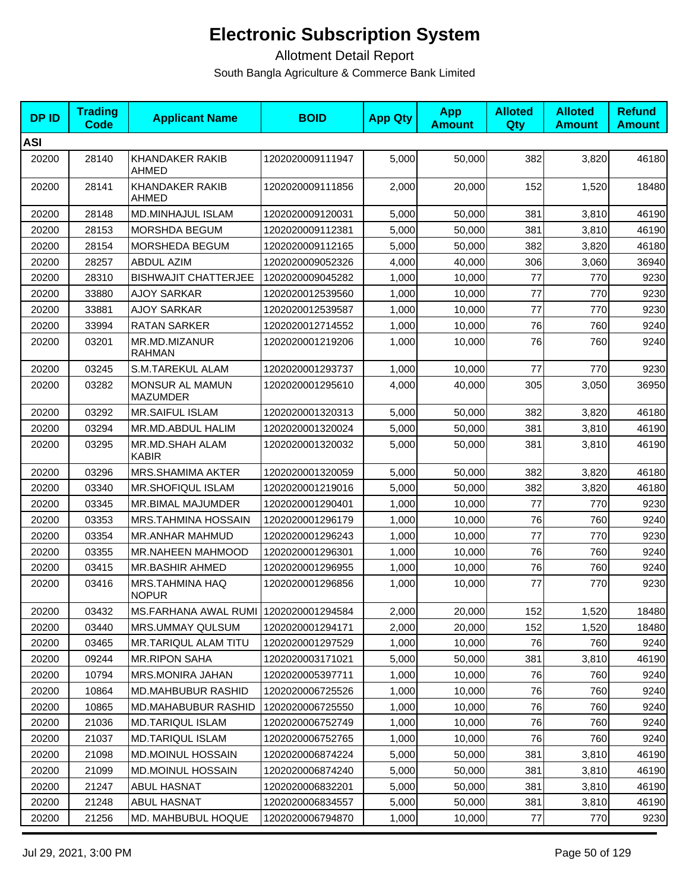| <b>DPID</b> | <b>Trading</b><br><b>Code</b> | <b>Applicant Name</b>                 | <b>BOID</b>      | <b>App Qty</b> | <b>App</b><br><b>Amount</b> | <b>Alloted</b><br>Qty | <b>Alloted</b><br><b>Amount</b> | <b>Refund</b><br><b>Amount</b> |
|-------------|-------------------------------|---------------------------------------|------------------|----------------|-----------------------------|-----------------------|---------------------------------|--------------------------------|
| <b>ASI</b>  |                               |                                       |                  |                |                             |                       |                                 |                                |
| 20200       | 28140                         | KHANDAKER RAKIB<br><b>AHMED</b>       | 1202020009111947 | 5,000          | 50,000                      | 382                   | 3,820                           | 46180                          |
| 20200       | 28141                         | KHANDAKER RAKIB<br>AHMED              | 1202020009111856 | 2,000          | 20,000                      | 152                   | 1,520                           | 18480                          |
| 20200       | 28148                         | MD.MINHAJUL ISLAM                     | 1202020009120031 | 5,000          | 50,000                      | 381                   | 3,810                           | 46190                          |
| 20200       | 28153                         | MORSHDA BEGUM                         | 1202020009112381 | 5,000          | 50,000                      | 381                   | 3,810                           | 46190                          |
| 20200       | 28154                         | MORSHEDA BEGUM                        | 1202020009112165 | 5,000          | 50,000                      | 382                   | 3,820                           | 46180                          |
| 20200       | 28257                         | <b>ABDUL AZIM</b>                     | 1202020009052326 | 4,000          | 40,000                      | 306                   | 3,060                           | 36940                          |
| 20200       | 28310                         | <b>BISHWAJIT CHATTERJEE</b>           | 1202020009045282 | 1,000          | 10,000                      | 77                    | 770                             | 9230                           |
| 20200       | 33880                         | <b>AJOY SARKAR</b>                    | 1202020012539560 | 1,000          | 10,000                      | 77                    | 770                             | 9230                           |
| 20200       | 33881                         | <b>AJOY SARKAR</b>                    | 1202020012539587 | 1,000          | 10,000                      | 77                    | 770                             | 9230                           |
| 20200       | 33994                         | <b>RATAN SARKER</b>                   | 1202020012714552 | 1,000          | 10,000                      | 76                    | 760                             | 9240                           |
| 20200       | 03201                         | MR.MD.MIZANUR<br>RAHMAN               | 1202020001219206 | 1,000          | 10,000                      | 76                    | 760                             | 9240                           |
| 20200       | 03245                         | S.M.TAREKUL ALAM                      | 1202020001293737 | 1,000          | 10,000                      | 77                    | 770                             | 9230                           |
| 20200       | 03282                         | MONSUR AL MAMUN<br><b>MAZUMDER</b>    | 1202020001295610 | 4,000          | 40,000                      | 305                   | 3,050                           | 36950                          |
| 20200       | 03292                         | <b>MR.SAIFUL ISLAM</b>                | 1202020001320313 | 5,000          | 50,000                      | 382                   | 3,820                           | 46180                          |
| 20200       | 03294                         | MR.MD.ABDUL HALIM                     | 1202020001320024 | 5,000          | 50,000                      | 381                   | 3,810                           | 46190                          |
| 20200       | 03295                         | MR.MD.SHAH ALAM<br><b>KABIR</b>       | 1202020001320032 | 5,000          | 50,000                      | 381                   | 3,810                           | 46190                          |
| 20200       | 03296                         | <b>MRS.SHAMIMA AKTER</b>              | 1202020001320059 | 5,000          | 50,000                      | 382                   | 3,820                           | 46180                          |
| 20200       | 03340                         | <b>MR.SHOFIQUL ISLAM</b>              | 1202020001219016 | 5,000          | 50,000                      | 382                   | 3,820                           | 46180                          |
| 20200       | 03345                         | MR.BIMAL MAJUMDER                     | 1202020001290401 | 1,000          | 10,000                      | 77                    | 770                             | 9230                           |
| 20200       | 03353                         | <b>MRS.TAHMINA HOSSAIN</b>            | 1202020001296179 | 1,000          | 10,000                      | 76                    | 760                             | 9240                           |
| 20200       | 03354                         | MR.ANHAR MAHMUD                       | 1202020001296243 | 1,000          | 10,000                      | 77                    | 770                             | 9230                           |
| 20200       | 03355                         | <b>MR.NAHEEN MAHMOOD</b>              | 1202020001296301 | 1,000          | 10,000                      | 76                    | 760                             | 9240                           |
| 20200       | 03415                         | MR.BASHIR AHMED                       | 1202020001296955 | 1,000          | 10,000                      | 76                    | 760                             | 9240                           |
| 20200       | 03416                         | MRS.TAHMINA HAQ<br><b>NOPUR</b>       | 1202020001296856 | 1,000          | 10,000                      | 77                    | 770                             | 9230                           |
| 20200       | 03432                         | MS.FARHANA AWAL RUMI 1202020001294584 |                  | 2,000          | 20,000                      | 152                   | 1,520                           | 18480                          |
| 20200       | 03440                         | MRS.UMMAY QULSUM                      | 1202020001294171 | 2,000          | 20,000                      | 152                   | 1,520                           | 18480                          |
| 20200       | 03465                         | MR.TARIQUL ALAM TITU                  | 1202020001297529 | 1,000          | 10,000                      | 76                    | 760                             | 9240                           |
| 20200       | 09244                         | <b>MR.RIPON SAHA</b>                  | 1202020003171021 | 5,000          | 50,000                      | 381                   | 3,810                           | 46190                          |
| 20200       | 10794                         | MRS.MONIRA JAHAN                      | 1202020005397711 | 1,000          | 10,000                      | 76                    | 760                             | 9240                           |
| 20200       | 10864                         | <b>MD.MAHBUBUR RASHID</b>             | 1202020006725526 | 1,000          | 10,000                      | 76                    | 760                             | 9240                           |
| 20200       | 10865                         | <b>MD.MAHABUBUR RASHID</b>            | 1202020006725550 | 1,000          | 10,000                      | 76                    | 760                             | 9240                           |
| 20200       | 21036                         | MD.TARIQUL ISLAM                      | 1202020006752749 | 1,000          | 10,000                      | 76                    | 760                             | 9240                           |
| 20200       | 21037                         | <b>MD.TARIQUL ISLAM</b>               | 1202020006752765 | 1,000          | 10,000                      | 76                    | 760                             | 9240                           |
| 20200       | 21098                         | MD.MOINUL HOSSAIN                     | 1202020006874224 | 5,000          | 50,000                      | 381                   | 3,810                           | 46190                          |
| 20200       | 21099                         | <b>MD.MOINUL HOSSAIN</b>              | 1202020006874240 | 5,000          | 50,000                      | 381                   | 3,810                           | 46190                          |
| 20200       | 21247                         | ABUL HASNAT                           | 1202020006832201 | 5,000          | 50,000                      | 381                   | 3,810                           | 46190                          |
| 20200       | 21248                         | ABUL HASNAT                           | 1202020006834557 | 5,000          | 50,000                      | 381                   | 3,810                           | 46190                          |
| 20200       | 21256                         | MD. MAHBUBUL HOQUE                    | 1202020006794870 | 1,000          | 10,000                      | 77                    | 770                             | 9230                           |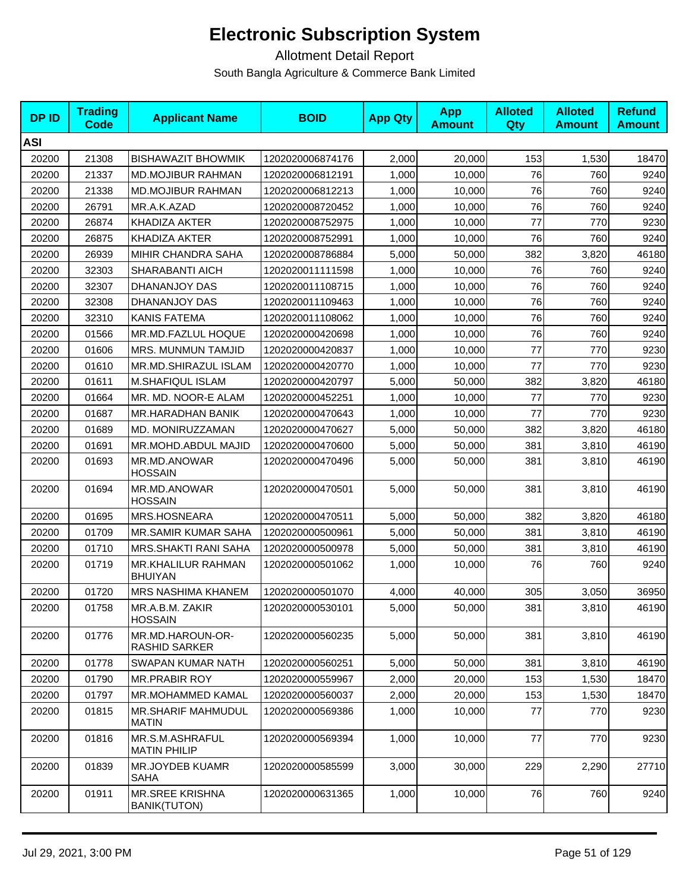| <b>DPID</b> | <b>Trading</b><br><b>Code</b> | <b>Applicant Name</b>                         | <b>BOID</b>      | <b>App Qty</b> | <b>App</b><br><b>Amount</b> | <b>Alloted</b><br><b>Qty</b> | <b>Alloted</b><br><b>Amount</b> | <b>Refund</b><br><b>Amount</b> |
|-------------|-------------------------------|-----------------------------------------------|------------------|----------------|-----------------------------|------------------------------|---------------------------------|--------------------------------|
| <b>ASI</b>  |                               |                                               |                  |                |                             |                              |                                 |                                |
| 20200       | 21308                         | <b>BISHAWAZIT BHOWMIK</b>                     | 1202020006874176 | 2,000          | 20,000                      | 153                          | 1,530                           | 18470                          |
| 20200       | 21337                         | <b>MD.MOJIBUR RAHMAN</b>                      | 1202020006812191 | 1,000          | 10,000                      | 76                           | 760                             | 9240                           |
| 20200       | 21338                         | <b>MD.MOJIBUR RAHMAN</b>                      | 1202020006812213 | 1,000          | 10,000                      | 76                           | 760                             | 9240                           |
| 20200       | 26791                         | MR.A.K.AZAD                                   | 1202020008720452 | 1,000          | 10,000                      | 76                           | 760                             | 9240                           |
| 20200       | 26874                         | <b>KHADIZA AKTER</b>                          | 1202020008752975 | 1,000          | 10,000                      | 77                           | 770                             | 9230                           |
| 20200       | 26875                         | KHADIZA AKTER                                 | 1202020008752991 | 1,000          | 10.000                      | 76                           | 760                             | 9240                           |
| 20200       | 26939                         | MIHIR CHANDRA SAHA                            | 1202020008786884 | 5,000          | 50,000                      | 382                          | 3,820                           | 46180                          |
| 20200       | 32303                         | SHARABANTI AICH                               | 1202020011111598 | 1,000          | 10,000                      | 76                           | 760                             | 9240                           |
| 20200       | 32307                         | DHANANJOY DAS                                 | 1202020011108715 | 1,000          | 10,000                      | 76                           | 760                             | 9240                           |
| 20200       | 32308                         | DHANANJOY DAS                                 | 1202020011109463 | 1,000          | 10,000                      | 76                           | 760                             | 9240                           |
| 20200       | 32310                         | <b>KANIS FATEMA</b>                           | 1202020011108062 | 1,000          | 10,000                      | 76                           | 760                             | 9240                           |
| 20200       | 01566                         | MR.MD.FAZLUL HOQUE                            | 1202020000420698 | 1,000          | 10,000                      | 76                           | 760                             | 9240                           |
| 20200       | 01606                         | MRS. MUNMUN TAMJID                            | 1202020000420837 | 1,000          | 10.000                      | 77                           | 770                             | 9230                           |
| 20200       | 01610                         | MR.MD.SHIRAZUL ISLAM                          | 1202020000420770 | 1,000          | 10,000                      | 77                           | 770                             | 9230                           |
| 20200       | 01611                         | M.SHAFIQUL ISLAM                              | 1202020000420797 | 5,000          | 50,000                      | 382                          | 3,820                           | 46180                          |
| 20200       | 01664                         | MR. MD. NOOR-E ALAM                           | 1202020000452251 | 1,000          | 10,000                      | 77                           | 770                             | 9230                           |
| 20200       | 01687                         | MR.HARADHAN BANIK                             | 1202020000470643 | 1,000          | 10,000                      | 77                           | 770                             | 9230                           |
| 20200       | 01689                         | MD. MONIRUZZAMAN                              | 1202020000470627 | 5,000          | 50,000                      | 382                          | 3,820                           | 46180                          |
| 20200       | 01691                         | MR.MOHD.ABDUL MAJID                           | 1202020000470600 | 5,000          | 50,000                      | 381                          | 3,810                           | 46190                          |
| 20200       | 01693                         | MR.MD.ANOWAR<br><b>HOSSAIN</b>                | 1202020000470496 | 5,000          | 50,000                      | 381                          | 3,810                           | 46190                          |
| 20200       | 01694                         | MR.MD.ANOWAR<br><b>HOSSAIN</b>                | 1202020000470501 | 5,000          | 50,000                      | 381                          | 3,810                           | 46190                          |
| 20200       | 01695                         | MRS.HOSNEARA                                  | 1202020000470511 | 5,000          | 50,000                      | 382                          | 3,820                           | 46180                          |
| 20200       | 01709                         | <b>MR.SAMIR KUMAR SAHA</b>                    | 1202020000500961 | 5,000          | 50,000                      | 381                          | 3,810                           | 46190                          |
| 20200       | 01710                         | <b>MRS.SHAKTI RANI SAHA</b>                   | 1202020000500978 | 5,000          | 50,000                      | 381                          | 3,810                           | 46190                          |
| 20200       | 01719                         | MR.KHALILUR RAHMAN<br><b>BHUIYAN</b>          | 1202020000501062 | 1,000          | 10,000                      | 76                           | 760                             | 9240                           |
| 20200       | 01720                         | <b>MRS NASHIMA KHANEM</b>                     | 1202020000501070 | 4,000          | 40,000                      | 305                          | 3,050                           | 36950                          |
| 20200       | 01758                         | MR.A.B.M. ZAKIR<br><b>HOSSAIN</b>             | 1202020000530101 | 5,000          | 50,000                      | 381                          | 3,810                           | 46190                          |
| 20200       | 01776                         | MR.MD.HAROUN-OR-<br><b>RASHID SARKER</b>      | 1202020000560235 | 5,000          | 50,000                      | 381                          | 3,810                           | 46190                          |
| 20200       | 01778                         | SWAPAN KUMAR NATH                             | 1202020000560251 | 5,000          | 50,000                      | 381                          | 3,810                           | 46190                          |
| 20200       | 01790                         | <b>MR.PRABIR ROY</b>                          | 1202020000559967 | 2,000          | 20,000                      | 153                          | 1,530                           | 18470                          |
| 20200       | 01797                         | <b>MR.MOHAMMED KAMAL</b>                      | 1202020000560037 | 2,000          | 20,000                      | 153                          | 1,530                           | 18470                          |
| 20200       | 01815                         | <b>MR.SHARIF MAHMUDUL</b><br><b>MATIN</b>     | 1202020000569386 | 1,000          | 10,000                      | 77                           | 770                             | 9230                           |
| 20200       | 01816                         | MR.S.M.ASHRAFUL<br><b>MATIN PHILIP</b>        | 1202020000569394 | 1,000          | 10,000                      | 77                           | 770                             | 9230                           |
| 20200       | 01839                         | MR.JOYDEB KUAMR<br>SAHA                       | 1202020000585599 | 3,000          | 30,000                      | 229                          | 2,290                           | 27710                          |
| 20200       | 01911                         | <b>MR.SREE KRISHNA</b><br><b>BANIK(TUTON)</b> | 1202020000631365 | 1,000          | 10,000                      | 76                           | 760                             | 9240                           |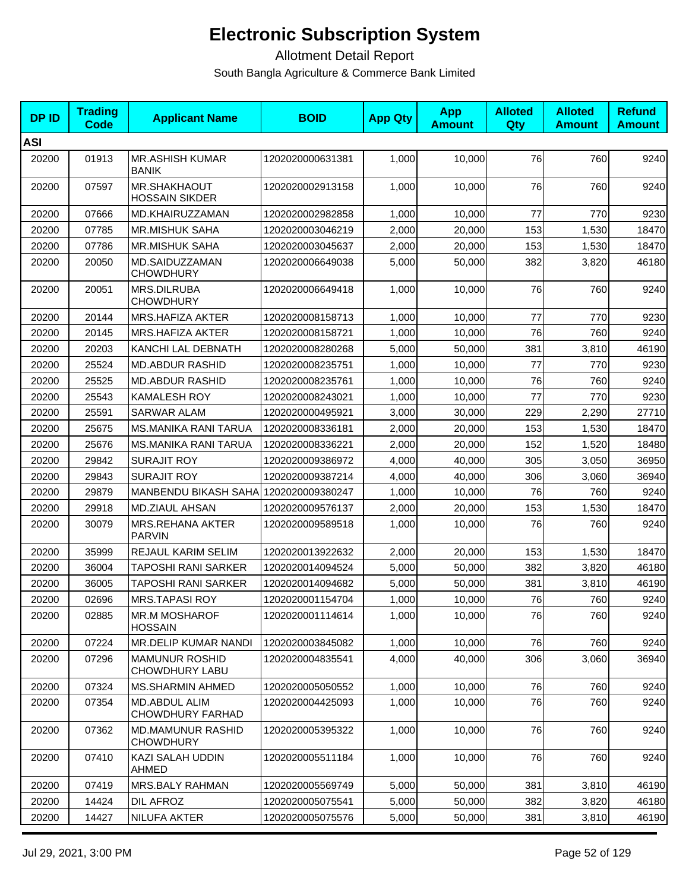| <b>DPID</b> | <b>Trading</b><br><b>Code</b> | <b>Applicant Name</b>                        | <b>BOID</b>      | <b>App Qty</b> | <b>App</b><br><b>Amount</b> | <b>Alloted</b><br>Qty | <b>Alloted</b><br><b>Amount</b> | <b>Refund</b><br><b>Amount</b> |
|-------------|-------------------------------|----------------------------------------------|------------------|----------------|-----------------------------|-----------------------|---------------------------------|--------------------------------|
| <b>ASI</b>  |                               |                                              |                  |                |                             |                       |                                 |                                |
| 20200       | 01913                         | <b>MR.ASHISH KUMAR</b><br><b>BANIK</b>       | 1202020000631381 | 1,000          | 10,000                      | 76                    | 760                             | 9240                           |
| 20200       | 07597                         | <b>MR.SHAKHAOUT</b><br><b>HOSSAIN SIKDER</b> | 1202020002913158 | 1,000          | 10,000                      | 76                    | 760                             | 9240                           |
| 20200       | 07666                         | MD.KHAIRUZZAMAN                              | 1202020002982858 | 1,000          | 10,000                      | 77                    | 770                             | 9230                           |
| 20200       | 07785                         | <b>MR.MISHUK SAHA</b>                        | 1202020003046219 | 2,000          | 20,000                      | 153                   | 1,530                           | 18470                          |
| 20200       | 07786                         | <b>MR.MISHUK SAHA</b>                        | 1202020003045637 | 2,000          | 20,000                      | 153                   | 1,530                           | 18470                          |
| 20200       | 20050                         | MD.SAIDUZZAMAN<br><b>CHOWDHURY</b>           | 1202020006649038 | 5,000          | 50,000                      | 382                   | 3,820                           | 46180                          |
| 20200       | 20051                         | MRS.DILRUBA<br><b>CHOWDHURY</b>              | 1202020006649418 | 1,000          | 10,000                      | 76                    | 760                             | 9240                           |
| 20200       | 20144                         | <b>MRS.HAFIZA AKTER</b>                      | 1202020008158713 | 1,000          | 10,000                      | 77                    | 770                             | 9230                           |
| 20200       | 20145                         | <b>MRS.HAFIZA AKTER</b>                      | 1202020008158721 | 1,000          | 10,000                      | 76                    | 760                             | 9240                           |
| 20200       | 20203                         | KANCHI LAL DEBNATH                           | 1202020008280268 | 5,000          | 50,000                      | 381                   | 3,810                           | 46190                          |
| 20200       | 25524                         | <b>MD.ABDUR RASHID</b>                       | 1202020008235751 | 1,000          | 10,000                      | 77                    | 770                             | 9230                           |
| 20200       | 25525                         | <b>MD.ABDUR RASHID</b>                       | 1202020008235761 | 1,000          | 10,000                      | 76                    | 760                             | 9240                           |
| 20200       | 25543                         | KAMALESH ROY                                 | 1202020008243021 | 1,000          | 10,000                      | 77                    | 770                             | 9230                           |
| 20200       | 25591                         | <b>SARWAR ALAM</b>                           | 1202020000495921 | 3,000          | 30,000                      | 229                   | 2,290                           | 27710                          |
| 20200       | 25675                         | <b>MS.MANIKA RANI TARUA</b>                  | 1202020008336181 | 2,000          | 20,000                      | 153                   | 1,530                           | 18470                          |
| 20200       | 25676                         | <b>MS.MANIKA RANI TARUA</b>                  | 1202020008336221 | 2,000          | 20,000                      | 152                   | 1,520                           | 18480                          |
| 20200       | 29842                         | <b>SURAJIT ROY</b>                           | 1202020009386972 | 4,000          | 40,000                      | 305                   | 3,050                           | 36950                          |
| 20200       | 29843                         | <b>SURAJIT ROY</b>                           | 1202020009387214 | 4,000          | 40,000                      | 306                   | 3,060                           | 36940                          |
| 20200       | 29879                         | MANBENDU BIKASH SAHA 1202020009380247        |                  | 1,000          | 10,000                      | 76                    | 760                             | 9240                           |
| 20200       | 29918                         | MD.ZIAUL AHSAN                               | 1202020009576137 | 2,000          | 20,000                      | 153                   | 1,530                           | 18470                          |
| 20200       | 30079                         | <b>MRS.REHANA AKTER</b><br><b>PARVIN</b>     | 1202020009589518 | 1,000          | 10,000                      | 76                    | 760                             | 9240                           |
| 20200       | 35999                         | REJAUL KARIM SELIM                           | 1202020013922632 | 2,000          | 20,000                      | 153                   | 1,530                           | 18470                          |
| 20200       | 36004                         | <b>TAPOSHI RANI SARKER</b>                   | 1202020014094524 | 5,000          | 50,000                      | 382                   | 3,820                           | 46180                          |
| 20200       | 36005                         | <b>TAPOSHI RANI SARKER</b>                   | 1202020014094682 | 5,000          | 50,000                      | 381                   | 3,810                           | 46190                          |
| 20200       | 02696                         | <b>MRS.TAPASI ROY</b>                        | 1202020001154704 | 1,000          | 10,000                      | 76                    | 760                             | 9240                           |
| 20200       | 02885                         | <b>MR.M MOSHAROF</b><br><b>HOSSAIN</b>       | 1202020001114614 | 1,000          | 10,000                      | 76                    | 760                             | 9240                           |
| 20200       | 07224                         | MR.DELIP KUMAR NANDI                         | 1202020003845082 | 1,000          | 10,000                      | 76                    | 760                             | 9240                           |
| 20200       | 07296                         | <b>MAMUNUR ROSHID</b><br>CHOWDHURY LABU      | 1202020004835541 | 4,000          | 40,000                      | 306                   | 3,060                           | 36940                          |
| 20200       | 07324                         | MS.SHARMIN AHMED                             | 1202020005050552 | 1,000          | 10,000                      | 76                    | 760                             | 9240                           |
| 20200       | 07354                         | MD.ABDUL ALIM<br><b>CHOWDHURY FARHAD</b>     | 1202020004425093 | 1,000          | 10,000                      | 76                    | 760                             | 9240                           |
| 20200       | 07362                         | <b>MD.MAMUNUR RASHID</b><br><b>CHOWDHURY</b> | 1202020005395322 | 1,000          | 10,000                      | 76                    | 760                             | 9240                           |
| 20200       | 07410                         | KAZI SALAH UDDIN<br>AHMED                    | 1202020005511184 | 1,000          | 10,000                      | 76                    | 760                             | 9240                           |
| 20200       | 07419                         | <b>MRS.BALY RAHMAN</b>                       | 1202020005569749 | 5,000          | 50,000                      | 381                   | 3,810                           | 46190                          |
| 20200       | 14424                         | DIL AFROZ                                    | 1202020005075541 | 5,000          | 50,000                      | 382                   | 3,820                           | 46180                          |
| 20200       | 14427                         | NILUFA AKTER                                 | 1202020005075576 | 5,000          | 50,000                      | 381                   | 3,810                           | 46190                          |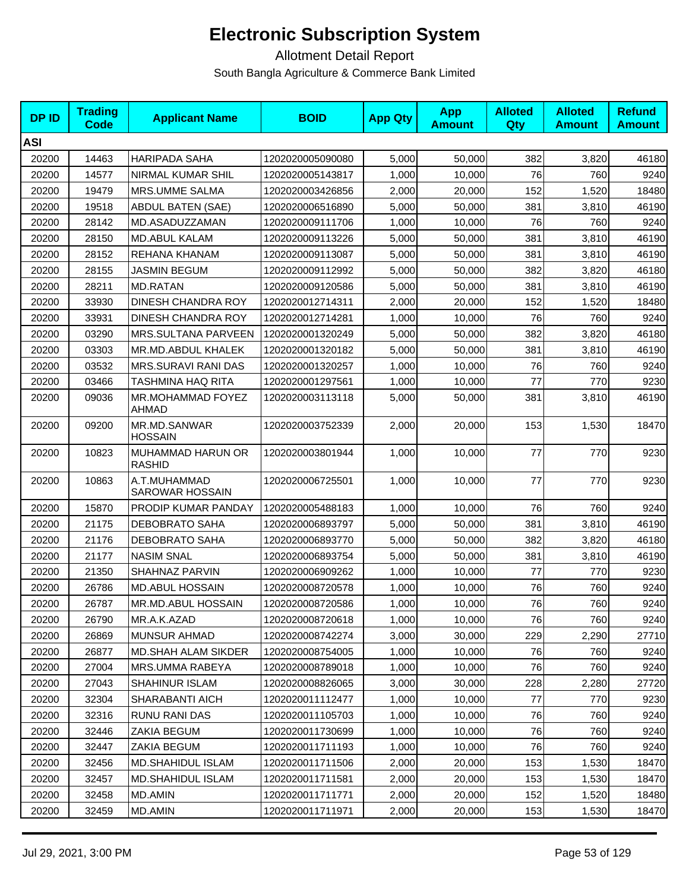| <b>DPID</b> | <b>Trading</b><br>Code | <b>Applicant Name</b>              | <b>BOID</b>      | <b>App Qty</b> | <b>App</b><br><b>Amount</b> | <b>Alloted</b><br><b>Qty</b> | <b>Alloted</b><br><b>Amount</b> | <b>Refund</b><br><b>Amount</b> |
|-------------|------------------------|------------------------------------|------------------|----------------|-----------------------------|------------------------------|---------------------------------|--------------------------------|
| <b>ASI</b>  |                        |                                    |                  |                |                             |                              |                                 |                                |
| 20200       | 14463                  | <b>HARIPADA SAHA</b>               | 1202020005090080 | 5,000          | 50,000                      | 382                          | 3,820                           | 46180                          |
| 20200       | 14577                  | NIRMAL KUMAR SHIL                  | 1202020005143817 | 1,000          | 10,000                      | 76                           | 760                             | 9240                           |
| 20200       | 19479                  | MRS.UMME SALMA                     | 1202020003426856 | 2,000          | 20,000                      | 152                          | 1,520                           | 18480                          |
| 20200       | 19518                  | <b>ABDUL BATEN (SAE)</b>           | 1202020006516890 | 5,000          | 50,000                      | 381                          | 3,810                           | 46190                          |
| 20200       | 28142                  | MD.ASADUZZAMAN                     | 1202020009111706 | 1,000          | 10,000                      | 76                           | 760                             | 9240                           |
| 20200       | 28150                  | <b>MD.ABUL KALAM</b>               | 1202020009113226 | 5.000          | 50,000                      | 381                          | 3,810                           | 46190                          |
| 20200       | 28152                  | REHANA KHANAM                      | 1202020009113087 | 5,000          | 50,000                      | 381                          | 3,810                           | 46190                          |
| 20200       | 28155                  | JASMIN BEGUM                       | 1202020009112992 | 5,000          | 50,000                      | 382                          | 3,820                           | 46180                          |
| 20200       | 28211                  | <b>MD.RATAN</b>                    | 1202020009120586 | 5,000          | 50,000                      | 381                          | 3,810                           | 46190                          |
| 20200       | 33930                  | DINESH CHANDRA ROY                 | 1202020012714311 | 2,000          | 20,000                      | 152                          | 1,520                           | 18480                          |
| 20200       | 33931                  | DINESH CHANDRA ROY                 | 1202020012714281 | 1,000          | 10,000                      | 76                           | 760                             | 9240                           |
| 20200       | 03290                  | <b>MRS.SULTANA PARVEEN</b>         | 1202020001320249 | 5,000          | 50,000                      | 382                          | 3,820                           | 46180                          |
| 20200       | 03303                  | MR.MD.ABDUL KHALEK                 | 1202020001320182 | 5,000          | 50,000                      | 381                          | 3,810                           | 46190                          |
| 20200       | 03532                  | <b>MRS.SURAVI RANI DAS</b>         | 1202020001320257 | 1,000          | 10,000                      | 76                           | 760                             | 9240                           |
| 20200       | 03466                  | TASHMINA HAQ RITA                  | 1202020001297561 | 1,000          | 10,000                      | 77                           | 770                             | 9230                           |
| 20200       | 09036                  | MR.MOHAMMAD FOYEZ<br>AHMAD         | 1202020003113118 | 5,000          | 50.000                      | 381                          | 3,810                           | 46190                          |
| 20200       | 09200                  | MR.MD.SANWAR<br><b>HOSSAIN</b>     | 1202020003752339 | 2,000          | 20,000                      | 153                          | 1,530                           | 18470                          |
| 20200       | 10823                  | MUHAMMAD HARUN OR<br><b>RASHID</b> | 1202020003801944 | 1,000          | 10,000                      | 77                           | 770                             | 9230                           |
| 20200       | 10863                  | A.T.MUHAMMAD<br>SAROWAR HOSSAIN    | 1202020006725501 | 1,000          | 10,000                      | 77                           | 770                             | 9230                           |
| 20200       | 15870                  | PRODIP KUMAR PANDAY                | 1202020005488183 | 1,000          | 10,000                      | 76                           | 760                             | 9240                           |
| 20200       | 21175                  | DEBOBRATO SAHA                     | 1202020006893797 | 5,000          | 50,000                      | 381                          | 3,810                           | 46190                          |
| 20200       | 21176                  | <b>DEBOBRATO SAHA</b>              | 1202020006893770 | 5,000          | 50,000                      | 382                          | 3,820                           | 46180                          |
| 20200       | 21177                  | <b>NASIM SNAL</b>                  | 1202020006893754 | 5,000          | 50,000                      | 381                          | 3,810                           | 46190                          |
| 20200       | 21350                  | SHAHNAZ PARVIN                     | 1202020006909262 | 1,000          | 10,000                      | 77                           | 770                             | 9230                           |
| 20200       | 26786                  | <b>MD.ABUL HOSSAIN</b>             | 1202020008720578 | 1,000          | 10,000                      | 76                           | 760                             | 9240                           |
| 20200       | 26787                  | MR.MD.ABUL HOSSAIN                 | 1202020008720586 | 1,000          | 10,000                      | 76                           | 760                             | 9240                           |
| 20200       | 26790                  | MR.A.K.AZAD                        | 1202020008720618 | 1,000          | 10,000                      | 76                           | 760                             | 9240                           |
| 20200       | 26869                  | <b>MUNSUR AHMAD</b>                | 1202020008742274 | 3,000          | 30,000                      | 229                          | 2,290                           | 27710                          |
| 20200       | 26877                  | <b>MD.SHAH ALAM SIKDER</b>         | 1202020008754005 | 1,000          | 10,000                      | 76                           | 760                             | 9240                           |
| 20200       | 27004                  | MRS.UMMA RABEYA                    | 1202020008789018 | 1,000          | 10,000                      | 76                           | 760                             | 9240                           |
| 20200       | 27043                  | SHAHINUR ISLAM                     | 1202020008826065 | 3,000          | 30,000                      | 228                          | 2,280                           | 27720                          |
| 20200       | 32304                  | SHARABANTI AICH                    | 1202020011112477 | 1,000          | 10,000                      | 77                           | 770                             | 9230                           |
| 20200       | 32316                  | RUNU RANI DAS                      | 1202020011105703 | 1,000          | 10,000                      | 76                           | 760                             | 9240                           |
| 20200       | 32446                  | ZAKIA BEGUM                        | 1202020011730699 | 1,000          | 10,000                      | 76                           | 760                             | 9240                           |
| 20200       | 32447                  | ZAKIA BEGUM                        | 1202020011711193 | 1,000          | 10,000                      | 76                           | 760                             | 9240                           |
| 20200       | 32456                  | MD.SHAHIDUL ISLAM                  | 1202020011711506 | 2,000          | 20,000                      | 153                          | 1,530                           | 18470                          |
| 20200       | 32457                  | <b>MD.SHAHIDUL ISLAM</b>           | 1202020011711581 | 2,000          | 20,000                      | 153                          | 1,530                           | 18470                          |
| 20200       | 32458                  | MD.AMIN                            | 1202020011711771 | 2,000          | 20,000                      | 152                          | 1,520                           | 18480                          |
| 20200       | 32459                  | MD.AMIN                            | 1202020011711971 | 2,000          | 20,000                      | 153                          | 1,530                           | 18470                          |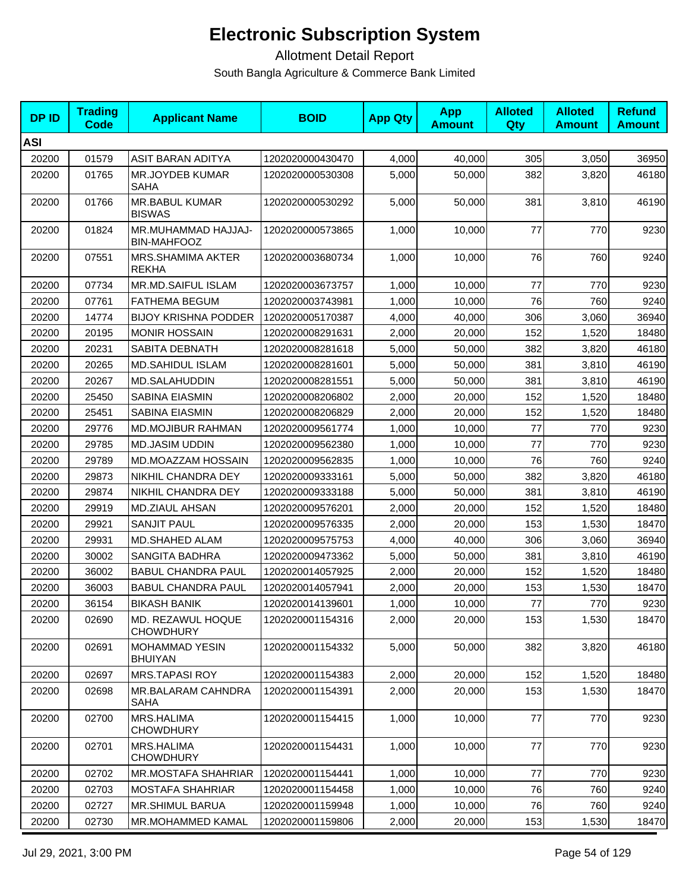| <b>DP ID</b> | <b>Trading</b><br>Code | <b>Applicant Name</b>                     | <b>BOID</b>      | <b>App Qty</b> | <b>App</b><br><b>Amount</b> | <b>Alloted</b><br>Qty | <b>Alloted</b><br><b>Amount</b> | <b>Refund</b><br><b>Amount</b> |
|--------------|------------------------|-------------------------------------------|------------------|----------------|-----------------------------|-----------------------|---------------------------------|--------------------------------|
| <b>ASI</b>   |                        |                                           |                  |                |                             |                       |                                 |                                |
| 20200        | 01579                  | ASIT BARAN ADITYA                         | 1202020000430470 | 4,000          | 40,000                      | 305                   | 3,050                           | 36950                          |
| 20200        | 01765                  | <b>MR.JOYDEB KUMAR</b><br><b>SAHA</b>     | 1202020000530308 | 5,000          | 50,000                      | 382                   | 3,820                           | 46180                          |
| 20200        | 01766                  | <b>MR.BABUL KUMAR</b><br><b>BISWAS</b>    | 1202020000530292 | 5,000          | 50,000                      | 381                   | 3,810                           | 46190                          |
| 20200        | 01824                  | MR.MUHAMMAD HAJJAJ-<br><b>BIN-MAHFOOZ</b> | 1202020000573865 | 1,000          | 10,000                      | 77                    | 770                             | 9230                           |
| 20200        | 07551                  | MRS.SHAMIMA AKTER<br><b>REKHA</b>         | 1202020003680734 | 1,000          | 10,000                      | 76                    | 760                             | 9240                           |
| 20200        | 07734                  | <b>MR.MD.SAIFUL ISLAM</b>                 | 1202020003673757 | 1,000          | 10,000                      | 77                    | 770                             | 9230                           |
| 20200        | 07761                  | <b>FATHEMA BEGUM</b>                      | 1202020003743981 | 1,000          | 10,000                      | 76                    | 760                             | 9240                           |
| 20200        | 14774                  | <b>BIJOY KRISHNA PODDER</b>               | 1202020005170387 | 4,000          | 40,000                      | 306                   | 3,060                           | 36940                          |
| 20200        | 20195                  | <b>MONIR HOSSAIN</b>                      | 1202020008291631 | 2,000          | 20,000                      | 152                   | 1,520                           | 18480                          |
| 20200        | 20231                  | SABITA DEBNATH                            | 1202020008281618 | 5,000          | 50,000                      | 382                   | 3,820                           | 46180                          |
| 20200        | 20265                  | <b>MD.SAHIDUL ISLAM</b>                   | 1202020008281601 | 5,000          | 50,000                      | 381                   | 3,810                           | 46190                          |
| 20200        | 20267                  | MD.SALAHUDDIN                             | 1202020008281551 | 5,000          | 50,000                      | 381                   | 3,810                           | 46190                          |
| 20200        | 25450                  | SABINA EIASMIN                            | 1202020008206802 | 2,000          | 20,000                      | 152                   | 1,520                           | 18480                          |
| 20200        | 25451                  | SABINA EIASMIN                            | 1202020008206829 | 2,000          | 20,000                      | 152                   | 1,520                           | 18480                          |
| 20200        | 29776                  | MD.MOJIBUR RAHMAN                         | 1202020009561774 | 1,000          | 10,000                      | 77                    | 770                             | 9230                           |
| 20200        | 29785                  | <b>MD.JASIM UDDIN</b>                     | 1202020009562380 | 1,000          | 10,000                      | 77                    | 770                             | 9230                           |
| 20200        | 29789                  | MD.MOAZZAM HOSSAIN                        | 1202020009562835 | 1,000          | 10,000                      | 76                    | 760                             | 9240                           |
| 20200        | 29873                  | NIKHIL CHANDRA DEY                        | 1202020009333161 | 5,000          | 50,000                      | 382                   | 3,820                           | 46180                          |
| 20200        | 29874                  | NIKHIL CHANDRA DEY                        | 1202020009333188 | 5,000          | 50,000                      | 381                   | 3,810                           | 46190                          |
| 20200        | 29919                  | MD.ZIAUL AHSAN                            | 1202020009576201 | 2,000          | 20,000                      | 152                   | 1,520                           | 18480                          |
| 20200        | 29921                  | <b>SANJIT PAUL</b>                        | 1202020009576335 | 2,000          | 20,000                      | 153                   | 1,530                           | 18470                          |
| 20200        | 29931                  | MD.SHAHED ALAM                            | 1202020009575753 | 4,000          | 40,000                      | 306                   | 3,060                           | 36940                          |
| 20200        | 30002                  | <b>SANGITA BADHRA</b>                     | 1202020009473362 | 5,000          | 50,000                      | 381                   | 3,810                           | 46190                          |
| 20200        | 36002                  | <b>BABUL CHANDRA PAUL</b>                 | 1202020014057925 | 2,000          | 20,000                      | 152                   | 1,520                           | 18480                          |
| 20200        | 36003                  | <b>BABUL CHANDRA PAUL</b>                 | 1202020014057941 | 2,000          | 20,000                      | 153                   | 1,530                           | 18470                          |
| 20200        | 36154                  | <b>BIKASH BANIK</b>                       | 1202020014139601 | 1,000          | 10,000                      | 77                    | 770                             | 9230                           |
| 20200        | 02690                  | MD. REZAWUL HOQUE<br><b>CHOWDHURY</b>     | 1202020001154316 | 2,000          | 20,000                      | 153                   | 1,530                           | 18470                          |
| 20200        | 02691                  | <b>MOHAMMAD YESIN</b><br><b>BHUIYAN</b>   | 1202020001154332 | 5,000          | 50,000                      | 382                   | 3,820                           | 46180                          |
| 20200        | 02697                  | <b>MRS.TAPASI ROY</b>                     | 1202020001154383 | 2,000          | 20,000                      | 152                   | 1,520                           | 18480                          |
| 20200        | 02698                  | MR.BALARAM CAHNDRA<br>SAHA                | 1202020001154391 | 2,000          | 20,000                      | 153                   | 1,530                           | 18470                          |
| 20200        | 02700                  | MRS.HALIMA<br><b>CHOWDHURY</b>            | 1202020001154415 | 1,000          | 10,000                      | 77                    | 770                             | 9230                           |
| 20200        | 02701                  | <b>MRS.HALIMA</b><br><b>CHOWDHURY</b>     | 1202020001154431 | 1,000          | 10,000                      | 77                    | 770                             | 9230                           |
| 20200        | 02702                  | MR.MOSTAFA SHAHRIAR                       | 1202020001154441 | 1,000          | 10,000                      | 77                    | 770                             | 9230                           |
| 20200        | 02703                  | <b>MOSTAFA SHAHRIAR</b>                   | 1202020001154458 | 1,000          | 10,000                      | 76                    | 760                             | 9240                           |
| 20200        | 02727                  | <b>MR.SHIMUL BARUA</b>                    | 1202020001159948 | 1,000          | 10,000                      | 76                    | 760                             | 9240                           |
| 20200        | 02730                  | MR.MOHAMMED KAMAL                         | 1202020001159806 | 2,000          | 20,000                      | 153                   | 1,530                           | 18470                          |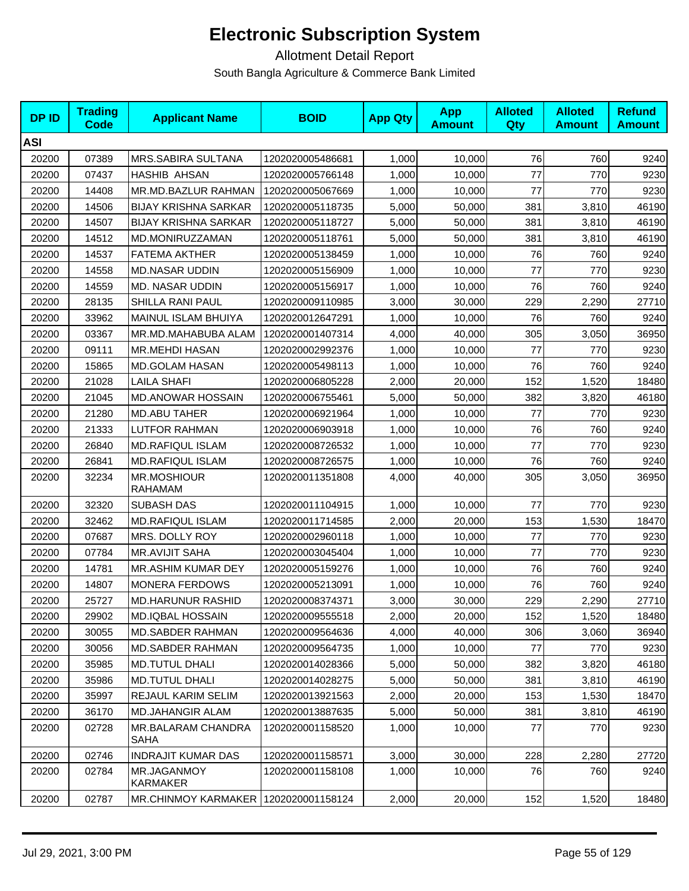| <b>DPID</b> | <b>Trading</b><br>Code | <b>Applicant Name</b>                  | <b>BOID</b>      | <b>App Qty</b> | <b>App</b><br><b>Amount</b> | <b>Alloted</b><br><b>Qty</b> | <b>Alloted</b><br><b>Amount</b> | <b>Refund</b><br><b>Amount</b> |
|-------------|------------------------|----------------------------------------|------------------|----------------|-----------------------------|------------------------------|---------------------------------|--------------------------------|
| <b>ASI</b>  |                        |                                        |                  |                |                             |                              |                                 |                                |
| 20200       | 07389                  | MRS.SABIRA SULTANA                     | 1202020005486681 | 1,000          | 10,000                      | 76                           | 760                             | 9240                           |
| 20200       | 07437                  | <b>HASHIB AHSAN</b>                    | 1202020005766148 | 1,000          | 10,000                      | 77                           | 770                             | 9230                           |
| 20200       | 14408                  | MR.MD.BAZLUR RAHMAN                    | 1202020005067669 | 1,000          | 10,000                      | 77                           | 770                             | 9230                           |
| 20200       | 14506                  | <b>BIJAY KRISHNA SARKAR</b>            | 1202020005118735 | 5,000          | 50,000                      | 381                          | 3,810                           | 46190                          |
| 20200       | 14507                  | <b>BIJAY KRISHNA SARKAR</b>            | 1202020005118727 | 5,000          | 50,000                      | 381                          | 3,810                           | 46190                          |
| 20200       | 14512                  | MD.MONIRUZZAMAN                        | 1202020005118761 | 5.000          | 50.000                      | 381                          | 3,810                           | 46190                          |
| 20200       | 14537                  | <b>FATEMA AKTHER</b>                   | 1202020005138459 | 1,000          | 10,000                      | 76                           | 760                             | 9240                           |
| 20200       | 14558                  | <b>MD.NASAR UDDIN</b>                  | 1202020005156909 | 1,000          | 10,000                      | 77                           | 770                             | 9230                           |
| 20200       | 14559                  | MD. NASAR UDDIN                        | 1202020005156917 | 1,000          | 10,000                      | 76                           | 760                             | 9240                           |
| 20200       | 28135                  | SHILLA RANI PAUL                       | 1202020009110985 | 3,000          | 30,000                      | 229                          | 2,290                           | 27710                          |
| 20200       | 33962                  | MAINUL ISLAM BHUIYA                    | 1202020012647291 | 1,000          | 10,000                      | 76                           | 760                             | 9240                           |
| 20200       | 03367                  | MR.MD.MAHABUBA ALAM                    | 1202020001407314 | 4,000          | 40,000                      | 305                          | 3,050                           | 36950                          |
| 20200       | 09111                  | <b>MR.MEHDI HASAN</b>                  | 1202020002992376 | 1,000          | 10,000                      | 77                           | 770                             | 9230                           |
| 20200       | 15865                  | <b>MD.GOLAM HASAN</b>                  | 1202020005498113 | 1,000          | 10,000                      | 76                           | 760                             | 9240                           |
| 20200       | 21028                  | <b>LAILA SHAFI</b>                     | 1202020006805228 | 2,000          | 20,000                      | 152                          | 1,520                           | 18480                          |
| 20200       | 21045                  | <b>MD.ANOWAR HOSSAIN</b>               | 1202020006755461 | 5,000          | 50,000                      | 382                          | 3,820                           | 46180                          |
| 20200       | 21280                  | <b>MD.ABU TAHER</b>                    | 1202020006921964 | 1,000          | 10,000                      | 77                           | 770                             | 9230                           |
| 20200       | 21333                  | LUTFOR RAHMAN                          | 1202020006903918 | 1,000          | 10,000                      | 76                           | 760                             | 9240                           |
| 20200       | 26840                  | <b>MD.RAFIQUL ISLAM</b>                | 1202020008726532 | 1,000          | 10,000                      | 77                           | 770                             | 9230                           |
| 20200       | 26841                  | <b>MD.RAFIQUL ISLAM</b>                | 1202020008726575 | 1,000          | 10,000                      | 76                           | 760                             | 9240                           |
| 20200       | 32234                  | MR.MOSHIOUR<br><b>RAHAMAM</b>          | 1202020011351808 | 4,000          | 40,000                      | 305                          | 3,050                           | 36950                          |
| 20200       | 32320                  | <b>SUBASH DAS</b>                      | 1202020011104915 | 1,000          | 10,000                      | 77                           | 770                             | 9230                           |
| 20200       | 32462                  | MD.RAFIQUL ISLAM                       | 1202020011714585 | 2,000          | 20,000                      | 153                          | 1,530                           | 18470                          |
| 20200       | 07687                  | MRS. DOLLY ROY                         | 1202020002960118 | 1,000          | 10,000                      | 77                           | 770                             | 9230                           |
| 20200       | 07784                  | <b>MR.AVIJIT SAHA</b>                  | 1202020003045404 | 1,000          | 10,000                      | 77                           | 770                             | 9230                           |
| 20200       | 14781                  | MR.ASHIM KUMAR DEY                     | 1202020005159276 | 1,000          | 10,000                      | 76                           | 760                             | 9240                           |
| 20200       | 14807                  | <b>MONERA FERDOWS</b>                  | 1202020005213091 | 1,000          | 10,000                      | 76                           | 760                             | 9240                           |
| 20200       | 25727                  | <b>MD.HARUNUR RASHID</b>               | 1202020008374371 | 3,000          | 30,000                      | 229                          | 2,290                           | 27710                          |
| 20200       | 29902                  | <b>MD.IQBAL HOSSAIN</b>                | 1202020009555518 | 2,000          | 20,000                      | 152                          | 1,520                           | 18480                          |
| 20200       | 30055                  | <b>MD.SABDER RAHMAN</b>                | 1202020009564636 | 4,000          | 40,000                      | 306                          | 3,060                           | 36940                          |
| 20200       | 30056                  | <b>MD.SABDER RAHMAN</b>                | 1202020009564735 | 1,000          | 10,000                      | 77                           | 770                             | 9230                           |
| 20200       | 35985                  | <b>MD.TUTUL DHALI</b>                  | 1202020014028366 | 5,000          | 50,000                      | 382                          | 3,820                           | 46180                          |
| 20200       | 35986                  | <b>MD.TUTUL DHALI</b>                  | 1202020014028275 | 5,000          | 50,000                      | 381                          | 3,810                           | 46190                          |
| 20200       | 35997                  | <b>REJAUL KARIM SELIM</b>              | 1202020013921563 | 2,000          | 20,000                      | 153                          | 1,530                           | 18470                          |
| 20200       | 36170                  | <b>MD.JAHANGIR ALAM</b>                | 1202020013887635 | 5,000          | 50,000                      | 381                          | 3,810                           | 46190                          |
| 20200       | 02728                  | MR.BALARAM CHANDRA<br><b>SAHA</b>      | 1202020001158520 | 1,000          | 10,000                      | 77                           | 770                             | 9230                           |
| 20200       | 02746                  | <b>INDRAJIT KUMAR DAS</b>              | 1202020001158571 | 3,000          | 30,000                      | 228                          | 2,280                           | 27720                          |
| 20200       | 02784                  | MR.JAGANMOY<br>KARMAKER                | 1202020001158108 | 1,000          | 10,000                      | 76                           | 760                             | 9240                           |
| 20200       | 02787                  | MR.CHINMOY KARMAKER   1202020001158124 |                  | 2,000          | 20,000                      | 152                          | 1,520                           | 18480                          |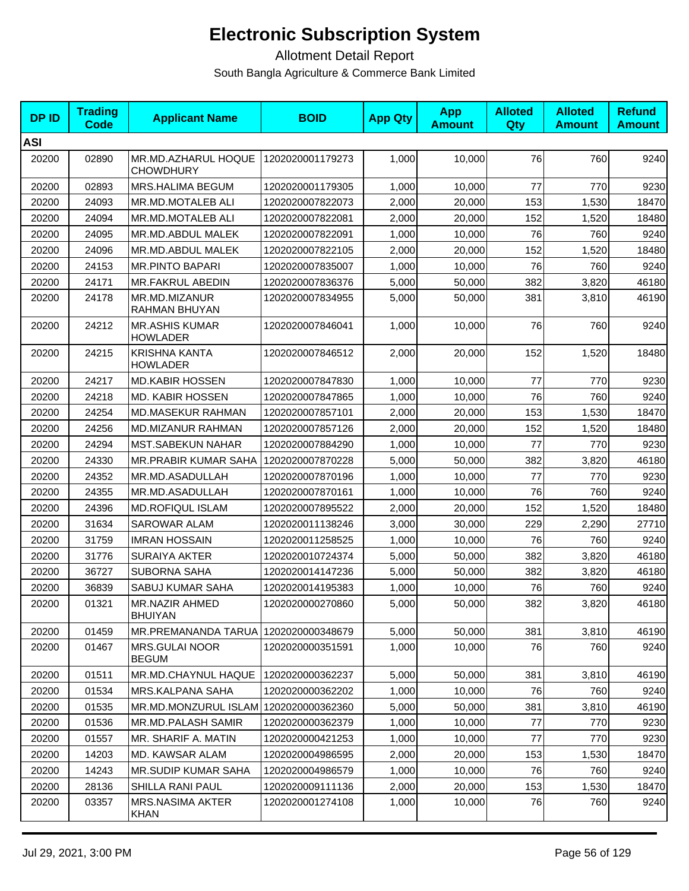| <b>DPID</b> | <b>Trading</b><br><b>Code</b> | <b>Applicant Name</b>                    | <b>BOID</b>      | <b>App Qty</b> | <b>App</b><br><b>Amount</b> | <b>Alloted</b><br>Qty | <b>Alloted</b><br><b>Amount</b> | <b>Refund</b><br><b>Amount</b> |
|-------------|-------------------------------|------------------------------------------|------------------|----------------|-----------------------------|-----------------------|---------------------------------|--------------------------------|
| <b>ASI</b>  |                               |                                          |                  |                |                             |                       |                                 |                                |
| 20200       | 02890                         | MR.MD.AZHARUL HOQUE<br><b>CHOWDHURY</b>  | 1202020001179273 | 1,000          | 10,000                      | 76                    | 760                             | 9240                           |
| 20200       | 02893                         | MRS.HALIMA BEGUM                         | 1202020001179305 | 1,000          | 10,000                      | 77                    | 770                             | 9230                           |
| 20200       | 24093                         | MR.MD.MOTALEB ALI                        | 1202020007822073 | 2,000          | 20,000                      | 153                   | 1,530                           | 18470                          |
| 20200       | 24094                         | <b>MR.MD.MOTALEB ALI</b>                 | 1202020007822081 | 2,000          | 20,000                      | 152                   | 1,520                           | 18480                          |
| 20200       | 24095                         | MR.MD.ABDUL MALEK                        | 1202020007822091 | 1,000          | 10,000                      | 76                    | 760                             | 9240                           |
| 20200       | 24096                         | MR.MD.ABDUL MALEK                        | 1202020007822105 | 2.000          | 20,000                      | 152                   | 1,520                           | 18480                          |
| 20200       | 24153                         | <b>MR.PINTO BAPARI</b>                   | 1202020007835007 | 1,000          | 10,000                      | 76                    | 760                             | 9240                           |
| 20200       | 24171                         | MR.FAKRUL ABEDIN                         | 1202020007836376 | 5,000          | 50,000                      | 382                   | 3,820                           | 46180                          |
| 20200       | 24178                         | MR.MD.MIZANUR<br>RAHMAN BHUYAN           | 1202020007834955 | 5,000          | 50,000                      | 381                   | 3,810                           | 46190                          |
| 20200       | 24212                         | <b>MR.ASHIS KUMAR</b><br><b>HOWLADER</b> | 1202020007846041 | 1,000          | 10,000                      | 76                    | 760                             | 9240                           |
| 20200       | 24215                         | KRISHNA KANTA<br>HOWLADER                | 1202020007846512 | 2.000          | 20,000                      | 152                   | 1,520                           | 18480                          |
| 20200       | 24217                         | <b>MD.KABIR HOSSEN</b>                   | 1202020007847830 | 1,000          | 10,000                      | 77                    | 770                             | 9230                           |
| 20200       | 24218                         | <b>MD. KABIR HOSSEN</b>                  | 1202020007847865 | 1,000          | 10,000                      | 76                    | 760                             | 9240                           |
| 20200       | 24254                         | <b>MD.MASEKUR RAHMAN</b>                 | 1202020007857101 | 2,000          | 20,000                      | 153                   | 1,530                           | 18470                          |
| 20200       | 24256                         | <b>MD.MIZANUR RAHMAN</b>                 | 1202020007857126 | 2,000          | 20.000                      | 152                   | 1,520                           | 18480                          |
| 20200       | 24294                         | <b>MST.SABEKUN NAHAR</b>                 | 1202020007884290 | 1,000          | 10,000                      | 77                    | 770                             | 9230                           |
| 20200       | 24330                         | MR.PRABIR KUMAR SAHA                     | 1202020007870228 | 5,000          | 50,000                      | 382                   | 3,820                           | 46180                          |
| 20200       | 24352                         | MR.MD.ASADULLAH                          | 1202020007870196 | 1,000          | 10,000                      | 77                    | 770                             | 9230                           |
| 20200       | 24355                         | MR.MD.ASADULLAH                          | 1202020007870161 | 1,000          | 10,000                      | 76                    | 760                             | 9240                           |
| 20200       | 24396                         | <b>MD.ROFIQUL ISLAM</b>                  | 1202020007895522 | 2,000          | 20,000                      | 152                   | 1,520                           | 18480                          |
| 20200       | 31634                         | <b>SAROWAR ALAM</b>                      | 1202020011138246 | 3,000          | 30,000                      | 229                   | 2,290                           | 27710                          |
| 20200       | 31759                         | <b>IMRAN HOSSAIN</b>                     | 1202020011258525 | 1,000          | 10,000                      | 76                    | 760                             | 9240                           |
| 20200       | 31776                         | <b>SURAIYA AKTER</b>                     | 1202020010724374 | 5,000          | 50,000                      | 382                   | 3,820                           | 46180                          |
| 20200       | 36727                         | <b>SUBORNA SAHA</b>                      | 1202020014147236 | 5,000          | 50,000                      | 382                   | 3,820                           | 46180                          |
| 20200       | 36839                         | SABUJ KUMAR SAHA                         | 1202020014195383 | 1,000          | 10,000                      | 76                    | 760                             | 9240                           |
| 20200       | 01321                         | <b>MR.NAZIR AHMED</b><br><b>BHUIYAN</b>  | 1202020000270860 | 5,000          | 50,000                      | 382                   | 3,820                           | 46180                          |
| 20200       | 01459                         | MR.PREMANANDA TARUA                      | 1202020000348679 | 5,000          | 50,000                      | 381                   | 3,810                           | 46190                          |
| 20200       | 01467                         | <b>MRS.GULAI NOOR</b><br><b>BEGUM</b>    | 1202020000351591 | 1,000          | 10.000                      | 76                    | 760                             | 9240                           |
| 20200       | 01511                         | MR.MD.CHAYNUL HAQUE                      | 1202020000362237 | 5,000          | 50,000                      | 381                   | 3,810                           | 46190                          |
| 20200       | 01534                         | MRS.KALPANA SAHA                         | 1202020000362202 | 1,000          | 10,000                      | 76                    | 760                             | 9240                           |
| 20200       | 01535                         | MR.MD.MONZURUL ISLAM 1202020000362360    |                  | 5,000          | 50,000                      | 381                   | 3,810                           | 46190                          |
| 20200       | 01536                         | <b>MR.MD.PALASH SAMIR</b>                | 1202020000362379 | 1,000          | 10,000                      | 77                    | 770                             | 9230                           |
| 20200       | 01557                         | MR. SHARIF A. MATIN                      | 1202020000421253 | 1,000          | 10,000                      | 77                    | 770                             | 9230                           |
| 20200       | 14203                         | MD. KAWSAR ALAM                          | 1202020004986595 | 2,000          | 20,000                      | 153                   | 1,530                           | 18470                          |
| 20200       | 14243                         | MR.SUDIP KUMAR SAHA                      | 1202020004986579 | 1,000          | 10,000                      | 76                    | 760                             | 9240                           |
| 20200       | 28136                         | <b>SHILLA RANI PAUL</b>                  | 1202020009111136 | 2,000          | 20,000                      | 153                   | 1,530                           | 18470                          |
| 20200       | 03357                         | <b>MRS.NASIMA AKTER</b><br><b>KHAN</b>   | 1202020001274108 | 1,000          | 10,000                      | 76                    | 760                             | 9240                           |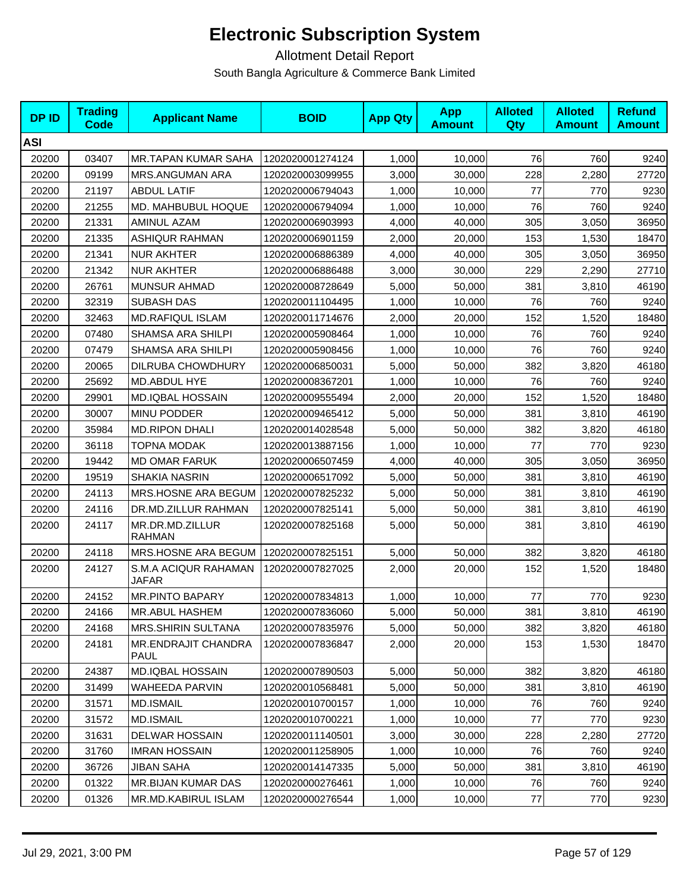| <b>DPID</b> | <b>Trading</b><br>Code | <b>Applicant Name</b>                     | <b>BOID</b>      | <b>App Qty</b> | <b>App</b><br><b>Amount</b> | <b>Alloted</b><br><b>Qty</b> | <b>Alloted</b><br><b>Amount</b> | <b>Refund</b><br><b>Amount</b> |
|-------------|------------------------|-------------------------------------------|------------------|----------------|-----------------------------|------------------------------|---------------------------------|--------------------------------|
| <b>ASI</b>  |                        |                                           |                  |                |                             |                              |                                 |                                |
| 20200       | 03407                  | <b>MR.TAPAN KUMAR SAHA</b>                | 1202020001274124 | 1,000          | 10,000                      | 76                           | 760                             | 9240                           |
| 20200       | 09199                  | MRS.ANGUMAN ARA                           | 1202020003099955 | 3,000          | 30,000                      | 228                          | 2,280                           | 27720                          |
| 20200       | 21197                  | <b>ABDUL LATIF</b>                        | 1202020006794043 | 1,000          | 10,000                      | 77                           | 770                             | 9230                           |
| 20200       | 21255                  | MD. MAHBUBUL HOQUE                        | 1202020006794094 | 1,000          | 10,000                      | 76                           | 760                             | 9240                           |
| 20200       | 21331                  | AMINUL AZAM                               | 1202020006903993 | 4,000          | 40,000                      | 305                          | 3,050                           | 36950                          |
| 20200       | 21335                  | <b>ASHIQUR RAHMAN</b>                     | 1202020006901159 | 2,000          | 20.000                      | 153                          | 1,530                           | 18470                          |
| 20200       | 21341                  | <b>NUR AKHTER</b>                         | 1202020006886389 | 4,000          | 40,000                      | 305                          | 3,050                           | 36950                          |
| 20200       | 21342                  | <b>NUR AKHTER</b>                         | 1202020006886488 | 3,000          | 30,000                      | 229                          | 2,290                           | 27710                          |
| 20200       | 26761                  | <b>MUNSUR AHMAD</b>                       | 1202020008728649 | 5,000          | 50,000                      | 381                          | 3,810                           | 46190                          |
| 20200       | 32319                  | <b>SUBASH DAS</b>                         | 1202020011104495 | 1,000          | 10,000                      | 76                           | 760                             | 9240                           |
| 20200       | 32463                  | MD.RAFIQUL ISLAM                          | 1202020011714676 | 2,000          | 20,000                      | 152                          | 1,520                           | 18480                          |
| 20200       | 07480                  | <b>SHAMSA ARA SHILPI</b>                  | 1202020005908464 | 1,000          | 10,000                      | 76                           | 760                             | 9240                           |
| 20200       | 07479                  | SHAMSA ARA SHILPI                         | 1202020005908456 | 1,000          | 10,000                      | 76                           | 760                             | 9240                           |
| 20200       | 20065                  | DILRUBA CHOWDHURY                         | 1202020006850031 | 5,000          | 50,000                      | 382                          | 3,820                           | 46180                          |
| 20200       | 25692                  | MD.ABDUL HYE                              | 1202020008367201 | 1,000          | 10,000                      | 76                           | 760                             | 9240                           |
| 20200       | 29901                  | <b>MD.IQBAL HOSSAIN</b>                   | 1202020009555494 | 2,000          | 20,000                      | 152                          | 1,520                           | 18480                          |
| 20200       | 30007                  | MINU PODDER                               | 1202020009465412 | 5,000          | 50,000                      | 381                          | 3,810                           | 46190                          |
| 20200       | 35984                  | <b>MD.RIPON DHALI</b>                     | 1202020014028548 | 5,000          | 50,000                      | 382                          | 3,820                           | 46180                          |
| 20200       | 36118                  | <b>TOPNA MODAK</b>                        | 1202020013887156 | 1,000          | 10,000                      | 77                           | 770                             | 9230                           |
| 20200       | 19442                  | <b>MD OMAR FARUK</b>                      | 1202020006507459 | 4,000          | 40,000                      | 305                          | 3,050                           | 36950                          |
| 20200       | 19519                  | <b>SHAKIA NASRIN</b>                      | 1202020006517092 | 5,000          | 50,000                      | 381                          | 3,810                           | 46190                          |
| 20200       | 24113                  | MRS.HOSNE ARA BEGUM                       | 1202020007825232 | 5,000          | 50,000                      | 381                          | 3,810                           | 46190                          |
| 20200       | 24116                  | DR.MD.ZILLUR RAHMAN                       | 1202020007825141 | 5,000          | 50,000                      | 381                          | 3,810                           | 46190                          |
| 20200       | 24117                  | MR.DR.MD.ZILLUR<br><b>RAHMAN</b>          | 1202020007825168 | 5,000          | 50,000                      | 381                          | 3,810                           | 46190                          |
| 20200       | 24118                  | MRS.HOSNE ARA BEGUM                       | 1202020007825151 | 5,000          | 50,000                      | 382                          | 3,820                           | 46180                          |
| 20200       | 24127                  | S.M.A ACIQUR RAHAMAN<br>JAFAR             | 1202020007827025 | 2,000          | 20,000                      | 152                          | 1,520                           | 18480                          |
| 20200       | 24152                  | <b>MR.PINTO BAPARY</b>                    | 1202020007834813 | 1,000          | 10,000                      | 77                           | 770                             | 9230                           |
| 20200       | 24166                  | <b>MR.ABUL HASHEM</b>                     | 1202020007836060 | 5,000          | 50,000                      | 381                          | 3,810                           | 46190                          |
| 20200       | 24168                  | <b>MRS.SHIRIN SULTANA</b>                 | 1202020007835976 | 5,000          | 50,000                      | 382                          | 3,820                           | 46180                          |
| 20200       | 24181                  | <b>MR.ENDRAJIT CHANDRA</b><br><b>PAUL</b> | 1202020007836847 | 2,000          | 20,000                      | 153                          | 1,530                           | 18470                          |
| 20200       | 24387                  | <b>MD.IQBAL HOSSAIN</b>                   | 1202020007890503 | 5,000          | 50,000                      | 382                          | 3,820                           | 46180                          |
| 20200       | 31499                  | <b>WAHEEDA PARVIN</b>                     | 1202020010568481 | 5,000          | 50,000                      | 381                          | 3,810                           | 46190                          |
| 20200       | 31571                  | MD.ISMAIL                                 | 1202020010700157 | 1,000          | 10,000                      | 76                           | 760                             | 9240                           |
| 20200       | 31572                  | <b>MD.ISMAIL</b>                          | 1202020010700221 | 1,000          | 10,000                      | 77                           | 770                             | 9230                           |
| 20200       | 31631                  | <b>DELWAR HOSSAIN</b>                     | 1202020011140501 | 3,000          | 30,000                      | 228                          | 2,280                           | 27720                          |
| 20200       | 31760                  | <b>IMRAN HOSSAIN</b>                      | 1202020011258905 | 1,000          | 10,000                      | 76                           | 760                             | 9240                           |
| 20200       | 36726                  | <b>JIBAN SAHA</b>                         | 1202020014147335 | 5,000          | 50,000                      | 381                          | 3,810                           | 46190                          |
| 20200       | 01322                  | MR.BIJAN KUMAR DAS                        | 1202020000276461 | 1,000          | 10,000                      | 76                           | 760                             | 9240                           |
| 20200       | 01326                  | MR.MD.KABIRUL ISLAM                       | 1202020000276544 | 1,000          | 10,000                      | 77                           | 770                             | 9230                           |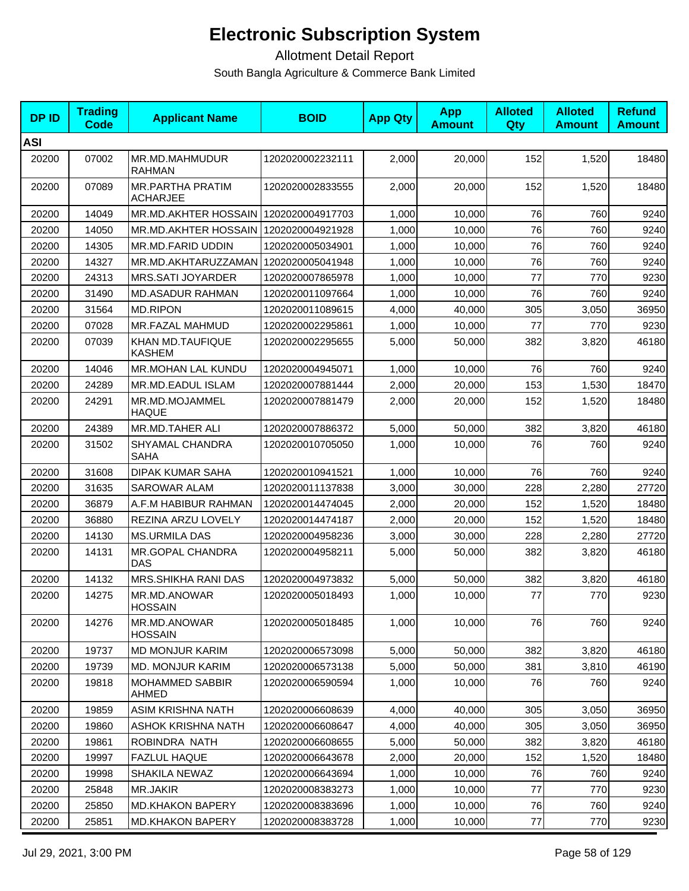| <b>DPID</b> | <b>Trading</b><br><b>Code</b> | <b>Applicant Name</b>                  | <b>BOID</b>      | <b>App Qty</b> | <b>App</b><br><b>Amount</b> | <b>Alloted</b><br>Qty | <b>Alloted</b><br><b>Amount</b> | <b>Refund</b><br><b>Amount</b> |
|-------------|-------------------------------|----------------------------------------|------------------|----------------|-----------------------------|-----------------------|---------------------------------|--------------------------------|
| <b>ASI</b>  |                               |                                        |                  |                |                             |                       |                                 |                                |
| 20200       | 07002                         | MR.MD.MAHMUDUR<br><b>RAHMAN</b>        | 1202020002232111 | 2,000          | 20,000                      | 152                   | 1,520                           | 18480                          |
| 20200       | 07089                         | MR.PARTHA PRATIM<br><b>ACHARJEE</b>    | 1202020002833555 | 2,000          | 20,000                      | 152                   | 1,520                           | 18480                          |
| 20200       | 14049                         | MR.MD.AKHTER HOSSAIN                   | 1202020004917703 | 1,000          | 10,000                      | 76                    | 760                             | 9240                           |
| 20200       | 14050                         | MR.MD.AKHTER HOSSAIN                   | 1202020004921928 | 1,000          | 10,000                      | 76                    | 760                             | 9240                           |
| 20200       | 14305                         | MR.MD.FARID UDDIN                      | 1202020005034901 | 1,000          | 10,000                      | 76                    | 760                             | 9240                           |
| 20200       | 14327                         | MR.MD.AKHTARUZZAMAN   1202020005041948 |                  | 1,000          | 10,000                      | 76                    | 760                             | 9240                           |
| 20200       | 24313                         | MRS.SATI JOYARDER                      | 1202020007865978 | 1,000          | 10,000                      | 77                    | 770                             | 9230                           |
| 20200       | 31490                         | <b>MD.ASADUR RAHMAN</b>                | 1202020011097664 | 1,000          | 10,000                      | 76                    | 760                             | 9240                           |
| 20200       | 31564                         | <b>MD.RIPON</b>                        | 1202020011089615 | 4,000          | 40,000                      | 305                   | 3,050                           | 36950                          |
| 20200       | 07028                         | MR.FAZAL MAHMUD                        | 1202020002295861 | 1,000          | 10,000                      | 77                    | 770                             | 9230                           |
| 20200       | 07039                         | KHAN MD.TAUFIQUE<br><b>KASHEM</b>      | 1202020002295655 | 5,000          | 50,000                      | 382                   | 3,820                           | 46180                          |
| 20200       | 14046                         | MR.MOHAN LAL KUNDU                     | 1202020004945071 | 1,000          | 10,000                      | 76                    | 760                             | 9240                           |
| 20200       | 24289                         | MR.MD.EADUL ISLAM                      | 1202020007881444 | 2,000          | 20,000                      | 153                   | 1,530                           | 18470                          |
| 20200       | 24291                         | MR.MD.MOJAMMEL<br><b>HAQUE</b>         | 1202020007881479 | 2,000          | 20,000                      | 152                   | 1,520                           | 18480                          |
| 20200       | 24389                         | MR.MD.TAHER ALI                        | 1202020007886372 | 5,000          | 50,000                      | 382                   | 3,820                           | 46180                          |
| 20200       | 31502                         | SHYAMAL CHANDRA<br><b>SAHA</b>         | 1202020010705050 | 1,000          | 10,000                      | 76                    | 760                             | 9240                           |
| 20200       | 31608                         | <b>DIPAK KUMAR SAHA</b>                | 1202020010941521 | 1,000          | 10,000                      | 76                    | 760                             | 9240                           |
| 20200       | 31635                         | <b>SAROWAR ALAM</b>                    | 1202020011137838 | 3,000          | 30,000                      | 228                   | 2,280                           | 27720                          |
| 20200       | 36879                         | A.F.M HABIBUR RAHMAN                   | 1202020014474045 | 2,000          | 20,000                      | 152                   | 1,520                           | 18480                          |
| 20200       | 36880                         | REZINA ARZU LOVELY                     | 1202020014474187 | 2,000          | 20,000                      | 152                   | 1,520                           | 18480                          |
| 20200       | 14130                         | <b>MS.URMILA DAS</b>                   | 1202020004958236 | 3,000          | 30,000                      | 228                   | 2,280                           | 27720                          |
| 20200       | 14131                         | MR.GOPAL CHANDRA<br><b>DAS</b>         | 1202020004958211 | 5,000          | 50,000                      | 382                   | 3,820                           | 46180                          |
| 20200       | 14132                         | MRS.SHIKHA RANI DAS                    | 1202020004973832 | 5,000          | 50,000                      | 382                   | 3,820                           | 46180                          |
| 20200       | 14275                         | MR.MD.ANOWAR<br><b>HOSSAIN</b>         | 1202020005018493 | 1,000          | 10,000                      | 77                    | 770                             | 9230                           |
| 20200       | 14276                         | MR.MD.ANOWAR<br><b>HOSSAIN</b>         | 1202020005018485 | 1,000          | 10,000                      | 76                    | 760                             | 9240                           |
| 20200       | 19737                         | <b>MD MONJUR KARIM</b>                 | 1202020006573098 | 5,000          | 50,000                      | 382                   | 3,820                           | 46180                          |
| 20200       | 19739                         | <b>MD. MONJUR KARIM</b>                | 1202020006573138 | 5,000          | 50,000                      | 381                   | 3,810                           | 46190                          |
| 20200       | 19818                         | <b>MOHAMMED SABBIR</b><br>AHMED        | 1202020006590594 | 1,000          | 10.000                      | 76                    | 760                             | 9240                           |
| 20200       | 19859                         | ASIM KRISHNA NATH                      | 1202020006608639 | 4,000          | 40,000                      | 305                   | 3,050                           | 36950                          |
| 20200       | 19860                         | ASHOK KRISHNA NATH                     | 1202020006608647 | 4,000          | 40,000                      | 305                   | 3,050                           | 36950                          |
| 20200       | 19861                         | ROBINDRA NATH                          | 1202020006608655 | 5,000          | 50,000                      | 382                   | 3,820                           | 46180                          |
| 20200       | 19997                         | <b>FAZLUL HAQUE</b>                    | 1202020006643678 | 2,000          | 20,000                      | 152                   | 1,520                           | 18480                          |
| 20200       | 19998                         | <b>SHAKILA NEWAZ</b>                   | 1202020006643694 | 1,000          | 10,000                      | 76                    | 760                             | 9240                           |
| 20200       | 25848                         | <b>MR.JAKIR</b>                        | 1202020008383273 | 1,000          | 10,000                      | 77                    | 770                             | 9230                           |
| 20200       | 25850                         | <b>MD.KHAKON BAPERY</b>                | 1202020008383696 | 1,000          | 10,000                      | 76                    | 760                             | 9240                           |
| 20200       | 25851                         | MD.KHAKON BAPERY                       | 1202020008383728 | 1,000          | 10,000                      | 77                    | 770                             | 9230                           |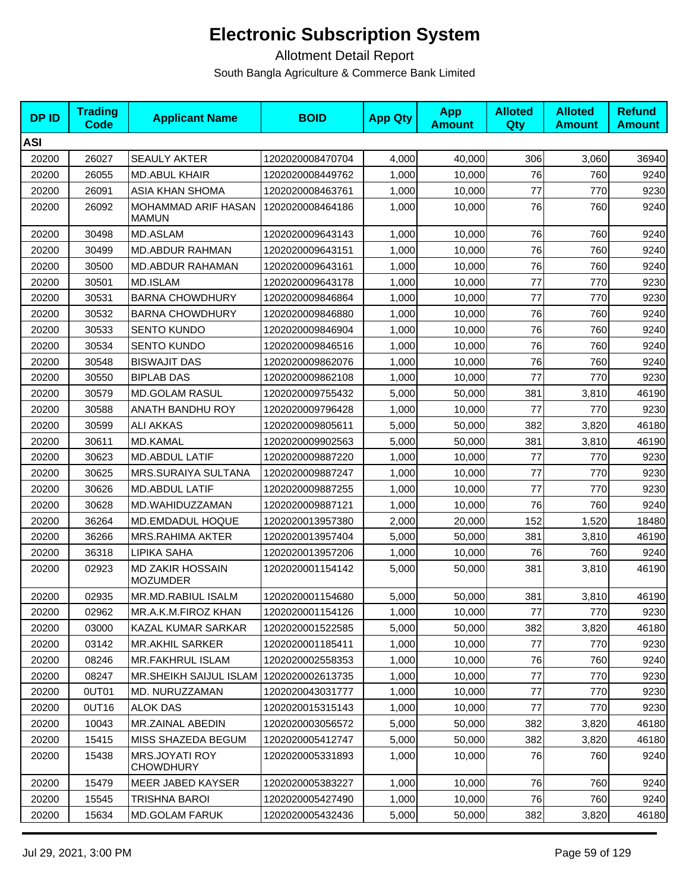| <b>DPID</b> | <b>Trading</b><br><b>Code</b> | <b>Applicant Name</b>               | <b>BOID</b>      | <b>App Qty</b> | <b>App</b><br><b>Amount</b> | <b>Alloted</b><br>Qty | <b>Alloted</b><br><b>Amount</b> | <b>Refund</b><br><b>Amount</b> |
|-------------|-------------------------------|-------------------------------------|------------------|----------------|-----------------------------|-----------------------|---------------------------------|--------------------------------|
| <b>ASI</b>  |                               |                                     |                  |                |                             |                       |                                 |                                |
| 20200       | 26027                         | <b>SEAULY AKTER</b>                 | 1202020008470704 | 4,000          | 40,000                      | 306                   | 3,060                           | 36940                          |
| 20200       | 26055                         | <b>MD.ABUL KHAIR</b>                | 1202020008449762 | 1,000          | 10,000                      | 76                    | 760                             | 9240                           |
| 20200       | 26091                         | ASIA KHAN SHOMA                     | 1202020008463761 | 1,000          | 10,000                      | 77                    | 770                             | 9230                           |
| 20200       | 26092                         | MOHAMMAD ARIF HASAN<br><b>MAMUN</b> | 1202020008464186 | 1,000          | 10,000                      | 76                    | 760                             | 9240                           |
| 20200       | 30498                         | MD.ASLAM                            | 1202020009643143 | 1,000          | 10,000                      | 76                    | 760                             | 9240                           |
| 20200       | 30499                         | <b>MD.ABDUR RAHMAN</b>              | 1202020009643151 | 1,000          | 10,000                      | 76                    | 760                             | 9240                           |
| 20200       | 30500                         | <b>MD.ABDUR RAHAMAN</b>             | 1202020009643161 | 1,000          | 10,000                      | 76                    | 760                             | 9240                           |
| 20200       | 30501                         | MD.ISLAM                            | 1202020009643178 | 1,000          | 10,000                      | 77                    | 770                             | 9230                           |
| 20200       | 30531                         | <b>BARNA CHOWDHURY</b>              | 1202020009846864 | 1,000          | 10,000                      | 77                    | 770                             | 9230                           |
| 20200       | 30532                         | <b>BARNA CHOWDHURY</b>              | 1202020009846880 | 1,000          | 10,000                      | 76                    | 760                             | 9240                           |
| 20200       | 30533                         | <b>SENTO KUNDO</b>                  | 1202020009846904 | 1,000          | 10,000                      | 76                    | 760                             | 9240                           |
| 20200       | 30534                         | <b>SENTO KUNDO</b>                  | 1202020009846516 | 1,000          | 10,000                      | 76                    | 760                             | 9240                           |
| 20200       | 30548                         | <b>BISWAJIT DAS</b>                 | 1202020009862076 | 1,000          | 10.000                      | 76                    | 760                             | 9240                           |
| 20200       | 30550                         | <b>BIPLAB DAS</b>                   | 1202020009862108 | 1,000          | 10,000                      | 77                    | 770                             | 9230                           |
| 20200       | 30579                         | <b>MD.GOLAM RASUL</b>               | 1202020009755432 | 5,000          | 50,000                      | 381                   | 3,810                           | 46190                          |
| 20200       | 30588                         | ANATH BANDHU ROY                    | 1202020009796428 | 1,000          | 10,000                      | 77                    | 770                             | 9230                           |
| 20200       | 30599                         | <b>ALI AKKAS</b>                    | 1202020009805611 | 5,000          | 50,000                      | 382                   | 3,820                           | 46180                          |
| 20200       | 30611                         | <b>MD.KAMAL</b>                     | 1202020009902563 | 5,000          | 50,000                      | 381                   | 3,810                           | 46190                          |
| 20200       | 30623                         | MD.ABDUL LATIF                      | 1202020009887220 | 1,000          | 10,000                      | 77                    | 770                             | 9230                           |
| 20200       | 30625                         | <b>MRS.SURAIYA SULTANA</b>          | 1202020009887247 | 1,000          | 10,000                      | 77                    | 770                             | 9230                           |
| 20200       | 30626                         | MD.ABDUL LATIF                      | 1202020009887255 | 1,000          | 10,000                      | 77                    | 770                             | 9230                           |
| 20200       | 30628                         | MD.WAHIDUZZAMAN                     | 1202020009887121 | 1,000          | 10,000                      | 76                    | 760                             | 9240                           |
| 20200       | 36264                         | MD.EMDADUL HOQUE                    | 1202020013957380 | 2,000          | 20,000                      | 152                   | 1,520                           | 18480                          |
| 20200       | 36266                         | <b>MRS.RAHIMA AKTER</b>             | 1202020013957404 | 5,000          | 50,000                      | 381                   | 3,810                           | 46190                          |
| 20200       | 36318                         | <b>LIPIKA SAHA</b>                  | 1202020013957206 | 1,000          | 10,000                      | 76                    | 760                             | 9240                           |
| 20200       | 02923                         | MD ZAKIR HOSSAIN<br><b>MOZUMDER</b> | 1202020001154142 | 5,000          | 50,000                      | 381                   | 3,810                           | 46190                          |
| 20200       | 02935                         | MR.MD.RABIUL ISALM                  | 1202020001154680 | 5,000          | 50,000                      | 381                   | 3,810                           | 46190                          |
| 20200       | 02962                         | MR.A.K.M.FIROZ KHAN                 | 1202020001154126 | 1,000          | 10,000                      | 77                    | 770                             | 9230                           |
| 20200       | 03000                         | KAZAL KUMAR SARKAR                  | 1202020001522585 | 5,000          | 50,000                      | 382                   | 3,820                           | 46180                          |
| 20200       | 03142                         | <b>MR.AKHIL SARKER</b>              | 1202020001185411 | 1,000          | 10,000                      | 77                    | 770                             | 9230                           |
| 20200       | 08246                         | <b>MR.FAKHRUL ISLAM</b>             | 1202020002558353 | 1,000          | 10,000                      | 76                    | 760                             | 9240                           |
| 20200       | 08247                         | <b>MR.SHEIKH SAIJUL ISLAM</b>       | 1202020002613735 | 1,000          | 10,000                      | 77                    | 770                             | 9230                           |
| 20200       | 0UT01                         | MD. NURUZZAMAN                      | 1202020043031777 | 1,000          | 10,000                      | 77                    | 770                             | 9230                           |
| 20200       | 0UT16                         | <b>ALOK DAS</b>                     | 1202020015315143 | 1,000          | 10,000                      | 77                    | 770                             | 9230                           |
| 20200       | 10043                         | MR.ZAINAL ABEDIN                    | 1202020003056572 | 5,000          | 50,000                      | 382                   | 3,820                           | 46180                          |
| 20200       | 15415                         | MISS SHAZEDA BEGUM                  | 1202020005412747 | 5,000          | 50,000                      | 382                   | 3,820                           | 46180                          |
| 20200       | 15438                         | MRS.JOYATI ROY<br><b>CHOWDHURY</b>  | 1202020005331893 | 1,000          | 10,000                      | 76                    | 760                             | 9240                           |
| 20200       | 15479                         | MEER JABED KAYSER                   | 1202020005383227 | 1,000          | 10,000                      | 76                    | 760                             | 9240                           |
| 20200       | 15545                         | TRISHNA BAROI                       | 1202020005427490 | 1,000          | 10,000                      | 76                    | 760                             | 9240                           |
| 20200       | 15634                         | <b>MD.GOLAM FARUK</b>               | 1202020005432436 | 5,000          | 50,000                      | 382                   | 3,820                           | 46180                          |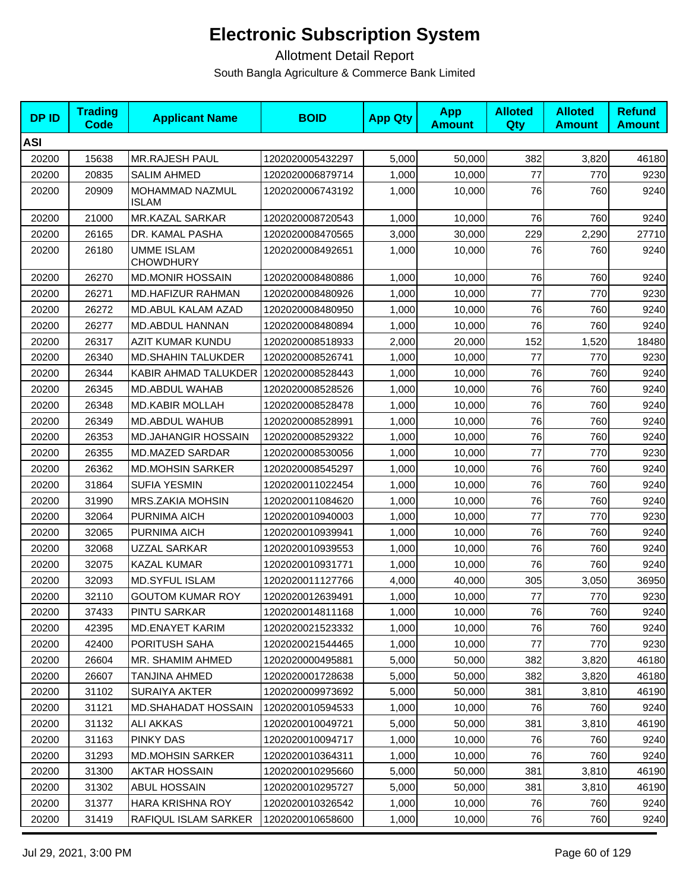| <b>DPID</b> | <b>Trading</b><br>Code | <b>Applicant Name</b>           | <b>BOID</b>      | <b>App Qty</b> | <b>App</b><br><b>Amount</b> | <b>Alloted</b><br>Qty | <b>Alloted</b><br><b>Amount</b> | <b>Refund</b><br><b>Amount</b> |
|-------------|------------------------|---------------------------------|------------------|----------------|-----------------------------|-----------------------|---------------------------------|--------------------------------|
| <b>ASI</b>  |                        |                                 |                  |                |                             |                       |                                 |                                |
| 20200       | 15638                  | <b>MR.RAJESH PAUL</b>           | 1202020005432297 | 5,000          | 50,000                      | 382                   | 3,820                           | 46180                          |
| 20200       | 20835                  | <b>SALIM AHMED</b>              | 1202020006879714 | 1,000          | 10,000                      | 77                    | 770                             | 9230                           |
| 20200       | 20909                  | MOHAMMAD NAZMUL<br><b>ISLAM</b> | 1202020006743192 | 1,000          | 10,000                      | 76                    | 760                             | 9240                           |
| 20200       | 21000                  | MR.KAZAL SARKAR                 | 1202020008720543 | 1,000          | 10,000                      | 76                    | 760                             | 9240                           |
| 20200       | 26165                  | DR. KAMAL PASHA                 | 1202020008470565 | 3,000          | 30,000                      | 229                   | 2,290                           | 27710                          |
| 20200       | 26180                  | UMME ISLAM<br><b>CHOWDHURY</b>  | 1202020008492651 | 1,000          | 10,000                      | 76                    | 760                             | 9240                           |
| 20200       | 26270                  | <b>MD.MONIR HOSSAIN</b>         | 1202020008480886 | 1,000          | 10,000                      | 76                    | 760                             | 9240                           |
| 20200       | 26271                  | MD.HAFIZUR RAHMAN               | 1202020008480926 | 1,000          | 10,000                      | 77                    | 770                             | 9230                           |
| 20200       | 26272                  | MD.ABUL KALAM AZAD              | 1202020008480950 | 1,000          | 10,000                      | 76                    | 760                             | 9240                           |
| 20200       | 26277                  | MD.ABDUL HANNAN                 | 1202020008480894 | 1,000          | 10,000                      | 76                    | 760                             | 9240                           |
| 20200       | 26317                  | AZIT KUMAR KUNDU                | 1202020008518933 | 2,000          | 20,000                      | 152                   | 1,520                           | 18480                          |
| 20200       | 26340                  | <b>MD.SHAHIN TALUKDER</b>       | 1202020008526741 | 1,000          | 10,000                      | $77 \,$               | 770                             | 9230                           |
| 20200       | 26344                  | KABIR AHMAD TALUKDER            | 1202020008528443 | 1,000          | 10,000                      | 76                    | 760                             | 9240                           |
| 20200       | 26345                  | MD.ABDUL WAHAB                  | 1202020008528526 | 1,000          | 10,000                      | 76                    | 760                             | 9240                           |
| 20200       | 26348                  | <b>MD.KABIR MOLLAH</b>          | 1202020008528478 | 1,000          | 10,000                      | 76                    | 760                             | 9240                           |
| 20200       | 26349                  | MD.ABDUL WAHUB                  | 1202020008528991 | 1,000          | 10,000                      | 76                    | 760                             | 9240                           |
| 20200       | 26353                  | MD.JAHANGIR HOSSAIN             | 1202020008529322 | 1,000          | 10,000                      | 76                    | 760                             | 9240                           |
| 20200       | 26355                  | <b>MD.MAZED SARDAR</b>          | 1202020008530056 | 1,000          | 10,000                      | 77                    | 770                             | 9230                           |
| 20200       | 26362                  | <b>MD.MOHSIN SARKER</b>         | 1202020008545297 | 1,000          | 10,000                      | 76                    | 760                             | 9240                           |
| 20200       | 31864                  | <b>SUFIA YESMIN</b>             | 1202020011022454 | 1,000          | 10,000                      | 76                    | 760                             | 9240                           |
| 20200       | 31990                  | MRS.ZAKIA MOHSIN                | 1202020011084620 | 1,000          | 10,000                      | 76                    | 760                             | 9240                           |
| 20200       | 32064                  | PURNIMA AICH                    | 1202020010940003 | 1,000          | 10,000                      | 77                    | 770                             | 9230                           |
| 20200       | 32065                  | PURNIMA AICH                    | 1202020010939941 | 1,000          | 10,000                      | 76                    | 760                             | 9240                           |
| 20200       | 32068                  | UZZAL SARKAR                    | 1202020010939553 | 1,000          | 10,000                      | 76                    | 760                             | 9240                           |
| 20200       | 32075                  | <b>KAZAL KUMAR</b>              | 1202020010931771 | 1,000          | 10,000                      | 76                    | 760                             | 9240                           |
| 20200       | 32093                  | <b>MD.SYFUL ISLAM</b>           | 1202020011127766 | 4,000          | 40,000                      | 305                   | 3,050                           | 36950                          |
| 20200       | 32110                  | <b>GOUTOM KUMAR ROY</b>         | 1202020012639491 | 1,000          | 10,000                      | 77                    | 770                             | 9230                           |
| 20200       | 37433                  | <b>PINTU SARKAR</b>             | 1202020014811168 | 1,000          | 10,000                      | 76                    | 760                             | 9240                           |
| 20200       | 42395                  | <b>MD.ENAYET KARIM</b>          | 1202020021523332 | 1,000          | 10,000                      | 76                    | 760                             | 9240                           |
| 20200       | 42400                  | PORITUSH SAHA                   | 1202020021544465 | 1,000          | 10,000                      | 77                    | 770                             | 9230                           |
| 20200       | 26604                  | MR. SHAMIM AHMED                | 1202020000495881 | 5,000          | 50,000                      | 382                   | 3,820                           | 46180                          |
| 20200       | 26607                  | TANJINA AHMED                   | 1202020001728638 | 5,000          | 50,000                      | 382                   | 3,820                           | 46180                          |
| 20200       | 31102                  | <b>SURAIYA AKTER</b>            | 1202020009973692 | 5,000          | 50,000                      | 381                   | 3,810                           | 46190                          |
| 20200       | 31121                  | <b>MD.SHAHADAT HOSSAIN</b>      | 1202020010594533 | 1,000          | 10,000                      | 76                    | 760                             | 9240                           |
| 20200       | 31132                  | <b>ALI AKKAS</b>                | 1202020010049721 | 5,000          | 50,000                      | 381                   | 3,810                           | 46190                          |
| 20200       | 31163                  | PINKY DAS                       | 1202020010094717 | 1,000          | 10,000                      | 76                    | 760                             | 9240                           |
| 20200       | 31293                  | <b>MD.MOHSIN SARKER</b>         | 1202020010364311 | 1,000          | 10,000                      | 76                    | 760                             | 9240                           |
| 20200       | 31300                  | AKTAR HOSSAIN                   | 1202020010295660 | 5,000          | 50,000                      | 381                   | 3,810                           | 46190                          |
| 20200       | 31302                  | <b>ABUL HOSSAIN</b>             | 1202020010295727 | 5,000          | 50,000                      | 381                   | 3,810                           | 46190                          |
| 20200       | 31377                  | <b>HARA KRISHNA ROY</b>         | 1202020010326542 | 1,000          | 10,000                      | 76                    | 760                             | 9240                           |
| 20200       | 31419                  | RAFIQUL ISLAM SARKER            | 1202020010658600 | 1,000          | 10,000                      | 76                    | 760                             | 9240                           |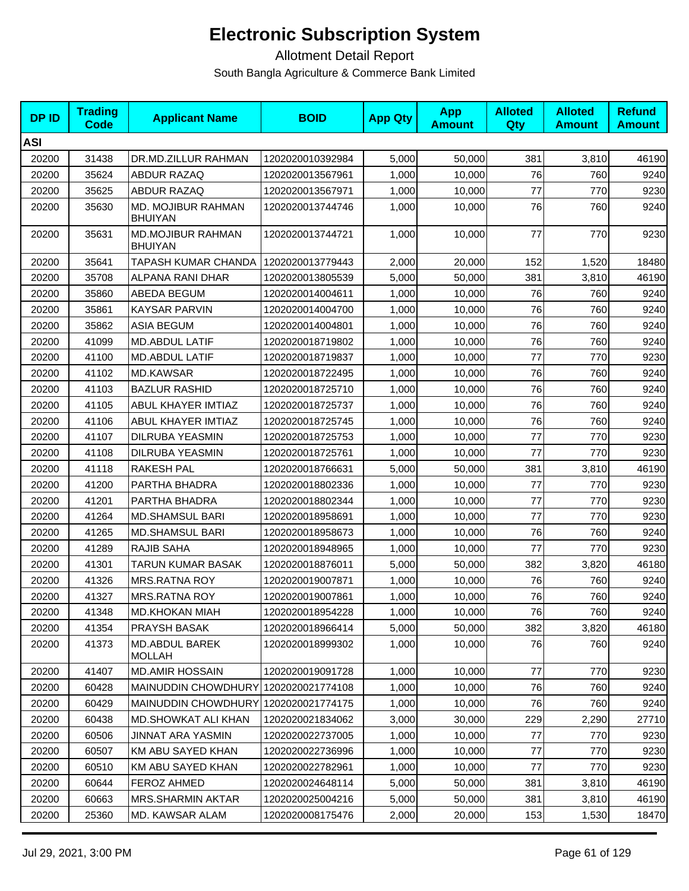| <b>DPID</b> | <b>Trading</b><br><b>Code</b> | <b>Applicant Name</b>                | <b>BOID</b>      | <b>App Qty</b> | <b>App</b><br><b>Amount</b> | <b>Alloted</b><br><b>Qty</b> | <b>Alloted</b><br><b>Amount</b> | <b>Refund</b><br><b>Amount</b> |
|-------------|-------------------------------|--------------------------------------|------------------|----------------|-----------------------------|------------------------------|---------------------------------|--------------------------------|
| <b>ASI</b>  |                               |                                      |                  |                |                             |                              |                                 |                                |
| 20200       | 31438                         | DR.MD.ZILLUR RAHMAN                  | 1202020010392984 | 5,000          | 50,000                      | 381                          | 3,810                           | 46190                          |
| 20200       | 35624                         | <b>ABDUR RAZAQ</b>                   | 1202020013567961 | 1,000          | 10,000                      | 76                           | 760                             | 9240                           |
| 20200       | 35625                         | ABDUR RAZAQ                          | 1202020013567971 | 1,000          | 10,000                      | 77                           | 770                             | 9230                           |
| 20200       | 35630                         | MD. MOJIBUR RAHMAN<br><b>BHUIYAN</b> | 1202020013744746 | 1,000          | 10,000                      | 76                           | 760                             | 9240                           |
| 20200       | 35631                         | MD.MOJIBUR RAHMAN<br><b>BHUIYAN</b>  | 1202020013744721 | 1,000          | 10,000                      | 77                           | 770                             | 9230                           |
| 20200       | 35641                         | <b>TAPASH KUMAR CHANDA</b>           | 1202020013779443 | 2,000          | 20,000                      | 152                          | 1,520                           | 18480                          |
| 20200       | 35708                         | ALPANA RANI DHAR                     | 1202020013805539 | 5,000          | 50,000                      | 381                          | 3,810                           | 46190                          |
| 20200       | 35860                         | ABEDA BEGUM                          | 1202020014004611 | 1,000          | 10,000                      | 76                           | 760                             | 9240                           |
| 20200       | 35861                         | <b>KAYSAR PARVIN</b>                 | 1202020014004700 | 1,000          | 10,000                      | 76                           | 760                             | 9240                           |
| 20200       | 35862                         | <b>ASIA BEGUM</b>                    | 1202020014004801 | 1,000          | 10,000                      | 76                           | 760                             | 9240                           |
| 20200       | 41099                         | <b>MD.ABDUL LATIF</b>                | 1202020018719802 | 1,000          | 10,000                      | 76                           | 760                             | 9240                           |
| 20200       | 41100                         | <b>MD.ABDUL LATIF</b>                | 1202020018719837 | 1,000          | 10,000                      | 77                           | 770                             | 9230                           |
| 20200       | 41102                         | <b>MD.KAWSAR</b>                     | 1202020018722495 | 1,000          | 10,000                      | 76                           | 760                             | 9240                           |
| 20200       | 41103                         | <b>BAZLUR RASHID</b>                 | 1202020018725710 | 1,000          | 10,000                      | 76                           | 760                             | 9240                           |
| 20200       | 41105                         | ABUL KHAYER IMTIAZ                   | 1202020018725737 | 1,000          | 10,000                      | 76                           | 760                             | 9240                           |
| 20200       | 41106                         | ABUL KHAYER IMTIAZ                   | 1202020018725745 | 1,000          | 10,000                      | 76                           | 760                             | 9240                           |
| 20200       | 41107                         | <b>DILRUBA YEASMIN</b>               | 1202020018725753 | 1,000          | 10,000                      | 77                           | 770                             | 9230                           |
| 20200       | 41108                         | <b>DILRUBA YEASMIN</b>               | 1202020018725761 | 1,000          | 10,000                      | 77                           | 770                             | 9230                           |
| 20200       | 41118                         | <b>RAKESH PAL</b>                    | 1202020018766631 | 5,000          | 50,000                      | 381                          | 3,810                           | 46190                          |
| 20200       | 41200                         | PARTHA BHADRA                        | 1202020018802336 | 1,000          | 10,000                      | 77                           | 770                             | 9230                           |
| 20200       | 41201                         | PARTHA BHADRA                        | 1202020018802344 | 1,000          | 10,000                      | 77                           | 770                             | 9230                           |
| 20200       | 41264                         | <b>MD.SHAMSUL BARI</b>               | 1202020018958691 | 1,000          | 10,000                      | 77                           | 770                             | 9230                           |
| 20200       | 41265                         | <b>MD.SHAMSUL BARI</b>               | 1202020018958673 | 1,000          | 10,000                      | 76                           | 760                             | 9240                           |
| 20200       | 41289                         | <b>RAJIB SAHA</b>                    | 1202020018948965 | 1,000          | 10,000                      | 77                           | 770                             | 9230                           |
| 20200       | 41301                         | TARUN KUMAR BASAK                    | 1202020018876011 | 5,000          | 50,000                      | 382                          | 3,820                           | 46180                          |
| 20200       | 41326                         | <b>MRS.RATNA ROY</b>                 | 1202020019007871 | 1,000          | 10,000                      | 76                           | 760                             | 9240                           |
| 20200       | 41327                         | <b>MRS.RATNA ROY</b>                 | 1202020019007861 | 1,000          | 10,000                      | 76                           | 760                             | 9240                           |
| 20200       | 41348                         | <b>MD.KHOKAN MIAH</b>                | 1202020018954228 | 1,000          | 10,000                      | 76                           | 760                             | 9240                           |
| 20200       | 41354                         | PRAYSH BASAK                         | 1202020018966414 | 5,000          | 50,000                      | 382                          | 3,820                           | 46180                          |
| 20200       | 41373                         | MD.ABDUL BAREK<br><b>MOLLAH</b>      | 1202020018999302 | 1,000          | 10,000                      | 76                           | 760                             | 9240                           |
| 20200       | 41407                         | <b>MD.AMIR HOSSAIN</b>               | 1202020019091728 | 1,000          | 10,000                      | 77                           | 770                             | 9230                           |
| 20200       | 60428                         | MAINUDDIN CHOWDHURY                  | 1202020021774108 | 1,000          | 10,000                      | 76                           | 760                             | 9240                           |
| 20200       | 60429                         | <b>MAINUDDIN CHOWDHURY</b>           | 1202020021774175 | 1,000          | 10,000                      | 76                           | 760                             | 9240                           |
| 20200       | 60438                         | MD.SHOWKAT ALI KHAN                  | 1202020021834062 | 3,000          | 30.000                      | 229                          | 2,290                           | 27710                          |
| 20200       | 60506                         | <b>JINNAT ARA YASMIN</b>             | 1202020022737005 | 1,000          | 10,000                      | 77                           | 770                             | 9230                           |
| 20200       | 60507                         | KM ABU SAYED KHAN                    | 1202020022736996 | 1,000          | 10,000                      | 77                           | 770                             | 9230                           |
| 20200       | 60510                         | KM ABU SAYED KHAN                    | 1202020022782961 | 1,000          | 10,000                      | 77                           | 770                             | 9230                           |
| 20200       | 60644                         | <b>FEROZ AHMED</b>                   | 1202020024648114 | 5,000          | 50,000                      | 381                          | 3,810                           | 46190                          |
| 20200       | 60663                         | <b>MRS.SHARMIN AKTAR</b>             | 1202020025004216 | 5,000          | 50,000                      | 381                          | 3,810                           | 46190                          |
| 20200       | 25360                         | MD. KAWSAR ALAM                      | 1202020008175476 | 2,000          | 20,000                      | 153                          | 1,530                           | 18470                          |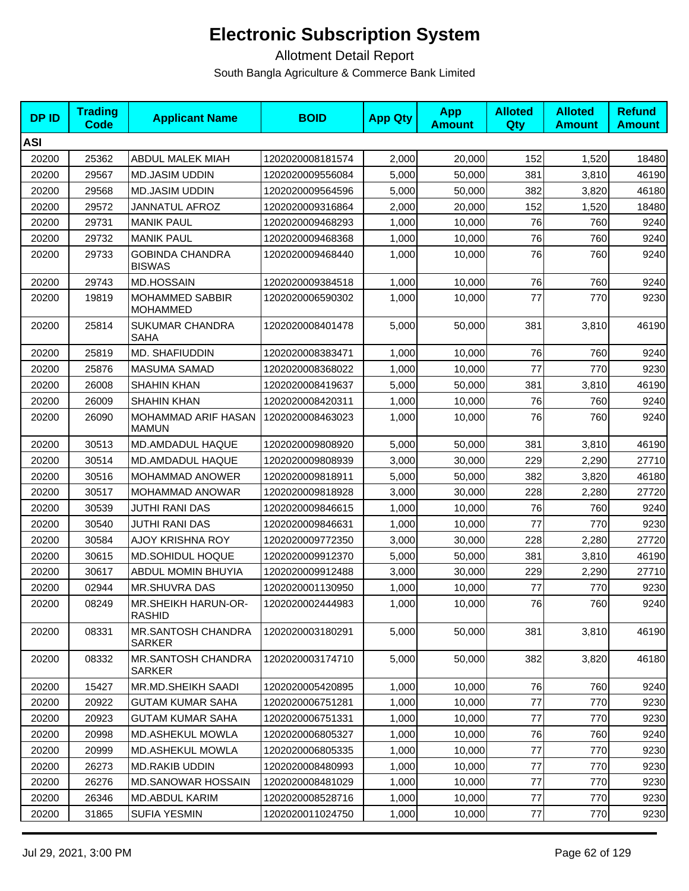| <b>DPID</b> | <b>Trading</b><br><b>Code</b> | <b>Applicant Name</b>                      | <b>BOID</b>      | <b>App Qty</b> | <b>App</b><br><b>Amount</b> | <b>Alloted</b><br><b>Qty</b> | <b>Alloted</b><br><b>Amount</b> | <b>Refund</b><br><b>Amount</b> |
|-------------|-------------------------------|--------------------------------------------|------------------|----------------|-----------------------------|------------------------------|---------------------------------|--------------------------------|
| <b>ASI</b>  |                               |                                            |                  |                |                             |                              |                                 |                                |
| 20200       | 25362                         | ABDUL MALEK MIAH                           | 1202020008181574 | 2,000          | 20,000                      | 152                          | 1,520                           | 18480                          |
| 20200       | 29567                         | <b>MD.JASIM UDDIN</b>                      | 1202020009556084 | 5,000          | 50,000                      | 381                          | 3,810                           | 46190                          |
| 20200       | 29568                         | <b>MD.JASIM UDDIN</b>                      | 1202020009564596 | 5,000          | 50,000                      | 382                          | 3,820                           | 46180                          |
| 20200       | 29572                         | <b>JANNATUL AFROZ</b>                      | 1202020009316864 | 2,000          | 20,000                      | 152                          | 1,520                           | 18480                          |
| 20200       | 29731                         | <b>MANIK PAUL</b>                          | 1202020009468293 | 1,000          | 10,000                      | 76                           | 760                             | 9240                           |
| 20200       | 29732                         | <b>MANIK PAUL</b>                          | 1202020009468368 | 1,000          | 10,000                      | 76                           | 760                             | 9240                           |
| 20200       | 29733                         | <b>GOBINDA CHANDRA</b><br><b>BISWAS</b>    | 1202020009468440 | 1,000          | 10,000                      | 76                           | 760                             | 9240                           |
| 20200       | 29743                         | <b>MD.HOSSAIN</b>                          | 1202020009384518 | 1,000          | 10,000                      | 76                           | 760                             | 9240                           |
| 20200       | 19819                         | MOHAMMED SABBIR<br><b>MOHAMMED</b>         | 1202020006590302 | 1,000          | 10,000                      | 77                           | 770                             | 9230                           |
| 20200       | 25814                         | SUKUMAR CHANDRA<br><b>SAHA</b>             | 1202020008401478 | 5,000          | 50,000                      | 381                          | 3,810                           | 46190                          |
| 20200       | 25819                         | MD. SHAFIUDDIN                             | 1202020008383471 | 1,000          | 10,000                      | 76                           | 760                             | 9240                           |
| 20200       | 25876                         | <b>MASUMA SAMAD</b>                        | 1202020008368022 | 1,000          | 10,000                      | 77                           | 770                             | 9230                           |
| 20200       | 26008                         | <b>SHAHIN KHAN</b>                         | 1202020008419637 | 5,000          | 50,000                      | 381                          | 3,810                           | 46190                          |
| 20200       | 26009                         | <b>SHAHIN KHAN</b>                         | 1202020008420311 | 1,000          | 10,000                      | 76                           | 760                             | 9240                           |
| 20200       | 26090                         | MOHAMMAD ARIF HASAN<br><b>MAMUN</b>        | 1202020008463023 | 1,000          | 10,000                      | 76                           | 760                             | 9240                           |
| 20200       | 30513                         | MD.AMDADUL HAQUE                           | 1202020009808920 | 5,000          | 50,000                      | 381                          | 3,810                           | 46190                          |
| 20200       | 30514                         | MD.AMDADUL HAQUE                           | 1202020009808939 | 3,000          | 30,000                      | 229                          | 2,290                           | 27710                          |
| 20200       | 30516                         | MOHAMMAD ANOWER                            | 1202020009818911 | 5,000          | 50,000                      | 382                          | 3,820                           | 46180                          |
| 20200       | 30517                         | MOHAMMAD ANOWAR                            | 1202020009818928 | 3,000          | 30,000                      | 228                          | 2,280                           | 27720                          |
| 20200       | 30539                         | <b>JUTHI RANI DAS</b>                      | 1202020009846615 | 1,000          | 10,000                      | 76                           | 760                             | 9240                           |
| 20200       | 30540                         | JUTHI RANI DAS                             | 1202020009846631 | 1,000          | 10,000                      | 77                           | 770                             | 9230                           |
| 20200       | 30584                         | <b>AJOY KRISHNA ROY</b>                    | 1202020009772350 | 3,000          | 30,000                      | 228                          | 2,280                           | 27720                          |
| 20200       | 30615                         | <b>MD.SOHIDUL HOQUE</b>                    | 1202020009912370 | 5,000          | 50,000                      | 381                          | 3,810                           | 46190                          |
| 20200       | 30617                         | ABDUL MOMIN BHUYIA                         | 1202020009912488 | 3,000          | 30,000                      | 229                          | 2,290                           | 27710                          |
| 20200       | 02944                         | <b>MR.SHUVRA DAS</b>                       | 1202020001130950 | 1,000          | 10,000                      | 77                           | 770                             | 9230                           |
| 20200       | 08249                         | MR.SHEIKH HARUN-OR-<br><b>RASHID</b>       | 1202020002444983 | 1,000          | 10,000                      | 76                           | 760                             | 9240                           |
| 20200       | 08331                         | <b>MR.SANTOSH CHANDRA</b><br><b>SARKER</b> | 1202020003180291 | 5,000          | 50,000                      | 381                          | 3,810                           | 46190                          |
| 20200       | 08332                         | MR.SANTOSH CHANDRA<br>SARKER               | 1202020003174710 | 5,000          | 50,000                      | 382                          | 3,820                           | 46180                          |
| 20200       | 15427                         | MR.MD.SHEIKH SAADI                         | 1202020005420895 | 1,000          | 10,000                      | 76                           | 760                             | 9240                           |
| 20200       | 20922                         | <b>GUTAM KUMAR SAHA</b>                    | 1202020006751281 | 1,000          | 10,000                      | 77                           | 770                             | 9230                           |
| 20200       | 20923                         | <b>GUTAM KUMAR SAHA</b>                    | 1202020006751331 | 1,000          | 10,000                      | $77 \,$                      | 770                             | 9230                           |
| 20200       | 20998                         | MD.ASHEKUL MOWLA                           | 1202020006805327 | 1,000          | 10,000                      | 76                           | 760                             | 9240                           |
| 20200       | 20999                         | <b>MD.ASHEKUL MOWLA</b>                    | 1202020006805335 | 1,000          | 10,000                      | 77                           | 770                             | 9230                           |
| 20200       | 26273                         | <b>MD.RAKIB UDDIN</b>                      | 1202020008480993 | 1,000          | 10,000                      | 77                           | 770                             | 9230                           |
| 20200       | 26276                         | <b>MD.SANOWAR HOSSAIN</b>                  | 1202020008481029 | 1,000          | 10,000                      | 77                           | 770                             | 9230                           |
| 20200       | 26346                         | MD.ABDUL KARIM                             | 1202020008528716 | 1,000          | 10,000                      | $77 \,$                      | 770                             | 9230                           |
| 20200       | 31865                         | <b>SUFIA YESMIN</b>                        | 1202020011024750 | 1,000          | 10,000                      | 77                           | 770                             | 9230                           |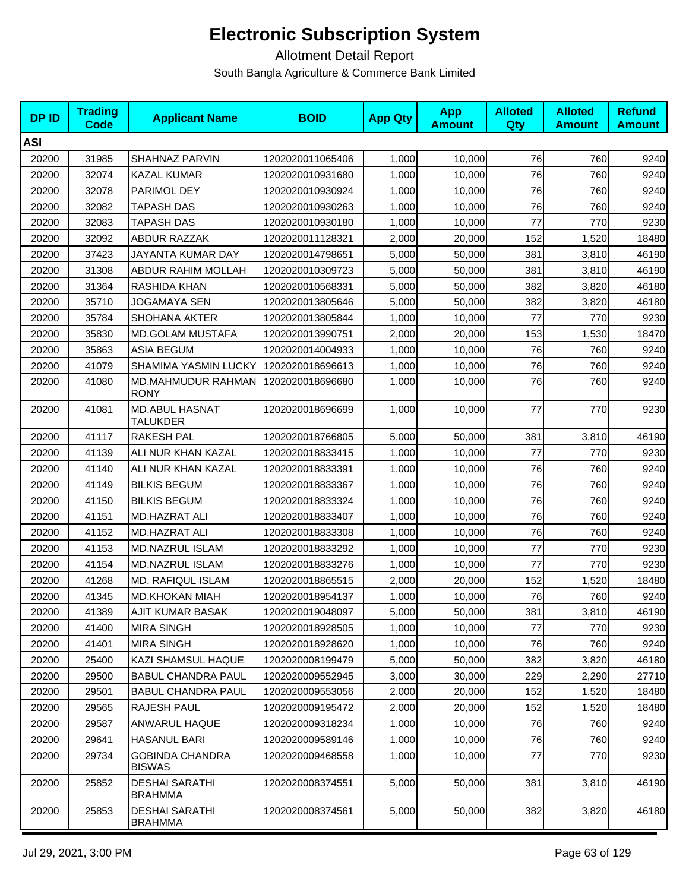| <b>DPID</b> | <b>Trading</b><br><b>Code</b> | <b>Applicant Name</b>                   | <b>BOID</b>      | <b>App Qty</b> | <b>App</b><br><b>Amount</b> | <b>Alloted</b><br>Qty | <b>Alloted</b><br><b>Amount</b> | <b>Refund</b><br><b>Amount</b> |
|-------------|-------------------------------|-----------------------------------------|------------------|----------------|-----------------------------|-----------------------|---------------------------------|--------------------------------|
| <b>ASI</b>  |                               |                                         |                  |                |                             |                       |                                 |                                |
| 20200       | 31985                         | SHAHNAZ PARVIN                          | 1202020011065406 | 1,000          | 10,000                      | 76                    | 760                             | 9240                           |
| 20200       | 32074                         | <b>KAZAL KUMAR</b>                      | 1202020010931680 | 1,000          | 10,000                      | 76                    | 760                             | 9240                           |
| 20200       | 32078                         | PARIMOL DEY                             | 1202020010930924 | 1,000          | 10,000                      | 76                    | 760                             | 9240                           |
| 20200       | 32082                         | TAPASH DAS                              | 1202020010930263 | 1,000          | 10,000                      | 76                    | 760                             | 9240                           |
| 20200       | 32083                         | <b>TAPASH DAS</b>                       | 1202020010930180 | 1,000          | 10,000                      | 77                    | 770                             | 9230                           |
| 20200       | 32092                         | <b>ABDUR RAZZAK</b>                     | 1202020011128321 | 2,000          | 20,000                      | 152                   | 1,520                           | 18480                          |
| 20200       | 37423                         | JAYANTA KUMAR DAY                       | 1202020014798651 | 5.000          | 50,000                      | 381                   | 3,810                           | 46190                          |
| 20200       | 31308                         | ABDUR RAHIM MOLLAH                      | 1202020010309723 | 5,000          | 50,000                      | 381                   | 3,810                           | 46190                          |
| 20200       | 31364                         | RASHIDA KHAN                            | 1202020010568331 | 5,000          | 50,000                      | 382                   | 3,820                           | 46180                          |
| 20200       | 35710                         | <b>JOGAMAYA SEN</b>                     | 1202020013805646 | 5,000          | 50,000                      | 382                   | 3,820                           | 46180                          |
| 20200       | 35784                         | SHOHANA AKTER                           | 1202020013805844 | 1,000          | 10,000                      | 77                    | 770                             | 9230                           |
| 20200       | 35830                         | <b>MD.GOLAM MUSTAFA</b>                 | 1202020013990751 | 2,000          | 20,000                      | 153                   | 1,530                           | 18470                          |
| 20200       | 35863                         | <b>ASIA BEGUM</b>                       | 1202020014004933 | 1,000          | 10,000                      | 76                    | 760                             | 9240                           |
| 20200       | 41079                         | <b>SHAMIMA YASMIN LUCKY</b>             | 1202020018696613 | 1,000          | 10,000                      | 76                    | 760                             | 9240                           |
| 20200       | 41080                         | MD.MAHMUDUR RAHMAN<br><b>RONY</b>       | 1202020018696680 | 1,000          | 10,000                      | 76                    | 760                             | 9240                           |
| 20200       | 41081                         | <b>MD.ABUL HASNAT</b><br>TALUKDER       | 1202020018696699 | 1,000          | 10,000                      | 77                    | 770                             | 9230                           |
| 20200       | 41117                         | <b>RAKESH PAL</b>                       | 1202020018766805 | 5,000          | 50,000                      | 381                   | 3,810                           | 46190                          |
| 20200       | 41139                         | ALI NUR KHAN KAZAL                      | 1202020018833415 | 1,000          | 10,000                      | 77                    | 770                             | 9230                           |
| 20200       | 41140                         | ALI NUR KHAN KAZAL                      | 1202020018833391 | 1,000          | 10,000                      | 76                    | 760                             | 9240                           |
| 20200       | 41149                         | <b>BILKIS BEGUM</b>                     | 1202020018833367 | 1,000          | 10,000                      | 76                    | 760                             | 9240                           |
| 20200       | 41150                         | <b>BILKIS BEGUM</b>                     | 1202020018833324 | 1,000          | 10,000                      | 76                    | 760                             | 9240                           |
| 20200       | 41151                         | <b>MD.HAZRAT ALI</b>                    | 1202020018833407 | 1,000          | 10,000                      | 76                    | 760                             | 9240                           |
| 20200       | 41152                         | MD.HAZRAT ALI                           | 1202020018833308 | 1,000          | 10,000                      | 76                    | 760                             | 9240                           |
| 20200       | 41153                         | MD.NAZRUL ISLAM                         | 1202020018833292 | 1,000          | 10,000                      | 77                    | 770                             | 9230                           |
| 20200       | 41154                         | MD.NAZRUL ISLAM                         | 1202020018833276 | 1,000          | 10,000                      | 77                    | 770                             | 9230                           |
| 20200       | 41268                         | MD. RAFIQUL ISLAM                       | 1202020018865515 | 2,000          | 20,000                      | 152                   | 1,520                           | 18480                          |
| 20200       | 41345                         | MD.KHOKAN MIAH                          | 1202020018954137 | 1,000          | 10,000                      | 76                    | 760                             | 9240                           |
| 20200       | 41389                         | AJIT KUMAR BASAK                        | 1202020019048097 | 5,000          | 50,000                      | 381                   | 3,810                           | 46190                          |
| 20200       | 41400                         | <b>MIRA SINGH</b>                       | 1202020018928505 | 1,000          | 10,000                      | 77                    | 770                             | 9230                           |
| 20200       | 41401                         | <b>MIRA SINGH</b>                       | 1202020018928620 | 1,000          | 10,000                      | 76                    | 760                             | 9240                           |
| 20200       | 25400                         | KAZI SHAMSUL HAQUE                      | 1202020008199479 | 5,000          | 50,000                      | 382                   | 3,820                           | 46180                          |
| 20200       | 29500                         | <b>BABUL CHANDRA PAUL</b>               | 1202020009552945 | 3,000          | 30,000                      | 229                   | 2,290                           | 27710                          |
| 20200       | 29501                         | <b>BABUL CHANDRA PAUL</b>               | 1202020009553056 | 2,000          | 20,000                      | 152                   | 1,520                           | 18480                          |
| 20200       | 29565                         | RAJESH PAUL                             | 1202020009195472 | 2,000          | 20,000                      | 152                   | 1,520                           | 18480                          |
| 20200       | 29587                         | <b>ANWARUL HAQUE</b>                    | 1202020009318234 | 1,000          | 10,000                      | 76                    | 760                             | 9240                           |
| 20200       | 29641                         | <b>HASANUL BARI</b>                     | 1202020009589146 | 1,000          | 10,000                      | 76                    | 760                             | 9240                           |
| 20200       | 29734                         | <b>GOBINDA CHANDRA</b><br><b>BISWAS</b> | 1202020009468558 | 1,000          | 10,000                      | 77                    | 770                             | 9230                           |
| 20200       | 25852                         | <b>DESHAI SARATHI</b><br><b>BRAHMMA</b> | 1202020008374551 | 5,000          | 50,000                      | 381                   | 3,810                           | 46190                          |
| 20200       | 25853                         | <b>DESHAI SARATHI</b><br><b>BRAHMMA</b> | 1202020008374561 | 5,000          | 50,000                      | 382                   | 3,820                           | 46180                          |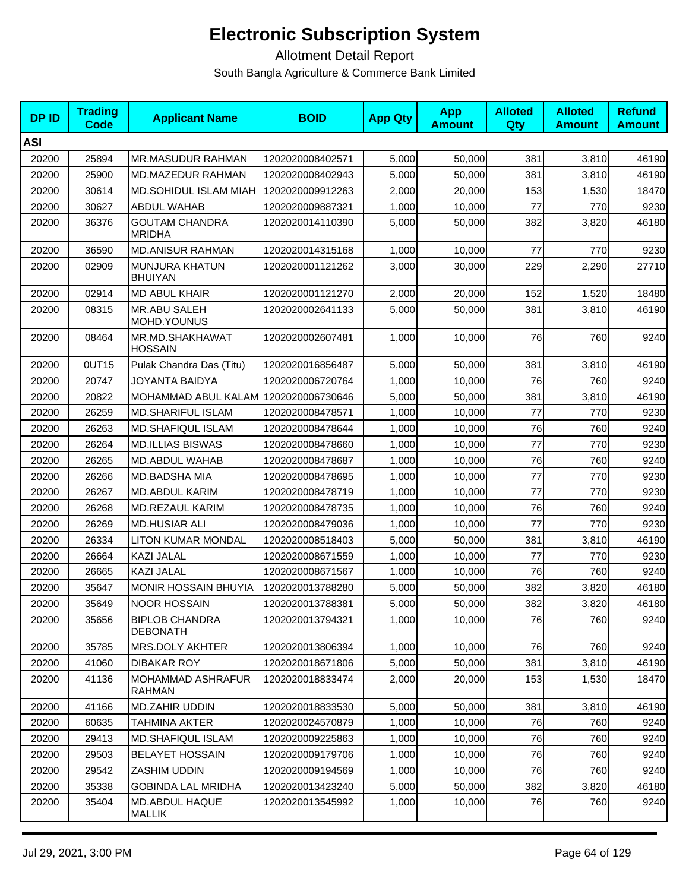| <b>DPID</b> | <b>Trading</b><br>Code | <b>Applicant Name</b>                    | <b>BOID</b>      | <b>App Qty</b> | <b>App</b><br><b>Amount</b> | <b>Alloted</b><br><b>Qty</b> | <b>Alloted</b><br><b>Amount</b> | <b>Refund</b><br><b>Amount</b> |
|-------------|------------------------|------------------------------------------|------------------|----------------|-----------------------------|------------------------------|---------------------------------|--------------------------------|
| <b>ASI</b>  |                        |                                          |                  |                |                             |                              |                                 |                                |
| 20200       | 25894                  | MR.MASUDUR RAHMAN                        | 1202020008402571 | 5,000          | 50,000                      | 381                          | 3,810                           | 46190                          |
| 20200       | 25900                  | MD.MAZEDUR RAHMAN                        | 1202020008402943 | 5,000          | 50,000                      | 381                          | 3,810                           | 46190                          |
| 20200       | 30614                  | MD.SOHIDUL ISLAM MIAH                    | 1202020009912263 | 2,000          | 20,000                      | 153                          | 1,530                           | 18470                          |
| 20200       | 30627                  | <b>ABDUL WAHAB</b>                       | 1202020009887321 | 1,000          | 10,000                      | 77                           | 770                             | 9230                           |
| 20200       | 36376                  | <b>GOUTAM CHANDRA</b><br><b>MRIDHA</b>   | 1202020014110390 | 5,000          | 50,000                      | 382                          | 3,820                           | 46180                          |
| 20200       | 36590                  | <b>MD.ANISUR RAHMAN</b>                  | 1202020014315168 | 1,000          | 10,000                      | 77                           | 770                             | 9230                           |
| 20200       | 02909                  | MUNJURA KHATUN<br><b>BHUIYAN</b>         | 1202020001121262 | 3,000          | 30,000                      | 229                          | 2,290                           | 27710                          |
| 20200       | 02914                  | <b>MD ABUL KHAIR</b>                     | 1202020001121270 | 2,000          | 20,000                      | 152                          | 1,520                           | 18480                          |
| 20200       | 08315                  | <b>MR.ABU SALEH</b><br>MOHD.YOUNUS       | 1202020002641133 | 5,000          | 50,000                      | 381                          | 3,810                           | 46190                          |
| 20200       | 08464                  | MR.MD.SHAKHAWAT<br><b>HOSSAIN</b>        | 1202020002607481 | 1,000          | 10,000                      | 76                           | 760                             | 9240                           |
| 20200       | 0UT15                  | Pulak Chandra Das (Titu)                 | 1202020016856487 | 5,000          | 50,000                      | 381                          | 3,810                           | 46190                          |
| 20200       | 20747                  | JOYANTA BAIDYA                           | 1202020006720764 | 1,000          | 10,000                      | 76                           | 760                             | 9240                           |
| 20200       | 20822                  | MOHAMMAD ABUL KALAM 1202020006730646     |                  | 5,000          | 50,000                      | 381                          | 3,810                           | 46190                          |
| 20200       | 26259                  | <b>MD.SHARIFUL ISLAM</b>                 | 1202020008478571 | 1,000          | 10,000                      | 77                           | 770                             | 9230                           |
| 20200       | 26263                  | <b>MD.SHAFIQUL ISLAM</b>                 | 1202020008478644 | 1,000          | 10,000                      | 76                           | 760                             | 9240                           |
| 20200       | 26264                  | <b>MD.ILLIAS BISWAS</b>                  | 1202020008478660 | 1,000          | 10,000                      | 77                           | 770                             | 9230                           |
| 20200       | 26265                  | MD.ABDUL WAHAB                           | 1202020008478687 | 1,000          | 10,000                      | 76                           | 760                             | 9240                           |
| 20200       | 26266                  | MD.BADSHA MIA                            | 1202020008478695 | 1,000          | 10,000                      | 77                           | 770                             | 9230                           |
| 20200       | 26267                  | MD.ABDUL KARIM                           | 1202020008478719 | 1,000          | 10,000                      | 77                           | 770                             | 9230                           |
| 20200       | 26268                  | MD.REZAUL KARIM                          | 1202020008478735 | 1,000          | 10,000                      | 76                           | 760                             | 9240                           |
| 20200       | 26269                  | <b>MD.HUSIAR ALI</b>                     | 1202020008479036 | 1,000          | 10,000                      | 77                           | 770                             | 9230                           |
| 20200       | 26334                  | LITON KUMAR MONDAL                       | 1202020008518403 | 5,000          | 50,000                      | 381                          | 3,810                           | 46190                          |
| 20200       | 26664                  | <b>KAZI JALAL</b>                        | 1202020008671559 | 1,000          | 10.000                      | 77                           | 770                             | 9230                           |
| 20200       | 26665                  | KAZI JALAL                               | 1202020008671567 | 1,000          | 10,000                      | 76                           | 760                             | 9240                           |
| 20200       | 35647                  | <b>MONIR HOSSAIN BHUYIA</b>              | 1202020013788280 | 5,000          | 50,000                      | 382                          | 3,820                           | 46180                          |
| 20200       | 35649                  | <b>NOOR HOSSAIN</b>                      | 1202020013788381 | 5,000          | 50,000                      | 382                          | 3,820                           | 46180                          |
| 20200       | 35656                  | <b>BIPLOB CHANDRA</b><br><b>DEBONATH</b> | 1202020013794321 | 1,000          | 10,000                      | 76                           | 760                             | 9240                           |
| 20200       | 35785                  | MRS.DOLY AKHTER                          | 1202020013806394 | 1,000          | 10,000                      | 76                           | 760                             | 9240                           |
| 20200       | 41060                  | <b>DIBAKAR ROY</b>                       | 1202020018671806 | 5,000          | 50,000                      | 381                          | 3,810                           | 46190                          |
| 20200       | 41136                  | MOHAMMAD ASHRAFUR<br><b>RAHMAN</b>       | 1202020018833474 | 2,000          | 20,000                      | 153                          | 1,530                           | 18470                          |
| 20200       | 41166                  | MD.ZAHIR UDDIN                           | 1202020018833530 | 5,000          | 50,000                      | 381                          | 3,810                           | 46190                          |
| 20200       | 60635                  | TAHMINA AKTER                            | 1202020024570879 | 1,000          | 10,000                      | 76                           | 760                             | 9240                           |
| 20200       | 29413                  | <b>MD.SHAFIQUL ISLAM</b>                 | 1202020009225863 | 1,000          | 10,000                      | 76                           | 760                             | 9240                           |
| 20200       | 29503                  | <b>BELAYET HOSSAIN</b>                   | 1202020009179706 | 1,000          | 10,000                      | 76                           | 760                             | 9240                           |
| 20200       | 29542                  | ZASHIM UDDIN                             | 1202020009194569 | 1,000          | 10,000                      | 76                           | 760                             | 9240                           |
| 20200       | 35338                  | <b>GOBINDA LAL MRIDHA</b>                | 1202020013423240 | 5,000          | 50,000                      | 382                          | 3,820                           | 46180                          |
| 20200       | 35404                  | MD.ABDUL HAQUE<br><b>MALLIK</b>          | 1202020013545992 | 1,000          | 10,000                      | 76                           | 760                             | 9240                           |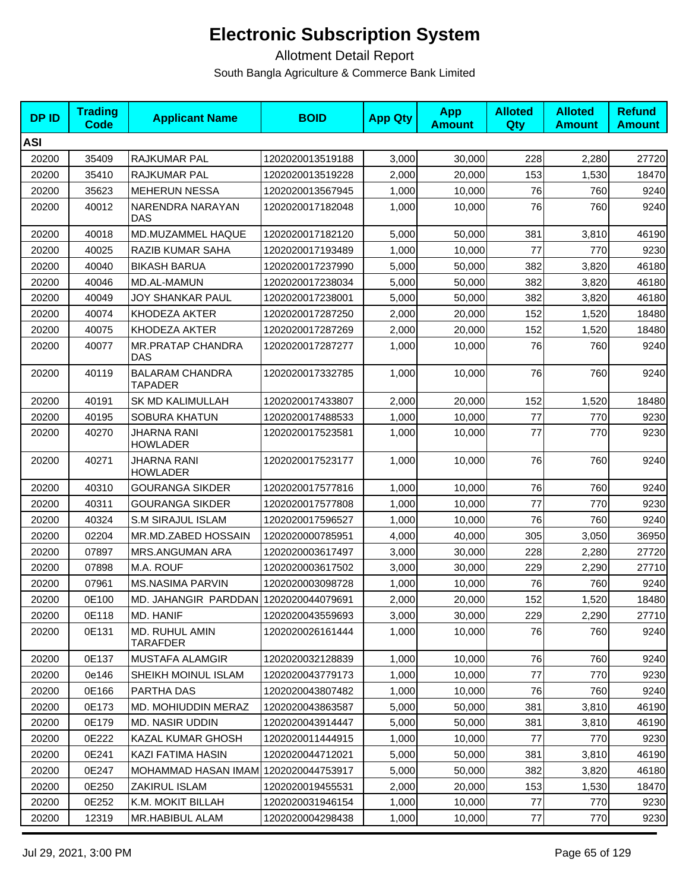| <b>DPID</b> | <b>Trading</b><br><b>Code</b> | <b>Applicant Name</b>                 | <b>BOID</b>      | <b>App Qty</b> | <b>App</b><br><b>Amount</b> | <b>Alloted</b><br>Qty | <b>Alloted</b><br><b>Amount</b> | <b>Refund</b><br><b>Amount</b> |
|-------------|-------------------------------|---------------------------------------|------------------|----------------|-----------------------------|-----------------------|---------------------------------|--------------------------------|
| <b>ASI</b>  |                               |                                       |                  |                |                             |                       |                                 |                                |
| 20200       | 35409                         | <b>RAJKUMAR PAL</b>                   | 1202020013519188 | 3,000          | 30,000                      | 228                   | 2,280                           | 27720                          |
| 20200       | 35410                         | RAJKUMAR PAL                          | 1202020013519228 | 2,000          | 20,000                      | 153                   | 1,530                           | 18470                          |
| 20200       | 35623                         | <b>MEHERUN NESSA</b>                  | 1202020013567945 | 1,000          | 10,000                      | 76                    | 760                             | 9240                           |
| 20200       | 40012                         | NARENDRA NARAYAN<br>DAS               | 1202020017182048 | 1,000          | 10,000                      | 76                    | 760                             | 9240                           |
| 20200       | 40018                         | MD.MUZAMMEL HAQUE                     | 1202020017182120 | 5,000          | 50,000                      | 381                   | 3,810                           | 46190                          |
| 20200       | 40025                         | RAZIB KUMAR SAHA                      | 1202020017193489 | 1,000          | 10,000                      | 77                    | 770                             | 9230                           |
| 20200       | 40040                         | <b>BIKASH BARUA</b>                   | 1202020017237990 | 5,000          | 50,000                      | 382                   | 3,820                           | 46180                          |
| 20200       | 40046                         | MD.AL-MAMUN                           | 1202020017238034 | 5,000          | 50,000                      | 382                   | 3,820                           | 46180                          |
| 20200       | 40049                         | JOY SHANKAR PAUL                      | 1202020017238001 | 5,000          | 50,000                      | 382                   | 3,820                           | 46180                          |
| 20200       | 40074                         | KHODEZA AKTER                         | 1202020017287250 | 2,000          | 20,000                      | 152                   | 1,520                           | 18480                          |
| 20200       | 40075                         | KHODEZA AKTER                         | 1202020017287269 | 2,000          | 20,000                      | 152                   | 1,520                           | 18480                          |
| 20200       | 40077                         | <b>MR.PRATAP CHANDRA</b><br>DAS       | 1202020017287277 | 1,000          | 10,000                      | 76                    | 760                             | 9240                           |
| 20200       | 40119                         | <b>BALARAM CHANDRA</b><br>TAPADER     | 1202020017332785 | 1,000          | 10,000                      | 76                    | 760                             | 9240                           |
| 20200       | 40191                         | <b>SK MD KALIMULLAH</b>               | 1202020017433807 | 2.000          | 20,000                      | 152                   | 1,520                           | 18480                          |
| 20200       | 40195                         | <b>SOBURA KHATUN</b>                  | 1202020017488533 | 1,000          | 10,000                      | 77                    | 770                             | 9230                           |
| 20200       | 40270                         | JHARNA RANI<br><b>HOWLADER</b>        | 1202020017523581 | 1,000          | 10,000                      | 77                    | 770                             | 9230                           |
| 20200       | 40271                         | JHARNA RANI<br><b>HOWLADER</b>        | 1202020017523177 | 1,000          | 10,000                      | 76                    | 760                             | 9240                           |
| 20200       | 40310                         | <b>GOURANGA SIKDER</b>                | 1202020017577816 | 1,000          | 10,000                      | 76                    | 760                             | 9240                           |
| 20200       | 40311                         | <b>GOURANGA SIKDER</b>                | 1202020017577808 | 1,000          | 10,000                      | 77                    | 770                             | 9230                           |
| 20200       | 40324                         | S.M SIRAJUL ISLAM                     | 1202020017596527 | 1,000          | 10,000                      | 76                    | 760                             | 9240                           |
| 20200       | 02204                         | MR.MD.ZABED HOSSAIN                   | 1202020000785951 | 4,000          | 40,000                      | 305                   | 3,050                           | 36950                          |
| 20200       | 07897                         | MRS.ANGUMAN ARA                       | 1202020003617497 | 3,000          | 30,000                      | 228                   | 2,280                           | 27720                          |
| 20200       | 07898                         | M.A. ROUF                             | 1202020003617502 | 3,000          | 30,000                      | 229                   | 2,290                           | 27710                          |
| 20200       | 07961                         | <b>MS.NASIMA PARVIN</b>               | 1202020003098728 | 1,000          | 10,000                      | 76                    | 760                             | 9240                           |
| 20200       | 0E100                         | MD. JAHANGIR PARDDAN 1202020044079691 |                  | 2,000          | 20,000                      | 152                   | 1,520                           | 18480                          |
| 20200       | 0E118                         | MD. HANIF                             | 1202020043559693 | 3,000          | 30,000                      | 229                   | 2,290                           | 27710                          |
| 20200       | 0E131                         | MD. RUHUL AMIN<br>TARAFDER            | 1202020026161444 | 1,000          | 10,000                      | 76                    | 760                             | 9240                           |
| 20200       | 0E137                         | MUSTAFA ALAMGIR                       | 1202020032128839 | 1,000          | 10,000                      | 76                    | 760                             | 9240                           |
| 20200       | 0e146                         | SHEIKH MOINUL ISLAM                   | 1202020043779173 | 1,000          | 10,000                      | 77                    | 770                             | 9230                           |
| 20200       | 0E166                         | PARTHA DAS                            | 1202020043807482 | 1,000          | 10,000                      | 76                    | 760                             | 9240                           |
| 20200       | 0E173                         | MD. MOHIUDDIN MERAZ                   | 1202020043863587 | 5,000          | 50,000                      | 381                   | 3,810                           | 46190                          |
| 20200       | 0E179                         | <b>MD. NASIR UDDIN</b>                | 1202020043914447 | 5,000          | 50,000                      | 381                   | 3,810                           | 46190                          |
| 20200       | 0E222                         | KAZAL KUMAR GHOSH                     | 1202020011444915 | 1,000          | 10,000                      | 77                    | 770                             | 9230                           |
| 20200       | 0E241                         | KAZI FATIMA HASIN                     | 1202020044712021 | 5,000          | 50,000                      | 381                   | 3,810                           | 46190                          |
| 20200       | 0E247                         | MOHAMMAD HASAN IMAM 1202020044753917  |                  | 5,000          | 50,000                      | 382                   | 3,820                           | 46180                          |
| 20200       | 0E250                         | ZAKIRUL ISLAM                         | 1202020019455531 | 2,000          | 20,000                      | 153                   | 1,530                           | 18470                          |
| 20200       | 0E252                         | K.M. MOKIT BILLAH                     | 1202020031946154 | 1,000          | 10,000                      | 77                    | 770                             | 9230                           |
| 20200       | 12319                         | MR.HABIBUL ALAM                       | 1202020004298438 | 1,000          | 10,000                      | 77                    | 770                             | 9230                           |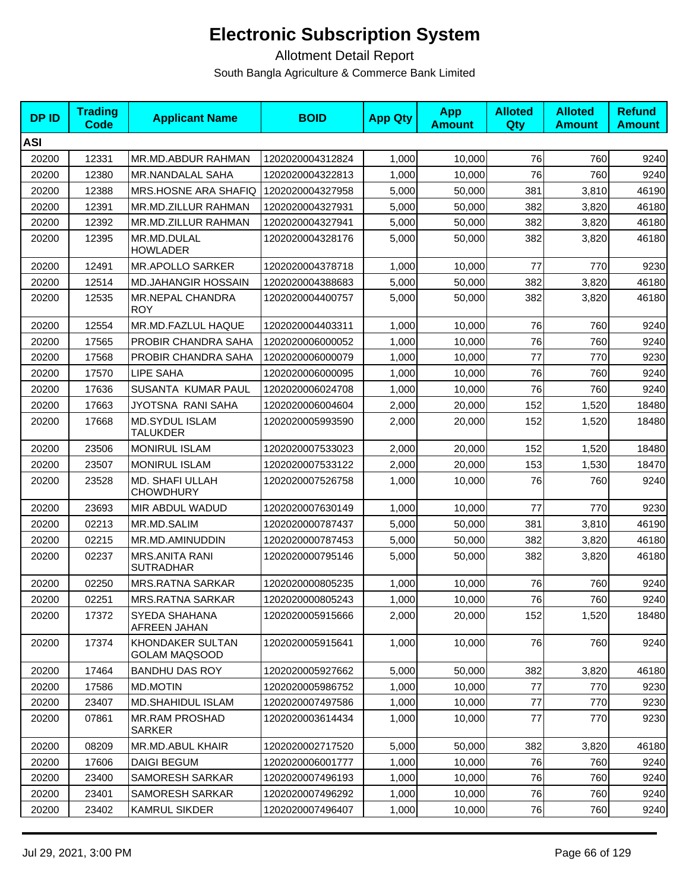| <b>DPID</b> | <b>Trading</b><br>Code | <b>Applicant Name</b>                     | <b>BOID</b>      | <b>App Qty</b> | <b>App</b><br><b>Amount</b> | <b>Alloted</b><br>Qty | <b>Alloted</b><br><b>Amount</b> | <b>Refund</b><br><b>Amount</b> |
|-------------|------------------------|-------------------------------------------|------------------|----------------|-----------------------------|-----------------------|---------------------------------|--------------------------------|
| <b>ASI</b>  |                        |                                           |                  |                |                             |                       |                                 |                                |
| 20200       | 12331                  | MR.MD.ABDUR RAHMAN                        | 1202020004312824 | 1,000          | 10,000                      | 76                    | 760                             | 9240                           |
| 20200       | 12380                  | MR.NANDALAL SAHA                          | 1202020004322813 | 1,000          | 10,000                      | 76                    | 760                             | 9240                           |
| 20200       | 12388                  | MRS.HOSNE ARA SHAFIQ                      | 1202020004327958 | 5,000          | 50,000                      | 381                   | 3,810                           | 46190                          |
| 20200       | 12391                  | MR.MD.ZILLUR RAHMAN                       | 1202020004327931 | 5,000          | 50,000                      | 382                   | 3,820                           | 46180                          |
| 20200       | 12392                  | MR.MD.ZILLUR RAHMAN                       | 1202020004327941 | 5,000          | 50,000                      | 382                   | 3,820                           | 46180                          |
| 20200       | 12395                  | MR.MD.DULAL<br><b>HOWLADER</b>            | 1202020004328176 | 5,000          | 50,000                      | 382                   | 3,820                           | 46180                          |
| 20200       | 12491                  | MR.APOLLO SARKER                          | 1202020004378718 | 1,000          | 10,000                      | 77                    | 770                             | 9230                           |
| 20200       | 12514                  | <b>MD.JAHANGIR HOSSAIN</b>                | 1202020004388683 | 5,000          | 50,000                      | 382                   | 3,820                           | 46180                          |
| 20200       | 12535                  | MR.NEPAL CHANDRA<br><b>ROY</b>            | 1202020004400757 | 5,000          | 50,000                      | 382                   | 3,820                           | 46180                          |
| 20200       | 12554                  | MR.MD.FAZLUL HAQUE                        | 1202020004403311 | 1,000          | 10,000                      | 76                    | 760                             | 9240                           |
| 20200       | 17565                  | PROBIR CHANDRA SAHA                       | 1202020006000052 | 1,000          | 10,000                      | 76                    | 760                             | 9240                           |
| 20200       | 17568                  | PROBIR CHANDRA SAHA                       | 1202020006000079 | 1,000          | 10,000                      | 77                    | 770                             | 9230                           |
| 20200       | 17570                  | LIPE SAHA                                 | 1202020006000095 | 1,000          | 10,000                      | 76                    | 760                             | 9240                           |
| 20200       | 17636                  | <b>SUSANTA KUMAR PAUL</b>                 | 1202020006024708 | 1,000          | 10,000                      | 76                    | 760                             | 9240                           |
| 20200       | 17663                  | JYOTSNA RANI SAHA                         | 1202020006004604 | 2,000          | 20,000                      | 152                   | 1,520                           | 18480                          |
| 20200       | 17668                  | <b>MD.SYDUL ISLAM</b><br><b>TALUKDER</b>  | 1202020005993590 | 2,000          | 20,000                      | 152                   | 1,520                           | 18480                          |
| 20200       | 23506                  | <b>MONIRUL ISLAM</b>                      | 1202020007533023 | 2,000          | 20,000                      | 152                   | 1,520                           | 18480                          |
| 20200       | 23507                  | <b>MONIRUL ISLAM</b>                      | 1202020007533122 | 2,000          | 20,000                      | 153                   | 1,530                           | 18470                          |
| 20200       | 23528                  | MD. SHAFI ULLAH<br><b>CHOWDHURY</b>       | 1202020007526758 | 1,000          | 10,000                      | 76                    | 760                             | 9240                           |
| 20200       | 23693                  | MIR ABDUL WADUD                           | 1202020007630149 | 1,000          | 10,000                      | 77                    | 770                             | 9230                           |
| 20200       | 02213                  | MR.MD.SALIM                               | 1202020000787437 | 5,000          | 50,000                      | 381                   | 3,810                           | 46190                          |
| 20200       | 02215                  | MR.MD.AMINUDDIN                           | 1202020000787453 | 5,000          | 50,000                      | 382                   | 3,820                           | 46180                          |
| 20200       | 02237                  | <b>MRS.ANITA RANI</b><br><b>SUTRADHAR</b> | 1202020000795146 | 5,000          | 50,000                      | 382                   | 3,820                           | 46180                          |
| 20200       | 02250                  | <b>MRS.RATNA SARKAR</b>                   | 1202020000805235 | 1,000          | 10,000                      | 76                    | 760                             | 9240                           |
| 20200       | 02251                  | <b>MRS.RATNA SARKAR</b>                   | 1202020000805243 | 1,000          | 10,000                      | 76                    | 760                             | 9240                           |
| 20200       | 17372                  | SYEDA SHAHANA<br>AFREEN JAHAN             | 1202020005915666 | 2,000          | 20,000                      | 152                   | 1,520                           | 18480                          |
| 20200       | 17374                  | KHONDAKER SULTAN<br><b>GOLAM MAQSOOD</b>  | 1202020005915641 | 1,000          | 10,000                      | 76                    | 760                             | 9240                           |
| 20200       | 17464                  | <b>BANDHU DAS ROY</b>                     | 1202020005927662 | 5,000          | 50,000                      | 382                   | 3,820                           | 46180                          |
| 20200       | 17586                  | <b>MD.MOTIN</b>                           | 1202020005986752 | 1,000          | 10,000                      | 77                    | 770                             | 9230                           |
| 20200       | 23407                  | MD.SHAHIDUL ISLAM                         | 1202020007497586 | 1,000          | 10,000                      | 77                    | 770                             | 9230                           |
| 20200       | 07861                  | <b>MR.RAM PROSHAD</b><br>SARKER           | 1202020003614434 | 1,000          | 10,000                      | 77                    | 770                             | 9230                           |
| 20200       | 08209                  | MR.MD.ABUL KHAIR                          | 1202020002717520 | 5,000          | 50,000                      | 382                   | 3,820                           | 46180                          |
| 20200       | 17606                  | <b>DAIGI BEGUM</b>                        | 1202020006001777 | 1,000          | 10,000                      | 76                    | 760                             | 9240                           |
| 20200       | 23400                  | SAMORESH SARKAR                           | 1202020007496193 | 1,000          | 10,000                      | 76                    | 760                             | 9240                           |
| 20200       | 23401                  | SAMORESH SARKAR                           | 1202020007496292 | 1,000          | 10,000                      | 76                    | 760                             | 9240                           |
| 20200       | 23402                  | <b>KAMRUL SIKDER</b>                      | 1202020007496407 | 1,000          | 10,000                      | 76                    | 760                             | 9240                           |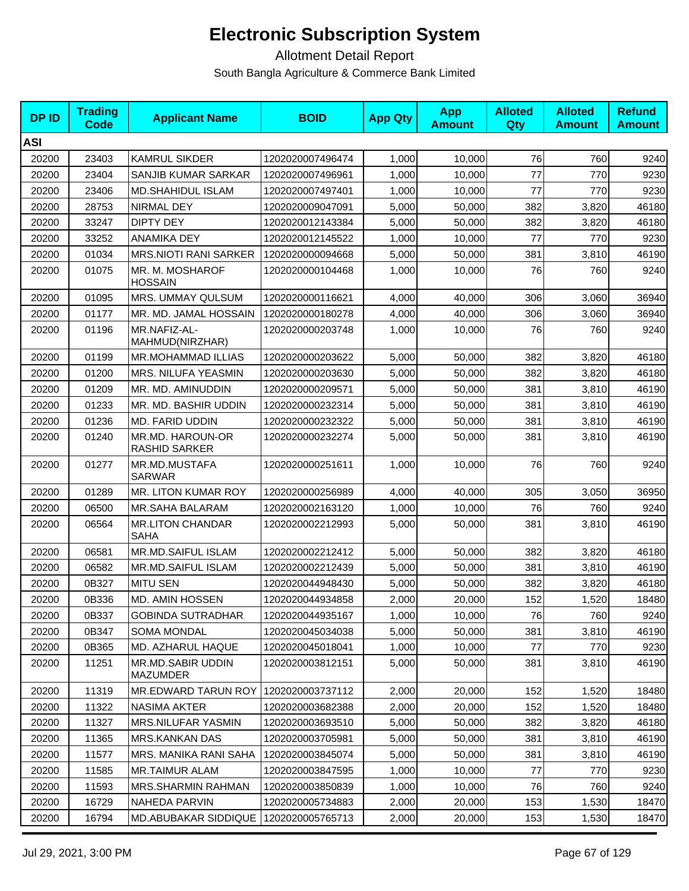| <b>DPID</b> | <b>Trading</b><br><b>Code</b> | <b>Applicant Name</b>                    | <b>BOID</b>      | <b>App Qty</b> | <b>App</b><br><b>Amount</b> | <b>Alloted</b><br>Qty | <b>Alloted</b><br><b>Amount</b> | <b>Refund</b><br><b>Amount</b> |
|-------------|-------------------------------|------------------------------------------|------------------|----------------|-----------------------------|-----------------------|---------------------------------|--------------------------------|
| <b>ASI</b>  |                               |                                          |                  |                |                             |                       |                                 |                                |
| 20200       | 23403                         | <b>KAMRUL SIKDER</b>                     | 1202020007496474 | 1,000          | 10,000                      | 76                    | 760                             | 9240                           |
| 20200       | 23404                         | SANJIB KUMAR SARKAR                      | 1202020007496961 | 1,000          | 10,000                      | 77                    | 770                             | 9230                           |
| 20200       | 23406                         | <b>MD.SHAHIDUL ISLAM</b>                 | 1202020007497401 | 1,000          | 10,000                      | 77                    | 770                             | 9230                           |
| 20200       | 28753                         | NIRMAL DEY                               | 1202020009047091 | 5,000          | 50,000                      | 382                   | 3,820                           | 46180                          |
| 20200       | 33247                         | <b>DIPTY DEY</b>                         | 1202020012143384 | 5,000          | 50,000                      | 382                   | 3,820                           | 46180                          |
| 20200       | 33252                         | ANAMIKA DEY                              | 1202020012145522 | 1,000          | 10,000                      | 77                    | 770                             | 9230                           |
| 20200       | 01034                         | <b>MRS.NIOTI RANI SARKER</b>             | 1202020000094668 | 5,000          | 50,000                      | 381                   | 3,810                           | 46190                          |
| 20200       | 01075                         | MR. M. MOSHAROF<br><b>HOSSAIN</b>        | 1202020000104468 | 1,000          | 10,000                      | 76                    | 760                             | 9240                           |
| 20200       | 01095                         | MRS. UMMAY QULSUM                        | 1202020000116621 | 4,000          | 40,000                      | 306                   | 3,060                           | 36940                          |
| 20200       | 01177                         | MR. MD. JAMAL HOSSAIN                    | 1202020000180278 | 4,000          | 40,000                      | 306                   | 3,060                           | 36940                          |
| 20200       | 01196                         | MR.NAFIZ-AL-<br>MAHMUD(NIRZHAR)          | 1202020000203748 | 1,000          | 10,000                      | 76                    | 760                             | 9240                           |
| 20200       | 01199                         | MR.MOHAMMAD ILLIAS                       | 1202020000203622 | 5,000          | 50,000                      | 382                   | 3,820                           | 46180                          |
| 20200       | 01200                         | MRS. NILUFA YEASMIN                      | 1202020000203630 | 5,000          | 50,000                      | 382                   | 3,820                           | 46180                          |
| 20200       | 01209                         | MR. MD. AMINUDDIN                        | 1202020000209571 | 5,000          | 50,000                      | 381                   | 3,810                           | 46190                          |
| 20200       | 01233                         | MR. MD. BASHIR UDDIN                     | 1202020000232314 | 5,000          | 50,000                      | 381                   | 3,810                           | 46190                          |
| 20200       | 01236                         | MD. FARID UDDIN                          | 1202020000232322 | 5.000          | 50,000                      | 381                   | 3,810                           | 46190                          |
| 20200       | 01240                         | MR.MD. HAROUN-OR<br><b>RASHID SARKER</b> | 1202020000232274 | 5,000          | 50,000                      | 381                   | 3,810                           | 46190                          |
| 20200       | 01277                         | MR.MD.MUSTAFA<br><b>SARWAR</b>           | 1202020000251611 | 1,000          | 10,000                      | 76                    | 760                             | 9240                           |
| 20200       | 01289                         | MR. LITON KUMAR ROY                      | 1202020000256989 | 4,000          | 40,000                      | 305                   | 3,050                           | 36950                          |
| 20200       | 06500                         | MR.SAHA BALARAM                          | 1202020002163120 | 1,000          | 10,000                      | 76                    | 760                             | 9240                           |
| 20200       | 06564                         | <b>MR.LITON CHANDAR</b><br>SAHA          | 1202020002212993 | 5,000          | 50,000                      | 381                   | 3,810                           | 46190                          |
| 20200       | 06581                         | MR.MD.SAIFUL ISLAM                       | 1202020002212412 | 5,000          | 50,000                      | 382                   | 3,820                           | 46180                          |
| 20200       | 06582                         | MR.MD.SAIFUL ISLAM                       | 1202020002212439 | 5,000          | 50,000                      | 381                   | 3,810                           | 46190                          |
| 20200       | 0B327                         | <b>MITU SEN</b>                          | 1202020044948430 | 5,000          | 50,000                      | 382                   | 3,820                           | 46180                          |
| 20200       | 0B336                         | MD. AMIN HOSSEN                          | 1202020044934858 | 2,000          | 20,000                      | 152                   | 1,520                           | 18480                          |
| 20200       | 0B337                         | <b>GOBINDA SUTRADHAR</b>                 | 1202020044935167 | 1,000          | 10,000                      | 76                    | 760                             | 9240                           |
| 20200       | 0B347                         | <b>SOMA MONDAL</b>                       | 1202020045034038 | 5,000          | 50,000                      | 381                   | 3,810                           | 46190                          |
| 20200       | 0B365                         | MD. AZHARUL HAQUE                        | 1202020045018041 | 1,000          | 10,000                      | 77                    | 770                             | 9230                           |
| 20200       | 11251                         | MR.MD.SABIR UDDIN<br>MAZUMDER            | 1202020003812151 | 5,000          | 50,000                      | 381                   | 3,810                           | 46190                          |
| 20200       | 11319                         | <b>MR.EDWARD TARUN ROY</b>               | 1202020003737112 | 2,000          | 20,000                      | 152                   | 1,520                           | 18480                          |
| 20200       | 11322                         | NASIMA AKTER                             | 1202020003682388 | 2,000          | 20,000                      | 152                   | 1,520                           | 18480                          |
| 20200       | 11327                         | MRS.NILUFAR YASMIN                       | 1202020003693510 | 5,000          | 50,000                      | 382                   | 3,820                           | 46180                          |
| 20200       | 11365                         | MRS.KANKAN DAS                           | 1202020003705981 | 5,000          | 50,000                      | 381                   | 3,810                           | 46190                          |
| 20200       | 11577                         | MRS. MANIKA RANI SAHA                    | 1202020003845074 | 5,000          | 50,000                      | 381                   | 3,810                           | 46190                          |
| 20200       | 11585                         | MR.TAIMUR ALAM                           | 1202020003847595 | 1,000          | 10,000                      | 77                    | 770                             | 9230                           |
| 20200       | 11593                         | <b>MRS.SHARMIN RAHMAN</b>                | 1202020003850839 | 1,000          | 10,000                      | 76                    | 760                             | 9240                           |
| 20200       | 16729                         | NAHEDA PARVIN                            | 1202020005734883 | 2,000          | 20,000                      | 153                   | 1,530                           | 18470                          |
| 20200       | 16794                         | MD.ABUBAKAR SIDDIQUE                     | 1202020005765713 | 2,000          | 20,000                      | 153                   | 1,530                           | 18470                          |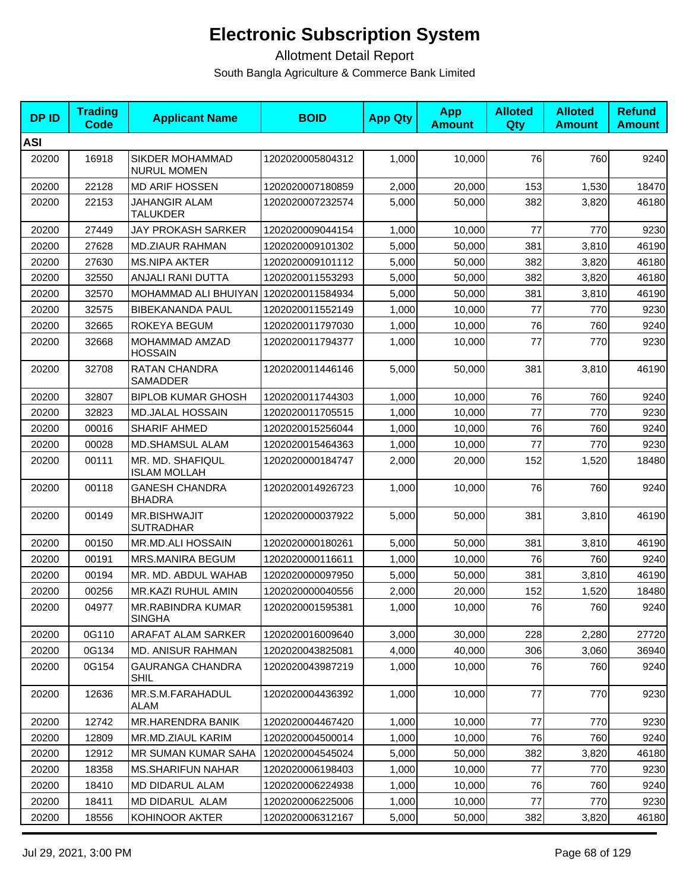| <b>DPID</b> | <b>Trading</b><br><b>Code</b> | <b>Applicant Name</b>                   | <b>BOID</b>      | <b>App Qty</b> | <b>App</b><br><b>Amount</b> | <b>Alloted</b><br>Qty | <b>Alloted</b><br><b>Amount</b> | <b>Refund</b><br><b>Amount</b> |
|-------------|-------------------------------|-----------------------------------------|------------------|----------------|-----------------------------|-----------------------|---------------------------------|--------------------------------|
| <b>ASI</b>  |                               |                                         |                  |                |                             |                       |                                 |                                |
| 20200       | 16918                         | SIKDER MOHAMMAD<br><b>NURUL MOMEN</b>   | 1202020005804312 | 1,000          | 10,000                      | 76                    | 760                             | 9240                           |
| 20200       | 22128                         | <b>MD ARIF HOSSEN</b>                   | 1202020007180859 | 2,000          | 20,000                      | 153                   | 1,530                           | 18470                          |
| 20200       | 22153                         | JAHANGIR ALAM<br><b>TALUKDER</b>        | 1202020007232574 | 5,000          | 50,000                      | 382                   | 3,820                           | 46180                          |
| 20200       | 27449                         | JAY PROKASH SARKER                      | 1202020009044154 | 1,000          | 10,000                      | 77                    | 770                             | 9230                           |
| 20200       | 27628                         | <b>MD.ZIAUR RAHMAN</b>                  | 1202020009101302 | 5,000          | 50,000                      | 381                   | 3,810                           | 46190                          |
| 20200       | 27630                         | <b>MS.NIPA AKTER</b>                    | 1202020009101112 | 5,000          | 50,000                      | 382                   | 3,820                           | 46180                          |
| 20200       | 32550                         | ANJALI RANI DUTTA                       | 1202020011553293 | 5,000          | 50,000                      | 382                   | 3,820                           | 46180                          |
| 20200       | 32570                         | <b>MOHAMMAD ALI BHUIYAN</b>             | 1202020011584934 | 5,000          | 50,000                      | 381                   | 3,810                           | 46190                          |
| 20200       | 32575                         | <b>BIBEKANANDA PAUL</b>                 | 1202020011552149 | 1,000          | 10,000                      | 77                    | 770                             | 9230                           |
| 20200       | 32665                         | ROKEYA BEGUM                            | 1202020011797030 | 1,000          | 10,000                      | 76                    | 760                             | 9240                           |
| 20200       | 32668                         | MOHAMMAD AMZAD<br><b>HOSSAIN</b>        | 1202020011794377 | 1,000          | 10,000                      | 77                    | 770                             | 9230                           |
| 20200       | 32708                         | <b>RATAN CHANDRA</b><br>SAMADDER        | 1202020011446146 | 5,000          | 50,000                      | 381                   | 3,810                           | 46190                          |
| 20200       | 32807                         | <b>BIPLOB KUMAR GHOSH</b>               | 1202020011744303 | 1,000          | 10,000                      | 76                    | 760                             | 9240                           |
| 20200       | 32823                         | <b>MD.JALAL HOSSAIN</b>                 | 1202020011705515 | 1,000          | 10.000                      | 77                    | 770                             | 9230                           |
| 20200       | 00016                         | SHARIF AHMED                            | 1202020015256044 | 1,000          | 10,000                      | 76                    | 760                             | 9240                           |
| 20200       | 00028                         | <b>MD.SHAMSUL ALAM</b>                  | 1202020015464363 | 1,000          | 10,000                      | 77                    | 770                             | 9230                           |
| 20200       | 00111                         | MR. MD. SHAFIQUL<br><b>ISLAM MOLLAH</b> | 1202020000184747 | 2,000          | 20,000                      | 152                   | 1,520                           | 18480                          |
| 20200       | 00118                         | <b>GANESH CHANDRA</b><br><b>BHADRA</b>  | 1202020014926723 | 1,000          | 10,000                      | 76                    | 760                             | 9240                           |
| 20200       | 00149                         | MR.BISHWAJIT<br><b>SUTRADHAR</b>        | 1202020000037922 | 5,000          | 50,000                      | 381                   | 3,810                           | 46190                          |
| 20200       | 00150                         | MR.MD.ALI HOSSAIN                       | 1202020000180261 | 5,000          | 50,000                      | 381                   | 3,810                           | 46190                          |
| 20200       | 00191                         | <b>MRS.MANIRA BEGUM</b>                 | 1202020000116611 | 1,000          | 10,000                      | 76                    | 760                             | 9240                           |
| 20200       | 00194                         | MR. MD. ABDUL WAHAB                     | 1202020000097950 | 5,000          | 50,000                      | 381                   | 3,810                           | 46190                          |
| 20200       | 00256                         | MR.KAZI RUHUL AMIN                      | 1202020000040556 | 2,000          | 20,000                      | 152                   | 1,520                           | 18480                          |
| 20200       | 04977                         | MR.RABINDRA KUMAR<br><b>SINGHA</b>      | 1202020001595381 | 1,000          | 10,000                      | 76                    | 760                             | 9240                           |
| 20200       | 0G110                         | ARAFAT ALAM SARKER                      | 1202020016009640 | 3,000          | 30,000                      | 228                   | 2,280                           | 27720                          |
| 20200       | 0G134                         | <b>MD. ANISUR RAHMAN</b>                | 1202020043825081 | 4,000          | 40,000                      | 306                   | 3,060                           | 36940                          |
| 20200       | 0G154                         | <b>GAURANGA CHANDRA</b><br><b>SHIL</b>  | 1202020043987219 | 1,000          | 10,000                      | 76                    | 760                             | 9240                           |
| 20200       | 12636                         | MR.S.M.FARAHADUL<br>ALAM                | 1202020004436392 | 1,000          | 10,000                      | 77                    | 770                             | 9230                           |
| 20200       | 12742                         | MR.HARENDRA BANIK                       | 1202020004467420 | 1,000          | 10,000                      | 77                    | 770                             | 9230                           |
| 20200       | 12809                         | MR.MD.ZIAUL KARIM                       | 1202020004500014 | 1,000          | 10,000                      | 76                    | 760                             | 9240                           |
| 20200       | 12912                         | MR SUMAN KUMAR SAHA                     | 1202020004545024 | 5,000          | 50,000                      | 382                   | 3,820                           | 46180                          |
| 20200       | 18358                         | <b>MS.SHARIFUN NAHAR</b>                | 1202020006198403 | 1,000          | 10,000                      | 77                    | 770                             | 9230                           |
| 20200       | 18410                         | MD DIDARUL ALAM                         | 1202020006224938 | 1,000          | 10,000                      | 76                    | 760                             | 9240                           |
| 20200       | 18411                         | MD DIDARUL ALAM                         | 1202020006225006 | 1,000          | 10,000                      | 77                    | 770                             | 9230                           |
| 20200       | 18556                         | KOHINOOR AKTER                          | 1202020006312167 | 5,000          | 50,000                      | 382                   | 3,820                           | 46180                          |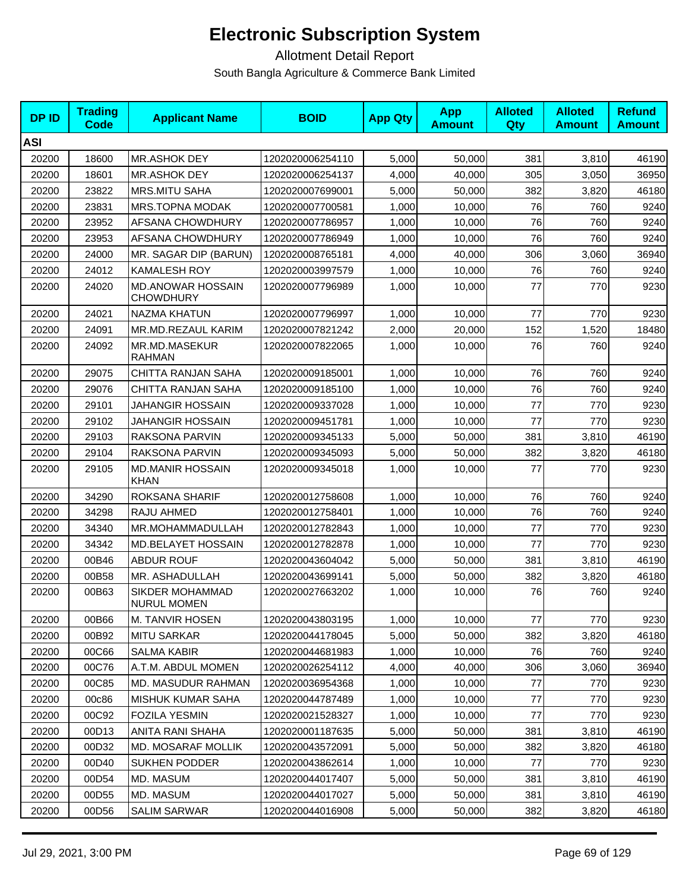| <b>DPID</b> | <b>Trading</b><br>Code | <b>Applicant Name</b>                        | <b>BOID</b>      | <b>App Qty</b> | <b>App</b><br><b>Amount</b> | <b>Alloted</b><br>Qty | <b>Alloted</b><br><b>Amount</b> | <b>Refund</b><br><b>Amount</b> |
|-------------|------------------------|----------------------------------------------|------------------|----------------|-----------------------------|-----------------------|---------------------------------|--------------------------------|
| <b>ASI</b>  |                        |                                              |                  |                |                             |                       |                                 |                                |
| 20200       | 18600                  | MR.ASHOK DEY                                 | 1202020006254110 | 5,000          | 50,000                      | 381                   | 3,810                           | 46190                          |
| 20200       | 18601                  | MR.ASHOK DEY                                 | 1202020006254137 | 4,000          | 40,000                      | 305                   | 3,050                           | 36950                          |
| 20200       | 23822                  | <b>MRS.MITU SAHA</b>                         | 1202020007699001 | 5,000          | 50,000                      | 382                   | 3,820                           | 46180                          |
| 20200       | 23831                  | MRS.TOPNA MODAK                              | 1202020007700581 | 1,000          | 10,000                      | 76                    | 760                             | 9240                           |
| 20200       | 23952                  | AFSANA CHOWDHURY                             | 1202020007786957 | 1,000          | 10,000                      | 76                    | 760                             | 9240                           |
| 20200       | 23953                  | <b>AFSANA CHOWDHURY</b>                      | 1202020007786949 | 1,000          | 10,000                      | 76                    | 760                             | 9240                           |
| 20200       | 24000                  | MR. SAGAR DIP (BARUN)                        | 1202020008765181 | 4,000          | 40,000                      | 306                   | 3,060                           | 36940                          |
| 20200       | 24012                  | <b>KAMALESH ROY</b>                          | 1202020003997579 | 1,000          | 10,000                      | 76                    | 760                             | 9240                           |
| 20200       | 24020                  | <b>MD.ANOWAR HOSSAIN</b><br><b>CHOWDHURY</b> | 1202020007796989 | 1,000          | 10,000                      | 77                    | 770                             | 9230                           |
| 20200       | 24021                  | NAZMA KHATUN                                 | 1202020007796997 | 1,000          | 10,000                      | 77                    | 770                             | 9230                           |
| 20200       | 24091                  | MR.MD.REZAUL KARIM                           | 1202020007821242 | 2,000          | 20,000                      | 152                   | 1,520                           | 18480                          |
| 20200       | 24092                  | MR.MD.MASEKUR<br><b>RAHMAN</b>               | 1202020007822065 | 1,000          | 10,000                      | 76                    | 760                             | 9240                           |
| 20200       | 29075                  | CHITTA RANJAN SAHA                           | 1202020009185001 | 1,000          | 10,000                      | 76                    | 760                             | 9240                           |
| 20200       | 29076                  | CHITTA RANJAN SAHA                           | 1202020009185100 | 1,000          | 10,000                      | 76                    | 760                             | 9240                           |
| 20200       | 29101                  | <b>JAHANGIR HOSSAIN</b>                      | 1202020009337028 | 1,000          | 10,000                      | 77                    | 770                             | 9230                           |
| 20200       | 29102                  | JAHANGIR HOSSAIN                             | 1202020009451781 | 1,000          | 10,000                      | 77                    | 770                             | 9230                           |
| 20200       | 29103                  | RAKSONA PARVIN                               | 1202020009345133 | 5,000          | 50,000                      | 381                   | 3,810                           | 46190                          |
| 20200       | 29104                  | RAKSONA PARVIN                               | 1202020009345093 | 5,000          | 50,000                      | 382                   | 3,820                           | 46180                          |
| 20200       | 29105                  | <b>MD.MANIR HOSSAIN</b><br><b>KHAN</b>       | 1202020009345018 | 1,000          | 10,000                      | 77                    | 770                             | 9230                           |
| 20200       | 34290                  | ROKSANA SHARIF                               | 1202020012758608 | 1,000          | 10,000                      | 76                    | 760                             | 9240                           |
| 20200       | 34298                  | RAJU AHMED                                   | 1202020012758401 | 1,000          | 10,000                      | 76                    | 760                             | 9240                           |
| 20200       | 34340                  | MR.MOHAMMADULLAH                             | 1202020012782843 | 1,000          | 10,000                      | 77                    | 770                             | 9230                           |
| 20200       | 34342                  | MD.BELAYET HOSSAIN                           | 1202020012782878 | 1,000          | 10,000                      | 77                    | 770                             | 9230                           |
| 20200       | 00B46                  | <b>ABDUR ROUF</b>                            | 1202020043604042 | 5,000          | 50,000                      | 381                   | 3,810                           | 46190                          |
| 20200       | 00B58                  | MR. ASHADULLAH                               | 1202020043699141 | 5,000          | 50,000                      | 382                   | 3,820                           | 46180                          |
| 20200       | 00B63                  | SIKDER MOHAMMAD<br>NURUL MOMEN               | 1202020027663202 | 1,000          | 10,000                      | 76                    | 760                             | 9240                           |
| 20200       | 00B66                  | M. TANVIR HOSEN                              | 1202020043803195 | 1,000          | 10,000                      | 77                    | 770                             | 9230                           |
| 20200       | 00B92                  | <b>MITU SARKAR</b>                           | 1202020044178045 | 5,000          | 50,000                      | 382                   | 3,820                           | 46180                          |
| 20200       | 00C66                  | SALMA KABIR                                  | 1202020044681983 | 1,000          | 10,000                      | 76                    | 760                             | 9240                           |
| 20200       | 00C76                  | A.T.M. ABDUL MOMEN                           | 1202020026254112 | 4,000          | 40,000                      | 306                   | 3,060                           | 36940                          |
| 20200       | 00C85                  | <b>MD. MASUDUR RAHMAN</b>                    | 1202020036954368 | 1,000          | 10,000                      | 77                    | 770                             | 9230                           |
| 20200       | 00c86                  | MISHUK KUMAR SAHA                            | 1202020044787489 | 1,000          | 10,000                      | 77                    | 770                             | 9230                           |
| 20200       | 00C92                  | <b>FOZILA YESMIN</b>                         | 1202020021528327 | 1,000          | 10,000                      | 77                    | 770                             | 9230                           |
| 20200       | 00D13                  | ANITA RANI SHAHA                             | 1202020001187635 | 5,000          | 50,000                      | 381                   | 3,810                           | 46190                          |
| 20200       | 00D32                  | MD. MOSARAF MOLLIK                           | 1202020043572091 | 5,000          | 50,000                      | 382                   | 3,820                           | 46180                          |
| 20200       | 00D40                  | SUKHEN PODDER                                | 1202020043862614 | 1,000          | 10,000                      | 77                    | 770                             | 9230                           |
| 20200       | 00D54                  | MD. MASUM                                    | 1202020044017407 | 5,000          | 50,000                      | 381                   | 3,810                           | 46190                          |
| 20200       | 00D55                  | MD. MASUM                                    | 1202020044017027 | 5,000          | 50,000                      | 381                   | 3,810                           | 46190                          |
| 20200       | 00D56                  | <b>SALIM SARWAR</b>                          | 1202020044016908 | 5,000          | 50,000                      | 382                   | 3,820                           | 46180                          |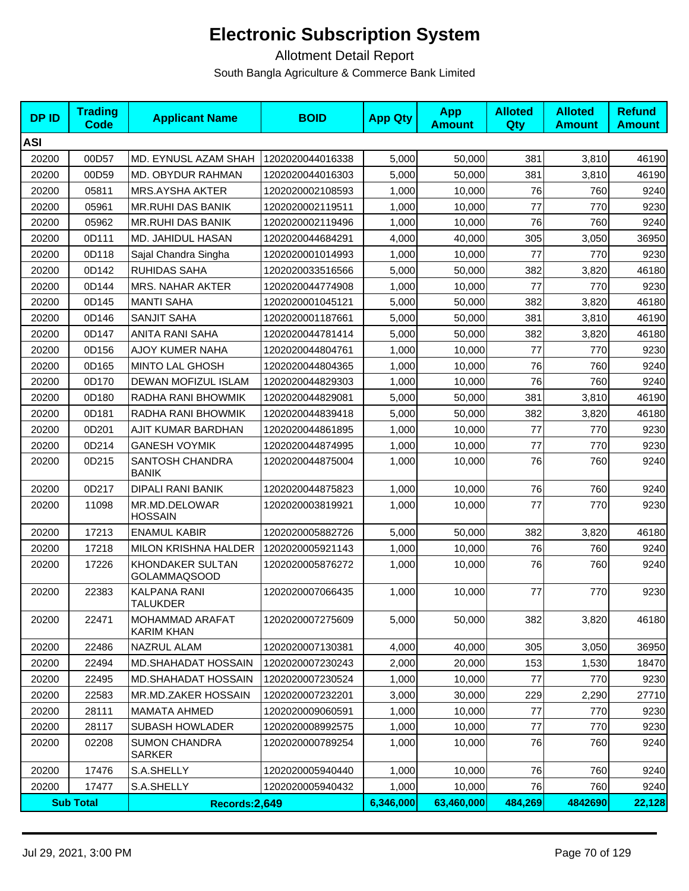| <b>DPID</b> | <b>Trading</b><br>Code | <b>Applicant Name</b>                   | <b>BOID</b>      | <b>App Qty</b> | <b>App</b><br><b>Amount</b> | <b>Alloted</b><br><b>Qty</b> | <b>Alloted</b><br><b>Amount</b> | <b>Refund</b><br><b>Amount</b> |
|-------------|------------------------|-----------------------------------------|------------------|----------------|-----------------------------|------------------------------|---------------------------------|--------------------------------|
| <b>ASI</b>  |                        |                                         |                  |                |                             |                              |                                 |                                |
| 20200       | 00D57                  | MD. EYNUSL AZAM SHAH                    | 1202020044016338 | 5,000          | 50,000                      | 381                          | 3,810                           | 46190                          |
| 20200       | 00D59                  | MD. OBYDUR RAHMAN                       | 1202020044016303 | 5,000          | 50,000                      | 381                          | 3,810                           | 46190                          |
| 20200       | 05811                  | MRS.AYSHA AKTER                         | 1202020002108593 | 1,000          | 10,000                      | 76                           | 760                             | 9240                           |
| 20200       | 05961                  | <b>MR.RUHI DAS BANIK</b>                | 1202020002119511 | 1,000          | 10,000                      | 77                           | 770                             | 9230                           |
| 20200       | 05962                  | <b>MR.RUHI DAS BANIK</b>                | 1202020002119496 | 1,000          | 10,000                      | 76                           | 760                             | 9240                           |
| 20200       | 0D111                  | MD. JAHIDUL HASAN                       | 1202020044684291 | 4,000          | 40,000                      | 305                          | 3,050                           | 36950                          |
| 20200       | 0D118                  | Sajal Chandra Singha                    | 1202020001014993 | 1,000          | 10,000                      | 77                           | 770                             | 9230                           |
| 20200       | 0D142                  | <b>RUHIDAS SAHA</b>                     | 1202020033516566 | 5,000          | 50,000                      | 382                          | 3,820                           | 46180                          |
| 20200       | 0D144                  | MRS. NAHAR AKTER                        | 1202020044774908 | 1,000          | 10,000                      | 77                           | 770                             | 9230                           |
| 20200       | 0D145                  | <b>MANTI SAHA</b>                       | 1202020001045121 | 5,000          | 50,000                      | 382                          | 3,820                           | 46180                          |
| 20200       | 0D146                  | SANJIT SAHA                             | 1202020001187661 | 5,000          | 50,000                      | 381                          | 3,810                           | 46190                          |
| 20200       | 0D147                  | <b>ANITA RANI SAHA</b>                  | 1202020044781414 | 5,000          | 50,000                      | 382                          | 3,820                           | 46180                          |
| 20200       | 0D156                  | AJOY KUMER NAHA                         | 1202020044804761 | 1,000          | 10,000                      | 77                           | 770                             | 9230                           |
| 20200       | 0D165                  | <b>MINTO LAL GHOSH</b>                  | 1202020044804365 | 1,000          | 10,000                      | 76                           | 760                             | 9240                           |
| 20200       | 0D170                  | DEWAN MOFIZUL ISLAM                     | 1202020044829303 | 1,000          | 10,000                      | 76                           | 760                             | 9240                           |
| 20200       | 0D180                  | RADHA RANI BHOWMIK                      | 1202020044829081 | 5,000          | 50,000                      | 381                          | 3,810                           | 46190                          |
| 20200       | 0D181                  | RADHA RANI BHOWMIK                      | 1202020044839418 | 5,000          | 50,000                      | 382                          | 3,820                           | 46180                          |
| 20200       | 0D201                  | AJIT KUMAR BARDHAN                      | 1202020044861895 | 1,000          | 10,000                      | 77                           | 770                             | 9230                           |
| 20200       | 0D214                  | <b>GANESH VOYMIK</b>                    | 1202020044874995 | 1,000          | 10,000                      | 77                           | 770                             | 9230                           |
| 20200       | 0D215                  | SANTOSH CHANDRA<br><b>BANIK</b>         | 1202020044875004 | 1,000          | 10,000                      | 76                           | 760                             | 9240                           |
| 20200       | 0D217                  | DIPALI RANI BANIK                       | 1202020044875823 | 1,000          | 10,000                      | 76                           | 760                             | 9240                           |
| 20200       | 11098                  | MR.MD.DELOWAR<br><b>HOSSAIN</b>         | 1202020003819921 | 1,000          | 10,000                      | 77                           | 770                             | 9230                           |
| 20200       | 17213                  | <b>ENAMUL KABIR</b>                     | 1202020005882726 | 5,000          | 50,000                      | 382                          | 3,820                           | 46180                          |
| 20200       | 17218                  | MILON KRISHNA HALDER                    | 1202020005921143 | 1,000          | 10,000                      | 76                           | 760                             | 9240                           |
| 20200       | 17226                  | KHONDAKER SULTAN<br><b>GOLAMMAQSOOD</b> | 1202020005876272 | 1,000          | 10,000                      | 76                           | 760                             | 9240                           |
| 20200       | 22383                  | <b>KALPANA RANI</b><br><b>TALUKDER</b>  | 1202020007066435 | 1,000          | 10,000                      | 77                           | 770                             | 9230                           |
| 20200       | 22471                  | MOHAMMAD ARAFAT<br><b>KARIM KHAN</b>    | 1202020007275609 | 5,000          | 50,000                      | 382                          | 3,820                           | 46180                          |
| 20200       | 22486                  | NAZRUL ALAM                             | 1202020007130381 | 4,000          | 40,000                      | 305                          | 3,050                           | 36950                          |
| 20200       | 22494                  | MD.SHAHADAT HOSSAIN                     | 1202020007230243 | 2,000          | 20,000                      | 153                          | 1,530                           | 18470                          |
| 20200       | 22495                  | <b>MD.SHAHADAT HOSSAIN</b>              | 1202020007230524 | 1,000          | 10,000                      | 77                           | 770                             | 9230                           |
| 20200       | 22583                  | MR.MD.ZAKER HOSSAIN                     | 1202020007232201 | 3,000          | 30,000                      | 229                          | 2,290                           | 27710                          |
| 20200       | 28111                  | <b>MAMATA AHMED</b>                     | 1202020009060591 | 1,000          | 10,000                      | 77                           | 770                             | 9230                           |
| 20200       | 28117                  | <b>SUBASH HOWLADER</b>                  | 1202020008992575 | 1,000          | 10,000                      | 77                           | 770                             | 9230                           |
| 20200       | 02208                  | <b>SUMON CHANDRA</b><br>SARKER          | 1202020000789254 | 1,000          | 10.000                      | 76                           | 760                             | 9240                           |
| 20200       | 17476                  | S.A.SHELLY                              | 1202020005940440 | 1,000          | 10,000                      | 76                           | 760                             | 9240                           |
| 20200       | 17477                  | S.A.SHELLY                              | 1202020005940432 | 1,000          | 10,000                      | 76                           | 760                             | 9240                           |
|             | <b>Sub Total</b>       | Records:2,649                           |                  | 6,346,000      | 63,460,000                  | 484,269                      | 4842690                         | 22,128                         |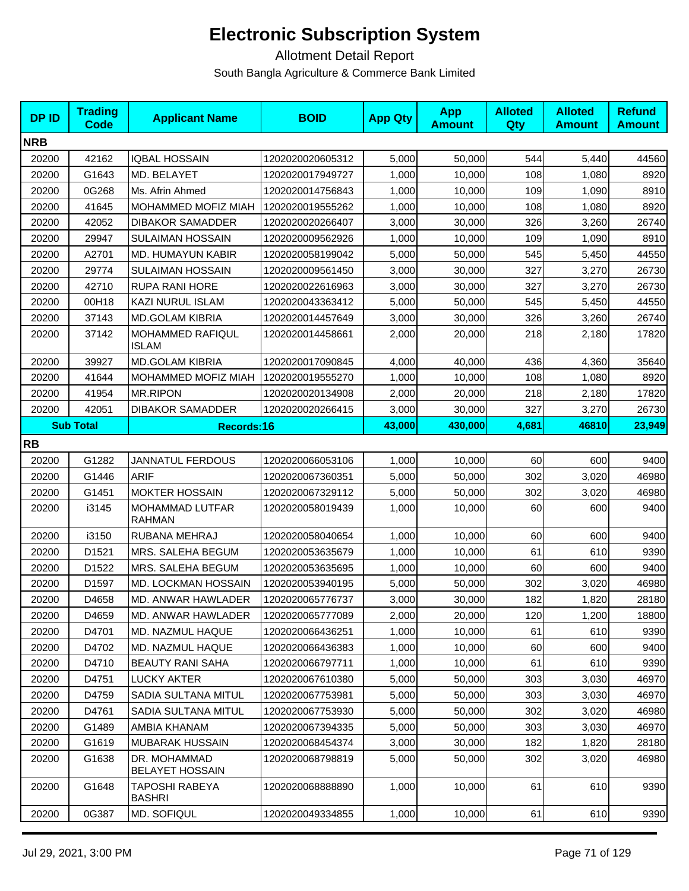| <b>DPID</b>                    | <b>Trading</b><br><b>Code</b> | <b>Applicant Name</b>                  | <b>BOID</b>      | <b>App Qty</b> | <b>App</b><br><b>Amount</b> | <b>Alloted</b><br>Qty | <b>Alloted</b><br><b>Amount</b> | <b>Refund</b><br><b>Amount</b> |
|--------------------------------|-------------------------------|----------------------------------------|------------------|----------------|-----------------------------|-----------------------|---------------------------------|--------------------------------|
| <b>NRB</b>                     |                               |                                        |                  |                |                             |                       |                                 |                                |
| 20200                          | 42162                         | <b>IQBAL HOSSAIN</b>                   | 1202020020605312 | 5,000          | 50,000                      | 544                   | 5,440                           | 44560                          |
| 20200                          | G1643                         | MD. BELAYET                            | 1202020017949727 | 1,000          | 10,000                      | 108                   | 1,080                           | 8920                           |
| 20200                          | 0G268                         | Ms. Afrin Ahmed                        | 1202020014756843 | 1,000          | 10,000                      | 109                   | 1,090                           | 8910                           |
| 20200                          | 41645                         | MOHAMMED MOFIZ MIAH                    | 1202020019555262 | 1,000          | 10,000                      | 108                   | 1,080                           | 8920                           |
| 20200                          | 42052                         | <b>DIBAKOR SAMADDER</b>                | 1202020020266407 | 3,000          | 30,000                      | 326                   | 3,260                           | 26740                          |
| 20200                          | 29947                         | <b>SULAIMAN HOSSAIN</b>                | 1202020009562926 | 1,000          | 10,000                      | 109                   | 1,090                           | 8910                           |
| 20200                          | A2701                         | MD. HUMAYUN KABIR                      | 1202020058199042 | 5,000          | 50,000                      | 545                   | 5,450                           | 44550                          |
| 20200                          | 29774                         | <b>SULAIMAN HOSSAIN</b>                | 1202020009561450 | 3,000          | 30,000                      | 327                   | 3,270                           | 26730                          |
| 20200                          | 42710                         | <b>RUPA RANI HORE</b>                  | 1202020022616963 | 3,000          | 30,000                      | 327                   | 3,270                           | 26730                          |
| 20200                          | 00H18                         | KAZI NURUL ISLAM                       | 1202020043363412 | 5,000          | 50,000                      | 545                   | 5,450                           | 44550                          |
| 20200                          | 37143                         | <b>MD.GOLAM KIBRIA</b>                 | 1202020014457649 | 3,000          | 30,000                      | 326                   | 3,260                           | 26740                          |
| 20200                          | 37142                         | MOHAMMED RAFIQUL<br>ISLAM              | 1202020014458661 | 2,000          | 20,000                      | 218                   | 2,180                           | 17820                          |
| 20200                          | 39927                         | <b>MD.GOLAM KIBRIA</b>                 | 1202020017090845 | 4,000          | 40,000                      | 436                   | 4,360                           | 35640                          |
| 20200                          | 41644                         | MOHAMMED MOFIZ MIAH                    | 1202020019555270 | 1,000          | 10,000                      | 108                   | 1,080                           | 8920                           |
| 20200                          | 41954                         | <b>MR.RIPON</b>                        | 1202020020134908 | 2,000          | 20,000                      | 218                   | 2,180                           | 17820                          |
| 20200                          | 42051                         | <b>DIBAKOR SAMADDER</b>                | 1202020020266415 | 3,000          | 30,000                      | 327                   | 3,270                           | 26730                          |
| <b>Sub Total</b><br>Records:16 |                               | 43,000                                 | 430,000          | 4,681          | 46810                       | 23,949                |                                 |                                |
| <b>RB</b>                      |                               |                                        |                  |                |                             |                       |                                 |                                |
| 20200                          | G1282                         | <b>JANNATUL FERDOUS</b>                | 1202020066053106 | 1,000          | 10,000                      | 60                    | 600                             | 9400                           |
| 20200                          | G1446                         | <b>ARIF</b>                            | 1202020067360351 | 5,000          | 50,000                      | 302                   | 3,020                           | 46980                          |
| 20200                          | G1451                         | <b>MOKTER HOSSAIN</b>                  | 1202020067329112 | 5,000          | 50,000                      | 302                   | 3,020                           | 46980                          |
| 20200                          | i3145                         | MOHAMMAD LUTFAR<br><b>RAHMAN</b>       | 1202020058019439 | 1,000          | 10,000                      | 60                    | 600                             | 9400                           |
| 20200                          | i3150                         | RUBANA MEHRAJ                          | 1202020058040654 | 1,000          | 10,000                      | 60                    | 600                             | 9400                           |
| 20200                          | D1521                         | MRS. SALEHA BEGUM                      | 1202020053635679 | 1,000          | 10,000                      | 61                    | 610                             | 9390                           |
| 20200                          | D1522                         | MRS. SALEHA BEGUM                      | 1202020053635695 | 1,000          | 10,000                      | 60                    | 600                             | 9400                           |
| 20200                          | D1597                         | MD. LOCKMAN HOSSAIN                    | 1202020053940195 | 5,000          | 50,000                      | 302                   | 3,020                           | 46980                          |
| 20200                          | D4658                         | MD. ANWAR HAWLADER                     | 1202020065776737 | 3,000          | 30,000                      | 182                   | 1,820                           | 28180                          |
| 20200                          | D4659                         | MD. ANWAR HAWLADER                     | 1202020065777089 | 2,000          | 20,000                      | 120                   | 1,200                           | 18800                          |
| 20200                          | D4701                         | MD. NAZMUL HAQUE                       | 1202020066436251 | 1,000          | 10,000                      | 61                    | 610                             | 9390                           |
| 20200                          | D4702                         | <b>MD. NAZMUL HAQUE</b>                | 1202020066436383 | 1,000          | 10,000                      | 60                    | 600                             | 9400                           |
| 20200                          | D4710                         | <b>BEAUTY RANI SAHA</b>                | 1202020066797711 | 1,000          | 10,000                      | 61                    | 610                             | 9390                           |
| 20200                          | D4751                         | <b>LUCKY AKTER</b>                     | 1202020067610380 | 5,000          | 50,000                      | 303                   | 3,030                           | 46970                          |
| 20200                          | D4759                         | SADIA SULTANA MITUL                    | 1202020067753981 | 5,000          | 50,000                      | 303                   | 3,030                           | 46970                          |
| 20200                          | D4761                         | SADIA SULTANA MITUL                    | 1202020067753930 | 5,000          | 50,000                      | 302                   | 3,020                           | 46980                          |
| 20200                          | G1489                         | AMBIA KHANAM                           | 1202020067394335 | 5,000          | 50,000                      | 303                   | 3,030                           | 46970                          |
| 20200                          | G1619                         | MUBARAK HUSSAIN                        | 1202020068454374 | 3,000          | 30,000                      | 182                   | 1,820                           | 28180                          |
| 20200                          | G1638                         | DR. MOHAMMAD<br><b>BELAYET HOSSAIN</b> | 1202020068798819 | 5,000          | 50,000                      | 302                   | 3,020                           | 46980                          |
| 20200                          | G1648                         | TAPOSHI RABEYA<br><b>BASHRI</b>        | 1202020068888890 | 1,000          | 10,000                      | 61                    | 610                             | 9390                           |
| 20200                          | 0G387                         | MD. SOFIQUL                            | 1202020049334855 | 1,000          | 10,000                      | 61                    | 610                             | 9390                           |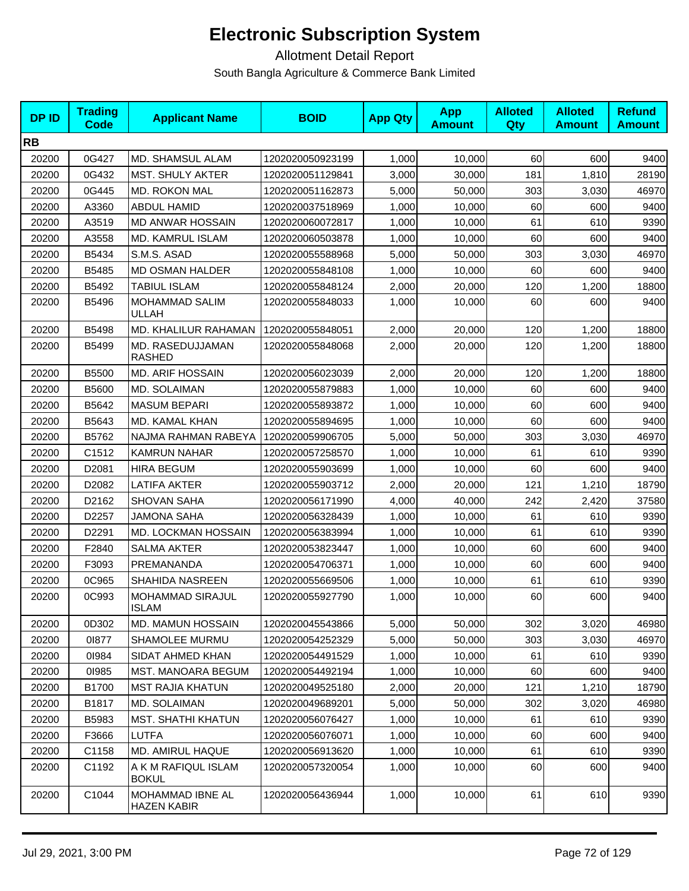| <b>DPID</b> | <b>Trading</b><br><b>Code</b> | <b>Applicant Name</b>                   | <b>BOID</b>      | <b>App Qty</b> | <b>App</b><br><b>Amount</b> | <b>Alloted</b><br>Qty | <b>Alloted</b><br><b>Amount</b> | <b>Refund</b><br><b>Amount</b> |
|-------------|-------------------------------|-----------------------------------------|------------------|----------------|-----------------------------|-----------------------|---------------------------------|--------------------------------|
| <b>RB</b>   |                               |                                         |                  |                |                             |                       |                                 |                                |
| 20200       | 0G427                         | MD. SHAMSUL ALAM                        | 1202020050923199 | 1,000          | 10,000                      | 60                    | 600                             | 9400                           |
| 20200       | 0G432                         | <b>MST. SHULY AKTER</b>                 | 1202020051129841 | 3,000          | 30,000                      | 181                   | 1,810                           | 28190                          |
| 20200       | 0G445                         | <b>MD. ROKON MAL</b>                    | 1202020051162873 | 5,000          | 50,000                      | 303                   | 3,030                           | 46970                          |
| 20200       | A3360                         | <b>ABDUL HAMID</b>                      | 1202020037518969 | 1,000          | 10,000                      | 60                    | 600                             | 9400                           |
| 20200       | A3519                         | <b>MD ANWAR HOSSAIN</b>                 | 1202020060072817 | 1,000          | 10,000                      | 61                    | 610                             | 9390                           |
| 20200       | A3558                         | MD. KAMRUL ISLAM                        | 1202020060503878 | 1,000          | 10,000                      | 60                    | 600                             | 9400                           |
| 20200       | B5434                         | S.M.S. ASAD                             | 1202020055588968 | 5,000          | 50,000                      | 303                   | 3,030                           | 46970                          |
| 20200       | B5485                         | <b>MD OSMAN HALDER</b>                  | 1202020055848108 | 1,000          | 10,000                      | 60                    | 600                             | 9400                           |
| 20200       | B5492                         | <b>TABIUL ISLAM</b>                     | 1202020055848124 | 2,000          | 20,000                      | 120                   | 1,200                           | 18800                          |
| 20200       | B5496                         | MOHAMMAD SALIM<br>ULLAH                 | 1202020055848033 | 1,000          | 10,000                      | 60                    | 600                             | 9400                           |
| 20200       | B5498                         | MD. KHALILUR RAHAMAN                    | 1202020055848051 | 2,000          | 20,000                      | 120                   | 1,200                           | 18800                          |
| 20200       | <b>B5499</b>                  | MD. RASEDUJJAMAN<br><b>RASHED</b>       | 1202020055848068 | 2,000          | 20,000                      | 120                   | 1,200                           | 18800                          |
| 20200       | B5500                         | <b>MD. ARIF HOSSAIN</b>                 | 1202020056023039 | 2,000          | 20,000                      | 120                   | 1,200                           | 18800                          |
| 20200       | B5600                         | <b>MD. SOLAIMAN</b>                     | 1202020055879883 | 1,000          | 10,000                      | 60                    | 600                             | 9400                           |
| 20200       | B5642                         | <b>MASUM BEPARI</b>                     | 1202020055893872 | 1,000          | 10,000                      | 60                    | 600                             | 9400                           |
| 20200       | B5643                         | MD. KAMAL KHAN                          | 1202020055894695 | 1,000          | 10,000                      | 60                    | 600                             | 9400                           |
| 20200       | B5762                         | NAJMA RAHMAN RABEYA                     | 1202020059906705 | 5,000          | 50,000                      | 303                   | 3,030                           | 46970                          |
| 20200       | C1512                         | KAMRUN NAHAR                            | 1202020057258570 | 1,000          | 10,000                      | 61                    | 610                             | 9390                           |
| 20200       | D2081                         | HIRA BEGUM                              | 1202020055903699 | 1,000          | 10,000                      | 60                    | 600                             | 9400                           |
| 20200       | D2082                         | <b>LATIFA AKTER</b>                     | 1202020055903712 | 2,000          | 20,000                      | 121                   | 1,210                           | 18790                          |
| 20200       | D2162                         | <b>SHOVAN SAHA</b>                      | 1202020056171990 | 4,000          | 40,000                      | 242                   | 2,420                           | 37580                          |
| 20200       | D2257                         | <b>JAMONA SAHA</b>                      | 1202020056328439 | 1,000          | 10,000                      | 61                    | 610                             | 9390                           |
| 20200       | D2291                         | MD. LOCKMAN HOSSAIN                     | 1202020056383994 | 1,000          | 10,000                      | 61                    | 610                             | 9390                           |
| 20200       | F2840                         | SALMA AKTER                             | 1202020053823447 | 1,000          | 10,000                      | 60                    | 600                             | 9400                           |
| 20200       | F3093                         | PREMANANDA                              | 1202020054706371 | 1,000          | 10,000                      | 60                    | 600                             | 9400                           |
| 20200       | 0C965                         | SHAHIDA NASREEN                         | 1202020055669506 | 1,000          | 10,000                      | 61                    | 610                             | 9390                           |
| 20200       | 0C993                         | <b>MOHAMMAD SIRAJUL</b><br><b>ISLAM</b> | 1202020055927790 | 1,000          | 10,000                      | 60                    | 600                             | 9400                           |
| 20200       | 0D302                         | MD. MAMUN HOSSAIN                       | 1202020045543866 | 5,000          | 50,000                      | 302                   | 3,020                           | 46980                          |
| 20200       | 01877                         | <b>SHAMOLEE MURMU</b>                   | 1202020054252329 | 5,000          | 50,000                      | 303                   | 3,030                           | 46970                          |
| 20200       | 01984                         | SIDAT AHMED KHAN                        | 1202020054491529 | 1,000          | 10,000                      | 61                    | 610                             | 9390                           |
| 20200       | 01985                         | <b>MST. MANOARA BEGUM</b>               | 1202020054492194 | 1,000          | 10,000                      | 60                    | 600                             | 9400                           |
| 20200       | B1700                         | <b>MST RAJIA KHATUN</b>                 | 1202020049525180 | 2,000          | 20,000                      | 121                   | 1,210                           | 18790                          |
| 20200       | B1817                         | MD. SOLAIMAN                            | 1202020049689201 | 5,000          | 50,000                      | 302                   | 3,020                           | 46980                          |
| 20200       | B5983                         | <b>MST. SHATHI KHATUN</b>               | 1202020056076427 | 1,000          | 10,000                      | 61                    | 610                             | 9390                           |
| 20200       | F3666                         | <b>LUTFA</b>                            | 1202020056076071 | 1,000          | 10,000                      | 60                    | 600                             | 9400                           |
| 20200       | C1158                         | MD. AMIRUL HAQUE                        | 1202020056913620 | 1,000          | 10,000                      | 61                    | 610                             | 9390                           |
| 20200       | C1192                         | A K M RAFIQUL ISLAM<br><b>BOKUL</b>     | 1202020057320054 | 1,000          | 10,000                      | 60                    | 600                             | 9400                           |
| 20200       | C1044                         | MOHAMMAD IBNE AL<br>HAZEN KABIR         | 1202020056436944 | 1,000          | 10,000                      | 61                    | 610                             | 9390                           |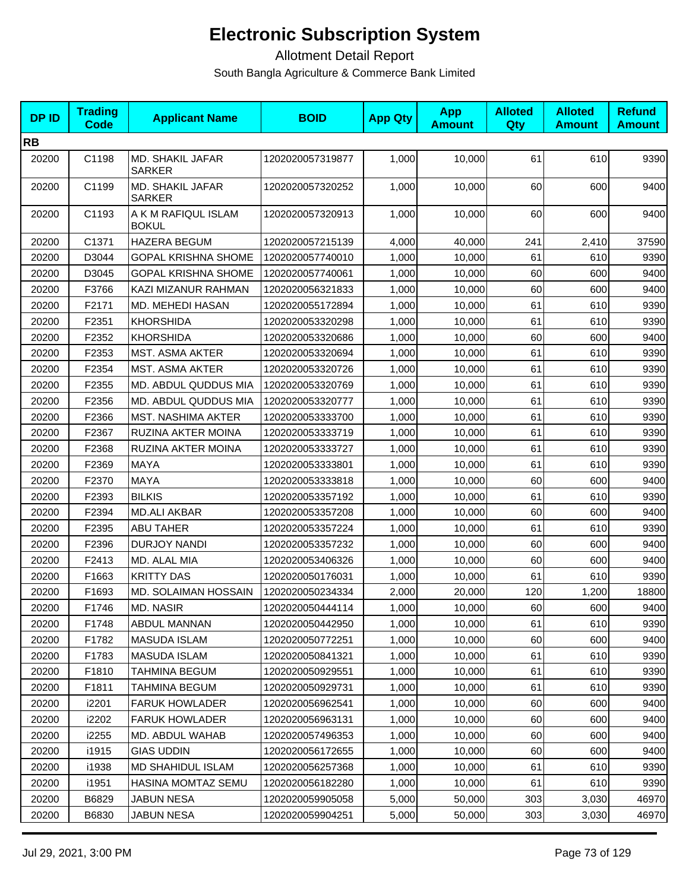| <b>DP ID</b> | <b>Trading</b><br><b>Code</b> | <b>Applicant Name</b>               | <b>BOID</b>      | <b>App Qty</b> | <b>App</b><br><b>Amount</b> | <b>Alloted</b><br>Qty | <b>Alloted</b><br><b>Amount</b> | <b>Refund</b><br><b>Amount</b> |
|--------------|-------------------------------|-------------------------------------|------------------|----------------|-----------------------------|-----------------------|---------------------------------|--------------------------------|
| <b>RB</b>    |                               |                                     |                  |                |                             |                       |                                 |                                |
| 20200        | C1198                         | MD. SHAKIL JAFAR<br><b>SARKER</b>   | 1202020057319877 | 1,000          | 10,000                      | 61                    | 610                             | 9390                           |
| 20200        | C1199                         | MD. SHAKIL JAFAR<br><b>SARKER</b>   | 1202020057320252 | 1,000          | 10,000                      | 60                    | 600                             | 9400                           |
| 20200        | C1193                         | A K M RAFIQUL ISLAM<br><b>BOKUL</b> | 1202020057320913 | 1,000          | 10,000                      | 60                    | 600                             | 9400                           |
| 20200        | C1371                         | <b>HAZERA BEGUM</b>                 | 1202020057215139 | 4,000          | 40,000                      | 241                   | 2,410                           | 37590                          |
| 20200        | D3044                         | <b>GOPAL KRISHNA SHOME</b>          | 1202020057740010 | 1,000          | 10,000                      | 61                    | 610                             | 9390                           |
| 20200        | D3045                         | <b>GOPAL KRISHNA SHOME</b>          | 1202020057740061 | 1,000          | 10,000                      | 60                    | 600                             | 9400                           |
| 20200        | F3766                         | KAZI MIZANUR RAHMAN                 | 1202020056321833 | 1,000          | 10,000                      | 60                    | 600                             | 9400                           |
| 20200        | F2171                         | MD. MEHEDI HASAN                    | 1202020055172894 | 1,000          | 10,000                      | 61                    | 610                             | 9390                           |
| 20200        | F2351                         | <b>KHORSHIDA</b>                    | 1202020053320298 | 1,000          | 10,000                      | 61                    | 610                             | 9390                           |
| 20200        | F2352                         | <b>KHORSHIDA</b>                    | 1202020053320686 | 1,000          | 10,000                      | 60                    | 600                             | 9400                           |
| 20200        | F2353                         | <b>MST. ASMA AKTER</b>              | 1202020053320694 | 1,000          | 10,000                      | 61                    | 610                             | 9390                           |
| 20200        | F2354                         | MST. ASMA AKTER                     | 1202020053320726 | 1,000          | 10,000                      | 61                    | 610                             | 9390                           |
| 20200        | F2355                         | MD. ABDUL QUDDUS MIA                | 1202020053320769 | 1,000          | 10,000                      | 61                    | 610                             | 9390                           |
| 20200        | F2356                         | MD. ABDUL QUDDUS MIA                | 1202020053320777 | 1,000          | 10,000                      | 61                    | 610                             | 9390                           |
| 20200        | F2366                         | <b>MST. NASHIMA AKTER</b>           | 1202020053333700 | 1,000          | 10,000                      | 61                    | 610                             | 9390                           |
| 20200        | F2367                         | RUZINA AKTER MOINA                  | 1202020053333719 | 1,000          | 10,000                      | 61                    | 610                             | 9390                           |
| 20200        | F2368                         | RUZINA AKTER MOINA                  | 1202020053333727 | 1,000          | 10,000                      | 61                    | 610                             | 9390                           |
| 20200        | F2369                         | <b>MAYA</b>                         | 1202020053333801 | 1,000          | 10,000                      | 61                    | 610                             | 9390                           |
| 20200        | F2370                         | MAYA                                | 1202020053333818 | 1,000          | 10,000                      | 60                    | 600                             | 9400                           |
| 20200        | F2393                         | <b>BILKIS</b>                       | 1202020053357192 | 1,000          | 10,000                      | 61                    | 610                             | 9390                           |
| 20200        | F2394                         | <b>MD.ALI AKBAR</b>                 | 1202020053357208 | 1,000          | 10,000                      | 60                    | 600                             | 9400                           |
| 20200        | F2395                         | <b>ABU TAHER</b>                    | 1202020053357224 | 1,000          | 10,000                      | 61                    | 610                             | 9390                           |
| 20200        | F2396                         | <b>DURJOY NANDI</b>                 | 1202020053357232 | 1,000          | 10,000                      | 60                    | 600                             | 9400                           |
| 20200        | F2413                         | MD. ALAL MIA                        | 1202020053406326 | 1,000          | 10,000                      | 60                    | 600                             | 9400                           |
| 20200        | F1663                         | <b>KRITTY DAS</b>                   | 1202020050176031 | 1,000          | 10,000                      | 61                    | 610                             | 9390                           |
| 20200        | F1693                         | MD. SOLAIMAN HOSSAIN                | 1202020050234334 | 2,000          | 20,000                      | 120                   | 1,200                           | 18800                          |
| 20200        | F1746                         | <b>MD. NASIR</b>                    | 1202020050444114 | 1,000          | 10,000                      | 60                    | 6001                            | 94001                          |
| 20200        | F1748                         | ABDUL MANNAN                        | 1202020050442950 | 1,000          | 10,000                      | 61                    | 610                             | 9390                           |
| 20200        | F1782                         | <b>MASUDA ISLAM</b>                 | 1202020050772251 | 1,000          | 10,000                      | 60                    | 600                             | 9400                           |
| 20200        | F1783                         | <b>MASUDA ISLAM</b>                 | 1202020050841321 | 1,000          | 10,000                      | 61                    | 610                             | 9390                           |
| 20200        | F1810                         | <b>TAHMINA BEGUM</b>                | 1202020050929551 | 1,000          | 10,000                      | 61                    | 610                             | 9390                           |
| 20200        | F1811                         | <b>TAHMINA BEGUM</b>                | 1202020050929731 | 1,000          | 10,000                      | 61                    | 610                             | 9390                           |
| 20200        | i2201                         | <b>FARUK HOWLADER</b>               | 1202020056962541 | 1,000          | 10.000                      | 60                    | 600                             | 9400                           |
| 20200        | i2202                         | <b>FARUK HOWLADER</b>               | 1202020056963131 | 1,000          | 10,000                      | 60                    | 600                             | 9400                           |
| 20200        | i2255                         | MD. ABDUL WAHAB                     | 1202020057496353 | 1,000          | 10,000                      | 60                    | 600                             | 9400                           |
| 20200        | i1915                         | <b>GIAS UDDIN</b>                   | 1202020056172655 | 1,000          | 10.000                      | 60                    | 600                             | 9400                           |
| 20200        | i1938                         | MD SHAHIDUL ISLAM                   | 1202020056257368 | 1,000          | 10,000                      | 61                    | 610                             | 9390                           |
| 20200        | i1951                         | <b>HASINA MOMTAZ SEMU</b>           | 1202020056182280 | 1,000          | 10,000                      | 61                    | 610                             | 9390                           |
| 20200        | B6829                         | <b>JABUN NESA</b>                   | 1202020059905058 | 5,000          | 50,000                      | 303                   | 3,030                           | 46970                          |
| 20200        | B6830                         | <b>JABUN NESA</b>                   | 1202020059904251 | 5,000          | 50,000                      | 303                   | 3,030                           | 46970                          |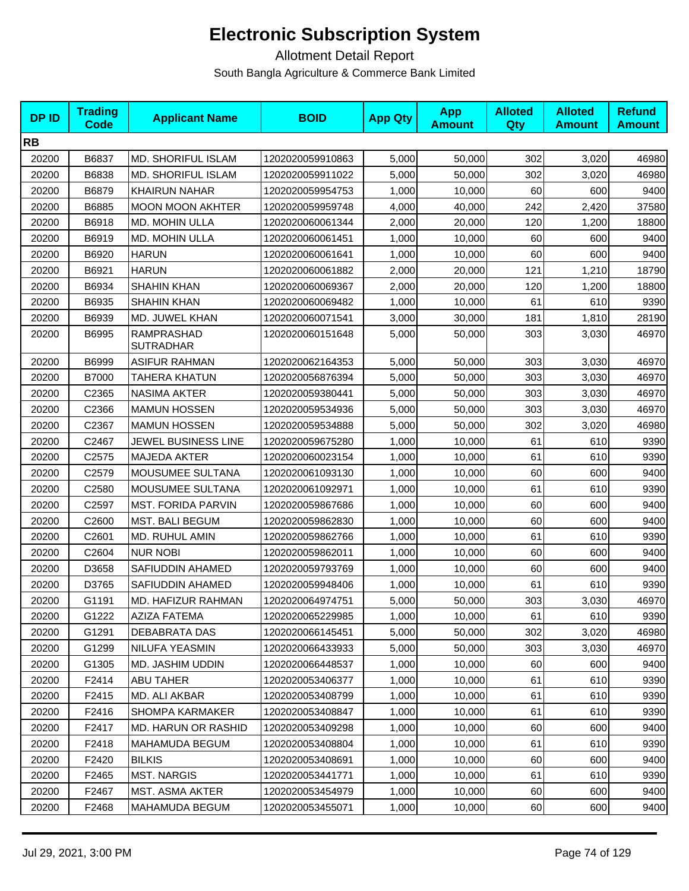| <b>DPID</b> | <b>Trading</b><br><b>Code</b> | <b>Applicant Name</b>          | <b>BOID</b>      | <b>App Qty</b> | <b>App</b><br><b>Amount</b> | <b>Alloted</b><br>Qty | <b>Alloted</b><br><b>Amount</b> | <b>Refund</b><br><b>Amount</b> |
|-------------|-------------------------------|--------------------------------|------------------|----------------|-----------------------------|-----------------------|---------------------------------|--------------------------------|
| <b>RB</b>   |                               |                                |                  |                |                             |                       |                                 |                                |
| 20200       | B6837                         | <b>MD. SHORIFUL ISLAM</b>      | 1202020059910863 | 5,000          | 50,000                      | 302                   | 3,020                           | 46980                          |
| 20200       | B6838                         | <b>MD. SHORIFUL ISLAM</b>      | 1202020059911022 | 5,000          | 50,000                      | 302                   | 3,020                           | 46980                          |
| 20200       | B6879                         | <b>KHAIRUN NAHAR</b>           | 1202020059954753 | 1,000          | 10,000                      | 60                    | 600                             | 9400                           |
| 20200       | B6885                         | <b>MOON MOON AKHTER</b>        | 1202020059959748 | 4,000          | 40,000                      | 242                   | 2,420                           | 37580                          |
| 20200       | B6918                         | MD. MOHIN ULLA                 | 1202020060061344 | 2,000          | 20,000                      | 120                   | 1,200                           | 18800                          |
| 20200       | B6919                         | MD. MOHIN ULLA                 | 1202020060061451 | 1,000          | 10,000                      | 60                    | 600                             | 9400                           |
| 20200       | B6920                         | <b>HARUN</b>                   | 1202020060061641 | 1,000          | 10,000                      | 60                    | 600                             | 9400                           |
| 20200       | B6921                         | <b>HARUN</b>                   | 1202020060061882 | 2,000          | 20,000                      | 121                   | 1,210                           | 18790                          |
| 20200       | B6934                         | SHAHIN KHAN                    | 1202020060069367 | 2,000          | 20,000                      | 120                   | 1,200                           | 18800                          |
| 20200       | B6935                         | <b>SHAHIN KHAN</b>             | 1202020060069482 | 1,000          | 10,000                      | 61                    | 610                             | 9390                           |
| 20200       | B6939                         | MD. JUWEL KHAN                 | 1202020060071541 | 3,000          | 30,000                      | 181                   | 1,810                           | 28190                          |
| 20200       | B6995                         | RAMPRASHAD<br><b>SUTRADHAR</b> | 1202020060151648 | 5,000          | 50,000                      | 303                   | 3,030                           | 46970                          |
| 20200       | B6999                         | <b>ASIFUR RAHMAN</b>           | 1202020062164353 | 5,000          | 50,000                      | 303                   | 3,030                           | 46970                          |
| 20200       | <b>B7000</b>                  | TAHERA KHATUN                  | 1202020056876394 | 5,000          | 50,000                      | 303                   | 3,030                           | 46970                          |
| 20200       | C2365                         | <b>NASIMA AKTER</b>            | 1202020059380441 | 5,000          | 50,000                      | 303                   | 3,030                           | 46970                          |
| 20200       | C2366                         | <b>MAMUN HOSSEN</b>            | 1202020059534936 | 5,000          | 50,000                      | 303                   | 3,030                           | 46970                          |
| 20200       | C2367                         | <b>MAMUN HOSSEN</b>            | 1202020059534888 | 5,000          | 50,000                      | 302                   | 3,020                           | 46980                          |
| 20200       | C2467                         | JEWEL BUSINESS LINE            | 1202020059675280 | 1,000          | 10,000                      | 61                    | 610                             | 9390                           |
| 20200       | C <sub>2575</sub>             | <b>MAJEDA AKTER</b>            | 1202020060023154 | 1,000          | 10,000                      | 61                    | 610                             | 9390                           |
| 20200       | C2579                         | <b>MOUSUMEE SULTANA</b>        | 1202020061093130 | 1,000          | 10,000                      | 60                    | 600                             | 9400                           |
| 20200       | C2580                         | MOUSUMEE SULTANA               | 1202020061092971 | 1,000          | 10,000                      | 61                    | 610                             | 9390                           |
| 20200       | C2597                         | <b>MST. FORIDA PARVIN</b>      | 1202020059867686 | 1,000          | 10,000                      | 60                    | 600                             | 9400                           |
| 20200       | C2600                         | MST. BALI BEGUM                | 1202020059862830 | 1,000          | 10,000                      | 60                    | 600                             | 9400                           |
| 20200       | C2601                         | MD. RUHUL AMIN                 | 1202020059862766 | 1,000          | 10,000                      | 61                    | 610                             | 9390                           |
| 20200       | C2604                         | <b>NUR NOBI</b>                | 1202020059862011 | 1,000          | 10,000                      | 60                    | 600                             | 9400                           |
| 20200       | D3658                         | SAFIUDDIN AHAMED               | 1202020059793769 | 1,000          | 10,000                      | 60                    | 600                             | 9400                           |
| 20200       | D3765                         | SAFIUDDIN AHAMED               | 1202020059948406 | 1,000          | 10,000                      | 61                    | 610                             | 9390                           |
| 20200       | G1191                         | MD. HAFIZUR RAHMAN             | 1202020064974751 | 5,000          | 50,000                      | 303                   | 3,030                           | 46970                          |
| 20200       | G1222                         | <b>AZIZA FATEMA</b>            | 1202020065229985 | 1,000          | 10,000                      | 61                    | 610                             | 9390                           |
| 20200       | G1291                         | DEBABRATA DAS                  | 1202020066145451 | 5,000          | 50,000                      | 302                   | 3,020                           | 46980                          |
| 20200       | G1299                         | NILUFA YEASMIN                 | 1202020066433933 | 5,000          | 50,000                      | 303                   | 3,030                           | 46970                          |
| 20200       | G1305                         | MD. JASHIM UDDIN               | 1202020066448537 | 1,000          | 10.000                      | 60                    | 600                             | 9400                           |
| 20200       | F2414                         | <b>ABU TAHER</b>               | 1202020053406377 | 1,000          | 10,000                      | 61                    | 610                             | 9390                           |
| 20200       | F2415                         | MD. ALI AKBAR                  | 1202020053408799 | 1,000          | 10,000                      | 61                    | 610                             | 9390                           |
| 20200       | F2416                         | <b>SHOMPA KARMAKER</b>         | 1202020053408847 | 1,000          | 10,000                      | 61                    | 610                             | 9390                           |
| 20200       | F2417                         | MD. HARUN OR RASHID            | 1202020053409298 | 1,000          | 10,000                      | 60                    | 600                             | 9400                           |
| 20200       | F2418                         | MAHAMUDA BEGUM                 | 1202020053408804 | 1,000          | 10,000                      | 61                    | 610                             | 9390                           |
| 20200       | F2420                         | <b>BILKIS</b>                  | 1202020053408691 | 1,000          | 10,000                      | 60                    | 600                             | 9400                           |
| 20200       | F2465                         | <b>MST. NARGIS</b>             | 1202020053441771 | 1,000          | 10,000                      | 61                    | 610                             | 9390                           |
| 20200       | F2467                         | MST. ASMA AKTER                | 1202020053454979 | 1,000          | 10,000                      | 60                    | 600                             | 9400                           |
| 20200       | F2468                         | MAHAMUDA BEGUM                 | 1202020053455071 | 1,000          | 10,000                      | 60                    | 600                             | 9400                           |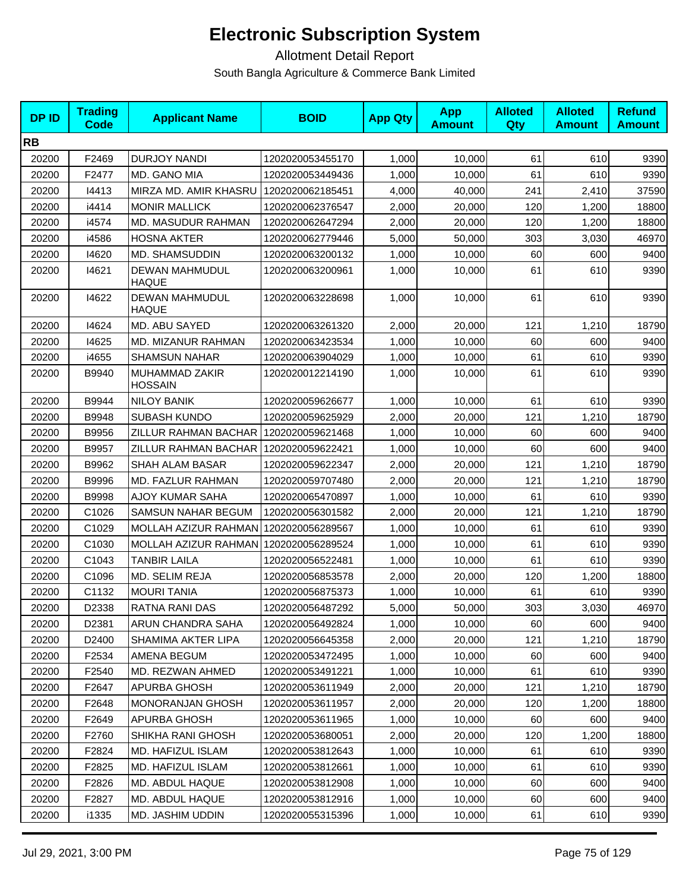| <b>DPID</b> | <b>Trading</b><br><b>Code</b> | <b>Applicant Name</b>                 | <b>BOID</b>      | <b>App Qty</b> | <b>App</b><br><b>Amount</b> | <b>Alloted</b><br>Qty | <b>Alloted</b><br><b>Amount</b> | <b>Refund</b><br><b>Amount</b> |
|-------------|-------------------------------|---------------------------------------|------------------|----------------|-----------------------------|-----------------------|---------------------------------|--------------------------------|
| <b>RB</b>   |                               |                                       |                  |                |                             |                       |                                 |                                |
| 20200       | F2469                         | <b>DURJOY NANDI</b>                   | 1202020053455170 | 1,000          | 10,000                      | 61                    | 610                             | 9390                           |
| 20200       | F2477                         | MD. GANO MIA                          | 1202020053449436 | 1,000          | 10,000                      | 61                    | 610                             | 9390                           |
| 20200       | 14413                         | MIRZA MD. AMIR KHASRU                 | 1202020062185451 | 4,000          | 40,000                      | 241                   | 2,410                           | 37590                          |
| 20200       | i4414                         | <b>MONIR MALLICK</b>                  | 1202020062376547 | 2,000          | 20,000                      | 120                   | 1,200                           | 18800                          |
| 20200       | i4574                         | MD. MASUDUR RAHMAN                    | 1202020062647294 | 2,000          | 20,000                      | 120                   | 1,200                           | 18800                          |
| 20200       | i4586                         | <b>HOSNA AKTER</b>                    | 1202020062779446 | 5,000          | 50,000                      | 303                   | 3,030                           | 46970                          |
| 20200       | 14620                         | MD. SHAMSUDDIN                        | 1202020063200132 | 1,000          | 10,000                      | 60                    | 600                             | 9400                           |
| 20200       | 14621                         | <b>DEWAN MAHMUDUL</b><br><b>HAQUE</b> | 1202020063200961 | 1,000          | 10,000                      | 61                    | 610                             | 9390                           |
| 20200       | 14622                         | DEWAN MAHMUDUL<br><b>HAQUE</b>        | 1202020063228698 | 1,000          | 10,000                      | 61                    | 610                             | 9390                           |
| 20200       | 14624                         | MD. ABU SAYED                         | 1202020063261320 | 2,000          | 20,000                      | 121                   | 1,210                           | 18790                          |
| 20200       | 14625                         | MD. MIZANUR RAHMAN                    | 1202020063423534 | 1,000          | 10,000                      | 60                    | 600                             | 9400                           |
| 20200       | i4655                         | <b>SHAMSUN NAHAR</b>                  | 1202020063904029 | 1,000          | 10,000                      | 61                    | 610                             | 9390                           |
| 20200       | B9940                         | MUHAMMAD ZAKIR<br><b>HOSSAIN</b>      | 1202020012214190 | 1,000          | 10,000                      | 61                    | 610                             | 9390                           |
| 20200       | B9944                         | <b>NILOY BANIK</b>                    | 1202020059626677 | 1,000          | 10,000                      | 61                    | 610                             | 9390                           |
| 20200       | B9948                         | <b>SUBASH KUNDO</b>                   | 1202020059625929 | 2,000          | 20,000                      | 121                   | 1,210                           | 18790                          |
| 20200       | B9956                         | ZILLUR RAHMAN BACHAR                  | 1202020059621468 | 1,000          | 10,000                      | 60                    | 600                             | 9400                           |
| 20200       | B9957                         | ZILLUR RAHMAN BACHAR                  | 1202020059622421 | 1,000          | 10,000                      | 60                    | 600                             | 9400                           |
| 20200       | B9962                         | SHAH ALAM BASAR                       | 1202020059622347 | 2,000          | 20,000                      | 121                   | 1,210                           | 18790                          |
| 20200       | B9996                         | <b>MD. FAZLUR RAHMAN</b>              | 1202020059707480 | 2,000          | 20,000                      | 121                   | 1,210                           | 18790                          |
| 20200       | B9998                         | <b>AJOY KUMAR SAHA</b>                | 1202020065470897 | 1,000          | 10,000                      | 61                    | 610                             | 9390                           |
| 20200       | C1026                         | SAMSUN NAHAR BEGUM                    | 1202020056301582 | 2,000          | 20,000                      | 121                   | 1,210                           | 18790                          |
| 20200       | C1029                         | MOLLAH AZIZUR RAHMAN                  | 1202020056289567 | 1,000          | 10,000                      | 61                    | 610                             | 9390                           |
| 20200       | C1030                         | MOLLAH AZIZUR RAHMAN                  | 1202020056289524 | 1,000          | 10,000                      | 61                    | 610                             | 9390                           |
| 20200       | C1043                         | <b>TANBIR LAILA</b>                   | 1202020056522481 | 1,000          | 10,000                      | 61                    | 610                             | 9390                           |
| 20200       | C1096                         | MD. SELIM REJA                        | 1202020056853578 | 2,000          | 20,000                      | 120                   | 1,200                           | 18800                          |
| 20200       | C1132                         | <b>MOURI TANIA</b>                    | 1202020056875373 | 1,000          | 10,000                      | 61                    | 610                             | 9390                           |
| 20200       | D2338                         | RATNA RANI DAS                        | 1202020056487292 | 5,000          | 50,000                      | 303                   | 3,030                           | 46970                          |
| 20200       | D <sub>2381</sub>             | ARUN CHANDRA SAHA                     | 1202020056492824 | 1,000          | 10,000                      | 60                    | 600                             | 9400                           |
| 20200       | D2400                         | SHAMIMA AKTER LIPA                    | 1202020056645358 | 2,000          | 20,000                      | 121                   | 1,210                           | 18790                          |
| 20200       | F2534                         | AMENA BEGUM                           | 1202020053472495 | 1,000          | 10,000                      | 60                    | 600                             | 9400                           |
| 20200       | F2540                         | MD. REZWAN AHMED                      | 1202020053491221 | 1,000          | 10,000                      | 61                    | 610                             | 9390                           |
| 20200       | F2647                         | APURBA GHOSH                          | 1202020053611949 | 2,000          | 20,000                      | 121                   | 1,210                           | 18790                          |
| 20200       | F2648                         | <b>MONORANJAN GHOSH</b>               | 1202020053611957 | 2,000          | 20,000                      | 120                   | 1,200                           | 18800                          |
| 20200       | F2649                         | APURBA GHOSH                          | 1202020053611965 | 1,000          | 10,000                      | 60                    | 600                             | 9400                           |
| 20200       | F2760                         | SHIKHA RANI GHOSH                     | 1202020053680051 | 2,000          | 20,000                      | 120                   | 1,200                           | 18800                          |
| 20200       | F2824                         | MD. HAFIZUL ISLAM                     | 1202020053812643 | 1,000          | 10,000                      | 61                    | 610                             | 9390                           |
| 20200       | F2825                         | MD. HAFIZUL ISLAM                     | 1202020053812661 | 1,000          | 10,000                      | 61                    | 610                             | 9390                           |
| 20200       | F2826                         | MD. ABDUL HAQUE                       | 1202020053812908 | 1,000          | 10,000                      | 60                    | 600                             | 9400                           |
| 20200       | F2827                         | MD. ABDUL HAQUE                       | 1202020053812916 | 1,000          | 10,000                      | 60                    | 600                             | 9400                           |
| 20200       | i1335                         | MD. JASHIM UDDIN                      | 1202020055315396 | 1,000          | 10,000                      | 61                    | 610                             | 9390                           |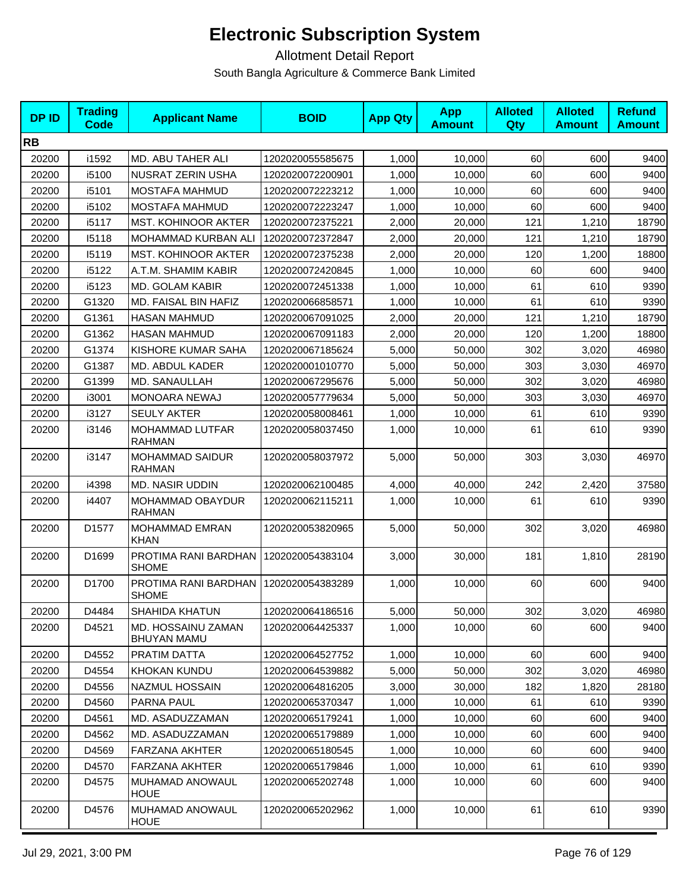| <b>DPID</b> | <b>Trading</b><br>Code | <b>Applicant Name</b>                    | <b>BOID</b>      | <b>App Qty</b> | <b>App</b><br><b>Amount</b> | <b>Alloted</b><br>Qty | <b>Alloted</b><br><b>Amount</b> | <b>Refund</b><br><b>Amount</b> |
|-------------|------------------------|------------------------------------------|------------------|----------------|-----------------------------|-----------------------|---------------------------------|--------------------------------|
| <b>RB</b>   |                        |                                          |                  |                |                             |                       |                                 |                                |
| 20200       | i1592                  | MD. ABU TAHER ALI                        | 1202020055585675 | 1,000          | 10,000                      | 60                    | 600                             | 9400                           |
| 20200       | i5100                  | NUSRAT ZERIN USHA                        | 1202020072200901 | 1,000          | 10,000                      | 60                    | 600                             | 9400                           |
| 20200       | i5101                  | MOSTAFA MAHMUD                           | 1202020072223212 | 1,000          | 10,000                      | 60                    | 600                             | 9400                           |
| 20200       | i5102                  | <b>MOSTAFA MAHMUD</b>                    | 1202020072223247 | 1,000          | 10,000                      | 60                    | 600                             | 9400                           |
| 20200       | i5117                  | <b>MST. KOHINOOR AKTER</b>               | 1202020072375221 | 2,000          | 20,000                      | 121                   | 1,210                           | 18790                          |
| 20200       | 15118                  | MOHAMMAD KURBAN ALI                      | 1202020072372847 | 2,000          | 20,000                      | 121                   | 1,210                           | 18790                          |
| 20200       | 15119                  | <b>MST. KOHINOOR AKTER</b>               | 1202020072375238 | 2,000          | 20,000                      | 120                   | 1,200                           | 18800                          |
| 20200       | i5122                  | A.T.M. SHAMIM KABIR                      | 1202020072420845 | 1,000          | 10,000                      | 60                    | 600                             | 9400                           |
| 20200       | i5123                  | <b>MD. GOLAM KABIR</b>                   | 1202020072451338 | 1,000          | 10,000                      | 61                    | 610                             | 9390                           |
| 20200       | G1320                  | MD. FAISAL BIN HAFIZ                     | 1202020066858571 | 1,000          | 10,000                      | 61                    | 610                             | 9390                           |
| 20200       | G1361                  | <b>HASAN MAHMUD</b>                      | 1202020067091025 | 2,000          | 20,000                      | 121                   | 1,210                           | 18790                          |
| 20200       | G1362                  | <b>HASAN MAHMUD</b>                      | 1202020067091183 | 2,000          | 20,000                      | 120                   | 1,200                           | 18800                          |
| 20200       | G1374                  | KISHORE KUMAR SAHA                       | 1202020067185624 | 5,000          | 50,000                      | 302                   | 3,020                           | 46980                          |
| 20200       | G1387                  | MD. ABDUL KADER                          | 1202020001010770 | 5,000          | 50,000                      | 303                   | 3,030                           | 46970                          |
| 20200       | G1399                  | MD. SANAULLAH                            | 1202020067295676 | 5,000          | 50,000                      | 302                   | 3,020                           | 46980                          |
| 20200       | i3001                  | <b>MONOARA NEWAJ</b>                     | 1202020057779634 | 5,000          | 50,000                      | 303                   | 3,030                           | 46970                          |
| 20200       | i3127                  | <b>SEULY AKTER</b>                       | 1202020058008461 | 1,000          | 10,000                      | 61                    | 610                             | 9390                           |
| 20200       | i3146                  | MOHAMMAD LUTFAR<br><b>RAHMAN</b>         | 1202020058037450 | 1,000          | 10,000                      | 61                    | 610                             | 9390                           |
| 20200       | i3147                  | <b>MOHAMMAD SAIDUR</b><br><b>RAHMAN</b>  | 1202020058037972 | 5,000          | 50,000                      | 303                   | 3,030                           | 46970                          |
| 20200       | i4398                  | <b>MD. NASIR UDDIN</b>                   | 1202020062100485 | 4,000          | 40,000                      | 242                   | 2,420                           | 37580                          |
| 20200       | i4407                  | MOHAMMAD OBAYDUR<br><b>RAHMAN</b>        | 1202020062115211 | 1,000          | 10,000                      | 61                    | 610                             | 9390                           |
| 20200       | D1577                  | <b>MOHAMMAD EMRAN</b><br><b>KHAN</b>     | 1202020053820965 | 5,000          | 50,000                      | 302                   | 3,020                           | 46980                          |
| 20200       | D1699                  | PROTIMA RANI BARDHAN<br><b>SHOME</b>     | 1202020054383104 | 3,000          | 30,000                      | 181                   | 1,810                           | 28190                          |
| 20200       | D1700                  | PROTIMA RANI BARDHAN<br><b>SHOME</b>     | 1202020054383289 | 1,000          | 10,000                      | 60                    | 600                             | 9400                           |
| 20200       | D4484                  | <b>SHAHIDA KHATUN</b>                    | 1202020064186516 | 5,000          | 50,000                      | 302                   | 3,020                           | 46980                          |
| 20200       | D4521                  | MD. HOSSAINU ZAMAN<br><b>BHUYAN MAMU</b> | 1202020064425337 | 1,000          | 10,000                      | 60                    | 600                             | 9400                           |
| 20200       | D4552                  | PRATIM DATTA                             | 1202020064527752 | 1,000          | 10,000                      | 60                    | 600                             | 9400                           |
| 20200       | D4554                  | KHOKAN KUNDU                             | 1202020064539882 | 5,000          | 50.000                      | 302                   | 3,020                           | 46980                          |
| 20200       | D4556                  | NAZMUL HOSSAIN                           | 1202020064816205 | 3,000          | 30,000                      | 182                   | 1,820                           | 28180                          |
| 20200       | D4560                  | PARNA PAUL                               | 1202020065370347 | 1,000          | 10,000                      | 61                    | 610                             | 9390                           |
| 20200       | D4561                  | MD. ASADUZZAMAN                          | 1202020065179241 | 1,000          | 10,000                      | 60                    | 600                             | 9400                           |
| 20200       | D4562                  | MD. ASADUZZAMAN                          | 1202020065179889 | 1,000          | 10,000                      | 60                    | 600                             | 9400                           |
| 20200       | D4569                  | <b>FARZANA AKHTER</b>                    | 1202020065180545 | 1,000          | 10,000                      | 60                    | 600                             | 9400                           |
| 20200       | D4570                  | <b>FARZANA AKHTER</b>                    | 1202020065179846 | 1,000          | 10,000                      | 61                    | 610                             | 9390                           |
| 20200       | D4575                  | MUHAMAD ANOWAUL<br><b>HOUE</b>           | 1202020065202748 | 1,000          | 10,000                      | 60                    | 600                             | 9400                           |
| 20200       | D4576                  | MUHAMAD ANOWAUL<br><b>HOUE</b>           | 1202020065202962 | 1,000          | 10,000                      | 61                    | 610                             | 9390                           |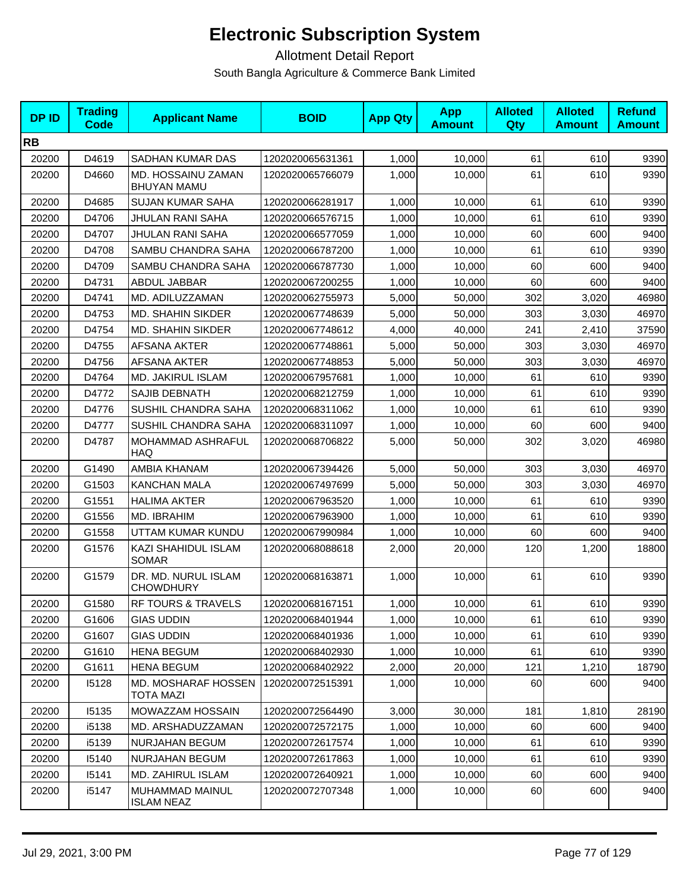| <b>DPID</b> | <b>Trading</b><br>Code | <b>Applicant Name</b>                    | <b>BOID</b>      | <b>App Qty</b> | <b>App</b><br><b>Amount</b> | <b>Alloted</b><br><b>Qty</b> | <b>Alloted</b><br><b>Amount</b> | <b>Refund</b><br><b>Amount</b> |
|-------------|------------------------|------------------------------------------|------------------|----------------|-----------------------------|------------------------------|---------------------------------|--------------------------------|
| <b>RB</b>   |                        |                                          |                  |                |                             |                              |                                 |                                |
| 20200       | D4619                  | SADHAN KUMAR DAS                         | 1202020065631361 | 1,000          | 10,000                      | 61                           | 610                             | 9390                           |
| 20200       | D4660                  | MD. HOSSAINU ZAMAN<br><b>BHUYAN MAMU</b> | 1202020065766079 | 1,000          | 10,000                      | 61                           | 610                             | 9390                           |
| 20200       | D4685                  | <b>SUJAN KUMAR SAHA</b>                  | 1202020066281917 | 1,000          | 10,000                      | 61                           | 610                             | 9390                           |
| 20200       | D4706                  | JHULAN RANI SAHA                         | 1202020066576715 | 1,000          | 10.000                      | 61                           | 610                             | 9390                           |
| 20200       | D4707                  | JHULAN RANI SAHA                         | 1202020066577059 | 1,000          | 10,000                      | 60                           | 600                             | 9400                           |
| 20200       | D4708                  | SAMBU CHANDRA SAHA                       | 1202020066787200 | 1,000          | 10,000                      | 61                           | 610                             | 9390                           |
| 20200       | D4709                  | SAMBU CHANDRA SAHA                       | 1202020066787730 | 1,000          | 10,000                      | 60                           | 600                             | 9400                           |
| 20200       | D4731                  | ABDUL JABBAR                             | 1202020067200255 | 1,000          | 10,000                      | 60                           | 600                             | 9400                           |
| 20200       | D4741                  | MD. ADILUZZAMAN                          | 1202020062755973 | 5,000          | 50,000                      | 302                          | 3,020                           | 46980                          |
| 20200       | D4753                  | MD. SHAHIN SIKDER                        | 1202020067748639 | 5,000          | 50,000                      | 303                          | 3,030                           | 46970                          |
| 20200       | D4754                  | <b>MD. SHAHIN SIKDER</b>                 | 1202020067748612 | 4,000          | 40.000                      | 241                          | 2,410                           | 37590                          |
| 20200       | D4755                  | AFSANA AKTER                             | 1202020067748861 | 5,000          | 50,000                      | 303                          | 3,030                           | 46970                          |
| 20200       | D4756                  | <b>AFSANA AKTER</b>                      | 1202020067748853 | 5,000          | 50,000                      | 303                          | 3,030                           | 46970                          |
| 20200       | D4764                  | MD. JAKIRUL ISLAM                        | 1202020067957681 | 1,000          | 10,000                      | 61                           | 610                             | 9390                           |
| 20200       | D4772                  | SAJIB DEBNATH                            | 1202020068212759 | 1,000          | 10,000                      | 61                           | 610                             | 9390                           |
| 20200       | D4776                  | SUSHIL CHANDRA SAHA                      | 1202020068311062 | 1,000          | 10.000                      | 61                           | 610                             | 9390                           |
| 20200       | D4777                  | SUSHIL CHANDRA SAHA                      | 1202020068311097 | 1,000          | 10,000                      | 60                           | 600                             | 9400                           |
| 20200       | D4787                  | MOHAMMAD ASHRAFUL<br><b>HAQ</b>          | 1202020068706822 | 5,000          | 50,000                      | 302                          | 3,020                           | 46980                          |
| 20200       | G1490                  | AMBIA KHANAM                             | 1202020067394426 | 5,000          | 50,000                      | 303                          | 3,030                           | 46970                          |
| 20200       | G1503                  | <b>KANCHAN MALA</b>                      | 1202020067497699 | 5,000          | 50,000                      | 303                          | 3,030                           | 46970                          |
| 20200       | G1551                  | <b>HALIMA AKTER</b>                      | 1202020067963520 | 1,000          | 10,000                      | 61                           | 610                             | 9390                           |
| 20200       | G1556                  | MD. IBRAHIM                              | 1202020067963900 | 1,000          | 10,000                      | 61                           | 610                             | 9390                           |
| 20200       | G1558                  | UTTAM KUMAR KUNDU                        | 1202020067990984 | 1,000          | 10,000                      | 60                           | 600                             | 9400                           |
| 20200       | G1576                  | KAZI SHAHIDUL ISLAM<br><b>SOMAR</b>      | 1202020068088618 | 2,000          | 20,000                      | 120                          | 1,200                           | 18800                          |
| 20200       | G1579                  | DR. MD. NURUL ISLAM<br><b>CHOWDHURY</b>  | 1202020068163871 | 1,000          | 10,000                      | 61                           | 610                             | 9390                           |
| 20200       | G1580                  | RF TOURS & TRAVELS                       | 1202020068167151 | 1,000          | 10,000                      | 61                           | 610                             | 9390                           |
| 20200       | G1606                  | <b>GIAS UDDIN</b>                        | 1202020068401944 | 1,000          | 10,000                      | 61                           | 610                             | 9390                           |
| 20200       | G1607                  | <b>GIAS UDDIN</b>                        | 1202020068401936 | 1,000          | 10,000                      | 61                           | 610                             | 9390                           |
| 20200       | G1610                  | <b>HENA BEGUM</b>                        | 1202020068402930 | 1,000          | 10,000                      | 61                           | 610                             | 9390                           |
| 20200       | G1611                  | <b>HENA BEGUM</b>                        | 1202020068402922 | 2,000          | 20,000                      | 121                          | 1,210                           | 18790                          |
| 20200       | 15128                  | MD. MOSHARAF HOSSEN<br>TOTA MAZI         | 1202020072515391 | 1,000          | 10,000                      | 60                           | 600                             | 9400                           |
| 20200       | 15135                  | MOWAZZAM HOSSAIN                         | 1202020072564490 | 3,000          | 30,000                      | 181                          | 1,810                           | 28190                          |
| 20200       | i5138                  | MD. ARSHADUZZAMAN                        | 1202020072572175 | 1,000          | 10,000                      | 60                           | 600                             | 9400                           |
| 20200       | i5139                  | NURJAHAN BEGUM                           | 1202020072617574 | 1,000          | 10,000                      | 61                           | 610                             | 9390                           |
| 20200       | 15140                  | <b>NURJAHAN BEGUM</b>                    | 1202020072617863 | 1,000          | 10,000                      | 61                           | 610                             | 9390                           |
| 20200       | 15141                  | MD. ZAHIRUL ISLAM                        | 1202020072640921 | 1,000          | 10,000                      | 60                           | 600                             | 9400                           |
| 20200       | i5147                  | MUHAMMAD MAINUL<br><b>ISLAM NEAZ</b>     | 1202020072707348 | 1,000          | 10,000                      | 60                           | 600                             | 9400                           |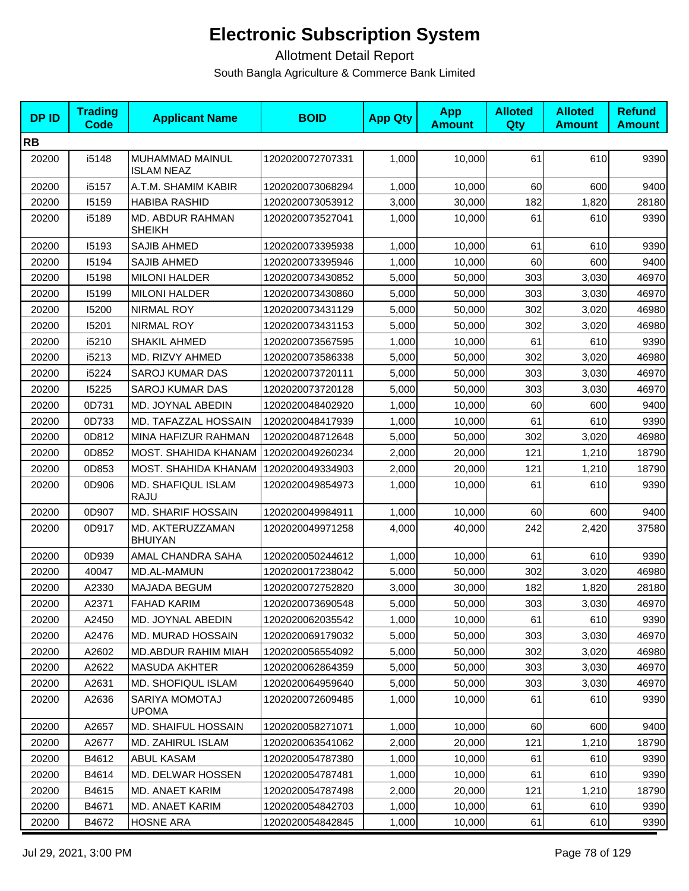| <b>DPID</b> | <b>Trading</b><br><b>Code</b> | <b>Applicant Name</b>                | <b>BOID</b>      | <b>App Qty</b> | <b>App</b><br><b>Amount</b> | <b>Alloted</b><br><b>Qty</b> | <b>Alloted</b><br><b>Amount</b> | <b>Refund</b><br><b>Amount</b> |
|-------------|-------------------------------|--------------------------------------|------------------|----------------|-----------------------------|------------------------------|---------------------------------|--------------------------------|
| <b>RB</b>   |                               |                                      |                  |                |                             |                              |                                 |                                |
| 20200       | i5148                         | MUHAMMAD MAINUL<br><b>ISLAM NEAZ</b> | 1202020072707331 | 1,000          | 10,000                      | 61                           | 610                             | 9390                           |
| 20200       | i5157                         | A.T.M. SHAMIM KABIR                  | 1202020073068294 | 1,000          | 10,000                      | 60                           | 600                             | 9400                           |
| 20200       | 15159                         | <b>HABIBA RASHID</b>                 | 1202020073053912 | 3,000          | 30,000                      | 182                          | 1,820                           | 28180                          |
| 20200       | i5189                         | MD. ABDUR RAHMAN<br><b>SHEIKH</b>    | 1202020073527041 | 1,000          | 10,000                      | 61                           | 610                             | 9390                           |
| 20200       | 15193                         | SAJIB AHMED                          | 1202020073395938 | 1,000          | 10,000                      | 61                           | 610                             | 9390                           |
| 20200       | 15194                         | SAJIB AHMED                          | 1202020073395946 | 1,000          | 10,000                      | 60                           | 600                             | 9400                           |
| 20200       | 15198                         | <b>MILONI HALDER</b>                 | 1202020073430852 | 5,000          | 50,000                      | 303                          | 3,030                           | 46970                          |
| 20200       | 15199                         | <b>MILONI HALDER</b>                 | 1202020073430860 | 5,000          | 50,000                      | 303                          | 3,030                           | 46970                          |
| 20200       | 15200                         | NIRMAL ROY                           | 1202020073431129 | 5,000          | 50,000                      | 302                          | 3,020                           | 46980                          |
| 20200       | 15201                         | <b>NIRMAL ROY</b>                    | 1202020073431153 | 5,000          | 50,000                      | 302                          | 3,020                           | 46980                          |
| 20200       | i5210                         | <b>SHAKIL AHMED</b>                  | 1202020073567595 | 1,000          | 10,000                      | 61                           | 610                             | 9390                           |
| 20200       | i5213                         | MD. RIZVY AHMED                      | 1202020073586338 | 5,000          | 50,000                      | 302                          | 3,020                           | 46980                          |
| 20200       | i5224                         | <b>SAROJ KUMAR DAS</b>               | 1202020073720111 | 5,000          | 50,000                      | 303                          | 3.030                           | 46970                          |
| 20200       | 15225                         | <b>SAROJ KUMAR DAS</b>               | 1202020073720128 | 5,000          | 50,000                      | 303                          | 3,030                           | 46970                          |
| 20200       | 0D731                         | MD. JOYNAL ABEDIN                    | 1202020048402920 | 1,000          | 10,000                      | 60                           | 600                             | 9400                           |
| 20200       | 0D733                         | MD. TAFAZZAL HOSSAIN                 | 1202020048417939 | 1,000          | 10,000                      | 61                           | 610                             | 9390                           |
| 20200       | 0D812                         | MINA HAFIZUR RAHMAN                  | 1202020048712648 | 5,000          | 50,000                      | 302                          | 3,020                           | 46980                          |
| 20200       | 0D852                         | MOST. SHAHIDA KHANAM                 | 1202020049260234 | 2,000          | 20,000                      | 121                          | 1,210                           | 18790                          |
| 20200       | 0D853                         | MOST. SHAHIDA KHANAM                 | 1202020049334903 | 2,000          | 20,000                      | 121                          | 1,210                           | 18790                          |
| 20200       | 0D906                         | MD. SHAFIQUL ISLAM<br><b>RAJU</b>    | 1202020049854973 | 1,000          | 10,000                      | 61                           | 610                             | 9390                           |
| 20200       | 0D907                         | <b>MD. SHARIF HOSSAIN</b>            | 1202020049984911 | 1,000          | 10,000                      | 60                           | 600                             | 9400                           |
| 20200       | 0D917                         | MD. AKTERUZZAMAN<br><b>BHUIYAN</b>   | 1202020049971258 | 4,000          | 40,000                      | 242                          | 2,420                           | 37580                          |
| 20200       | 0D939                         | AMAL CHANDRA SAHA                    | 1202020050244612 | 1,000          | 10,000                      | 61                           | 610                             | 9390                           |
| 20200       | 40047                         | MD.AL-MAMUN                          | 1202020017238042 | 5,000          | 50,000                      | 302                          | 3,020                           | 46980                          |
| 20200       | A2330                         | <b>MAJADA BEGUM</b>                  | 1202020072752820 | 3,000          | 30,000                      | 182                          | 1,820                           | 28180                          |
| 20200       | A2371                         | <b>FAHAD KARIM</b>                   | 1202020073690548 | 5,000          | 50,000                      | 303                          | 3,030                           | 46970                          |
| 20200       | A2450                         | MD. JOYNAL ABEDIN                    | 1202020062035542 | 1,000          | 10,000                      | 61                           | 610                             | 9390                           |
| 20200       | A2476                         | MD. MURAD HOSSAIN                    | 1202020069179032 | 5,000          | 50,000                      | 303                          | 3,030                           | 46970                          |
| 20200       | A2602                         | <b>MD.ABDUR RAHIM MIAH</b>           | 1202020056554092 | 5.000          | 50,000                      | 302                          | 3,020                           | 46980                          |
| 20200       | A2622                         | <b>MASUDA AKHTER</b>                 | 1202020062864359 | 5,000          | 50,000                      | 303                          | 3,030                           | 46970                          |
| 20200       | A2631                         | <b>MD. SHOFIQUL ISLAM</b>            | 1202020064959640 | 5,000          | 50,000                      | 303                          | 3,030                           | 46970                          |
| 20200       | A2636                         | SARIYA MOMOTAJ<br><b>UPOMA</b>       | 1202020072609485 | 1,000          | 10,000                      | 61                           | 610                             | 9390                           |
| 20200       | A2657                         | MD. SHAIFUL HOSSAIN                  | 1202020058271071 | 1,000          | 10,000                      | 60                           | 600                             | 9400                           |
| 20200       | A2677                         | MD. ZAHIRUL ISLAM                    | 1202020063541062 | 2,000          | 20,000                      | 121                          | 1,210                           | 18790                          |
| 20200       | B4612                         | ABUL KASAM                           | 1202020054787380 | 1,000          | 10,000                      | 61                           | 610                             | 9390                           |
| 20200       | B4614                         | MD. DELWAR HOSSEN                    | 1202020054787481 | 1,000          | 10,000                      | 61                           | 610                             | 9390                           |
| 20200       | B4615                         | MD. ANAET KARIM                      | 1202020054787498 | 2,000          | 20,000                      | 121                          | 1,210                           | 18790                          |
| 20200       | B4671                         | MD. ANAET KARIM                      | 1202020054842703 | 1,000          | 10,000                      | 61                           | 610                             | 9390                           |
| 20200       | B4672                         | <b>HOSNE ARA</b>                     | 1202020054842845 | 1,000          | 10,000                      | 61                           | 610                             | 9390                           |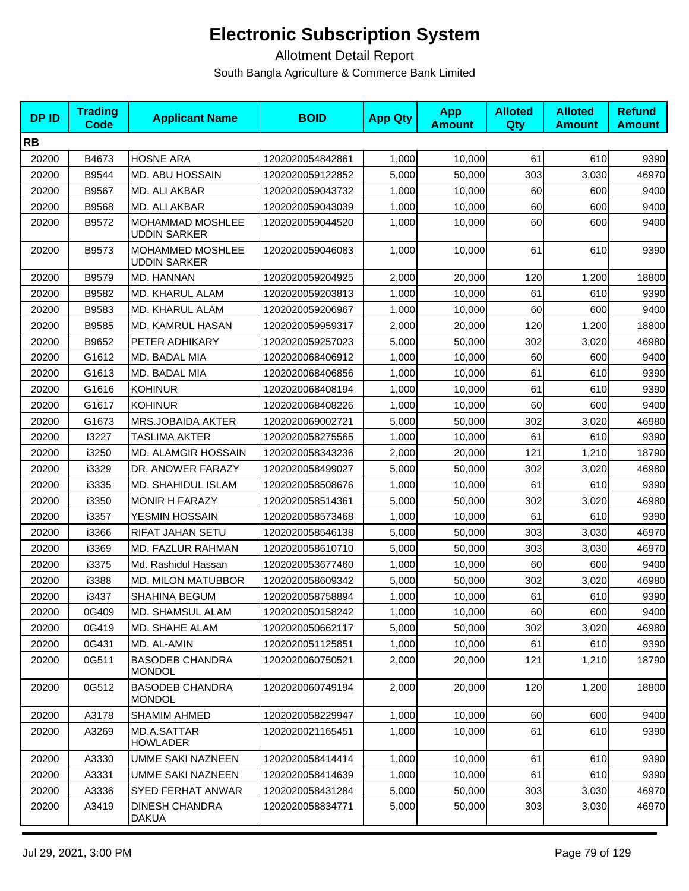| <b>DPID</b> | <b>Trading</b><br><b>Code</b> | <b>Applicant Name</b>                   | <b>BOID</b>      | <b>App Qty</b> | <b>App</b><br><b>Amount</b> | <b>Alloted</b><br><b>Qty</b> | <b>Alloted</b><br><b>Amount</b> | <b>Refund</b><br><b>Amount</b> |
|-------------|-------------------------------|-----------------------------------------|------------------|----------------|-----------------------------|------------------------------|---------------------------------|--------------------------------|
| <b>RB</b>   |                               |                                         |                  |                |                             |                              |                                 |                                |
| 20200       | B4673                         | <b>HOSNE ARA</b>                        | 1202020054842861 | 1,000          | 10,000                      | 61                           | 610                             | 9390                           |
| 20200       | B9544                         | MD. ABU HOSSAIN                         | 1202020059122852 | 5,000          | 50,000                      | 303                          | 3,030                           | 46970                          |
| 20200       | B9567                         | MD. ALI AKBAR                           | 1202020059043732 | 1,000          | 10,000                      | 60                           | 600                             | 9400                           |
| 20200       | B9568                         | MD. ALI AKBAR                           | 1202020059043039 | 1,000          | 10,000                      | 60                           | 600                             | 9400                           |
| 20200       | B9572                         | MOHAMMAD MOSHLEE<br><b>UDDIN SARKER</b> | 1202020059044520 | 1,000          | 10,000                      | 60                           | 600                             | 9400                           |
| 20200       | B9573                         | MOHAMMED MOSHLEE<br><b>UDDIN SARKER</b> | 1202020059046083 | 1,000          | 10,000                      | 61                           | 610                             | 9390                           |
| 20200       | B9579                         | MD. HANNAN                              | 1202020059204925 | 2,000          | 20,000                      | 120                          | 1,200                           | 18800                          |
| 20200       | B9582                         | <b>MD. KHARUL ALAM</b>                  | 1202020059203813 | 1,000          | 10,000                      | 61                           | 610                             | 9390                           |
| 20200       | B9583                         | MD. KHARUL ALAM                         | 1202020059206967 | 1,000          | 10,000                      | 60                           | 600                             | 9400                           |
| 20200       | B9585                         | MD. KAMRUL HASAN                        | 1202020059959317 | 2,000          | 20,000                      | 120                          | 1,200                           | 18800                          |
| 20200       | B9652                         | PETER ADHIKARY                          | 1202020059257023 | 5,000          | 50,000                      | 302                          | 3,020                           | 46980                          |
| 20200       | G1612                         | MD. BADAL MIA                           | 1202020068406912 | 1,000          | 10,000                      | 60                           | 600                             | 9400                           |
| 20200       | G1613                         | MD. BADAL MIA                           | 1202020068406856 | 1,000          | 10,000                      | 61                           | 610                             | 9390                           |
| 20200       | G1616                         | <b>KOHINUR</b>                          | 1202020068408194 | 1,000          | 10,000                      | 61                           | 610                             | 9390                           |
| 20200       | G1617                         | <b>KOHINUR</b>                          | 1202020068408226 | 1,000          | 10,000                      | 60                           | 600                             | 9400                           |
| 20200       | G1673                         | <b>MRS.JOBAIDA AKTER</b>                | 1202020069002721 | 5,000          | 50.000                      | 302                          | 3,020                           | 46980                          |
| 20200       | 13227                         | <b>TASLIMA AKTER</b>                    | 1202020058275565 | 1,000          | 10,000                      | 61                           | 610                             | 9390                           |
| 20200       | i3250                         | MD. ALAMGIR HOSSAIN                     | 1202020058343236 | 2,000          | 20,000                      | 121                          | 1,210                           | 18790                          |
| 20200       | i3329                         | DR. ANOWER FARAZY                       | 1202020058499027 | 5,000          | 50,000                      | 302                          | 3,020                           | 46980                          |
| 20200       | i3335                         | MD. SHAHIDUL ISLAM                      | 1202020058508676 | 1,000          | 10,000                      | 61                           | 610                             | 9390                           |
| 20200       | i3350                         | <b>MONIR H FARAZY</b>                   | 1202020058514361 | 5,000          | 50,000                      | 302                          | 3,020                           | 46980                          |
| 20200       | i3357                         | YESMIN HOSSAIN                          | 1202020058573468 | 1,000          | 10,000                      | 61                           | 610                             | 9390                           |
| 20200       | i3366                         | RIFAT JAHAN SETU                        | 1202020058546138 | 5,000          | 50,000                      | 303                          | 3,030                           | 46970                          |
| 20200       | i3369                         | MD. FAZLUR RAHMAN                       | 1202020058610710 | 5,000          | 50,000                      | 303                          | 3,030                           | 46970                          |
| 20200       | i3375                         | Md. Rashidul Hassan                     | 1202020053677460 | 1,000          | 10,000                      | 60                           | 600                             | 9400                           |
| 20200       | i3388                         | <b>MD. MILON MATUBBOR</b>               | 1202020058609342 | 5,000          | 50,000                      | 302                          | 3,020                           | 46980                          |
| 20200       | i3437                         | SHAHINA BEGUM                           | 1202020058758894 | 1,000          | 10,000                      | 61                           | 610                             | 9390                           |
| 20200       | 0G409                         | MD. SHAMSUL ALAM                        | 1202020050158242 | 1,000          | 10,000                      | 60                           | 600                             | 9400                           |
| 20200       | 0G419                         | MD. SHAHE ALAM                          | 1202020050662117 | 5,000          | 50,000                      | 302                          | 3,020                           | 46980                          |
| 20200       | 0G431                         | MD. AL-AMIN                             | 1202020051125851 | 1,000          | 10,000                      | 61                           | 610                             | 9390                           |
| 20200       | 0G511                         | <b>BASODEB CHANDRA</b><br><b>MONDOL</b> | 1202020060750521 | 2,000          | 20,000                      | 121                          | 1,210                           | 18790                          |
| 20200       | 0G512                         | <b>BASODEB CHANDRA</b><br><b>MONDOL</b> | 1202020060749194 | 2,000          | 20,000                      | 120                          | 1,200                           | 18800                          |
| 20200       | A3178                         | SHAMIM AHMED                            | 1202020058229947 | 1,000          | 10,000                      | 60                           | 600                             | 9400                           |
| 20200       | A3269                         | MD.A.SATTAR<br><b>HOWLADER</b>          | 1202020021165451 | 1,000          | 10,000                      | 61                           | 610                             | 9390                           |
| 20200       | A3330                         | <b>UMME SAKI NAZNEEN</b>                | 1202020058414414 | 1,000          | 10,000                      | 61                           | 610                             | 9390                           |
| 20200       | A3331                         | <b>UMME SAKI NAZNEEN</b>                | 1202020058414639 | 1,000          | 10,000                      | 61                           | 610                             | 9390                           |
| 20200       | A3336                         | SYED FERHAT ANWAR                       | 1202020058431284 | 5,000          | 50,000                      | 303                          | 3,030                           | 46970                          |
| 20200       | A3419                         | <b>DINESH CHANDRA</b><br>DAKUA          | 1202020058834771 | 5,000          | 50,000                      | 303                          | 3,030                           | 46970                          |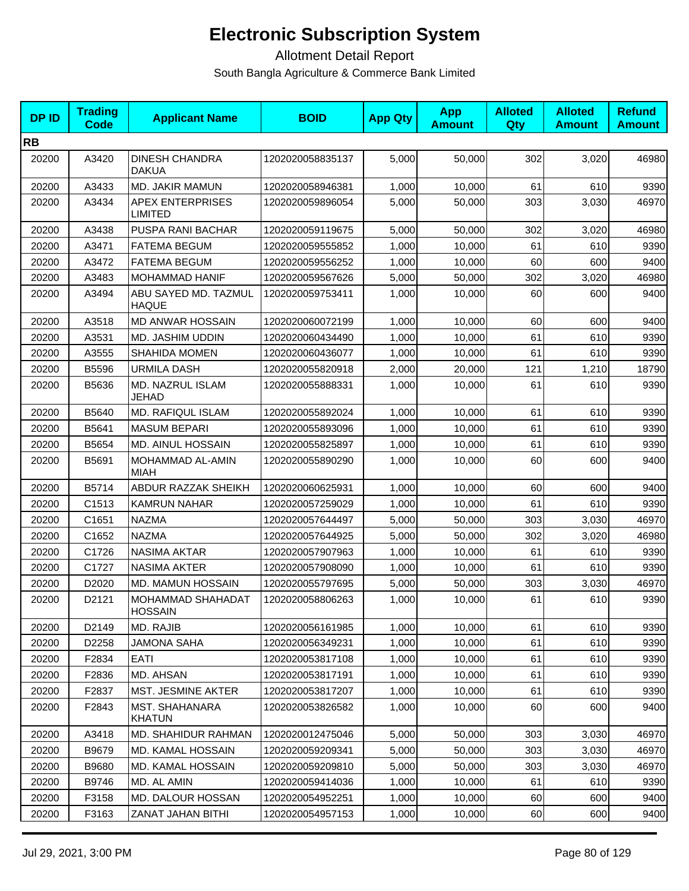| <b>DPID</b> | <b>Trading</b><br><b>Code</b> | <b>Applicant Name</b>                      | <b>BOID</b>      | <b>App Qty</b> | <b>App</b><br><b>Amount</b> | <b>Alloted</b><br><b>Qty</b> | <b>Alloted</b><br><b>Amount</b> | <b>Refund</b><br><b>Amount</b> |
|-------------|-------------------------------|--------------------------------------------|------------------|----------------|-----------------------------|------------------------------|---------------------------------|--------------------------------|
| <b>RB</b>   |                               |                                            |                  |                |                             |                              |                                 |                                |
| 20200       | A3420                         | <b>DINESH CHANDRA</b><br><b>DAKUA</b>      | 1202020058835137 | 5,000          | 50,000                      | 302                          | 3,020                           | 46980                          |
| 20200       | A3433                         | MD. JAKIR MAMUN                            | 1202020058946381 | 1,000          | 10,000                      | 61                           | 610                             | 9390                           |
| 20200       | A3434                         | <b>APEX ENTERPRISES</b><br><b>LIMITED</b>  | 1202020059896054 | 5,000          | 50,000                      | 303                          | 3,030                           | 46970                          |
| 20200       | A3438                         | PUSPA RANI BACHAR                          | 1202020059119675 | 5,000          | 50,000                      | 302                          | 3,020                           | 46980                          |
| 20200       | A3471                         | <b>FATEMA BEGUM</b>                        | 1202020059555852 | 1,000          | 10,000                      | 61                           | 610                             | 9390                           |
| 20200       | A3472                         | <b>FATEMA BEGUM</b>                        | 1202020059556252 | 1,000          | 10,000                      | 60                           | 600                             | 9400                           |
| 20200       | A3483                         | MOHAMMAD HANIF                             | 1202020059567626 | 5,000          | 50,000                      | 302                          | 3,020                           | 46980                          |
| 20200       | A3494                         | ABU SAYED MD. TAZMUL<br><b>HAQUE</b>       | 1202020059753411 | 1,000          | 10,000                      | 60                           | 600                             | 9400                           |
| 20200       | A3518                         | <b>MD ANWAR HOSSAIN</b>                    | 1202020060072199 | 1,000          | 10,000                      | 60                           | 600                             | 9400                           |
| 20200       | A3531                         | <b>MD. JASHIM UDDIN</b>                    | 1202020060434490 | 1,000          | 10.000                      | 61                           | 610                             | 9390                           |
| 20200       | A3555                         | <b>SHAHIDA MOMEN</b>                       | 1202020060436077 | 1,000          | 10,000                      | 61                           | 610                             | 9390                           |
| 20200       | B5596                         | <b>URMILA DASH</b>                         | 1202020055820918 | 2,000          | 20,000                      | 121                          | 1,210                           | 18790                          |
| 20200       | B5636                         | MD. NAZRUL ISLAM<br>JEHAD                  | 1202020055888331 | 1,000          | 10,000                      | 61                           | 610                             | 9390                           |
| 20200       | B5640                         | MD. RAFIQUL ISLAM                          | 1202020055892024 | 1,000          | 10,000                      | 61                           | 610                             | 9390                           |
| 20200       | B5641                         | <b>MASUM BEPARI</b>                        | 1202020055893096 | 1,000          | 10,000                      | 61                           | 610                             | 9390                           |
| 20200       | B5654                         | <b>MD. AINUL HOSSAIN</b>                   | 1202020055825897 | 1,000          | 10,000                      | 61                           | 610                             | 9390                           |
| 20200       | B5691                         | MOHAMMAD AL-AMIN<br>MIAH                   | 1202020055890290 | 1,000          | 10,000                      | 60                           | 600                             | 9400                           |
| 20200       | B5714                         | ABDUR RAZZAK SHEIKH                        | 1202020060625931 | 1,000          | 10,000                      | 60                           | 600                             | 9400                           |
| 20200       | C1513                         | <b>KAMRUN NAHAR</b>                        | 1202020057259029 | 1,000          | 10,000                      | 61                           | 610                             | 9390                           |
| 20200       | C1651                         | <b>NAZMA</b>                               | 1202020057644497 | 5,000          | 50,000                      | 303                          | 3,030                           | 46970                          |
| 20200       | C1652                         | <b>NAZMA</b>                               | 1202020057644925 | 5,000          | 50,000                      | 302                          | 3,020                           | 46980                          |
| 20200       | C1726                         | <b>NASIMA AKTAR</b>                        | 1202020057907963 | 1,000          | 10,000                      | 61                           | 610                             | 9390                           |
| 20200       | C1727                         | <b>NASIMA AKTER</b>                        | 1202020057908090 | 1,000          | 10,000                      | 61                           | 610                             | 9390                           |
| 20200       | D2020                         | <b>MD. MAMUN HOSSAIN</b>                   | 1202020055797695 | 5,000          | 50,000                      | 303                          | 3,030                           | 46970                          |
| 20200       | D2121                         | <b>MOHAMMAD SHAHADAT</b><br><b>HOSSAIN</b> | 1202020058806263 | 1,000          | 10,000                      | 61                           | 610                             | 9390                           |
| 20200       | D2149                         | MD. RAJIB                                  | 1202020056161985 | 1,000          | 10,000                      | 61                           | 610                             | 9390                           |
| 20200       | D2258                         | JAMONA SAHA                                | 1202020056349231 | 1,000          | 10,000                      | 61                           | 610                             | 9390                           |
| 20200       | F2834                         | EATI                                       | 1202020053817108 | 1,000          | 10,000                      | 61                           | 610                             | 9390                           |
| 20200       | F2836                         | MD. AHSAN                                  | 1202020053817191 | 1,000          | 10.000                      | 61                           | 610                             | 9390                           |
| 20200       | F2837                         | <b>MST. JESMINE AKTER</b>                  | 1202020053817207 | 1,000          | 10,000                      | 61                           | 610                             | 9390                           |
| 20200       | F2843                         | MST. SHAHANARA<br><b>KHATUN</b>            | 1202020053826582 | 1,000          | 10,000                      | 60                           | 600                             | 9400                           |
| 20200       | A3418                         | <b>MD. SHAHIDUR RAHMAN</b>                 | 1202020012475046 | 5,000          | 50,000                      | 303                          | 3,030                           | 46970                          |
| 20200       | B9679                         | <b>MD. KAMAL HOSSAIN</b>                   | 1202020059209341 | 5,000          | 50,000                      | 303                          | 3,030                           | 46970                          |
| 20200       | B9680                         | MD. KAMAL HOSSAIN                          | 1202020059209810 | 5,000          | 50,000                      | 303                          | 3,030                           | 46970                          |
| 20200       | B9746                         | MD. AL AMIN                                | 1202020059414036 | 1,000          | 10,000                      | 61                           | 610                             | 9390                           |
| 20200       | F3158                         | MD. DALOUR HOSSAN                          | 1202020054952251 | 1,000          | 10,000                      | 60                           | 600                             | 9400                           |
| 20200       | F3163                         | ZANAT JAHAN BITHI                          | 1202020054957153 | 1,000          | 10,000                      | 60                           | 600                             | 9400                           |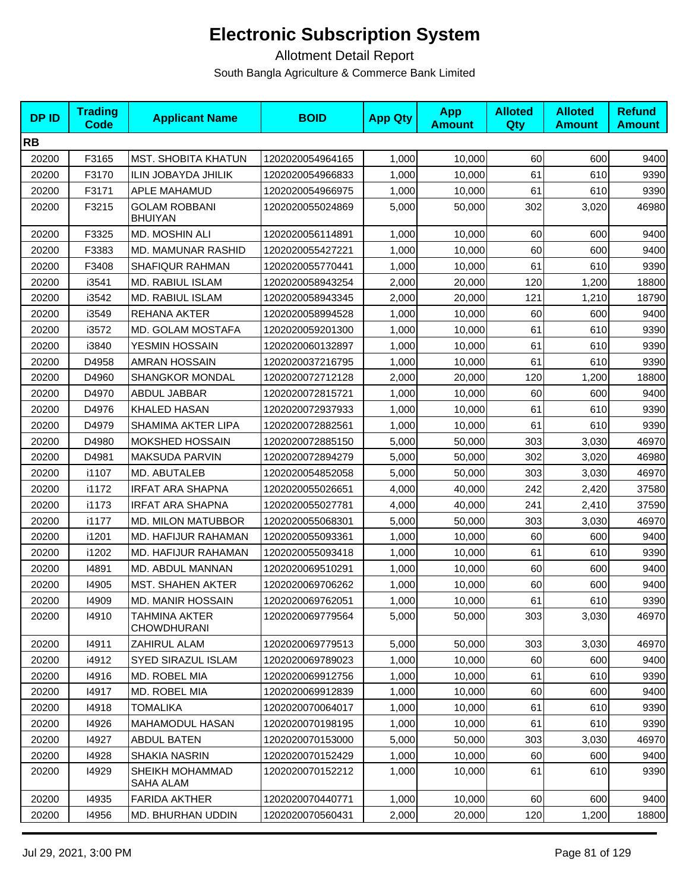| <b>DPID</b> | <b>Trading</b><br><b>Code</b> | <b>Applicant Name</b>                  | <b>BOID</b>      | <b>App Qty</b> | <b>App</b><br><b>Amount</b> | <b>Alloted</b><br>Qty | <b>Alloted</b><br><b>Amount</b> | <b>Refund</b><br><b>Amount</b> |
|-------------|-------------------------------|----------------------------------------|------------------|----------------|-----------------------------|-----------------------|---------------------------------|--------------------------------|
| <b>RB</b>   |                               |                                        |                  |                |                             |                       |                                 |                                |
| 20200       | F3165                         | MST. SHOBITA KHATUN                    | 1202020054964165 | 1,000          | 10,000                      | 60                    | 600                             | 9400                           |
| 20200       | F3170                         | <b>ILIN JOBAYDA JHILIK</b>             | 1202020054966833 | 1,000          | 10,000                      | 61                    | 610                             | 9390                           |
| 20200       | F3171                         | APLE MAHAMUD                           | 1202020054966975 | 1,000          | 10,000                      | 61                    | 610                             | 9390                           |
| 20200       | F3215                         | <b>GOLAM ROBBANI</b><br><b>BHUIYAN</b> | 1202020055024869 | 5,000          | 50,000                      | 302                   | 3,020                           | 46980                          |
| 20200       | F3325                         | MD. MOSHIN ALI                         | 1202020056114891 | 1,000          | 10,000                      | 60                    | 600                             | 9400                           |
| 20200       | F3383                         | MD. MAMUNAR RASHID                     | 1202020055427221 | 1,000          | 10,000                      | 60                    | 600                             | 9400                           |
| 20200       | F3408                         | <b>SHAFIQUR RAHMAN</b>                 | 1202020055770441 | 1,000          | 10,000                      | 61                    | 610                             | 9390                           |
| 20200       | i3541                         | MD. RABIUL ISLAM                       | 1202020058943254 | 2,000          | 20,000                      | 120                   | 1,200                           | 18800                          |
| 20200       | i3542                         | MD. RABIUL ISLAM                       | 1202020058943345 | 2,000          | 20,000                      | 121                   | 1,210                           | 18790                          |
| 20200       | i3549                         | REHANA AKTER                           | 1202020058994528 | 1,000          | 10,000                      | 60                    | 600                             | 9400                           |
| 20200       | i3572                         | MD. GOLAM MOSTAFA                      | 1202020059201300 | 1,000          | 10,000                      | 61                    | 610                             | 9390                           |
| 20200       | i3840                         | YESMIN HOSSAIN                         | 1202020060132897 | 1,000          | 10,000                      | 61                    | 610                             | 9390                           |
| 20200       | D4958                         | <b>AMRAN HOSSAIN</b>                   | 1202020037216795 | 1,000          | 10,000                      | 61                    | 610                             | 9390                           |
| 20200       | D4960                         | <b>SHANGKOR MONDAL</b>                 | 1202020072712128 | 2,000          | 20,000                      | 120                   | 1,200                           | 18800                          |
| 20200       | D4970                         | ABDUL JABBAR                           | 1202020072815721 | 1,000          | 10,000                      | 60                    | 600                             | 9400                           |
| 20200       | D4976                         | <b>KHALED HASAN</b>                    | 1202020072937933 | 1,000          | 10,000                      | 61                    | 610                             | 9390                           |
| 20200       | D4979                         | SHAMIMA AKTER LIPA                     | 1202020072882561 | 1,000          | 10,000                      | 61                    | 610                             | 9390                           |
| 20200       | D4980                         | MOKSHED HOSSAIN                        | 1202020072885150 | 5,000          | 50,000                      | 303                   | 3,030                           | 46970                          |
| 20200       | D4981                         | MAKSUDA PARVIN                         | 1202020072894279 | 5,000          | 50,000                      | 302                   | 3,020                           | 46980                          |
| 20200       | i1107                         | MD. ABUTALEB                           | 1202020054852058 | 5,000          | 50,000                      | 303                   | 3,030                           | 46970                          |
| 20200       | i1172                         | <b>IRFAT ARA SHAPNA</b>                | 1202020055026651 | 4,000          | 40,000                      | 242                   | 2,420                           | 37580                          |
| 20200       | i1173                         | <b>IRFAT ARA SHAPNA</b>                | 1202020055027781 | 4,000          | 40,000                      | 241                   | 2,410                           | 37590                          |
| 20200       | i1177                         | <b>MD. MILON MATUBBOR</b>              | 1202020055068301 | 5,000          | 50,000                      | 303                   | 3,030                           | 46970                          |
| 20200       | i1201                         | MD. HAFIJUR RAHAMAN                    | 1202020055093361 | 1,000          | 10,000                      | 60                    | 600                             | 9400                           |
| 20200       | i1202                         | MD. HAFIJUR RAHAMAN                    | 1202020055093418 | 1,000          | 10,000                      | 61                    | 610                             | 9390                           |
| 20200       | 14891                         | MD. ABDUL MANNAN                       | 1202020069510291 | 1,000          | 10,000                      | 60                    | 600                             | 9400                           |
| 20200       | 14905                         | <b>MST. SHAHEN AKTER</b>               | 1202020069706262 | 1,000          | 10,000                      | 60                    | 600                             | 9400                           |
| 20200       | 14909                         | <b>MD. MANIR HOSSAIN</b>               | 1202020069762051 | 1,000          | 10,000                      | 61                    | 610                             | 9390                           |
| 20200       | 14910                         | TAHMINA AKTER<br><b>CHOWDHURANI</b>    | 1202020069779564 | 5,000          | 50,000                      | 303                   | 3,030                           | 46970                          |
| 20200       | 14911                         | ZAHIRUL ALAM                           | 1202020069779513 | 5,000          | 50,000                      | 303                   | 3,030                           | 46970                          |
| 20200       | i4912                         | SYED SIRAZUL ISLAM                     | 1202020069789023 | 1,000          | 10,000                      | 60                    | 600                             | 9400                           |
| 20200       | 14916                         | MD. ROBEL MIA                          | 1202020069912756 | 1,000          | 10,000                      | 61                    | 610                             | 9390                           |
| 20200       | 14917                         | MD. ROBEL MIA                          | 1202020069912839 | 1,000          | 10.000                      | 60                    | 600                             | 9400                           |
| 20200       | 14918                         | <b>TOMALIKA</b>                        | 1202020070064017 | 1,000          | 10,000                      | 61                    | 610                             | 9390                           |
| 20200       | 14926                         | MAHAMODUL HASAN                        | 1202020070198195 | 1,000          | 10,000                      | 61                    | 610                             | 9390                           |
| 20200       | 14927                         | <b>ABDUL BATEN</b>                     | 1202020070153000 | 5,000          | 50,000                      | 303                   | 3,030                           | 46970                          |
| 20200       | 14928                         | SHAKIA NASRIN                          | 1202020070152429 | 1,000          | 10,000                      | 60                    | 600                             | 9400                           |
| 20200       | 14929                         | SHEIKH MOHAMMAD<br>SAHA ALAM           | 1202020070152212 | 1,000          | 10,000                      | 61                    | 610                             | 9390                           |
| 20200       | 14935                         | <b>FARIDA AKTHER</b>                   | 1202020070440771 | 1,000          | 10,000                      | 60                    | 600                             | 9400                           |
| 20200       | 14956                         | MD. BHURHAN UDDIN                      | 1202020070560431 | 2,000          | 20,000                      | 120                   | 1,200                           | 18800                          |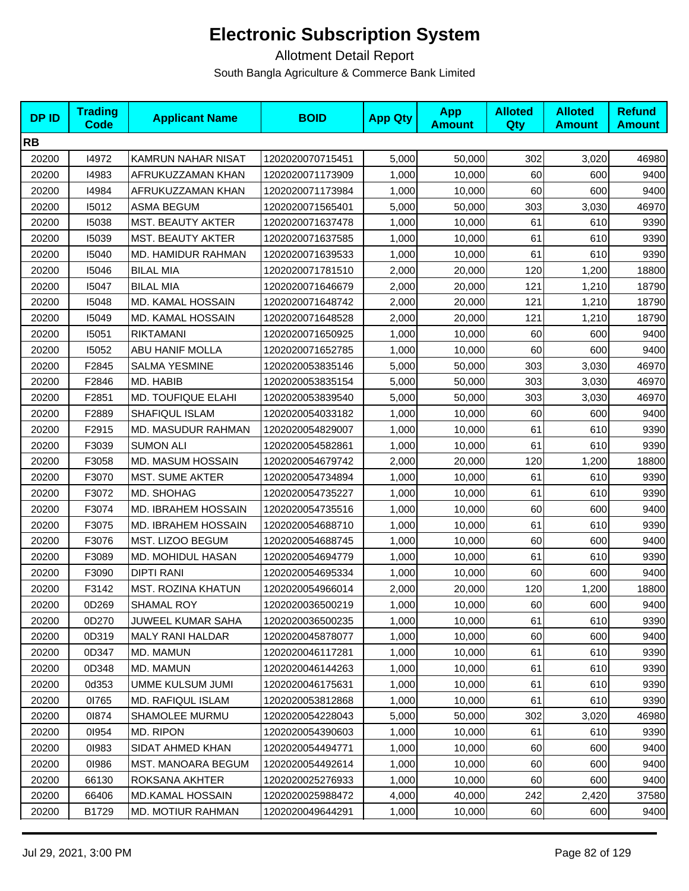| <b>DPID</b> | <b>Trading</b><br><b>Code</b> | <b>Applicant Name</b>      | <b>BOID</b>      | <b>App Qty</b> | <b>App</b><br><b>Amount</b> | <b>Alloted</b><br>Qty | <b>Alloted</b><br><b>Amount</b> | <b>Refund</b><br><b>Amount</b> |
|-------------|-------------------------------|----------------------------|------------------|----------------|-----------------------------|-----------------------|---------------------------------|--------------------------------|
| <b>RB</b>   |                               |                            |                  |                |                             |                       |                                 |                                |
| 20200       | 14972                         | KAMRUN NAHAR NISAT         | 1202020070715451 | 5,000          | 50,000                      | 302                   | 3,020                           | 46980                          |
| 20200       | 14983                         | AFRUKUZZAMAN KHAN          | 1202020071173909 | 1,000          | 10.000                      | 60                    | 600                             | 9400                           |
| 20200       | 14984                         | AFRUKUZZAMAN KHAN          | 1202020071173984 | 1,000          | 10,000                      | 60                    | 600                             | 9400                           |
| 20200       | 15012                         | <b>ASMA BEGUM</b>          | 1202020071565401 | 5,000          | 50,000                      | 303                   | 3,030                           | 46970                          |
| 20200       | 15038                         | MST. BEAUTY AKTER          | 1202020071637478 | 1,000          | 10,000                      | 61                    | 610                             | 9390                           |
| 20200       | 15039                         | <b>MST. BEAUTY AKTER</b>   | 1202020071637585 | 1,000          | 10,000                      | 61                    | 610                             | 9390                           |
| 20200       | 15040                         | <b>MD. HAMIDUR RAHMAN</b>  | 1202020071639533 | 1,000          | 10,000                      | 61                    | 610                             | 9390                           |
| 20200       | 15046                         | <b>BILAL MIA</b>           | 1202020071781510 | 2,000          | 20,000                      | 120                   | 1,200                           | 18800                          |
| 20200       | 15047                         | <b>BILAL MIA</b>           | 1202020071646679 | 2,000          | 20,000                      | 121                   | 1,210                           | 18790                          |
| 20200       | 15048                         | MD. KAMAL HOSSAIN          | 1202020071648742 | 2,000          | 20,000                      | 121                   | 1,210                           | 18790                          |
| 20200       | 15049                         | MD. KAMAL HOSSAIN          | 1202020071648528 | 2,000          | 20,000                      | 121                   | 1,210                           | 18790                          |
| 20200       | 15051                         | <b>RIKTAMANI</b>           | 1202020071650925 | 1,000          | 10,000                      | 60                    | 600                             | 9400                           |
| 20200       | 15052                         | <b>ABU HANIF MOLLA</b>     | 1202020071652785 | 1,000          | 10,000                      | 60                    | 600                             | 9400                           |
| 20200       | F2845                         | SALMA YESMINE              | 1202020053835146 | 5,000          | 50,000                      | 303                   | 3,030                           | 46970                          |
| 20200       | F2846                         | MD. HABIB                  | 1202020053835154 | 5,000          | 50,000                      | 303                   | 3,030                           | 46970                          |
| 20200       | F2851                         | <b>MD. TOUFIQUE ELAHI</b>  | 1202020053839540 | 5,000          | 50,000                      | 303                   | 3,030                           | 46970                          |
| 20200       | F2889                         | SHAFIQUL ISLAM             | 1202020054033182 | 1,000          | 10,000                      | 60                    | 600                             | 9400                           |
| 20200       | F2915                         | MD. MASUDUR RAHMAN         | 1202020054829007 | 1,000          | 10,000                      | 61                    | 610                             | 9390                           |
| 20200       | F3039                         | <b>SUMON ALI</b>           | 1202020054582861 | 1,000          | 10,000                      | 61                    | 610                             | 9390                           |
| 20200       | F3058                         | MD. MASUM HOSSAIN          | 1202020054679742 | 2,000          | 20,000                      | 120                   | 1,200                           | 18800                          |
| 20200       | F3070                         | <b>MST. SUME AKTER</b>     | 1202020054734894 | 1,000          | 10,000                      | 61                    | 610                             | 9390                           |
| 20200       | F3072                         | MD. SHOHAG                 | 1202020054735227 | 1,000          | 10,000                      | 61                    | 610                             | 9390                           |
| 20200       | F3074                         | <b>MD. IBRAHEM HOSSAIN</b> | 1202020054735516 | 1,000          | 10,000                      | 60                    | 600                             | 9400                           |
| 20200       | F3075                         | MD. IBRAHEM HOSSAIN        | 1202020054688710 | 1,000          | 10,000                      | 61                    | 610                             | 9390                           |
| 20200       | F3076                         | MST. LIZOO BEGUM           | 1202020054688745 | 1,000          | 10,000                      | 60                    | 600                             | 9400                           |
| 20200       | F3089                         | MD. MOHIDUL HASAN          | 1202020054694779 | 1,000          | 10,000                      | 61                    | 610                             | 9390                           |
| 20200       | F3090                         | <b>DIPTI RANI</b>          | 1202020054695334 | 1,000          | 10,000                      | 60                    | 600                             | 9400                           |
| 20200       | F3142                         | <b>MST. ROZINA KHATUN</b>  | 1202020054966014 | 2,000          | 20,000                      | 120                   | 1,200                           | 18800                          |
| 20200       | 0D269                         | SHAMAL ROY                 | 1202020036500219 | 1,000          | 10,000                      | 60                    | 600                             | 9400                           |
| 20200       | 0D270                         | JUWEEL KUMAR SAHA          | 1202020036500235 | 1,000          | 10,000                      | 61                    | 610                             | 9390                           |
| 20200       | 0D319                         | MALY RANI HALDAR           | 1202020045878077 | 1,000          | 10.000                      | 60                    | 600                             | 9400                           |
| 20200       | 0D347                         | MD. MAMUN                  | 1202020046117281 | 1,000          | 10,000                      | 61                    | 610                             | 9390                           |
| 20200       | 0D348                         | MD. MAMUN                  | 1202020046144263 | 1,000          | 10.000                      | 61                    | 610                             | 9390                           |
| 20200       | 0d353                         | UMME KULSUM JUMI           | 1202020046175631 | 1,000          | 10.000                      | 61                    | 610                             | 9390                           |
| 20200       | 01765                         | <b>MD. RAFIQUL ISLAM</b>   | 1202020053812868 | 1,000          | 10,000                      | 61                    | 610                             | 9390                           |
| 20200       | 01874                         | SHAMOLEE MURMU             | 1202020054228043 | 5,000          | 50,000                      | 302                   | 3,020                           | 46980                          |
| 20200       | 01954                         | MD. RIPON                  | 1202020054390603 | 1,000          | 10,000                      | 61                    | 610                             | 9390                           |
| 20200       | 01983                         | SIDAT AHMED KHAN           | 1202020054494771 | 1,000          | 10,000                      | 60                    | 600                             | 9400                           |
| 20200       | 01986                         | <b>MST. MANOARA BEGUM</b>  | 1202020054492614 | 1,000          | 10,000                      | 60                    | 600                             | 9400                           |
| 20200       | 66130                         | ROKSANA AKHTER             | 1202020025276933 | 1,000          | 10,000                      | 60                    | 600                             | 9400                           |
| 20200       | 66406                         | <b>MD.KAMAL HOSSAIN</b>    | 1202020025988472 | 4,000          | 40,000                      | 242                   | 2,420                           | 37580                          |
| 20200       | B1729                         | <b>MD. MOTIUR RAHMAN</b>   | 1202020049644291 | 1,000          | 10,000                      | 60                    | 600                             | 9400                           |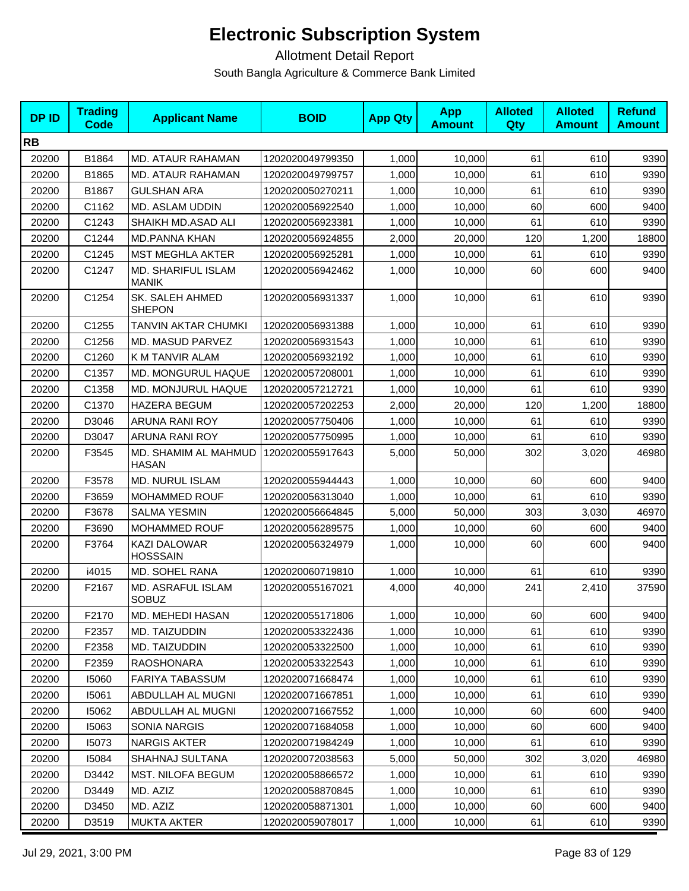| <b>DPID</b> | <b>Trading</b><br>Code | <b>Applicant Name</b>                  | <b>BOID</b>      | <b>App Qty</b> | <b>App</b><br><b>Amount</b> | <b>Alloted</b><br>Qty | <b>Alloted</b><br><b>Amount</b> | <b>Refund</b><br><b>Amount</b> |
|-------------|------------------------|----------------------------------------|------------------|----------------|-----------------------------|-----------------------|---------------------------------|--------------------------------|
| <b>RB</b>   |                        |                                        |                  |                |                             |                       |                                 |                                |
| 20200       | B1864                  | <b>MD. ATAUR RAHAMAN</b>               | 1202020049799350 | 1,000          | 10,000                      | 61                    | 610                             | 9390                           |
| 20200       | B1865                  | MD. ATAUR RAHAMAN                      | 1202020049799757 | 1,000          | 10,000                      | 61                    | 610                             | 9390                           |
| 20200       | B1867                  | <b>GULSHAN ARA</b>                     | 1202020050270211 | 1,000          | 10,000                      | 61                    | 610                             | 9390                           |
| 20200       | C1162                  | MD. ASLAM UDDIN                        | 1202020056922540 | 1,000          | 10,000                      | 60                    | 600                             | 9400                           |
| 20200       | C1243                  | SHAIKH MD.ASAD ALI                     | 1202020056923381 | 1,000          | 10,000                      | 61                    | 610                             | 9390                           |
| 20200       | C1244                  | <b>MD.PANNA KHAN</b>                   | 1202020056924855 | 2,000          | 20,000                      | 120                   | 1,200                           | 18800                          |
| 20200       | C1245                  | <b>MST MEGHLA AKTER</b>                | 1202020056925281 | 1,000          | 10,000                      | 61                    | 610                             | 9390                           |
| 20200       | C1247                  | MD. SHARIFUL ISLAM<br><b>MANIK</b>     | 1202020056942462 | 1,000          | 10,000                      | 60                    | 600                             | 9400                           |
| 20200       | C1254                  | SK. SALEH AHMED<br><b>SHEPON</b>       | 1202020056931337 | 1,000          | 10,000                      | 61                    | 610                             | 9390                           |
| 20200       | C1255                  | TANVIN AKTAR CHUMKI                    | 1202020056931388 | 1,000          | 10,000                      | 61                    | 610                             | 9390                           |
| 20200       | C1256                  | MD. MASUD PARVEZ                       | 1202020056931543 | 1,000          | 10,000                      | 61                    | 610                             | 9390                           |
| 20200       | C1260                  | K M TANVIR ALAM                        | 1202020056932192 | 1,000          | 10,000                      | 61                    | 610                             | 9390                           |
| 20200       | C1357                  | MD. MONGURUL HAQUE                     | 1202020057208001 | 1,000          | 10,000                      | 61                    | 610                             | 9390                           |
| 20200       | C1358                  | MD. MONJURUL HAQUE                     | 1202020057212721 | 1,000          | 10,000                      | 61                    | 610                             | 9390                           |
| 20200       | C1370                  | <b>HAZERA BEGUM</b>                    | 1202020057202253 | 2,000          | 20,000                      | 120                   | 1,200                           | 18800                          |
| 20200       | D3046                  | ARUNA RANI ROY                         | 1202020057750406 | 1,000          | 10,000                      | 61                    | 610                             | 9390                           |
| 20200       | D3047                  | ARUNA RANI ROY                         | 1202020057750995 | 1,000          | 10,000                      | 61                    | 610                             | 9390                           |
| 20200       | F3545                  | MD. SHAMIM AL MAHMUD<br><b>HASAN</b>   | 1202020055917643 | 5,000          | 50,000                      | 302                   | 3,020                           | 46980                          |
| 20200       | F3578                  | MD. NURUL ISLAM                        | 1202020055944443 | 1,000          | 10,000                      | 60                    | 600                             | 9400                           |
| 20200       | F3659                  | MOHAMMED ROUF                          | 1202020056313040 | 1,000          | 10,000                      | 61                    | 610                             | 9390                           |
| 20200       | F3678                  | <b>SALMA YESMIN</b>                    | 1202020056664845 | 5,000          | 50,000                      | 303                   | 3,030                           | 46970                          |
| 20200       | F3690                  | MOHAMMED ROUF                          | 1202020056289575 | 1,000          | 10,000                      | 60                    | 600                             | 9400                           |
| 20200       | F3764                  | <b>KAZI DALOWAR</b><br><b>HOSSSAIN</b> | 1202020056324979 | 1,000          | 10,000                      | 60                    | 600                             | 9400                           |
| 20200       | i4015                  | MD. SOHEL RANA                         | 1202020060719810 | 1,000          | 10,000                      | 61                    | 610                             | 9390                           |
| 20200       | F2167                  | MD. ASRAFUL ISLAM<br><b>SOBUZ</b>      | 1202020055167021 | 4,000          | 40,000                      | 241                   | 2,410                           | 37590                          |
| 20200       | F2170                  | <b>MD. MEHEDI HASAN</b>                | 1202020055171806 | 1,000          | 10,000                      | 60                    | 600                             | 9400                           |
| 20200       | F2357                  | MD. TAIZUDDIN                          | 1202020053322436 | 1,000          | 10,000                      | 61                    | 610                             | 9390                           |
| 20200       | F2358                  | MD. TAIZUDDIN                          | 1202020053322500 | 1,000          | 10,000                      | 61                    | 610                             | 9390                           |
| 20200       | F2359                  | <b>RAOSHONARA</b>                      | 1202020053322543 | 1,000          | 10,000                      | 61                    | 610                             | 9390                           |
| 20200       | 15060                  | <b>FARIYA TABASSUM</b>                 | 1202020071668474 | 1,000          | 10,000                      | 61                    | 610                             | 9390                           |
| 20200       | 15061                  | ABDULLAH AL MUGNI                      | 1202020071667851 | 1,000          | 10,000                      | 61                    | 610                             | 9390                           |
| 20200       | 15062                  | ABDULLAH AL MUGNI                      | 1202020071667552 | 1,000          | 10,000                      | 60                    | 600                             | 9400                           |
| 20200       | 15063                  | <b>SONIA NARGIS</b>                    | 1202020071684058 | 1,000          | 10,000                      | 60                    | 600                             | 9400                           |
| 20200       | 15073                  | <b>NARGIS AKTER</b>                    | 1202020071984249 | 1,000          | 10,000                      | 61                    | 610                             | 9390                           |
| 20200       | 15084                  | SHAHNAJ SULTANA                        | 1202020072038563 | 5,000          | 50,000                      | 302                   | 3,020                           | 46980                          |
| 20200       | D3442                  | <b>MST. NILOFA BEGUM</b>               | 1202020058866572 | 1,000          | 10,000                      | 61                    | 610                             | 9390                           |
| 20200       | D3449                  | MD. AZIZ                               | 1202020058870845 | 1,000          | 10,000                      | 61                    | 610                             | 9390                           |
| 20200       | D3450                  | MD. AZIZ                               | 1202020058871301 | 1,000          | 10,000                      | 60                    | 600                             | 9400                           |
| 20200       | D3519                  | MUKTA AKTER                            | 1202020059078017 | 1,000          | 10,000                      | 61                    | 610                             | 9390                           |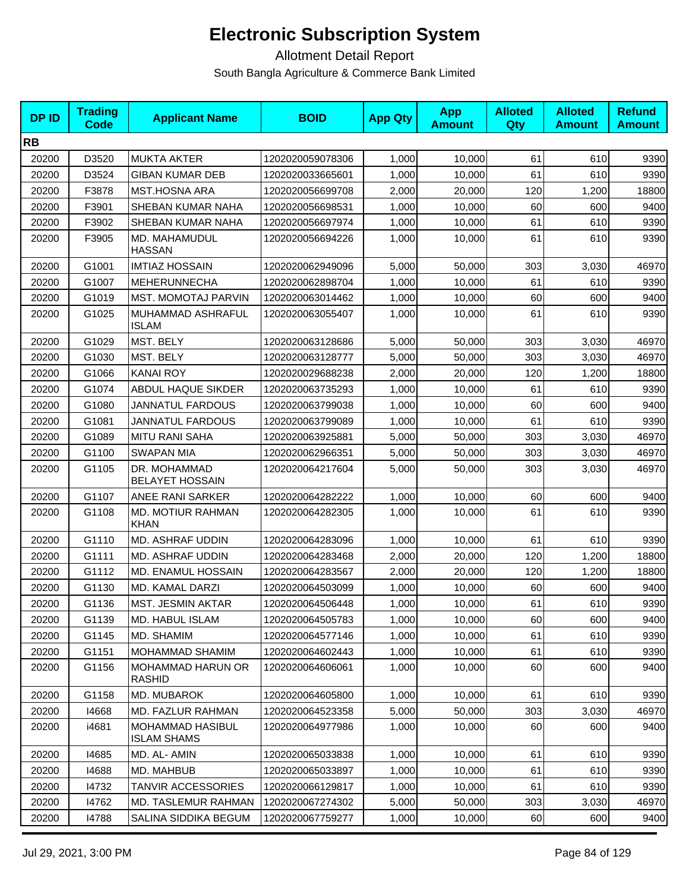| <b>DPID</b> | <b>Trading</b><br><b>Code</b> | <b>Applicant Name</b>                  | <b>BOID</b>      | <b>App Qty</b> | <b>App</b><br><b>Amount</b> | <b>Alloted</b><br><b>Qty</b> | <b>Alloted</b><br><b>Amount</b> | <b>Refund</b><br><b>Amount</b> |
|-------------|-------------------------------|----------------------------------------|------------------|----------------|-----------------------------|------------------------------|---------------------------------|--------------------------------|
| <b>RB</b>   |                               |                                        |                  |                |                             |                              |                                 |                                |
| 20200       | D3520                         | <b>MUKTA AKTER</b>                     | 1202020059078306 | 1,000          | 10,000                      | 61                           | 610                             | 9390                           |
| 20200       | D3524                         | <b>GIBAN KUMAR DEB</b>                 | 1202020033665601 | 1,000          | 10,000                      | 61                           | 610                             | 9390                           |
| 20200       | F3878                         | <b>MST.HOSNA ARA</b>                   | 1202020056699708 | 2,000          | 20,000                      | 120                          | 1,200                           | 18800                          |
| 20200       | F3901                         | SHEBAN KUMAR NAHA                      | 1202020056698531 | 1,000          | 10,000                      | 60                           | 600                             | 9400                           |
| 20200       | F3902                         | SHEBAN KUMAR NAHA                      | 1202020056697974 | 1,000          | 10,000                      | 61                           | 610                             | 9390                           |
| 20200       | F3905                         | MD. MAHAMUDUL<br><b>HASSAN</b>         | 1202020056694226 | 1,000          | 10,000                      | 61                           | 610                             | 9390                           |
| 20200       | G1001                         | <b>IMTIAZ HOSSAIN</b>                  | 1202020062949096 | 5,000          | 50,000                      | 303                          | 3,030                           | 46970                          |
| 20200       | G1007                         | <b>MEHERUNNECHA</b>                    | 1202020062898704 | 1,000          | 10,000                      | 61                           | 610                             | 9390                           |
| 20200       | G1019                         | <b>MST. MOMOTAJ PARVIN</b>             | 1202020063014462 | 1,000          | 10,000                      | 60                           | 600                             | 9400                           |
| 20200       | G1025                         | MUHAMMAD ASHRAFUL<br><b>ISLAM</b>      | 1202020063055407 | 1,000          | 10,000                      | 61                           | 610                             | 9390                           |
| 20200       | G1029                         | MST. BELY                              | 1202020063128686 | 5,000          | 50,000                      | 303                          | 3,030                           | 46970                          |
| 20200       | G1030                         | MST. BELY                              | 1202020063128777 | 5,000          | 50,000                      | 303                          | 3,030                           | 46970                          |
| 20200       | G1066                         | <b>KANAI ROY</b>                       | 1202020029688238 | 2,000          | 20,000                      | 120                          | 1,200                           | 18800                          |
| 20200       | G1074                         | ABDUL HAQUE SIKDER                     | 1202020063735293 | 1,000          | 10,000                      | 61                           | 610                             | 9390                           |
| 20200       | G1080                         | <b>JANNATUL FARDOUS</b>                | 1202020063799038 | 1,000          | 10,000                      | 60                           | 600                             | 9400                           |
| 20200       | G1081                         | <b>JANNATUL FARDOUS</b>                | 1202020063799089 | 1,000          | 10,000                      | 61                           | 610                             | 9390                           |
| 20200       | G1089                         | <b>MITU RANI SAHA</b>                  | 1202020063925881 | 5,000          | 50,000                      | 303                          | 3,030                           | 46970                          |
| 20200       | G1100                         | <b>SWAPAN MIA</b>                      | 1202020062966351 | 5,000          | 50,000                      | 303                          | 3,030                           | 46970                          |
| 20200       | G1105                         | DR. MOHAMMAD<br><b>BELAYET HOSSAIN</b> | 1202020064217604 | 5,000          | 50,000                      | 303                          | 3,030                           | 46970                          |
| 20200       | G1107                         | ANEE RANI SARKER                       | 1202020064282222 | 1,000          | 10,000                      | 60                           | 600                             | 9400                           |
| 20200       | G1108                         | MD. MOTIUR RAHMAN<br><b>KHAN</b>       | 1202020064282305 | 1,000          | 10,000                      | 61                           | 610                             | 9390                           |
| 20200       | G1110                         | MD. ASHRAF UDDIN                       | 1202020064283096 | 1,000          | 10,000                      | 61                           | 610                             | 9390                           |
| 20200       | G1111                         | MD. ASHRAF UDDIN                       | 1202020064283468 | 2,000          | 20,000                      | 120                          | 1,200                           | 18800                          |
| 20200       | G1112                         | MD. ENAMUL HOSSAIN                     | 1202020064283567 | 2,000          | 20,000                      | 120                          | 1,200                           | 18800                          |
| 20200       | G1130                         | MD. KAMAL DARZI                        | 1202020064503099 | 1,000          | 10,000                      | 60                           | 600                             | 9400                           |
| 20200       | G1136                         | MST. JESMIN AKTAR                      | 1202020064506448 | 1,000          | 10,000                      | 61                           | 610                             | 9390                           |
| 20200       | G1139                         | MD. HABUL ISLAM                        | 1202020064505783 | 1,000          | 10,000                      | 60                           | 600                             | 9400                           |
| 20200       | G1145                         | MD. SHAMIM                             | 1202020064577146 | 1,000          | 10,000                      | 61                           | 610                             | 9390                           |
| 20200       | G1151                         | MOHAMMAD SHAMIM                        | 1202020064602443 | 1,000          | 10,000                      | 61                           | 610                             | 9390                           |
| 20200       | G1156                         | MOHAMMAD HARUN OR<br><b>RASHID</b>     | 1202020064606061 | 1,000          | 10.000                      | 60                           | 600                             | 9400                           |
| 20200       | G1158                         | MD. MUBAROK                            | 1202020064605800 | 1,000          | 10,000                      | 61                           | 610                             | 9390                           |
| 20200       | 14668                         | MD. FAZLUR RAHMAN                      | 1202020064523358 | 5,000          | 50,000                      | 303                          | 3,030                           | 46970                          |
| 20200       | i4681                         | MOHAMMAD HASIBUL<br><b>ISLAM SHAMS</b> | 1202020064977986 | 1,000          | 10,000                      | 60                           | 600                             | 9400                           |
| 20200       | 14685                         | MD. AL- AMIN                           | 1202020065033838 | 1,000          | 10,000                      | 61                           | 610                             | 9390                           |
| 20200       | 14688                         | MD. MAHBUB                             | 1202020065033897 | 1,000          | 10,000                      | 61                           | 610                             | 9390                           |
| 20200       | 14732                         | <b>TANVIR ACCESSORIES</b>              | 1202020066129817 | 1,000          | 10,000                      | 61                           | 610                             | 9390                           |
| 20200       | 14762                         | MD. TASLEMUR RAHMAN                    | 1202020067274302 | 5,000          | 50,000                      | 303                          | 3,030                           | 46970                          |
| 20200       | 14788                         | SALINA SIDDIKA BEGUM                   | 1202020067759277 | 1,000          | 10,000                      | 60                           | 600                             | 9400                           |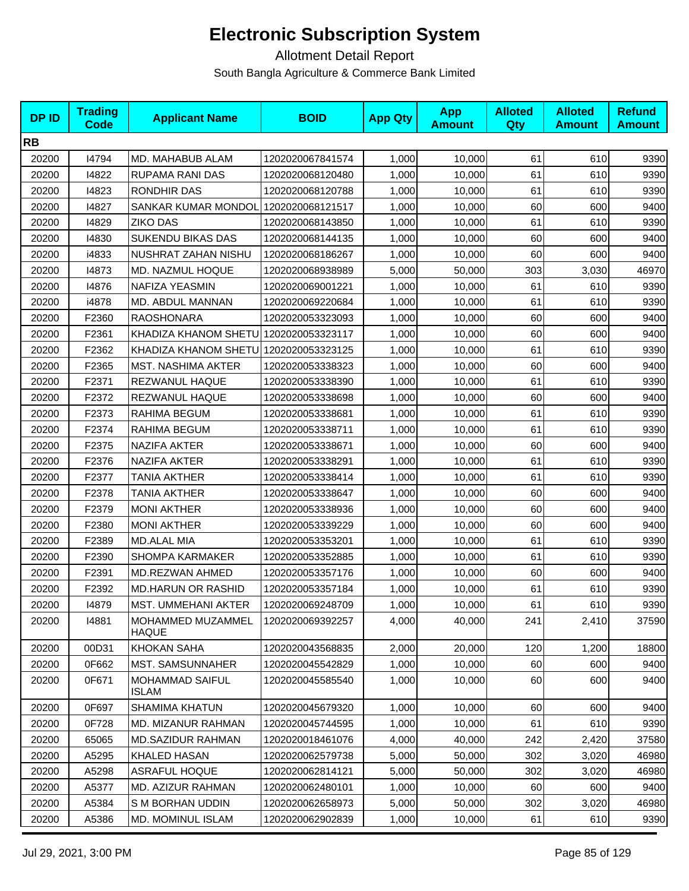| <b>DPID</b> | <b>Trading</b><br><b>Code</b> | <b>Applicant Name</b>                  | <b>BOID</b>      | <b>App Qty</b> | <b>App</b><br><b>Amount</b> | <b>Alloted</b><br><b>Qty</b> | <b>Alloted</b><br><b>Amount</b> | <b>Refund</b><br><b>Amount</b> |
|-------------|-------------------------------|----------------------------------------|------------------|----------------|-----------------------------|------------------------------|---------------------------------|--------------------------------|
| <b>RB</b>   |                               |                                        |                  |                |                             |                              |                                 |                                |
| 20200       | 14794                         | MD. MAHABUB ALAM                       | 1202020067841574 | 1,000          | 10,000                      | 61                           | 610                             | 9390                           |
| 20200       | 14822                         | RUPAMA RANI DAS                        | 1202020068120480 | 1,000          | 10,000                      | 61                           | 610                             | 9390                           |
| 20200       | 14823                         | RONDHIR DAS                            | 1202020068120788 | 1,000          | 10,000                      | 61                           | 610                             | 9390                           |
| 20200       | 14827                         | SANKAR KUMAR MONDOL                    | 1202020068121517 | 1,000          | 10,000                      | 60                           | 600                             | 9400                           |
| 20200       | 14829                         | <b>ZIKO DAS</b>                        | 1202020068143850 | 1,000          | 10,000                      | 61                           | 610                             | 9390                           |
| 20200       | 14830                         | <b>SUKENDU BIKAS DAS</b>               | 1202020068144135 | 1,000          | 10,000                      | 60                           | 600                             | 9400                           |
| 20200       | i4833                         | NUSHRAT ZAHAN NISHU                    | 1202020068186267 | 1,000          | 10,000                      | 60                           | 600                             | 9400                           |
| 20200       | 14873                         | MD. NAZMUL HOQUE                       | 1202020068938989 | 5,000          | 50,000                      | 303                          | 3,030                           | 46970                          |
| 20200       | 14876                         | NAFIZA YEASMIN                         | 1202020069001221 | 1,000          | 10,000                      | 61                           | 610                             | 9390                           |
| 20200       | i4878                         | MD. ABDUL MANNAN                       | 1202020069220684 | 1,000          | 10,000                      | 61                           | 610                             | 9390                           |
| 20200       | F2360                         | <b>RAOSHONARA</b>                      | 1202020053323093 | 1,000          | 10,000                      | 60                           | 600                             | 9400                           |
| 20200       | F2361                         | KHADIZA KHANOM SHETU 1202020053323117  |                  | 1,000          | 10,000                      | 60                           | 600                             | 9400                           |
| 20200       | F2362                         | KHADIZA KHANOM SHETU 1202020053323125  |                  | 1,000          | 10,000                      | 61                           | 610                             | 9390                           |
| 20200       | F2365                         | <b>MST. NASHIMA AKTER</b>              | 1202020053338323 | 1,000          | 10,000                      | 60                           | 600                             | 9400                           |
| 20200       | F2371                         | REZWANUL HAQUE                         | 1202020053338390 | 1,000          | 10,000                      | 61                           | 610                             | 9390                           |
| 20200       | F2372                         | REZWANUL HAQUE                         | 1202020053338698 | 1,000          | 10,000                      | 60                           | 600                             | 9400                           |
| 20200       | F2373                         | RAHIMA BEGUM                           | 1202020053338681 | 1,000          | 10,000                      | 61                           | 610                             | 9390                           |
| 20200       | F2374                         | RAHIMA BEGUM                           | 1202020053338711 | 1,000          | 10,000                      | 61                           | 610                             | 9390                           |
| 20200       | F2375                         | <b>NAZIFA AKTER</b>                    | 1202020053338671 | 1,000          | 10,000                      | 60                           | 600                             | 9400                           |
| 20200       | F2376                         | NAZIFA AKTER                           | 1202020053338291 | 1,000          | 10,000                      | 61                           | 610                             | 9390                           |
| 20200       | F2377                         | <b>TANIA AKTHER</b>                    | 1202020053338414 | 1,000          | 10,000                      | 61                           | 610                             | 9390                           |
| 20200       | F2378                         | TANIA AKTHER                           | 1202020053338647 | 1,000          | 10,000                      | 60                           | 600                             | 9400                           |
| 20200       | F2379                         | <b>MONI AKTHER</b>                     | 1202020053338936 | 1,000          | 10,000                      | 60                           | 600                             | 9400                           |
| 20200       | F2380                         | <b>MONI AKTHER</b>                     | 1202020053339229 | 1,000          | 10,000                      | 60                           | 600                             | 9400                           |
| 20200       | F2389                         | <b>MD.ALAL MIA</b>                     | 1202020053353201 | 1,000          | 10,000                      | 61                           | 610                             | 9390                           |
| 20200       | F2390                         | SHOMPA KARMAKER                        | 1202020053352885 | 1,000          | 10,000                      | 61                           | 610                             | 9390                           |
| 20200       | F2391                         | MD.REZWAN AHMED                        | 1202020053357176 | 1,000          | 10,000                      | 60                           | 600                             | 9400                           |
| 20200       | F2392                         | <b>MD.HARUN OR RASHID</b>              | 1202020053357184 | 1,000          | 10,000                      | 61                           | 610                             | 9390                           |
| 20200       | 14879                         | MST. UMMEHANI AKTER                    | 1202020069248709 | 1,000          | 10,000                      | 61                           | 610                             | 9390                           |
| 20200       | 14881                         | MOHAMMED MUZAMMEL<br>HAQUE             | 1202020069392257 | 4,000          | 40,000                      | 241                          | 2,410                           | 37590                          |
| 20200       | 00D31                         | <b>KHOKAN SAHA</b>                     | 1202020043568835 | 2,000          | 20,000                      | 120                          | 1,200                           | 18800                          |
| 20200       | 0F662                         | <b>MST. SAMSUNNAHER</b>                | 1202020045542829 | 1,000          | 10.000                      | 60                           | 600                             | 9400                           |
| 20200       | 0F671                         | <b>MOHAMMAD SAIFUL</b><br><b>ISLAM</b> | 1202020045585540 | 1,000          | 10,000                      | 60                           | 600                             | 9400                           |
| 20200       | 0F697                         | <b>SHAMIMA KHATUN</b>                  | 1202020045679320 | 1,000          | 10,000                      | 60                           | 600                             | 9400                           |
| 20200       | 0F728                         | <b>MD. MIZANUR RAHMAN</b>              | 1202020045744595 | 1,000          | 10,000                      | 61                           | 610                             | 9390                           |
| 20200       | 65065                         | <b>MD.SAZIDUR RAHMAN</b>               | 1202020018461076 | 4,000          | 40,000                      | 242                          | 2,420                           | 37580                          |
| 20200       | A5295                         | KHALED HASAN                           | 1202020062579738 | 5,000          | 50,000                      | 302                          | 3,020                           | 46980                          |
| 20200       | A5298                         | <b>ASRAFUL HOQUE</b>                   | 1202020062814121 | 5,000          | 50,000                      | 302                          | 3,020                           | 46980                          |
| 20200       | A5377                         | MD. AZIZUR RAHMAN                      | 1202020062480101 | 1,000          | 10,000                      | 60                           | 600                             | 9400                           |
| 20200       | A5384                         | S M BORHAN UDDIN                       | 1202020062658973 | 5,000          | 50,000                      | 302                          | 3,020                           | 46980                          |
| 20200       | A5386                         | MD. MOMINUL ISLAM                      | 1202020062902839 | 1,000          | 10,000                      | 61                           | 610                             | 9390                           |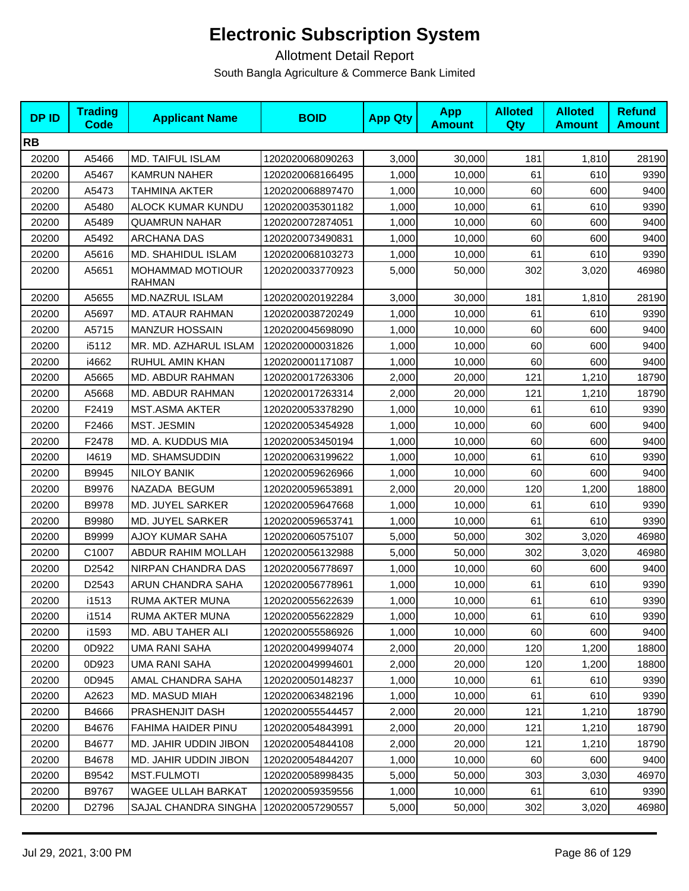| <b>DPID</b> | <b>Trading</b><br>Code | <b>Applicant Name</b>                    | <b>BOID</b>      | <b>App Qty</b> | <b>App</b><br><b>Amount</b> | <b>Alloted</b><br><b>Qty</b> | <b>Alloted</b><br><b>Amount</b> | <b>Refund</b><br><b>Amount</b> |
|-------------|------------------------|------------------------------------------|------------------|----------------|-----------------------------|------------------------------|---------------------------------|--------------------------------|
| <b>RB</b>   |                        |                                          |                  |                |                             |                              |                                 |                                |
| 20200       | A5466                  | <b>MD. TAIFUL ISLAM</b>                  | 1202020068090263 | 3,000          | 30,000                      | 181                          | 1,810                           | 28190                          |
| 20200       | A5467                  | <b>KAMRUN NAHER</b>                      | 1202020068166495 | 1,000          | 10,000                      | 61                           | 610                             | 9390                           |
| 20200       | A5473                  | TAHMINA AKTER                            | 1202020068897470 | 1,000          | 10,000                      | 60                           | 600                             | 9400                           |
| 20200       | A5480                  | ALOCK KUMAR KUNDU                        | 1202020035301182 | 1,000          | 10,000                      | 61                           | 610                             | 9390                           |
| 20200       | A5489                  | <b>QUAMRUN NAHAR</b>                     | 1202020072874051 | 1,000          | 10,000                      | 60                           | 600                             | 9400                           |
| 20200       | A5492                  | <b>ARCHANA DAS</b>                       | 1202020073490831 | 1,000          | 10.000                      | 60                           | 600                             | 9400                           |
| 20200       | A5616                  | MD. SHAHIDUL ISLAM                       | 1202020068103273 | 1,000          | 10,000                      | 61                           | 610                             | 9390                           |
| 20200       | A5651                  | <b>MOHAMMAD MOTIOUR</b><br><b>RAHMAN</b> | 1202020033770923 | 5,000          | 50,000                      | 302                          | 3,020                           | 46980                          |
| 20200       | A5655                  | <b>MD.NAZRUL ISLAM</b>                   | 1202020020192284 | 3,000          | 30,000                      | 181                          | 1,810                           | 28190                          |
| 20200       | A5697                  | MD. ATAUR RAHMAN                         | 1202020038720249 | 1,000          | 10,000                      | 61                           | 610                             | 9390                           |
| 20200       | A5715                  | <b>MANZUR HOSSAIN</b>                    | 1202020045698090 | 1,000          | 10,000                      | 60                           | 600                             | 9400                           |
| 20200       | i5112                  | MR. MD. AZHARUL ISLAM                    | 1202020000031826 | 1,000          | 10,000                      | 60                           | 600                             | 9400                           |
| 20200       | i4662                  | RUHUL AMIN KHAN                          | 1202020001171087 | 1,000          | 10.000                      | 60                           | 600                             | 9400                           |
| 20200       | A5665                  | MD. ABDUR RAHMAN                         | 1202020017263306 | 2,000          | 20.000                      | 121                          | 1,210                           | 18790                          |
| 20200       | A5668                  | MD. ABDUR RAHMAN                         | 1202020017263314 | 2,000          | 20,000                      | 121                          | 1,210                           | 18790                          |
| 20200       | F2419                  | <b>MST.ASMA AKTER</b>                    | 1202020053378290 | 1,000          | 10,000                      | 61                           | 610                             | 9390                           |
| 20200       | F2466                  | MST. JESMIN                              | 1202020053454928 | 1,000          | 10,000                      | 60                           | 600                             | 9400                           |
| 20200       | F2478                  | MD. A. KUDDUS MIA                        | 1202020053450194 | 1,000          | 10,000                      | 60                           | 600                             | 9400                           |
| 20200       | 14619                  | MD. SHAMSUDDIN                           | 1202020063199622 | 1,000          | 10,000                      | 61                           | 610                             | 9390                           |
| 20200       | B9945                  | <b>NILOY BANIK</b>                       | 1202020059626966 | 1,000          | 10,000                      | 60                           | 600                             | 9400                           |
| 20200       | B9976                  | NAZADA BEGUM                             | 1202020059653891 | 2,000          | 20,000                      | 120                          | 1,200                           | 18800                          |
| 20200       | B9978                  | MD. JUYEL SARKER                         | 1202020059647668 | 1,000          | 10,000                      | 61                           | 610                             | 9390                           |
| 20200       | B9980                  | MD. JUYEL SARKER                         | 1202020059653741 | 1,000          | 10,000                      | 61                           | 610                             | 9390                           |
| 20200       | B9999                  | AJOY KUMAR SAHA                          | 1202020060575107 | 5,000          | 50,000                      | 302                          | 3,020                           | 46980                          |
| 20200       | C1007                  | ABDUR RAHIM MOLLAH                       | 1202020056132988 | 5,000          | 50,000                      | 302                          | 3,020                           | 46980                          |
| 20200       | D2542                  | NIRPAN CHANDRA DAS                       | 1202020056778697 | 1,000          | 10,000                      | 60                           | 600                             | 9400                           |
| 20200       | D2543                  | ARUN CHANDRA SAHA                        | 1202020056778961 | 1,000          | 10,000                      | 61                           | 610                             | 9390                           |
| 20200       | i1513                  | <b>RUMA AKTER MUNA</b>                   | 1202020055622639 | 1,000          | 10,000                      | 61                           | 610                             | 9390                           |
| 20200       | i1514                  | RUMA AKTER MUNA                          | 1202020055622829 | 1,000          | 10,000                      | 61                           | 610                             | 9390                           |
| 20200       | i1593                  | MD. ABU TAHER ALI                        | 1202020055586926 | 1,000          | 10,000                      | 60                           | 600                             | 9400                           |
| 20200       | 0D922                  | UMA RANI SAHA                            | 1202020049994074 | 2,000          | 20,000                      | 120                          | 1,200                           | 18800                          |
| 20200       | 0D923                  | UMA RANI SAHA                            | 1202020049994601 | 2,000          | 20,000                      | 120                          | 1,200                           | 18800                          |
| 20200       | 0D945                  | <b>AMAL CHANDRA SAHA</b>                 | 1202020050148237 | 1,000          | 10,000                      | 61                           | 610                             | 9390                           |
| 20200       | A2623                  | MD. MASUD MIAH                           | 1202020063482196 | 1,000          | 10,000                      | 61                           | 610                             | 9390                           |
| 20200       | B4666                  | PRASHENJIT DASH                          | 1202020055544457 | 2,000          | 20,000                      | 121                          | 1,210                           | 18790                          |
| 20200       | B4676                  | FAHIMA HAIDER PINU                       | 1202020054843991 | 2,000          | 20,000                      | 121                          | 1,210                           | 18790                          |
| 20200       | B4677                  | MD. JAHIR UDDIN JIBON                    | 1202020054844108 | 2,000          | 20,000                      | 121                          | 1,210                           | 18790                          |
| 20200       | B4678                  | MD. JAHIR UDDIN JIBON                    | 1202020054844207 | 1,000          | 10,000                      | 60                           | 600                             | 9400                           |
| 20200       | B9542                  | <b>MST.FULMOTI</b>                       | 1202020058998435 | 5,000          | 50,000                      | 303                          | 3,030                           | 46970                          |
| 20200       | B9767                  | WAGEE ULLAH BARKAT                       | 1202020059359556 | 1,000          | 10,000                      | 61                           | 610                             | 9390                           |
| 20200       | D2796                  | SAJAL CHANDRA SINGHA                     | 1202020057290557 | 5,000          | 50,000                      | 302                          | 3,020                           | 46980                          |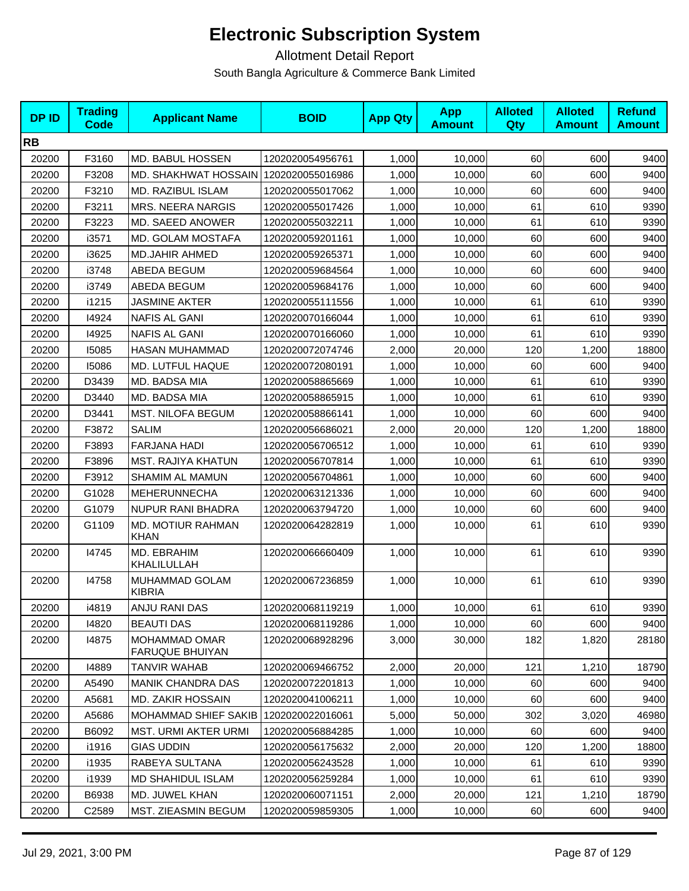| <b>DPID</b> | <b>Trading</b><br><b>Code</b> | <b>Applicant Name</b>                          | <b>BOID</b>      | <b>App Qty</b> | <b>App</b><br><b>Amount</b> | <b>Alloted</b><br>Qty | <b>Alloted</b><br><b>Amount</b> | <b>Refund</b><br><b>Amount</b> |
|-------------|-------------------------------|------------------------------------------------|------------------|----------------|-----------------------------|-----------------------|---------------------------------|--------------------------------|
| <b>RB</b>   |                               |                                                |                  |                |                             |                       |                                 |                                |
| 20200       | F3160                         | MD. BABUL HOSSEN                               | 1202020054956761 | 1,000          | 10,000                      | 60                    | 600                             | 9400                           |
| 20200       | F3208                         | <b>MD. SHAKHWAT HOSSAIN</b>                    | 1202020055016986 | 1,000          | 10,000                      | 60                    | 600                             | 9400                           |
| 20200       | F3210                         | <b>MD. RAZIBUL ISLAM</b>                       | 1202020055017062 | 1,000          | 10,000                      | 60                    | 600                             | 9400                           |
| 20200       | F3211                         | <b>MRS. NEERA NARGIS</b>                       | 1202020055017426 | 1,000          | 10,000                      | 61                    | 610                             | 9390                           |
| 20200       | F3223                         | MD. SAEED ANOWER                               | 1202020055032211 | 1,000          | 10.000                      | 61                    | 610                             | 9390                           |
| 20200       | i3571                         | MD. GOLAM MOSTAFA                              | 1202020059201161 | 1,000          | 10,000                      | 60                    | 600                             | 9400                           |
| 20200       | i3625                         | <b>MD.JAHIR AHMED</b>                          | 1202020059265371 | 1,000          | 10,000                      | 60                    | 600                             | 9400                           |
| 20200       | i3748                         | ABEDA BEGUM                                    | 1202020059684564 | 1,000          | 10,000                      | 60                    | 600                             | 9400                           |
| 20200       | i3749                         | ABEDA BEGUM                                    | 1202020059684176 | 1,000          | 10,000                      | 60                    | 600                             | 9400                           |
| 20200       | i1215                         | <b>JASMINE AKTER</b>                           | 1202020055111556 | 1,000          | 10,000                      | 61                    | 610                             | 9390                           |
| 20200       | 14924                         | <b>NAFIS AL GANI</b>                           | 1202020070166044 | 1,000          | 10,000                      | 61                    | 610                             | 9390                           |
| 20200       | 14925                         | <b>NAFIS AL GANI</b>                           | 1202020070166060 | 1,000          | 10,000                      | 61                    | 610                             | 9390                           |
| 20200       | 15085                         | <b>HASAN MUHAMMAD</b>                          | 1202020072074746 | 2,000          | 20,000                      | 120                   | 1,200                           | 18800                          |
| 20200       | 15086                         | MD. LUTFUL HAQUE                               | 1202020072080191 | 1,000          | 10,000                      | 60                    | 600                             | 9400                           |
| 20200       | D3439                         | MD. BADSA MIA                                  | 1202020058865669 | 1,000          | 10,000                      | 61                    | 610                             | 9390                           |
| 20200       | D3440                         | MD. BADSA MIA                                  | 1202020058865915 | 1,000          | 10,000                      | 61                    | 610                             | 9390                           |
| 20200       | D3441                         | <b>MST. NILOFA BEGUM</b>                       | 1202020058866141 | 1.000          | 10.000                      | 60                    | 600                             | 9400                           |
| 20200       | F3872                         | <b>SALIM</b>                                   | 1202020056686021 | 2,000          | 20,000                      | 120                   | 1,200                           | 18800                          |
| 20200       | F3893                         | <b>FARJANA HADI</b>                            | 1202020056706512 | 1,000          | 10,000                      | 61                    | 610                             | 9390                           |
| 20200       | F3896                         | <b>MST. RAJIYA KHATUN</b>                      | 1202020056707814 | 1,000          | 10,000                      | 61                    | 610                             | 9390                           |
| 20200       | F3912                         | SHAMIM AL MAMUN                                | 1202020056704861 | 1,000          | 10,000                      | 60                    | 600                             | 9400                           |
| 20200       | G1028                         | <b>MEHERUNNECHA</b>                            | 1202020063121336 | 1,000          | 10,000                      | 60                    | 600                             | 9400                           |
| 20200       | G1079                         | NUPUR RANI BHADRA                              | 1202020063794720 | 1,000          | 10,000                      | 60                    | 600                             | 9400                           |
| 20200       | G1109                         | MD. MOTIUR RAHMAN<br><b>KHAN</b>               | 1202020064282819 | 1,000          | 10,000                      | 61                    | 610                             | 9390                           |
| 20200       | 14745                         | MD. EBRAHIM<br>KHALILULLAH                     | 1202020066660409 | 1,000          | 10,000                      | 61                    | 610                             | 9390                           |
| 20200       | 14758                         | MUHAMMAD GOLAM<br><b>KIBRIA</b>                | 1202020067236859 | 1,000          | 10,000                      | 61                    | 610                             | 9390                           |
| 20200       | i4819                         | ANJU RANI DAS                                  | 1202020068119219 | 1,000          | 10,000                      | 61                    | 610                             | 9390                           |
| 20200       | 14820                         | <b>BEAUTI DAS</b>                              | 1202020068119286 | 1,000          | 10,000                      | 60                    | 600                             | 9400                           |
| 20200       | 14875                         | <b>MOHAMMAD OMAR</b><br><b>FARUQUE BHUIYAN</b> | 1202020068928296 | 3,000          | 30,000                      | 182                   | 1,820                           | 28180                          |
| 20200       | 14889                         | TANVIR WAHAB                                   | 1202020069466752 | 2,000          | 20,000                      | 121                   | 1,210                           | 18790                          |
| 20200       | A5490                         | <b>MANIK CHANDRA DAS</b>                       | 1202020072201813 | 1,000          | 10,000                      | 60                    | 600                             | 9400                           |
| 20200       | A5681                         | MD. ZAKIR HOSSAIN                              | 1202020041006211 | 1,000          | 10,000                      | 60                    | 600                             | 9400                           |
| 20200       | A5686                         | MOHAMMAD SHIEF SAKIB                           | 1202020022016061 | 5,000          | 50,000                      | 302                   | 3,020                           | 46980                          |
| 20200       | B6092                         | <b>MST. URMI AKTER URMI</b>                    | 1202020056884285 | 1,000          | 10,000                      | 60                    | 600                             | 9400                           |
| 20200       | i1916                         | <b>GIAS UDDIN</b>                              | 1202020056175632 | 2,000          | 20,000                      | 120                   | 1,200                           | 18800                          |
| 20200       | i1935                         | RABEYA SULTANA                                 | 1202020056243528 | 1,000          | 10,000                      | 61                    | 610                             | 9390                           |
| 20200       | i1939                         | <b>MD SHAHIDUL ISLAM</b>                       | 1202020056259284 | 1,000          | 10,000                      | 61                    | 610                             | 9390                           |
| 20200       | B6938                         | MD. JUWEL KHAN                                 | 1202020060071151 | 2,000          | 20,000                      | 121                   | 1,210                           | 18790                          |
| 20200       | C <sub>2589</sub>             | <b>MST. ZIEASMIN BEGUM</b>                     | 1202020059859305 | 1,000          | 10,000                      | 60                    | 600                             | 9400                           |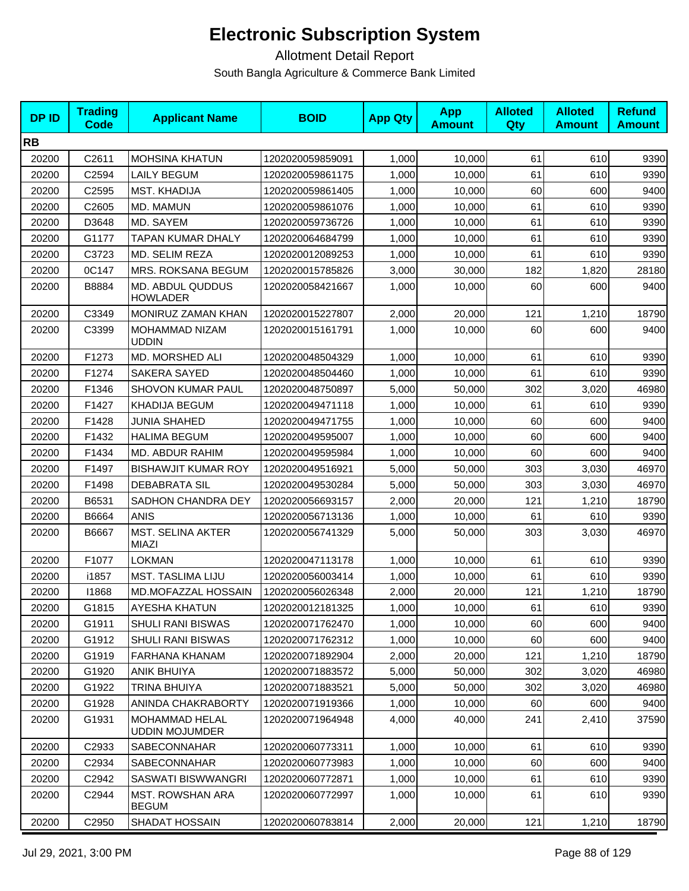| <b>DPID</b> | <b>Trading</b><br>Code | <b>Applicant Name</b>                    | <b>BOID</b>      | <b>App Qty</b> | <b>App</b><br><b>Amount</b> | <b>Alloted</b><br>Qty | <b>Alloted</b><br><b>Amount</b> | <b>Refund</b><br><b>Amount</b> |
|-------------|------------------------|------------------------------------------|------------------|----------------|-----------------------------|-----------------------|---------------------------------|--------------------------------|
| <b>RB</b>   |                        |                                          |                  |                |                             |                       |                                 |                                |
| 20200       | C2611                  | <b>MOHSINA KHATUN</b>                    | 1202020059859091 | 1,000          | 10,000                      | 61                    | 610                             | 9390                           |
| 20200       | C2594                  | <b>LAILY BEGUM</b>                       | 1202020059861175 | 1,000          | 10,000                      | 61                    | 610                             | 9390                           |
| 20200       | C2595                  | <b>MST. KHADIJA</b>                      | 1202020059861405 | 1,000          | 10,000                      | 60                    | 600                             | 9400                           |
| 20200       | C2605                  | MD. MAMUN                                | 1202020059861076 | 1,000          | 10,000                      | 61                    | 610                             | 9390                           |
| 20200       | D3648                  | MD. SAYEM                                | 1202020059736726 | 1,000          | 10,000                      | 61                    | 610                             | 9390                           |
| 20200       | G1177                  | TAPAN KUMAR DHALY                        | 1202020064684799 | 1,000          | 10.000                      | 61                    | 610                             | 9390                           |
| 20200       | C3723                  | MD. SELIM REZA                           | 1202020012089253 | 1,000          | 10,000                      | 61                    | 610                             | 9390                           |
| 20200       | 0C147                  | MRS. ROKSANA BEGUM                       | 1202020015785826 | 3,000          | 30,000                      | 182                   | 1,820                           | 28180                          |
| 20200       | B8884                  | MD. ABDUL QUDDUS<br><b>HOWLADER</b>      | 1202020058421667 | 1,000          | 10,000                      | 60                    | 600                             | 9400                           |
| 20200       | C3349                  | MONIRUZ ZAMAN KHAN                       | 1202020015227807 | 2,000          | 20,000                      | 121                   | 1,210                           | 18790                          |
| 20200       | C3399                  | MOHAMMAD NIZAM<br><b>UDDIN</b>           | 1202020015161791 | 1,000          | 10,000                      | 60                    | 600                             | 9400                           |
| 20200       | F1273                  | MD. MORSHED ALI                          | 1202020048504329 | 1,000          | 10,000                      | 61                    | 610                             | 9390                           |
| 20200       | F1274                  | <b>SAKERA SAYED</b>                      | 1202020048504460 | 1,000          | 10.000                      | 61                    | 610                             | 9390                           |
| 20200       | F1346                  | SHOVON KUMAR PAUL                        | 1202020048750897 | 5,000          | 50,000                      | 302                   | 3,020                           | 46980                          |
| 20200       | F1427                  | <b>KHADIJA BEGUM</b>                     | 1202020049471118 | 1,000          | 10,000                      | 61                    | 610                             | 9390                           |
| 20200       | F1428                  | JUNIA SHAHED                             | 1202020049471755 | 1,000          | 10.000                      | 60                    | 600                             | 9400                           |
| 20200       | F1432                  | <b>HALIMA BEGUM</b>                      | 1202020049595007 | 1,000          | 10,000                      | 60                    | 600                             | 9400                           |
| 20200       | F1434                  | MD. ABDUR RAHIM                          | 1202020049595984 | 1,000          | 10,000                      | 60                    | 600                             | 9400                           |
| 20200       | F1497                  | <b>BISHAWJIT KUMAR ROY</b>               | 1202020049516921 | 5,000          | 50,000                      | 303                   | 3,030                           | 46970                          |
| 20200       | F1498                  | <b>DEBABRATA SIL</b>                     | 1202020049530284 | 5,000          | 50,000                      | 303                   | 3,030                           | 46970                          |
| 20200       | B6531                  | SADHON CHANDRA DEY                       | 1202020056693157 | 2,000          | 20,000                      | 121                   | 1,210                           | 18790                          |
| 20200       | B6664                  | <b>ANIS</b>                              | 1202020056713136 | 1,000          | 10,000                      | 61                    | 610                             | 9390                           |
| 20200       | B6667                  | <b>MST. SELINA AKTER</b><br><b>MIAZI</b> | 1202020056741329 | 5,000          | 50,000                      | 303                   | 3,030                           | 46970                          |
| 20200       | F1077                  | <b>LOKMAN</b>                            | 1202020047113178 | 1,000          | 10,000                      | 61                    | 610                             | 9390                           |
| 20200       | i1857                  | <b>MST. TASLIMA LIJU</b>                 | 1202020056003414 | 1,000          | 10,000                      | 61                    | 610                             | 9390                           |
| 20200       | 11868                  | MD.MOFAZZAL HOSSAIN                      | 1202020056026348 | 2,000          | 20,000                      | 121                   | 1,210                           | 18790                          |
| 20200       | G1815                  | AYESHA KHATUN                            | 1202020012181325 | 1,000          | 10,000                      | 61                    | 610                             | 9390                           |
| 20200       | G1911                  | <b>SHULI RANI BISWAS</b>                 | 1202020071762470 | 1,000          | 10,000                      | 60                    | 600                             | 9400                           |
| 20200       | G1912                  | SHULI RANI BISWAS                        | 1202020071762312 | 1,000          | 10,000                      | 60                    | 600                             | 9400                           |
| 20200       | G1919                  | FARHANA KHANAM                           | 1202020071892904 | 2,000          | 20,000                      | 121                   | 1,210                           | 18790                          |
| 20200       | G1920                  | <b>ANIK BHUIYA</b>                       | 1202020071883572 | 5,000          | 50,000                      | 302                   | 3,020                           | 46980                          |
| 20200       | G1922                  | TRINA BHUIYA                             | 1202020071883521 | 5,000          | 50,000                      | 302                   | 3,020                           | 46980                          |
| 20200       | G1928                  | ANINDA CHAKRABORTY                       | 1202020071919366 | 1,000          | 10,000                      | 60                    | 600                             | 9400                           |
| 20200       | G1931                  | MOHAMMAD HELAL<br><b>UDDIN MOJUMDER</b>  | 1202020071964948 | 4,000          | 40,000                      | 241                   | 2,410                           | 37590                          |
| 20200       | C2933                  | <b>SABECONNAHAR</b>                      | 1202020060773311 | 1,000          | 10,000                      | 61                    | 610                             | 9390                           |
| 20200       | C2934                  | <b>SABECONNAHAR</b>                      | 1202020060773983 | 1,000          | 10,000                      | 60                    | 600                             | 9400                           |
| 20200       | C2942                  | SASWATI BISWWANGRI                       | 1202020060772871 | 1,000          | 10,000                      | 61                    | 610                             | 9390                           |
| 20200       | C2944                  | <b>MST. ROWSHAN ARA</b><br><b>BEGUM</b>  | 1202020060772997 | 1,000          | 10,000                      | 61                    | 610                             | 9390                           |
| 20200       | C2950                  | SHADAT HOSSAIN                           | 1202020060783814 | 2,000          | 20,000                      | 121                   | 1,210                           | 18790                          |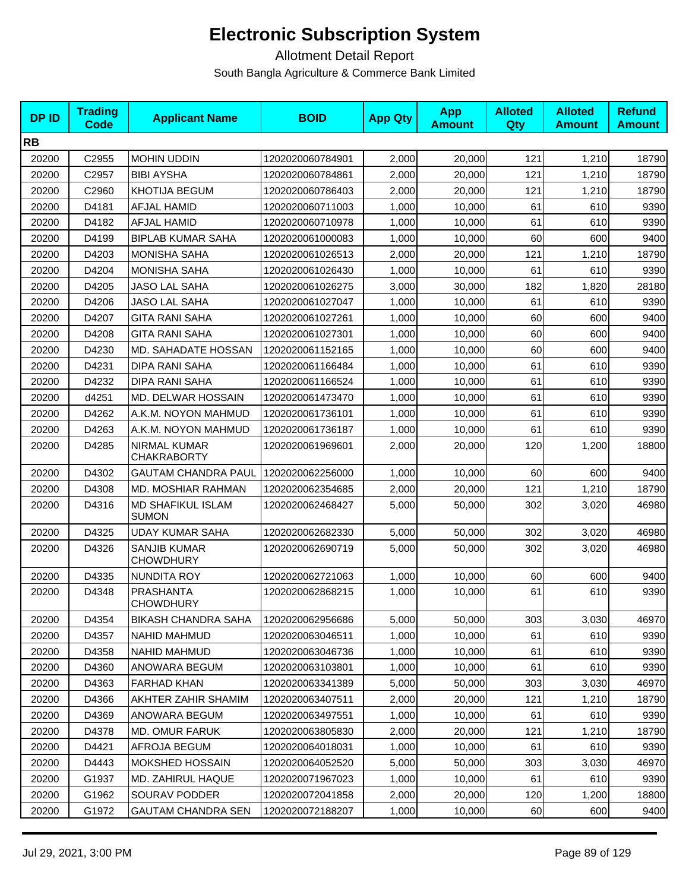| <b>DPID</b> | <b>Trading</b><br>Code | <b>Applicant Name</b>                     | <b>BOID</b>      | <b>App Qty</b> | <b>App</b><br><b>Amount</b> | <b>Alloted</b><br>Qty | <b>Alloted</b><br><b>Amount</b> | <b>Refund</b><br><b>Amount</b> |
|-------------|------------------------|-------------------------------------------|------------------|----------------|-----------------------------|-----------------------|---------------------------------|--------------------------------|
| <b>RB</b>   |                        |                                           |                  |                |                             |                       |                                 |                                |
| 20200       | C2955                  | MOHIN UDDIN                               | 1202020060784901 | 2,000          | 20,000                      | 121                   | 1,210                           | 18790                          |
| 20200       | C2957                  | <b>BIBI AYSHA</b>                         | 1202020060784861 | 2,000          | 20,000                      | 121                   | 1,210                           | 18790                          |
| 20200       | C2960                  | KHOTIJA BEGUM                             | 1202020060786403 | 2,000          | 20,000                      | 121                   | 1,210                           | 18790                          |
| 20200       | D4181                  | <b>AFJAL HAMID</b>                        | 1202020060711003 | 1,000          | 10,000                      | 61                    | 610                             | 9390                           |
| 20200       | D4182                  | AFJAL HAMID                               | 1202020060710978 | 1,000          | 10,000                      | 61                    | 610                             | 9390                           |
| 20200       | D4199                  | <b>BIPLAB KUMAR SAHA</b>                  | 1202020061000083 | 1,000          | 10,000                      | 60                    | 600                             | 9400                           |
| 20200       | D4203                  | <b>MONISHA SAHA</b>                       | 1202020061026513 | 2,000          | 20,000                      | 121                   | 1,210                           | 18790                          |
| 20200       | D4204                  | <b>MONISHA SAHA</b>                       | 1202020061026430 | 1,000          | 10,000                      | 61                    | 610                             | 9390                           |
| 20200       | D4205                  | JASO LAL SAHA                             | 1202020061026275 | 3,000          | 30,000                      | 182                   | 1,820                           | 28180                          |
| 20200       | D4206                  | JASO LAL SAHA                             | 1202020061027047 | 1,000          | 10,000                      | 61                    | 610                             | 9390                           |
| 20200       | D4207                  | <b>GITA RANI SAHA</b>                     | 1202020061027261 | 1,000          | 10,000                      | 60                    | 600                             | 9400                           |
| 20200       | D4208                  | <b>GITA RANI SAHA</b>                     | 1202020061027301 | 1,000          | 10,000                      | 60                    | 600                             | 9400                           |
| 20200       | D4230                  | MD. SAHADATE HOSSAN                       | 1202020061152165 | 1,000          | 10,000                      | 60                    | 600                             | 9400                           |
| 20200       | D4231                  | DIPA RANI SAHA                            | 1202020061166484 | 1,000          | 10,000                      | 61                    | 610                             | 9390                           |
| 20200       | D4232                  | DIPA RANI SAHA                            | 1202020061166524 | 1,000          | 10.000                      | 61                    | 610                             | 9390                           |
| 20200       | d4251                  | MD. DELWAR HOSSAIN                        | 1202020061473470 | 1,000          | 10,000                      | 61                    | 610                             | 9390                           |
| 20200       | D4262                  | A.K.M. NOYON MAHMUD                       | 1202020061736101 | 1,000          | 10,000                      | 61                    | 610                             | 9390                           |
| 20200       | D4263                  | A.K.M. NOYON MAHMUD                       | 1202020061736187 | 1,000          | 10,000                      | 61                    | 610                             | 9390                           |
| 20200       | D4285                  | <b>NIRMAL KUMAR</b><br><b>CHAKRABORTY</b> | 1202020061969601 | 2,000          | 20,000                      | 120                   | 1,200                           | 18800                          |
| 20200       | D4302                  | <b>GAUTAM CHANDRA PAUL</b>                | 1202020062256000 | 1,000          | 10,000                      | 60                    | 600                             | 9400                           |
| 20200       | D4308                  | MD. MOSHIAR RAHMAN                        | 1202020062354685 | 2,000          | 20,000                      | 121                   | 1,210                           | 18790                          |
| 20200       | D4316                  | <b>MD SHAFIKUL ISLAM</b><br><b>SUMON</b>  | 1202020062468427 | 5,000          | 50,000                      | 302                   | 3,020                           | 46980                          |
| 20200       | D4325                  | <b>UDAY KUMAR SAHA</b>                    | 1202020062682330 | 5,000          | 50,000                      | 302                   | 3,020                           | 46980                          |
| 20200       | D4326                  | <b>SANJIB KUMAR</b><br><b>CHOWDHURY</b>   | 1202020062690719 | 5,000          | 50,000                      | 302                   | 3,020                           | 46980                          |
| 20200       | D4335                  | <b>NUNDITA ROY</b>                        | 1202020062721063 | 1,000          | 10,000                      | 60                    | 600                             | 9400                           |
| 20200       | D4348                  | <b>PRASHANTA</b><br><b>CHOWDHURY</b>      | 1202020062868215 | 1,000          | 10,000                      | 61                    | 610                             | 9390                           |
| 20200       | D4354                  | <b>BIKASH CHANDRA SAHA</b>                | 1202020062956686 | 5,000          | 50,000                      | 303                   | 3,030                           | 46970                          |
| 20200       | D4357                  | <b>NAHID MAHMUD</b>                       | 1202020063046511 | 1,000          | 10,000                      | 61                    | 610                             | 9390                           |
| 20200       | D4358                  | <b>NAHID MAHMUD</b>                       | 1202020063046736 | 1,000          | 10.000                      | 61                    | 610                             | 9390                           |
| 20200       | D4360                  | ANOWARA BEGUM                             | 1202020063103801 | 1,000          | 10,000                      | 61                    | 610                             | 9390                           |
| 20200       | D4363                  | FARHAD KHAN                               | 1202020063341389 | 5,000          | 50,000                      | 303                   | 3,030                           | 46970                          |
| 20200       | D4366                  | AKHTER ZAHIR SHAMIM                       | 1202020063407511 | 2,000          | 20,000                      | 121                   | 1,210                           | 18790                          |
| 20200       | D4369                  | ANOWARA BEGUM                             | 1202020063497551 | 1,000          | 10,000                      | 61                    | 610                             | 9390                           |
| 20200       | D4378                  | MD. OMUR FARUK                            | 1202020063805830 | 2,000          | 20,000                      | 121                   | 1,210                           | 18790                          |
| 20200       | D4421                  | AFROJA BEGUM                              | 1202020064018031 | 1,000          | 10,000                      | 61                    | 610                             | 9390                           |
| 20200       | D4443                  | <b>MOKSHED HOSSAIN</b>                    | 1202020064052520 | 5,000          | 50,000                      | 303                   | 3,030                           | 46970                          |
| 20200       | G1937                  | MD. ZAHIRUL HAQUE                         | 1202020071967023 | 1,000          | 10,000                      | 61                    | 610                             | 9390                           |
| 20200       | G1962                  | SOURAV PODDER                             | 1202020072041858 | 2,000          | 20,000                      | 120                   | 1,200                           | 18800                          |
| 20200       | G1972                  | <b>GAUTAM CHANDRA SEN</b>                 | 1202020072188207 | 1,000          | 10,000                      | 60                    | 600                             | 9400                           |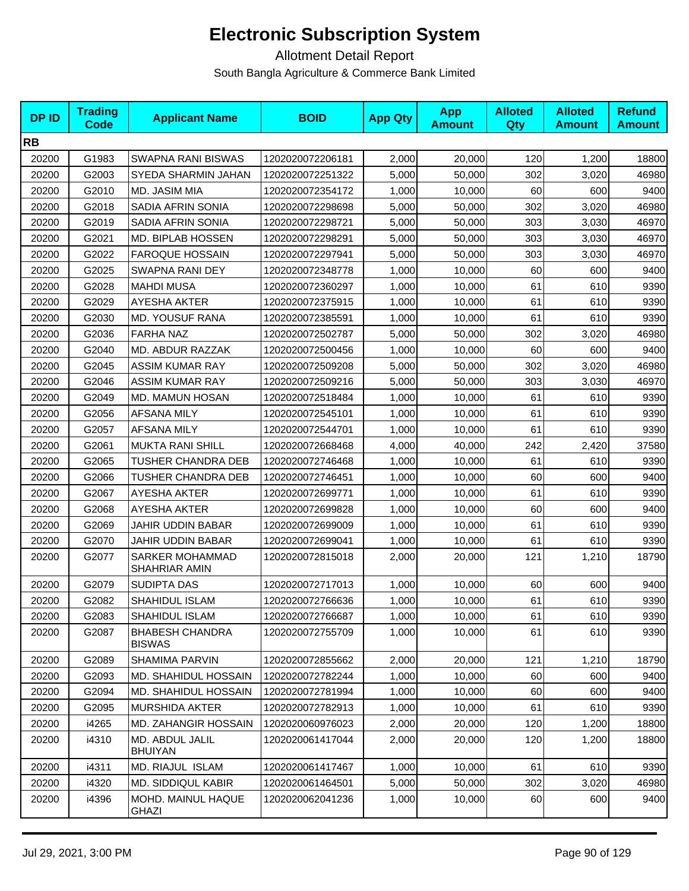| <b>DPID</b> | <b>Trading</b><br>Code | <b>Applicant Name</b>                   | <b>BOID</b>      | <b>App Qty</b> | <b>App</b><br><b>Amount</b> | <b>Alloted</b><br><b>Qty</b> | <b>Alloted</b><br><b>Amount</b> | <b>Refund</b><br><b>Amount</b> |
|-------------|------------------------|-----------------------------------------|------------------|----------------|-----------------------------|------------------------------|---------------------------------|--------------------------------|
| <b>RB</b>   |                        |                                         |                  |                |                             |                              |                                 |                                |
| 20200       | G1983                  | <b>SWAPNA RANI BISWAS</b>               | 1202020072206181 | 2,000          | 20,000                      | 120                          | 1,200                           | 18800                          |
| 20200       | G2003                  | SYEDA SHARMIN JAHAN                     | 1202020072251322 | 5,000          | 50,000                      | 302                          | 3,020                           | 46980                          |
| 20200       | G2010                  | MD. JASIM MIA                           | 1202020072354172 | 1,000          | 10,000                      | 60                           | 600                             | 9400                           |
| 20200       | G2018                  | SADIA AFRIN SONIA                       | 1202020072298698 | 5,000          | 50,000                      | 302                          | 3,020                           | 46980                          |
| 20200       | G2019                  | SADIA AFRIN SONIA                       | 1202020072298721 | 5,000          | 50,000                      | 303                          | 3,030                           | 46970                          |
| 20200       | G2021                  | MD. BIPLAB HOSSEN                       | 1202020072298291 | 5,000          | 50,000                      | 303                          | 3,030                           | 46970                          |
| 20200       | G2022                  | <b>FAROQUE HOSSAIN</b>                  | 1202020072297941 | 5,000          | 50,000                      | 303                          | 3,030                           | 46970                          |
| 20200       | G2025                  | SWAPNA RANI DEY                         | 1202020072348778 | 1,000          | 10,000                      | 60                           | 600                             | 9400                           |
| 20200       | G2028                  | <b>MAHDI MUSA</b>                       | 1202020072360297 | 1,000          | 10,000                      | 61                           | 610                             | 9390                           |
| 20200       | G2029                  | <b>AYESHA AKTER</b>                     | 1202020072375915 | 1,000          | 10,000                      | 61                           | 610                             | 9390                           |
| 20200       | G2030                  | MD. YOUSUF RANA                         | 1202020072385591 | 1,000          | 10,000                      | 61                           | 610                             | 9390                           |
| 20200       | G2036                  | <b>FARHA NAZ</b>                        | 1202020072502787 | 5,000          | 50,000                      | 302                          | 3,020                           | 46980                          |
| 20200       | G2040                  | MD. ABDUR RAZZAK                        | 1202020072500456 | 1,000          | 10,000                      | 60                           | 600                             | 9400                           |
| 20200       | G2045                  | <b>ASSIM KUMAR RAY</b>                  | 1202020072509208 | 5,000          | 50.000                      | 302                          | 3,020                           | 46980                          |
| 20200       | G2046                  | <b>ASSIM KUMAR RAY</b>                  | 1202020072509216 | 5,000          | 50,000                      | 303                          | 3,030                           | 46970                          |
| 20200       | G2049                  | <b>MD. MAMUN HOSAN</b>                  | 1202020072518484 | 1,000          | 10,000                      | 61                           | 610                             | 9390                           |
| 20200       | G2056                  | <b>AFSANA MILY</b>                      | 1202020072545101 | 1,000          | 10,000                      | 61                           | 610                             | 9390                           |
| 20200       | G2057                  | AFSANA MILY                             | 1202020072544701 | 1,000          | 10,000                      | 61                           | 610                             | 9390                           |
| 20200       | G2061                  | <b>MUKTA RANI SHILL</b>                 | 1202020072668468 | 4,000          | 40,000                      | 242                          | 2,420                           | 37580                          |
| 20200       | G2065                  | TUSHER CHANDRA DEB                      | 1202020072746468 | 1,000          | 10,000                      | 61                           | 610                             | 9390                           |
| 20200       | G2066                  | TUSHER CHANDRA DEB                      | 1202020072746451 | 1,000          | 10,000                      | 60                           | 600                             | 9400                           |
| 20200       | G2067                  | AYESHA AKTER                            | 1202020072699771 | 1,000          | 10,000                      | 61                           | 610                             | 9390                           |
| 20200       | G2068                  | <b>AYESHA AKTER</b>                     | 1202020072699828 | 1,000          | 10,000                      | 60                           | 600                             | 9400                           |
| 20200       | G2069                  | JAHIR UDDIN BABAR                       | 1202020072699009 | 1,000          | 10,000                      | 61                           | 610                             | 9390                           |
| 20200       | G2070                  | JAHIR UDDIN BABAR                       | 1202020072699041 | 1,000          | 10,000                      | 61                           | 610                             | 9390                           |
| 20200       | G2077                  | SARKER MOHAMMAD<br>SHAHRIAR AMIN        | 1202020072815018 | 2,000          | 20,000                      | 121                          | 1,210                           | 18790                          |
| 20200       | G2079                  | SUDIPTA DAS                             | 1202020072717013 | 1,000          | 10,000                      | 60                           | 600                             | 9400                           |
| 20200       | G2082                  | SHAHIDUL ISLAM                          | 1202020072766636 | 1,000          | 10,000                      | 61                           | 610                             | 9390                           |
| 20200       | G2083                  | <b>SHAHIDUL ISLAM</b>                   | 1202020072766687 | 1,000          | 10,000                      | 61                           | 610                             | 9390                           |
| 20200       | G2087                  | <b>BHABESH CHANDRA</b><br><b>BISWAS</b> | 1202020072755709 | 1,000          | 10,000                      | 61                           | 610                             | 9390                           |
| 20200       | G2089                  | SHAMIMA PARVIN                          | 1202020072855662 | 2,000          | 20,000                      | 121                          | 1,210                           | 18790                          |
| 20200       | G2093                  | <b>MD. SHAHIDUL HOSSAIN</b>             | 1202020072782244 | 1,000          | 10,000                      | 60                           | 600                             | 9400                           |
| 20200       | G2094                  | <b>MD. SHAHIDUL HOSSAIN</b>             | 1202020072781994 | 1,000          | 10,000                      | 60                           | 600                             | 9400                           |
| 20200       | G2095                  | <b>MURSHIDA AKTER</b>                   | 1202020072782913 | 1,000          | 10,000                      | 61                           | 610                             | 9390                           |
| 20200       | i4265                  | MD. ZAHANGIR HOSSAIN                    | 1202020060976023 | 2,000          | 20,000                      | 120                          | 1,200                           | 18800                          |
| 20200       | i4310                  | MD. ABDUL JALIL<br><b>BHUIYAN</b>       | 1202020061417044 | 2,000          | 20,000                      | 120                          | 1,200                           | 18800                          |
| 20200       | i4311                  | MD. RIAJUL ISLAM                        | 1202020061417467 | 1,000          | 10,000                      | 61                           | 610                             | 9390                           |
| 20200       | i4320                  | <b>MD. SIDDIQUL KABIR</b>               | 1202020061464501 | 5,000          | 50,000                      | 302                          | 3,020                           | 46980                          |
| 20200       | i4396                  | MOHD. MAINUL HAQUE<br>GHAZI             | 1202020062041236 | 1,000          | 10,000                      | 60                           | 600                             | 9400                           |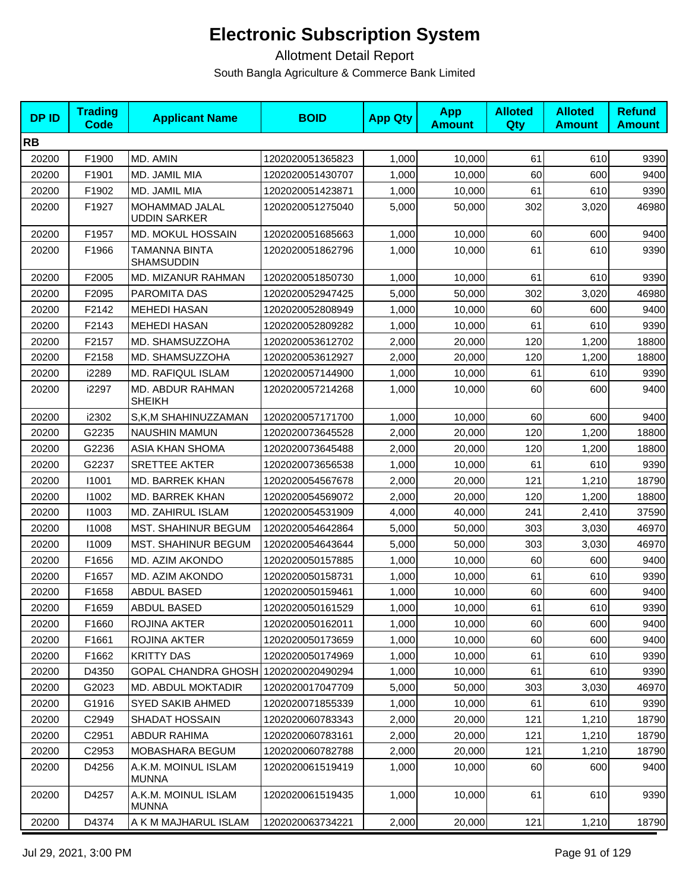| <b>DPID</b> | <b>Trading</b><br><b>Code</b> | <b>Applicant Name</b>                 | <b>BOID</b>      | <b>App Qty</b> | <b>App</b><br><b>Amount</b> | <b>Alloted</b><br>Qty | <b>Alloted</b><br><b>Amount</b> | <b>Refund</b><br><b>Amount</b> |
|-------------|-------------------------------|---------------------------------------|------------------|----------------|-----------------------------|-----------------------|---------------------------------|--------------------------------|
| <b>RB</b>   |                               |                                       |                  |                |                             |                       |                                 |                                |
| 20200       | F1900                         | MD. AMIN                              | 1202020051365823 | 1,000          | 10,000                      | 61                    | 610                             | 9390                           |
| 20200       | F1901                         | MD. JAMIL MIA                         | 1202020051430707 | 1,000          | 10,000                      | 60                    | 600                             | 9400                           |
| 20200       | F1902                         | MD. JAMIL MIA                         | 1202020051423871 | 1,000          | 10,000                      | 61                    | 610                             | 9390                           |
| 20200       | F1927                         | MOHAMMAD JALAL<br><b>UDDIN SARKER</b> | 1202020051275040 | 5,000          | 50,000                      | 302                   | 3,020                           | 46980                          |
| 20200       | F1957                         | <b>MD. MOKUL HOSSAIN</b>              | 1202020051685663 | 1,000          | 10,000                      | 60                    | 600                             | 9400                           |
| 20200       | F1966                         | TAMANNA BINTA<br><b>SHAMSUDDIN</b>    | 1202020051862796 | 1,000          | 10,000                      | 61                    | 610                             | 9390                           |
| 20200       | F2005                         | MD. MIZANUR RAHMAN                    | 1202020051850730 | 1,000          | 10,000                      | 61                    | 610                             | 9390                           |
| 20200       | F2095                         | <b>PAROMITA DAS</b>                   | 1202020052947425 | 5,000          | 50,000                      | 302                   | 3,020                           | 46980                          |
| 20200       | F2142                         | <b>MEHEDI HASAN</b>                   | 1202020052808949 | 1,000          | 10,000                      | 60                    | 600                             | 9400                           |
| 20200       | F2143                         | <b>MEHEDI HASAN</b>                   | 1202020052809282 | 1,000          | 10,000                      | 61                    | 610                             | 9390                           |
| 20200       | F2157                         | MD. SHAMSUZZOHA                       | 1202020053612702 | 2,000          | 20,000                      | 120                   | 1,200                           | 18800                          |
| 20200       | F2158                         | MD. SHAMSUZZOHA                       | 1202020053612927 | 2,000          | 20,000                      | 120                   | 1,200                           | 18800                          |
| 20200       | i2289                         | <b>MD. RAFIQUL ISLAM</b>              | 1202020057144900 | 1,000          | 10,000                      | 61                    | 610                             | 9390                           |
| 20200       | i2297                         | MD. ABDUR RAHMAN<br>SHEIKH            | 1202020057214268 | 1,000          | 10,000                      | 60                    | 600                             | 9400                           |
| 20200       | i2302                         | S,K,M SHAHINUZZAMAN                   | 1202020057171700 | 1,000          | 10,000                      | 60                    | 600                             | 9400                           |
| 20200       | G2235                         | NAUSHIN MAMUN                         | 1202020073645528 | 2,000          | 20,000                      | 120                   | 1,200                           | 18800                          |
| 20200       | G2236                         | ASIA KHAN SHOMA                       | 1202020073645488 | 2,000          | 20,000                      | 120                   | 1,200                           | 18800                          |
| 20200       | G2237                         | <b>SRETTEE AKTER</b>                  | 1202020073656538 | 1,000          | 10,000                      | 61                    | 610                             | 9390                           |
| 20200       | 11001                         | <b>MD. BARREK KHAN</b>                | 1202020054567678 | 2,000          | 20,000                      | 121                   | 1,210                           | 18790                          |
| 20200       | 11002                         | MD. BARREK KHAN                       | 1202020054569072 | 2,000          | 20,000                      | 120                   | 1,200                           | 18800                          |
| 20200       | 11003                         | MD. ZAHIRUL ISLAM                     | 1202020054531909 | 4,000          | 40,000                      | 241                   | 2,410                           | 37590                          |
| 20200       | 11008                         | <b>MST. SHAHINUR BEGUM</b>            | 1202020054642864 | 5,000          | 50,000                      | 303                   | 3,030                           | 46970                          |
| 20200       | 11009                         | <b>MST. SHAHINUR BEGUM</b>            | 1202020054643644 | 5,000          | 50,000                      | 303                   | 3,030                           | 46970                          |
| 20200       | F1656                         | MD. AZIM AKONDO                       | 1202020050157885 | 1,000          | 10,000                      | 60                    | 600                             | 9400                           |
| 20200       | F1657                         | MD. AZIM AKONDO                       | 1202020050158731 | 1,000          | 10,000                      | 61                    | 610                             | 9390                           |
| 20200       | F1658                         | ABDUL BASED                           | 1202020050159461 | 1,000          | 10,000                      | 60                    | 600                             | 9400                           |
| 20200       | F1659                         | <b>ABDUL BASED</b>                    | 1202020050161529 | 1,000          | 10,000                      | 61                    | 610                             | 9390                           |
| 20200       | F1660                         | ROJINA AKTER                          | 1202020050162011 | 1,000          | 10,000                      | 60                    | 600                             | 9400                           |
| 20200       | F1661                         | ROJINA AKTER                          | 1202020050173659 | 1,000          | 10,000                      | 60                    | 600                             | 9400                           |
| 20200       | F1662                         | <b>KRITTY DAS</b>                     | 1202020050174969 | 1,000          | 10,000                      | 61                    | 610                             | 9390                           |
| 20200       | D4350                         | <b>GOPAL CHANDRA GHOSH</b>            | 1202020020490294 | 1,000          | 10,000                      | 61                    | 610                             | 9390                           |
| 20200       | G2023                         | MD. ABDUL MOKTADIR                    | 1202020017047709 | 5,000          | 50,000                      | 303                   | 3,030                           | 46970                          |
| 20200       | G1916                         | SYED SAKIB AHMED                      | 1202020071855339 | 1,000          | 10,000                      | 61                    | 610                             | 9390                           |
| 20200       | C2949                         | SHADAT HOSSAIN                        | 1202020060783343 | 2,000          | 20,000                      | 121                   | 1,210                           | 18790                          |
| 20200       | C2951                         | <b>ABDUR RAHIMA</b>                   | 1202020060783161 | 2,000          | 20,000                      | 121                   | 1,210                           | 18790                          |
| 20200       | C2953                         | MOBASHARA BEGUM                       | 1202020060782788 | 2,000          | 20,000                      | 121                   | 1,210                           | 18790                          |
| 20200       | D4256                         | A.K.M. MOINUL ISLAM<br><b>MUNNA</b>   | 1202020061519419 | 1,000          | 10,000                      | 60                    | 600                             | 9400                           |
| 20200       | D4257                         | A.K.M. MOINUL ISLAM<br><b>MUNNA</b>   | 1202020061519435 | 1,000          | 10,000                      | 61                    | 610                             | 9390                           |
| 20200       | D4374                         | A K M MAJHARUL ISLAM                  | 1202020063734221 | 2,000          | 20,000                      | 121                   | 1,210                           | 18790                          |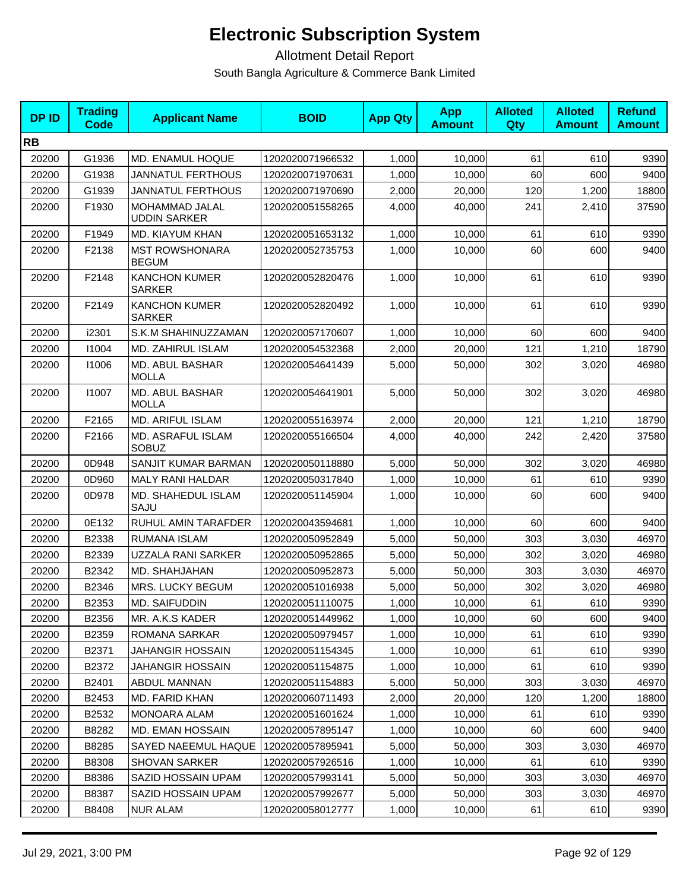| <b>DPID</b> | <b>Trading</b><br>Code | <b>Applicant Name</b>                        | <b>BOID</b>      | <b>App Qty</b> | <b>App</b><br><b>Amount</b> | <b>Alloted</b><br>Qty | <b>Alloted</b><br><b>Amount</b> | <b>Refund</b><br><b>Amount</b> |
|-------------|------------------------|----------------------------------------------|------------------|----------------|-----------------------------|-----------------------|---------------------------------|--------------------------------|
| <b>RB</b>   |                        |                                              |                  |                |                             |                       |                                 |                                |
| 20200       | G1936                  | MD. ENAMUL HOQUE                             | 1202020071966532 | 1,000          | 10,000                      | 61                    | 610                             | 9390                           |
| 20200       | G1938                  | <b>JANNATUL FERTHOUS</b>                     | 1202020071970631 | 1,000          | 10,000                      | 60                    | 600                             | 9400                           |
| 20200       | G1939                  | JANNATUL FERTHOUS                            | 1202020071970690 | 2,000          | 20,000                      | 120                   | 1,200                           | 18800                          |
| 20200       | F1930                  | <b>MOHAMMAD JALAL</b><br><b>UDDIN SARKER</b> | 1202020051558265 | 4,000          | 40,000                      | 241                   | 2,410                           | 37590                          |
| 20200       | F1949                  | MD. KIAYUM KHAN                              | 1202020051653132 | 1,000          | 10,000                      | 61                    | 610                             | 9390                           |
| 20200       | F2138                  | <b>MST ROWSHONARA</b><br><b>BEGUM</b>        | 1202020052735753 | 1.000          | 10,000                      | 60                    | 600                             | 9400                           |
| 20200       | F2148                  | <b>KANCHON KUMER</b><br><b>SARKER</b>        | 1202020052820476 | 1,000          | 10,000                      | 61                    | 610                             | 9390                           |
| 20200       | F2149                  | <b>KANCHON KUMER</b><br><b>SARKER</b>        | 1202020052820492 | 1,000          | 10,000                      | 61                    | 610                             | 9390                           |
| 20200       | i2301                  | S.K.M SHAHINUZZAMAN                          | 1202020057170607 | 1,000          | 10,000                      | 60                    | 600                             | 9400                           |
| 20200       | 11004                  | MD. ZAHIRUL ISLAM                            | 1202020054532368 | 2,000          | 20,000                      | 121                   | 1,210                           | 18790                          |
| 20200       | 11006                  | MD. ABUL BASHAR<br><b>MOLLA</b>              | 1202020054641439 | 5,000          | 50,000                      | 302                   | 3,020                           | 46980                          |
| 20200       | 11007                  | <b>MD. ABUL BASHAR</b><br><b>MOLLA</b>       | 1202020054641901 | 5,000          | 50.000                      | 302                   | 3,020                           | 46980                          |
| 20200       | F2165                  | MD. ARIFUL ISLAM                             | 1202020055163974 | 2,000          | 20,000                      | 121                   | 1,210                           | 18790                          |
| 20200       | F2166                  | MD. ASRAFUL ISLAM<br><b>SOBUZ</b>            | 1202020055166504 | 4,000          | 40,000                      | 242                   | 2,420                           | 37580                          |
| 20200       | 0D948                  | SANJIT KUMAR BARMAN                          | 1202020050118880 | 5,000          | 50,000                      | 302                   | 3,020                           | 46980                          |
| 20200       | 0D960                  | <b>MALY RANI HALDAR</b>                      | 1202020050317840 | 1,000          | 10,000                      | 61                    | 610                             | 9390                           |
| 20200       | 0D978                  | MD. SHAHEDUL ISLAM<br>SAJU                   | 1202020051145904 | 1,000          | 10,000                      | 60                    | 600                             | 9400                           |
| 20200       | 0E132                  | RUHUL AMIN TARAFDER                          | 1202020043594681 | 1,000          | 10,000                      | 60                    | 600                             | 9400                           |
| 20200       | B2338                  | <b>RUMANA ISLAM</b>                          | 1202020050952849 | 5,000          | 50.000                      | 303                   | 3,030                           | 46970                          |
| 20200       | B2339                  | UZZALA RANI SARKER                           | 1202020050952865 | 5,000          | 50,000                      | 302                   | 3,020                           | 46980                          |
| 20200       | B2342                  | MD. SHAHJAHAN                                | 1202020050952873 | 5,000          | 50,000                      | 303                   | 3,030                           | 46970                          |
| 20200       | B2346                  | MRS. LUCKY BEGUM                             | 1202020051016938 | 5,000          | 50,000                      | 302                   | 3,020                           | 46980                          |
| 20200       | B2353                  | MD. SAIFUDDIN                                | 1202020051110075 | 1,000          | 10,000                      | 61                    | 610                             | 9390                           |
| 20200       | B2356                  | MR. A.K.S KADER                              | 1202020051449962 | 1,000          | 10,000                      | 60                    | 600                             | 9400                           |
| 20200       | B2359                  | ROMANA SARKAR                                | 1202020050979457 | 1,000          | 10,000                      | 61                    | 610                             | 9390                           |
| 20200       | B2371                  | JAHANGIR HOSSAIN                             | 1202020051154345 | 1,000          | 10,000                      | 61                    | 610                             | 9390                           |
| 20200       | B2372                  | <b>JAHANGIR HOSSAIN</b>                      | 1202020051154875 | 1,000          | 10,000                      | 61                    | 610                             | 9390                           |
| 20200       | B2401                  | ABDUL MANNAN                                 | 1202020051154883 | 5,000          | 50,000                      | 303                   | 3,030                           | 46970                          |
| 20200       | B2453                  | MD. FARID KHAN                               | 1202020060711493 | 2,000          | 20,000                      | 120                   | 1,200                           | 18800                          |
| 20200       | B2532                  | MONOARA ALAM                                 | 1202020051601624 | 1,000          | 10,000                      | 61                    | 610                             | 9390                           |
| 20200       | B8282                  | MD. EMAN HOSSAIN                             | 1202020057895147 | 1,000          | 10,000                      | 60                    | 600                             | 9400                           |
| 20200       | B8285                  | SAYED NAEEMUL HAQUE                          | 1202020057895941 | 5,000          | 50,000                      | 303                   | 3,030                           | 46970                          |
| 20200       | B8308                  | SHOVAN SARKER                                | 1202020057926516 | 1,000          | 10,000                      | 61                    | 610                             | 9390                           |
| 20200       | B8386                  | SAZID HOSSAIN UPAM                           | 1202020057993141 | 5,000          | 50,000                      | 303                   | 3,030                           | 46970                          |
| 20200       | B8387                  | SAZID HOSSAIN UPAM                           | 1202020057992677 | 5,000          | 50,000                      | 303                   | 3,030                           | 46970                          |
| 20200       | B8408                  | <b>NUR ALAM</b>                              | 1202020058012777 | 1,000          | 10,000                      | 61                    | 610                             | 9390                           |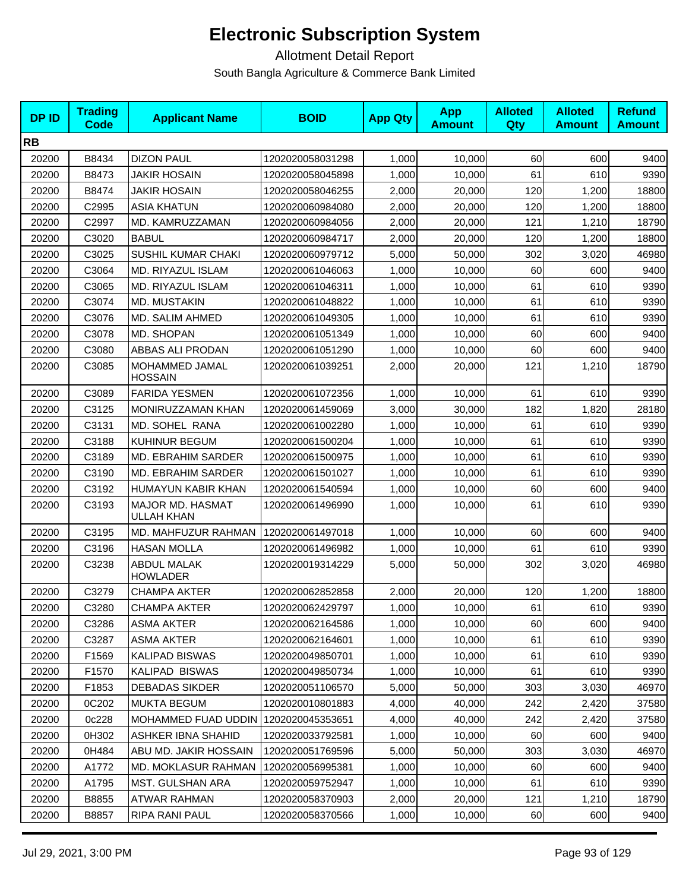| <b>DPID</b> | <b>Trading</b><br><b>Code</b> | <b>Applicant Name</b>                 | <b>BOID</b>      | <b>App Qty</b> | <b>App</b><br><b>Amount</b> | <b>Alloted</b><br>Qty | <b>Alloted</b><br><b>Amount</b> | <b>Refund</b><br><b>Amount</b> |
|-------------|-------------------------------|---------------------------------------|------------------|----------------|-----------------------------|-----------------------|---------------------------------|--------------------------------|
| <b>RB</b>   |                               |                                       |                  |                |                             |                       |                                 |                                |
| 20200       | B8434                         | <b>DIZON PAUL</b>                     | 1202020058031298 | 1,000          | 10,000                      | 60                    | 600                             | 9400                           |
| 20200       | B8473                         | <b>JAKIR HOSAIN</b>                   | 1202020058045898 | 1,000          | 10,000                      | 61                    | 610                             | 9390                           |
| 20200       | B8474                         | <b>JAKIR HOSAIN</b>                   | 1202020058046255 | 2,000          | 20,000                      | 120                   | 1,200                           | 18800                          |
| 20200       | C2995                         | <b>ASIA KHATUN</b>                    | 1202020060984080 | 2,000          | 20,000                      | 120                   | 1,200                           | 18800                          |
| 20200       | C2997                         | MD. KAMRUZZAMAN                       | 1202020060984056 | 2,000          | 20,000                      | 121                   | 1,210                           | 18790                          |
| 20200       | C3020                         | <b>BABUL</b>                          | 1202020060984717 | 2,000          | 20,000                      | 120                   | 1,200                           | 18800                          |
| 20200       | C3025                         | SUSHIL KUMAR CHAKI                    | 1202020060979712 | 5,000          | 50,000                      | 302                   | 3,020                           | 46980                          |
| 20200       | C3064                         | <b>MD. RIYAZUL ISLAM</b>              | 1202020061046063 | 1,000          | 10,000                      | 60                    | 600                             | 9400                           |
| 20200       | C3065                         | MD. RIYAZUL ISLAM                     | 1202020061046311 | 1,000          | 10,000                      | 61                    | 610                             | 9390                           |
| 20200       | C3074                         | MD. MUSTAKIN                          | 1202020061048822 | 1,000          | 10,000                      | 61                    | 610                             | 9390                           |
| 20200       | C3076                         | MD. SALIM AHMED                       | 1202020061049305 | 1,000          | 10,000                      | 61                    | 610                             | 9390                           |
| 20200       | C3078                         | MD. SHOPAN                            | 1202020061051349 | 1,000          | 10,000                      | 60                    | 600                             | 9400                           |
| 20200       | C3080                         | ABBAS ALI PRODAN                      | 1202020061051290 | 1,000          | 10,000                      | 60                    | 600                             | 9400                           |
| 20200       | C3085                         | MOHAMMED JAMAL<br><b>HOSSAIN</b>      | 1202020061039251 | 2,000          | 20,000                      | 121                   | 1,210                           | 18790                          |
| 20200       | C3089                         | <b>FARIDA YESMEN</b>                  | 1202020061072356 | 1,000          | 10,000                      | 61                    | 610                             | 9390                           |
| 20200       | C3125                         | MONIRUZZAMAN KHAN                     | 1202020061459069 | 3,000          | 30,000                      | 182                   | 1,820                           | 28180                          |
| 20200       | C3131                         | MD. SOHEL RANA                        | 1202020061002280 | 1,000          | 10,000                      | 61                    | 610                             | 9390                           |
| 20200       | C3188                         | KUHINUR BEGUM                         | 1202020061500204 | 1,000          | 10,000                      | 61                    | 610                             | 9390                           |
| 20200       | C3189                         | MD. EBRAHIM SARDER                    | 1202020061500975 | 1,000          | 10,000                      | 61                    | 610                             | 9390                           |
| 20200       | C3190                         | MD. EBRAHIM SARDER                    | 1202020061501027 | 1,000          | 10,000                      | 61                    | 610                             | 9390                           |
| 20200       | C3192                         | HUMAYUN KABIR KHAN                    | 1202020061540594 | 1,000          | 10,000                      | 60                    | 600                             | 9400                           |
| 20200       | C3193                         | MAJOR MD. HASMAT<br>ULLAH KHAN        | 1202020061496990 | 1,000          | 10,000                      | 61                    | 610                             | 9390                           |
| 20200       | C3195                         | MD. MAHFUZUR RAHMAN                   | 1202020061497018 | 1,000          | 10,000                      | 60                    | 600                             | 9400                           |
| 20200       | C3196                         | <b>HASAN MOLLA</b>                    | 1202020061496982 | 1,000          | 10,000                      | 61                    | 610                             | 9390                           |
| 20200       | C3238                         | <b>ABDUL MALAK</b><br><b>HOWLADER</b> | 1202020019314229 | 5,000          | 50,000                      | 302                   | 3,020                           | 46980                          |
| 20200       | C3279                         | <b>CHAMPA AKTER</b>                   | 1202020062852858 | 2,000          | 20,000                      | 120                   | 1,200                           | 18800                          |
| 20200       | C3280                         | CHAMPA AKTER                          | 1202020062429797 | 1,000          | 10,000                      | 61                    | 610                             | 9390                           |
| 20200       | C3286                         | ASMA AKTER                            | 1202020062164586 | 1,000          | 10,000                      | 60                    | 600                             | 9400                           |
| 20200       | C3287                         | <b>ASMA AKTER</b>                     | 1202020062164601 | 1,000          | 10,000                      | 61                    | 610                             | 9390                           |
| 20200       | F1569                         | KALIPAD BISWAS                        | 1202020049850701 | 1,000          | 10,000                      | 61                    | 610                             | 9390                           |
| 20200       | F1570                         | KALIPAD BISWAS                        | 1202020049850734 | 1,000          | 10.000                      | 61                    | 610                             | 9390                           |
| 20200       | F1853                         | <b>DEBADAS SIKDER</b>                 | 1202020051106570 | 5,000          | 50,000                      | 303                   | 3,030                           | 46970                          |
| 20200       | 0C202                         | <b>MUKTA BEGUM</b>                    | 1202020010801883 | 4,000          | 40,000                      | 242                   | 2,420                           | 37580                          |
| 20200       | 0c228                         | <b>MOHAMMED FUAD UDDIN</b>            | 1202020045353651 | 4,000          | 40,000                      | 242                   | 2,420                           | 37580                          |
| 20200       | 0H302                         | <b>ASHKER IBNA SHAHID</b>             | 1202020033792581 | 1,000          | 10,000                      | 60                    | 600                             | 9400                           |
| 20200       | 0H484                         | ABU MD. JAKIR HOSSAIN                 | 1202020051769596 | 5,000          | 50,000                      | 303                   | 3,030                           | 46970                          |
| 20200       | A1772                         | <b>MD. MOKLASUR RAHMAN</b>            | 1202020056995381 | 1,000          | 10,000                      | 60                    | 600                             | 9400                           |
| 20200       | A1795                         | MST. GULSHAN ARA                      | 1202020059752947 | 1,000          | 10,000                      | 61                    | 610                             | 9390                           |
| 20200       | B8855                         | <b>ATWAR RAHMAN</b>                   | 1202020058370903 | 2,000          | 20,000                      | 121                   | 1,210                           | 18790                          |
| 20200       | B8857                         | <b>RIPA RANI PAUL</b>                 | 1202020058370566 | 1,000          | 10,000                      | 60                    | 600                             | 9400                           |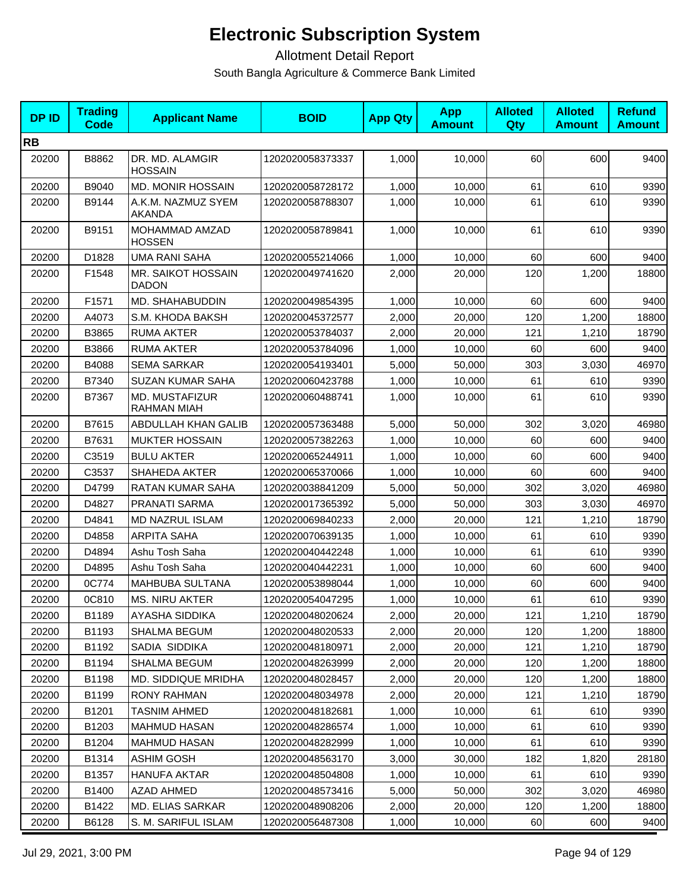| <b>DPID</b> | <b>Trading</b><br>Code | <b>Applicant Name</b>                | <b>BOID</b>      | <b>App Qty</b> | <b>App</b><br><b>Amount</b> | <b>Alloted</b><br>Qty | <b>Alloted</b><br><b>Amount</b> | <b>Refund</b><br><b>Amount</b> |
|-------------|------------------------|--------------------------------------|------------------|----------------|-----------------------------|-----------------------|---------------------------------|--------------------------------|
| <b>RB</b>   |                        |                                      |                  |                |                             |                       |                                 |                                |
| 20200       | B8862                  | DR. MD. ALAMGIR<br><b>HOSSAIN</b>    | 1202020058373337 | 1,000          | 10,000                      | 60                    | 600                             | 9400                           |
| 20200       | B9040                  | <b>MD. MONIR HOSSAIN</b>             | 1202020058728172 | 1,000          | 10,000                      | 61                    | 610                             | 9390                           |
| 20200       | B9144                  | A.K.M. NAZMUZ SYEM<br><b>AKANDA</b>  | 1202020058788307 | 1,000          | 10,000                      | 61                    | 610                             | 9390                           |
| 20200       | B9151                  | MOHAMMAD AMZAD<br><b>HOSSEN</b>      | 1202020058789841 | 1,000          | 10,000                      | 61                    | 610                             | 9390                           |
| 20200       | D1828                  | <b>UMA RANI SAHA</b>                 | 1202020055214066 | 1,000          | 10,000                      | 60                    | 600                             | 9400                           |
| 20200       | F1548                  | MR. SAIKOT HOSSAIN<br><b>DADON</b>   | 1202020049741620 | 2,000          | 20,000                      | 120                   | 1,200                           | 18800                          |
| 20200       | F1571                  | MD. SHAHABUDDIN                      | 1202020049854395 | 1,000          | 10,000                      | 60                    | 600                             | 9400                           |
| 20200       | A4073                  | S.M. KHODA BAKSH                     | 1202020045372577 | 2,000          | 20,000                      | 120                   | 1,200                           | 18800                          |
| 20200       | B3865                  | <b>RUMA AKTER</b>                    | 1202020053784037 | 2,000          | 20,000                      | 121                   | 1,210                           | 18790                          |
| 20200       | B3866                  | <b>RUMA AKTER</b>                    | 1202020053784096 | 1,000          | 10,000                      | 60                    | 600                             | 9400                           |
| 20200       | B4088                  | <b>SEMA SARKAR</b>                   | 1202020054193401 | 5,000          | 50,000                      | 303                   | 3,030                           | 46970                          |
| 20200       | B7340                  | SUZAN KUMAR SAHA                     | 1202020060423788 | 1,000          | 10,000                      | 61                    | 610                             | 9390                           |
| 20200       | B7367                  | MD. MUSTAFIZUR<br><b>RAHMAN MIAH</b> | 1202020060488741 | 1,000          | 10,000                      | 61                    | 610                             | 9390                           |
| 20200       | B7615                  | ABDULLAH KHAN GALIB                  | 1202020057363488 | 5,000          | 50,000                      | 302                   | 3,020                           | 46980                          |
| 20200       | B7631                  | <b>MUKTER HOSSAIN</b>                | 1202020057382263 | 1,000          | 10,000                      | 60                    | 600                             | 9400                           |
| 20200       | C3519                  | <b>BULU AKTER</b>                    | 1202020065244911 | 1,000          | 10,000                      | 60                    | 600                             | 9400                           |
| 20200       | C3537                  | <b>SHAHEDA AKTER</b>                 | 1202020065370066 | 1,000          | 10,000                      | 60                    | 600                             | 9400                           |
| 20200       | D4799                  | RATAN KUMAR SAHA                     | 1202020038841209 | 5,000          | 50,000                      | 302                   | 3,020                           | 46980                          |
| 20200       | D4827                  | PRANATI SARMA                        | 1202020017365392 | 5,000          | 50,000                      | 303                   | 3,030                           | 46970                          |
| 20200       | D4841                  | MD NAZRUL ISLAM                      | 1202020069840233 | 2,000          | 20,000                      | 121                   | 1,210                           | 18790                          |
| 20200       | D4858                  | <b>ARPITA SAHA</b>                   | 1202020070639135 | 1,000          | 10,000                      | 61                    | 610                             | 9390                           |
| 20200       | D4894                  | Ashu Tosh Saha                       | 1202020040442248 | 1,000          | 10,000                      | 61                    | 610                             | 9390                           |
| 20200       | D4895                  | Ashu Tosh Saha                       | 1202020040442231 | 1,000          | 10,000                      | 60                    | 600                             | 9400                           |
| 20200       | 0C774                  | MAHBUBA SULTANA                      | 1202020053898044 | 1,000          | 10,000                      | 60                    | 600                             | 9400                           |
| 20200       | 0C810                  | <b>MS. NIRU AKTER</b>                | 1202020054047295 | 1,000          | 10,000                      | 61                    | 610                             | 9390                           |
| 20200       | B1189                  | AYASHA SIDDIKA                       | 1202020048020624 | 2,000          | 20,000                      | 121                   | 1,210                           | 18790                          |
| 20200       | B1193                  | <b>SHALMA BEGUM</b>                  | 1202020048020533 | 2,000          | 20,000                      | 120                   | 1,200                           | 18800                          |
| 20200       | B1192                  | SADIA SIDDIKA                        | 1202020048180971 | 2,000          | 20,000                      | 121                   | 1,210                           | 18790                          |
| 20200       | B1194                  | SHALMA BEGUM                         | 1202020048263999 | 2,000          | 20,000                      | 120                   | 1,200                           | 18800                          |
| 20200       | B1198                  | MD. SIDDIQUE MRIDHA                  | 1202020048028457 | 2,000          | 20,000                      | 120                   | 1,200                           | 18800                          |
| 20200       | B1199                  | RONY RAHMAN                          | 1202020048034978 | 2,000          | 20,000                      | 121                   | 1,210                           | 18790                          |
| 20200       | B1201                  | <b>TASNIM AHMED</b>                  | 1202020048182681 | 1,000          | 10,000                      | 61                    | 610                             | 9390                           |
| 20200       | B1203                  | <b>MAHMUD HASAN</b>                  | 1202020048286574 | 1,000          | 10,000                      | 61                    | 610                             | 9390                           |
| 20200       | B1204                  | <b>MAHMUD HASAN</b>                  | 1202020048282999 | 1,000          | 10,000                      | 61                    | 610                             | 9390                           |
| 20200       | B1314                  | <b>ASHIM GOSH</b>                    | 1202020048563170 | 3,000          | 30,000                      | 182                   | 1,820                           | 28180                          |
| 20200       | B1357                  | <b>HANUFA AKTAR</b>                  | 1202020048504808 | 1,000          | 10,000                      | 61                    | 610                             | 9390                           |
| 20200       | B1400                  | <b>AZAD AHMED</b>                    | 1202020048573416 | 5,000          | 50,000                      | 302                   | 3,020                           | 46980                          |
| 20200       | B1422                  | MD. ELIAS SARKAR                     | 1202020048908206 | 2,000          | 20,000                      | 120                   | 1,200                           | 18800                          |
| 20200       | B6128                  | S. M. SARIFUL ISLAM                  | 1202020056487308 | 1,000          | 10,000                      | 60                    | 600                             | 9400                           |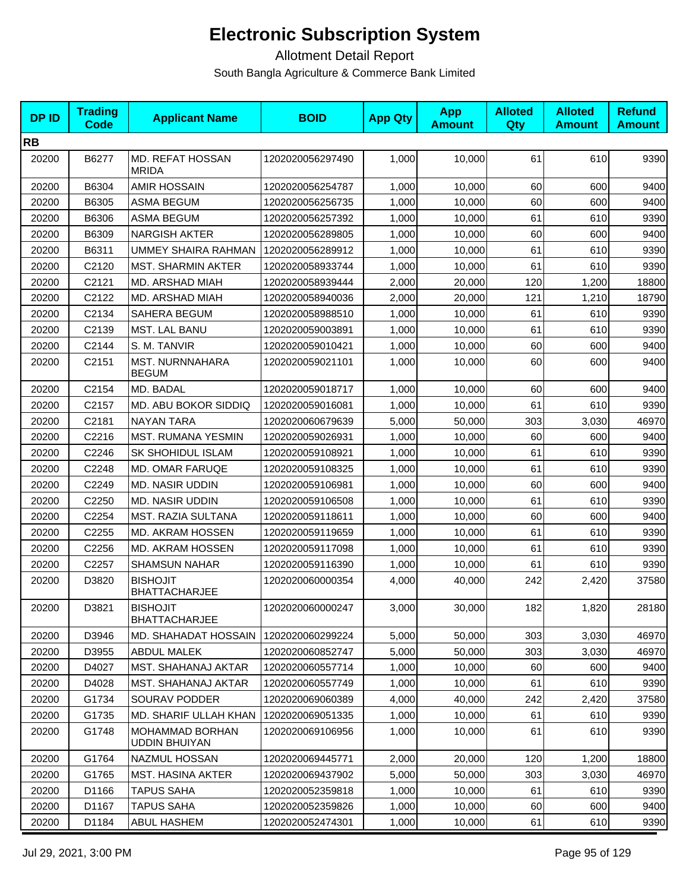| <b>DPID</b> | <b>Trading</b><br>Code | <b>Applicant Name</b>                   | <b>BOID</b>      | <b>App Qty</b> | <b>App</b><br><b>Amount</b> | <b>Alloted</b><br>Qty | <b>Alloted</b><br><b>Amount</b> | <b>Refund</b><br><b>Amount</b> |
|-------------|------------------------|-----------------------------------------|------------------|----------------|-----------------------------|-----------------------|---------------------------------|--------------------------------|
| <b>RB</b>   |                        |                                         |                  |                |                             |                       |                                 |                                |
| 20200       | B6277                  | MD. REFAT HOSSAN<br><b>MRIDA</b>        | 1202020056297490 | 1,000          | 10,000                      | 61                    | 610                             | 9390                           |
| 20200       | B6304                  | <b>AMIR HOSSAIN</b>                     | 1202020056254787 | 1,000          | 10.000                      | 60                    | 600                             | 9400                           |
| 20200       | B6305                  | <b>ASMA BEGUM</b>                       | 1202020056256735 | 1,000          | 10,000                      | 60                    | 600                             | 9400                           |
| 20200       | B6306                  | <b>ASMA BEGUM</b>                       | 1202020056257392 | 1,000          | 10,000                      | 61                    | 610                             | 9390                           |
| 20200       | B6309                  | <b>NARGISH AKTER</b>                    | 1202020056289805 | 1,000          | 10,000                      | 60                    | 600                             | 9400                           |
| 20200       | B6311                  | UMMEY SHAIRA RAHMAN                     | 1202020056289912 | 1,000          | 10,000                      | 61                    | 610                             | 9390                           |
| 20200       | C2120                  | <b>MST. SHARMIN AKTER</b>               | 1202020058933744 | 1,000          | 10,000                      | 61                    | 610                             | 9390                           |
| 20200       | C2121                  | MD. ARSHAD MIAH                         | 1202020058939444 | 2,000          | 20,000                      | 120                   | 1,200                           | 18800                          |
| 20200       | C2122                  | MD. ARSHAD MIAH                         | 1202020058940036 | 2,000          | 20,000                      | 121                   | 1,210                           | 18790                          |
| 20200       | C2134                  | SAHERA BEGUM                            | 1202020058988510 | 1,000          | 10,000                      | 61                    | 610                             | 9390                           |
| 20200       | C2139                  | MST. LAL BANU                           | 1202020059003891 | 1,000          | 10,000                      | 61                    | 610                             | 9390                           |
| 20200       | C2144                  | S. M. TANVIR                            | 1202020059010421 | 1,000          | 10,000                      | 60                    | 600                             | 9400                           |
| 20200       | C <sub>2151</sub>      | <b>MST. NURNNAHARA</b><br><b>BEGUM</b>  | 1202020059021101 | 1,000          | 10,000                      | 60                    | 600                             | 9400                           |
| 20200       | C2154                  | MD. BADAL                               | 1202020059018717 | 1,000          | 10,000                      | 60                    | 600                             | 9400                           |
| 20200       | C2157                  | MD. ABU BOKOR SIDDIQ                    | 1202020059016081 | 1,000          | 10,000                      | 61                    | 610                             | 9390                           |
| 20200       | C2181                  | <b>NAYAN TARA</b>                       | 1202020060679639 | 5,000          | 50,000                      | 303                   | 3,030                           | 46970                          |
| 20200       | C2216                  | <b>MST. RUMANA YESMIN</b>               | 1202020059026931 | 1,000          | 10,000                      | 60                    | 600                             | 9400                           |
| 20200       | C2246                  | <b>SK SHOHIDUL ISLAM</b>                | 1202020059108921 | 1,000          | 10,000                      | 61                    | 610                             | 9390                           |
| 20200       | C2248                  | MD. OMAR FARUQE                         | 1202020059108325 | 1,000          | 10,000                      | 61                    | 610                             | 9390                           |
| 20200       | C2249                  | <b>MD. NASIR UDDIN</b>                  | 1202020059106981 | 1,000          | 10,000                      | 60                    | 600                             | 9400                           |
| 20200       | C2250                  | <b>MD. NASIR UDDIN</b>                  | 1202020059106508 | 1,000          | 10,000                      | 61                    | 610                             | 9390                           |
| 20200       | C2254                  | MST. RAZIA SULTANA                      | 1202020059118611 | 1,000          | 10,000                      | 60                    | 600                             | 9400                           |
| 20200       | C2255                  | MD. AKRAM HOSSEN                        | 1202020059119659 | 1,000          | 10,000                      | 61                    | 610                             | 9390                           |
| 20200       | C2256                  | MD. AKRAM HOSSEN                        | 1202020059117098 | 1,000          | 10.000                      | 61                    | 610                             | 9390                           |
| 20200       | C2257                  | <b>SHAMSUN NAHAR</b>                    | 1202020059116390 | 1,000          | 10,000                      | 61                    | 610                             | 9390                           |
| 20200       | D3820                  | <b>BISHOJIT</b><br><b>BHATTACHARJEE</b> | 1202020060000354 | 4,000          | 40,000                      | 242                   | 2,420                           | 37580                          |
| 20200       | D3821                  | <b>BISHOJIT</b><br><b>BHATTACHARJEE</b> | 1202020060000247 | 3,000          | 30,000                      | 182                   | 1,820                           | 28180                          |
| 20200       | D3946                  | MD. SHAHADAT HOSSAIN                    | 1202020060299224 | 5,000          | 50,000                      | 303                   | 3,030                           | 46970                          |
| 20200       | D3955                  | <b>ABDUL MALEK</b>                      | 1202020060852747 | 5,000          | 50.000                      | 303                   | 3,030                           | 46970                          |
| 20200       | D4027                  | <b>MST. SHAHANAJ AKTAR</b>              | 1202020060557714 | 1,000          | 10,000                      | 60                    | 600                             | 9400                           |
| 20200       | D4028                  | <b>MST. SHAHANAJ AKTAR</b>              | 1202020060557749 | 1,000          | 10,000                      | 61                    | 610                             | 9390                           |
| 20200       | G1734                  | <b>SOURAV PODDER</b>                    | 1202020069060389 | 4,000          | 40,000                      | 242                   | 2,420                           | 37580                          |
| 20200       | G1735                  | MD. SHARIF ULLAH KHAN                   | 1202020069051335 | 1,000          | 10,000                      | 61                    | 610                             | 9390                           |
| 20200       | G1748                  | MOHAMMAD BORHAN<br><b>UDDIN BHUIYAN</b> | 1202020069106956 | 1,000          | 10,000                      | 61                    | 610                             | 9390                           |
| 20200       | G1764                  | NAZMUL HOSSAN                           | 1202020069445771 | 2,000          | 20,000                      | 120                   | 1,200                           | 18800                          |
| 20200       | G1765                  | <b>MST. HASINA AKTER</b>                | 1202020069437902 | 5,000          | 50,000                      | 303                   | 3,030                           | 46970                          |
| 20200       | D1166                  | <b>TAPUS SAHA</b>                       | 1202020052359818 | 1,000          | 10,000                      | 61                    | 610                             | 9390                           |
| 20200       | D1167                  | <b>TAPUS SAHA</b>                       | 1202020052359826 | 1,000          | 10,000                      | 60                    | 600                             | 9400                           |
| 20200       | D1184                  | ABUL HASHEM                             | 1202020052474301 | 1,000          | 10,000                      | 61                    | 610                             | 9390                           |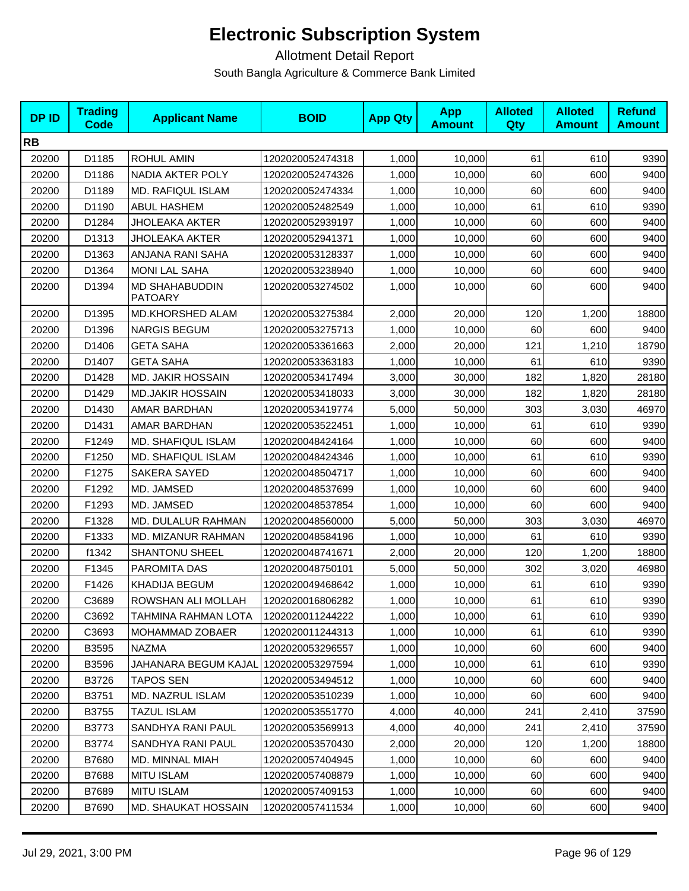| <b>DPID</b> | <b>Trading</b><br>Code | <b>Applicant Name</b>            | <b>BOID</b>      | <b>App Qty</b> | <b>App</b><br><b>Amount</b> | <b>Alloted</b><br>Qty | <b>Alloted</b><br><b>Amount</b> | <b>Refund</b><br><b>Amount</b> |
|-------------|------------------------|----------------------------------|------------------|----------------|-----------------------------|-----------------------|---------------------------------|--------------------------------|
| <b>RB</b>   |                        |                                  |                  |                |                             |                       |                                 |                                |
| 20200       | D1185                  | <b>ROHUL AMIN</b>                | 1202020052474318 | 1,000          | 10,000                      | 61                    | 610                             | 9390                           |
| 20200       | D1186                  | NADIA AKTER POLY                 | 1202020052474326 | 1,000          | 10,000                      | 60                    | 600                             | 9400                           |
| 20200       | D1189                  | <b>MD. RAFIQUL ISLAM</b>         | 1202020052474334 | 1,000          | 10,000                      | 60                    | 600                             | 9400                           |
| 20200       | D1190                  | <b>ABUL HASHEM</b>               | 1202020052482549 | 1,000          | 10,000                      | 61                    | 610                             | 9390                           |
| 20200       | D1284                  | <b>JHOLEAKA AKTER</b>            | 1202020052939197 | 1,000          | 10,000                      | 60                    | 600                             | 9400                           |
| 20200       | D1313                  | <b>JHOLEAKA AKTER</b>            | 1202020052941371 | 1,000          | 10,000                      | 60                    | 600                             | 9400                           |
| 20200       | D1363                  | ANJANA RANI SAHA                 | 1202020053128337 | 1,000          | 10,000                      | 60                    | 600                             | 9400                           |
| 20200       | D1364                  | <b>MONI LAL SAHA</b>             | 1202020053238940 | 1,000          | 10,000                      | 60                    | 600                             | 9400                           |
| 20200       | D1394                  | MD SHAHABUDDIN<br><b>PATOARY</b> | 1202020053274502 | 1,000          | 10,000                      | 60                    | 600                             | 9400                           |
| 20200       | D1395                  | MD.KHORSHED ALAM                 | 1202020053275384 | 2,000          | 20,000                      | 120                   | 1,200                           | 18800                          |
| 20200       | D1396                  | <b>NARGIS BEGUM</b>              | 1202020053275713 | 1,000          | 10,000                      | 60                    | 600                             | 9400                           |
| 20200       | D1406                  | <b>GETA SAHA</b>                 | 1202020053361663 | 2,000          | 20,000                      | 121                   | 1,210                           | 18790                          |
| 20200       | D1407                  | <b>GETA SAHA</b>                 | 1202020053363183 | 1,000          | 10,000                      | 61                    | 610                             | 9390                           |
| 20200       | D1428                  | <b>MD. JAKIR HOSSAIN</b>         | 1202020053417494 | 3,000          | 30,000                      | 182                   | 1,820                           | 28180                          |
| 20200       | D1429                  | <b>MD.JAKIR HOSSAIN</b>          | 1202020053418033 | 3,000          | 30,000                      | 182                   | 1,820                           | 28180                          |
| 20200       | D1430                  | AMAR BARDHAN                     | 1202020053419774 | 5,000          | 50,000                      | 303                   | 3,030                           | 46970                          |
| 20200       | D1431                  | AMAR BARDHAN                     | 1202020053522451 | 1,000          | 10,000                      | 61                    | 610                             | 9390                           |
| 20200       | F1249                  | MD. SHAFIQUL ISLAM               | 1202020048424164 | 1,000          | 10,000                      | 60                    | 600                             | 9400                           |
| 20200       | F1250                  | MD. SHAFIQUL ISLAM               | 1202020048424346 | 1,000          | 10,000                      | 61                    | 610                             | 9390                           |
| 20200       | F1275                  | <b>SAKERA SAYED</b>              | 1202020048504717 | 1,000          | 10,000                      | 60                    | 600                             | 9400                           |
| 20200       | F1292                  | MD. JAMSED                       | 1202020048537699 | 1,000          | 10,000                      | 60                    | 600                             | 9400                           |
| 20200       | F1293                  | MD. JAMSED                       | 1202020048537854 | 1,000          | 10,000                      | 60                    | 600                             | 9400                           |
| 20200       | F1328                  | MD. DULALUR RAHMAN               | 1202020048560000 | 5,000          | 50,000                      | 303                   | 3,030                           | 46970                          |
| 20200       | F1333                  | MD. MIZANUR RAHMAN               | 1202020048584196 | 1,000          | 10,000                      | 61                    | 610                             | 9390                           |
| 20200       | f1342                  | <b>SHANTONU SHEEL</b>            | 1202020048741671 | 2,000          | 20,000                      | 120                   | 1,200                           | 18800                          |
| 20200       | F1345                  | PAROMITA DAS                     | 1202020048750101 | 5,000          | 50,000                      | 302                   | 3,020                           | 46980                          |
| 20200       | F1426                  | KHADIJA BEGUM                    | 1202020049468642 | 1,000          | 10,000                      | 61                    | 610                             | 9390                           |
| 20200       | C3689                  | ROWSHAN ALI MOLLAH               | 1202020016806282 | 1,000          | 10,000                      | 61                    | 610                             | 9390                           |
| 20200       | C3692                  | TAHMINA RAHMAN LOTA              | 1202020011244222 | 1,000          | 10,000                      | 61                    | 610                             | 9390                           |
| 20200       | C3693                  | MOHAMMAD ZOBAER                  | 1202020011244313 | 1,000          | 10,000                      | 61                    | 610                             | 9390                           |
| 20200       | B3595                  | <b>NAZMA</b>                     | 1202020053296557 | 1,000          | 10,000                      | 60                    | 600                             | 9400                           |
| 20200       | B3596                  | JAHANARA BEGUM KAJAL             | 1202020053297594 | 1,000          | 10,000                      | 61                    | 610                             | 9390                           |
| 20200       | B3726                  | <b>TAPOS SEN</b>                 | 1202020053494512 | 1,000          | 10,000                      | 60                    | 600                             | 9400                           |
| 20200       | B3751                  | MD. NAZRUL ISLAM                 | 1202020053510239 | 1,000          | 10,000                      | 60                    | 600                             | 9400                           |
| 20200       | B3755                  | <b>TAZUL ISLAM</b>               | 1202020053551770 | 4,000          | 40.000                      | 241                   | 2,410                           | 37590                          |
| 20200       | B3773                  | SANDHYA RANI PAUL                | 1202020053569913 | 4,000          | 40,000                      | 241                   | 2,410                           | 37590                          |
| 20200       | B3774                  | SANDHYA RANI PAUL                | 1202020053570430 | 2,000          | 20,000                      | 120                   | 1,200                           | 18800                          |
| 20200       | B7680                  | MD. MINNAL MIAH                  | 1202020057404945 | 1,000          | 10,000                      | 60                    | 600                             | 9400                           |
| 20200       | B7688                  | <b>MITU ISLAM</b>                | 1202020057408879 | 1,000          | 10,000                      | 60                    | 600                             | 9400                           |
| 20200       | B7689                  | <b>MITU ISLAM</b>                | 1202020057409153 | 1,000          | 10,000                      | 60                    | 600                             | 9400                           |
| 20200       | B7690                  | MD. SHAUKAT HOSSAIN              | 1202020057411534 | 1,000          | 10,000                      | 60                    | 600                             | 9400                           |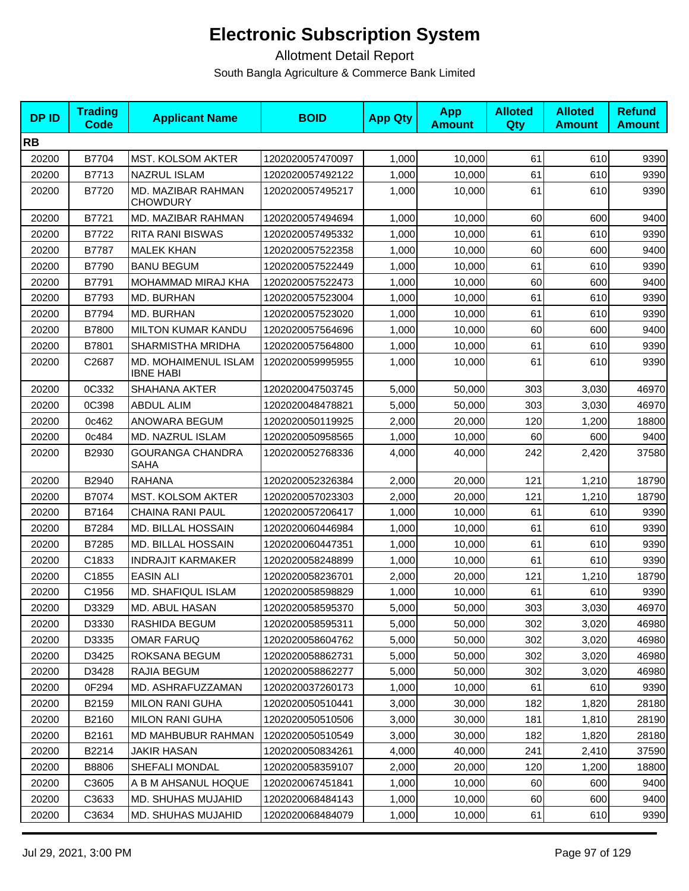| <b>DPID</b> | <b>Trading</b><br><b>Code</b> | <b>Applicant Name</b>                    | <b>BOID</b>      | <b>App Qty</b> | <b>App</b><br><b>Amount</b> | <b>Alloted</b><br>Qty | <b>Alloted</b><br><b>Amount</b> | <b>Refund</b><br><b>Amount</b> |
|-------------|-------------------------------|------------------------------------------|------------------|----------------|-----------------------------|-----------------------|---------------------------------|--------------------------------|
| <b>RB</b>   |                               |                                          |                  |                |                             |                       |                                 |                                |
| 20200       | B7704                         | MST. KOLSOM AKTER                        | 1202020057470097 | 1,000          | 10,000                      | 61                    | 610                             | 9390                           |
| 20200       | B7713                         | <b>NAZRUL ISLAM</b>                      | 1202020057492122 | 1,000          | 10,000                      | 61                    | 610                             | 9390                           |
| 20200       | B7720                         | MD. MAZIBAR RAHMAN<br><b>CHOWDURY</b>    | 1202020057495217 | 1,000          | 10,000                      | 61                    | 610                             | 9390                           |
| 20200       | B7721                         | MD. MAZIBAR RAHMAN                       | 1202020057494694 | 1,000          | 10,000                      | 60                    | 600                             | 9400                           |
| 20200       | B7722                         | <b>RITA RANI BISWAS</b>                  | 1202020057495332 | 1,000          | 10,000                      | 61                    | 610                             | 9390                           |
| 20200       | <b>B7787</b>                  | <b>MALEK KHAN</b>                        | 1202020057522358 | 1,000          | 10,000                      | 60                    | 600                             | 9400                           |
| 20200       | B7790                         | <b>BANU BEGUM</b>                        | 1202020057522449 | 1,000          | 10,000                      | 61                    | 610                             | 9390                           |
| 20200       | B7791                         | MOHAMMAD MIRAJ KHA                       | 1202020057522473 | 1,000          | 10,000                      | 60                    | 600                             | 9400                           |
| 20200       | B7793                         | MD. BURHAN                               | 1202020057523004 | 1,000          | 10,000                      | 61                    | 610                             | 9390                           |
| 20200       | B7794                         | MD. BURHAN                               | 1202020057523020 | 1,000          | 10,000                      | 61                    | 610                             | 9390                           |
| 20200       | B7800                         | <b>MILTON KUMAR KANDU</b>                | 1202020057564696 | 1,000          | 10,000                      | 60                    | 600                             | 9400                           |
| 20200       | B7801                         | SHARMISTHA MRIDHA                        | 1202020057564800 | 1,000          | 10,000                      | 61                    | 610                             | 9390                           |
| 20200       | C2687                         | MD. MOHAIMENUL ISLAM<br><b>IBNE HABI</b> | 1202020059995955 | 1,000          | 10,000                      | 61                    | 610                             | 9390                           |
| 20200       | 0C332                         | <b>SHAHANA AKTER</b>                     | 1202020047503745 | 5,000          | 50,000                      | 303                   | 3,030                           | 46970                          |
| 20200       | 0C398                         | <b>ABDUL ALIM</b>                        | 1202020048478821 | 5,000          | 50,000                      | 303                   | 3,030                           | 46970                          |
| 20200       | 0c462                         | ANOWARA BEGUM                            | 1202020050119925 | 2,000          | 20,000                      | 120                   | 1,200                           | 18800                          |
| 20200       | 0c484                         | MD. NAZRUL ISLAM                         | 1202020050958565 | 1,000          | 10,000                      | 60                    | 600                             | 9400                           |
| 20200       | B2930                         | <b>GOURANGA CHANDRA</b><br><b>SAHA</b>   | 1202020052768336 | 4,000          | 40,000                      | 242                   | 2,420                           | 37580                          |
| 20200       | B2940                         | <b>RAHANA</b>                            | 1202020052326384 | 2,000          | 20,000                      | 121                   | 1,210                           | 18790                          |
| 20200       | B7074                         | <b>MST. KOLSOM AKTER</b>                 | 1202020057023303 | 2,000          | 20,000                      | 121                   | 1,210                           | 18790                          |
| 20200       | B7164                         | <b>CHAINA RANI PAUL</b>                  | 1202020057206417 | 1,000          | 10,000                      | 61                    | 610                             | 9390                           |
| 20200       | B7284                         | MD. BILLAL HOSSAIN                       | 1202020060446984 | 1,000          | 10,000                      | 61                    | 610                             | 9390                           |
| 20200       | B7285                         | MD. BILLAL HOSSAIN                       | 1202020060447351 | 1,000          | 10,000                      | 61                    | 610                             | 9390                           |
| 20200       | C1833                         | <b>INDRAJIT KARMAKER</b>                 | 1202020058248899 | 1,000          | 10,000                      | 61                    | 610                             | 9390                           |
| 20200       | C1855                         | <b>EASIN ALI</b>                         | 1202020058236701 | 2,000          | 20,000                      | 121                   | 1,210                           | 18790                          |
| 20200       | C1956                         | MD. SHAFIQUL ISLAM                       | 1202020058598829 | 1,000          | 10,000                      | 61                    | 610                             | 9390                           |
| 20200       | D3329                         | MD. ABUL HASAN                           | 1202020058595370 | 5,000          | 50,000                      | 303                   | 3,030                           | 46970                          |
| 20200       | D3330                         | RASHIDA BEGUM                            | 1202020058595311 | 5.000          | 50,000                      | 302                   | 3,020                           | 46980                          |
| 20200       | D3335                         | <b>OMAR FARUQ</b>                        | 1202020058604762 | 5,000          | 50,000                      | 302                   | 3,020                           | 46980                          |
| 20200       | D3425                         | ROKSANA BEGUM                            | 1202020058862731 | 5,000          | 50,000                      | 302                   | 3,020                           | 46980                          |
| 20200       | D3428                         | RAJIA BEGUM                              | 1202020058862277 | 5.000          | 50,000                      | 302                   | 3,020                           | 46980                          |
| 20200       | 0F294                         | MD. ASHRAFUZZAMAN                        | 1202020037260173 | 1,000          | 10,000                      | 61                    | 610                             | 9390                           |
| 20200       | B2159                         | <b>MILON RANI GUHA</b>                   | 1202020050510441 | 3,000          | 30,000                      | 182                   | 1,820                           | 28180                          |
| 20200       | B2160                         | <b>MILON RANI GUHA</b>                   | 1202020050510506 | 3,000          | 30,000                      | 181                   | 1,810                           | 28190                          |
| 20200       | B2161                         | MD MAHBUBUR RAHMAN                       | 1202020050510549 | 3,000          | 30,000                      | 182                   | 1,820                           | 28180                          |
| 20200       | B2214                         | JAKIR HASAN                              | 1202020050834261 | 4,000          | 40,000                      | 241                   | 2,410                           | 37590                          |
| 20200       | B8806                         | SHEFALI MONDAL                           | 1202020058359107 | 2,000          | 20,000                      | 120                   | 1,200                           | 18800                          |
| 20200       | C3605                         | A B M AHSANUL HOQUE                      | 1202020067451841 | 1,000          | 10,000                      | 60                    | 600                             | 9400                           |
| 20200       | C3633                         | MD. SHUHAS MUJAHID                       | 1202020068484143 | 1,000          | 10,000                      | 60                    | 600                             | 9400                           |
| 20200       | C3634                         | MD. SHUHAS MUJAHID                       | 1202020068484079 | 1,000          | 10,000                      | 61                    | 610                             | 9390                           |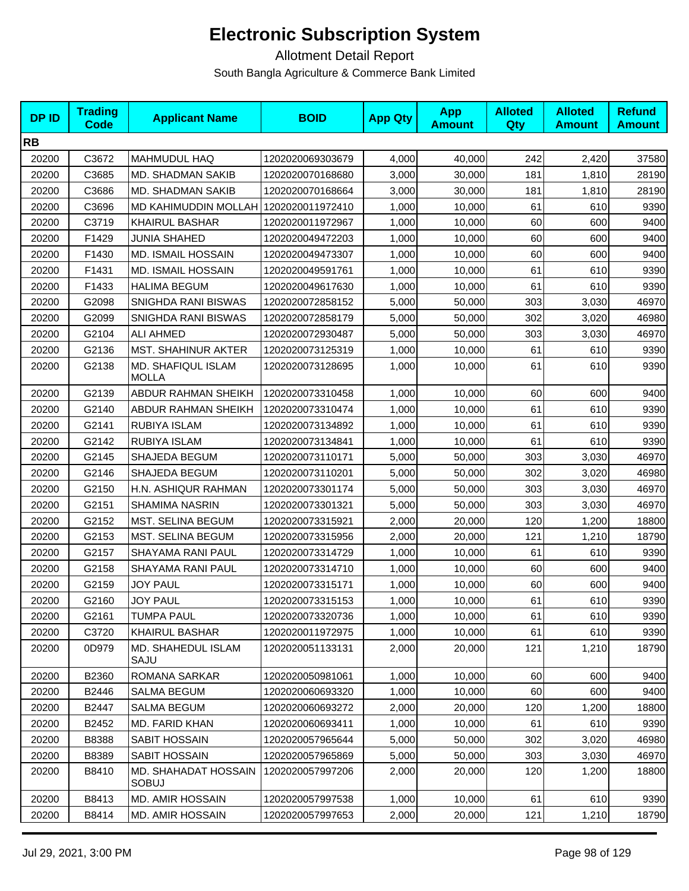| <b>DPID</b> | <b>Trading</b><br><b>Code</b> | <b>Applicant Name</b>              | <b>BOID</b>      | <b>App Qty</b> | <b>App</b><br><b>Amount</b> | <b>Alloted</b><br>Qty | <b>Alloted</b><br><b>Amount</b> | <b>Refund</b><br><b>Amount</b> |
|-------------|-------------------------------|------------------------------------|------------------|----------------|-----------------------------|-----------------------|---------------------------------|--------------------------------|
| <b>RB</b>   |                               |                                    |                  |                |                             |                       |                                 |                                |
| 20200       | C3672                         | <b>MAHMUDUL HAQ</b>                | 1202020069303679 | 4,000          | 40,000                      | 242                   | 2,420                           | 37580                          |
| 20200       | C3685                         | MD. SHADMAN SAKIB                  | 1202020070168680 | 3,000          | 30,000                      | 181                   | 1,810                           | 28190                          |
| 20200       | C3686                         | MD. SHADMAN SAKIB                  | 1202020070168664 | 3,000          | 30,000                      | 181                   | 1,810                           | 28190                          |
| 20200       | C3696                         | MD KAHIMUDDIN MOLLAH               | 1202020011972410 | 1,000          | 10,000                      | 61                    | 610                             | 9390                           |
| 20200       | C3719                         | <b>KHAIRUL BASHAR</b>              | 1202020011972967 | 1,000          | 10,000                      | 60                    | 600                             | 9400                           |
| 20200       | F1429                         | <b>JUNIA SHAHED</b>                | 1202020049472203 | 1,000          | 10,000                      | 60                    | 600                             | 9400                           |
| 20200       | F1430                         | <b>MD. ISMAIL HOSSAIN</b>          | 1202020049473307 | 1,000          | 10,000                      | 60                    | 600                             | 9400                           |
| 20200       | F1431                         | <b>MD. ISMAIL HOSSAIN</b>          | 1202020049591761 | 1,000          | 10,000                      | 61                    | 610                             | 9390                           |
| 20200       | F1433                         | <b>HALIMA BEGUM</b>                | 1202020049617630 | 1,000          | 10,000                      | 61                    | 610                             | 9390                           |
| 20200       | G2098                         | SNIGHDA RANI BISWAS                | 1202020072858152 | 5,000          | 50,000                      | 303                   | 3,030                           | 46970                          |
| 20200       | G2099                         | SNIGHDA RANI BISWAS                | 1202020072858179 | 5,000          | 50,000                      | 302                   | 3,020                           | 46980                          |
| 20200       | G2104                         | <b>ALI AHMED</b>                   | 1202020072930487 | 5,000          | 50,000                      | 303                   | 3,030                           | 46970                          |
| 20200       | G2136                         | <b>MST. SHAHINUR AKTER</b>         | 1202020073125319 | 1,000          | 10,000                      | 61                    | 610                             | 9390                           |
| 20200       | G2138                         | MD. SHAFIQUL ISLAM<br><b>MOLLA</b> | 1202020073128695 | 1,000          | 10,000                      | 61                    | 610                             | 9390                           |
| 20200       | G2139                         | ABDUR RAHMAN SHEIKH                | 1202020073310458 | 1,000          | 10,000                      | 60                    | 600                             | 9400                           |
| 20200       | G2140                         | <b>ABDUR RAHMAN SHEIKH</b>         | 1202020073310474 | 1,000          | 10,000                      | 61                    | 610                             | 9390                           |
| 20200       | G2141                         | RUBIYA ISLAM                       | 1202020073134892 | 1,000          | 10,000                      | 61                    | 610                             | 9390                           |
| 20200       | G2142                         | RUBIYA ISLAM                       | 1202020073134841 | 1,000          | 10,000                      | 61                    | 610                             | 9390                           |
| 20200       | G2145                         | SHAJEDA BEGUM                      | 1202020073110171 | 5,000          | 50,000                      | 303                   | 3,030                           | 46970                          |
| 20200       | G2146                         | SHAJEDA BEGUM                      | 1202020073110201 | 5,000          | 50,000                      | 302                   | 3,020                           | 46980                          |
| 20200       | G2150                         | H.N. ASHIQUR RAHMAN                | 1202020073301174 | 5,000          | 50,000                      | 303                   | 3,030                           | 46970                          |
| 20200       | G2151                         | SHAMIMA NASRIN                     | 1202020073301321 | 5,000          | 50,000                      | 303                   | 3,030                           | 46970                          |
| 20200       | G2152                         | MST. SELINA BEGUM                  | 1202020073315921 | 2,000          | 20,000                      | 120                   | 1,200                           | 18800                          |
| 20200       | G2153                         | MST. SELINA BEGUM                  | 1202020073315956 | 2,000          | 20,000                      | 121                   | 1,210                           | 18790                          |
| 20200       | G2157                         | SHAYAMA RANI PAUL                  | 1202020073314729 | 1,000          | 10,000                      | 61                    | 610                             | 9390                           |
| 20200       | G2158                         | SHAYAMA RANI PAUL                  | 1202020073314710 | 1,000          | 10,000                      | 60                    | 600                             | 9400                           |
| 20200       | G2159                         | <b>JOY PAUL</b>                    | 1202020073315171 | 1,000          | 10,000                      | 60                    | 600                             | 9400                           |
| 20200       | G2160                         | <b>JOY PAUL</b>                    | 1202020073315153 | 1,000          | 10,000                      | 61                    | 610                             | 9390                           |
| 20200       | G2161                         | <b>TUMPA PAUL</b>                  | 1202020073320736 | 1,000          | 10,000                      | 61                    | 610                             | 9390                           |
| 20200       | C3720                         | <b>KHAIRUL BASHAR</b>              | 1202020011972975 | 1,000          | 10,000                      | 61                    | 610                             | 9390                           |
| 20200       | 0D979                         | MD. SHAHEDUL ISLAM<br>SAJU         | 1202020051133131 | 2,000          | 20,000                      | 121                   | 1,210                           | 18790                          |
| 20200       | B2360                         | ROMANA SARKAR                      | 1202020050981061 | 1,000          | 10,000                      | 60                    | 600                             | 9400                           |
| 20200       | B2446                         | SALMA BEGUM                        | 1202020060693320 | 1,000          | 10,000                      | 60                    | 600                             | 9400                           |
| 20200       | B2447                         | <b>SALMA BEGUM</b>                 | 1202020060693272 | 2,000          | 20,000                      | 120                   | 1,200                           | 18800                          |
| 20200       | B2452                         | <b>MD. FARID KHAN</b>              | 1202020060693411 | 1,000          | 10,000                      | 61                    | 610                             | 9390                           |
| 20200       | B8388                         | SABIT HOSSAIN                      | 1202020057965644 | 5,000          | 50,000                      | 302                   | 3,020                           | 46980                          |
| 20200       | B8389                         | SABIT HOSSAIN                      | 1202020057965869 | 5,000          | 50,000                      | 303                   | 3,030                           | 46970                          |
| 20200       | B8410                         | MD. SHAHADAT HOSSAIN<br>SOBUJ      | 1202020057997206 | 2,000          | 20,000                      | 120                   | 1,200                           | 18800                          |
| 20200       | B8413                         | <b>MD. AMIR HOSSAIN</b>            | 1202020057997538 | 1,000          | 10,000                      | 61                    | 610                             | 9390                           |
| 20200       | B8414                         | <b>MD. AMIR HOSSAIN</b>            | 1202020057997653 | 2,000          | 20,000                      | 121                   | 1,210                           | 18790                          |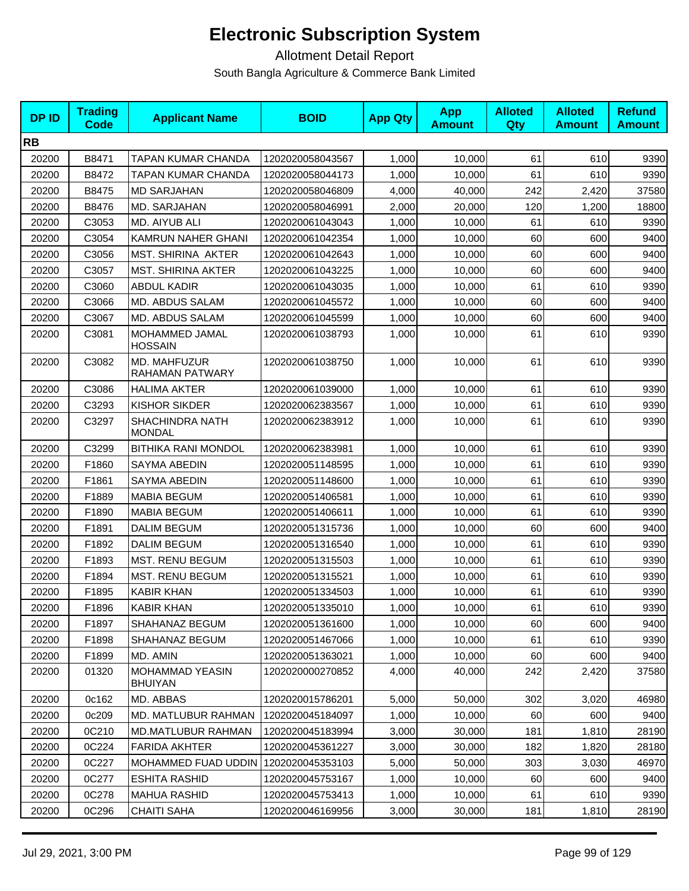| <b>DPID</b> | <b>Trading</b><br>Code | <b>Applicant Name</b>                   | <b>BOID</b>      | <b>App Qty</b> | <b>App</b><br><b>Amount</b> | <b>Alloted</b><br>Qty | <b>Alloted</b><br><b>Amount</b> | <b>Refund</b><br><b>Amount</b> |
|-------------|------------------------|-----------------------------------------|------------------|----------------|-----------------------------|-----------------------|---------------------------------|--------------------------------|
| <b>RB</b>   |                        |                                         |                  |                |                             |                       |                                 |                                |
| 20200       | B8471                  | TAPAN KUMAR CHANDA                      | 1202020058043567 | 1,000          | 10,000                      | 61                    | 610                             | 9390                           |
| 20200       | B8472                  | TAPAN KUMAR CHANDA                      | 1202020058044173 | 1,000          | 10,000                      | 61                    | 610                             | 9390                           |
| 20200       | B8475                  | <b>MD SARJAHAN</b>                      | 1202020058046809 | 4,000          | 40,000                      | 242                   | 2,420                           | 37580                          |
| 20200       | B8476                  | MD. SARJAHAN                            | 1202020058046991 | 2,000          | 20,000                      | 120                   | 1,200                           | 18800                          |
| 20200       | C3053                  | MD. AIYUB ALI                           | 1202020061043043 | 1,000          | 10,000                      | 61                    | 610                             | 9390                           |
| 20200       | C3054                  | KAMRUN NAHER GHANI                      | 1202020061042354 | 1,000          | 10.000                      | 60                    | 600                             | 9400                           |
| 20200       | C3056                  | MST. SHIRINA AKTER                      | 1202020061042643 | 1,000          | 10,000                      | 60                    | 600                             | 9400                           |
| 20200       | C3057                  | <b>MST. SHIRINA AKTER</b>               | 1202020061043225 | 1,000          | 10,000                      | 60                    | 600                             | 9400                           |
| 20200       | C3060                  | <b>ABDUL KADIR</b>                      | 1202020061043035 | 1,000          | 10,000                      | 61                    | 610                             | 9390                           |
| 20200       | C3066                  | MD. ABDUS SALAM                         | 1202020061045572 | 1,000          | 10,000                      | 60                    | 600                             | 9400                           |
| 20200       | C3067                  | MD. ABDUS SALAM                         | 1202020061045599 | 1,000          | 10,000                      | 60                    | 600                             | 9400                           |
| 20200       | C3081                  | MOHAMMED JAMAL<br>HOSSAIN               | 1202020061038793 | 1,000          | 10,000                      | 61                    | 610                             | 9390                           |
| 20200       | C3082                  | MD. MAHFUZUR<br>RAHAMAN PATWARY         | 1202020061038750 | 1,000          | 10,000                      | 61                    | 610                             | 9390                           |
| 20200       | C3086                  | <b>HALIMA AKTER</b>                     | 1202020061039000 | 1,000          | 10,000                      | 61                    | 610                             | 9390                           |
| 20200       | C3293                  | <b>KISHOR SIKDER</b>                    | 1202020062383567 | 1,000          | 10,000                      | 61                    | 610                             | 9390                           |
| 20200       | C3297                  | <b>SHACHINDRA NATH</b><br><b>MONDAL</b> | 1202020062383912 | 1,000          | 10,000                      | 61                    | 610                             | 9390                           |
| 20200       | C3299                  | <b>BITHIKA RANI MONDOL</b>              | 1202020062383981 | 1,000          | 10,000                      | 61                    | 610                             | 9390                           |
| 20200       | F1860                  | SAYMA ABEDIN                            | 1202020051148595 | 1,000          | 10,000                      | 61                    | 610                             | 9390                           |
| 20200       | F1861                  | SAYMA ABEDIN                            | 1202020051148600 | 1,000          | 10,000                      | 61                    | 610                             | 9390                           |
| 20200       | F1889                  | <b>MABIA BEGUM</b>                      | 1202020051406581 | 1,000          | 10,000                      | 61                    | 610                             | 9390                           |
| 20200       | F1890                  | <b>MABIA BEGUM</b>                      | 1202020051406611 | 1,000          | 10,000                      | 61                    | 610                             | 9390                           |
| 20200       | F1891                  | <b>DALIM BEGUM</b>                      | 1202020051315736 | 1,000          | 10,000                      | 60                    | 600                             | 9400                           |
| 20200       | F1892                  | <b>DALIM BEGUM</b>                      | 1202020051316540 | 1,000          | 10,000                      | 61                    | 610                             | 9390                           |
| 20200       | F1893                  | MST. RENU BEGUM                         | 1202020051315503 | 1,000          | 10,000                      | 61                    | 610                             | 9390                           |
| 20200       | F1894                  | <b>MST. RENU BEGUM</b>                  | 1202020051315521 | 1,000          | 10,000                      | 61                    | 610                             | 9390                           |
| 20200       | F1895                  | <b>KABIR KHAN</b>                       | 1202020051334503 | 1,000          | 10,000                      | 61                    | 610                             | 9390                           |
| 20200       | F1896                  | <b>KABIR KHAN</b>                       | 1202020051335010 | 1,000          | 10,000                      | 61                    | 610                             | 9390                           |
| 20200       | F1897                  | SHAHANAZ BEGUM                          | 1202020051361600 | 1,000          | 10.000                      | 60                    | 600                             | 9400                           |
| 20200       | F1898                  | SHAHANAZ BEGUM                          | 1202020051467066 | 1,000          | 10,000                      | 61                    | 610                             | 9390                           |
| 20200       | F1899                  | MD. AMIN                                | 1202020051363021 | 1,000          | 10,000                      | 60                    | 600                             | 9400                           |
| 20200       | 01320                  | MOHAMMAD YEASIN<br><b>BHUIYAN</b>       | 1202020000270852 | 4,000          | 40,000                      | 242                   | 2,420                           | 37580                          |
| 20200       | 0c162                  | MD. ABBAS                               | 1202020015786201 | 5,000          | 50,000                      | 302                   | 3,020                           | 46980                          |
| 20200       | 0c209                  | MD. MATLUBUR RAHMAN                     | 1202020045184097 | 1,000          | 10.000                      | 60                    | 600                             | 9400                           |
| 20200       | 0C210                  | <b>MD.MATLUBUR RAHMAN</b>               | 1202020045183994 | 3,000          | 30.000                      | 181                   | 1,810                           | 28190                          |
| 20200       | 0C224                  | <b>FARIDA AKHTER</b>                    | 1202020045361227 | 3,000          | 30,000                      | 182                   | 1,820                           | 28180                          |
| 20200       | 0C227                  | <b>MOHAMMED FUAD UDDIN</b>              | 1202020045353103 | 5,000          | 50,000                      | 303                   | 3,030                           | 46970                          |
| 20200       | 0C277                  | <b>ESHITA RASHID</b>                    | 1202020045753167 | 1,000          | 10,000                      | 60                    | 600                             | 9400                           |
| 20200       | 0C278                  | <b>MAHUA RASHID</b>                     | 1202020045753413 | 1,000          | 10,000                      | 61                    | 610                             | 9390                           |
| 20200       | 0C296                  | <b>CHAITI SAHA</b>                      | 1202020046169956 | 3,000          | 30,000                      | 181                   | 1,810                           | 28190                          |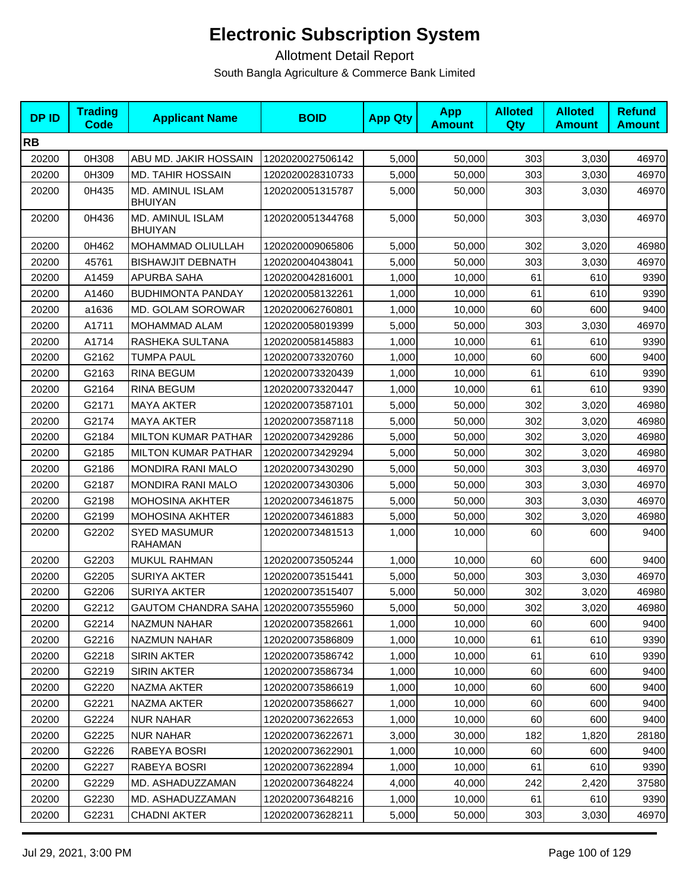| <b>DPID</b> | <b>Trading</b><br><b>Code</b> | <b>Applicant Name</b>                | <b>BOID</b>      | <b>App Qty</b> | <b>App</b><br><b>Amount</b> | <b>Alloted</b><br><b>Qty</b> | <b>Alloted</b><br><b>Amount</b> | <b>Refund</b><br><b>Amount</b> |
|-------------|-------------------------------|--------------------------------------|------------------|----------------|-----------------------------|------------------------------|---------------------------------|--------------------------------|
| <b>RB</b>   |                               |                                      |                  |                |                             |                              |                                 |                                |
| 20200       | 0H308                         | ABU MD. JAKIR HOSSAIN                | 1202020027506142 | 5,000          | 50,000                      | 303                          | 3,030                           | 46970                          |
| 20200       | 0H309                         | <b>MD. TAHIR HOSSAIN</b>             | 1202020028310733 | 5,000          | 50,000                      | 303                          | 3,030                           | 46970                          |
| 20200       | 0H435                         | MD. AMINUL ISLAM<br><b>BHUIYAN</b>   | 1202020051315787 | 5,000          | 50,000                      | 303                          | 3,030                           | 46970                          |
| 20200       | 0H436                         | MD. AMINUL ISLAM<br><b>BHUIYAN</b>   | 1202020051344768 | 5,000          | 50,000                      | 303                          | 3,030                           | 46970                          |
| 20200       | 0H462                         | MOHAMMAD OLIULLAH                    | 1202020009065806 | 5,000          | 50,000                      | 302                          | 3,020                           | 46980                          |
| 20200       | 45761                         | <b>BISHAWJIT DEBNATH</b>             | 1202020040438041 | 5,000          | 50,000                      | 303                          | 3,030                           | 46970                          |
| 20200       | A1459                         | APURBA SAHA                          | 1202020042816001 | 1,000          | 10,000                      | 61                           | 610                             | 9390                           |
| 20200       | A1460                         | <b>BUDHIMONTA PANDAY</b>             | 1202020058132261 | 1,000          | 10,000                      | 61                           | 610                             | 9390                           |
| 20200       | a1636                         | <b>MD. GOLAM SOROWAR</b>             | 1202020062760801 | 1,000          | 10,000                      | 60                           | 600                             | 9400                           |
| 20200       | A1711                         | MOHAMMAD ALAM                        | 1202020058019399 | 5,000          | 50,000                      | 303                          | 3,030                           | 46970                          |
| 20200       | A1714                         | RASHEKA SULTANA                      | 1202020058145883 | 1,000          | 10,000                      | 61                           | 610                             | 9390                           |
| 20200       | G2162                         | <b>TUMPA PAUL</b>                    | 1202020073320760 | 1,000          | 10,000                      | 60                           | 600                             | 9400                           |
| 20200       | G2163                         | RINA BEGUM                           | 1202020073320439 | 1,000          | 10,000                      | 61                           | 610                             | 9390                           |
| 20200       | G2164                         | <b>RINA BEGUM</b>                    | 1202020073320447 | 1,000          | 10,000                      | 61                           | 610                             | 9390                           |
| 20200       | G2171                         | <b>MAYA AKTER</b>                    | 1202020073587101 | 5,000          | 50,000                      | 302                          | 3,020                           | 46980                          |
| 20200       | G2174                         | <b>MAYA AKTER</b>                    | 1202020073587118 | 5,000          | 50,000                      | 302                          | 3,020                           | 46980                          |
| 20200       | G2184                         | <b>MILTON KUMAR PATHAR</b>           | 1202020073429286 | 5,000          | 50,000                      | 302                          | 3,020                           | 46980                          |
| 20200       | G2185                         | <b>MILTON KUMAR PATHAR</b>           | 1202020073429294 | 5,000          | 50,000                      | 302                          | 3,020                           | 46980                          |
| 20200       | G2186                         | <b>MONDIRA RANI MALO</b>             | 1202020073430290 | 5,000          | 50,000                      | 303                          | 3,030                           | 46970                          |
| 20200       | G2187                         | <b>MONDIRA RANI MALO</b>             | 1202020073430306 | 5,000          | 50,000                      | 303                          | 3,030                           | 46970                          |
| 20200       | G2198                         | <b>MOHOSINA AKHTER</b>               | 1202020073461875 | 5,000          | 50,000                      | 303                          | 3,030                           | 46970                          |
| 20200       | G2199                         | <b>MOHOSINA AKHTER</b>               | 1202020073461883 | 5,000          | 50,000                      | 302                          | 3,020                           | 46980                          |
| 20200       | G2202                         | <b>SYED MASUMUR</b><br>RAHAMAN       | 1202020073481513 | 1,000          | 10,000                      | 60                           | 600                             | 9400                           |
| 20200       | G2203                         | <b>MUKUL RAHMAN</b>                  | 1202020073505244 | 1,000          | 10,000                      | 60                           | 600                             | 9400                           |
| 20200       | G2205                         | <b>SURIYA AKTER</b>                  | 1202020073515441 | 5,000          | 50,000                      | 303                          | 3,030                           | 46970                          |
| 20200       | G2206                         | <b>SURIYA AKTER</b>                  | 1202020073515407 | 5,000          | 50,000                      | 302                          | 3,020                           | 46980                          |
| 20200       | G2212                         | GAUTOM CHANDRA SAHA 1202020073555960 |                  | 5,000          | 50,000                      | 302                          | 3,020                           | 46980                          |
| 20200       | G2214                         | NAZMUN NAHAR                         | 1202020073582661 | 1,000          | 10,000                      | 60                           | 600                             | 9400                           |
| 20200       | G2216                         | NAZMUN NAHAR                         | 1202020073586809 | 1,000          | 10,000                      | 61                           | 610                             | 9390                           |
| 20200       | G2218                         | SIRIN AKTER                          | 1202020073586742 | 1,000          | 10,000                      | 61                           | 610                             | 9390                           |
| 20200       | G2219                         | SIRIN AKTER                          | 1202020073586734 | 1,000          | 10,000                      | 60                           | 600                             | 9400                           |
| 20200       | G2220                         | NAZMA AKTER                          | 1202020073586619 | 1,000          | 10,000                      | 60                           | 600                             | 9400                           |
| 20200       | G2221                         | NAZMA AKTER                          | 1202020073586627 | 1,000          | 10,000                      | 60                           | 600                             | 9400                           |
| 20200       | G2224                         | <b>NUR NAHAR</b>                     | 1202020073622653 | 1,000          | 10,000                      | 60                           | 600                             | 9400                           |
| 20200       | G2225                         | <b>NUR NAHAR</b>                     | 1202020073622671 | 3,000          | 30,000                      | 182                          | 1,820                           | 28180                          |
| 20200       | G2226                         | RABEYA BOSRI                         | 1202020073622901 | 1,000          | 10,000                      | 60                           | 600                             | 9400                           |
| 20200       | G2227                         | RABEYA BOSRI                         | 1202020073622894 | 1,000          | 10,000                      | 61                           | 610                             | 9390                           |
| 20200       | G2229                         | MD. ASHADUZZAMAN                     | 1202020073648224 | 4,000          | 40,000                      | 242                          | 2,420                           | 37580                          |
| 20200       | G2230                         | MD. ASHADUZZAMAN                     | 1202020073648216 | 1,000          | 10,000                      | 61                           | 610                             | 9390                           |
| 20200       | G2231                         | <b>CHADNI AKTER</b>                  | 1202020073628211 | 5,000          | 50,000                      | 303                          | 3,030                           | 46970                          |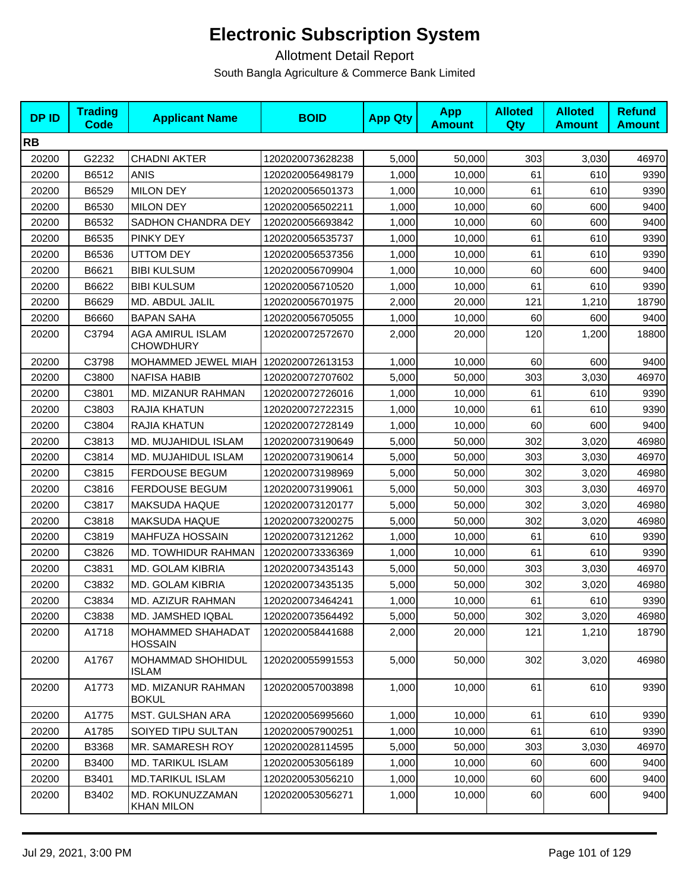| <b>DPID</b> | <b>Trading</b><br><b>Code</b> | <b>Applicant Name</b>                 | <b>BOID</b>      | <b>App Qty</b> | <b>App</b><br><b>Amount</b> | <b>Alloted</b><br>Qty | <b>Alloted</b><br><b>Amount</b> | <b>Refund</b><br><b>Amount</b> |
|-------------|-------------------------------|---------------------------------------|------------------|----------------|-----------------------------|-----------------------|---------------------------------|--------------------------------|
| <b>RB</b>   |                               |                                       |                  |                |                             |                       |                                 |                                |
| 20200       | G2232                         | <b>CHADNI AKTER</b>                   | 1202020073628238 | 5,000          | 50,000                      | 303                   | 3,030                           | 46970                          |
| 20200       | B6512                         | <b>ANIS</b>                           | 1202020056498179 | 1,000          | 10,000                      | 61                    | 610                             | 9390                           |
| 20200       | B6529                         | <b>MILON DEY</b>                      | 1202020056501373 | 1,000          | 10,000                      | 61                    | 610                             | 9390                           |
| 20200       | B6530                         | <b>MILON DEY</b>                      | 1202020056502211 | 1,000          | 10,000                      | 60                    | 600                             | 9400                           |
| 20200       | B6532                         | SADHON CHANDRA DEY                    | 1202020056693842 | 1,000          | 10,000                      | 60                    | 600                             | 9400                           |
| 20200       | B6535                         | PINKY DEY                             | 1202020056535737 | 1,000          | 10,000                      | 61                    | 610                             | 9390                           |
| 20200       | B6536                         | <b>UTTOM DEY</b>                      | 1202020056537356 | 1,000          | 10,000                      | 61                    | 610                             | 9390                           |
| 20200       | B6621                         | <b>BIBI KULSUM</b>                    | 1202020056709904 | 1,000          | 10,000                      | 60                    | 600                             | 9400                           |
| 20200       | B6622                         | <b>BIBI KULSUM</b>                    | 1202020056710520 | 1,000          | 10,000                      | 61                    | 610                             | 9390                           |
| 20200       | B6629                         | MD. ABDUL JALIL                       | 1202020056701975 | 2,000          | 20,000                      | 121                   | 1,210                           | 18790                          |
| 20200       | B6660                         | <b>BAPAN SAHA</b>                     | 1202020056705055 | 1,000          | 10,000                      | 60                    | 600                             | 9400                           |
| 20200       | C3794                         | AGA AMIRUL ISLAM<br><b>CHOWDHURY</b>  | 1202020072572670 | 2,000          | 20,000                      | 120                   | 1,200                           | 18800                          |
| 20200       | C3798                         | MOHAMMED JEWEL MIAH I                 | 1202020072613153 | 1,000          | 10,000                      | 60                    | 600                             | 9400                           |
| 20200       | C3800                         | <b>NAFISA HABIB</b>                   | 1202020072707602 | 5,000          | 50,000                      | 303                   | 3,030                           | 46970                          |
| 20200       | C3801                         | <b>MD. MIZANUR RAHMAN</b>             | 1202020072726016 | 1,000          | 10,000                      | 61                    | 610                             | 9390                           |
| 20200       | C3803                         | RAJIA KHATUN                          | 1202020072722315 | 1,000          | 10,000                      | 61                    | 610                             | 9390                           |
| 20200       | C3804                         | RAJIA KHATUN                          | 1202020072728149 | 1,000          | 10,000                      | 60                    | 600                             | 9400                           |
| 20200       | C3813                         | MD. MUJAHIDUL ISLAM                   | 1202020073190649 | 5,000          | 50,000                      | 302                   | 3,020                           | 46980                          |
| 20200       | C3814                         | MD. MUJAHIDUL ISLAM                   | 1202020073190614 | 5,000          | 50,000                      | 303                   | 3,030                           | 46970                          |
| 20200       | C3815                         | <b>FERDOUSE BEGUM</b>                 | 1202020073198969 | 5,000          | 50,000                      | 302                   | 3,020                           | 46980                          |
| 20200       | C3816                         | <b>FERDOUSE BEGUM</b>                 | 1202020073199061 | 5,000          | 50,000                      | 303                   | 3,030                           | 46970                          |
| 20200       | C3817                         | <b>MAKSUDA HAQUE</b>                  | 1202020073120177 | 5,000          | 50,000                      | 302                   | 3,020                           | 46980                          |
| 20200       | C3818                         | <b>MAKSUDA HAQUE</b>                  | 1202020073200275 | 5,000          | 50,000                      | 302                   | 3,020                           | 46980                          |
| 20200       | C3819                         | <b>MAHFUZA HOSSAIN</b>                | 1202020073121262 | 1,000          | 10,000                      | 61                    | 610                             | 9390                           |
| 20200       | C3826                         | MD. TOWHIDUR RAHMAN                   | 1202020073336369 | 1,000          | 10,000                      | 61                    | 610                             | 9390                           |
| 20200       | C3831                         | MD. GOLAM KIBRIA                      | 1202020073435143 | 5,000          | 50,000                      | 303                   | 3,030                           | 46970                          |
| 20200       | C3832                         | MD. GOLAM KIBRIA                      | 1202020073435135 | 5,000          | 50,000                      | 302                   | 3,020                           | 46980                          |
| 20200       | C3834                         | MD. AZIZUR RAHMAN                     | 1202020073464241 | 1,000          | 10,000                      | 61                    | 610                             | 9390                           |
| 20200       | C3838                         | MD. JAMSHED IQBAL                     | 1202020073564492 | 5,000          | 50,000                      | 302                   | 3,020                           | 46980                          |
| 20200       | A1718                         | MOHAMMED SHAHADAT<br>HOSSAIN          | 1202020058441688 | 2,000          | 20,000                      | 121                   | 1,210                           | 18790                          |
| 20200       | A1767                         | MOHAMMAD SHOHIDUL<br><b>ISLAM</b>     | 1202020055991553 | 5,000          | 50,000                      | 302                   | 3,020                           | 46980                          |
| 20200       | A1773                         | MD. MIZANUR RAHMAN<br><b>BOKUL</b>    | 1202020057003898 | 1,000          | 10,000                      | 61                    | 610                             | 9390                           |
| 20200       | A1775                         | MST. GULSHAN ARA                      | 1202020056995660 | 1,000          | 10,000                      | 61                    | 610                             | 9390                           |
| 20200       | A1785                         | SOIYED TIPU SULTAN                    | 1202020057900251 | 1,000          | 10,000                      | 61                    | 610                             | 9390                           |
| 20200       | B3368                         | MR. SAMARESH ROY                      | 1202020028114595 | 5,000          | 50,000                      | 303                   | 3,030                           | 46970                          |
| 20200       | B3400                         | <b>MD. TARIKUL ISLAM</b>              | 1202020053056189 | 1,000          | 10,000                      | 60                    | 600                             | 9400                           |
| 20200       | B3401                         | MD.TARIKUL ISLAM                      | 1202020053056210 | 1,000          | 10,000                      | 60                    | 600                             | 9400                           |
| 20200       | B3402                         | MD. ROKUNUZZAMAN<br><b>KHAN MILON</b> | 1202020053056271 | 1,000          | 10,000                      | 60                    | 600                             | 9400                           |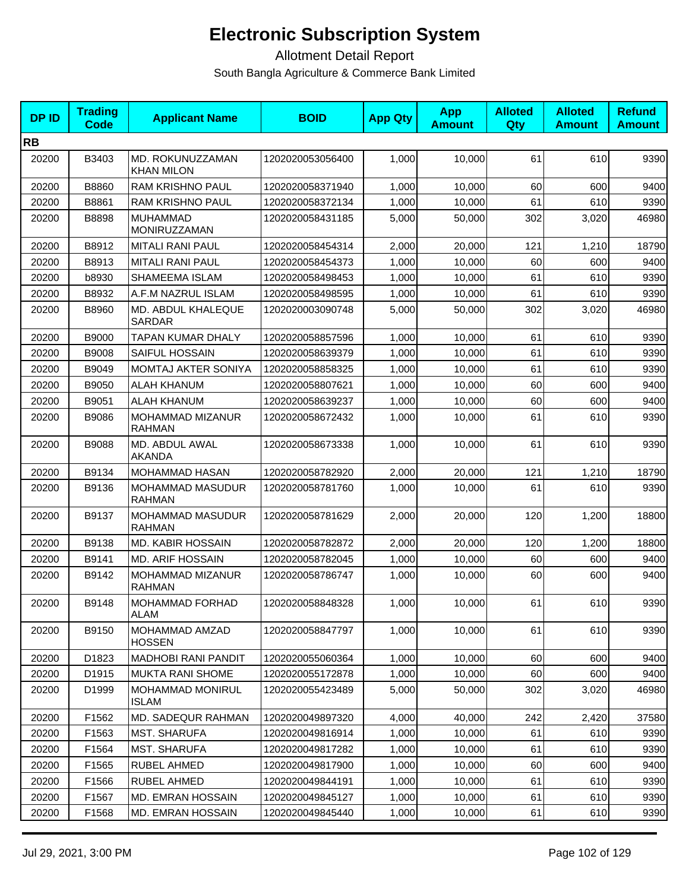| <b>DPID</b> | <b>Trading</b><br><b>Code</b> | <b>Applicant Name</b>                    | <b>BOID</b>      | <b>App Qty</b> | <b>App</b><br><b>Amount</b> | <b>Alloted</b><br>Qty | <b>Alloted</b><br><b>Amount</b> | <b>Refund</b><br><b>Amount</b> |
|-------------|-------------------------------|------------------------------------------|------------------|----------------|-----------------------------|-----------------------|---------------------------------|--------------------------------|
| <b>RB</b>   |                               |                                          |                  |                |                             |                       |                                 |                                |
| 20200       | B3403                         | MD. ROKUNUZZAMAN<br><b>KHAN MILON</b>    | 1202020053056400 | 1,000          | 10,000                      | 61                    | 610                             | 9390                           |
| 20200       | B8860                         | RAM KRISHNO PAUL                         | 1202020058371940 | 1,000          | 10,000                      | 60                    | 600                             | 9400                           |
| 20200       | B8861                         | RAM KRISHNO PAUL                         | 1202020058372134 | 1,000          | 10,000                      | 61                    | 610                             | 9390                           |
| 20200       | B8898                         | <b>MUHAMMAD</b><br>MONIRUZZAMAN          | 1202020058431185 | 5,000          | 50,000                      | 302                   | 3,020                           | 46980                          |
| 20200       | B8912                         | <b>MITALI RANI PAUL</b>                  | 1202020058454314 | 2,000          | 20,000                      | 121                   | 1,210                           | 18790                          |
| 20200       | B8913                         | <b>MITALI RANI PAUL</b>                  | 1202020058454373 | 1,000          | 10,000                      | 60                    | 600                             | 9400                           |
| 20200       | b8930                         | SHAMEEMA ISLAM                           | 1202020058498453 | 1,000          | 10,000                      | 61                    | 610                             | 9390                           |
| 20200       | B8932                         | A.F.M NAZRUL ISLAM                       | 1202020058498595 | 1,000          | 10,000                      | 61                    | 610                             | 9390                           |
| 20200       | B8960                         | MD. ABDUL KHALEQUE<br>SARDAR             | 1202020003090748 | 5,000          | 50,000                      | 302                   | 3,020                           | 46980                          |
| 20200       | B9000                         | TAPAN KUMAR DHALY                        | 1202020058857596 | 1,000          | 10,000                      | 61                    | 610                             | 9390                           |
| 20200       | B9008                         | <b>SAIFUL HOSSAIN</b>                    | 1202020058639379 | 1,000          | 10,000                      | 61                    | 610                             | 9390                           |
| 20200       | B9049                         | MOMTAJ AKTER SONIYA                      | 1202020058858325 | 1,000          | 10,000                      | 61                    | 610                             | 9390                           |
| 20200       | B9050                         | <b>ALAH KHANUM</b>                       | 1202020058807621 | 1,000          | 10,000                      | 60                    | 600                             | 9400                           |
| 20200       | B9051                         | <b>ALAH KHANUM</b>                       | 1202020058639237 | 1,000          | 10,000                      | 60                    | 600                             | 9400                           |
| 20200       | B9086                         | <b>MOHAMMAD MIZANUR</b><br><b>RAHMAN</b> | 1202020058672432 | 1,000          | 10,000                      | 61                    | 610                             | 9390                           |
| 20200       | B9088                         | MD. ABDUL AWAL<br><b>AKANDA</b>          | 1202020058673338 | 1,000          | 10,000                      | 61                    | 610                             | 9390                           |
| 20200       | B9134                         | <b>MOHAMMAD HASAN</b>                    | 1202020058782920 | 2,000          | 20,000                      | 121                   | 1,210                           | 18790                          |
| 20200       | B9136                         | MOHAMMAD MASUDUR<br><b>RAHMAN</b>        | 1202020058781760 | 1,000          | 10,000                      | 61                    | 610                             | 9390                           |
| 20200       | B9137                         | MOHAMMAD MASUDUR<br><b>RAHMAN</b>        | 1202020058781629 | 2,000          | 20,000                      | 120                   | 1,200                           | 18800                          |
| 20200       | B9138                         | <b>MD. KABIR HOSSAIN</b>                 | 1202020058782872 | 2,000          | 20,000                      | 120                   | 1,200                           | 18800                          |
| 20200       | B9141                         | <b>MD. ARIF HOSSAIN</b>                  | 1202020058782045 | 1,000          | 10,000                      | 60                    | 600                             | 9400                           |
| 20200       | B9142                         | MOHAMMAD MIZANUR<br><b>RAHMAN</b>        | 1202020058786747 | 1,000          | 10,000                      | 60                    | 600                             | 9400                           |
| 20200       | B9148                         | <b>MOHAMMAD FORHAD</b><br><b>ALAM</b>    | 1202020058848328 | 1,000          | 10,000                      | 61                    | 610                             | 9390                           |
| 20200       | B9150                         | MOHAMMAD AMZAD<br><b>HOSSEN</b>          | 1202020058847797 | 1,000          | 10,000                      | 61                    | 610                             | 9390                           |
| 20200       | D1823                         | <b>MADHOBI RANI PANDIT</b>               | 1202020055060364 | 1,000          | 10,000                      | 60                    | 600                             | 9400                           |
| 20200       | D1915                         | <b>MUKTA RANI SHOME</b>                  | 1202020055172878 | 1,000          | 10,000                      | 60                    | 600                             | 9400                           |
| 20200       | D1999                         | MOHAMMAD MONIRUL<br><b>ISLAM</b>         | 1202020055423489 | 5.000          | 50,000                      | 302                   | 3,020                           | 46980                          |
| 20200       | F1562                         | <b>MD. SADEQUR RAHMAN</b>                | 1202020049897320 | 4,000          | 40,000                      | 242                   | 2,420                           | 37580                          |
| 20200       | F1563                         | <b>MST. SHARUFA</b>                      | 1202020049816914 | 1,000          | 10,000                      | 61                    | 610                             | 9390                           |
| 20200       | F1564                         | <b>MST. SHARUFA</b>                      | 1202020049817282 | 1,000          | 10.000                      | 61                    | 610                             | 9390                           |
| 20200       | F1565                         | RUBEL AHMED                              | 1202020049817900 | 1,000          | 10,000                      | 60                    | 600                             | 9400                           |
| 20200       | F1566                         | RUBEL AHMED                              | 1202020049844191 | 1,000          | 10,000                      | 61                    | 610                             | 9390                           |
| 20200       | F1567                         | <b>MD. EMRAN HOSSAIN</b>                 | 1202020049845127 | 1,000          | 10,000                      | 61                    | 610                             | 9390                           |
| 20200       | F1568                         | MD. EMRAN HOSSAIN                        | 1202020049845440 | 1,000          | 10,000                      | 61                    | 610                             | 9390                           |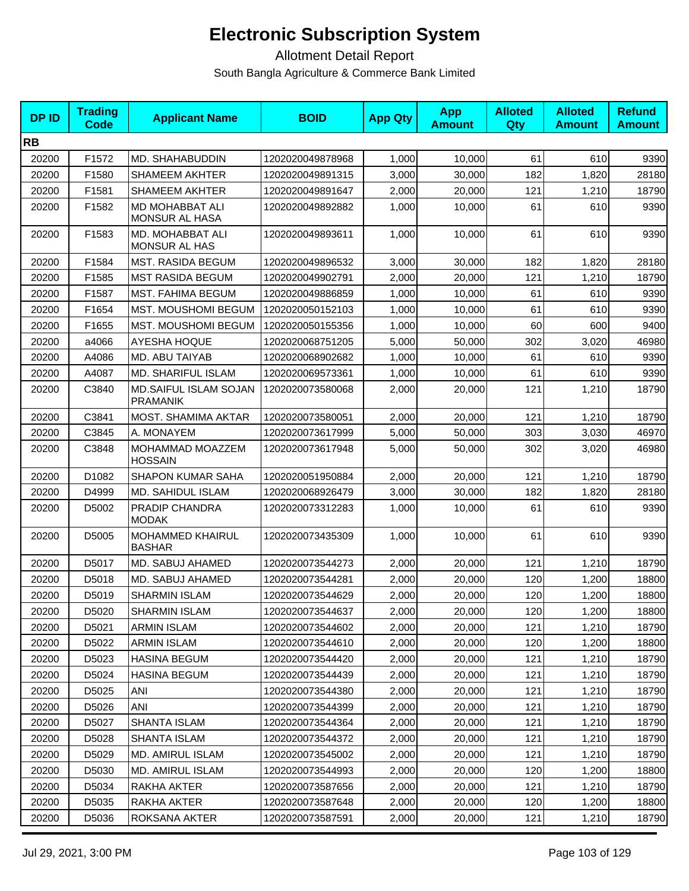| <b>DPID</b> | <b>Trading</b><br><b>Code</b> | <b>Applicant Name</b>                    | <b>BOID</b>      | <b>App Qty</b> | <b>App</b><br><b>Amount</b> | <b>Alloted</b><br>Qty | <b>Alloted</b><br><b>Amount</b> | <b>Refund</b><br><b>Amount</b> |
|-------------|-------------------------------|------------------------------------------|------------------|----------------|-----------------------------|-----------------------|---------------------------------|--------------------------------|
| <b>RB</b>   |                               |                                          |                  |                |                             |                       |                                 |                                |
| 20200       | F1572                         | MD. SHAHABUDDIN                          | 1202020049878968 | 1,000          | 10,000                      | 61                    | 610                             | 9390                           |
| 20200       | F1580                         | <b>SHAMEEM AKHTER</b>                    | 1202020049891315 | 3,000          | 30,000                      | 182                   | 1,820                           | 28180                          |
| 20200       | F1581                         | <b>SHAMEEM AKHTER</b>                    | 1202020049891647 | 2,000          | 20,000                      | 121                   | 1,210                           | 18790                          |
| 20200       | F1582                         | MD MOHABBAT ALI<br>MONSUR AL HASA        | 1202020049892882 | 1,000          | 10,000                      | 61                    | 610                             | 9390                           |
| 20200       | F1583                         | MD. MOHABBAT ALI<br><b>MONSUR AL HAS</b> | 1202020049893611 | 1,000          | 10,000                      | 61                    | 610                             | 9390                           |
| 20200       | F1584                         | <b>MST. RASIDA BEGUM</b>                 | 1202020049896532 | 3,000          | 30,000                      | 182                   | 1,820                           | 28180                          |
| 20200       | F1585                         | <b>MST RASIDA BEGUM</b>                  | 1202020049902791 | 2,000          | 20,000                      | 121                   | 1,210                           | 18790                          |
| 20200       | F1587                         | <b>MST. FAHIMA BEGUM</b>                 | 1202020049886859 | 1,000          | 10,000                      | 61                    | 610                             | 9390                           |
| 20200       | F1654                         | MST. MOUSHOMI BEGUM                      | 1202020050152103 | 1,000          | 10,000                      | 61                    | 610                             | 9390                           |
| 20200       | F1655                         | <b>MST. MOUSHOMI BEGUM</b>               | 1202020050155356 | 1,000          | 10,000                      | 60                    | 600                             | 9400                           |
| 20200       | a4066                         | <b>AYESHA HOQUE</b>                      | 1202020068751205 | 5,000          | 50,000                      | 302                   | 3,020                           | 46980                          |
| 20200       | A4086                         | MD. ABU TAIYAB                           | 1202020068902682 | 1,000          | 10,000                      | 61                    | 610                             | 9390                           |
| 20200       | A4087                         | <b>MD. SHARIFUL ISLAM</b>                | 1202020069573361 | 1,000          | 10,000                      | 61                    | 610                             | 9390                           |
| 20200       | C3840                         | MD.SAIFUL ISLAM SOJAN<br><b>PRAMANIK</b> | 1202020073580068 | 2.000          | 20,000                      | 121                   | 1,210                           | 18790                          |
| 20200       | C3841                         | MOST. SHAMIMA AKTAR                      | 1202020073580051 | 2,000          | 20,000                      | 121                   | 1,210                           | 18790                          |
| 20200       | C3845                         | A. MONAYEM                               | 1202020073617999 | 5,000          | 50,000                      | 303                   | 3,030                           | 46970                          |
| 20200       | C3848                         | MOHAMMAD MOAZZEM<br><b>HOSSAIN</b>       | 1202020073617948 | 5,000          | 50,000                      | 302                   | 3,020                           | 46980                          |
| 20200       | D1082                         | <b>SHAPON KUMAR SAHA</b>                 | 1202020051950884 | 2,000          | 20,000                      | 121                   | 1,210                           | 18790                          |
| 20200       | D4999                         | MD. SAHIDUL ISLAM                        | 1202020068926479 | 3,000          | 30,000                      | 182                   | 1,820                           | 28180                          |
| 20200       | D5002                         | PRADIP CHANDRA<br><b>MODAK</b>           | 1202020073312283 | 1,000          | 10,000                      | 61                    | 610                             | 9390                           |
| 20200       | D5005                         | MOHAMMED KHAIRUL<br><b>BASHAR</b>        | 1202020073435309 | 1,000          | 10,000                      | 61                    | 610                             | 9390                           |
| 20200       | D5017                         | MD. SABUJ AHAMED                         | 1202020073544273 | 2,000          | 20,000                      | 121                   | 1,210                           | 18790                          |
| 20200       | D5018                         | MD. SABUJ AHAMED                         | 1202020073544281 | 2,000          | 20,000                      | 120                   | 1,200                           | 18800                          |
| 20200       | D5019                         | <b>SHARMIN ISLAM</b>                     | 1202020073544629 | 2,000          | 20,000                      | 120                   | 1,200                           | 18800                          |
| 20200       | D5020                         | <b>SHARMIN ISLAM</b>                     | 1202020073544637 | 2,000          | 20,000                      | 120                   | 1,200                           | 18800                          |
| 20200       | D5021                         | <b>ARMIN ISLAM</b>                       | 1202020073544602 | 2,000          | 20,000                      | 121                   | 1,210                           | 18790                          |
| 20200       | D5022                         | <b>ARMIN ISLAM</b>                       | 1202020073544610 | 2,000          | 20,000                      | 120                   | 1,200                           | 18800                          |
| 20200       | D5023                         | <b>HASINA BEGUM</b>                      | 1202020073544420 | 2,000          | 20,000                      | 121                   | 1,210                           | 18790                          |
| 20200       | D5024                         | <b>HASINA BEGUM</b>                      | 1202020073544439 | 2,000          | 20,000                      | 121                   | 1,210                           | 18790                          |
| 20200       | D5025                         | ANI                                      | 1202020073544380 | 2,000          | 20,000                      | 121                   | 1,210                           | 18790                          |
| 20200       | D5026                         | <b>ANI</b>                               | 1202020073544399 | 2,000          | 20,000                      | 121                   | 1,210                           | 18790                          |
| 20200       | D5027                         | <b>SHANTA ISLAM</b>                      | 1202020073544364 | 2,000          | 20,000                      | 121                   | 1,210                           | 18790                          |
| 20200       | D5028                         | <b>SHANTA ISLAM</b>                      | 1202020073544372 | 2,000          | 20,000                      | 121                   | 1,210                           | 18790                          |
| 20200       | D5029                         | MD. AMIRUL ISLAM                         | 1202020073545002 | 2,000          | 20,000                      | 121                   | 1,210                           | 18790                          |
| 20200       | D5030                         | MD. AMIRUL ISLAM                         | 1202020073544993 | 2,000          | 20,000                      | 120                   | 1,200                           | 18800                          |
| 20200       | D5034                         | RAKHA AKTER                              | 1202020073587656 | 2,000          | 20,000                      | 121                   | 1,210                           | 18790                          |
| 20200       | D5035                         | RAKHA AKTER                              | 1202020073587648 | 2,000          | 20,000                      | 120                   | 1,200                           | 18800                          |
| 20200       | D5036                         | ROKSANA AKTER                            | 1202020073587591 | 2,000          | 20,000                      | 121                   | 1,210                           | 18790                          |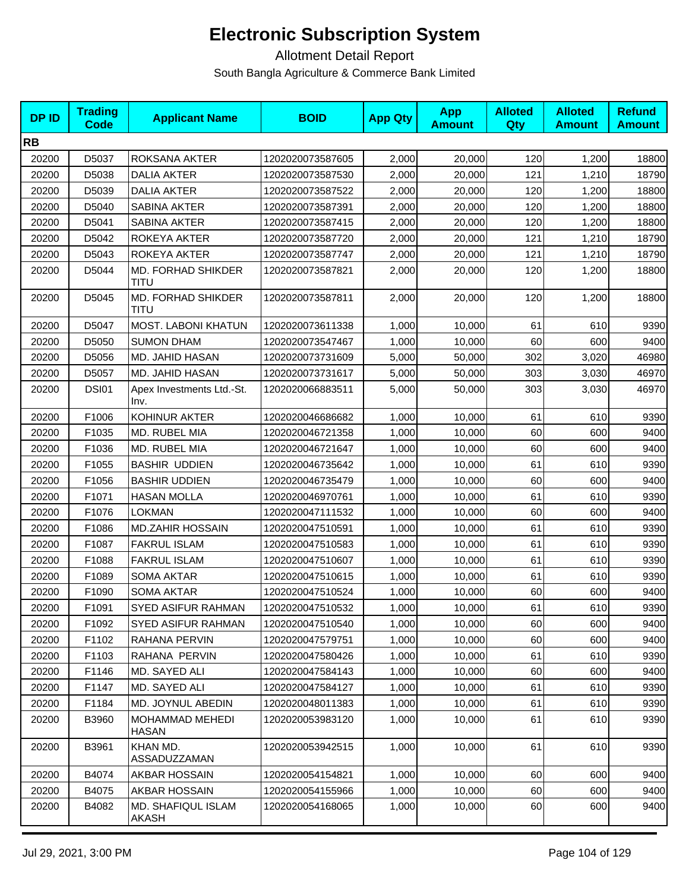| <b>DPID</b> | <b>Trading</b><br><b>Code</b> | <b>Applicant Name</b>                  | <b>BOID</b>      | <b>App Qty</b> | <b>App</b><br><b>Amount</b> | <b>Alloted</b><br><b>Qty</b> | <b>Alloted</b><br><b>Amount</b> | <b>Refund</b><br><b>Amount</b> |
|-------------|-------------------------------|----------------------------------------|------------------|----------------|-----------------------------|------------------------------|---------------------------------|--------------------------------|
| <b>RB</b>   |                               |                                        |                  |                |                             |                              |                                 |                                |
| 20200       | D5037                         | ROKSANA AKTER                          | 1202020073587605 | 2,000          | 20,000                      | 120                          | 1,200                           | 18800                          |
| 20200       | D5038                         | DALIA AKTER                            | 1202020073587530 | 2,000          | 20,000                      | 121                          | 1,210                           | 18790                          |
| 20200       | D5039                         | <b>DALIA AKTER</b>                     | 1202020073587522 | 2,000          | 20,000                      | 120                          | 1,200                           | 18800                          |
| 20200       | D5040                         | SABINA AKTER                           | 1202020073587391 | 2,000          | 20,000                      | 120                          | 1,200                           | 18800                          |
| 20200       | D5041                         | SABINA AKTER                           | 1202020073587415 | 2,000          | 20,000                      | 120                          | 1,200                           | 18800                          |
| 20200       | D5042                         | ROKEYA AKTER                           | 1202020073587720 | 2,000          | 20,000                      | 121                          | 1,210                           | 18790                          |
| 20200       | D5043                         | ROKEYA AKTER                           | 1202020073587747 | 2,000          | 20,000                      | 121                          | 1,210                           | 18790                          |
| 20200       | D5044                         | <b>MD. FORHAD SHIKDER</b><br>TITU      | 1202020073587821 | 2,000          | 20,000                      | 120                          | 1,200                           | 18800                          |
| 20200       | D5045                         | MD. FORHAD SHIKDER<br>TITU             | 1202020073587811 | 2,000          | 20,000                      | 120                          | 1,200                           | 18800                          |
| 20200       | D5047                         | MOST. LABONI KHATUN                    | 1202020073611338 | 1,000          | 10,000                      | 61                           | 610                             | 9390                           |
| 20200       | D5050                         | <b>SUMON DHAM</b>                      | 1202020073547467 | 1,000          | 10,000                      | 60                           | 600                             | 9400                           |
| 20200       | D5056                         | MD. JAHID HASAN                        | 1202020073731609 | 5,000          | 50,000                      | 302                          | 3,020                           | 46980                          |
| 20200       | D5057                         | MD. JAHID HASAN                        | 1202020073731617 | 5,000          | 50,000                      | 303                          | 3,030                           | 46970                          |
| 20200       | <b>DSI01</b>                  | Apex Investments Ltd.-St.<br>Inv.      | 1202020066883511 | 5,000          | 50,000                      | 303                          | 3,030                           | 46970                          |
| 20200       | F1006                         | KOHINUR AKTER                          | 1202020046686682 | 1,000          | 10,000                      | 61                           | 610                             | 9390                           |
| 20200       | F1035                         | MD. RUBEL MIA                          | 1202020046721358 | 1,000          | 10,000                      | 60                           | 600                             | 9400                           |
| 20200       | F1036                         | MD. RUBEL MIA                          | 1202020046721647 | 1,000          | 10,000                      | 60                           | 600                             | 9400                           |
| 20200       | F1055                         | <b>BASHIR UDDIEN</b>                   | 1202020046735642 | 1,000          | 10,000                      | 61                           | 610                             | 9390                           |
| 20200       | F1056                         | <b>BASHIR UDDIEN</b>                   | 1202020046735479 | 1,000          | 10,000                      | 60                           | 600                             | 9400                           |
| 20200       | F1071                         | <b>HASAN MOLLA</b>                     | 1202020046970761 | 1,000          | 10,000                      | 61                           | 610                             | 9390                           |
| 20200       | F1076                         | <b>LOKMAN</b>                          | 1202020047111532 | 1,000          | 10,000                      | 60                           | 600                             | 9400                           |
| 20200       | F1086                         | <b>MD.ZAHIR HOSSAIN</b>                | 1202020047510591 | 1,000          | 10,000                      | 61                           | 610                             | 9390                           |
| 20200       | F1087                         | <b>FAKRUL ISLAM</b>                    | 1202020047510583 | 1,000          | 10,000                      | 61                           | 610                             | 9390                           |
| 20200       | F1088                         | <b>FAKRUL ISLAM</b>                    | 1202020047510607 | 1,000          | 10,000                      | 61                           | 610                             | 9390                           |
| 20200       | F1089                         | <b>SOMA AKTAR</b>                      | 1202020047510615 | 1,000          | 10,000                      | 61                           | 610                             | 9390                           |
| 20200       | F1090                         | <b>SOMA AKTAR</b>                      | 1202020047510524 | 1,000          | 10,000                      | 60                           | 600                             | 9400                           |
| 20200       | F1091                         | SYED ASIFUR RAHMAN                     | 1202020047510532 | 1,000          | 10,000                      | 61                           | 610                             | 9390                           |
| 20200       | F1092                         | SYED ASIFUR RAHMAN                     | 1202020047510540 | 1,000          | 10,000                      | 60                           | 600                             | 9400                           |
| 20200       | F1102                         | RAHANA PERVIN                          | 1202020047579751 | 1,000          | 10,000                      | 60                           | 600                             | 9400                           |
| 20200       | F1103                         | RAHANA PERVIN                          | 1202020047580426 | 1,000          | 10,000                      | 61                           | 610                             | 9390                           |
| 20200       | F1146                         | MD. SAYED ALI                          | 1202020047584143 | 1,000          | 10,000                      | 60                           | 600                             | 9400                           |
| 20200       | F1147                         | MD. SAYED ALI                          | 1202020047584127 | 1,000          | 10,000                      | 61                           | 610                             | 9390                           |
| 20200       | F1184                         | MD. JOYNUL ABEDIN                      | 1202020048011383 | 1,000          | 10,000                      | 61                           | 610                             | 9390                           |
| 20200       | B3960                         | <b>MOHAMMAD MEHEDI</b><br><b>HASAN</b> | 1202020053983120 | 1,000          | 10,000                      | 61                           | 610                             | 9390                           |
| 20200       | B3961                         | KHAN MD.<br>ASSADUZZAMAN               | 1202020053942515 | 1,000          | 10,000                      | 61                           | 610                             | 9390                           |
| 20200       | B4074                         | AKBAR HOSSAIN                          | 1202020054154821 | 1,000          | 10,000                      | 60                           | 600                             | 9400                           |
| 20200       | B4075                         | AKBAR HOSSAIN                          | 1202020054155966 | 1,000          | 10,000                      | 60                           | 600                             | 9400                           |
| 20200       | B4082                         | MD. SHAFIQUL ISLAM<br>AKASH            | 1202020054168065 | 1,000          | 10,000                      | 60                           | 600                             | 9400                           |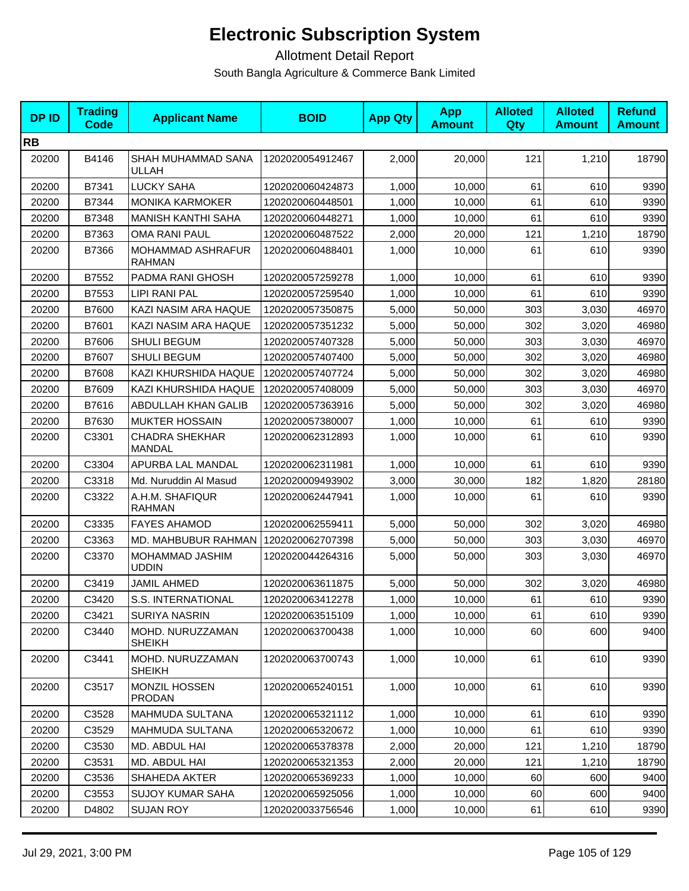| <b>DP ID</b> | <b>Trading</b><br>Code | <b>Applicant Name</b>                  | <b>BOID</b>      | <b>App Qty</b> | <b>App</b><br><b>Amount</b> | <b>Alloted</b><br>Qty | <b>Alloted</b><br><b>Amount</b> | <b>Refund</b><br><b>Amount</b> |
|--------------|------------------------|----------------------------------------|------------------|----------------|-----------------------------|-----------------------|---------------------------------|--------------------------------|
| <b>RB</b>    |                        |                                        |                  |                |                             |                       |                                 |                                |
| 20200        | B4146                  | SHAH MUHAMMAD SANA<br>ULLAH            | 1202020054912467 | 2,000          | 20,000                      | 121                   | 1,210                           | 18790                          |
| 20200        | B7341                  | <b>LUCKY SAHA</b>                      | 1202020060424873 | 1,000          | 10,000                      | 61                    | 610                             | 9390                           |
| 20200        | B7344                  | <b>MONIKA KARMOKER</b>                 | 1202020060448501 | 1,000          | 10,000                      | 61                    | 610                             | 9390                           |
| 20200        | B7348                  | <b>MANISH KANTHI SAHA</b>              | 1202020060448271 | 1,000          | 10,000                      | 61                    | 610                             | 9390                           |
| 20200        | B7363                  | <b>OMA RANI PAUL</b>                   | 1202020060487522 | 2,000          | 20,000                      | 121                   | 1,210                           | 18790                          |
| 20200        | B7366                  | MOHAMMAD ASHRAFUR<br><b>RAHMAN</b>     | 1202020060488401 | 1,000          | 10,000                      | 61                    | 610                             | 9390                           |
| 20200        | B7552                  | PADMA RANI GHOSH                       | 1202020057259278 | 1,000          | 10,000                      | 61                    | 610                             | 9390                           |
| 20200        | B7553                  | LIPI RANI PAL                          | 1202020057259540 | 1,000          | 10,000                      | 61                    | 610                             | 9390                           |
| 20200        | B7600                  | KAZI NASIM ARA HAQUE                   | 1202020057350875 | 5,000          | 50,000                      | 303                   | 3,030                           | 46970                          |
| 20200        | B7601                  | KAZI NASIM ARA HAQUE                   | 1202020057351232 | 5,000          | 50.000                      | 302                   | 3,020                           | 46980                          |
| 20200        | B7606                  | SHULI BEGUM                            | 1202020057407328 | 5,000          | 50,000                      | 303                   | 3,030                           | 46970                          |
| 20200        | B7607                  | <b>SHULI BEGUM</b>                     | 1202020057407400 | 5,000          | 50,000                      | 302                   | 3,020                           | 46980                          |
| 20200        | B7608                  | KAZI KHURSHIDA HAQUE                   | 1202020057407724 | 5,000          | 50,000                      | 302                   | 3,020                           | 46980                          |
| 20200        | B7609                  | KAZI KHURSHIDA HAQUE                   | 1202020057408009 | 5,000          | 50,000                      | 303                   | 3,030                           | 46970                          |
| 20200        | B7616                  | ABDULLAH KHAN GALIB                    | 1202020057363916 | 5,000          | 50,000                      | 302                   | 3,020                           | 46980                          |
| 20200        | B7630                  | <b>MUKTER HOSSAIN</b>                  | 1202020057380007 | 1,000          | 10,000                      | 61                    | 610                             | 9390                           |
| 20200        | C3301                  | <b>CHADRA SHEKHAR</b><br><b>MANDAL</b> | 1202020062312893 | 1,000          | 10,000                      | 61                    | 610                             | 9390                           |
| 20200        | C3304                  | APURBA LAL MANDAL                      | 1202020062311981 | 1,000          | 10,000                      | 61                    | 610                             | 9390                           |
| 20200        | C3318                  | Md. Nuruddin Al Masud                  | 1202020009493902 | 3,000          | 30,000                      | 182                   | 1,820                           | 28180                          |
| 20200        | C3322                  | A.H.M. SHAFIQUR<br>RAHMAN              | 1202020062447941 | 1,000          | 10,000                      | 61                    | 610                             | 9390                           |
| 20200        | C3335                  | <b>FAYES AHAMOD</b>                    | 1202020062559411 | 5,000          | 50,000                      | 302                   | 3,020                           | 46980                          |
| 20200        | C3363                  | MD. MAHBUBUR RAHMAN                    | 1202020062707398 | 5,000          | 50,000                      | 303                   | 3,030                           | 46970                          |
| 20200        | C3370                  | MOHAMMAD JASHIM<br>UDDIN               | 1202020044264316 | 5,000          | 50,000                      | 303                   | 3,030                           | 46970                          |
| 20200        | C3419                  | JAMIL AHMED                            | 1202020063611875 | 5,000          | 50,000                      | 302                   | 3,020                           | 46980                          |
| 20200        | C3420                  | S.S. INTERNATIONAL                     | 1202020063412278 | 1,000          | 10,000                      | 61                    | 610                             | 9390                           |
| 20200        | C3421                  | <b>SURIYA NASRIN</b>                   | 1202020063515109 | 1,000          | 10,000                      | 61                    | 610                             | 9390                           |
| 20200        | C3440                  | MOHD. NURUZZAMAN<br><b>SHEIKH</b>      | 1202020063700438 | 1,000          | 10,000                      | 60                    | 600                             | 9400                           |
| 20200        | C3441                  | MOHD. NURUZZAMAN<br><b>SHEIKH</b>      | 1202020063700743 | 1,000          | 10,000                      | 61                    | 610                             | 9390                           |
| 20200        | C3517                  | MONZIL HOSSEN<br><b>PRODAN</b>         | 1202020065240151 | 1,000          | 10,000                      | 61                    | 610                             | 9390                           |
| 20200        | C3528                  | MAHMUDA SULTANA                        | 1202020065321112 | 1,000          | 10,000                      | 61                    | 610                             | 9390                           |
| 20200        | C3529                  | MAHMUDA SULTANA                        | 1202020065320672 | 1,000          | 10,000                      | 61                    | 610                             | 9390                           |
| 20200        | C3530                  | MD. ABDUL HAI                          | 1202020065378378 | 2,000          | 20,000                      | 121                   | 1,210                           | 18790                          |
| 20200        | C3531                  | MD. ABDUL HAI                          | 1202020065321353 | 2,000          | 20,000                      | 121                   | 1,210                           | 18790                          |
| 20200        | C3536                  | SHAHEDA AKTER                          | 1202020065369233 | 1,000          | 10,000                      | 60                    | 600                             | 9400                           |
| 20200        | C3553                  | <b>SUJOY KUMAR SAHA</b>                | 1202020065925056 | 1,000          | 10,000                      | 60                    | 600                             | 9400                           |
| 20200        | D4802                  | <b>SUJAN ROY</b>                       | 1202020033756546 | 1,000          | 10,000                      | 61                    | 610                             | 9390                           |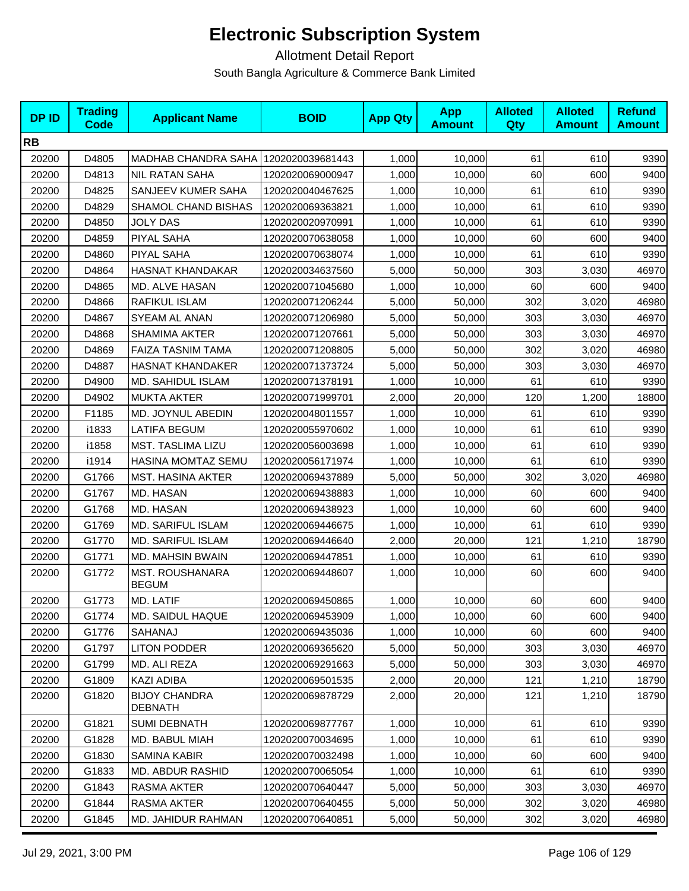| <b>DPID</b> | <b>Trading</b><br>Code | <b>Applicant Name</b>                  | <b>BOID</b>      | <b>App Qty</b> | <b>App</b><br><b>Amount</b> | <b>Alloted</b><br><b>Qty</b> | <b>Alloted</b><br><b>Amount</b> | <b>Refund</b><br><b>Amount</b> |
|-------------|------------------------|----------------------------------------|------------------|----------------|-----------------------------|------------------------------|---------------------------------|--------------------------------|
| <b>RB</b>   |                        |                                        |                  |                |                             |                              |                                 |                                |
| 20200       | D4805                  | MADHAB CHANDRA SAHA                    | 1202020039681443 | 1,000          | 10,000                      | 61                           | 610                             | 9390                           |
| 20200       | D4813                  | <b>NIL RATAN SAHA</b>                  | 1202020069000947 | 1,000          | 10,000                      | 60                           | 600                             | 9400                           |
| 20200       | D4825                  | SANJEEV KUMER SAHA                     | 1202020040467625 | 1,000          | 10,000                      | 61                           | 610                             | 9390                           |
| 20200       | D4829                  | SHAMOL CHAND BISHAS                    | 1202020069363821 | 1,000          | 10,000                      | 61                           | 610                             | 9390                           |
| 20200       | D4850                  | JOLY DAS                               | 1202020020970991 | 1,000          | 10,000                      | 61                           | 610                             | 9390                           |
| 20200       | D4859                  | PIYAL SAHA                             | 1202020070638058 | 1,000          | 10,000                      | 60                           | 600                             | 9400                           |
| 20200       | D4860                  | <b>PIYAL SAHA</b>                      | 1202020070638074 | 1,000          | 10,000                      | 61                           | 610                             | 9390                           |
| 20200       | D4864                  | <b>HASNAT KHANDAKAR</b>                | 1202020034637560 | 5,000          | 50,000                      | 303                          | 3,030                           | 46970                          |
| 20200       | D4865                  | MD. ALVE HASAN                         | 1202020071045680 | 1,000          | 10,000                      | 60                           | 600                             | 9400                           |
| 20200       | D4866                  | RAFIKUL ISLAM                          | 1202020071206244 | 5,000          | 50,000                      | 302                          | 3,020                           | 46980                          |
| 20200       | D4867                  | SYEAM AL ANAN                          | 1202020071206980 | 5,000          | 50,000                      | 303                          | 3,030                           | 46970                          |
| 20200       | D4868                  | <b>SHAMIMA AKTER</b>                   | 1202020071207661 | 5,000          | 50,000                      | 303                          | 3,030                           | 46970                          |
| 20200       | D4869                  | <b>FAIZA TASNIM TAMA</b>               | 1202020071208805 | 5,000          | 50,000                      | 302                          | 3,020                           | 46980                          |
| 20200       | D4887                  | <b>HASNAT KHANDAKER</b>                | 1202020071373724 | 5,000          | 50,000                      | 303                          | 3,030                           | 46970                          |
| 20200       | D4900                  | MD. SAHIDUL ISLAM                      | 1202020071378191 | 1,000          | 10,000                      | 61                           | 610                             | 9390                           |
| 20200       | D4902                  | <b>MUKTA AKTER</b>                     | 1202020071999701 | 2,000          | 20,000                      | 120                          | 1,200                           | 18800                          |
| 20200       | F1185                  | MD. JOYNUL ABEDIN                      | 1202020048011557 | 1,000          | 10,000                      | 61                           | 610                             | 9390                           |
| 20200       | i1833                  | <b>LATIFA BEGUM</b>                    | 1202020055970602 | 1,000          | 10,000                      | 61                           | 610                             | 9390                           |
| 20200       | i1858                  | MST. TASLIMA LIZU                      | 1202020056003698 | 1,000          | 10,000                      | 61                           | 610                             | 9390                           |
| 20200       | i1914                  | HASINA MOMTAZ SEMU                     | 1202020056171974 | 1,000          | 10,000                      | 61                           | 610                             | 9390                           |
| 20200       | G1766                  | <b>MST. HASINA AKTER</b>               | 1202020069437889 | 5,000          | 50,000                      | 302                          | 3,020                           | 46980                          |
| 20200       | G1767                  | MD. HASAN                              | 1202020069438883 | 1,000          | 10,000                      | 60                           | 600                             | 9400                           |
| 20200       | G1768                  | MD. HASAN                              | 1202020069438923 | 1,000          | 10,000                      | 60                           | 600                             | 9400                           |
| 20200       | G1769                  | MD. SARIFUL ISLAM                      | 1202020069446675 | 1,000          | 10,000                      | 61                           | 610                             | 9390                           |
| 20200       | G1770                  | MD. SARIFUL ISLAM                      | 1202020069446640 | 2,000          | 20,000                      | 121                          | 1,210                           | 18790                          |
| 20200       | G1771                  | <b>MD. MAHSIN BWAIN</b>                | 1202020069447851 | 1,000          | 10,000                      | 61                           | 610                             | 9390                           |
| 20200       | G1772                  | <b>MST. ROUSHANARA</b><br><b>BEGUM</b> | 1202020069448607 | 1,000          | 10,000                      | 60                           | 600                             | 9400                           |
| 20200       | G1773                  | MD. LATIF                              | 1202020069450865 | 1,000          | 10,000                      | 60                           | 600                             | 9400                           |
| 20200       | G1774                  | <b>MD. SAIDUL HAQUE</b>                | 1202020069453909 | 1,000          | 10,000                      | 60                           | 600                             | 9400                           |
| 20200       | G1776                  | SAHANAJ                                | 1202020069435036 | 1,000          | 10,000                      | 60                           | 600                             | 9400                           |
| 20200       | G1797                  | <b>LITON PODDER</b>                    | 1202020069365620 | 5,000          | 50,000                      | 303                          | 3,030                           | 46970                          |
| 20200       | G1799                  | MD. ALI REZA                           | 1202020069291663 | 5,000          | 50,000                      | 303                          | 3,030                           | 46970                          |
| 20200       | G1809                  | <b>KAZI ADIBA</b>                      | 1202020069501535 | 2,000          | 20,000                      | 121                          | 1,210                           | 18790                          |
| 20200       | G1820                  | <b>BIJOY CHANDRA</b><br>DEBNATH        | 1202020069878729 | 2,000          | 20,000                      | 121                          | 1,210                           | 18790                          |
| 20200       | G1821                  | <b>SUMI DEBNATH</b>                    | 1202020069877767 | 1,000          | 10,000                      | 61                           | 610                             | 9390                           |
| 20200       | G1828                  | MD. BABUL MIAH                         | 1202020070034695 | 1,000          | 10,000                      | 61                           | 610                             | 9390                           |
| 20200       | G1830                  | <b>SAMINA KABIR</b>                    | 1202020070032498 | 1,000          | 10,000                      | 60                           | 600                             | 9400                           |
| 20200       | G1833                  | MD. ABDUR RASHID                       | 1202020070065054 | 1,000          | 10,000                      | 61                           | 610                             | 9390                           |
| 20200       | G1843                  | RASMA AKTER                            | 1202020070640447 | 5,000          | 50,000                      | 303                          | 3,030                           | 46970                          |
| 20200       | G1844                  | RASMA AKTER                            | 1202020070640455 | 5,000          | 50,000                      | 302                          | 3,020                           | 46980                          |
| 20200       | G1845                  | MD. JAHIDUR RAHMAN                     | 1202020070640851 | 5,000          | 50,000                      | 302                          | 3,020                           | 46980                          |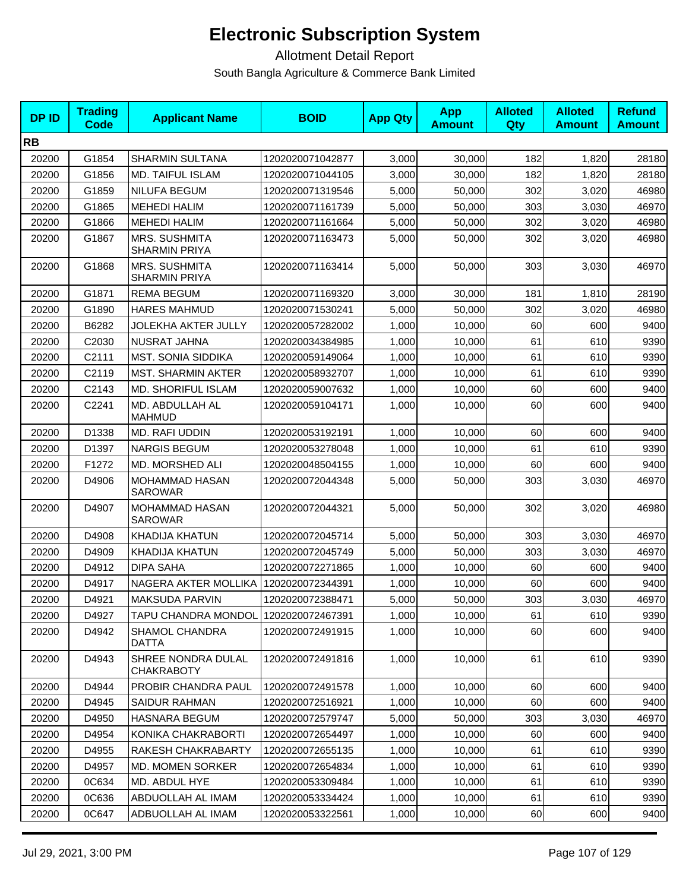| <b>DPID</b> | <b>Trading</b><br><b>Code</b> | <b>Applicant Name</b>                        | <b>BOID</b>      | <b>App Qty</b> | <b>App</b><br><b>Amount</b> | <b>Alloted</b><br>Qty | <b>Alloted</b><br><b>Amount</b> | <b>Refund</b><br><b>Amount</b> |
|-------------|-------------------------------|----------------------------------------------|------------------|----------------|-----------------------------|-----------------------|---------------------------------|--------------------------------|
| <b>RB</b>   |                               |                                              |                  |                |                             |                       |                                 |                                |
| 20200       | G1854                         | <b>SHARMIN SULTANA</b>                       | 1202020071042877 | 3,000          | 30,000                      | 182                   | 1,820                           | 28180                          |
| 20200       | G1856                         | MD. TAIFUL ISLAM                             | 1202020071044105 | 3,000          | 30,000                      | 182                   | 1,820                           | 28180                          |
| 20200       | G1859                         | NILUFA BEGUM                                 | 1202020071319546 | 5,000          | 50,000                      | 302                   | 3,020                           | 46980                          |
| 20200       | G1865                         | <b>MEHEDI HALIM</b>                          | 1202020071161739 | 5,000          | 50,000                      | 303                   | 3,030                           | 46970                          |
| 20200       | G1866                         | <b>MEHEDI HALIM</b>                          | 1202020071161664 | 5,000          | 50,000                      | 302                   | 3,020                           | 46980                          |
| 20200       | G1867                         | <b>MRS. SUSHMITA</b><br><b>SHARMIN PRIYA</b> | 1202020071163473 | 5,000          | 50,000                      | 302                   | 3,020                           | 46980                          |
| 20200       | G1868                         | <b>MRS. SUSHMITA</b><br><b>SHARMIN PRIYA</b> | 1202020071163414 | 5,000          | 50,000                      | 303                   | 3,030                           | 46970                          |
| 20200       | G1871                         | <b>REMA BEGUM</b>                            | 1202020071169320 | 3,000          | 30,000                      | 181                   | 1,810                           | 28190                          |
| 20200       | G1890                         | <b>HARES MAHMUD</b>                          | 1202020071530241 | 5,000          | 50,000                      | 302                   | 3,020                           | 46980                          |
| 20200       | B6282                         | <b>JOLEKHA AKTER JULLY</b>                   | 1202020057282002 | 1,000          | 10,000                      | 60                    | 600                             | 9400                           |
| 20200       | C2030                         | NUSRAT JAHNA                                 | 1202020034384985 | 1,000          | 10,000                      | 61                    | 610                             | 9390                           |
| 20200       | C2111                         | <b>MST. SONIA SIDDIKA</b>                    | 1202020059149064 | 1,000          | 10,000                      | 61                    | 610                             | 9390                           |
| 20200       | C2119                         | <b>MST. SHARMIN AKTER</b>                    | 1202020058932707 | 1,000          | 10,000                      | 61                    | 610                             | 9390                           |
| 20200       | C2143                         | <b>MD. SHORIFUL ISLAM</b>                    | 1202020059007632 | 1,000          | 10,000                      | 60                    | 600                             | 9400                           |
| 20200       | C2241                         | MD. ABDULLAH AL<br><b>MAHMUD</b>             | 1202020059104171 | 1,000          | 10,000                      | 60                    | 600                             | 9400                           |
| 20200       | D1338                         | MD. RAFI UDDIN                               | 1202020053192191 | 1,000          | 10,000                      | 60                    | 600                             | 9400                           |
| 20200       | D1397                         | <b>NARGIS BEGUM</b>                          | 1202020053278048 | 1,000          | 10,000                      | 61                    | 610                             | 9390                           |
| 20200       | F1272                         | MD. MORSHED ALI                              | 1202020048504155 | 1,000          | 10,000                      | 60                    | 600                             | 9400                           |
| 20200       | D4906                         | <b>MOHAMMAD HASAN</b><br>SAROWAR             | 1202020072044348 | 5,000          | 50,000                      | 303                   | 3,030                           | 46970                          |
| 20200       | D4907                         | <b>MOHAMMAD HASAN</b><br><b>SAROWAR</b>      | 1202020072044321 | 5,000          | 50,000                      | 302                   | 3,020                           | 46980                          |
| 20200       | D4908                         | KHADIJA KHATUN                               | 1202020072045714 | 5,000          | 50,000                      | 303                   | 3,030                           | 46970                          |
| 20200       | D4909                         | <b>KHADIJA KHATUN</b>                        | 1202020072045749 | 5,000          | 50,000                      | 303                   | 3,030                           | 46970                          |
| 20200       | D4912                         | <b>DIPA SAHA</b>                             | 1202020072271865 | 1,000          | 10,000                      | 60                    | 600                             | 9400                           |
| 20200       | D4917                         | NAGERA AKTER MOLLIKA                         | 1202020072344391 | 1,000          | 10,000                      | 60                    | 600                             | 9400                           |
| 20200       | D4921                         | MAKSUDA PARVIN                               | 1202020072388471 | 5,000          | 50,000                      | 303                   | 3,030                           | 46970                          |
| 20200       | D4927                         | TAPU CHANDRA MONDOL 1202020072467391         |                  | 1,000          | 10,000                      | 61                    | 610                             | 9390                           |
| 20200       | D4942                         | <b>SHAMOL CHANDRA</b><br><b>DATTA</b>        | 1202020072491915 | 1,000          | 10,000                      | 60                    | 600                             | 9400                           |
| 20200       | D4943                         | SHREE NONDRA DULAL<br><b>CHAKRABOTY</b>      | 1202020072491816 | 1,000          | 10,000                      | 61                    | 610                             | 9390                           |
| 20200       | D4944                         | PROBIR CHANDRA PAUL                          | 1202020072491578 | 1,000          | 10,000                      | 60                    | 600                             | 9400                           |
| 20200       | D4945                         | SAIDUR RAHMAN                                | 1202020072516921 | 1,000          | 10,000                      | 60                    | 600                             | 9400                           |
| 20200       | D4950                         | <b>HASNARA BEGUM</b>                         | 1202020072579747 | 5,000          | 50,000                      | 303                   | 3,030                           | 46970                          |
| 20200       | D4954                         | KONIKA CHAKRABORTI                           | 1202020072654497 | 1,000          | 10,000                      | 60                    | 600                             | 9400                           |
| 20200       | D4955                         | RAKESH CHAKRABARTY                           | 1202020072655135 | 1,000          | 10,000                      | 61                    | 610                             | 9390                           |
| 20200       | D4957                         | MD. MOMEN SORKER                             | 1202020072654834 | 1,000          | 10,000                      | 61                    | 610                             | 9390                           |
| 20200       | 0C634                         | MD. ABDUL HYE                                | 1202020053309484 | 1,000          | 10,000                      | 61                    | 610                             | 9390                           |
| 20200       | 0C636                         | ABDUOLLAH AL IMAM                            | 1202020053334424 | 1,000          | 10,000                      | 61                    | 610                             | 9390                           |
| 20200       | 0C647                         | ADBUOLLAH AL IMAM                            | 1202020053322561 | 1,000          | 10,000                      | 60                    | 600                             | 9400                           |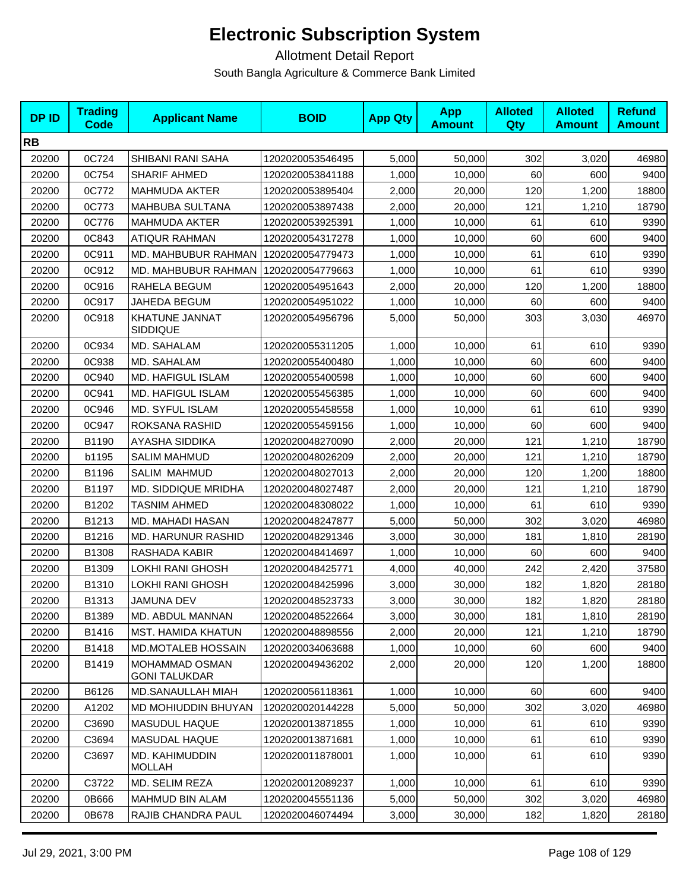| <b>DPID</b> | <b>Trading</b><br>Code | <b>Applicant Name</b>                  | <b>BOID</b>      | <b>App Qty</b> | <b>App</b><br><b>Amount</b> | <b>Alloted</b><br><b>Qty</b> | <b>Alloted</b><br><b>Amount</b> | <b>Refund</b><br><b>Amount</b> |
|-------------|------------------------|----------------------------------------|------------------|----------------|-----------------------------|------------------------------|---------------------------------|--------------------------------|
| <b>RB</b>   |                        |                                        |                  |                |                             |                              |                                 |                                |
| 20200       | 0C724                  | SHIBANI RANI SAHA                      | 1202020053546495 | 5,000          | 50,000                      | 302                          | 3,020                           | 46980                          |
| 20200       | 0C754                  | <b>SHARIF AHMED</b>                    | 1202020053841188 | 1,000          | 10.000                      | 60                           | 600                             | 9400                           |
| 20200       | 0C772                  | <b>MAHMUDA AKTER</b>                   | 1202020053895404 | 2,000          | 20,000                      | 120                          | 1,200                           | 18800                          |
| 20200       | 0C773                  | MAHBUBA SULTANA                        | 1202020053897438 | 2,000          | 20,000                      | 121                          | 1,210                           | 18790                          |
| 20200       | 0C776                  | <b>MAHMUDA AKTER</b>                   | 1202020053925391 | 1,000          | 10,000                      | 61                           | 610                             | 9390                           |
| 20200       | 0C843                  | <b>ATIQUR RAHMAN</b>                   | 1202020054317278 | 1,000          | 10,000                      | 60                           | 600                             | 9400                           |
| 20200       | 0C911                  | MD. MAHBUBUR RAHMAN                    | 1202020054779473 | 1,000          | 10,000                      | 61                           | 610                             | 9390                           |
| 20200       | 0C912                  | MD. MAHBUBUR RAHMAN                    | 1202020054779663 | 1,000          | 10,000                      | 61                           | 610                             | 9390                           |
| 20200       | 0C916                  | RAHELA BEGUM                           | 1202020054951643 | 2,000          | 20,000                      | 120                          | 1,200                           | 18800                          |
| 20200       | 0C917                  | JAHEDA BEGUM                           | 1202020054951022 | 1,000          | 10,000                      | 60                           | 600                             | 9400                           |
| 20200       | 0C918                  | KHATUNE JANNAT<br><b>SIDDIQUE</b>      | 1202020054956796 | 5,000          | 50,000                      | 303                          | 3,030                           | 46970                          |
| 20200       | 0C934                  | MD. SAHALAM                            | 1202020055311205 | 1,000          | 10,000                      | 61                           | 610                             | 9390                           |
| 20200       | 0C938                  | MD. SAHALAM                            | 1202020055400480 | 1,000          | 10,000                      | 60                           | 600                             | 9400                           |
| 20200       | 0C940                  | <b>MD. HAFIGUL ISLAM</b>               | 1202020055400598 | 1,000          | 10,000                      | 60                           | 600                             | 9400                           |
| 20200       | 0C941                  | MD. HAFIGUL ISLAM                      | 1202020055456385 | 1,000          | 10,000                      | 60                           | 600                             | 9400                           |
| 20200       | 0C946                  | MD. SYFUL ISLAM                        | 1202020055458558 | 1,000          | 10,000                      | 61                           | 610                             | 9390                           |
| 20200       | 0C947                  | ROKSANA RASHID                         | 1202020055459156 | 1,000          | 10,000                      | 60                           | 600                             | 9400                           |
| 20200       | B1190                  | AYASHA SIDDIKA                         | 1202020048270090 | 2,000          | 20,000                      | 121                          | 1,210                           | 18790                          |
| 20200       | b1195                  | <b>SALIM MAHMUD</b>                    | 1202020048026209 | 2,000          | 20,000                      | 121                          | 1,210                           | 18790                          |
| 20200       | B1196                  | SALIM MAHMUD                           | 1202020048027013 | 2,000          | 20,000                      | 120                          | 1,200                           | 18800                          |
| 20200       | B1197                  | MD. SIDDIQUE MRIDHA                    | 1202020048027487 | 2,000          | 20,000                      | 121                          | 1,210                           | 18790                          |
| 20200       | B1202                  | <b>TASNIM AHMED</b>                    | 1202020048308022 | 1,000          | 10,000                      | 61                           | 610                             | 9390                           |
| 20200       | B1213                  | MD. MAHADI HASAN                       | 1202020048247877 | 5,000          | 50,000                      | 302                          | 3,020                           | 46980                          |
| 20200       | B1216                  | <b>MD. HARUNUR RASHID</b>              | 1202020048291346 | 3,000          | 30,000                      | 181                          | 1,810                           | 28190                          |
| 20200       | B1308                  | <b>RASHADA KABIR</b>                   | 1202020048414697 | 1,000          | 10,000                      | 60                           | 600                             | 9400                           |
| 20200       | B1309                  | LOKHI RANI GHOSH                       | 1202020048425771 | 4,000          | 40,000                      | 242                          | 2,420                           | 37580                          |
| 20200       | B1310                  | LOKHI RANI GHOSH                       | 1202020048425996 | 3,000          | 30,000                      | 182                          | 1,820                           | 28180                          |
| 20200       | B1313                  | JAMUNA DEV                             | 1202020048523733 | 3,000          | 30,000                      | 182                          | 1,820                           | 28180                          |
| 20200       | B1389                  | MD. ABDUL MANNAN                       | 1202020048522664 | 3,000          | 30,000                      | 181                          | 1,810                           | 28190                          |
| 20200       | B1416                  | <b>MST. HAMIDA KHATUN</b>              | 1202020048898556 | 2,000          | 20,000                      | 121                          | 1,210                           | 18790                          |
| 20200       | B1418                  | <b>MD.MOTALEB HOSSAIN</b>              | 1202020034063688 | 1,000          | 10,000                      | 60                           | 600                             | 9400                           |
| 20200       | B1419                  | MOHAMMAD OSMAN<br><b>GONI TALUKDAR</b> | 1202020049436202 | 2,000          | 20,000                      | 120                          | 1,200                           | 18800                          |
| 20200       | B6126                  | <b>MD.SANAULLAH MIAH</b>               | 1202020056118361 | 1,000          | 10,000                      | 60                           | 600                             | 9400                           |
| 20200       | A1202                  | <b>MD MOHIUDDIN BHUYAN</b>             | 1202020020144228 | 5,000          | 50,000                      | 302                          | 3,020                           | 46980                          |
| 20200       | C3690                  | <b>MASUDUL HAQUE</b>                   | 1202020013871855 | 1,000          | 10,000                      | 61                           | 610                             | 9390                           |
| 20200       | C3694                  | <b>MASUDAL HAQUE</b>                   | 1202020013871681 | 1,000          | 10,000                      | 61                           | 610                             | 9390                           |
| 20200       | C3697                  | MD. KAHIMUDDIN<br><b>MOLLAH</b>        | 1202020011878001 | 1,000          | 10,000                      | 61                           | 610                             | 9390                           |
| 20200       | C3722                  | MD. SELIM REZA                         | 1202020012089237 | 1,000          | 10,000                      | 61                           | 610                             | 9390                           |
| 20200       | 0B666                  | MAHMUD BIN ALAM                        | 1202020045551136 | 5,000          | 50,000                      | 302                          | 3,020                           | 46980                          |
| 20200       | 0B678                  | RAJIB CHANDRA PAUL                     | 1202020046074494 | 3,000          | 30,000                      | 182                          | 1,820                           | 28180                          |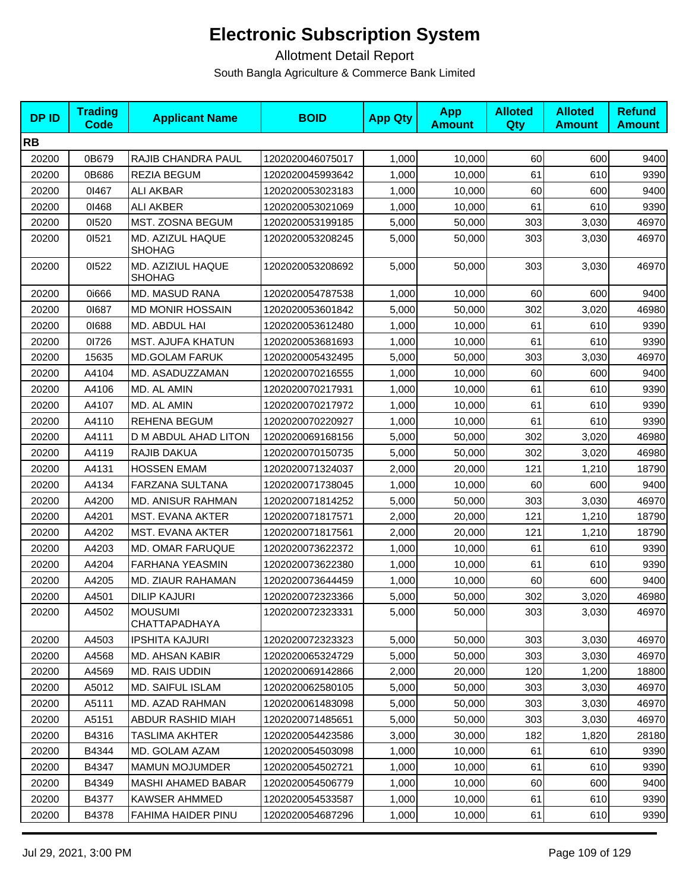| <b>DPID</b> | <b>Trading</b><br><b>Code</b> | <b>Applicant Name</b>              | <b>BOID</b>      | <b>App Qty</b> | <b>App</b><br><b>Amount</b> | <b>Alloted</b><br><b>Qty</b> | <b>Alloted</b><br><b>Amount</b> | <b>Refund</b><br><b>Amount</b> |
|-------------|-------------------------------|------------------------------------|------------------|----------------|-----------------------------|------------------------------|---------------------------------|--------------------------------|
| <b>RB</b>   |                               |                                    |                  |                |                             |                              |                                 |                                |
| 20200       | 0B679                         | RAJIB CHANDRA PAUL                 | 1202020046075017 | 1,000          | 10,000                      | 60                           | 600                             | 9400                           |
| 20200       | 0B686                         | <b>REZIA BEGUM</b>                 | 1202020045993642 | 1,000          | 10,000                      | 61                           | 610                             | 9390                           |
| 20200       | 01467                         | <b>ALI AKBAR</b>                   | 1202020053023183 | 1,000          | 10,000                      | 60                           | 600                             | 9400                           |
| 20200       | 01468                         | <b>ALI AKBER</b>                   | 1202020053021069 | 1,000          | 10,000                      | 61                           | 610                             | 9390                           |
| 20200       | 01520                         | MST. ZOSNA BEGUM                   | 1202020053199185 | 5,000          | 50,000                      | 303                          | 3,030                           | 46970                          |
| 20200       | 01521                         | MD. AZIZUL HAQUE<br>SHOHAG         | 1202020053208245 | 5,000          | 50,000                      | 303                          | 3,030                           | 46970                          |
| 20200       | 01522                         | MD. AZIZIUL HAQUE<br><b>SHOHAG</b> | 1202020053208692 | 5,000          | 50,000                      | 303                          | 3,030                           | 46970                          |
| 20200       | 0i666                         | MD. MASUD RANA                     | 1202020054787538 | 1,000          | 10,000                      | 60                           | 600                             | 9400                           |
| 20200       | 01687                         | <b>MD MONIR HOSSAIN</b>            | 1202020053601842 | 5,000          | 50,000                      | 302                          | 3,020                           | 46980                          |
| 20200       | 01688                         | MD. ABDUL HAI                      | 1202020053612480 | 1,000          | 10,000                      | 61                           | 610                             | 9390                           |
| 20200       | 01726                         | MST. AJUFA KHATUN                  | 1202020053681693 | 1,000          | 10,000                      | 61                           | 610                             | 9390                           |
| 20200       | 15635                         | <b>MD.GOLAM FARUK</b>              | 1202020005432495 | 5,000          | 50,000                      | 303                          | 3,030                           | 46970                          |
| 20200       | A4104                         | MD. ASADUZZAMAN                    | 1202020070216555 | 1,000          | 10,000                      | 60                           | 600                             | 9400                           |
| 20200       | A4106                         | MD. AL AMIN                        | 1202020070217931 | 1,000          | 10,000                      | 61                           | 610                             | 9390                           |
| 20200       | A4107                         | MD. AL AMIN                        | 1202020070217972 | 1,000          | 10,000                      | 61                           | 610                             | 9390                           |
| 20200       | A4110                         | REHENA BEGUM                       | 1202020070220927 | 1,000          | 10,000                      | 61                           | 610                             | 9390                           |
| 20200       | A4111                         | D M ABDUL AHAD LITON               | 1202020069168156 | 5,000          | 50,000                      | 302                          | 3,020                           | 46980                          |
| 20200       | A4119                         | RAJIB DAKUA                        | 1202020070150735 | 5,000          | 50,000                      | 302                          | 3,020                           | 46980                          |
| 20200       | A4131                         | <b>HOSSEN EMAM</b>                 | 1202020071324037 | 2,000          | 20,000                      | 121                          | 1,210                           | 18790                          |
| 20200       | A4134                         | FARZANA SULTANA                    | 1202020071738045 | 1,000          | 10,000                      | 60                           | 600                             | 9400                           |
| 20200       | A4200                         | <b>MD. ANISUR RAHMAN</b>           | 1202020071814252 | 5,000          | 50,000                      | 303                          | 3,030                           | 46970                          |
| 20200       | A4201                         | MST. EVANA AKTER                   | 1202020071817571 | 2,000          | 20,000                      | 121                          | 1,210                           | 18790                          |
| 20200       | A4202                         | MST. EVANA AKTER                   | 1202020071817561 | 2,000          | 20,000                      | 121                          | 1,210                           | 18790                          |
| 20200       | A4203                         | MD. OMAR FARUQUE                   | 1202020073622372 | 1,000          | 10,000                      | 61                           | 610                             | 9390                           |
| 20200       | A4204                         | <b>FARHANA YEASMIN</b>             | 1202020073622380 | 1,000          | 10,000                      | 61                           | 610                             | 9390                           |
| 20200       | A4205                         | MD. ZIAUR RAHAMAN                  | 1202020073644459 | 1,000          | 10,000                      | 60                           | 600                             | 9400                           |
| 20200       | A4501                         | <b>DILIP KAJURI</b>                | 1202020072323366 | 5,000          | 50,000                      | 302                          | 3,020                           | 46980                          |
| 20200       | A4502                         | <b>MOUSUMI</b><br>CHATTAPADHAYA    | 1202020072323331 | 5,000          | 50,000                      | 303                          | 3,030                           | 46970                          |
| 20200       | A4503                         | <b>IPSHITA KAJURI</b>              | 1202020072323323 | 5,000          | 50,000                      | 303                          | 3,030                           | 46970                          |
| 20200       | A4568                         | <b>MD. AHSAN KABIR</b>             | 1202020065324729 | 5,000          | 50,000                      | 303                          | 3.030                           | 46970                          |
| 20200       | A4569                         | <b>MD. RAIS UDDIN</b>              | 1202020069142866 | 2,000          | 20,000                      | 120                          | 1,200                           | 18800                          |
| 20200       | A5012                         | MD. SAIFUL ISLAM                   | 1202020062580105 | 5,000          | 50,000                      | 303                          | 3,030                           | 46970                          |
| 20200       | A5111                         | MD. AZAD RAHMAN                    | 1202020061483098 | 5,000          | 50,000                      | 303                          | 3,030                           | 46970                          |
| 20200       | A5151                         | ABDUR RASHID MIAH                  | 1202020071485651 | 5,000          | 50,000                      | 303                          | 3,030                           | 46970                          |
| 20200       | B4316                         | <b>TASLIMA AKHTER</b>              | 1202020054423586 | 3,000          | 30,000                      | 182                          | 1,820                           | 28180                          |
| 20200       | B4344                         | MD. GOLAM AZAM                     | 1202020054503098 | 1,000          | 10,000                      | 61                           | 610                             | 9390                           |
| 20200       | B4347                         | <b>MAMUN MOJUMDER</b>              | 1202020054502721 | 1,000          | 10,000                      | 61                           | 610                             | 9390                           |
| 20200       | B4349                         | MASHI AHAMED BABAR                 | 1202020054506779 | 1,000          | 10,000                      | 60                           | 600                             | 9400                           |
| 20200       | B4377                         | KAWSER AHMMED                      | 1202020054533587 | 1,000          | 10,000                      | 61                           | 610                             | 9390                           |
| 20200       | B4378                         | <b>FAHIMA HAIDER PINU</b>          | 1202020054687296 | 1,000          | 10,000                      | 61                           | 610                             | 9390                           |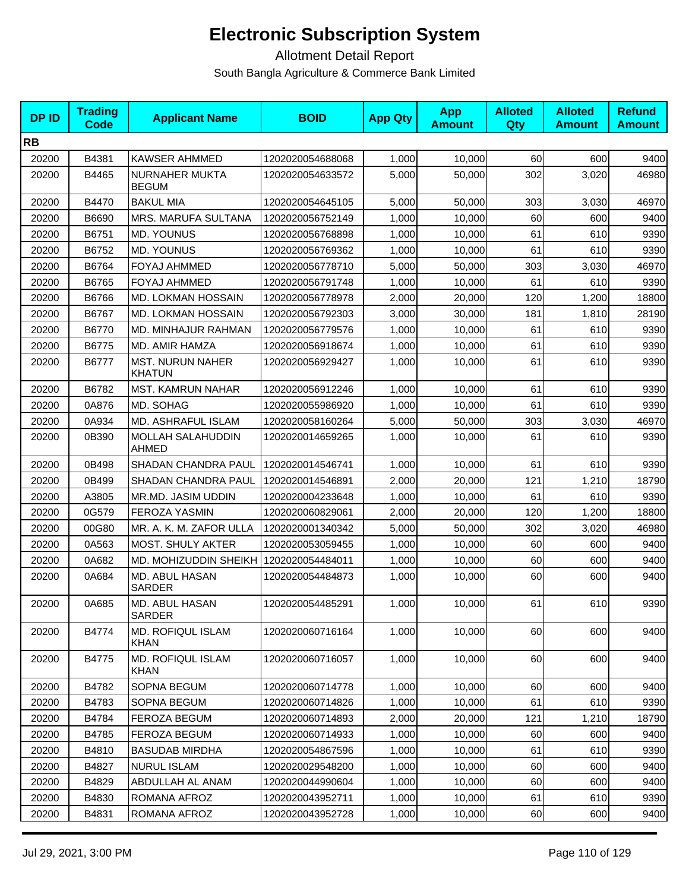| <b>DPID</b> | <b>Trading</b><br>Code | <b>Applicant Name</b>                    | <b>BOID</b>      | <b>App Qty</b> | <b>App</b><br><b>Amount</b> | <b>Alloted</b><br>Qty | <b>Alloted</b><br><b>Amount</b> | <b>Refund</b><br><b>Amount</b> |
|-------------|------------------------|------------------------------------------|------------------|----------------|-----------------------------|-----------------------|---------------------------------|--------------------------------|
| <b>RB</b>   |                        |                                          |                  |                |                             |                       |                                 |                                |
| 20200       | B4381                  | <b>KAWSER AHMMED</b>                     | 1202020054688068 | 1,000          | 10,000                      | 60                    | 600                             | 9400                           |
| 20200       | B4465                  | NURNAHER MUKTA<br><b>BEGUM</b>           | 1202020054633572 | 5,000          | 50,000                      | 302                   | 3,020                           | 46980                          |
| 20200       | B4470                  | <b>BAKUL MIA</b>                         | 1202020054645105 | 5,000          | 50,000                      | 303                   | 3,030                           | 46970                          |
| 20200       | B6690                  | MRS. MARUFA SULTANA                      | 1202020056752149 | 1,000          | 10,000                      | 60                    | 600                             | 9400                           |
| 20200       | B6751                  | MD. YOUNUS                               | 1202020056768898 | 1,000          | 10,000                      | 61                    | 610                             | 9390                           |
| 20200       | B6752                  | <b>MD. YOUNUS</b>                        | 1202020056769362 | 1,000          | 10,000                      | 61                    | 610                             | 9390                           |
| 20200       | B6764                  | <b>FOYAJ AHMMED</b>                      | 1202020056778710 | 5,000          | 50,000                      | 303                   | 3,030                           | 46970                          |
| 20200       | B6765                  | FOYAJ AHMMED                             | 1202020056791748 | 1,000          | 10,000                      | 61                    | 610                             | 9390                           |
| 20200       | B6766                  | <b>MD. LOKMAN HOSSAIN</b>                | 1202020056778978 | 2,000          | 20,000                      | 120                   | 1,200                           | 18800                          |
| 20200       | B6767                  | MD. LOKMAN HOSSAIN                       | 1202020056792303 | 3,000          | 30,000                      | 181                   | 1,810                           | 28190                          |
| 20200       | B6770                  | MD. MINHAJUR RAHMAN                      | 1202020056779576 | 1,000          | 10,000                      | 61                    | 610                             | 9390                           |
| 20200       | B6775                  | MD. AMIR HAMZA                           | 1202020056918674 | 1,000          | 10,000                      | 61                    | 610                             | 9390                           |
| 20200       | B6777                  | <b>MST. NURUN NAHER</b><br><b>KHATUN</b> | 1202020056929427 | 1,000          | 10,000                      | 61                    | 610                             | 9390                           |
| 20200       | B6782                  | <b>MST. KAMRUN NAHAR</b>                 | 1202020056912246 | 1,000          | 10,000                      | 61                    | 610                             | 9390                           |
| 20200       | 0A876                  | MD. SOHAG                                | 1202020055986920 | 1,000          | 10,000                      | 61                    | 610                             | 9390                           |
| 20200       | 0A934                  | MD. ASHRAFUL ISLAM                       | 1202020058160264 | 5,000          | 50,000                      | 303                   | 3,030                           | 46970                          |
| 20200       | 0B390                  | MOLLAH SALAHUDDIN<br><b>AHMED</b>        | 1202020014659265 | 1,000          | 10,000                      | 61                    | 610                             | 9390                           |
| 20200       | 0B498                  | SHADAN CHANDRA PAUL                      | 1202020014546741 | 1,000          | 10,000                      | 61                    | 610                             | 9390                           |
| 20200       | 0B499                  | SHADAN CHANDRA PAUL                      | 1202020014546891 | 2,000          | 20,000                      | 121                   | 1,210                           | 18790                          |
| 20200       | A3805                  | MR.MD. JASIM UDDIN                       | 1202020004233648 | 1,000          | 10,000                      | 61                    | 610                             | 9390                           |
| 20200       | 0G579                  | <b>FEROZA YASMIN</b>                     | 1202020060829061 | 2,000          | 20,000                      | 120                   | 1,200                           | 18800                          |
| 20200       | 00G80                  | MR. A. K. M. ZAFOR ULLA                  | 1202020001340342 | 5,000          | 50,000                      | 302                   | 3,020                           | 46980                          |
| 20200       | 0A563                  | MOST. SHULY AKTER                        | 1202020053059455 | 1,000          | 10,000                      | 60                    | 600                             | 9400                           |
| 20200       | 0A682                  | MD. MOHIZUDDIN SHEIKH                    | 1202020054484011 | 1,000          | 10,000                      | 60                    | 600                             | 9400                           |
| 20200       | 0A684                  | MD. ABUL HASAN<br>SARDER                 | 1202020054484873 | 1,000          | 10,000                      | 60                    | 600                             | 9400                           |
| 20200       | 0A685                  | MD. ABUL HASAN<br><b>SARDER</b>          | 1202020054485291 | 1,000          | 10,000                      | 61                    | 610                             | 9390                           |
| 20200       | B4774                  | <b>MD. ROFIQUL ISLAM</b><br><b>KHAN</b>  | 1202020060716164 | 1,000          | 10,000                      | 60                    | 600                             | 9400                           |
| 20200       | B4775                  | MD. ROFIQUL ISLAM<br><b>KHAN</b>         | 1202020060716057 | 1,000          | 10,000                      | 60                    | 600                             | 9400                           |
| 20200       | B4782                  | SOPNA BEGUM                              | 1202020060714778 | 1,000          | 10,000                      | 60                    | 600                             | 9400                           |
| 20200       | B4783                  | SOPNA BEGUM                              | 1202020060714826 | 1,000          | 10,000                      | 61                    | 610                             | 9390                           |
| 20200       | B4784                  | <b>FEROZA BEGUM</b>                      | 1202020060714893 | 2,000          | 20,000                      | 121                   | 1,210                           | 18790                          |
| 20200       | B4785                  | <b>FEROZA BEGUM</b>                      | 1202020060714933 | 1,000          | 10,000                      | 60                    | 600                             | 9400                           |
| 20200       | B4810                  | <b>BASUDAB MIRDHA</b>                    | 1202020054867596 | 1,000          | 10,000                      | 61                    | 610                             | 9390                           |
| 20200       | B4827                  | <b>NURUL ISLAM</b>                       | 1202020029548200 | 1,000          | 10,000                      | 60                    | 600                             | 9400                           |
| 20200       | B4829                  | ABDULLAH AL ANAM                         | 1202020044990604 | 1,000          | 10,000                      | 60                    | 600                             | 9400                           |
| 20200       | B4830                  | ROMANA AFROZ                             | 1202020043952711 | 1,000          | 10,000                      | 61                    | 610                             | 9390                           |
| 20200       | B4831                  | ROMANA AFROZ                             | 1202020043952728 | 1,000          | 10,000                      | 60                    | 600                             | 9400                           |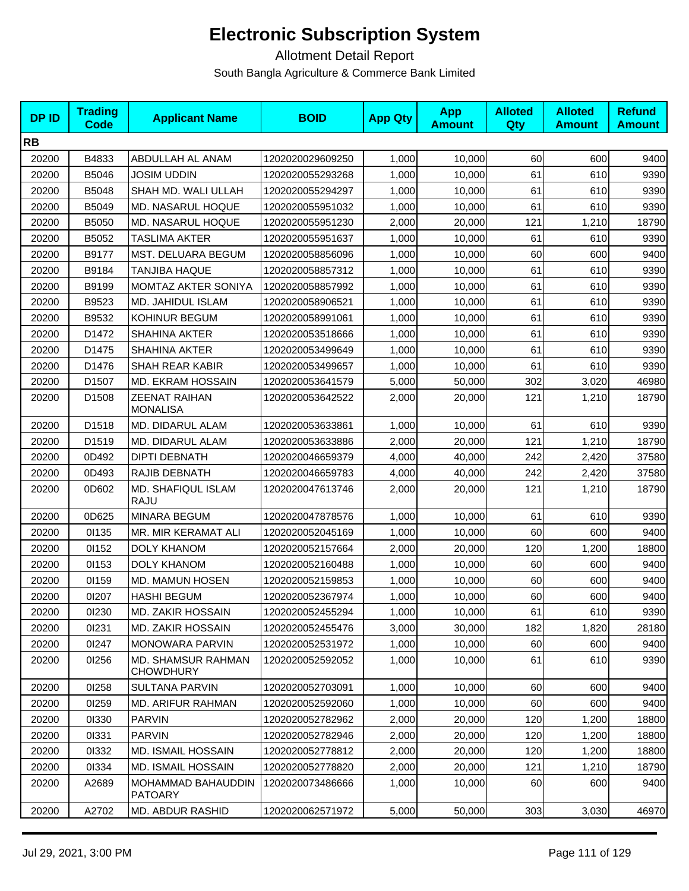| <b>DPID</b> | <b>Trading</b><br><b>Code</b> | <b>Applicant Name</b>                   | <b>BOID</b>      | <b>App Qty</b> | <b>App</b><br><b>Amount</b> | <b>Alloted</b><br>Qty | <b>Alloted</b><br><b>Amount</b> | <b>Refund</b><br><b>Amount</b> |
|-------------|-------------------------------|-----------------------------------------|------------------|----------------|-----------------------------|-----------------------|---------------------------------|--------------------------------|
| <b>RB</b>   |                               |                                         |                  |                |                             |                       |                                 |                                |
| 20200       | B4833                         | ABDULLAH AL ANAM                        | 1202020029609250 | 1,000          | 10,000                      | 60                    | 600                             | 9400                           |
| 20200       | B5046                         | <b>JOSIM UDDIN</b>                      | 1202020055293268 | 1,000          | 10,000                      | 61                    | 610                             | 9390                           |
| 20200       | B5048                         | SHAH MD. WALI ULLAH                     | 1202020055294297 | 1,000          | 10,000                      | 61                    | 610                             | 9390                           |
| 20200       | B5049                         | MD. NASARUL HOQUE                       | 1202020055951032 | 1,000          | 10,000                      | 61                    | 610                             | 9390                           |
| 20200       | B5050                         | MD. NASARUL HOQUE                       | 1202020055951230 | 2,000          | 20,000                      | 121                   | 1,210                           | 18790                          |
| 20200       | B5052                         | <b>TASLIMA AKTER</b>                    | 1202020055951637 | 1,000          | 10,000                      | 61                    | 610                             | 9390                           |
| 20200       | B9177                         | MST. DELUARA BEGUM                      | 1202020058856096 | 1,000          | 10,000                      | 60                    | 600                             | 9400                           |
| 20200       | B9184                         | <b>TANJIBA HAQUE</b>                    | 1202020058857312 | 1,000          | 10,000                      | 61                    | 610                             | 9390                           |
| 20200       | B9199                         | MOMTAZ AKTER SONIYA                     | 1202020058857992 | 1,000          | 10,000                      | 61                    | 610                             | 9390                           |
| 20200       | B9523                         | MD. JAHIDUL ISLAM                       | 1202020058906521 | 1,000          | 10,000                      | 61                    | 610                             | 9390                           |
| 20200       | B9532                         | KOHINUR BEGUM                           | 1202020058991061 | 1,000          | 10,000                      | 61                    | 610                             | 9390                           |
| 20200       | D1472                         | SHAHINA AKTER                           | 1202020053518666 | 1,000          | 10,000                      | 61                    | 610                             | 9390                           |
| 20200       | D1475                         | SHAHINA AKTER                           | 1202020053499649 | 1,000          | 10,000                      | 61                    | 610                             | 9390                           |
| 20200       | D1476                         | SHAH REAR KABIR                         | 1202020053499657 | 1,000          | 10,000                      | 61                    | 610                             | 9390                           |
| 20200       | D1507                         | MD. EKRAM HOSSAIN                       | 1202020053641579 | 5,000          | 50,000                      | 302                   | 3,020                           | 46980                          |
| 20200       | D1508                         | <b>ZEENAT RAIHAN</b><br><b>MONALISA</b> | 1202020053642522 | 2,000          | 20,000                      | 121                   | 1,210                           | 18790                          |
| 20200       | D1518                         | MD. DIDARUL ALAM                        | 1202020053633861 | 1,000          | 10,000                      | 61                    | 610                             | 9390                           |
| 20200       | D1519                         | MD. DIDARUL ALAM                        | 1202020053633886 | 2,000          | 20,000                      | 121                   | 1,210                           | 18790                          |
| 20200       | 0D492                         | <b>DIPTI DEBNATH</b>                    | 1202020046659379 | 4,000          | 40,000                      | 242                   | 2,420                           | 37580                          |
| 20200       | 0D493                         | RAJIB DEBNATH                           | 1202020046659783 | 4,000          | 40,000                      | 242                   | 2,420                           | 37580                          |
| 20200       | 0D602                         | MD. SHAFIQUL ISLAM<br>RAJU              | 1202020047613746 | 2,000          | 20,000                      | 121                   | 1,210                           | 18790                          |
| 20200       | 0D625                         | MINARA BEGUM                            | 1202020047878576 | 1,000          | 10,000                      | 61                    | 610                             | 9390                           |
| 20200       | 01135                         | MR. MIR KERAMAT ALI                     | 1202020052045169 | 1,000          | 10,000                      | 60                    | 600                             | 9400                           |
| 20200       | 01152                         | <b>DOLY KHANOM</b>                      | 1202020052157664 | 2,000          | 20,000                      | 120                   | 1,200                           | 18800                          |
| 20200       | 01153                         | <b>DOLY KHANOM</b>                      | 1202020052160488 | 1,000          | 10,000                      | 60                    | 600                             | 9400                           |
| 20200       | 01159                         | MD. MAMUN HOSEN                         | 1202020052159853 | 1,000          | 10,000                      | 60                    | 600                             | 9400                           |
| 20200       | 01207                         | <b>HASHI BEGUM</b>                      | 1202020052367974 | 1,000          | 10,000                      | 60                    | 600                             | 9400                           |
| 20200       | 01230                         | MD. ZAKIR HOSSAIN                       | 1202020052455294 | 1,000          | 10,000                      | 61                    | 610                             | 9390                           |
| 20200       | 01231                         | <b>MD. ZAKIR HOSSAIN</b>                | 1202020052455476 | 3,000          | 30,000                      | 182                   | 1,820                           | 28180                          |
| 20200       | 01247                         | <b>MONOWARA PARVIN</b>                  | 1202020052531972 | 1,000          | 10,000                      | 60                    | 600                             | 9400                           |
| 20200       | 01256                         | MD. SHAMSUR RAHMAN<br><b>CHOWDHURY</b>  | 1202020052592052 | 1,000          | 10,000                      | 61                    | 610                             | 9390                           |
| 20200       | 01258                         | SULTANA PARVIN                          | 1202020052703091 | 1,000          | 10,000                      | 60                    | 600                             | 9400                           |
| 20200       | 01259                         | <b>MD. ARIFUR RAHMAN</b>                | 1202020052592060 | 1,000          | 10,000                      | 60                    | 600                             | 9400                           |
| 20200       | 01330                         | <b>PARVIN</b>                           | 1202020052782962 | 2,000          | 20,000                      | 120                   | 1,200                           | 18800                          |
| 20200       | 01331                         | <b>PARVIN</b>                           | 1202020052782946 | 2,000          | 20,000                      | 120                   | 1,200                           | 18800                          |
| 20200       | 01332                         | <b>MD. ISMAIL HOSSAIN</b>               | 1202020052778812 | 2,000          | 20,000                      | 120                   | 1,200                           | 18800                          |
| 20200       | 01334                         | <b>MD. ISMAIL HOSSAIN</b>               | 1202020052778820 | 2,000          | 20,000                      | 121                   | 1,210                           | 18790                          |
| 20200       | A2689                         | MOHAMMAD BAHAUDDIN<br><b>PATOARY</b>    | 1202020073486666 | 1,000          | 10,000                      | 60                    | 600                             | 9400                           |
| 20200       | A2702                         | MD. ABDUR RASHID                        | 1202020062571972 | 5,000          | 50,000                      | 303                   | 3,030                           | 46970                          |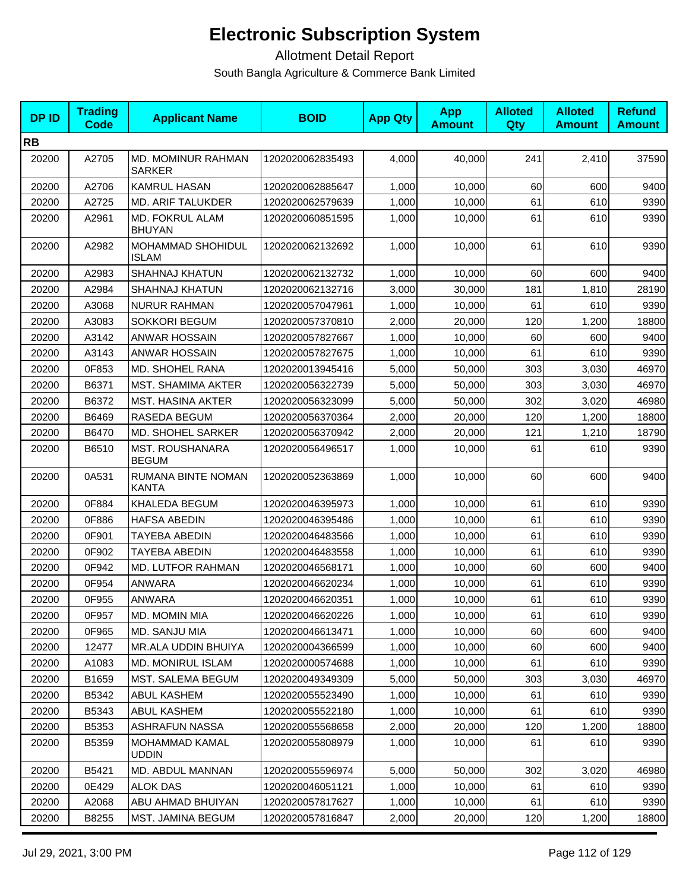| <b>DPID</b> | <b>Trading</b><br>Code | <b>Applicant Name</b>                  | <b>BOID</b>      | <b>App Qty</b> | <b>App</b><br><b>Amount</b> | <b>Alloted</b><br><b>Qty</b> | <b>Alloted</b><br><b>Amount</b> | <b>Refund</b><br><b>Amount</b> |
|-------------|------------------------|----------------------------------------|------------------|----------------|-----------------------------|------------------------------|---------------------------------|--------------------------------|
| <b>RB</b>   |                        |                                        |                  |                |                             |                              |                                 |                                |
| 20200       | A2705                  | MD. MOMINUR RAHMAN<br><b>SARKER</b>    | 1202020062835493 | 4,000          | 40,000                      | 241                          | 2,410                           | 37590                          |
| 20200       | A2706                  | <b>KAMRUL HASAN</b>                    | 1202020062885647 | 1,000          | 10,000                      | 60                           | 600                             | 9400                           |
| 20200       | A2725                  | MD. ARIF TALUKDER                      | 1202020062579639 | 1,000          | 10,000                      | 61                           | 610                             | 9390                           |
| 20200       | A2961                  | MD. FOKRUL ALAM<br><b>BHUYAN</b>       | 1202020060851595 | 1,000          | 10,000                      | 61                           | 610                             | 9390                           |
| 20200       | A2982                  | MOHAMMAD SHOHIDUL<br><b>ISLAM</b>      | 1202020062132692 | 1,000          | 10,000                      | 61                           | 610                             | 9390                           |
| 20200       | A2983                  | <b>SHAHNAJ KHATUN</b>                  | 1202020062132732 | 1,000          | 10,000                      | 60                           | 600                             | 9400                           |
| 20200       | A2984                  | <b>SHAHNAJ KHATUN</b>                  | 1202020062132716 | 3,000          | 30,000                      | 181                          | 1,810                           | 28190                          |
| 20200       | A3068                  | <b>NURUR RAHMAN</b>                    | 1202020057047961 | 1,000          | 10,000                      | 61                           | 610                             | 9390                           |
| 20200       | A3083                  | <b>SOKKORI BEGUM</b>                   | 1202020057370810 | 2,000          | 20,000                      | 120                          | 1,200                           | 18800                          |
| 20200       | A3142                  | <b>ANWAR HOSSAIN</b>                   | 1202020057827667 | 1,000          | 10,000                      | 60                           | 600                             | 9400                           |
| 20200       | A3143                  | <b>ANWAR HOSSAIN</b>                   | 1202020057827675 | 1,000          | 10,000                      | 61                           | 610                             | 9390                           |
| 20200       | 0F853                  | MD. SHOHEL RANA                        | 1202020013945416 | 5,000          | 50,000                      | 303                          | 3,030                           | 46970                          |
| 20200       | B6371                  | <b>MST. SHAMIMA AKTER</b>              | 1202020056322739 | 5,000          | 50,000                      | 303                          | 3,030                           | 46970                          |
| 20200       | B6372                  | <b>MST. HASINA AKTER</b>               | 1202020056323099 | 5,000          | 50,000                      | 302                          | 3,020                           | 46980                          |
| 20200       | B6469                  | RASEDA BEGUM                           | 1202020056370364 | 2,000          | 20,000                      | 120                          | 1,200                           | 18800                          |
| 20200       | B6470                  | MD. SHOHEL SARKER                      | 1202020056370942 | 2,000          | 20,000                      | 121                          | 1,210                           | 18790                          |
| 20200       | B6510                  | <b>MST. ROUSHANARA</b><br><b>BEGUM</b> | 1202020056496517 | 1,000          | 10,000                      | 61                           | 610                             | 9390                           |
| 20200       | 0A531                  | RUMANA BINTE NOMAN<br><b>KANTA</b>     | 1202020052363869 | 1,000          | 10,000                      | 60                           | 600                             | 9400                           |
| 20200       | 0F884                  | KHALEDA BEGUM                          | 1202020046395973 | 1,000          | 10,000                      | 61                           | 610                             | 9390                           |
| 20200       | 0F886                  | <b>HAFSA ABEDIN</b>                    | 1202020046395486 | 1,000          | 10,000                      | 61                           | 610                             | 9390                           |
| 20200       | 0F901                  | TAYEBA ABEDIN                          | 1202020046483566 | 1,000          | 10,000                      | 61                           | 610                             | 9390                           |
| 20200       | 0F902                  | TAYEBA ABEDIN                          | 1202020046483558 | 1,000          | 10,000                      | 61                           | 610                             | 9390                           |
| 20200       | 0F942                  | MD. LUTFOR RAHMAN                      | 1202020046568171 | 1,000          | 10,000                      | 60                           | 600                             | 9400                           |
| 20200       | 0F954                  | ANWARA                                 | 1202020046620234 | 1,000          | 10,000                      | 61                           | 610                             | 9390                           |
| 20200       | 0F955                  | <b>ANWARA</b>                          | 1202020046620351 | 1,000          | 10,000                      | 61                           | 610                             | 9390                           |
| 20200       | 0F957                  | <b>MD. MOMIN MIA</b>                   | 1202020046620226 | 1,000          | 10,000                      | 61                           | 610                             | 9390                           |
| 20200       | 0F965                  | MD. SANJU MIA                          | 1202020046613471 | 1,000          | 10,000                      | 60                           | 600                             | 9400                           |
| 20200       | 12477                  | MR.ALA UDDIN BHUIYA                    | 1202020004366599 | 1,000          | 10,000                      | 60                           | 600                             | 9400                           |
| 20200       | A1083                  | <b>MD. MONIRUL ISLAM</b>               | 1202020000574688 | 1,000          | 10,000                      | 61                           | 610                             | 9390                           |
| 20200       | B1659                  | MST. SALEMA BEGUM                      | 1202020049349309 | 5,000          | 50,000                      | 303                          | 3,030                           | 46970                          |
| 20200       | B5342                  | ABUL KASHEM                            | 1202020055523490 | 1,000          | 10,000                      | 61                           | 610                             | 9390                           |
| 20200       | B5343                  | ABUL KASHEM                            | 1202020055522180 | 1,000          | 10,000                      | 61                           | 610                             | 9390                           |
| 20200       | B5353                  | <b>ASHRAFUN NASSA</b>                  | 1202020055568658 | 2,000          | 20,000                      | 120                          | 1,200                           | 18800                          |
| 20200       | B5359                  | <b>MOHAMMAD KAMAL</b><br><b>UDDIN</b>  | 1202020055808979 | 1,000          | 10,000                      | 61                           | 610                             | 9390                           |
| 20200       | B5421                  | MD. ABDUL MANNAN                       | 1202020055596974 | 5,000          | 50,000                      | 302                          | 3,020                           | 46980                          |
| 20200       | 0E429                  | <b>ALOK DAS</b>                        | 1202020046051121 | 1,000          | 10,000                      | 61                           | 610                             | 9390                           |
| 20200       | A2068                  | ABU AHMAD BHUIYAN                      | 1202020057817627 | 1,000          | 10,000                      | 61                           | 610                             | 9390                           |
| 20200       | B8255                  | MST. JAMINA BEGUM                      | 1202020057816847 | 2,000          | 20,000                      | 120                          | 1,200                           | 18800                          |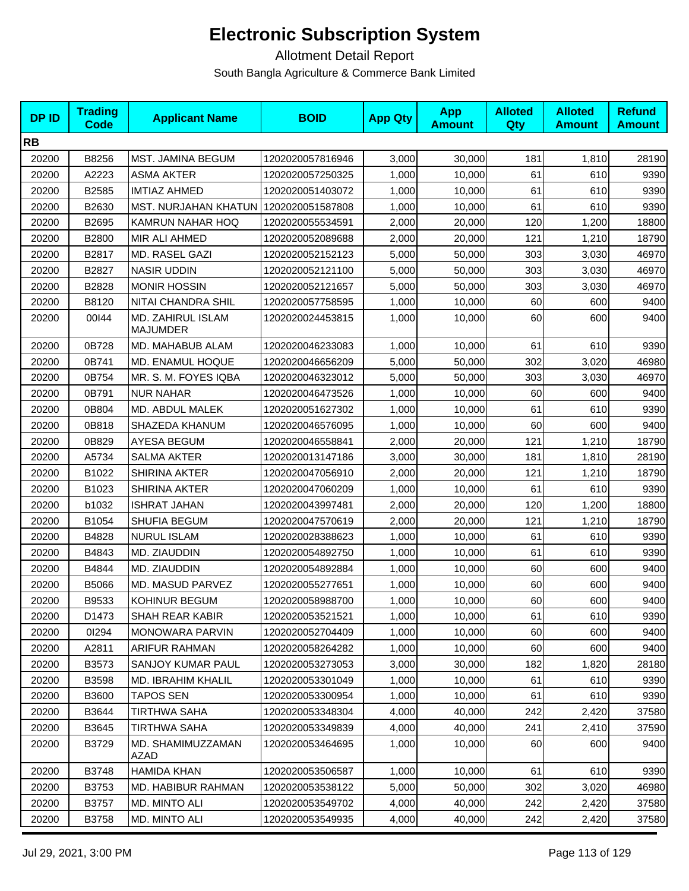| <b>DPID</b> | <b>Trading</b><br>Code | <b>Applicant Name</b>                | <b>BOID</b>      | <b>App Qty</b> | <b>App</b><br><b>Amount</b> | <b>Alloted</b><br><b>Qty</b> | <b>Alloted</b><br><b>Amount</b> | <b>Refund</b><br><b>Amount</b> |
|-------------|------------------------|--------------------------------------|------------------|----------------|-----------------------------|------------------------------|---------------------------------|--------------------------------|
| <b>RB</b>   |                        |                                      |                  |                |                             |                              |                                 |                                |
| 20200       | B8256                  | <b>MST. JAMINA BEGUM</b>             | 1202020057816946 | 3,000          | 30,000                      | 181                          | 1,810                           | 28190                          |
| 20200       | A2223                  | <b>ASMA AKTER</b>                    | 1202020057250325 | 1,000          | 10,000                      | 61                           | 610                             | 9390                           |
| 20200       | B2585                  | <b>IMTIAZ AHMED</b>                  | 1202020051403072 | 1,000          | 10,000                      | 61                           | 610                             | 9390                           |
| 20200       | B2630                  | <b>MST. NURJAHAN KHATUN</b>          | 1202020051587808 | 1,000          | 10,000                      | 61                           | 610                             | 9390                           |
| 20200       | B2695                  | KAMRUN NAHAR HOQ                     | 1202020055534591 | 2,000          | 20,000                      | 120                          | 1,200                           | 18800                          |
| 20200       | B2800                  | MIR ALI AHMED                        | 1202020052089688 | 2,000          | 20,000                      | 121                          | 1,210                           | 18790                          |
| 20200       | B2817                  | MD. RASEL GAZI                       | 1202020052152123 | 5,000          | 50,000                      | 303                          | 3,030                           | 46970                          |
| 20200       | B2827                  | <b>NASIR UDDIN</b>                   | 1202020052121100 | 5,000          | 50,000                      | 303                          | 3,030                           | 46970                          |
| 20200       | B2828                  | <b>MONIR HOSSIN</b>                  | 1202020052121657 | 5,000          | 50,000                      | 303                          | 3,030                           | 46970                          |
| 20200       | B8120                  | NITAI CHANDRA SHIL                   | 1202020057758595 | 1,000          | 10,000                      | 60                           | 600                             | 9400                           |
| 20200       | 00144                  | MD. ZAHIRUL ISLAM<br><b>MAJUMDER</b> | 1202020024453815 | 1,000          | 10,000                      | 60                           | 600                             | 9400                           |
| 20200       | 0B728                  | MD. MAHABUB ALAM                     | 1202020046233083 | 1,000          | 10,000                      | 61                           | 610                             | 9390                           |
| 20200       | 0B741                  | MD. ENAMUL HOQUE                     | 1202020046656209 | 5,000          | 50,000                      | 302                          | 3,020                           | 46980                          |
| 20200       | 0B754                  | MR. S. M. FOYES IQBA                 | 1202020046323012 | 5,000          | 50,000                      | 303                          | 3,030                           | 46970                          |
| 20200       | 0B791                  | <b>NUR NAHAR</b>                     | 1202020046473526 | 1,000          | 10,000                      | 60                           | 600                             | 9400                           |
| 20200       | 0B804                  | MD. ABDUL MALEK                      | 1202020051627302 | 1,000          | 10,000                      | 61                           | 610                             | 9390                           |
| 20200       | 0B818                  | SHAZEDA KHANUM                       | 1202020046576095 | 1,000          | 10,000                      | 60                           | 600                             | 9400                           |
| 20200       | 0B829                  | AYESA BEGUM                          | 1202020046558841 | 2,000          | 20,000                      | 121                          | 1,210                           | 18790                          |
| 20200       | A5734                  | <b>SALMA AKTER</b>                   | 1202020013147186 | 3,000          | 30,000                      | 181                          | 1,810                           | 28190                          |
| 20200       | B1022                  | <b>SHIRINA AKTER</b>                 | 1202020047056910 | 2,000          | 20,000                      | 121                          | 1,210                           | 18790                          |
| 20200       | B1023                  | SHIRINA AKTER                        | 1202020047060209 | 1,000          | 10,000                      | 61                           | 610                             | 9390                           |
| 20200       | b1032                  | <b>ISHRAT JAHAN</b>                  | 1202020043997481 | 2,000          | 20,000                      | 120                          | 1,200                           | 18800                          |
| 20200       | B1054                  | SHUFIA BEGUM                         | 1202020047570619 | 2,000          | 20,000                      | 121                          | 1,210                           | 18790                          |
| 20200       | B4828                  | <b>NURUL ISLAM</b>                   | 1202020028388623 | 1,000          | 10,000                      | 61                           | 610                             | 9390                           |
| 20200       | B4843                  | MD. ZIAUDDIN                         | 1202020054892750 | 1,000          | 10,000                      | 61                           | 610                             | 9390                           |
| 20200       | B4844                  | MD. ZIAUDDIN                         | 1202020054892884 | 1,000          | 10,000                      | 60                           | 600                             | 9400                           |
| 20200       | B5066                  | MD. MASUD PARVEZ                     | 1202020055277651 | 1,000          | 10,000                      | 60                           | 600                             | 9400                           |
| 20200       | B9533                  | KOHINUR BEGUM                        | 1202020058988700 | 1,000          | 10,000                      | 60                           | 600                             | 9400                           |
| 20200       | D1473                  | SHAH REAR KABIR                      | 1202020053521521 | 1,000          | 10,000                      | 61                           | 610                             | 9390                           |
| 20200       | 01294                  | <b>MONOWARA PARVIN</b>               | 1202020052704409 | 1,000          | 10,000                      | 60                           | 600                             | 9400                           |
| 20200       | A2811                  | ARIFUR RAHMAN                        | 1202020058264282 | 1,000          | 10,000                      | 60                           | 600                             | 9400                           |
| 20200       | B3573                  | <b>SANJOY KUMAR PAUL</b>             | 1202020053273053 | 3,000          | 30,000                      | 182                          | 1,820                           | 28180                          |
| 20200       | B3598                  | MD. IBRAHIM KHALIL                   | 1202020053301049 | 1,000          | 10,000                      | 61                           | 610                             | 9390                           |
| 20200       | B3600                  | <b>TAPOS SEN</b>                     | 1202020053300954 | 1,000          | 10,000                      | 61                           | 610                             | 9390                           |
| 20200       | B3644                  | <b>TIRTHWA SAHA</b>                  | 1202020053348304 | 4,000          | 40,000                      | 242                          | 2,420                           | 37580                          |
| 20200       | B3645                  | <b>TIRTHWA SAHA</b>                  | 1202020053349839 | 4,000          | 40,000                      | 241                          | 2,410                           | 37590                          |
| 20200       | B3729                  | MD. SHAMIMUZZAMAN<br>AZAD            | 1202020053464695 | 1,000          | 10,000                      | 60                           | 600                             | 9400                           |
| 20200       | B3748                  | <b>HAMIDA KHAN</b>                   | 1202020053506587 | 1,000          | 10,000                      | 61                           | 610                             | 9390                           |
| 20200       | B3753                  | MD. HABIBUR RAHMAN                   | 1202020053538122 | 5,000          | 50,000                      | 302                          | 3,020                           | 46980                          |
| 20200       | B3757                  | <b>MD. MINTO ALI</b>                 | 1202020053549702 | 4,000          | 40,000                      | 242                          | 2,420                           | 37580                          |
| 20200       | B3758                  | MD. MINTO ALI                        | 1202020053549935 | 4,000          | 40,000                      | 242                          | 2,420                           | 37580                          |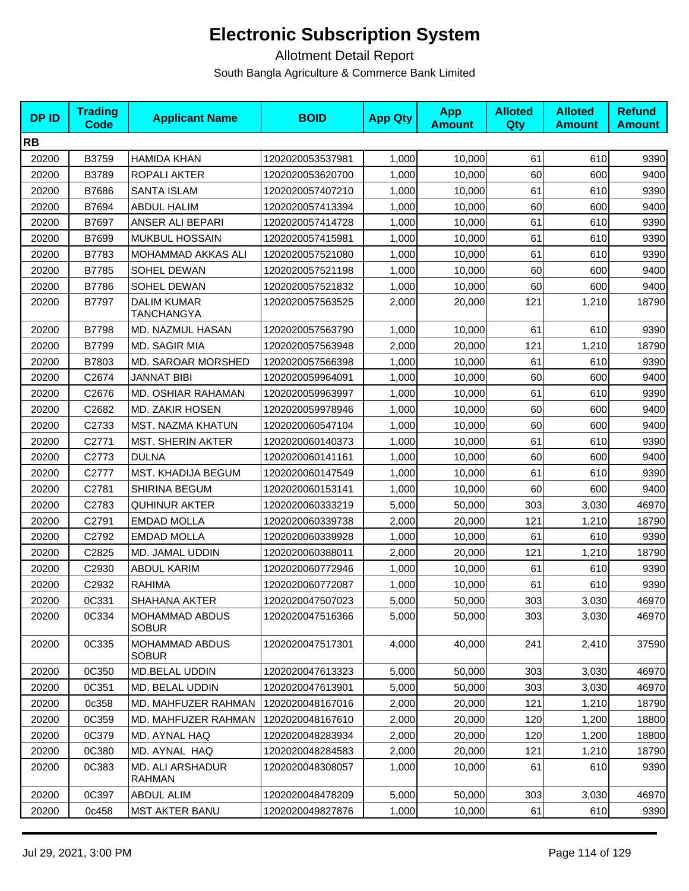| <b>DPID</b> | <b>Trading</b><br><b>Code</b> | <b>Applicant Name</b>                   | <b>BOID</b>      | <b>App Qty</b> | <b>App</b><br><b>Amount</b> | <b>Alloted</b><br>Qty | <b>Alloted</b><br><b>Amount</b> | <b>Refund</b><br><b>Amount</b> |
|-------------|-------------------------------|-----------------------------------------|------------------|----------------|-----------------------------|-----------------------|---------------------------------|--------------------------------|
| <b>RB</b>   |                               |                                         |                  |                |                             |                       |                                 |                                |
| 20200       | B3759                         | <b>HAMIDA KHAN</b>                      | 1202020053537981 | 1,000          | 10,000                      | 61                    | 610                             | 9390                           |
| 20200       | B3789                         | ROPALI AKTER                            | 1202020053620700 | 1,000          | 10,000                      | 60                    | 600                             | 9400                           |
| 20200       | B7686                         | <b>SANTA ISLAM</b>                      | 1202020057407210 | 1,000          | 10,000                      | 61                    | 610                             | 9390                           |
| 20200       | B7694                         | <b>ABDUL HALIM</b>                      | 1202020057413394 | 1,000          | 10,000                      | 60                    | 600                             | 9400                           |
| 20200       | B7697                         | ANSER ALI BEPARI                        | 1202020057414728 | 1,000          | 10,000                      | 61                    | 610                             | 9390                           |
| 20200       | B7699                         | MUKBUL HOSSAIN                          | 1202020057415981 | 1,000          | 10,000                      | 61                    | 610                             | 9390                           |
| 20200       | B7783                         | MOHAMMAD AKKAS ALI                      | 1202020057521080 | 1,000          | 10,000                      | 61                    | 610                             | 9390                           |
| 20200       | B7785                         | SOHEL DEWAN                             | 1202020057521198 | 1,000          | 10,000                      | 60                    | 600                             | 9400                           |
| 20200       | B7786                         | SOHEL DEWAN                             | 1202020057521832 | 1,000          | 10,000                      | 60                    | 600                             | 9400                           |
| 20200       | B7797                         | <b>DALIM KUMAR</b><br><b>TANCHANGYA</b> | 1202020057563525 | 2,000          | 20,000                      | 121                   | 1,210                           | 18790                          |
| 20200       | B7798                         | MD. NAZMUL HASAN                        | 1202020057563790 | 1,000          | 10,000                      | 61                    | 610                             | 9390                           |
| 20200       | B7799                         | MD. SAGIR MIA                           | 1202020057563948 | 2,000          | 20,000                      | 121                   | 1,210                           | 18790                          |
| 20200       | B7803                         | MD. SAROAR MORSHED                      | 1202020057566398 | 1,000          | 10,000                      | 61                    | 610                             | 9390                           |
| 20200       | C2674                         | <b>JANNAT BIBI</b>                      | 1202020059964091 | 1,000          | 10,000                      | 60                    | 600                             | 9400                           |
| 20200       | C2676                         | MD. OSHIAR RAHAMAN                      | 1202020059963997 | 1,000          | 10,000                      | 61                    | 610                             | 9390                           |
| 20200       | C2682                         | <b>MD. ZAKIR HOSEN</b>                  | 1202020059978946 | 1,000          | 10,000                      | 60                    | 600                             | 9400                           |
| 20200       | C2733                         | MST. NAZMA KHATUN                       | 1202020060547104 | 1,000          | 10,000                      | 60                    | 600                             | 9400                           |
| 20200       | C2771                         | <b>MST. SHERIN AKTER</b>                | 1202020060140373 | 1,000          | 10,000                      | 61                    | 610                             | 9390                           |
| 20200       | C2773                         | <b>DULNA</b>                            | 1202020060141161 | 1,000          | 10,000                      | 60                    | 600                             | 9400                           |
| 20200       | C2777                         | MST. KHADIJA BEGUM                      | 1202020060147549 | 1,000          | 10,000                      | 61                    | 610                             | 9390                           |
| 20200       | C2781                         | SHIRINA BEGUM                           | 1202020060153141 | 1,000          | 10,000                      | 60                    | 600                             | 9400                           |
| 20200       | C2783                         | <b>QUHINUR AKTER</b>                    | 1202020060333219 | 5,000          | 50,000                      | 303                   | 3,030                           | 46970                          |
| 20200       | C2791                         | <b>EMDAD MOLLA</b>                      | 1202020060339738 | 2,000          | 20,000                      | 121                   | 1,210                           | 18790                          |
| 20200       | C2792                         | <b>EMDAD MOLLA</b>                      | 1202020060339928 | 1,000          | 10,000                      | 61                    | 610                             | 9390                           |
| 20200       | C2825                         | MD. JAMAL UDDIN                         | 1202020060388011 | 2,000          | 20,000                      | 121                   | 1,210                           | 18790                          |
| 20200       | C2930                         | <b>ABDUL KARIM</b>                      | 1202020060772946 | 1,000          | 10,000                      | 61                    | 610                             | 9390                           |
| 20200       | C2932                         | <b>RAHIMA</b>                           | 1202020060772087 | 1,000          | 10,000                      | 61                    | 610                             | 9390                           |
| 20200       | 0C331                         | <b>SHAHANA AKTER</b>                    | 1202020047507023 | 5,000          | 50,000                      | 303                   | 3,030                           | 46970                          |
| 20200       | 0C334                         | <b>MOHAMMAD ABDUS</b><br><b>SOBUR</b>   | 1202020047516366 | 5,000          | 50,000                      | 303                   | 3,030                           | 46970                          |
| 20200       | 0C335                         | <b>MOHAMMAD ABDUS</b><br><b>SOBUR</b>   | 1202020047517301 | 4,000          | 40,000                      | 241                   | 2,410                           | 37590                          |
| 20200       | 0C350                         | MD.BELAL UDDIN                          | 1202020047613323 | 5,000          | 50,000                      | 303                   | 3,030                           | 46970                          |
| 20200       | 0C351                         | MD. BELAL UDDIN                         | 1202020047613901 | 5,000          | 50,000                      | 303                   | 3,030                           | 46970                          |
| 20200       | 0c358                         | MD. MAHFUZER RAHMAN                     | 1202020048167016 | 2,000          | 20,000                      | 121                   | 1,210                           | 18790                          |
| 20200       | 0C359                         | MD. MAHFUZER RAHMAN                     | 1202020048167610 | 2,000          | 20,000                      | 120                   | 1,200                           | 18800                          |
| 20200       | 0C379                         | MD. AYNAL HAQ                           | 1202020048283934 | 2,000          | 20,000                      | 120                   | 1,200                           | 18800                          |
| 20200       | 0C380                         | MD. AYNAL HAQ                           | 1202020048284583 | 2,000          | 20,000                      | 121                   | 1,210                           | 18790                          |
| 20200       | 0C383                         | <b>MD. ALI ARSHADUR</b><br>RAHMAN       | 1202020048308057 | 1,000          | 10,000                      | 61                    | 610                             | 9390                           |
| 20200       | 0C397                         | <b>ABDUL ALIM</b>                       | 1202020048478209 | 5,000          | 50,000                      | 303                   | 3,030                           | 46970                          |
| 20200       | 0c458                         | <b>MST AKTER BANU</b>                   | 1202020049827876 | 1,000          | 10,000                      | 61                    | 610                             | 9390                           |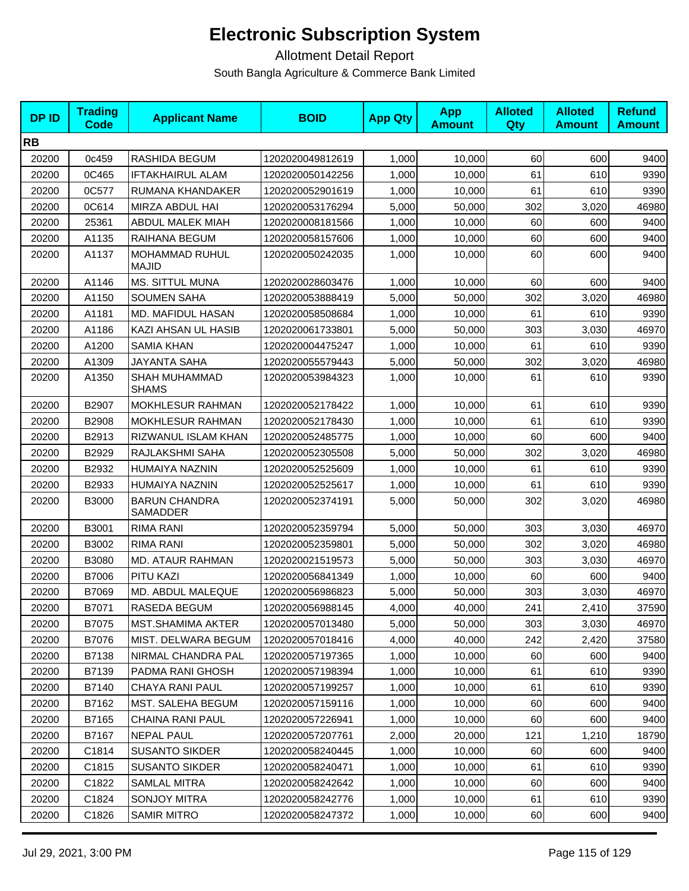| <b>DPID</b> | <b>Trading</b><br>Code | <b>Applicant Name</b>                   | <b>BOID</b>      | <b>App Qty</b> | <b>App</b><br><b>Amount</b> | <b>Alloted</b><br>Qty | <b>Alloted</b><br><b>Amount</b> | <b>Refund</b><br><b>Amount</b> |
|-------------|------------------------|-----------------------------------------|------------------|----------------|-----------------------------|-----------------------|---------------------------------|--------------------------------|
| <b>RB</b>   |                        |                                         |                  |                |                             |                       |                                 |                                |
| 20200       | 0c459                  | RASHIDA BEGUM                           | 1202020049812619 | 1,000          | 10,000                      | 60                    | 600                             | 9400                           |
| 20200       | 0C465                  | <b>IFTAKHAIRUL ALAM</b>                 | 1202020050142256 | 1,000          | 10,000                      | 61                    | 610                             | 9390                           |
| 20200       | 0C577                  | RUMANA KHANDAKER                        | 1202020052901619 | 1,000          | 10,000                      | 61                    | 610                             | 9390                           |
| 20200       | 0C614                  | MIRZA ABDUL HAI                         | 1202020053176294 | 5,000          | 50,000                      | 302                   | 3,020                           | 46980                          |
| 20200       | 25361                  | ABDUL MALEK MIAH                        | 1202020008181566 | 1,000          | 10,000                      | 60                    | 600                             | 9400                           |
| 20200       | A1135                  | RAIHANA BEGUM                           | 1202020058157606 | 1,000          | 10,000                      | 60                    | 600                             | 9400                           |
| 20200       | A1137                  | <b>MOHAMMAD RUHUL</b><br><b>MAJID</b>   | 1202020050242035 | 1,000          | 10,000                      | 60                    | 600                             | 9400                           |
| 20200       | A1146                  | <b>MS. SITTUL MUNA</b>                  | 1202020028603476 | 1,000          | 10,000                      | 60                    | 600                             | 9400                           |
| 20200       | A1150                  | <b>SOUMEN SAHA</b>                      | 1202020053888419 | 5,000          | 50,000                      | 302                   | 3,020                           | 46980                          |
| 20200       | A1181                  | MD. MAFIDUL HASAN                       | 1202020058508684 | 1,000          | 10,000                      | 61                    | 610                             | 9390                           |
| 20200       | A1186                  | KAZI AHSAN UL HASIB                     | 1202020061733801 | 5,000          | 50,000                      | 303                   | 3,030                           | 46970                          |
| 20200       | A1200                  | <b>SAMIA KHAN</b>                       | 1202020004475247 | 1,000          | 10,000                      | 61                    | 610                             | 9390                           |
| 20200       | A1309                  | <b>JAYANTA SAHA</b>                     | 1202020055579443 | 5,000          | 50,000                      | 302                   | 3,020                           | 46980                          |
| 20200       | A1350                  | <b>SHAH MUHAMMAD</b><br><b>SHAMS</b>    | 1202020053984323 | 1,000          | 10,000                      | 61                    | 610                             | 9390                           |
| 20200       | B2907                  | <b>MOKHLESUR RAHMAN</b>                 | 1202020052178422 | 1,000          | 10,000                      | 61                    | 610                             | 9390                           |
| 20200       | B2908                  | <b>MOKHLESUR RAHMAN</b>                 | 1202020052178430 | 1,000          | 10,000                      | 61                    | 610                             | 9390                           |
| 20200       | B2913                  | RIZWANUL ISLAM KHAN                     | 1202020052485775 | 1,000          | 10,000                      | 60                    | 600                             | 9400                           |
| 20200       | B2929                  | RAJLAKSHMI SAHA                         | 1202020052305508 | 5,000          | 50,000                      | 302                   | 3,020                           | 46980                          |
| 20200       | B2932                  | HUMAIYA NAZNIN                          | 1202020052525609 | 1,000          | 10,000                      | 61                    | 610                             | 9390                           |
| 20200       | B2933                  | HUMAIYA NAZNIN                          | 1202020052525617 | 1,000          | 10,000                      | 61                    | 610                             | 9390                           |
| 20200       | <b>B3000</b>           | <b>BARUN CHANDRA</b><br><b>SAMADDER</b> | 1202020052374191 | 5,000          | 50,000                      | 302                   | 3,020                           | 46980                          |
| 20200       | B3001                  | <b>RIMA RANI</b>                        | 1202020052359794 | 5,000          | 50,000                      | 303                   | 3,030                           | 46970                          |
| 20200       | B3002                  | RIMA RANI                               | 1202020052359801 | 5,000          | 50,000                      | 302                   | 3,020                           | 46980                          |
| 20200       | B3080                  | <b>MD. ATAUR RAHMAN</b>                 | 1202020021519573 | 5,000          | 50,000                      | 303                   | 3,030                           | 46970                          |
| 20200       | B7006                  | PITU KAZI                               | 1202020056841349 | 1,000          | 10,000                      | 60                    | 600                             | 9400                           |
| 20200       | B7069                  | MD. ABDUL MALEQUE                       | 1202020056986823 | 5,000          | 50,000                      | 303                   | 3,030                           | 46970                          |
| 20200       | B7071                  | RASEDA BEGUM                            | 1202020056988145 | 4,000          | 40,000                      | 241                   | 2,410                           | 37590                          |
| 20200       | B7075                  | MST.SHAMIMA AKTER                       | 1202020057013480 | 5,000          | 50,000                      | 303                   | 3,030                           | 46970                          |
| 20200       | B7076                  | MIST. DELWARA BEGUM                     | 1202020057018416 | 4,000          | 40,000                      | 242                   | 2,420                           | 37580                          |
| 20200       | B7138                  | NIRMAL CHANDRA PAL                      | 1202020057197365 | 1,000          | 10,000                      | 60                    | 600                             | 9400                           |
| 20200       | B7139                  | PADMA RANI GHOSH                        | 1202020057198394 | 1,000          | 10,000                      | 61                    | 610                             | 9390                           |
| 20200       | B7140                  | CHAYA RANI PAUL                         | 1202020057199257 | 1,000          | 10,000                      | 61                    | 610                             | 9390                           |
| 20200       | B7162                  | MST. SALEHA BEGUM                       | 1202020057159116 | 1,000          | 10,000                      | 60                    | 600                             | 9400                           |
| 20200       | B7165                  | CHAINA RANI PAUL                        | 1202020057226941 | 1,000          | 10,000                      | 60                    | 600                             | 9400                           |
| 20200       | B7167                  | <b>NEPAL PAUL</b>                       | 1202020057207761 | 2,000          | 20,000                      | 121                   | 1,210                           | 18790                          |
| 20200       | C1814                  | <b>SUSANTO SIKDER</b>                   | 1202020058240445 | 1,000          | 10,000                      | 60                    | 600                             | 9400                           |
| 20200       | C1815                  | <b>SUSANTO SIKDER</b>                   | 1202020058240471 | 1,000          | 10,000                      | 61                    | 610                             | 9390                           |
| 20200       | C1822                  | SAMLAL MITRA                            | 1202020058242642 | 1,000          | 10,000                      | 60                    | 600                             | 9400                           |
| 20200       | C1824                  | <b>SONJOY MITRA</b>                     | 1202020058242776 | 1,000          | 10,000                      | 61                    | 610                             | 9390                           |
| 20200       | C1826                  | <b>SAMIR MITRO</b>                      | 1202020058247372 | 1,000          | 10,000                      | 60                    | 600                             | 9400                           |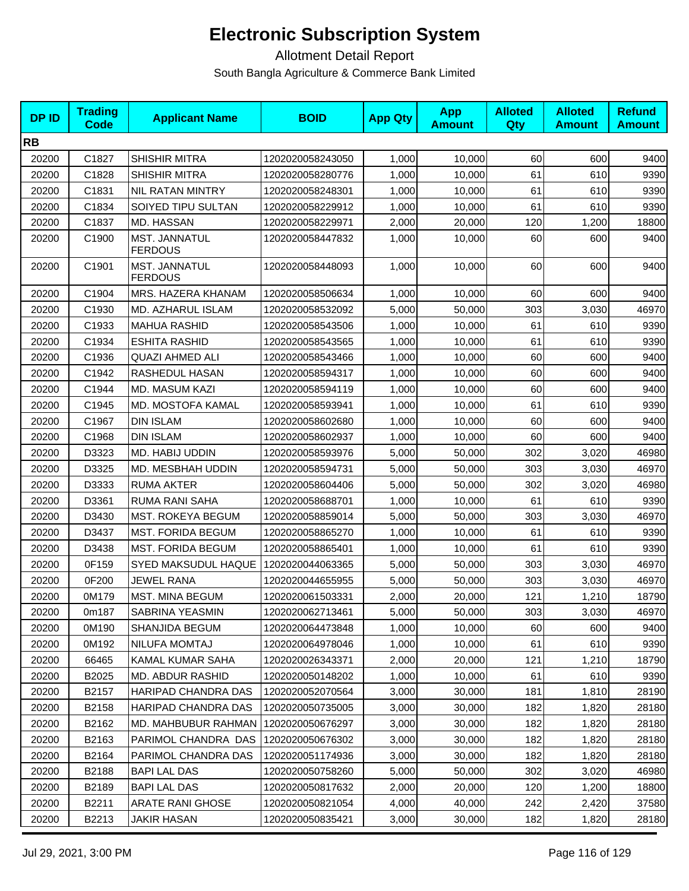| <b>DPID</b> | <b>Trading</b><br><b>Code</b> | <b>Applicant Name</b>                  | <b>BOID</b>      | <b>App Qty</b> | <b>App</b><br><b>Amount</b> | <b>Alloted</b><br>Qty | <b>Alloted</b><br><b>Amount</b> | <b>Refund</b><br><b>Amount</b> |
|-------------|-------------------------------|----------------------------------------|------------------|----------------|-----------------------------|-----------------------|---------------------------------|--------------------------------|
| <b>RB</b>   |                               |                                        |                  |                |                             |                       |                                 |                                |
| 20200       | C1827                         | SHISHIR MITRA                          | 1202020058243050 | 1,000          | 10,000                      | 60                    | 600                             | 9400                           |
| 20200       | C1828                         | <b>SHISHIR MITRA</b>                   | 1202020058280776 | 1,000          | 10,000                      | 61                    | 610                             | 9390                           |
| 20200       | C1831                         | NIL RATAN MINTRY                       | 1202020058248301 | 1,000          | 10,000                      | 61                    | 610                             | 9390                           |
| 20200       | C1834                         | SOIYED TIPU SULTAN                     | 1202020058229912 | 1,000          | 10,000                      | 61                    | 610                             | 9390                           |
| 20200       | C1837                         | MD. HASSAN                             | 1202020058229971 | 2,000          | 20,000                      | 120                   | 1,200                           | 18800                          |
| 20200       | C1900                         | <b>MST. JANNATUL</b><br><b>FERDOUS</b> | 1202020058447832 | 1,000          | 10,000                      | 60                    | 600                             | 9400                           |
| 20200       | C1901                         | MST. JANNATUL<br><b>FERDOUS</b>        | 1202020058448093 | 1,000          | 10,000                      | 60                    | 600                             | 9400                           |
| 20200       | C1904                         | MRS. HAZERA KHANAM                     | 1202020058506634 | 1,000          | 10,000                      | 60                    | 600                             | 9400                           |
| 20200       | C1930                         | MD. AZHARUL ISLAM                      | 1202020058532092 | 5,000          | 50,000                      | 303                   | 3,030                           | 46970                          |
| 20200       | C1933                         | <b>MAHUA RASHID</b>                    | 1202020058543506 | 1,000          | 10,000                      | 61                    | 610                             | 9390                           |
| 20200       | C1934                         | <b>ESHITA RASHID</b>                   | 1202020058543565 | 1,000          | 10,000                      | 61                    | 610                             | 9390                           |
| 20200       | C1936                         | <b>QUAZI AHMED ALI</b>                 | 1202020058543466 | 1,000          | 10,000                      | 60                    | 600                             | 9400                           |
| 20200       | C1942                         | RASHEDUL HASAN                         | 1202020058594317 | 1,000          | 10,000                      | 60                    | 600                             | 9400                           |
| 20200       | C1944                         | <b>MD. MASUM KAZI</b>                  | 1202020058594119 | 1,000          | 10,000                      | 60                    | 600                             | 9400                           |
| 20200       | C1945                         | <b>MD. MOSTOFA KAMAL</b>               | 1202020058593941 | 1,000          | 10,000                      | 61                    | 610                             | 9390                           |
| 20200       | C1967                         | <b>DIN ISLAM</b>                       | 1202020058602680 | 1,000          | 10,000                      | 60                    | 600                             | 9400                           |
| 20200       | C1968                         | <b>DIN ISLAM</b>                       | 1202020058602937 | 1,000          | 10,000                      | 60                    | 600                             | 9400                           |
| 20200       | D3323                         | MD. HABIJ UDDIN                        | 1202020058593976 | 5,000          | 50,000                      | 302                   | 3,020                           | 46980                          |
| 20200       | D3325                         | MD. MESBHAH UDDIN                      | 1202020058594731 | 5,000          | 50,000                      | 303                   | 3,030                           | 46970                          |
| 20200       | D3333                         | <b>RUMA AKTER</b>                      | 1202020058604406 | 5,000          | 50,000                      | 302                   | 3,020                           | 46980                          |
| 20200       | D3361                         | RUMA RANI SAHA                         | 1202020058688701 | 1,000          | 10,000                      | 61                    | 610                             | 9390                           |
| 20200       | D3430                         | <b>MST. ROKEYA BEGUM</b>               | 1202020058859014 | 5,000          | 50,000                      | 303                   | 3,030                           | 46970                          |
| 20200       | D3437                         | <b>MST. FORIDA BEGUM</b>               | 1202020058865270 | 1,000          | 10,000                      | 61                    | 610                             | 9390                           |
| 20200       | D3438                         | <b>MST. FORIDA BEGUM</b>               | 1202020058865401 | 1,000          | 10,000                      | 61                    | 610                             | 9390                           |
| 20200       | 0F159                         | SYED MAKSUDUL HAQUE                    | 1202020044063365 | 5,000          | 50,000                      | 303                   | 3,030                           | 46970                          |
| 20200       | 0F200                         | <b>JEWEL RANA</b>                      | 1202020044655955 | 5,000          | 50,000                      | 303                   | 3,030                           | 46970                          |
| 20200       | 0M179                         | MST. MINA BEGUM                        | 1202020061503331 | 2,000          | 20,000                      | 121                   | 1,210                           | 18790                          |
| 20200       | 0m187                         | SABRINA YEASMIN                        | 1202020062713461 | 5,000          | 50,000                      | 303                   | 3,030                           | 46970                          |
| 20200       | 0M190                         | SHANJIDA BEGUM                         | 1202020064473848 | 1,000          | 10,000                      | 60                    | 600                             | 9400                           |
| 20200       | 0M192                         | <b>NILUFA MOMTAJ</b>                   | 1202020064978046 | 1,000          | 10,000                      | 61                    | 610                             | 9390                           |
| 20200       | 66465                         | KAMAL KUMAR SAHA                       | 1202020026343371 | 2,000          | 20,000                      | 121                   | 1,210                           | 18790                          |
| 20200       | B2025                         | MD. ABDUR RASHID                       | 1202020050148202 | 1,000          | 10,000                      | 61                    | 610                             | 9390                           |
| 20200       | B2157                         | <b>HARIPAD CHANDRA DAS</b>             | 1202020052070564 | 3,000          | 30,000                      | 181                   | 1,810                           | 28190                          |
| 20200       | B2158                         | HARIPAD CHANDRA DAS                    | 1202020050735005 | 3,000          | 30,000                      | 182                   | 1,820                           | 28180                          |
| 20200       | B2162                         | <b>MD. MAHBUBUR RAHMAN</b>             | 1202020050676297 | 3,000          | 30,000                      | 182                   | 1,820                           | 28180                          |
| 20200       | B2163                         | PARIMOL CHANDRA DAS                    | 1202020050676302 | 3,000          | 30,000                      | 182                   | 1,820                           | 28180                          |
| 20200       | B2164                         | PARIMOL CHANDRA DAS                    | 1202020051174936 | 3,000          | 30,000                      | 182                   | 1,820                           | 28180                          |
| 20200       | B2188                         | <b>BAPI LAL DAS</b>                    | 1202020050758260 | 5,000          | 50,000                      | 302                   | 3,020                           | 46980                          |
| 20200       | B2189                         | <b>BAPI LAL DAS</b>                    | 1202020050817632 | 2,000          | 20,000                      | 120                   | 1,200                           | 18800                          |
| 20200       | B2211                         | <b>ARATE RANI GHOSE</b>                | 1202020050821054 | 4,000          | 40,000                      | 242                   | 2,420                           | 37580                          |
| 20200       | B2213                         | <b>JAKIR HASAN</b>                     | 1202020050835421 | 3,000          | 30,000                      | 182                   | 1,820                           | 28180                          |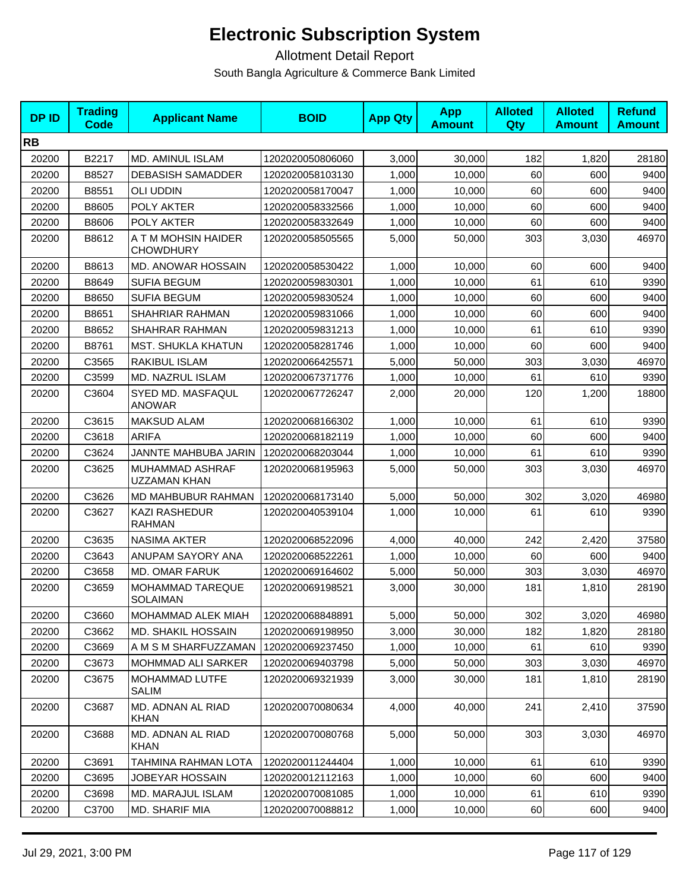| <b>DPID</b> | <b>Trading</b><br><b>Code</b> | <b>Applicant Name</b>                   | <b>BOID</b>      | <b>App Qty</b> | <b>App</b><br><b>Amount</b> | <b>Alloted</b><br>Qty | <b>Alloted</b><br><b>Amount</b> | <b>Refund</b><br><b>Amount</b> |
|-------------|-------------------------------|-----------------------------------------|------------------|----------------|-----------------------------|-----------------------|---------------------------------|--------------------------------|
| <b>RB</b>   |                               |                                         |                  |                |                             |                       |                                 |                                |
| 20200       | B2217                         | <b>MD. AMINUL ISLAM</b>                 | 1202020050806060 | 3,000          | 30,000                      | 182                   | 1,820                           | 28180                          |
| 20200       | B8527                         | <b>DEBASISH SAMADDER</b>                | 1202020058103130 | 1,000          | 10,000                      | 60                    | 600                             | 9400                           |
| 20200       | B8551                         | <b>OLI UDDIN</b>                        | 1202020058170047 | 1,000          | 10,000                      | 60                    | 600                             | 9400                           |
| 20200       | B8605                         | POLY AKTER                              | 1202020058332566 | 1,000          | 10,000                      | 60                    | 600                             | 9400                           |
| 20200       | B8606                         | POLY AKTER                              | 1202020058332649 | 1,000          | 10,000                      | 60                    | 600                             | 9400                           |
| 20200       | B8612                         | A T M MOHSIN HAIDER<br><b>CHOWDHURY</b> | 1202020058505565 | 5,000          | 50,000                      | 303                   | 3,030                           | 46970                          |
| 20200       | B8613                         | <b>MD. ANOWAR HOSSAIN</b>               | 1202020058530422 | 1,000          | 10,000                      | 60                    | 600                             | 9400                           |
| 20200       | B8649                         | <b>SUFIA BEGUM</b>                      | 1202020059830301 | 1,000          | 10,000                      | 61                    | 610                             | 9390                           |
| 20200       | B8650                         | <b>SUFIA BEGUM</b>                      | 1202020059830524 | 1,000          | 10,000                      | 60                    | 600                             | 9400                           |
| 20200       | B8651                         | SHAHRIAR RAHMAN                         | 1202020059831066 | 1,000          | 10,000                      | 60                    | 600                             | 9400                           |
| 20200       | B8652                         | SHAHRAR RAHMAN                          | 1202020059831213 | 1,000          | 10,000                      | 61                    | 610                             | 9390                           |
| 20200       | B8761                         | <b>MST. SHUKLA KHATUN</b>               | 1202020058281746 | 1,000          | 10,000                      | 60                    | 600                             | 9400                           |
| 20200       | C3565                         | RAKIBUL ISLAM                           | 1202020066425571 | 5,000          | 50,000                      | 303                   | 3,030                           | 46970                          |
| 20200       | C3599                         | MD. NAZRUL ISLAM                        | 1202020067371776 | 1,000          | 10,000                      | 61                    | 610                             | 9390                           |
| 20200       | C3604                         | SYED MD. MASFAQUL<br><b>ANOWAR</b>      | 1202020067726247 | 2,000          | 20,000                      | 120                   | 1,200                           | 18800                          |
| 20200       | C3615                         | MAKSUD ALAM                             | 1202020068166302 | 1.000          | 10,000                      | 61                    | 610                             | 9390                           |
| 20200       | C3618                         | <b>ARIFA</b>                            | 1202020068182119 | 1,000          | 10,000                      | 60                    | 600                             | 9400                           |
| 20200       | C3624                         | JANNTE MAHBUBA JARIN                    | 1202020068203044 | 1,000          | 10,000                      | 61                    | 610                             | 9390                           |
| 20200       | C3625                         | MUHAMMAD ASHRAF<br><b>UZZAMAN KHAN</b>  | 1202020068195963 | 5,000          | 50,000                      | 303                   | 3,030                           | 46970                          |
| 20200       | C3626                         | MD MAHBUBUR RAHMAN                      | 1202020068173140 | 5,000          | 50,000                      | 302                   | 3,020                           | 46980                          |
| 20200       | C3627                         | <b>KAZI RASHEDUR</b><br><b>RAHMAN</b>   | 1202020040539104 | 1,000          | 10,000                      | 61                    | 610                             | 9390                           |
| 20200       | C3635                         | <b>NASIMA AKTER</b>                     | 1202020068522096 | 4,000          | 40,000                      | 242                   | 2,420                           | 37580                          |
| 20200       | C3643                         | ANUPAM SAYORY ANA                       | 1202020068522261 | 1,000          | 10,000                      | 60                    | 600                             | 9400                           |
| 20200       | C3658                         | MD. OMAR FARUK                          | 1202020069164602 | 5,000          | 50,000                      | 303                   | 3,030                           | 46970                          |
| 20200       | C3659                         | <b>MOHAMMAD TAREQUE</b><br>SOLAIMAN     | 1202020069198521 | 3,000          | 30,000                      | 181                   | 1,810                           | 28190                          |
| 20200       | C3660                         | MOHAMMAD ALEK MIAH                      | 1202020068848891 | 5,000          | 50,000                      | 302                   | 3,020                           | 46980                          |
| 20200       | C3662                         | <b>MD. SHAKIL HOSSAIN</b>               | 1202020069198950 | 3,000          | 30,000                      | 182                   | 1,820                           | 28180                          |
| 20200       | C3669                         | A M S M SHARFUZZAMAN                    | 1202020069237450 | 1,000          | 10,000                      | 61                    | 610                             | 9390                           |
| 20200       | C3673                         | MOHMMAD ALI SARKER                      | 1202020069403798 | 5,000          | 50,000                      | 303                   | 3,030                           | 46970                          |
| 20200       | C3675                         | MOHAMMAD LUTFE<br>SALIM                 | 1202020069321939 | 3,000          | 30,000                      | 181                   | 1,810                           | 28190                          |
| 20200       | C3687                         | MD. ADNAN AL RIAD<br><b>KHAN</b>        | 1202020070080634 | 4,000          | 40,000                      | 241                   | 2,410                           | 37590                          |
| 20200       | C3688                         | MD. ADNAN AL RIAD<br>KHAN               | 1202020070080768 | 5,000          | 50,000                      | 303                   | 3,030                           | 46970                          |
| 20200       | C3691                         | TAHMINA RAHMAN LOTA                     | 1202020011244404 | 1,000          | 10,000                      | 61                    | 610                             | 9390                           |
| 20200       | C3695                         | JOBEYAR HOSSAIN                         | 1202020012112163 | 1,000          | 10,000                      | 60                    | 600                             | 9400                           |
| 20200       | C3698                         | MD. MARAJUL ISLAM                       | 1202020070081085 | 1,000          | 10,000                      | 61                    | 610                             | 9390                           |
| 20200       | C3700                         | MD. SHARIF MIA                          | 1202020070088812 | 1,000          | 10,000                      | 60                    | 600                             | 9400                           |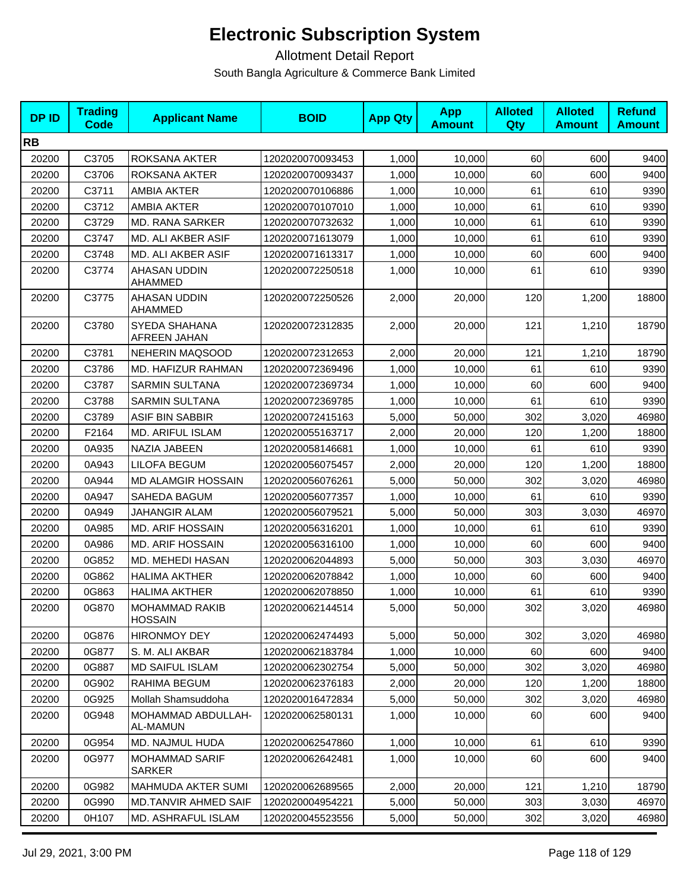| <b>DPID</b> | <b>Trading</b><br>Code | <b>Applicant Name</b>                  | <b>BOID</b>      | <b>App Qty</b> | <b>App</b><br><b>Amount</b> | <b>Alloted</b><br>Qty | <b>Alloted</b><br><b>Amount</b> | <b>Refund</b><br><b>Amount</b> |
|-------------|------------------------|----------------------------------------|------------------|----------------|-----------------------------|-----------------------|---------------------------------|--------------------------------|
| <b>RB</b>   |                        |                                        |                  |                |                             |                       |                                 |                                |
| 20200       | C3705                  | ROKSANA AKTER                          | 1202020070093453 | 1,000          | 10,000                      | 60                    | 600                             | 9400                           |
| 20200       | C3706                  | ROKSANA AKTER                          | 1202020070093437 | 1,000          | 10,000                      | 60                    | 600                             | 9400                           |
| 20200       | C3711                  | <b>AMBIA AKTER</b>                     | 1202020070106886 | 1,000          | 10,000                      | 61                    | 610                             | 9390                           |
| 20200       | C3712                  | AMBIA AKTER                            | 1202020070107010 | 1,000          | 10,000                      | 61                    | 610                             | 9390                           |
| 20200       | C3729                  | <b>MD. RANA SARKER</b>                 | 1202020070732632 | 1,000          | 10,000                      | 61                    | 610                             | 9390                           |
| 20200       | C3747                  | MD. ALI AKBER ASIF                     | 1202020071613079 | 1,000          | 10,000                      | 61                    | 610                             | 9390                           |
| 20200       | C3748                  | MD. ALI AKBER ASIF                     | 1202020071613317 | 1,000          | 10,000                      | 60                    | 600                             | 9400                           |
| 20200       | C3774                  | AHASAN UDDIN<br>AHAMMED                | 1202020072250518 | 1,000          | 10,000                      | 61                    | 610                             | 9390                           |
| 20200       | C3775                  | AHASAN UDDIN<br>AHAMMED                | 1202020072250526 | 2,000          | 20,000                      | 120                   | 1,200                           | 18800                          |
| 20200       | C3780                  | SYEDA SHAHANA<br>AFREEN JAHAN          | 1202020072312835 | 2,000          | 20,000                      | 121                   | 1,210                           | 18790                          |
| 20200       | C3781                  | <b>NEHERIN MAQSOOD</b>                 | 1202020072312653 | 2,000          | 20,000                      | 121                   | 1,210                           | 18790                          |
| 20200       | C3786                  | <b>MD. HAFIZUR RAHMAN</b>              | 1202020072369496 | 1,000          | 10,000                      | 61                    | 610                             | 9390                           |
| 20200       | C3787                  | <b>SARMIN SULTANA</b>                  | 1202020072369734 | 1,000          | 10,000                      | 60                    | 600                             | 9400                           |
| 20200       | C3788                  | <b>SARMIN SULTANA</b>                  | 1202020072369785 | 1,000          | 10.000                      | 61                    | 610                             | 9390                           |
| 20200       | C3789                  | <b>ASIF BIN SABBIR</b>                 | 1202020072415163 | 5,000          | 50,000                      | 302                   | 3,020                           | 46980                          |
| 20200       | F2164                  | MD. ARIFUL ISLAM                       | 1202020055163717 | 2,000          | 20,000                      | 120                   | 1,200                           | 18800                          |
| 20200       | 0A935                  | NAZIA JABEEN                           | 1202020058146681 | 1,000          | 10,000                      | 61                    | 610                             | 9390                           |
| 20200       | 0A943                  | <b>LILOFA BEGUM</b>                    | 1202020056075457 | 2,000          | 20,000                      | 120                   | 1,200                           | 18800                          |
| 20200       | 0A944                  | <b>MD ALAMGIR HOSSAIN</b>              | 1202020056076261 | 5,000          | 50,000                      | 302                   | 3,020                           | 46980                          |
| 20200       | 0A947                  | SAHEDA BAGUM                           | 1202020056077357 | 1,000          | 10,000                      | 61                    | 610                             | 9390                           |
| 20200       | 0A949                  | <b>JAHANGIR ALAM</b>                   | 1202020056079521 | 5,000          | 50,000                      | 303                   | 3,030                           | 46970                          |
| 20200       | 0A985                  | <b>MD. ARIF HOSSAIN</b>                | 1202020056316201 | 1,000          | 10,000                      | 61                    | 610                             | 9390                           |
| 20200       | 0A986                  | <b>MD. ARIF HOSSAIN</b>                | 1202020056316100 | 1,000          | 10,000                      | 60                    | 600                             | 9400                           |
| 20200       | 0G852                  | MD. MEHEDI HASAN                       | 1202020062044893 | 5,000          | 50,000                      | 303                   | 3,030                           | 46970                          |
| 20200       | 0G862                  | <b>HALIMA AKTHER</b>                   | 1202020062078842 | 1,000          | 10,000                      | 60                    | 600                             | 9400                           |
| 20200       | 0G863                  | <b>HALIMA AKTHER</b>                   | 1202020062078850 | 1,000          | 10,000                      | 61                    | 610                             | 9390                           |
| 20200       | 0G870                  | MOHAMMAD RAKIB<br><b>HOSSAIN</b>       | 1202020062144514 | 5,000          | 50,000                      | 302                   | 3,020                           | 46980                          |
| 20200       | 0G876                  | <b>HIRONMOY DEY</b>                    | 1202020062474493 | 5,000          | 50,000                      | 302                   | 3,020                           | 46980                          |
| 20200       | 0G877                  | S. M. ALI AKBAR                        | 1202020062183784 | 1,000          | 10,000                      | 60                    | 600                             | 9400                           |
| 20200       | 0G887                  | <b>MD SAIFUL ISLAM</b>                 | 1202020062302754 | 5,000          | 50,000                      | 302                   | 3,020                           | 46980                          |
| 20200       | 0G902                  | RAHIMA BEGUM                           | 1202020062376183 | 2,000          | 20,000                      | 120                   | 1,200                           | 18800                          |
| 20200       | 0G925                  | Mollah Shamsuddoha                     | 1202020016472834 | 5,000          | 50,000                      | 302                   | 3,020                           | 46980                          |
| 20200       | 0G948                  | MOHAMMAD ABDULLAH-<br>AL-MAMUN         | 1202020062580131 | 1,000          | 10.000                      | 60                    | 600                             | 9400                           |
| 20200       | 0G954                  | MD. NAJMUL HUDA                        | 1202020062547860 | 1,000          | 10,000                      | 61                    | 610                             | 9390                           |
| 20200       | 0G977                  | <b>MOHAMMAD SARIF</b><br><b>SARKER</b> | 1202020062642481 | 1,000          | 10,000                      | 60                    | 600                             | 9400                           |
| 20200       | 0G982                  | <b>MAHMUDA AKTER SUMI</b>              | 1202020062689565 | 2,000          | 20,000                      | 121                   | 1,210                           | 18790                          |
| 20200       | 0G990                  | <b>MD.TANVIR AHMED SAIF</b>            | 1202020004954221 | 5,000          | 50,000                      | 303                   | 3,030                           | 46970                          |
| 20200       | 0H107                  | MD. ASHRAFUL ISLAM                     | 1202020045523556 | 5,000          | 50,000                      | 302                   | 3,020                           | 46980                          |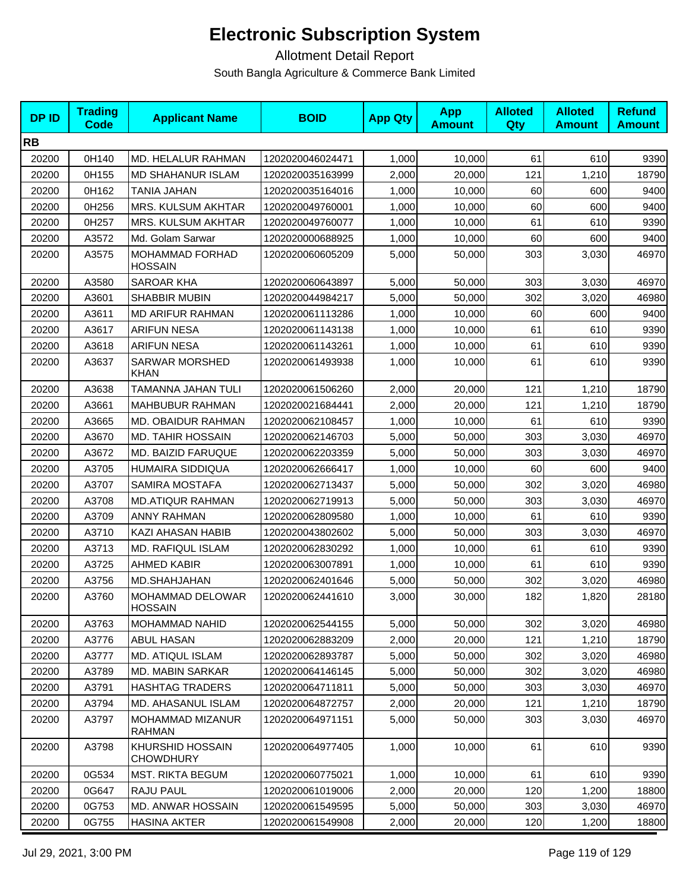| <b>DPID</b> | <b>Trading</b><br>Code | <b>Applicant Name</b>                       | <b>BOID</b>      | <b>App Qty</b> | <b>App</b><br><b>Amount</b> | <b>Alloted</b><br>Qty | <b>Alloted</b><br><b>Amount</b> | <b>Refund</b><br><b>Amount</b> |
|-------------|------------------------|---------------------------------------------|------------------|----------------|-----------------------------|-----------------------|---------------------------------|--------------------------------|
| <b>RB</b>   |                        |                                             |                  |                |                             |                       |                                 |                                |
| 20200       | 0H140                  | MD. HELALUR RAHMAN                          | 1202020046024471 | 1,000          | 10,000                      | 61                    | 610                             | 9390                           |
| 20200       | 0H155                  | <b>MD SHAHANUR ISLAM</b>                    | 1202020035163999 | 2,000          | 20,000                      | 121                   | 1,210                           | 18790                          |
| 20200       | 0H162                  | TANIA JAHAN                                 | 1202020035164016 | 1,000          | 10,000                      | 60                    | 600                             | 9400                           |
| 20200       | 0H256                  | MRS. KULSUM AKHTAR                          | 1202020049760001 | 1,000          | 10,000                      | 60                    | 600                             | 9400                           |
| 20200       | 0H257                  | MRS. KULSUM AKHTAR                          | 1202020049760077 | 1,000          | 10,000                      | 61                    | 610                             | 9390                           |
| 20200       | A3572                  | Md. Golam Sarwar                            | 1202020000688925 | 1,000          | 10,000                      | 60                    | 600                             | 9400                           |
| 20200       | A3575                  | MOHAMMAD FORHAD<br><b>HOSSAIN</b>           | 1202020060605209 | 5,000          | 50,000                      | 303                   | 3,030                           | 46970                          |
| 20200       | A3580                  | <b>SAROAR KHA</b>                           | 1202020060643897 | 5,000          | 50,000                      | 303                   | 3,030                           | 46970                          |
| 20200       | A3601                  | <b>SHABBIR MUBIN</b>                        | 1202020044984217 | 5,000          | 50,000                      | 302                   | 3,020                           | 46980                          |
| 20200       | A3611                  | <b>MD ARIFUR RAHMAN</b>                     | 1202020061113286 | 1,000          | 10,000                      | 60                    | 600                             | 9400                           |
| 20200       | A3617                  | <b>ARIFUN NESA</b>                          | 1202020061143138 | 1,000          | 10,000                      | 61                    | 610                             | 9390                           |
| 20200       | A3618                  | <b>ARIFUN NESA</b>                          | 1202020061143261 | 1,000          | 10,000                      | 61                    | 610                             | 9390                           |
| 20200       | A3637                  | <b>SARWAR MORSHED</b><br>KHAN               | 1202020061493938 | 1,000          | 10,000                      | 61                    | 610                             | 9390                           |
| 20200       | A3638                  | TAMANNA JAHAN TULI                          | 1202020061506260 | 2,000          | 20,000                      | 121                   | 1,210                           | 18790                          |
| 20200       | A3661                  | <b>MAHBUBUR RAHMAN</b>                      | 1202020021684441 | 2,000          | 20,000                      | 121                   | 1,210                           | 18790                          |
| 20200       | A3665                  | MD. OBAIDUR RAHMAN                          | 1202020062108457 | 1,000          | 10,000                      | 61                    | 610                             | 9390                           |
| 20200       | A3670                  | <b>MD. TAHIR HOSSAIN</b>                    | 1202020062146703 | 5,000          | 50,000                      | 303                   | 3,030                           | 46970                          |
| 20200       | A3672                  | <b>MD. BAIZID FARUQUE</b>                   | 1202020062203359 | 5,000          | 50,000                      | 303                   | 3,030                           | 46970                          |
| 20200       | A3705                  | HUMAIRA SIDDIQUA                            | 1202020062666417 | 1,000          | 10,000                      | 60                    | 600                             | 9400                           |
| 20200       | A3707                  | SAMIRA MOSTAFA                              | 1202020062713437 | 5,000          | 50,000                      | 302                   | 3,020                           | 46980                          |
| 20200       | A3708                  | <b>MD.ATIQUR RAHMAN</b>                     | 1202020062719913 | 5,000          | 50,000                      | 303                   | 3,030                           | 46970                          |
| 20200       | A3709                  | <b>ANNY RAHMAN</b>                          | 1202020062809580 | 1,000          | 10,000                      | 61                    | 610                             | 9390                           |
| 20200       | A3710                  | KAZI AHASAN HABIB                           | 1202020043802602 | 5,000          | 50,000                      | 303                   | 3,030                           | 46970                          |
| 20200       | A3713                  | MD. RAFIQUL ISLAM                           | 1202020062830292 | 1,000          | 10,000                      | 61                    | 610                             | 9390                           |
| 20200       | A3725                  | <b>AHMED KABIR</b>                          | 1202020063007891 | 1,000          | 10,000                      | 61                    | 610                             | 9390                           |
| 20200       | A3756                  | MD.SHAHJAHAN                                | 1202020062401646 | 5,000          | 50,000                      | 302                   | 3,020                           | 46980                          |
| 20200       | A3760                  | MOHAMMAD DELOWAR<br><b>HOSSAIN</b>          | 1202020062441610 | 3,000          | 30,000                      | 182                   | 1,820                           | 28180                          |
| 20200       | A3763                  | <b>MOHAMMAD NAHID</b>                       | 1202020062544155 | 5,000          | 50,000                      | 302                   | 3.020                           | 46980                          |
| 20200       | A3776                  | ABUL HASAN                                  | 1202020062883209 | 2,000          | 20,000                      | 121                   | 1,210                           | 18790                          |
| 20200       | A3777                  | MD. ATIQUL ISLAM                            | 1202020062893787 | 5,000          | 50,000                      | 302                   | 3,020                           | 46980                          |
| 20200       | A3789                  | MD. MABIN SARKAR                            | 1202020064146145 | 5,000          | 50,000                      | 302                   | 3,020                           | 46980                          |
| 20200       | A3791                  | <b>HASHTAG TRADERS</b>                      | 1202020064711811 | 5,000          | 50,000                      | 303                   | 3,030                           | 46970                          |
| 20200       | A3794                  | MD. AHASANUL ISLAM                          | 1202020064872757 | 2,000          | 20,000                      | 121                   | 1,210                           | 18790                          |
| 20200       | A3797                  | <b>MOHAMMAD MIZANUR</b><br>RAHMAN           | 1202020064971151 | 5,000          | 50.000                      | 303                   | 3,030                           | 46970                          |
| 20200       | A3798                  | <b>KHURSHID HOSSAIN</b><br><b>CHOWDHURY</b> | 1202020064977405 | 1,000          | 10,000                      | 61                    | 610                             | 9390                           |
| 20200       | 0G534                  | <b>MST. RIKTA BEGUM</b>                     | 1202020060775021 | 1,000          | 10,000                      | 61                    | 610                             | 9390                           |
| 20200       | 0G647                  | RAJU PAUL                                   | 1202020061019006 | 2,000          | 20,000                      | 120                   | 1,200                           | 18800                          |
| 20200       | 0G753                  | MD. ANWAR HOSSAIN                           | 1202020061549595 | 5,000          | 50,000                      | 303                   | 3,030                           | 46970                          |
| 20200       | 0G755                  | <b>HASINA AKTER</b>                         | 1202020061549908 | 2,000          | 20,000                      | 120                   | 1,200                           | 18800                          |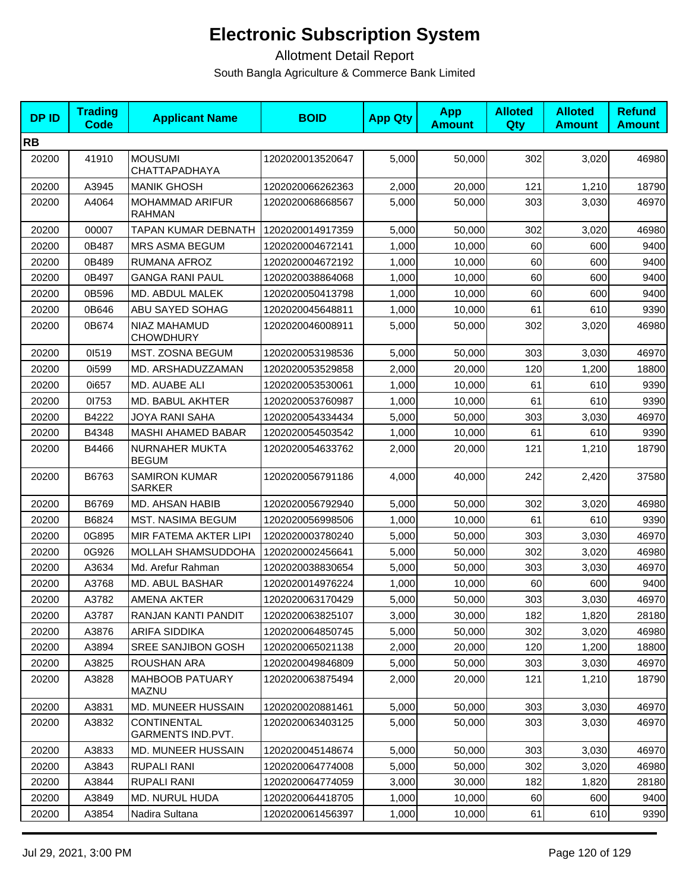| <b>DPID</b> | <b>Trading</b><br><b>Code</b> | <b>Applicant Name</b>                   | <b>BOID</b>      | <b>App Qty</b> | <b>App</b><br><b>Amount</b> | <b>Alloted</b><br>Qty | <b>Alloted</b><br><b>Amount</b> | <b>Refund</b><br><b>Amount</b> |
|-------------|-------------------------------|-----------------------------------------|------------------|----------------|-----------------------------|-----------------------|---------------------------------|--------------------------------|
| <b>RB</b>   |                               |                                         |                  |                |                             |                       |                                 |                                |
| 20200       | 41910                         | <b>MOUSUMI</b><br><b>CHATTAPADHAYA</b>  | 1202020013520647 | 5,000          | 50,000                      | 302                   | 3,020                           | 46980                          |
| 20200       | A3945                         | <b>MANIK GHOSH</b>                      | 1202020066262363 | 2,000          | 20,000                      | 121                   | 1,210                           | 18790                          |
| 20200       | A4064                         | MOHAMMAD ARIFUR<br>RAHMAN               | 1202020068668567 | 5,000          | 50,000                      | 303                   | 3,030                           | 46970                          |
| 20200       | 00007                         | <b>TAPAN KUMAR DEBNATH</b>              | 1202020014917359 | 5,000          | 50,000                      | 302                   | 3,020                           | 46980                          |
| 20200       | 0B487                         | <b>MRS ASMA BEGUM</b>                   | 1202020004672141 | 1,000          | 10,000                      | 60                    | 600                             | 9400                           |
| 20200       | 0B489                         | RUMANA AFROZ                            | 1202020004672192 | 1,000          | 10,000                      | 60                    | 600                             | 9400                           |
| 20200       | 0B497                         | <b>GANGA RANI PAUL</b>                  | 1202020038864068 | 1,000          | 10,000                      | 60                    | 600                             | 9400                           |
| 20200       | 0B596                         | MD. ABDUL MALEK                         | 1202020050413798 | 1,000          | 10,000                      | 60                    | 600                             | 9400                           |
| 20200       | 0B646                         | ABU SAYED SOHAG                         | 1202020045648811 | 1,000          | 10,000                      | 61                    | 610                             | 9390                           |
| 20200       | 0B674                         | NIAZ MAHAMUD<br><b>CHOWDHURY</b>        | 1202020046008911 | 5,000          | 50,000                      | 302                   | 3,020                           | 46980                          |
| 20200       | 01519                         | <b>MST. ZOSNA BEGUM</b>                 | 1202020053198536 | 5,000          | 50,000                      | 303                   | 3,030                           | 46970                          |
| 20200       | 0i599                         | MD. ARSHADUZZAMAN                       | 1202020053529858 | 2,000          | 20,000                      | 120                   | 1,200                           | 18800                          |
| 20200       | 0i657                         | MD. AUABE ALI                           | 1202020053530061 | 1,000          | 10,000                      | 61                    | 610                             | 9390                           |
| 20200       | 01753                         | <b>MD. BABUL AKHTER</b>                 | 1202020053760987 | 1,000          | 10,000                      | 61                    | 610                             | 9390                           |
| 20200       | B4222                         | JOYA RANI SAHA                          | 1202020054334434 | 5,000          | 50,000                      | 303                   | 3,030                           | 46970                          |
| 20200       | B4348                         | <b>MASHI AHAMED BABAR</b>               | 1202020054503542 | 1,000          | 10,000                      | 61                    | 610                             | 9390                           |
| 20200       | B4466                         | NURNAHER MUKTA<br><b>BEGUM</b>          | 1202020054633762 | 2,000          | 20,000                      | 121                   | 1,210                           | 18790                          |
| 20200       | B6763                         | <b>SAMIRON KUMAR</b><br><b>SARKER</b>   | 1202020056791186 | 4,000          | 40,000                      | 242                   | 2,420                           | 37580                          |
| 20200       | B6769                         | <b>MD. AHSAN HABIB</b>                  | 1202020056792940 | 5,000          | 50,000                      | 302                   | 3,020                           | 46980                          |
| 20200       | B6824                         | <b>MST. NASIMA BEGUM</b>                | 1202020056998506 | 1,000          | 10,000                      | 61                    | 610                             | 9390                           |
| 20200       | 0G895                         | MIR FATEMA AKTER LIPI                   | 1202020003780240 | 5,000          | 50,000                      | 303                   | 3,030                           | 46970                          |
| 20200       | 0G926                         | MOLLAH SHAMSUDDOHA                      | 1202020002456641 | 5,000          | 50,000                      | 302                   | 3,020                           | 46980                          |
| 20200       | A3634                         | Md. Arefur Rahman                       | 1202020038830654 | 5,000          | 50,000                      | 303                   | 3,030                           | 46970                          |
| 20200       | A3768                         | <b>MD. ABUL BASHAR</b>                  | 1202020014976224 | 1,000          | 10,000                      | 60                    | 600                             | 9400                           |
| 20200       | A3782                         | <b>AMENA AKTER</b>                      | 1202020063170429 | 5,000          | 50,000                      | 303                   | 3,030                           | 46970                          |
| 20200       | A3787                         | RANJAN KANTI PANDIT                     | 1202020063825107 | 3,000          | 30,000                      | 182                   | 1,820                           | 28180                          |
| 20200       | A3876                         | <b>ARIFA SIDDIKA</b>                    | 1202020064850745 | 5,000          | 50,000                      | 302                   | 3,020                           | 46980                          |
| 20200       | A3894                         | <b>SREE SANJIBON GOSH</b>               | 1202020065021138 | 2,000          | 20,000                      | 120                   | 1,200                           | 18800                          |
| 20200       | A3825                         | ROUSHAN ARA                             | 1202020049846809 | 5,000          | 50,000                      | 303                   | 3,030                           | 46970                          |
| 20200       | A3828                         | <b>MAHBOOB PATUARY</b><br><b>MAZNU</b>  | 1202020063875494 | 2,000          | 20,000                      | 121                   | 1,210                           | 18790                          |
| 20200       | A3831                         | MD. MUNEER HUSSAIN                      | 1202020020881461 | 5,000          | 50,000                      | 303                   | 3,030                           | 46970                          |
| 20200       | A3832                         | <b>CONTINENTAL</b><br>GARMENTS IND.PVT. | 1202020063403125 | 5,000          | 50,000                      | 303                   | 3,030                           | 46970                          |
| 20200       | A3833                         | <b>MD. MUNEER HUSSAIN</b>               | 1202020045148674 | 5,000          | 50,000                      | 303                   | 3,030                           | 46970                          |
| 20200       | A3843                         | <b>RUPALI RANI</b>                      | 1202020064774008 | 5,000          | 50,000                      | 302                   | 3,020                           | 46980                          |
| 20200       | A3844                         | <b>RUPALI RANI</b>                      | 1202020064774059 | 3,000          | 30,000                      | 182                   | 1,820                           | 28180                          |
| 20200       | A3849                         | <b>MD. NURUL HUDA</b>                   | 1202020064418705 | 1,000          | 10,000                      | 60                    | 600                             | 9400                           |
| 20200       | A3854                         | Nadira Sultana                          | 1202020061456397 | 1,000          | 10,000                      | 61                    | 610                             | 9390                           |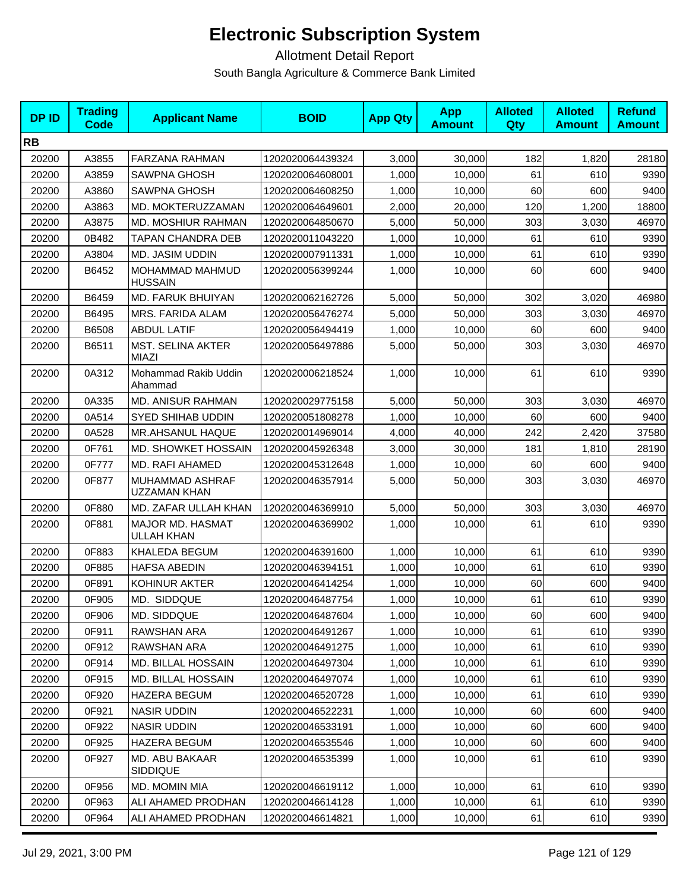| <b>DPID</b> | <b>Trading</b><br><b>Code</b> | <b>Applicant Name</b>                    | <b>BOID</b>      | <b>App Qty</b> | <b>App</b><br><b>Amount</b> | <b>Alloted</b><br>Qty | <b>Alloted</b><br><b>Amount</b> | <b>Refund</b><br><b>Amount</b> |
|-------------|-------------------------------|------------------------------------------|------------------|----------------|-----------------------------|-----------------------|---------------------------------|--------------------------------|
| <b>RB</b>   |                               |                                          |                  |                |                             |                       |                                 |                                |
| 20200       | A3855                         | <b>FARZANA RAHMAN</b>                    | 1202020064439324 | 3,000          | 30,000                      | 182                   | 1,820                           | 28180                          |
| 20200       | A3859                         | <b>SAWPNA GHOSH</b>                      | 1202020064608001 | 1,000          | 10,000                      | 61                    | 610                             | 9390                           |
| 20200       | A3860                         | <b>SAWPNA GHOSH</b>                      | 1202020064608250 | 1,000          | 10,000                      | 60                    | 600                             | 9400                           |
| 20200       | A3863                         | MD. MOKTERUZZAMAN                        | 1202020064649601 | 2,000          | 20,000                      | 120                   | 1,200                           | 18800                          |
| 20200       | A3875                         | MD. MOSHIUR RAHMAN                       | 1202020064850670 | 5,000          | 50,000                      | 303                   | 3,030                           | 46970                          |
| 20200       | 0B482                         | TAPAN CHANDRA DEB                        | 1202020011043220 | 1,000          | 10,000                      | 61                    | 610                             | 9390                           |
| 20200       | A3804                         | MD. JASIM UDDIN                          | 1202020007911331 | 1,000          | 10,000                      | 61                    | 610                             | 9390                           |
| 20200       | B6452                         | MOHAMMAD MAHMUD<br><b>HUSSAIN</b>        | 1202020056399244 | 1,000          | 10,000                      | 60                    | 600                             | 9400                           |
| 20200       | B6459                         | MD. FARUK BHUIYAN                        | 1202020062162726 | 5,000          | 50,000                      | 302                   | 3,020                           | 46980                          |
| 20200       | B6495                         | MRS. FARIDA ALAM                         | 1202020056476274 | 5,000          | 50,000                      | 303                   | 3,030                           | 46970                          |
| 20200       | B6508                         | <b>ABDUL LATIF</b>                       | 1202020056494419 | 1,000          | 10,000                      | 60                    | 600                             | 9400                           |
| 20200       | B6511                         | <b>MST. SELINA AKTER</b><br><b>MIAZI</b> | 1202020056497886 | 5,000          | 50,000                      | 303                   | 3,030                           | 46970                          |
| 20200       | 0A312                         | Mohammad Rakib Uddin<br>Ahammad          | 1202020006218524 | 1,000          | 10,000                      | 61                    | 610                             | 9390                           |
| 20200       | 0A335                         | <b>MD. ANISUR RAHMAN</b>                 | 1202020029775158 | 5.000          | 50.000                      | 303                   | 3,030                           | 46970                          |
| 20200       | 0A514                         | <b>SYED SHIHAB UDDIN</b>                 | 1202020051808278 | 1,000          | 10,000                      | 60                    | 600                             | 9400                           |
| 20200       | 0A528                         | MR.AHSANUL HAQUE                         | 1202020014969014 | 4,000          | 40,000                      | 242                   | 2,420                           | 37580                          |
| 20200       | 0F761                         | MD. SHOWKET HOSSAIN                      | 1202020045926348 | 3,000          | 30,000                      | 181                   | 1,810                           | 28190                          |
| 20200       | 0F777                         | MD. RAFI AHAMED                          | 1202020045312648 | 1,000          | 10,000                      | 60                    | 600                             | 9400                           |
| 20200       | 0F877                         | MUHAMMAD ASHRAF<br>UZZAMAN KHAN          | 1202020046357914 | 5,000          | 50,000                      | 303                   | 3,030                           | 46970                          |
| 20200       | 0F880                         | MD. ZAFAR ULLAH KHAN                     | 1202020046369910 | 5,000          | 50,000                      | 303                   | 3,030                           | 46970                          |
| 20200       | 0F881                         | MAJOR MD. HASMAT<br>ULLAH KHAN           | 1202020046369902 | 1,000          | 10,000                      | 61                    | 610                             | 9390                           |
| 20200       | 0F883                         | KHALEDA BEGUM                            | 1202020046391600 | 1,000          | 10,000                      | 61                    | 610                             | 9390                           |
| 20200       | 0F885                         | <b>HAFSA ABEDIN</b>                      | 1202020046394151 | 1,000          | 10,000                      | 61                    | 610                             | 9390                           |
| 20200       | 0F891                         | KOHINUR AKTER                            | 1202020046414254 | 1,000          | 10,000                      | 60                    | 600                             | 9400                           |
| 20200       | 0F905                         | MD. SIDDQUE                              | 1202020046487754 | 1,000          | 10,000                      | 61                    | 610                             | 9390                           |
| 20200       | 0F906                         | MD. SIDDQUE                              | 1202020046487604 | 1,000          | 10,000                      | 60                    | 600                             | 9400                           |
| 20200       | 0F911                         | <b>RAWSHAN ARA</b>                       | 1202020046491267 | 1,000          | 10,000                      | 61                    | 610                             | 9390                           |
| 20200       | 0F912                         | RAWSHAN ARA                              | 1202020046491275 | 1,000          | 10,000                      | 61                    | 610                             | 9390                           |
| 20200       | 0F914                         | MD. BILLAL HOSSAIN                       | 1202020046497304 | 1,000          | 10,000                      | 61                    | 610                             | 9390                           |
| 20200       | 0F915                         | <b>MD. BILLAL HOSSAIN</b>                | 1202020046497074 | 1,000          | 10,000                      | 61                    | 610                             | 9390                           |
| 20200       | 0F920                         | <b>HAZERA BEGUM</b>                      | 1202020046520728 | 1,000          | 10,000                      | 61                    | 610                             | 9390                           |
| 20200       | 0F921                         | <b>NASIR UDDIN</b>                       | 1202020046522231 | 1,000          | 10,000                      | 60                    | 600                             | 9400                           |
| 20200       | 0F922                         | <b>NASIR UDDIN</b>                       | 1202020046533191 | 1,000          | 10,000                      | 60                    | 600                             | 9400                           |
| 20200       | 0F925                         | HAZERA BEGUM                             | 1202020046535546 | 1,000          | 10,000                      | 60                    | 600                             | 9400                           |
| 20200       | 0F927                         | MD. ABU BAKAAR<br><b>SIDDIQUE</b>        | 1202020046535399 | 1,000          | 10,000                      | 61                    | 610                             | 9390                           |
| 20200       | 0F956                         | <b>MD. MOMIN MIA</b>                     | 1202020046619112 | 1,000          | 10,000                      | 61                    | 610                             | 9390                           |
| 20200       | 0F963                         | ALI AHAMED PRODHAN                       | 1202020046614128 | 1,000          | 10,000                      | 61                    | 610                             | 9390                           |
| 20200       | 0F964                         | ALI AHAMED PRODHAN                       | 1202020046614821 | 1,000          | 10,000                      | 61                    | 610                             | 9390                           |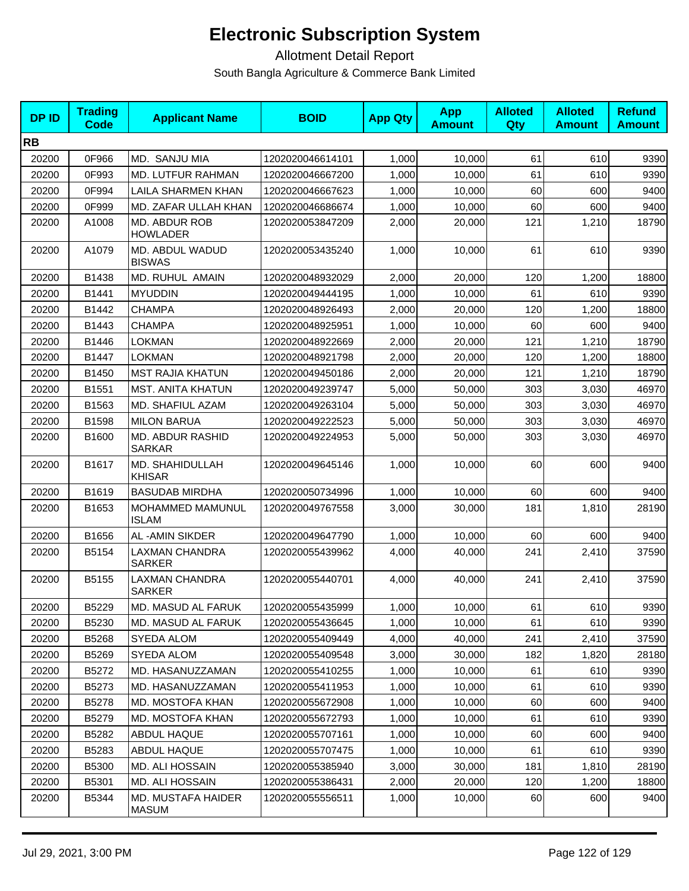| <b>DPID</b> | <b>Trading</b><br><b>Code</b> | <b>Applicant Name</b>                  | <b>BOID</b>      | <b>App Qty</b> | <b>App</b><br><b>Amount</b> | <b>Alloted</b><br>Qty | <b>Alloted</b><br><b>Amount</b> | <b>Refund</b><br><b>Amount</b> |
|-------------|-------------------------------|----------------------------------------|------------------|----------------|-----------------------------|-----------------------|---------------------------------|--------------------------------|
| <b>RB</b>   |                               |                                        |                  |                |                             |                       |                                 |                                |
| 20200       | 0F966                         | MD. SANJU MIA                          | 1202020046614101 | 1,000          | 10,000                      | 61                    | 610                             | 9390                           |
| 20200       | 0F993                         | MD. LUTFUR RAHMAN                      | 1202020046667200 | 1,000          | 10,000                      | 61                    | 610                             | 9390                           |
| 20200       | 0F994                         | LAILA SHARMEN KHAN                     | 1202020046667623 | 1,000          | 10,000                      | 60                    | 600                             | 9400                           |
| 20200       | 0F999                         | MD. ZAFAR ULLAH KHAN                   | 1202020046686674 | 1,000          | 10,000                      | 60                    | 600                             | 9400                           |
| 20200       | A1008                         | MD. ABDUR ROB<br><b>HOWLADER</b>       | 1202020053847209 | 2,000          | 20,000                      | 121                   | 1,210                           | 18790                          |
| 20200       | A1079                         | MD. ABDUL WADUD<br><b>BISWAS</b>       | 1202020053435240 | 1,000          | 10,000                      | 61                    | 610                             | 9390                           |
| 20200       | B1438                         | <b>MD. RUHUL AMAIN</b>                 | 1202020048932029 | 2,000          | 20,000                      | 120                   | 1,200                           | 18800                          |
| 20200       | B1441                         | <b>MYUDDIN</b>                         | 1202020049444195 | 1,000          | 10,000                      | 61                    | 610                             | 9390                           |
| 20200       | B1442                         | <b>CHAMPA</b>                          | 1202020048926493 | 2,000          | 20,000                      | 120                   | 1,200                           | 18800                          |
| 20200       | B1443                         | <b>CHAMPA</b>                          | 1202020048925951 | 1,000          | 10,000                      | 60                    | 600                             | 9400                           |
| 20200       | B1446                         | <b>LOKMAN</b>                          | 1202020048922669 | 2,000          | 20,000                      | 121                   | 1,210                           | 18790                          |
| 20200       | B1447                         | <b>LOKMAN</b>                          | 1202020048921798 | 2,000          | 20,000                      | 120                   | 1,200                           | 18800                          |
| 20200       | B1450                         | <b>MST RAJIA KHATUN</b>                | 1202020049450186 | 2,000          | 20,000                      | 121                   | 1,210                           | 18790                          |
| 20200       | B1551                         | <b>MST. ANITA KHATUN</b>               | 1202020049239747 | 5,000          | 50,000                      | 303                   | 3,030                           | 46970                          |
| 20200       | B1563                         | MD. SHAFIUL AZAM                       | 1202020049263104 | 5,000          | 50,000                      | 303                   | 3,030                           | 46970                          |
| 20200       | B1598                         | <b>MILON BARUA</b>                     | 1202020049222523 | 5,000          | 50,000                      | 303                   | 3,030                           | 46970                          |
| 20200       | B1600                         | MD. ABDUR RASHID<br><b>SARKAR</b>      | 1202020049224953 | 5,000          | 50,000                      | 303                   | 3,030                           | 46970                          |
| 20200       | B1617                         | MD. SHAHIDULLAH<br><b>KHISAR</b>       | 1202020049645146 | 1,000          | 10,000                      | 60                    | 600                             | 9400                           |
| 20200       | B1619                         | <b>BASUDAB MIRDHA</b>                  | 1202020050734996 | 1,000          | 10,000                      | 60                    | 600                             | 9400                           |
| 20200       | B1653                         | MOHAMMED MAMUNUL<br><b>ISLAM</b>       | 1202020049767558 | 3,000          | 30,000                      | 181                   | 1,810                           | 28190                          |
| 20200       | B1656                         | AL-AMIN SIKDER                         | 1202020049647790 | 1,000          | 10,000                      | 60                    | 600                             | 9400                           |
| 20200       | B5154                         | <b>LAXMAN CHANDRA</b><br><b>SARKER</b> | 1202020055439962 | 4,000          | 40,000                      | 241                   | 2,410                           | 37590                          |
| 20200       | B5155                         | <b>LAXMAN CHANDRA</b><br><b>SARKER</b> | 1202020055440701 | 4,000          | 40.000                      | 241                   | 2,410                           | 37590                          |
| 20200       | B5229                         | MD. MASUD AL FARUK                     | 1202020055435999 | 1,000          | 10,000                      | 61                    | 610                             | 9390                           |
| 20200       | B5230                         | MD. MASUD AL FARUK                     | 1202020055436645 | 1,000          | 10,000                      | 61                    | 610                             | 9390                           |
| 20200       | B5268                         | SYEDA ALOM                             | 1202020055409449 | 4,000          | 40,000                      | 241                   | 2,410                           | 37590                          |
| 20200       | B5269                         | SYEDA ALOM                             | 1202020055409548 | 3,000          | 30,000                      | 182                   | 1,820                           | 28180                          |
| 20200       | B5272                         | MD. HASANUZZAMAN                       | 1202020055410255 | 1,000          | 10.000                      | 61                    | 610                             | 9390                           |
| 20200       | B5273                         | MD. HASANUZZAMAN                       | 1202020055411953 | 1,000          | 10,000                      | 61                    | 610                             | 9390                           |
| 20200       | B5278                         | MD. MOSTOFA KHAN                       | 1202020055672908 | 1,000          | 10,000                      | 60                    | 600                             | 9400                           |
| 20200       | B5279                         | MD. MOSTOFA KHAN                       | 1202020055672793 | 1,000          | 10,000                      | 61                    | 610                             | 9390                           |
| 20200       | B5282                         | ABDUL HAQUE                            | 1202020055707161 | 1,000          | 10,000                      | 60                    | 600                             | 9400                           |
| 20200       | B5283                         | <b>ABDUL HAQUE</b>                     | 1202020055707475 | 1,000          | 10,000                      | 61                    | 610                             | 9390                           |
| 20200       | <b>B5300</b>                  | MD. ALI HOSSAIN                        | 1202020055385940 | 3,000          | 30,000                      | 181                   | 1,810                           | 28190                          |
| 20200       | B5301                         | MD. ALI HOSSAIN                        | 1202020055386431 | 2,000          | 20,000                      | 120                   | 1,200                           | 18800                          |
| 20200       | B5344                         | MD. MUSTAFA HAIDER<br><b>MASUM</b>     | 1202020055556511 | 1,000          | 10,000                      | 60                    | 600                             | 9400                           |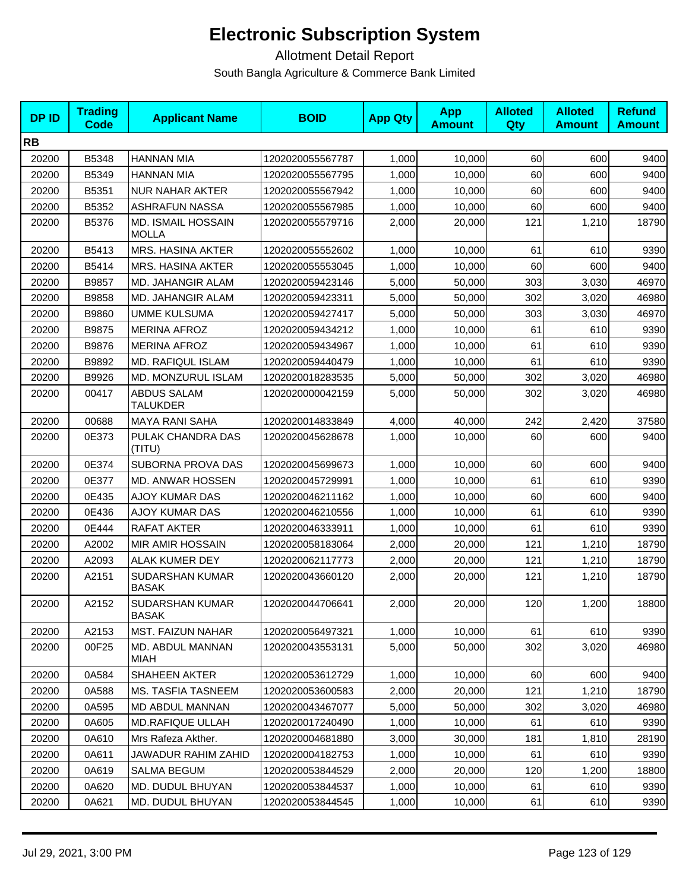| <b>DPID</b> | <b>Trading</b><br><b>Code</b> | <b>Applicant Name</b>                 | <b>BOID</b>      | <b>App Qty</b> | <b>App</b><br><b>Amount</b> | <b>Alloted</b><br><b>Qty</b> | <b>Alloted</b><br><b>Amount</b> | <b>Refund</b><br><b>Amount</b> |
|-------------|-------------------------------|---------------------------------------|------------------|----------------|-----------------------------|------------------------------|---------------------------------|--------------------------------|
| <b>RB</b>   |                               |                                       |                  |                |                             |                              |                                 |                                |
| 20200       | B5348                         | <b>HANNAN MIA</b>                     | 1202020055567787 | 1,000          | 10,000                      | 60                           | 600                             | 9400                           |
| 20200       | B5349                         | <b>HANNAN MIA</b>                     | 1202020055567795 | 1,000          | 10,000                      | 60                           | 600                             | 9400                           |
| 20200       | B5351                         | <b>NUR NAHAR AKTER</b>                | 1202020055567942 | 1,000          | 10,000                      | 60                           | 600                             | 9400                           |
| 20200       | B5352                         | <b>ASHRAFUN NASSA</b>                 | 1202020055567985 | 1,000          | 10,000                      | 60                           | 600                             | 9400                           |
| 20200       | B5376                         | MD. ISMAIL HOSSAIN<br><b>MOLLA</b>    | 1202020055579716 | 2,000          | 20,000                      | 121                          | 1,210                           | 18790                          |
| 20200       | B5413                         | <b>MRS. HASINA AKTER</b>              | 1202020055552602 | 1,000          | 10,000                      | 61                           | 610                             | 9390                           |
| 20200       | B5414                         | <b>MRS. HASINA AKTER</b>              | 1202020055553045 | 1,000          | 10,000                      | 60                           | 600                             | 9400                           |
| 20200       | B9857                         | MD. JAHANGIR ALAM                     | 1202020059423146 | 5,000          | 50,000                      | 303                          | 3,030                           | 46970                          |
| 20200       | B9858                         | MD. JAHANGIR ALAM                     | 1202020059423311 | 5,000          | 50,000                      | 302                          | 3,020                           | 46980                          |
| 20200       | B9860                         | <b>UMME KULSUMA</b>                   | 1202020059427417 | 5,000          | 50,000                      | 303                          | 3,030                           | 46970                          |
| 20200       | B9875                         | <b>MERINA AFROZ</b>                   | 1202020059434212 | 1,000          | 10,000                      | 61                           | 610                             | 9390                           |
| 20200       | B9876                         | <b>MERINA AFROZ</b>                   | 1202020059434967 | 1,000          | 10,000                      | 61                           | 610                             | 9390                           |
| 20200       | B9892                         | <b>MD. RAFIQUL ISLAM</b>              | 1202020059440479 | 1,000          | 10,000                      | 61                           | 610                             | 9390                           |
| 20200       | B9926                         | MD. MONZURUL ISLAM                    | 1202020018283535 | 5,000          | 50,000                      | 302                          | 3,020                           | 46980                          |
| 20200       | 00417                         | <b>ABDUS SALAM</b><br><b>TALUKDER</b> | 1202020000042159 | 5,000          | 50,000                      | 302                          | 3,020                           | 46980                          |
| 20200       | 00688                         | <b>MAYA RANI SAHA</b>                 | 1202020014833849 | 4,000          | 40,000                      | 242                          | 2,420                           | 37580                          |
| 20200       | 0E373                         | PULAK CHANDRA DAS<br>(TITU)           | 1202020045628678 | 1,000          | 10,000                      | 60                           | 600                             | 9400                           |
| 20200       | 0E374                         | SUBORNA PROVA DAS                     | 1202020045699673 | 1,000          | 10,000                      | 60                           | 600                             | 9400                           |
| 20200       | 0E377                         | MD. ANWAR HOSSEN                      | 1202020045729991 | 1,000          | 10,000                      | 61                           | 610                             | 9390                           |
| 20200       | 0E435                         | <b>AJOY KUMAR DAS</b>                 | 1202020046211162 | 1,000          | 10,000                      | 60                           | 600                             | 9400                           |
| 20200       | 0E436                         | <b>AJOY KUMAR DAS</b>                 | 1202020046210556 | 1,000          | 10,000                      | 61                           | 610                             | 9390                           |
| 20200       | 0E444                         | RAFAT AKTER                           | 1202020046333911 | 1,000          | 10,000                      | 61                           | 610                             | 9390                           |
| 20200       | A2002                         | <b>MIR AMIR HOSSAIN</b>               | 1202020058183064 | 2,000          | 20,000                      | 121                          | 1,210                           | 18790                          |
| 20200       | A2093                         | <b>ALAK KUMER DEY</b>                 | 1202020062117773 | 2,000          | 20,000                      | 121                          | 1,210                           | 18790                          |
| 20200       | A2151                         | SUDARSHAN KUMAR<br><b>BASAK</b>       | 1202020043660120 | 2,000          | 20,000                      | 121                          | 1,210                           | 18790                          |
| 20200       | A2152                         | SUDARSHAN KUMAR<br><b>BASAK</b>       | 1202020044706641 | 2,000          | 20,000                      | 120                          | 1,200                           | 18800                          |
| 20200       | A2153                         | <b>MST. FAIZUN NAHAR</b>              | 1202020056497321 | 1,000          | 10,000                      | 61                           | 610                             | 9390                           |
| 20200       | 00F25                         | MD. ABDUL MANNAN<br>MIAH              | 1202020043553131 | 5,000          | 50,000                      | 302                          | 3,020                           | 46980                          |
| 20200       | 0A584                         | SHAHEEN AKTER                         | 1202020053612729 | 1,000          | 10,000                      | 60                           | 600                             | 9400                           |
| 20200       | 0A588                         | <b>MS. TASFIA TASNEEM</b>             | 1202020053600583 | 2,000          | 20,000                      | 121                          | 1,210                           | 18790                          |
| 20200       | 0A595                         | MD ABDUL MANNAN                       | 1202020043467077 | 5,000          | 50,000                      | 302                          | 3,020                           | 46980                          |
| 20200       | 0A605                         | <b>MD.RAFIQUE ULLAH</b>               | 1202020017240490 | 1,000          | 10,000                      | 61                           | 610                             | 9390                           |
| 20200       | 0A610                         | Mrs Rafeza Akther.                    | 1202020004681880 | 3,000          | 30,000                      | 181                          | 1,810                           | 28190                          |
| 20200       | 0A611                         | JAWADUR RAHIM ZAHID                   | 1202020004182753 | 1,000          | 10,000                      | 61                           | 610                             | 9390                           |
| 20200       | 0A619                         | SALMA BEGUM                           | 1202020053844529 | 2,000          | 20,000                      | 120                          | 1,200                           | 18800                          |
| 20200       | 0A620                         | MD. DUDUL BHUYAN                      | 1202020053844537 | 1,000          | 10,000                      | 61                           | 610                             | 9390                           |
| 20200       | 0A621                         | MD. DUDUL BHUYAN                      | 1202020053844545 | 1,000          | 10,000                      | 61                           | 610                             | 9390                           |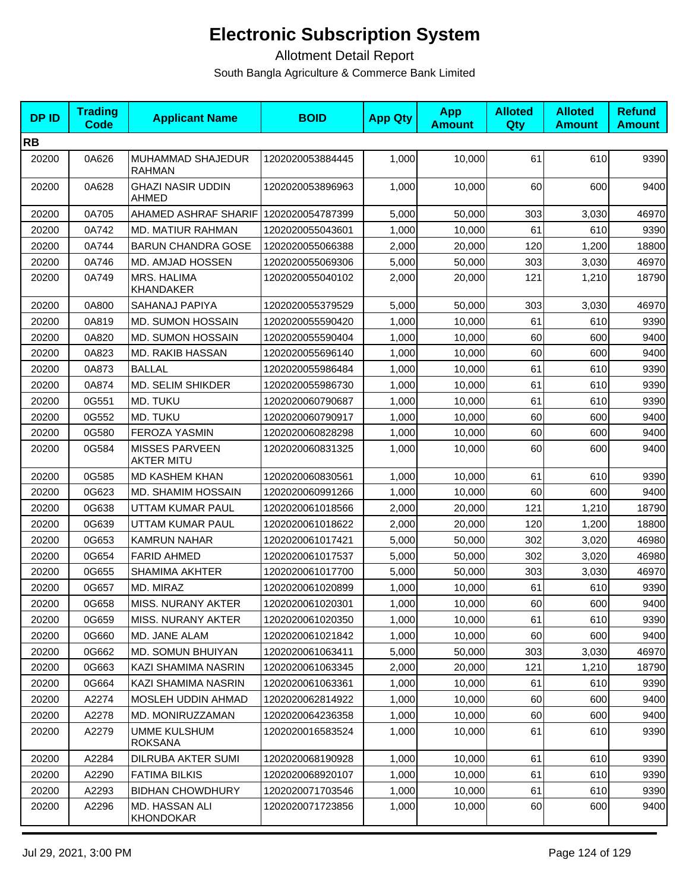| <b>DPID</b> | <b>Trading</b><br>Code | <b>Applicant Name</b>                      | <b>BOID</b>      | <b>App Qty</b> | <b>App</b><br><b>Amount</b> | <b>Alloted</b><br><b>Qty</b> | <b>Alloted</b><br><b>Amount</b> | <b>Refund</b><br><b>Amount</b> |
|-------------|------------------------|--------------------------------------------|------------------|----------------|-----------------------------|------------------------------|---------------------------------|--------------------------------|
| <b>RB</b>   |                        |                                            |                  |                |                             |                              |                                 |                                |
| 20200       | 0A626                  | MUHAMMAD SHAJEDUR<br><b>RAHMAN</b>         | 1202020053884445 | 1,000          | 10,000                      | 61                           | 610                             | 9390                           |
| 20200       | 0A628                  | <b>GHAZI NASIR UDDIN</b><br><b>AHMED</b>   | 1202020053896963 | 1,000          | 10,000                      | 60                           | 600                             | 9400                           |
| 20200       | 0A705                  | AHAMED ASHRAF SHARIF                       | 1202020054787399 | 5,000          | 50,000                      | 303                          | 3,030                           | 46970                          |
| 20200       | 0A742                  | <b>MD. MATIUR RAHMAN</b>                   | 1202020055043601 | 1,000          | 10.000                      | 61                           | 610                             | 9390                           |
| 20200       | 0A744                  | <b>BARUN CHANDRA GOSE</b>                  | 1202020055066388 | 2,000          | 20,000                      | 120                          | 1,200                           | 18800                          |
| 20200       | 0A746                  | MD. AMJAD HOSSEN                           | 1202020055069306 | 5,000          | 50,000                      | 303                          | 3,030                           | 46970                          |
| 20200       | 0A749                  | MRS. HALIMA<br><b>KHANDAKER</b>            | 1202020055040102 | 2,000          | 20,000                      | 121                          | 1,210                           | 18790                          |
| 20200       | 0A800                  | SAHANAJ PAPIYA                             | 1202020055379529 | 5,000          | 50,000                      | 303                          | 3,030                           | 46970                          |
| 20200       | 0A819                  | MD. SUMON HOSSAIN                          | 1202020055590420 | 1,000          | 10,000                      | 61                           | 610                             | 9390                           |
| 20200       | 0A820                  | MD. SUMON HOSSAIN                          | 1202020055590404 | 1,000          | 10,000                      | 60                           | 600                             | 9400                           |
| 20200       | 0A823                  | <b>MD. RAKIB HASSAN</b>                    | 1202020055696140 | 1,000          | 10,000                      | 60                           | 600                             | 9400                           |
| 20200       | 0A873                  | <b>BALLAL</b>                              | 1202020055986484 | 1,000          | 10,000                      | 61                           | 610                             | 9390                           |
| 20200       | 0A874                  | <b>MD. SELIM SHIKDER</b>                   | 1202020055986730 | 1,000          | 10,000                      | 61                           | 610                             | 9390                           |
| 20200       | 0G551                  | MD. TUKU                                   | 1202020060790687 | 1,000          | 10,000                      | 61                           | 610                             | 9390                           |
| 20200       | 0G552                  | MD. TUKU                                   | 1202020060790917 | 1,000          | 10,000                      | 60                           | 600                             | 9400                           |
| 20200       | 0G580                  | FEROZA YASMIN                              | 1202020060828298 | 1,000          | 10,000                      | 60                           | 600                             | 9400                           |
| 20200       | 0G584                  | <b>MISSES PARVEEN</b><br><b>AKTER MITU</b> | 1202020060831325 | 1,000          | 10,000                      | 60                           | 600                             | 9400                           |
| 20200       | 0G585                  | <b>MD KASHEM KHAN</b>                      | 1202020060830561 | 1,000          | 10,000                      | 61                           | 610                             | 9390                           |
| 20200       | 0G623                  | MD. SHAMIM HOSSAIN                         | 1202020060991266 | 1,000          | 10,000                      | 60                           | 600                             | 9400                           |
| 20200       | 0G638                  | UTTAM KUMAR PAUL                           | 1202020061018566 | 2,000          | 20,000                      | 121                          | 1,210                           | 18790                          |
| 20200       | 0G639                  | UTTAM KUMAR PAUL                           | 1202020061018622 | 2,000          | 20,000                      | 120                          | 1,200                           | 18800                          |
| 20200       | 0G653                  | <b>KAMRUN NAHAR</b>                        | 1202020061017421 | 5,000          | 50,000                      | 302                          | 3,020                           | 46980                          |
| 20200       | 0G654                  | <b>FARID AHMED</b>                         | 1202020061017537 | 5,000          | 50,000                      | 302                          | 3,020                           | 46980                          |
| 20200       | 0G655                  | <b>SHAMIMA AKHTER</b>                      | 1202020061017700 | 5,000          | 50,000                      | 303                          | 3,030                           | 46970                          |
| 20200       | 0G657                  | MD. MIRAZ                                  | 1202020061020899 | 1,000          | 10,000                      | 61                           | 610                             | 9390                           |
| 20200       | 0G658                  | MISS. NURANY AKTER                         | 1202020061020301 | 1,000          | 10,000                      | 60                           | 600                             | 9400                           |
| 20200       | 0G659                  | MISS. NURANY AKTER                         | 1202020061020350 | 1,000          | 10,000                      | 61                           | 610                             | 9390                           |
| 20200       | 0G660                  | MD. JANE ALAM                              | 1202020061021842 | 1,000          | 10,000                      | 60                           | 600                             | 9400                           |
| 20200       | 0G662                  | MD. SOMUN BHUIYAN                          | 1202020061063411 | 5,000          | 50,000                      | 303                          | 3,030                           | 46970                          |
| 20200       | 0G663                  | KAZI SHAMIMA NASRIN                        | 1202020061063345 | 2,000          | 20,000                      | 121                          | 1,210                           | 18790                          |
| 20200       | 0G664                  | KAZI SHAMIMA NASRIN                        | 1202020061063361 | 1,000          | 10,000                      | 61                           | 610                             | 9390                           |
| 20200       | A2274                  | MOSLEH UDDIN AHMAD                         | 1202020062814922 | 1,000          | 10,000                      | 60                           | 600                             | 9400                           |
| 20200       | A2278                  | MD. MONIRUZZAMAN                           | 1202020064236358 | 1,000          | 10,000                      | 60                           | 600                             | 9400                           |
| 20200       | A2279                  | UMME KULSHUM<br><b>ROKSANA</b>             | 1202020016583524 | 1,000          | 10,000                      | 61                           | 610                             | 9390                           |
| 20200       | A2284                  | DILRUBA AKTER SUMI                         | 1202020068190928 | 1,000          | 10,000                      | 61                           | 610                             | 9390                           |
| 20200       | A2290                  | <b>FATIMA BILKIS</b>                       | 1202020068920107 | 1,000          | 10,000                      | 61                           | 610                             | 9390                           |
| 20200       | A2293                  | <b>BIDHAN CHOWDHURY</b>                    | 1202020071703546 | 1,000          | 10,000                      | 61                           | 610                             | 9390                           |
| 20200       | A2296                  | MD. HASSAN ALI<br><b>KHONDOKAR</b>         | 1202020071723856 | 1,000          | 10,000                      | 60                           | 600                             | 9400                           |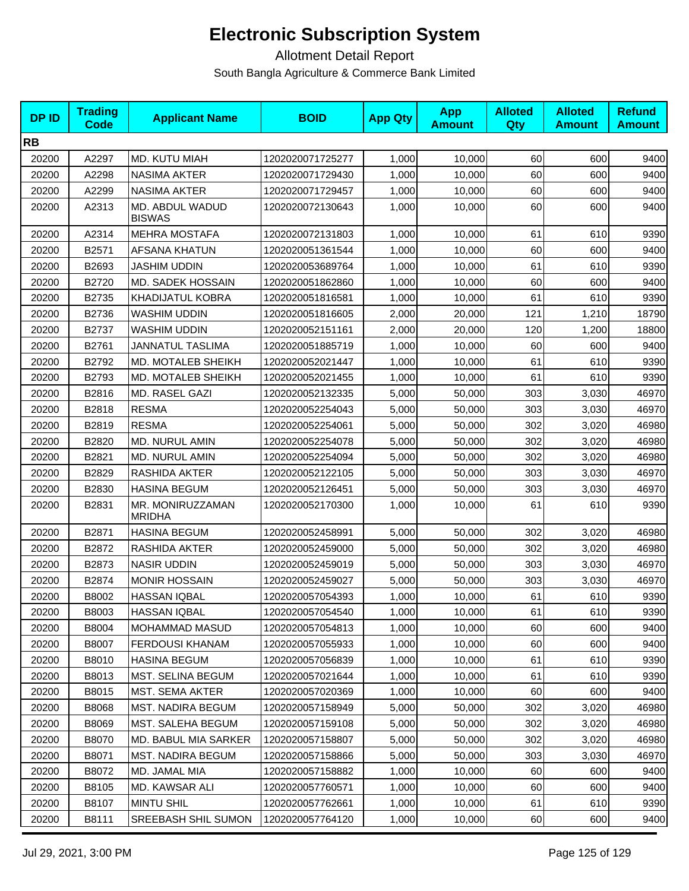| <b>DPID</b> | <b>Trading</b><br><b>Code</b> | <b>Applicant Name</b>             | <b>BOID</b>      | <b>App Qty</b> | <b>App</b><br><b>Amount</b> | <b>Alloted</b><br>Qty | <b>Alloted</b><br><b>Amount</b> | <b>Refund</b><br><b>Amount</b> |
|-------------|-------------------------------|-----------------------------------|------------------|----------------|-----------------------------|-----------------------|---------------------------------|--------------------------------|
| <b>RB</b>   |                               |                                   |                  |                |                             |                       |                                 |                                |
| 20200       | A2297                         | MD. KUTU MIAH                     | 1202020071725277 | 1,000          | 10,000                      | 60                    | 600                             | 9400                           |
| 20200       | A2298                         | <b>NASIMA AKTER</b>               | 1202020071729430 | 1,000          | 10,000                      | 60                    | 600                             | 9400                           |
| 20200       | A2299                         | <b>NASIMA AKTER</b>               | 1202020071729457 | 1,000          | 10,000                      | 60                    | 600                             | 9400                           |
| 20200       | A2313                         | MD. ABDUL WADUD<br><b>BISWAS</b>  | 1202020072130643 | 1,000          | 10,000                      | 60                    | 600                             | 9400                           |
| 20200       | A2314                         | <b>MEHRA MOSTAFA</b>              | 1202020072131803 | 1,000          | 10,000                      | 61                    | 610                             | 9390                           |
| 20200       | B2571                         | AFSANA KHATUN                     | 1202020051361544 | 1,000          | 10,000                      | 60                    | 600                             | 9400                           |
| 20200       | B2693                         | <b>JASHIM UDDIN</b>               | 1202020053689764 | 1,000          | 10,000                      | 61                    | 610                             | 9390                           |
| 20200       | B2720                         | MD. SADEK HOSSAIN                 | 1202020051862860 | 1,000          | 10,000                      | 60                    | 600                             | 9400                           |
| 20200       | B2735                         | KHADIJATUL KOBRA                  | 1202020051816581 | 1,000          | 10,000                      | 61                    | 610                             | 9390                           |
| 20200       | B2736                         | <b>WASHIM UDDIN</b>               | 1202020051816605 | 2,000          | 20,000                      | 121                   | 1,210                           | 18790                          |
| 20200       | B2737                         | <b>WASHIM UDDIN</b>               | 1202020052151161 | 2,000          | 20,000                      | 120                   | 1,200                           | 18800                          |
| 20200       | B2761                         | JANNATUL TASLIMA                  | 1202020051885719 | 1,000          | 10,000                      | 60                    | 600                             | 9400                           |
| 20200       | B2792                         | MD. MOTALEB SHEIKH                | 1202020052021447 | 1,000          | 10,000                      | 61                    | 610                             | 9390                           |
| 20200       | B2793                         | MD. MOTALEB SHEIKH                | 1202020052021455 | 1,000          | 10,000                      | 61                    | 610                             | 9390                           |
| 20200       | B2816                         | MD. RASEL GAZI                    | 1202020052132335 | 5,000          | 50,000                      | 303                   | 3,030                           | 46970                          |
| 20200       | B2818                         | <b>RESMA</b>                      | 1202020052254043 | 5,000          | 50,000                      | 303                   | 3,030                           | 46970                          |
| 20200       | B2819                         | <b>RESMA</b>                      | 1202020052254061 | 5,000          | 50,000                      | 302                   | 3,020                           | 46980                          |
| 20200       | B2820                         | MD. NURUL AMIN                    | 1202020052254078 | 5,000          | 50,000                      | 302                   | 3,020                           | 46980                          |
| 20200       | B2821                         | MD. NURUL AMIN                    | 1202020052254094 | 5,000          | 50,000                      | 302                   | 3,020                           | 46980                          |
| 20200       | B2829                         | RASHIDA AKTER                     | 1202020052122105 | 5,000          | 50,000                      | 303                   | 3,030                           | 46970                          |
| 20200       | B2830                         | <b>HASINA BEGUM</b>               | 1202020052126451 | 5,000          | 50,000                      | 303                   | 3,030                           | 46970                          |
| 20200       | B2831                         | MR. MONIRUZZAMAN<br><b>MRIDHA</b> | 1202020052170300 | 1,000          | 10,000                      | 61                    | 610                             | 9390                           |
| 20200       | B2871                         | <b>HASINA BEGUM</b>               | 1202020052458991 | 5,000          | 50,000                      | 302                   | 3,020                           | 46980                          |
| 20200       | B2872                         | RASHIDA AKTER                     | 1202020052459000 | 5,000          | 50,000                      | 302                   | 3,020                           | 46980                          |
| 20200       | B2873                         | <b>NASIR UDDIN</b>                | 1202020052459019 | 5,000          | 50,000                      | 303                   | 3,030                           | 46970                          |
| 20200       | B2874                         | <b>MONIR HOSSAIN</b>              | 1202020052459027 | 5,000          | 50,000                      | 303                   | 3,030                           | 46970                          |
| 20200       | B8002                         | <b>HASSAN IQBAL</b>               | 1202020057054393 | 1,000          | 10,000                      | 61                    | 610                             | 9390                           |
| 20200       | B8003                         | <b>HASSAN IQBAL</b>               | 1202020057054540 | 1,000          | 10,000                      | 61                    | 610                             | 9390                           |
| 20200       | B8004                         | <b>MOHAMMAD MASUD</b>             | 1202020057054813 | 1,000          | 10,000                      | 60                    | 600                             | 9400                           |
| 20200       | B8007                         | <b>FERDOUSI KHANAM</b>            | 1202020057055933 | 1,000          | 10,000                      | 60                    | 600                             | 9400                           |
| 20200       | B8010                         | <b>HASINA BEGUM</b>               | 1202020057056839 | 1,000          | 10,000                      | 61                    | 610                             | 9390                           |
| 20200       | B8013                         | MST. SELINA BEGUM                 | 1202020057021644 | 1,000          | 10,000                      | 61                    | 610                             | 9390                           |
| 20200       | B8015                         | MST. SEMA AKTER                   | 1202020057020369 | 1,000          | 10,000                      | 60                    | 600                             | 9400                           |
| 20200       | B8068                         | <b>MST. NADIRA BEGUM</b>          | 1202020057158949 | 5,000          | 50,000                      | 302                   | 3,020                           | 46980                          |
| 20200       | B8069                         | MST. SALEHA BEGUM                 | 1202020057159108 | 5,000          | 50,000                      | 302                   | 3,020                           | 46980                          |
| 20200       | B8070                         | MD. BABUL MIA SARKER              | 1202020057158807 | 5,000          | 50,000                      | 302                   | 3,020                           | 46980                          |
| 20200       | B8071                         | <b>MST. NADIRA BEGUM</b>          | 1202020057158866 | 5,000          | 50,000                      | 303                   | 3,030                           | 46970                          |
| 20200       | B8072                         | MD. JAMAL MIA                     | 1202020057158882 | 1,000          | 10,000                      | 60                    | 600                             | 9400                           |
| 20200       | B8105                         | MD. KAWSAR ALI                    | 1202020057760571 | 1,000          | 10,000                      | 60                    | 600                             | 9400                           |
| 20200       | B8107                         | MINTU SHIL                        | 1202020057762661 | 1,000          | 10,000                      | 61                    | 610                             | 9390                           |
| 20200       | B8111                         | SREEBASH SHIL SUMON               | 1202020057764120 | 1,000          | 10,000                      | 60                    | 600                             | 9400                           |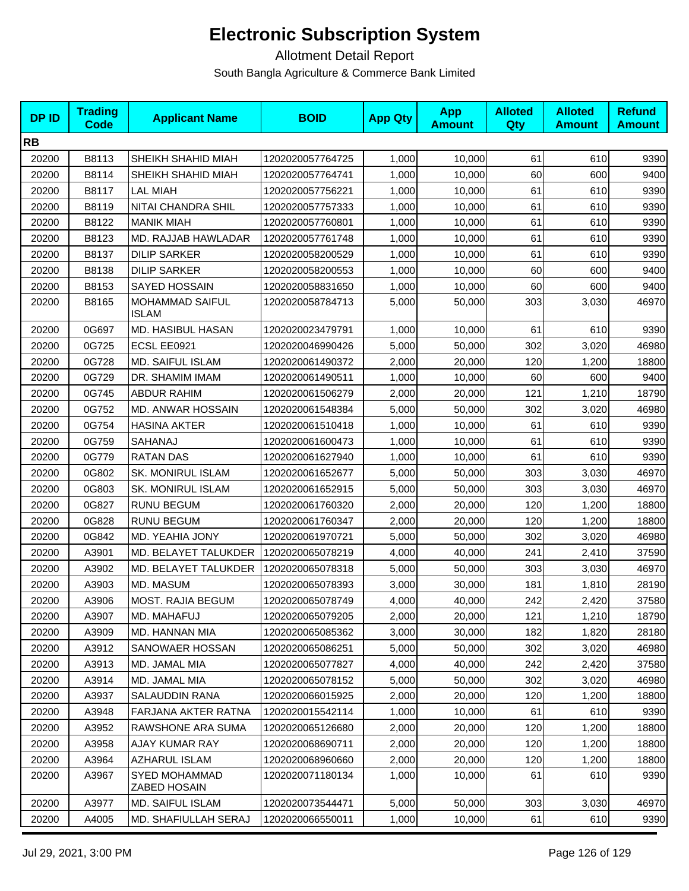| <b>DPID</b> | <b>Trading</b><br>Code | <b>Applicant Name</b>                | <b>BOID</b>      | <b>App Qty</b> | <b>App</b><br><b>Amount</b> | <b>Alloted</b><br><b>Qty</b> | <b>Alloted</b><br><b>Amount</b> | <b>Refund</b><br><b>Amount</b> |
|-------------|------------------------|--------------------------------------|------------------|----------------|-----------------------------|------------------------------|---------------------------------|--------------------------------|
| <b>RB</b>   |                        |                                      |                  |                |                             |                              |                                 |                                |
| 20200       | B8113                  | SHEIKH SHAHID MIAH                   | 1202020057764725 | 1,000          | 10,000                      | 61                           | 610                             | 9390                           |
| 20200       | B8114                  | SHEIKH SHAHID MIAH                   | 1202020057764741 | 1,000          | 10,000                      | 60                           | 600                             | 9400                           |
| 20200       | B8117                  | <b>LAL MIAH</b>                      | 1202020057756221 | 1,000          | 10,000                      | 61                           | 610                             | 9390                           |
| 20200       | B8119                  | NITAI CHANDRA SHIL                   | 1202020057757333 | 1,000          | 10,000                      | 61                           | 610                             | 9390                           |
| 20200       | B8122                  | <b>MANIK MIAH</b>                    | 1202020057760801 | 1,000          | 10,000                      | 61                           | 610                             | 9390                           |
| 20200       | B8123                  | MD. RAJJAB HAWLADAR                  | 1202020057761748 | 1,000          | 10,000                      | 61                           | 610                             | 9390                           |
| 20200       | B8137                  | <b>DILIP SARKER</b>                  | 1202020058200529 | 1,000          | 10,000                      | 61                           | 610                             | 9390                           |
| 20200       | B8138                  | <b>DILIP SARKER</b>                  | 1202020058200553 | 1,000          | 10,000                      | 60                           | 600                             | 9400                           |
| 20200       | B8153                  | <b>SAYED HOSSAIN</b>                 | 1202020058831650 | 1,000          | 10,000                      | 60                           | 600                             | 9400                           |
| 20200       | B8165                  | MOHAMMAD SAIFUL<br><b>ISLAM</b>      | 1202020058784713 | 5,000          | 50,000                      | 303                          | 3,030                           | 46970                          |
| 20200       | 0G697                  | MD. HASIBUL HASAN                    | 1202020023479791 | 1,000          | 10,000                      | 61                           | 610                             | 9390                           |
| 20200       | 0G725                  | ECSL EE0921                          | 1202020046990426 | 5,000          | 50,000                      | 302                          | 3,020                           | 46980                          |
| 20200       | 0G728                  | MD. SAIFUL ISLAM                     | 1202020061490372 | 2,000          | 20,000                      | 120                          | 1,200                           | 18800                          |
| 20200       | 0G729                  | DR. SHAMIM IMAM                      | 1202020061490511 | 1,000          | 10,000                      | 60                           | 600                             | 9400                           |
| 20200       | 0G745                  | <b>ABDUR RAHIM</b>                   | 1202020061506279 | 2,000          | 20,000                      | 121                          | 1,210                           | 18790                          |
| 20200       | 0G752                  | MD. ANWAR HOSSAIN                    | 1202020061548384 | 5,000          | 50,000                      | 302                          | 3,020                           | 46980                          |
| 20200       | 0G754                  | <b>HASINA AKTER</b>                  | 1202020061510418 | 1,000          | 10,000                      | 61                           | 610                             | 9390                           |
| 20200       | 0G759                  | SAHANAJ                              | 1202020061600473 | 1,000          | 10,000                      | 61                           | 610                             | 9390                           |
| 20200       | 0G779                  | <b>RATAN DAS</b>                     | 1202020061627940 | 1,000          | 10,000                      | 61                           | 610                             | 9390                           |
| 20200       | 0G802                  | <b>SK. MONIRUL ISLAM</b>             | 1202020061652677 | 5,000          | 50,000                      | 303                          | 3,030                           | 46970                          |
| 20200       | 0G803                  | <b>SK. MONIRUL ISLAM</b>             | 1202020061652915 | 5,000          | 50,000                      | 303                          | 3,030                           | 46970                          |
| 20200       | 0G827                  | <b>RUNU BEGUM</b>                    | 1202020061760320 | 2,000          | 20,000                      | 120                          | 1,200                           | 18800                          |
| 20200       | 0G828                  | <b>RUNU BEGUM</b>                    | 1202020061760347 | 2,000          | 20,000                      | 120                          | 1,200                           | 18800                          |
| 20200       | 0G842                  | MD. YEAHIA JONY                      | 1202020061970721 | 5,000          | 50,000                      | 302                          | 3,020                           | 46980                          |
| 20200       | A3901                  | MD. BELAYET TALUKDER                 | 1202020065078219 | 4,000          | 40,000                      | 241                          | 2,410                           | 37590                          |
| 20200       | A3902                  | MD. BELAYET TALUKDER                 | 1202020065078318 | 5,000          | 50,000                      | 303                          | 3,030                           | 46970                          |
| 20200       | A3903                  | MD. MASUM                            | 1202020065078393 | 3,000          | 30,000                      | 181                          | 1,810                           | 28190                          |
| 20200       | A3906                  | MOST. RAJIA BEGUM                    | 1202020065078749 | 4,000          | 40,000                      | 242                          | 2,420                           | 37580                          |
| 20200       | A3907                  | MD. MAHAFUJ                          | 1202020065079205 | 2,000          | 20,000                      | 121                          | 1,210                           | 18790                          |
| 20200       | A3909                  | MD. HANNAN MIA                       | 1202020065085362 | 3,000          | 30,000                      | 182                          | 1,820                           | 28180                          |
| 20200       | A3912                  | SANOWAER HOSSAN                      | 1202020065086251 | 5,000          | 50,000                      | 302                          | 3,020                           | 46980                          |
| 20200       | A3913                  | MD. JAMAL MIA                        | 1202020065077827 | 4,000          | 40,000                      | 242                          | 2,420                           | 37580                          |
| 20200       | A3914                  | MD. JAMAL MIA                        | 1202020065078152 | 5,000          | 50,000                      | 302                          | 3,020                           | 46980                          |
| 20200       | A3937                  | <b>SALAUDDIN RANA</b>                | 1202020066015925 | 2,000          | 20,000                      | 120                          | 1,200                           | 18800                          |
| 20200       | A3948                  | FARJANA AKTER RATNA                  | 1202020015542114 | 1,000          | 10,000                      | 61                           | 610                             | 9390                           |
| 20200       | A3952                  | RAWSHONE ARA SUMA                    | 1202020065126680 | 2,000          | 20,000                      | 120                          | 1,200                           | 18800                          |
| 20200       | A3958                  | AJAY KUMAR RAY                       | 1202020068690711 | 2,000          | 20,000                      | 120                          | 1,200                           | 18800                          |
| 20200       | A3964                  | <b>AZHARUL ISLAM</b>                 | 1202020068960660 | 2,000          | 20,000                      | 120                          | 1,200                           | 18800                          |
| 20200       | A3967                  | <b>SYED MOHAMMAD</b><br>ZABED HOSAIN | 1202020071180134 | 1,000          | 10,000                      | 61                           | 610                             | 9390                           |
| 20200       | A3977                  | MD. SAIFUL ISLAM                     | 1202020073544471 | 5,000          | 50,000                      | 303                          | 3,030                           | 46970                          |
| 20200       | A4005                  | MD. SHAFIULLAH SERAJ                 | 1202020066550011 | 1,000          | 10,000                      | 61                           | 610                             | 9390                           |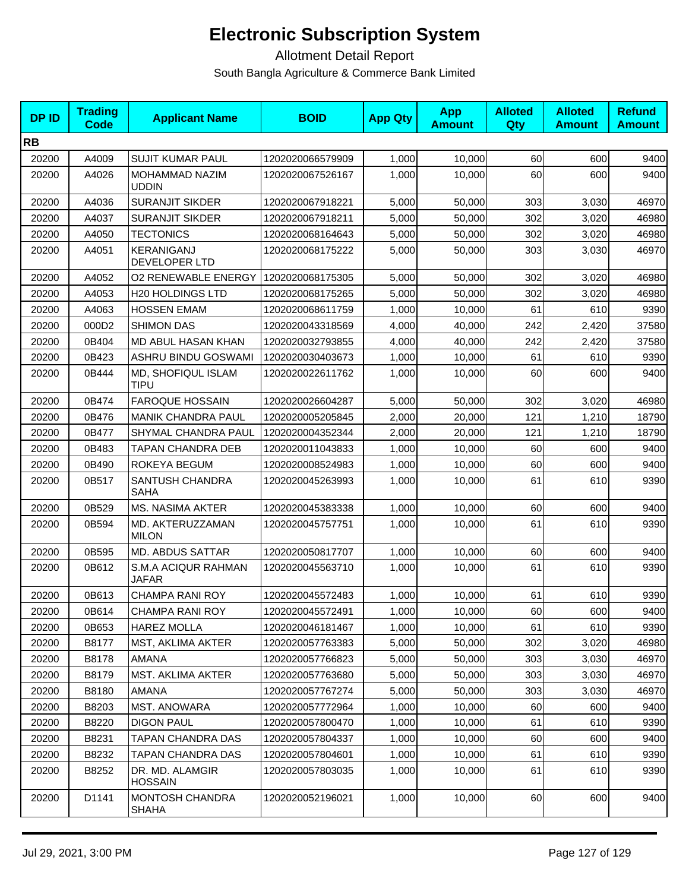| <b>DPID</b> | <b>Trading</b><br>Code | <b>Applicant Name</b>                  | <b>BOID</b>      | <b>App Qty</b> | <b>App</b><br><b>Amount</b> | <b>Alloted</b><br><b>Qty</b> | <b>Alloted</b><br><b>Amount</b> | <b>Refund</b><br><b>Amount</b> |
|-------------|------------------------|----------------------------------------|------------------|----------------|-----------------------------|------------------------------|---------------------------------|--------------------------------|
| <b>RB</b>   |                        |                                        |                  |                |                             |                              |                                 |                                |
| 20200       | A4009                  | <b>SUJIT KUMAR PAUL</b>                | 1202020066579909 | 1,000          | 10,000                      | 60                           | 600                             | 9400                           |
| 20200       | A4026                  | MOHAMMAD NAZIM<br><b>UDDIN</b>         | 1202020067526167 | 1,000          | 10,000                      | 60                           | 600                             | 9400                           |
| 20200       | A4036                  | <b>SURANJIT SIKDER</b>                 | 1202020067918221 | 5,000          | 50,000                      | 303                          | 3,030                           | 46970                          |
| 20200       | A4037                  | <b>SURANJIT SIKDER</b>                 | 1202020067918211 | 5,000          | 50,000                      | 302                          | 3,020                           | 46980                          |
| 20200       | A4050                  | <b>TECTONICS</b>                       | 1202020068164643 | 5,000          | 50,000                      | 302                          | 3,020                           | 46980                          |
| 20200       | A4051                  | KERANIGANJ<br>DEVELOPER LTD            | 1202020068175222 | 5.000          | 50,000                      | 303                          | 3,030                           | 46970                          |
| 20200       | A4052                  | <b>O2 RENEWABLE ENERGY</b>             | 1202020068175305 | 5,000          | 50,000                      | 302                          | 3,020                           | 46980                          |
| 20200       | A4053                  | <b>H20 HOLDINGS LTD</b>                | 1202020068175265 | 5,000          | 50,000                      | 302                          | 3,020                           | 46980                          |
| 20200       | A4063                  | <b>HOSSEN EMAM</b>                     | 1202020068611759 | 1,000          | 10,000                      | 61                           | 610                             | 9390                           |
| 20200       | 000D2                  | <b>SHIMON DAS</b>                      | 1202020043318569 | 4,000          | 40,000                      | 242                          | 2,420                           | 37580                          |
| 20200       | 0B404                  | MD ABUL HASAN KHAN                     | 1202020032793855 | 4,000          | 40,000                      | 242                          | 2,420                           | 37580                          |
| 20200       | 0B423                  | ASHRU BINDU GOSWAMI                    | 1202020030403673 | 1,000          | 10,000                      | 61                           | 610                             | 9390                           |
| 20200       | 0B444                  | MD, SHOFIQUL ISLAM<br>TIPU             | 1202020022611762 | 1,000          | 10,000                      | 60                           | 600                             | 9400                           |
| 20200       | 0B474                  | <b>FAROQUE HOSSAIN</b>                 | 1202020026604287 | 5,000          | 50.000                      | 302                          | 3,020                           | 46980                          |
| 20200       | 0B476                  | <b>MANIK CHANDRA PAUL</b>              | 1202020005205845 | 2,000          | 20,000                      | 121                          | 1,210                           | 18790                          |
| 20200       | 0B477                  | SHYMAL CHANDRA PAUL                    | 1202020004352344 | 2,000          | 20,000                      | 121                          | 1,210                           | 18790                          |
| 20200       | 0B483                  | TAPAN CHANDRA DEB                      | 1202020011043833 | 1,000          | 10,000                      | 60                           | 600                             | 9400                           |
| 20200       | 0B490                  | ROKEYA BEGUM                           | 1202020008524983 | 1,000          | 10,000                      | 60                           | 600                             | 9400                           |
| 20200       | 0B517                  | SANTUSH CHANDRA<br>SAHA                | 1202020045263993 | 1,000          | 10,000                      | 61                           | 610                             | 9390                           |
| 20200       | 0B529                  | <b>MS. NASIMA AKTER</b>                | 1202020045383338 | 1,000          | 10,000                      | 60                           | 600                             | 9400                           |
| 20200       | 0B594                  | MD. AKTERUZZAMAN<br><b>MILON</b>       | 1202020045757751 | 1,000          | 10,000                      | 61                           | 610                             | 9390                           |
| 20200       | 0B595                  | MD. ABDUS SATTAR                       | 1202020050817707 | 1,000          | 10,000                      | 60                           | 600                             | 9400                           |
| 20200       | 0B612                  | S.M.A ACIQUR RAHMAN<br><b>JAFAR</b>    | 1202020045563710 | 1,000          | 10,000                      | 61                           | 610                             | 9390                           |
| 20200       | 0B613                  | <b>CHAMPA RANI ROY</b>                 | 1202020045572483 | 1,000          | 10,000                      | 61                           | 610                             | 9390                           |
| 20200       | 0B614                  | CHAMPA RANI ROY                        | 1202020045572491 | 1,000          | 10,000                      | 60                           | 600                             | 9400                           |
| 20200       | 0B653                  | <b>HAREZ MOLLA</b>                     | 1202020046181467 | 1,000          | 10,000                      | 61                           | 610                             | 9390                           |
| 20200       | B8177                  | <b>MST, AKLIMA AKTER</b>               | 1202020057763383 | 5,000          | 50,000                      | 302                          | 3,020                           | 46980                          |
| 20200       | B8178                  | AMANA                                  | 1202020057766823 | 5,000          | 50,000                      | 303                          | 3,030                           | 46970                          |
| 20200       | B8179                  | MST. AKLIMA AKTER                      | 1202020057763680 | 5,000          | 50,000                      | 303                          | 3,030                           | 46970                          |
| 20200       | B8180                  | AMANA                                  | 1202020057767274 | 5,000          | 50,000                      | 303                          | 3,030                           | 46970                          |
| 20200       | B8203                  | <b>MST. ANOWARA</b>                    | 1202020057772964 | 1,000          | 10,000                      | 60                           | 600                             | 9400                           |
| 20200       | B8220                  | <b>DIGON PAUL</b>                      | 1202020057800470 | 1,000          | 10,000                      | 61                           | 610                             | 9390                           |
| 20200       | B8231                  | TAPAN CHANDRA DAS                      | 1202020057804337 | 1,000          | 10,000                      | 60                           | 600                             | 9400                           |
| 20200       | B8232                  | TAPAN CHANDRA DAS                      | 1202020057804601 | 1,000          | 10,000                      | 61                           | 610                             | 9390                           |
| 20200       | B8252                  | DR. MD. ALAMGIR<br>HOSSAIN             | 1202020057803035 | 1,000          | 10,000                      | 61                           | 610                             | 9390                           |
| 20200       | D1141                  | <b>MONTOSH CHANDRA</b><br><b>SHAHA</b> | 1202020052196021 | 1,000          | 10,000                      | 60                           | 600                             | 9400                           |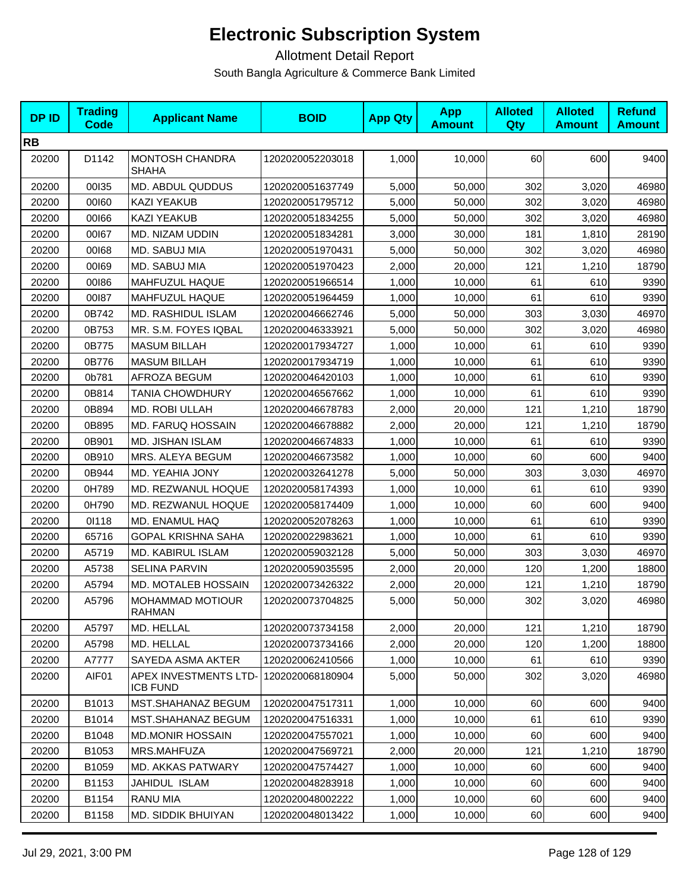| <b>DPID</b> | <b>Trading</b><br><b>Code</b> | <b>Applicant Name</b>                    | <b>BOID</b>      | <b>App Qty</b> | <b>App</b><br><b>Amount</b> | <b>Alloted</b><br>Qty | <b>Alloted</b><br><b>Amount</b> | <b>Refund</b><br><b>Amount</b> |
|-------------|-------------------------------|------------------------------------------|------------------|----------------|-----------------------------|-----------------------|---------------------------------|--------------------------------|
| <b>RB</b>   |                               |                                          |                  |                |                             |                       |                                 |                                |
| 20200       | D1142                         | MONTOSH CHANDRA<br><b>SHAHA</b>          | 1202020052203018 | 1,000          | 10,000                      | 60                    | 600                             | 9400                           |
| 20200       | 00135                         | MD. ABDUL QUDDUS                         | 1202020051637749 | 5,000          | 50,000                      | 302                   | 3,020                           | 46980                          |
| 20200       | 00160                         | <b>KAZI YEAKUB</b>                       | 1202020051795712 | 5,000          | 50,000                      | 302                   | 3,020                           | 46980                          |
| 20200       | 00166                         | <b>KAZI YEAKUB</b>                       | 1202020051834255 | 5,000          | 50,000                      | 302                   | 3,020                           | 46980                          |
| 20200       | 00167                         | MD. NIZAM UDDIN                          | 1202020051834281 | 3,000          | 30,000                      | 181                   | 1,810                           | 28190                          |
| 20200       | 00168                         | MD. SABUJ MIA                            | 1202020051970431 | 5,000          | 50,000                      | 302                   | 3,020                           | 46980                          |
| 20200       | 00169                         | MD. SABUJ MIA                            | 1202020051970423 | 2,000          | 20,000                      | 121                   | 1,210                           | 18790                          |
| 20200       | 00186                         | MAHFUZUL HAQUE                           | 1202020051966514 | 1,000          | 10,000                      | 61                    | 610                             | 9390                           |
| 20200       | 00187                         | <b>MAHFUZUL HAQUE</b>                    | 1202020051964459 | 1,000          | 10,000                      | 61                    | 610                             | 9390                           |
| 20200       | 0B742                         | <b>MD. RASHIDUL ISLAM</b>                | 1202020046662746 | 5,000          | 50,000                      | 303                   | 3,030                           | 46970                          |
| 20200       | 0B753                         | MR. S.M. FOYES IQBAL                     | 1202020046333921 | 5,000          | 50,000                      | 302                   | 3,020                           | 46980                          |
| 20200       | 0B775                         | <b>MASUM BILLAH</b>                      | 1202020017934727 | 1,000          | 10,000                      | 61                    | 610                             | 9390                           |
| 20200       | 0B776                         | <b>MASUM BILLAH</b>                      | 1202020017934719 | 1,000          | 10,000                      | 61                    | 610                             | 9390                           |
| 20200       | 0b781                         | <b>AFROZA BEGUM</b>                      | 1202020046420103 | 1,000          | 10,000                      | 61                    | 610                             | 9390                           |
| 20200       | 0B814                         | <b>TANIA CHOWDHURY</b>                   | 1202020046567662 | 1,000          | 10,000                      | 61                    | 610                             | 9390                           |
| 20200       | 0B894                         | MD. ROBI ULLAH                           | 1202020046678783 | 2,000          | 20,000                      | 121                   | 1,210                           | 18790                          |
| 20200       | 0B895                         | MD. FARUQ HOSSAIN                        | 1202020046678882 | 2,000          | 20,000                      | 121                   | 1,210                           | 18790                          |
| 20200       | 0B901                         | MD. JISHAN ISLAM                         | 1202020046674833 | 1,000          | 10,000                      | 61                    | 610                             | 9390                           |
| 20200       | 0B910                         | MRS. ALEYA BEGUM                         | 1202020046673582 | 1,000          | 10,000                      | 60                    | 600                             | 9400                           |
| 20200       | 0B944                         | MD. YEAHIA JONY                          | 1202020032641278 | 5,000          | 50,000                      | 303                   | 3,030                           | 46970                          |
| 20200       | 0H789                         | MD. REZWANUL HOQUE                       | 1202020058174393 | 1,000          | 10,000                      | 61                    | 610                             | 9390                           |
| 20200       | 0H790                         | MD. REZWANUL HOQUE                       | 1202020058174409 | 1,000          | 10,000                      | 60                    | 600                             | 9400                           |
| 20200       | 01118                         | MD. ENAMUL HAQ                           | 1202020052078263 | 1,000          | 10,000                      | 61                    | 610                             | 9390                           |
| 20200       | 65716                         | <b>GOPAL KRISHNA SAHA</b>                | 1202020022983621 | 1,000          | 10,000                      | 61                    | 610                             | 9390                           |
| 20200       | A5719                         | MD. KABIRUL ISLAM                        | 1202020059032128 | 5,000          | 50,000                      | 303                   | 3,030                           | 46970                          |
| 20200       | A5738                         | <b>SELINA PARVIN</b>                     | 1202020059035595 | 2,000          | 20,000                      | 120                   | 1,200                           | 18800                          |
| 20200       | A5794                         | <b>MD. MOTALEB HOSSAIN</b>               | 1202020073426322 | 2,000          | 20,000                      | 121                   | 1,210                           | 18790                          |
| 20200       | A5796                         | <b>MOHAMMAD MOTIOUR</b><br><b>RAHMAN</b> | 1202020073704825 | 5,000          | 50,000                      | 302                   | 3,020                           | 46980                          |
| 20200       | A5797                         | MD. HELLAL                               | 1202020073734158 | 2,000          | 20,000                      | 121                   | 1,210                           | 18790                          |
| 20200       | A5798                         | MD. HELLAL                               | 1202020073734166 | 2,000          | 20,000                      | 120                   | 1,200                           | 18800                          |
| 20200       | A7777                         | SAYEDA ASMA AKTER                        | 1202020062410566 | 1,000          | 10,000                      | 61                    | 610                             | 9390                           |
| 20200       | AIF01                         | APEX INVESTMENTS LTD-<br><b>ICB FUND</b> | 1202020068180904 | 5,000          | 50,000                      | 302                   | 3,020                           | 46980                          |
| 20200       | B1013                         | MST.SHAHANAZ BEGUM                       | 1202020047517311 | 1,000          | 10,000                      | 60                    | 600                             | 9400                           |
| 20200       | B1014                         | <b>MST.SHAHANAZ BEGUM</b>                | 1202020047516331 | 1,000          | 10,000                      | 61                    | 610                             | 9390                           |
| 20200       | B1048                         | <b>MD.MONIR HOSSAIN</b>                  | 1202020047557021 | 1,000          | 10,000                      | 60                    | 600                             | 9400                           |
| 20200       | B1053                         | MRS.MAHFUZA                              | 1202020047569721 | 2,000          | 20,000                      | 121                   | 1,210                           | 18790                          |
| 20200       | B1059                         | MD. AKKAS PATWARY                        | 1202020047574427 | 1,000          | 10,000                      | 60                    | 600                             | 9400                           |
| 20200       | B1153                         | JAHIDUL ISLAM                            | 1202020048283918 | 1,000          | 10,000                      | 60                    | 600                             | 9400                           |
| 20200       | B1154                         | RANU MIA                                 | 1202020048002222 | 1,000          | 10,000                      | 60                    | 600                             | 9400                           |
| 20200       | B1158                         | MD. SIDDIK BHUIYAN                       | 1202020048013422 | 1,000          | 10,000                      | 60                    | 600                             | 9400                           |